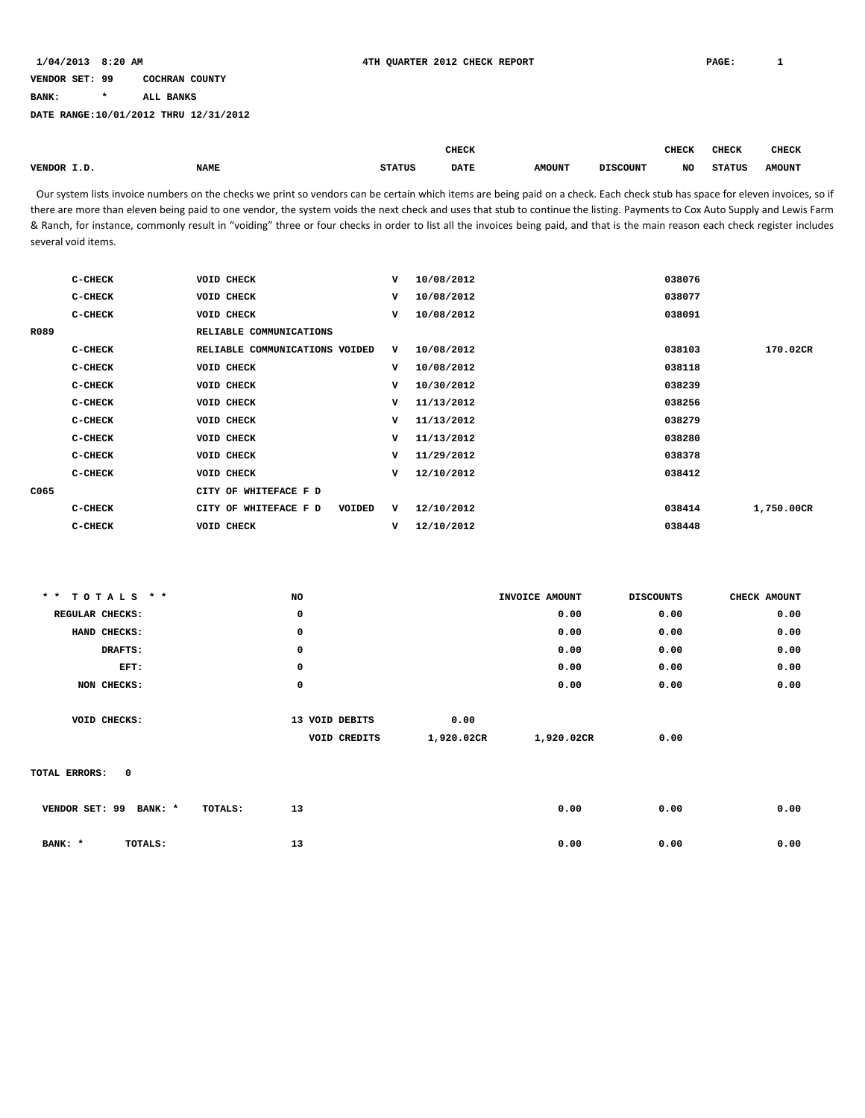**BANK: \* ALL BANKS**

**DATE RANGE:10/01/2012 THRU 12/31/2012**

|                          |             |               | <b>CHECK</b> |               |                 | CHECK | <b>CHECK</b>  | <b>CHECK</b>  |
|--------------------------|-------------|---------------|--------------|---------------|-----------------|-------|---------------|---------------|
| VENDOR I.D<br>. <i>.</i> | <b>NAME</b> | <b>STATUS</b> | <b>DATE</b>  | <b>AMOUNT</b> | <b>DISCOUNT</b> | NO    | <b>STATUS</b> | <b>AMOUNT</b> |

Our system lists invoice numbers on the checks we print so vendors can be certain which items are being paid on a check. Each check stub has space for eleven invoices, so if there are more than eleven being paid to one vendor, the system voids the next check and uses that stub to continue the listing. Payments to Cox Auto Supply and Lewis Farm & Ranch, for instance, commonly result in "voiding" three or four checks in order to list all the invoices being paid, and that is the main reason each check register includes several void items.

|      | C-CHECK   | <b>VOID CHECK</b>               | v | 10/08/2012 | 038076 |            |
|------|-----------|---------------------------------|---|------------|--------|------------|
|      | C-CHECK   | <b>VOID CHECK</b>               | v | 10/08/2012 | 038077 |            |
|      | $C-CHECK$ | VOID CHECK                      | v | 10/08/2012 | 038091 |            |
| R089 |           | RELIABLE COMMUNICATIONS         |   |            |        |            |
|      | $C-CHECK$ | RELIABLE COMMUNICATIONS VOIDED  | v | 10/08/2012 | 038103 | 170.02CR   |
|      | C-CHECK   | <b>VOID CHECK</b>               | v | 10/08/2012 | 038118 |            |
|      | $C-CHECK$ | <b>VOID CHECK</b>               | v | 10/30/2012 | 038239 |            |
|      | C-CHECK   | <b>VOID CHECK</b>               | v | 11/13/2012 | 038256 |            |
|      | C-CHECK   | VOID CHECK                      | v | 11/13/2012 | 038279 |            |
|      | C-CHECK   | <b>VOID CHECK</b>               | v | 11/13/2012 | 038280 |            |
|      | C-CHECK   | <b>VOID CHECK</b>               | v | 11/29/2012 | 038378 |            |
|      | C-CHECK   | <b>VOID CHECK</b>               | v | 12/10/2012 | 038412 |            |
| C065 |           | CITY OF WHITEFACE F D           |   |            |        |            |
|      | C-CHECK   | CITY OF WHITEFACE F D<br>VOIDED | v | 12/10/2012 | 038414 | 1,750.00CR |
|      | C-CHECK   | <b>VOID CHECK</b>               | v | 12/10/2012 | 038448 |            |
|      |           |                                 |   |            |        |            |

| ** TOTALS **                  | NO             |            | INVOICE AMOUNT | <b>DISCOUNTS</b> | CHECK AMOUNT |
|-------------------------------|----------------|------------|----------------|------------------|--------------|
| REGULAR CHECKS:               | 0              |            | 0.00           | 0.00             | 0.00         |
| HAND CHECKS:                  | 0              |            | 0.00           | 0.00             | 0.00         |
| DRAFTS:                       | 0              |            | 0.00           | 0.00             | 0.00         |
| EFT:                          | 0              |            | 0.00           | 0.00             | 0.00         |
| NON CHECKS:                   | 0              |            | 0.00           | 0.00             | 0.00         |
|                               |                |            |                |                  |              |
| VOID CHECKS:                  | 13 VOID DEBITS | 0.00       |                |                  |              |
|                               | VOID CREDITS   | 1,920.02CR | 1,920.02CR     | 0.00             |              |
|                               |                |            |                |                  |              |
| TOTAL ERRORS:<br>$\mathbf{o}$ |                |            |                |                  |              |
|                               |                |            |                |                  |              |
| VENDOR SET: 99<br>BANK: *     | 13<br>TOTALS:  |            | 0.00           | 0.00             | 0.00         |
|                               |                |            |                |                  |              |
| BANK: *<br>TOTALS:            | 13             |            | 0.00           | 0.00             | 0.00         |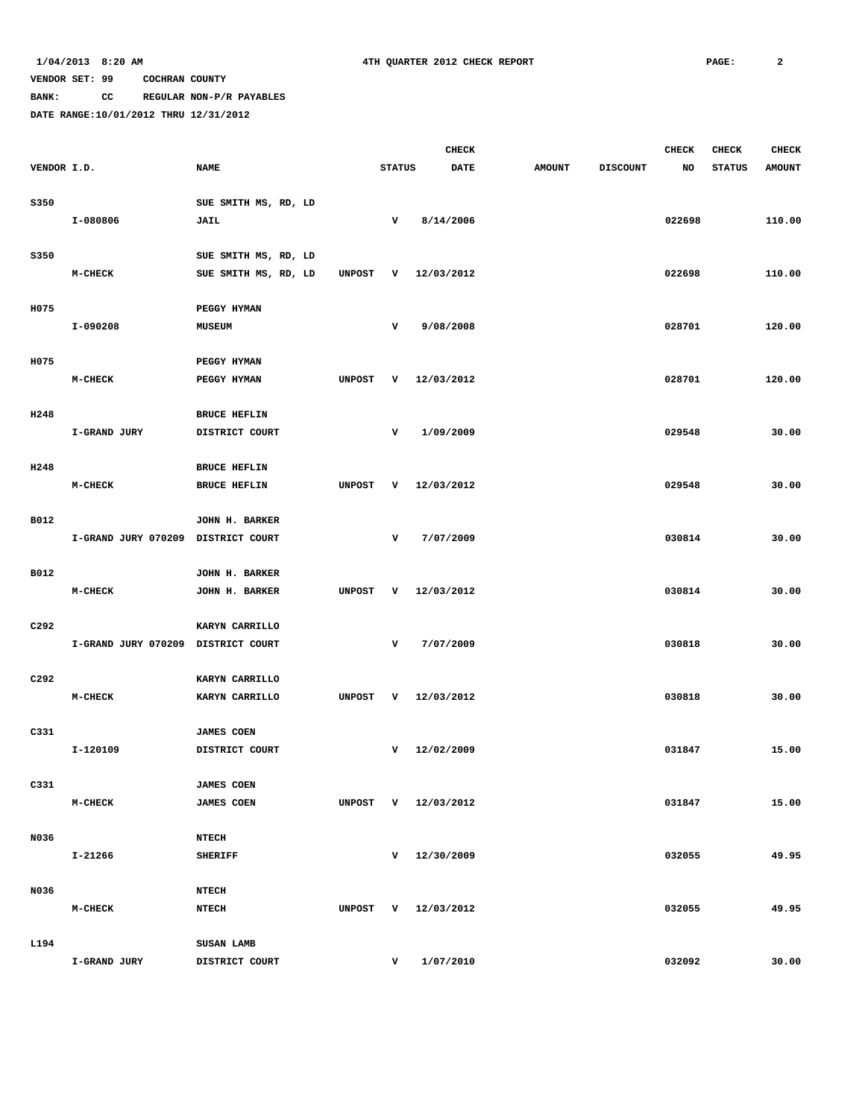**BANK: CC REGULAR NON-P/R PAYABLES**

|             |                                    |                                  |               |               | <b>CHECK</b>     |               |                 | <b>CHECK</b> | <b>CHECK</b>  | <b>CHECK</b>  |
|-------------|------------------------------------|----------------------------------|---------------|---------------|------------------|---------------|-----------------|--------------|---------------|---------------|
| VENDOR I.D. |                                    | <b>NAME</b>                      |               | <b>STATUS</b> | <b>DATE</b>      | <b>AMOUNT</b> | <b>DISCOUNT</b> | NO           | <b>STATUS</b> | <b>AMOUNT</b> |
| S350        |                                    | SUE SMITH MS, RD, LD             |               |               |                  |               |                 |              |               |               |
|             | I-080806                           | JAIL                             |               | $\mathbf v$   | 8/14/2006        |               |                 | 022698       |               | 110.00        |
| S350        |                                    | SUE SMITH MS, RD, LD             |               |               |                  |               |                 |              |               |               |
|             | M-CHECK                            | SUE SMITH MS, RD, LD             | <b>UNPOST</b> | v             | 12/03/2012       |               |                 | 022698       |               | 110.00        |
| H075        |                                    | PEGGY HYMAN                      |               |               |                  |               |                 |              |               |               |
|             | I-090208                           | <b>MUSEUM</b>                    |               | $\mathbf v$   | 9/08/2008        |               |                 | 028701       |               | 120.00        |
|             |                                    |                                  |               |               |                  |               |                 |              |               |               |
| H075        | $M-CHECK$                          | PEGGY HYMAN<br>PEGGY HYMAN       | <b>UNPOST</b> | v             | 12/03/2012       |               |                 | 028701       |               | 120.00        |
|             |                                    |                                  |               |               |                  |               |                 |              |               |               |
| H248        |                                    | <b>BRUCE HEFLIN</b>              |               |               | 1/09/2009        |               |                 |              |               |               |
|             | I-GRAND JURY                       | DISTRICT COURT                   |               | v             |                  |               |                 | 029548       |               | 30.00         |
| H248        |                                    | <b>BRUCE HEFLIN</b>              |               |               |                  |               |                 |              |               |               |
|             | $M-CHECK$                          | <b>BRUCE HEFLIN</b>              | <b>UNPOST</b> | v             | 12/03/2012       |               |                 | 029548       |               | 30.00         |
| B012        |                                    | JOHN H. BARKER                   |               |               |                  |               |                 |              |               |               |
|             | I-GRAND JURY 070209 DISTRICT COURT |                                  |               | v             | 7/07/2009        |               |                 | 030814       |               | 30.00         |
| B012        |                                    | JOHN H. BARKER                   |               |               |                  |               |                 |              |               |               |
|             | $M-CHECK$                          | JOHN H. BARKER                   | <b>UNPOST</b> | v             | 12/03/2012       |               |                 | 030814       |               | 30.00         |
| C292        |                                    | KARYN CARRILLO                   |               |               |                  |               |                 |              |               |               |
|             | I-GRAND JURY 070209 DISTRICT COURT |                                  |               | v             | 7/07/2009        |               |                 | 030818       |               | 30.00         |
|             |                                    |                                  |               |               |                  |               |                 |              |               |               |
| C292        | $M-CHECK$                          | KARYN CARRILLO<br>KARYN CARRILLO | <b>UNPOST</b> | v             | 12/03/2012       |               |                 | 030818       |               | 30.00         |
|             |                                    |                                  |               |               |                  |               |                 |              |               |               |
| C331        |                                    | <b>JAMES COEN</b>                |               |               |                  |               |                 |              |               |               |
|             | I-120109                           | DISTRICT COURT                   |               | v             | 12/02/2009       |               |                 | 031847       |               | 15.00         |
| C331        |                                    | <b>JAMES COEN</b>                |               |               |                  |               |                 |              |               |               |
|             | $M-CHECK$                          | <b>JAMES COEN</b>                | <b>UNPOST</b> |               | $V = 12/03/2012$ |               |                 | 031847       |               | 15.00         |
| N036        |                                    | <b>NTECH</b>                     |               |               |                  |               |                 |              |               |               |
|             | I-21266                            | <b>SHERIFF</b>                   |               |               | $V = 12/30/2009$ |               |                 | 032055       |               | 49.95         |
| N036        |                                    | <b>NTECH</b>                     |               |               |                  |               |                 |              |               |               |
|             | $M-CHECK$                          | <b>NTECH</b>                     | <b>UNPOST</b> |               | $V = 12/03/2012$ |               |                 | 032055       |               | 49.95         |
| L194        |                                    | SUSAN LAMB                       |               |               |                  |               |                 |              |               |               |
|             | I-GRAND JURY                       | DISTRICT COURT                   |               | v             | 1/07/2010        |               |                 | 032092       |               | 30.00         |
|             |                                    |                                  |               |               |                  |               |                 |              |               |               |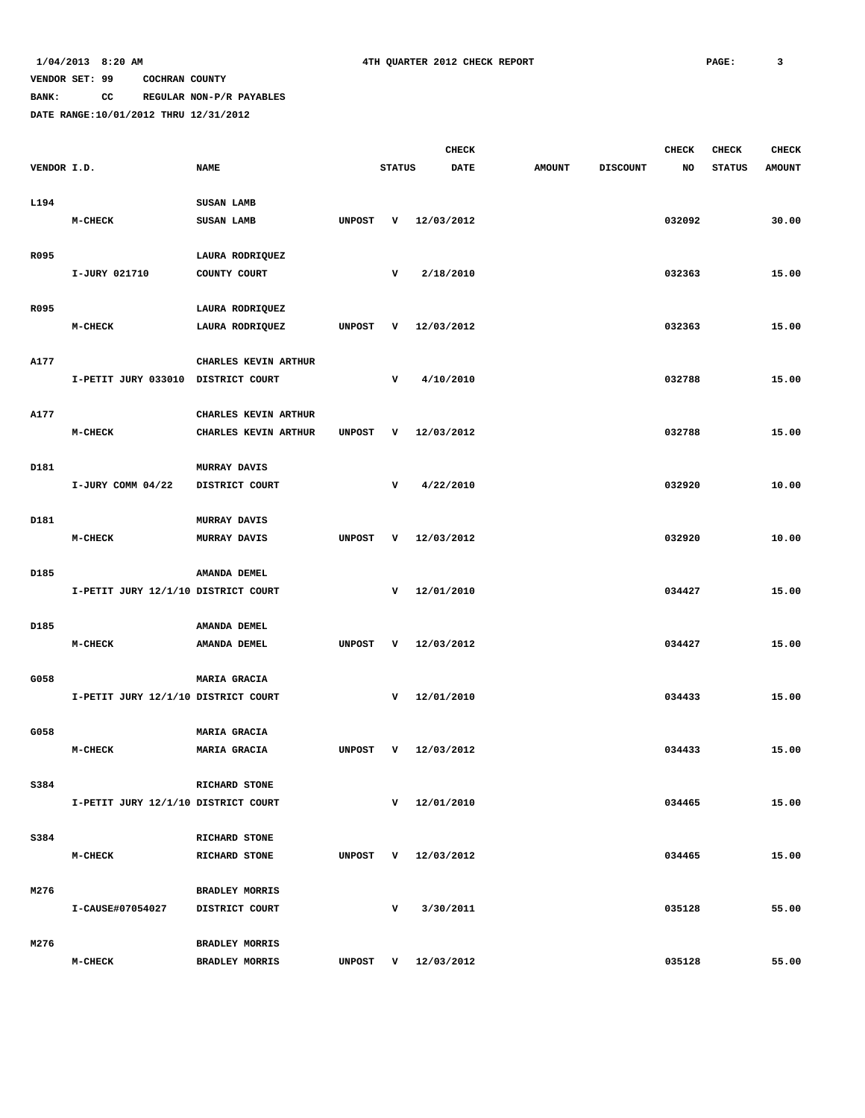### **BANK: CC REGULAR NON-P/R PAYABLES**

|             |                                     |                                         |               |               | <b>CHECK</b>        |               |                 | <b>CHECK</b> | <b>CHECK</b>  | <b>CHECK</b>  |
|-------------|-------------------------------------|-----------------------------------------|---------------|---------------|---------------------|---------------|-----------------|--------------|---------------|---------------|
| VENDOR I.D. |                                     | <b>NAME</b>                             |               | <b>STATUS</b> | DATE                | <b>AMOUNT</b> | <b>DISCOUNT</b> | NO.          | <b>STATUS</b> | <b>AMOUNT</b> |
| L194        |                                     | SUSAN LAMB                              |               |               |                     |               |                 |              |               |               |
|             | M-CHECK                             | SUSAN LAMB                              | <b>UNPOST</b> | v             | 12/03/2012          |               |                 | 032092       |               | 30.00         |
|             |                                     |                                         |               |               |                     |               |                 |              |               |               |
| R095        |                                     | LAURA RODRIQUEZ                         |               |               |                     |               |                 |              |               |               |
|             | I-JURY 021710                       | COUNTY COURT                            |               | v             | 2/18/2010           |               |                 | 032363       |               | 15.00         |
|             |                                     |                                         |               |               |                     |               |                 |              |               |               |
| R095        | M-CHECK                             | LAURA RODRIQUEZ<br>LAURA RODRIQUEZ      | <b>UNPOST</b> | v             | 12/03/2012          |               |                 | 032363       |               | 15.00         |
|             |                                     |                                         |               |               |                     |               |                 |              |               |               |
| A177        |                                     | CHARLES KEVIN ARTHUR                    |               |               |                     |               |                 |              |               |               |
|             | I-PETIT JURY 033010 DISTRICT COURT  |                                         |               | v             | 4/10/2010           |               |                 | 032788       |               | 15.00         |
|             |                                     |                                         |               |               |                     |               |                 |              |               |               |
| A177        |                                     | CHARLES KEVIN ARTHUR                    |               |               |                     |               |                 |              |               |               |
|             | M-CHECK                             | CHARLES KEVIN ARTHUR                    | <b>UNPOST</b> | v             | 12/03/2012          |               |                 | 032788       |               | 15.00         |
| D181        |                                     | <b>MURRAY DAVIS</b>                     |               |               |                     |               |                 |              |               |               |
|             | I-JURY COMM 04/22                   | DISTRICT COURT                          |               | v             | 4/22/2010           |               |                 | 032920       |               | 10.00         |
|             |                                     |                                         |               |               |                     |               |                 |              |               |               |
| D181        |                                     | <b>MURRAY DAVIS</b>                     |               |               |                     |               |                 |              |               |               |
|             | M-CHECK                             | <b>MURRAY DAVIS</b>                     | <b>UNPOST</b> | v             | 12/03/2012          |               |                 | 032920       |               | 10.00         |
| D185        |                                     | AMANDA DEMEL                            |               |               |                     |               |                 |              |               |               |
|             | I-PETIT JURY 12/1/10 DISTRICT COURT |                                         |               |               | $V = 12/01/2010$    |               |                 | 034427       |               | 15.00         |
|             |                                     |                                         |               |               |                     |               |                 |              |               |               |
| D185        |                                     | AMANDA DEMEL                            |               |               |                     |               |                 |              |               |               |
|             | M-CHECK                             | AMANDA DEMEL                            | <b>UNPOST</b> | v             | 12/03/2012          |               |                 | 034427       |               | 15.00         |
| G058        |                                     | MARIA GRACIA                            |               |               |                     |               |                 |              |               |               |
|             | I-PETIT JURY 12/1/10 DISTRICT COURT |                                         |               | v             | 12/01/2010          |               |                 | 034433       |               | 15.00         |
|             |                                     |                                         |               |               |                     |               |                 |              |               |               |
| G058        |                                     | <b>MARIA GRACIA</b>                     |               |               |                     |               |                 |              |               |               |
|             | $M-CHECK$                           | <b>MARIA GRACIA</b>                     | <b>UNPOST</b> | v             | 12/03/2012          |               |                 | 034433       |               | 15.00         |
| S384        |                                     | RICHARD STONE                           |               |               |                     |               |                 |              |               |               |
|             | I-PETIT JURY 12/1/10 DISTRICT COURT |                                         |               |               | $V = 12/01/2010$    |               |                 | 034465       |               | 15.00         |
|             |                                     |                                         |               |               |                     |               |                 |              |               |               |
| S384        |                                     | RICHARD STONE                           |               |               |                     |               |                 |              |               |               |
|             | <b>M-CHECK</b>                      | RICHARD STONE                           | UNPOST        |               | V 12/03/2012        |               |                 | 034465       |               | 15.00         |
| M276        |                                     |                                         |               |               |                     |               |                 |              |               |               |
|             | I-CAUSE#07054027                    | <b>BRADLEY MORRIS</b><br>DISTRICT COURT |               | v             | 3/30/2011           |               |                 | 035128       |               | 55.00         |
|             |                                     |                                         |               |               |                     |               |                 |              |               |               |
| M276        |                                     | <b>BRADLEY MORRIS</b>                   |               |               |                     |               |                 |              |               |               |
|             | $M-CHECK$                           | <b>BRADLEY MORRIS</b>                   |               |               | UNPOST V 12/03/2012 |               |                 | 035128       |               | 55.00         |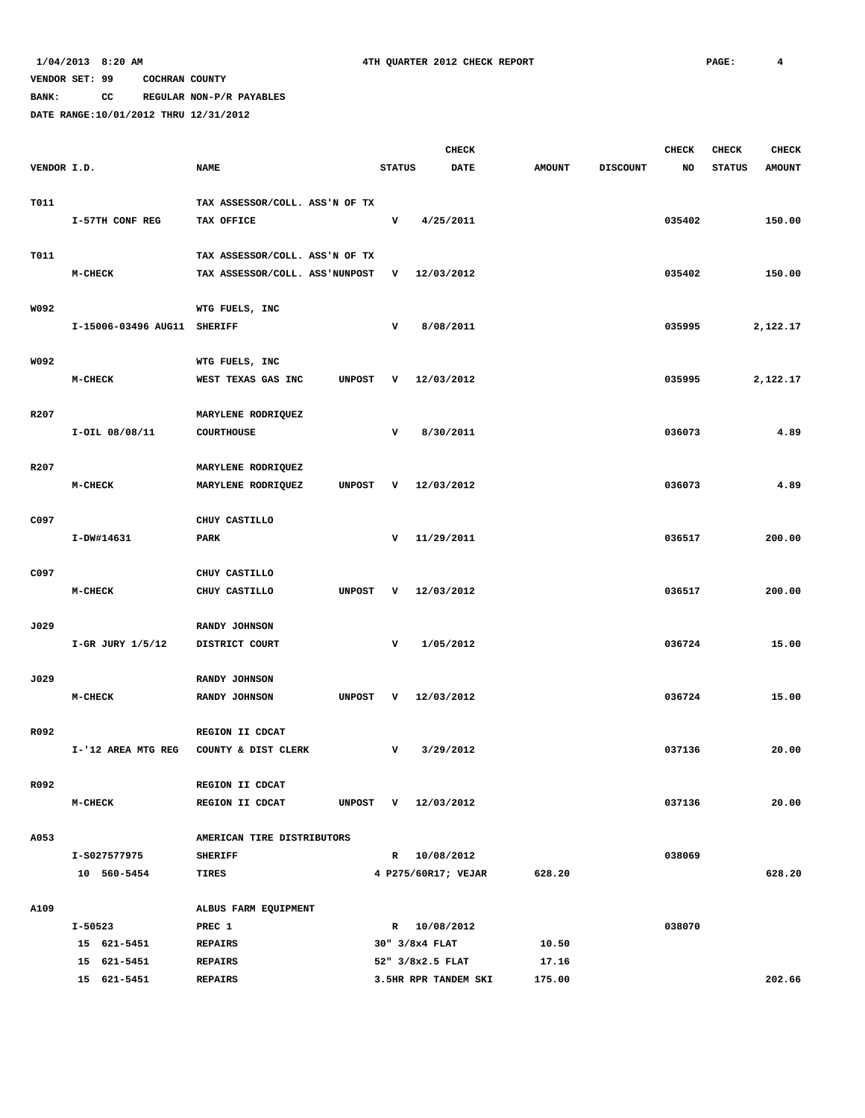**BANK: CC REGULAR NON-P/R PAYABLES**

|             |                             |                                     |               | <b>CHECK</b>         |               |                 | <b>CHECK</b> | <b>CHECK</b>  | <b>CHECK</b>  |
|-------------|-----------------------------|-------------------------------------|---------------|----------------------|---------------|-----------------|--------------|---------------|---------------|
| VENDOR I.D. |                             | <b>NAME</b>                         | <b>STATUS</b> | <b>DATE</b>          | <b>AMOUNT</b> | <b>DISCOUNT</b> | NO           | <b>STATUS</b> | <b>AMOUNT</b> |
|             |                             |                                     |               |                      |               |                 |              |               |               |
| T011        |                             | TAX ASSESSOR/COLL. ASS'N OF TX      |               |                      |               |                 |              |               |               |
|             | I-57TH CONF REG             | TAX OFFICE                          | v             | 4/25/2011            |               |                 | 035402       |               | 150.00        |
|             |                             |                                     |               |                      |               |                 |              |               |               |
| T011        |                             | TAX ASSESSOR/COLL. ASS'N OF TX      |               |                      |               |                 |              |               |               |
|             | $M-CHECK$                   | TAX ASSESSOR/COLL. ASS'NUNPOST      | v             | 12/03/2012           |               |                 | 035402       |               | 150.00        |
|             |                             |                                     |               |                      |               |                 |              |               |               |
| W092        |                             | WTG FUELS, INC                      |               |                      |               |                 |              |               |               |
|             | I-15006-03496 AUG11 SHERIFF |                                     | $\mathbf v$   | 8/08/2011            |               |                 | 035995       |               | 2,122.17      |
|             |                             |                                     |               |                      |               |                 |              |               |               |
| W092        |                             | WTG FUELS, INC                      |               |                      |               |                 |              |               |               |
|             | M-CHECK                     | <b>UNPOST</b><br>WEST TEXAS GAS INC | v             | 12/03/2012           |               |                 | 035995       |               | 2,122.17      |
|             |                             |                                     |               |                      |               |                 |              |               |               |
| R207        |                             | MARYLENE RODRIQUEZ                  |               |                      |               |                 |              |               |               |
|             | I-OIL 08/08/11              | <b>COURTHOUSE</b>                   | v             | 8/30/2011            |               |                 | 036073       |               | 4.89          |
|             |                             |                                     |               |                      |               |                 |              |               |               |
| R207        |                             | MARYLENE RODRIQUEZ                  |               |                      |               |                 |              |               |               |
|             | $M-CHECK$                   | MARYLENE RODRIQUEZ<br><b>UNPOST</b> | v             | 12/03/2012           |               |                 | 036073       |               | 4.89          |
|             |                             |                                     |               |                      |               |                 |              |               |               |
| C097        |                             | CHUY CASTILLO                       |               |                      |               |                 |              |               |               |
|             | I-DW#14631                  | <b>PARK</b>                         | v             | 11/29/2011           |               |                 | 036517       |               | 200.00        |
|             |                             |                                     |               |                      |               |                 |              |               |               |
| C097        |                             | CHUY CASTILLO                       |               |                      |               |                 |              |               |               |
|             | M-CHECK                     | CHUY CASTILLO<br><b>UNPOST</b>      | v             | 12/03/2012           |               |                 | 036517       |               | 200.00        |
|             |                             |                                     |               |                      |               |                 |              |               |               |
| J029        |                             | RANDY JOHNSON                       |               |                      |               |                 |              |               |               |
|             | $I-GR$ JURY $1/5/12$        | DISTRICT COURT                      | v             | 1/05/2012            |               |                 | 036724       |               | 15.00         |
|             |                             |                                     |               |                      |               |                 |              |               |               |
| J029        |                             | RANDY JOHNSON                       |               |                      |               |                 |              |               |               |
|             | $M-CHECK$                   | RANDY JOHNSON<br><b>UNPOST</b>      | v             | 12/03/2012           |               |                 | 036724       |               | 15.00         |
|             |                             |                                     |               |                      |               |                 |              |               |               |
| R092        |                             | REGION II CDCAT                     |               |                      |               |                 |              |               |               |
|             | I-'12 AREA MTG REG          | COUNTY & DIST CLERK                 | v             | 3/29/2012            |               |                 | 037136       |               | 20.00         |
|             |                             |                                     |               |                      |               |                 |              |               |               |
| R092        |                             | REGION II CDCAT                     |               |                      |               |                 |              |               |               |
|             | $M-CHECK$                   | REGION II CDCAT                     |               | UNPOST V 12/03/2012  |               |                 | 037136       |               | 20.00         |
|             |                             |                                     |               |                      |               |                 |              |               |               |
| A053        |                             | AMERICAN TIRE DISTRIBUTORS          |               |                      |               |                 |              |               |               |
|             | I-S027577975                | <b>SHERIFF</b>                      |               | R 10/08/2012         |               |                 | 038069       |               |               |
|             | 10 560-5454                 | TIRES                               |               | 4 P275/60R17; VEJAR  | 628.20        |                 |              |               | 628.20        |
|             |                             |                                     |               |                      |               |                 |              |               |               |
| A109        |                             | ALBUS FARM EQUIPMENT                |               |                      |               |                 |              |               |               |
|             | I-50523                     | PREC 1                              |               | R 10/08/2012         |               |                 | 038070       |               |               |
|             | 15 621-5451                 | <b>REPAIRS</b>                      |               | 30" 3/8x4 FLAT       | 10.50         |                 |              |               |               |
|             | 15 621-5451                 | <b>REPAIRS</b>                      |               | 52" 3/8x2.5 FLAT     | 17.16         |                 |              |               |               |
|             | 15 621-5451                 | <b>REPAIRS</b>                      |               | 3.5HR RPR TANDEM SKI | 175.00        |                 |              |               | 202.66        |
|             |                             |                                     |               |                      |               |                 |              |               |               |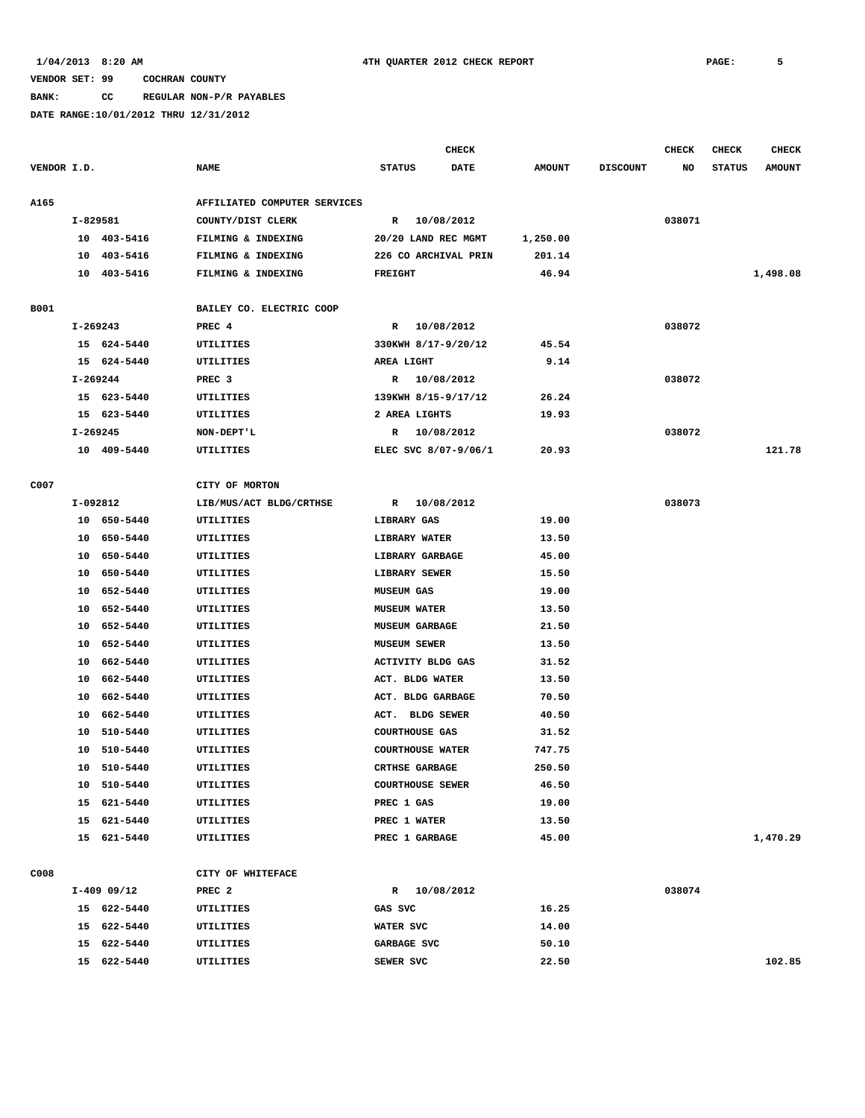**BANK: CC REGULAR NON-P/R PAYABLES**

|             |            |             |                              | <b>CHECK</b>            |            |               |                 | <b>CHECK</b> | <b>CHECK</b>  | <b>CHECK</b>  |
|-------------|------------|-------------|------------------------------|-------------------------|------------|---------------|-----------------|--------------|---------------|---------------|
| VENDOR I.D. |            |             | <b>NAME</b>                  | <b>STATUS</b>           | DATE       | <b>AMOUNT</b> | <b>DISCOUNT</b> | NO           | <b>STATUS</b> | <b>AMOUNT</b> |
|             |            |             |                              |                         |            |               |                 |              |               |               |
| <b>A165</b> |            |             | AFFILIATED COMPUTER SERVICES |                         |            |               |                 |              |               |               |
|             | I-829581   |             | COUNTY/DIST CLERK            | R 10/08/2012            |            |               |                 | 038071       |               |               |
|             |            | 10 403-5416 | FILMING & INDEXING           | 20/20 LAND REC MGMT     |            | 1,250.00      |                 |              |               |               |
|             |            | 10 403-5416 | FILMING & INDEXING           | 226 CO ARCHIVAL PRIN    |            | 201.14        |                 |              |               |               |
|             |            | 10 403-5416 | FILMING & INDEXING           | <b>FREIGHT</b>          |            | 46.94         |                 |              |               | 1,498.08      |
| B001        |            |             | BAILEY CO. ELECTRIC COOP     |                         |            |               |                 |              |               |               |
|             | I-269243   |             | PREC 4                       | R 10/08/2012            |            |               |                 | 038072       |               |               |
|             |            | 15 624-5440 | UTILITIES                    | 330KWH 8/17-9/20/12     |            | 45.54         |                 |              |               |               |
|             |            | 15 624-5440 | UTILITIES                    | AREA LIGHT              |            | 9.14          |                 |              |               |               |
|             | $I-269244$ |             | PREC <sub>3</sub>            | R 10/08/2012            |            |               |                 | 038072       |               |               |
|             |            | 15 623-5440 | UTILITIES                    | 139KWH 8/15-9/17/12     |            | 26.24         |                 |              |               |               |
|             |            | 15 623-5440 | UTILITIES                    | 2 AREA LIGHTS           |            | 19.93         |                 |              |               |               |
|             | I-269245   |             | NON-DEPT'L                   | R                       | 10/08/2012 |               |                 | 038072       |               |               |
|             |            | 10 409-5440 | UTILITIES                    | ELEC SVC 8/07-9/06/1    |            | 20.93         |                 |              |               | 121.78        |
|             |            |             |                              |                         |            |               |                 |              |               |               |
| C007        |            |             | CITY OF MORTON               |                         |            |               |                 |              |               |               |
|             |            | I-092812    | LIB/MUS/ACT BLDG/CRTHSE      | R 10/08/2012            |            |               |                 | 038073       |               |               |
|             |            | 10 650-5440 | UTILITIES                    | LIBRARY GAS             |            | 19.00         |                 |              |               |               |
|             |            | 10 650-5440 | UTILITIES                    | LIBRARY WATER           |            | 13.50         |                 |              |               |               |
|             |            | 10 650-5440 | UTILITIES                    | LIBRARY GARBAGE         |            | 45.00         |                 |              |               |               |
|             | 10         | 650-5440    | UTILITIES                    | LIBRARY SEWER           |            | 15.50         |                 |              |               |               |
|             | 10         | 652-5440    | UTILITIES                    | <b>MUSEUM GAS</b>       |            | 19.00         |                 |              |               |               |
|             | 10         | 652-5440    | UTILITIES                    | <b>MUSEUM WATER</b>     |            | 13.50         |                 |              |               |               |
|             | 10         | 652-5440    | UTILITIES                    | <b>MUSEUM GARBAGE</b>   |            | 21.50         |                 |              |               |               |
|             | 10         | 652-5440    | UTILITIES                    | <b>MUSEUM SEWER</b>     |            | 13.50         |                 |              |               |               |
|             | 10         | 662-5440    | UTILITIES                    | ACTIVITY BLDG GAS       |            | 31.52         |                 |              |               |               |
|             | 10         | 662-5440    | UTILITIES                    | ACT. BLDG WATER         |            | 13.50         |                 |              |               |               |
|             | 10         | 662-5440    | UTILITIES                    | ACT. BLDG GARBAGE       |            | 70.50         |                 |              |               |               |
|             | 10         | 662-5440    | UTILITIES                    | ACT. BLDG SEWER         |            | 40.50         |                 |              |               |               |
|             | 10         | 510-5440    | UTILITIES                    | <b>COURTHOUSE GAS</b>   |            | 31.52         |                 |              |               |               |
|             | 10         | 510-5440    | UTILITIES                    | <b>COURTHOUSE WATER</b> |            | 747.75        |                 |              |               |               |
|             | 10         | 510-5440    | UTILITIES                    | <b>CRTHSE GARBAGE</b>   |            | 250.50        |                 |              |               |               |
|             |            | 10 510-5440 | UTILITIES                    | <b>COURTHOUSE SEWER</b> |            | 46.50         |                 |              |               |               |
|             |            | 15 621-5440 | UTILITIES                    | PREC 1 GAS              |            | 19.00         |                 |              |               |               |
|             |            | 15 621-5440 | UTILITIES                    | PREC 1 WATER            |            | 13.50         |                 |              |               |               |
|             |            | 15 621-5440 | UTILITIES                    | PREC 1 GARBAGE          |            | 45.00         |                 |              |               | 1,470.29      |
|             |            |             |                              |                         |            |               |                 |              |               |               |
| C008        |            |             | CITY OF WHITEFACE            |                         |            |               |                 |              |               |               |
|             |            | I-409 09/12 | PREC <sub>2</sub>            | R 10/08/2012            |            |               |                 | 038074       |               |               |
|             |            | 15 622-5440 | UTILITIES                    | GAS SVC                 |            | 16.25         |                 |              |               |               |
|             |            | 15 622-5440 | UTILITIES                    | WATER SVC               |            | 14.00         |                 |              |               |               |
|             |            | 15 622-5440 | UTILITIES                    | GARBAGE SVC             |            | 50.10         |                 |              |               |               |
|             |            | 15 622-5440 | UTILITIES                    | SEWER SVC               |            | 22.50         |                 |              |               | 102.85        |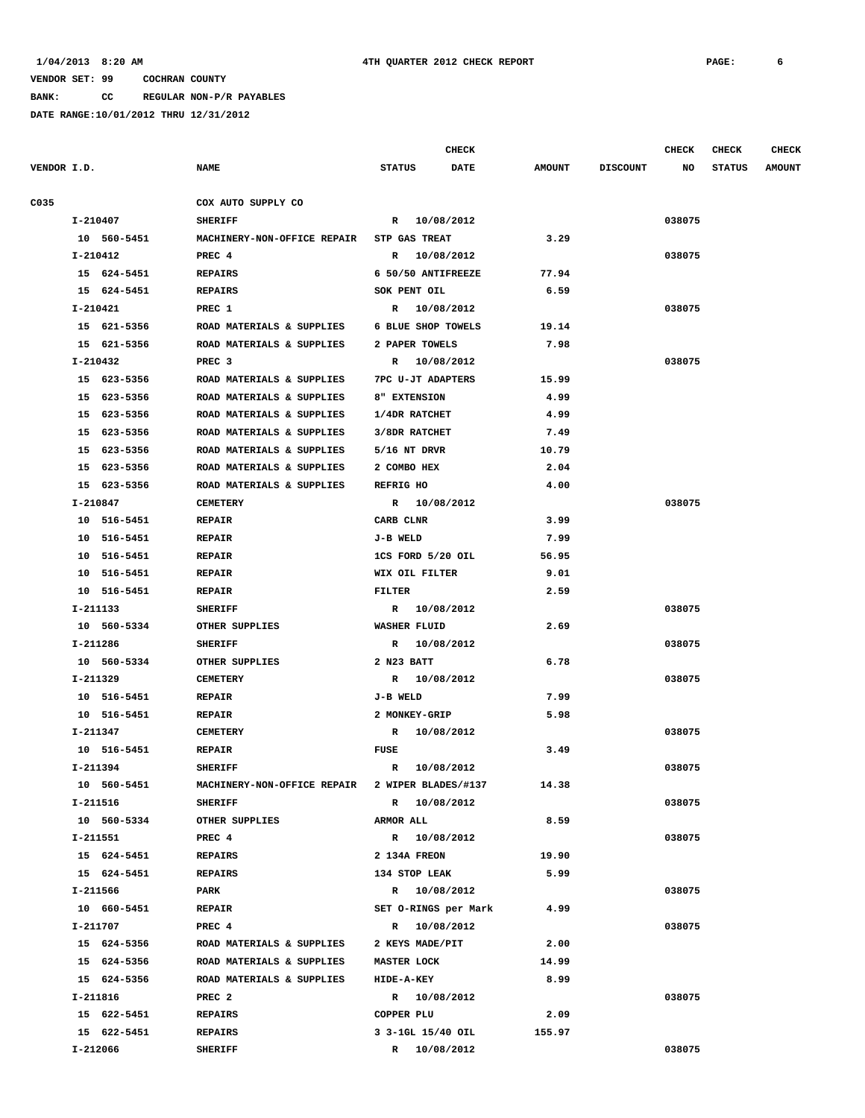**BANK: CC REGULAR NON-P/R PAYABLES**

|             |                         |                             | <b>CHECK</b>                      |               |                 | <b>CHECK</b> | <b>CHECK</b>  | CHECK         |
|-------------|-------------------------|-----------------------------|-----------------------------------|---------------|-----------------|--------------|---------------|---------------|
| VENDOR I.D. |                         | <b>NAME</b>                 | <b>STATUS</b><br><b>DATE</b>      | <b>AMOUNT</b> | <b>DISCOUNT</b> | NO           | <b>STATUS</b> | <b>AMOUNT</b> |
| C035        |                         | COX AUTO SUPPLY CO          |                                   |               |                 |              |               |               |
|             | I-210407                | <b>SHERIFF</b>              | R 10/08/2012                      |               |                 | 038075       |               |               |
|             | 10 560-5451             | MACHINERY-NON-OFFICE REPAIR | STP GAS TREAT                     | 3.29          |                 |              |               |               |
|             | I-210412                | PREC 4                      | R 10/08/2012                      |               |                 | 038075       |               |               |
|             | 15 624-5451             | <b>REPAIRS</b>              | 6 50/50 ANTIFREEZE                | 77.94         |                 |              |               |               |
|             | 15 624-5451             | <b>REPAIRS</b>              | SOK PENT OIL                      | 6.59          |                 |              |               |               |
|             | I-210421                | PREC 1                      | R 10/08/2012                      |               |                 | 038075       |               |               |
|             | 15 621-5356             | ROAD MATERIALS & SUPPLIES   | 6 BLUE SHOP TOWELS                | 19.14         |                 |              |               |               |
|             | 15 621-5356             | ROAD MATERIALS & SUPPLIES   | 2 PAPER TOWELS                    | 7.98          |                 |              |               |               |
|             | I-210432                | PREC <sub>3</sub>           | R 10/08/2012                      |               |                 | 038075       |               |               |
|             | 15 623-5356             | ROAD MATERIALS & SUPPLIES   | 7PC U-JT ADAPTERS                 | 15.99         |                 |              |               |               |
|             | 15 623-5356             | ROAD MATERIALS & SUPPLIES   | 8" EXTENSION                      | 4.99          |                 |              |               |               |
|             | 15 623-5356             | ROAD MATERIALS & SUPPLIES   | 1/4DR RATCHET                     | 4.99          |                 |              |               |               |
|             | 15 623-5356             | ROAD MATERIALS & SUPPLIES   | 3/8DR RATCHET                     | 7.49          |                 |              |               |               |
|             | 15 623-5356             | ROAD MATERIALS & SUPPLIES   | $5/16$ NT DRVR                    | 10.79         |                 |              |               |               |
|             | 15 623-5356             | ROAD MATERIALS & SUPPLIES   | 2 COMBO HEX                       | 2.04          |                 |              |               |               |
|             | 15 623-5356             | ROAD MATERIALS & SUPPLIES   | <b>REFRIG HO</b>                  | 4.00          |                 |              |               |               |
|             | I-210847                | <b>CEMETERY</b>             | R 10/08/2012                      |               |                 | 038075       |               |               |
|             | 10 516-5451             | <b>REPAIR</b>               | CARB CLNR                         | 3.99          |                 |              |               |               |
|             | 10 516-5451             | <b>REPAIR</b>               | J-B WELD                          | 7.99          |                 |              |               |               |
|             | 10 516-5451             | <b>REPAIR</b>               | 1CS FORD 5/20 OIL                 | 56.95         |                 |              |               |               |
|             | 10 516-5451             | <b>REPAIR</b>               | WIX OIL FILTER                    | 9.01          |                 |              |               |               |
|             | 10 516-5451             | <b>REPAIR</b>               | FILTER                            | 2.59          |                 |              |               |               |
|             | I-211133                | <b>SHERIFF</b>              | R 10/08/2012                      |               |                 | 038075       |               |               |
|             | 10 560-5334             | OTHER SUPPLIES              | <b>WASHER FLUID</b>               | 2.69          |                 |              |               |               |
|             | I-211286                | <b>SHERIFF</b>              | R 10/08/2012                      |               |                 | 038075       |               |               |
|             | 10 560-5334             | OTHER SUPPLIES              | 2 N23 BATT                        | 6.78          |                 |              |               |               |
|             | I-211329                | <b>CEMETERY</b>             | R 10/08/2012                      |               |                 | 038075       |               |               |
|             | 10 516-5451             | <b>REPAIR</b>               | J-B WELD                          | 7.99          |                 |              |               |               |
|             | 10 516-5451             | <b>REPAIR</b>               | 2 MONKEY-GRIP                     | 5.98          |                 |              |               |               |
|             | I-211347                | <b>CEMETERY</b>             | R 10/08/2012                      |               |                 | 038075       |               |               |
|             | 10 516-5451             | <b>REPAIR</b>               | FUSE                              | 3.49          |                 |              |               |               |
|             | I-211394                | <b>SHERIFF</b>              | R 10/08/2012                      |               |                 | 038075       |               |               |
|             | 10 560-5451             | MACHINERY-NON-OFFICE REPAIR | 2 WIPER BLADES/#137               | 14.38         |                 |              |               |               |
|             | I-211516                | SHERIFF                     | R 10/08/2012                      |               |                 | 038075       |               |               |
|             | 10 560-5334             | OTHER SUPPLIES              | <b>ARMOR ALL</b>                  | 8.59          |                 |              |               |               |
|             | I-211551                | PREC 4                      | R 10/08/2012                      |               |                 | 038075       |               |               |
|             | 15 624-5451             | <b>REPAIRS</b>              | 2 134A FREON                      | 19.90         |                 |              |               |               |
|             | 15 624-5451             | <b>REPAIRS</b>              | 134 STOP LEAK                     | 5.99          |                 |              |               |               |
|             | I-211566                | PARK                        | R 10/08/2012                      |               |                 | 038075       |               |               |
|             | 10 660-5451             | <b>REPAIR</b>               | SET O-RINGS per Mark              | 4.99          |                 |              |               |               |
|             | I-211707                | PREC 4                      | R 10/08/2012                      |               |                 | 038075       |               |               |
|             | 15 624-5356             | ROAD MATERIALS & SUPPLIES   | 2 KEYS MADE/PIT                   | 2.00          |                 |              |               |               |
|             | 15 624-5356             | ROAD MATERIALS & SUPPLIES   | MASTER LOCK                       | 14.99         |                 |              |               |               |
|             | 15 624-5356             | ROAD MATERIALS & SUPPLIES   | <b>HIDE-A-KEY</b>                 | 8.99          |                 |              |               |               |
|             | I-211816                | PREC <sub>2</sub>           | R 10/08/2012                      |               |                 | 038075       |               |               |
|             | 15 622-5451             | REPAIRS                     | COPPER PLU                        | 2.09          |                 |              |               |               |
|             | 15 622-5451<br>I-212066 | REPAIRS<br><b>SHERIFF</b>   | 3 3-1GL 15/40 OIL<br>R 10/08/2012 | 155.97        |                 | 038075       |               |               |
|             |                         |                             |                                   |               |                 |              |               |               |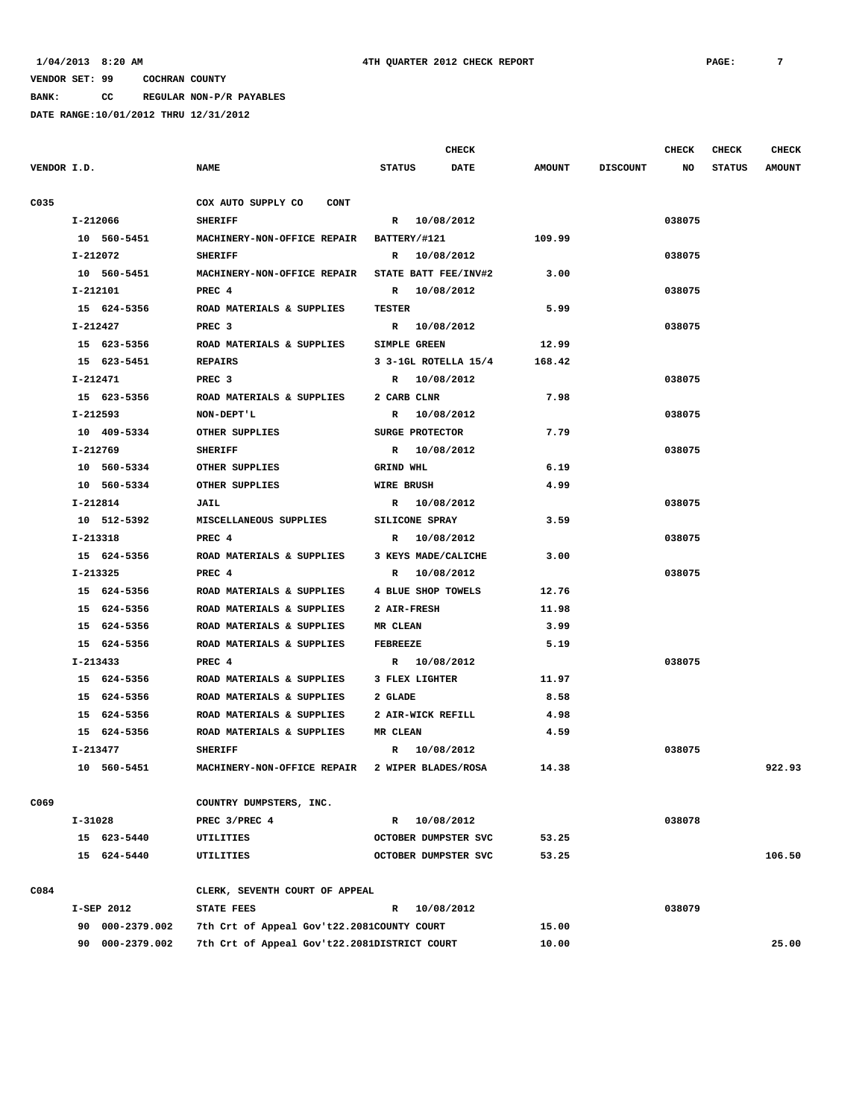**BANK: CC REGULAR NON-P/R PAYABLES**

|             |          |                 |                                              |                     | <b>CHECK</b>         |               |                 | <b>CHECK</b> | CHECK         | <b>CHECK</b>  |
|-------------|----------|-----------------|----------------------------------------------|---------------------|----------------------|---------------|-----------------|--------------|---------------|---------------|
| VENDOR I.D. |          |                 | <b>NAME</b>                                  | <b>STATUS</b>       | <b>DATE</b>          | <b>AMOUNT</b> | <b>DISCOUNT</b> | NO           | <b>STATUS</b> | <b>AMOUNT</b> |
| C035        |          |                 | COX AUTO SUPPLY CO<br><b>CONT</b>            |                     |                      |               |                 |              |               |               |
|             |          | I-212066        | <b>SHERIFF</b>                               |                     | R 10/08/2012         |               |                 | 038075       |               |               |
|             |          | 10 560-5451     | MACHINERY-NON-OFFICE REPAIR                  | BATTERY/#121        |                      | 109.99        |                 |              |               |               |
|             |          | I-212072        | <b>SHERIFF</b>                               |                     | R 10/08/2012         |               |                 | 038075       |               |               |
|             |          | 10 560-5451     | MACHINERY-NON-OFFICE REPAIR                  |                     | STATE BATT FEE/INV#2 | 3.00          |                 |              |               |               |
|             |          | I-212101        | PREC 4                                       |                     | R 10/08/2012         |               |                 | 038075       |               |               |
|             |          | 15 624-5356     | ROAD MATERIALS & SUPPLIES                    | <b>TESTER</b>       |                      | 5.99          |                 |              |               |               |
|             | I-212427 |                 | PREC <sub>3</sub>                            |                     | R 10/08/2012         |               |                 | 038075       |               |               |
|             |          | 15 623-5356     | ROAD MATERIALS & SUPPLIES                    | <b>SIMPLE GREEN</b> |                      | 12.99         |                 |              |               |               |
|             |          | 15 623-5451     | <b>REPAIRS</b>                               |                     | 3 3-1GL ROTELLA 15/4 | 168.42        |                 |              |               |               |
|             |          | I-212471        | PREC <sub>3</sub>                            | R                   | 10/08/2012           |               |                 | 038075       |               |               |
|             |          | 15 623-5356     | ROAD MATERIALS & SUPPLIES                    | 2 CARB CLNR         |                      | 7.98          |                 |              |               |               |
|             |          | I-212593        | NON-DEPT'L                                   | R                   | 10/08/2012           |               |                 | 038075       |               |               |
|             |          | 10 409-5334     | OTHER SUPPLIES                               | SURGE PROTECTOR     |                      | 7.79          |                 |              |               |               |
|             |          | I-212769        | <b>SHERIFF</b>                               |                     | R 10/08/2012         |               |                 | 038075       |               |               |
|             |          | 10 560-5334     | OTHER SUPPLIES                               | GRIND WHL           |                      | 6.19          |                 |              |               |               |
|             |          | 10 560-5334     | OTHER SUPPLIES                               | <b>WIRE BRUSH</b>   |                      | 4.99          |                 |              |               |               |
|             |          | I-212814        | <b>JAIL</b>                                  |                     | R 10/08/2012         |               |                 | 038075       |               |               |
|             |          | 10 512-5392     | MISCELLANEOUS SUPPLIES                       | SILICONE SPRAY      |                      | 3.59          |                 |              |               |               |
|             |          | I-213318        | PREC 4                                       | $\mathbb{R}$        | 10/08/2012           |               |                 | 038075       |               |               |
|             |          | 15 624-5356     | ROAD MATERIALS & SUPPLIES                    | 3 KEYS MADE/CALICHE |                      | 3.00          |                 |              |               |               |
|             |          | I-213325        | PREC 4                                       |                     | R 10/08/2012         |               |                 | 038075       |               |               |
|             |          | 15 624-5356     | ROAD MATERIALS & SUPPLIES                    | 4 BLUE SHOP TOWELS  |                      | 12.76         |                 |              |               |               |
|             |          | 15 624-5356     | ROAD MATERIALS & SUPPLIES                    | 2 AIR-FRESH         |                      | 11.98         |                 |              |               |               |
|             |          | 15 624-5356     | ROAD MATERIALS & SUPPLIES                    | MR CLEAN            |                      | 3.99          |                 |              |               |               |
|             |          | 15 624-5356     | ROAD MATERIALS & SUPPLIES                    | <b>FEBREEZE</b>     |                      | 5.19          |                 |              |               |               |
|             |          | I-213433        | PREC 4                                       |                     | R 10/08/2012         |               |                 | 038075       |               |               |
|             |          | 15 624-5356     | ROAD MATERIALS & SUPPLIES                    | 3 FLEX LIGHTER      |                      | 11.97         |                 |              |               |               |
|             |          | 15 624-5356     | ROAD MATERIALS & SUPPLIES                    | 2 GLADE             |                      | 8.58          |                 |              |               |               |
|             |          | 15 624-5356     | ROAD MATERIALS & SUPPLIES                    | 2 AIR-WICK REFILL   |                      | 4.98          |                 |              |               |               |
|             |          | 15 624-5356     | ROAD MATERIALS & SUPPLIES                    | MR CLEAN            |                      | 4.59          |                 |              |               |               |
|             |          | I-213477        | <b>SHERIFF</b>                               |                     | R 10/08/2012         |               |                 | 038075       |               |               |
|             |          | 10 560-5451     | MACHINERY-NON-OFFICE REPAIR                  | 2 WIPER BLADES/ROSA |                      | 14.38         |                 |              |               | 922.93        |
| C069        |          |                 | COUNTRY DUMPSTERS, INC.                      |                     |                      |               |                 |              |               |               |
|             | I-31028  |                 | PREC 3/PREC 4                                |                     | R 10/08/2012         |               |                 | 038078       |               |               |
|             |          | 15 623-5440     | <b>UTILITIES</b>                             |                     | OCTOBER DUMPSTER SVC | 53.25         |                 |              |               |               |
|             |          | 15 624-5440     | UTILITIES                                    |                     | OCTOBER DUMPSTER SVC | 53.25         |                 |              |               | 106.50        |
| C084        |          |                 | CLERK, SEVENTH COURT OF APPEAL               |                     |                      |               |                 |              |               |               |
|             |          | I-SEP 2012      | <b>STATE FEES</b>                            |                     | R 10/08/2012         |               |                 | 038079       |               |               |
|             |          | 90 000-2379.002 | 7th Crt of Appeal Gov't22.2081COUNTY COURT   |                     |                      | 15.00         |                 |              |               |               |
|             |          | 90 000-2379.002 | 7th Crt of Appeal Gov't22.2081DISTRICT COURT |                     |                      | 10.00         |                 |              |               | 25.00         |
|             |          |                 |                                              |                     |                      |               |                 |              |               |               |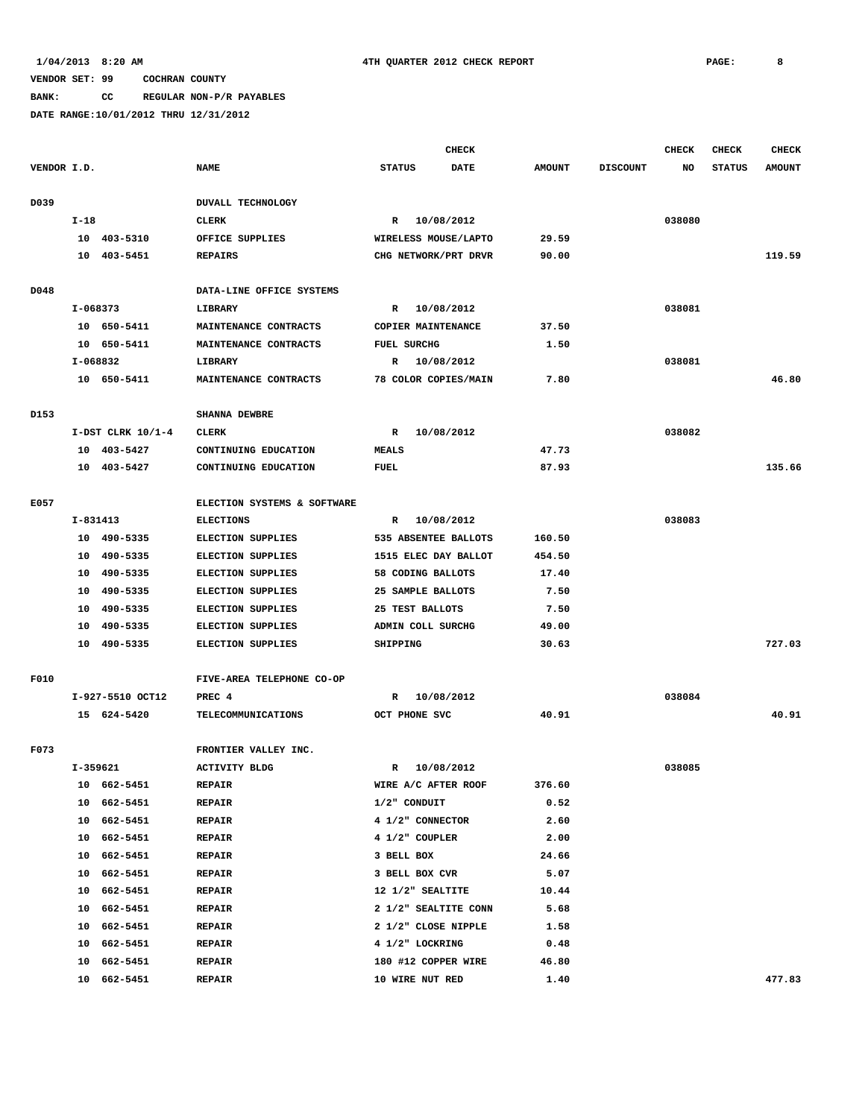**BANK: CC REGULAR NON-P/R PAYABLES**

|             |        |                         |                                |                                     | <b>CHECK</b>         |                |                 | <b>CHECK</b> | <b>CHECK</b>  | <b>CHECK</b>  |
|-------------|--------|-------------------------|--------------------------------|-------------------------------------|----------------------|----------------|-----------------|--------------|---------------|---------------|
| VENDOR I.D. |        |                         | <b>NAME</b>                    | <b>STATUS</b>                       | <b>DATE</b>          | <b>AMOUNT</b>  | <b>DISCOUNT</b> | NO.          | <b>STATUS</b> | <b>AMOUNT</b> |
| D039        |        |                         | DUVALL TECHNOLOGY              |                                     |                      |                |                 |              |               |               |
|             | $I-18$ |                         | <b>CLERK</b>                   | $\mathbb{R}$                        | 10/08/2012           |                |                 | 038080       |               |               |
|             |        | 10 403-5310             | OFFICE SUPPLIES                |                                     | WIRELESS MOUSE/LAPTO | 29.59          |                 |              |               |               |
|             | 10     | 403-5451                | <b>REPAIRS</b>                 |                                     | CHG NETWORK/PRT DRVR | 90.00          |                 |              |               | 119.59        |
| D048        |        |                         | DATA-LINE OFFICE SYSTEMS       |                                     |                      |                |                 |              |               |               |
|             |        | I-068373                | LIBRARY                        |                                     | R 10/08/2012         |                |                 | 038081       |               |               |
|             |        | 10 650-5411             | MAINTENANCE CONTRACTS          | COPIER MAINTENANCE                  |                      | 37.50          |                 |              |               |               |
|             |        | 10 650-5411             | MAINTENANCE CONTRACTS          | <b>FUEL SURCHG</b>                  |                      | 1.50           |                 |              |               |               |
|             |        | I-068832                | LIBRARY                        | R                                   | 10/08/2012           |                |                 | 038081       |               |               |
|             |        | 10 650-5411             | MAINTENANCE CONTRACTS          |                                     | 78 COLOR COPIES/MAIN | 7.80           |                 |              |               | 46.80         |
| D153        |        |                         | <b>SHANNA DEWBRE</b>           |                                     |                      |                |                 |              |               |               |
|             |        | $I-DST$ CLRK $10/1-4$   | <b>CLERK</b>                   | R                                   | 10/08/2012           |                |                 | 038082       |               |               |
|             |        | 10 403-5427             | CONTINUING EDUCATION           | <b>MEALS</b>                        |                      | 47.73          |                 |              |               |               |
|             |        | 10 403-5427             | CONTINUING EDUCATION           | <b>FUEL</b>                         |                      | 87.93          |                 |              |               | 135.66        |
| E057        |        |                         | ELECTION SYSTEMS & SOFTWARE    |                                     |                      |                |                 |              |               |               |
|             |        | I-831413                | <b>ELECTIONS</b>               | R                                   | 10/08/2012           |                |                 | 038083       |               |               |
|             | 10     | 490-5335                | ELECTION SUPPLIES              |                                     | 535 ABSENTEE BALLOTS | 160.50         |                 |              |               |               |
|             | 10     | 490-5335                | <b>ELECTION SUPPLIES</b>       | 1515 ELEC DAY BALLOT                |                      | 454.50         |                 |              |               |               |
|             | 10     | 490-5335                | <b>ELECTION SUPPLIES</b>       | 58 CODING BALLOTS                   |                      | 17.40          |                 |              |               |               |
|             | 10     | 490-5335                | <b>ELECTION SUPPLIES</b>       | 25 SAMPLE BALLOTS                   |                      | 7.50           |                 |              |               |               |
|             | 10     | 490-5335                | <b>ELECTION SUPPLIES</b>       | 25 TEST BALLOTS                     |                      | 7.50           |                 |              |               |               |
|             | 10     | 490-5335                | <b>ELECTION SUPPLIES</b>       | ADMIN COLL SURCHG                   |                      | 49.00          |                 |              |               |               |
|             |        | 10 490-5335             | ELECTION SUPPLIES              | SHIPPING                            |                      | 30.63          |                 |              |               | 727.03        |
| F010        |        |                         | FIVE-AREA TELEPHONE CO-OP      |                                     |                      |                |                 |              |               |               |
|             |        | I-927-5510 OCT12        | PREC 4                         | R                                   | 10/08/2012           |                |                 | 038084       |               |               |
|             |        | 15 624-5420             | <b>TELECOMMUNICATIONS</b>      | OCT PHONE SVC                       |                      | 40.91          |                 |              |               | 40.91         |
|             |        |                         |                                |                                     |                      |                |                 |              |               |               |
| F073        |        |                         | FRONTIER VALLEY INC.           |                                     | 10/08/2012           |                |                 | 038085       |               |               |
|             |        | I-359621<br>10 662-5451 | <b>ACTIVITY BLDG</b>           | R                                   |                      |                |                 |              |               |               |
|             |        | 10 662-5451             | <b>REPAIR</b><br><b>REPAIR</b> | WIRE A/C AFTER ROOF<br>1/2" CONDUIT |                      | 376.60<br>0.52 |                 |              |               |               |
|             |        | 10 662-5451             | <b>REPAIR</b>                  | 4 1/2" CONNECTOR                    |                      | 2.60           |                 |              |               |               |
|             | 10     | 662-5451                | <b>REPAIR</b>                  | 4 1/2" COUPLER                      |                      | 2.00           |                 |              |               |               |
|             |        | 10 662-5451             | <b>REPAIR</b>                  | 3 BELL BOX                          |                      | 24.66          |                 |              |               |               |
|             |        | 10 662-5451             | <b>REPAIR</b>                  | 3 BELL BOX CVR                      |                      | 5.07           |                 |              |               |               |
|             | 10     | 662-5451                | <b>REPAIR</b>                  | 12 1/2" SEALTITE                    |                      | 10.44          |                 |              |               |               |
|             | 10     | 662-5451                | <b>REPAIR</b>                  |                                     | 2 1/2" SEALTITE CONN | 5.68           |                 |              |               |               |
|             | 10     | 662-5451                | <b>REPAIR</b>                  | 2 1/2" CLOSE NIPPLE                 |                      | 1.58           |                 |              |               |               |
|             | 10     | 662-5451                | <b>REPAIR</b>                  | 4 1/2" LOCKRING                     |                      | 0.48           |                 |              |               |               |
|             | 10     | 662-5451                | <b>REPAIR</b>                  | 180 #12 COPPER WIRE                 |                      | 46.80          |                 |              |               |               |
|             |        | 10 662-5451             | <b>REPAIR</b>                  | 10 WIRE NUT RED                     |                      | 1.40           |                 |              |               | 477.83        |
|             |        |                         |                                |                                     |                      |                |                 |              |               |               |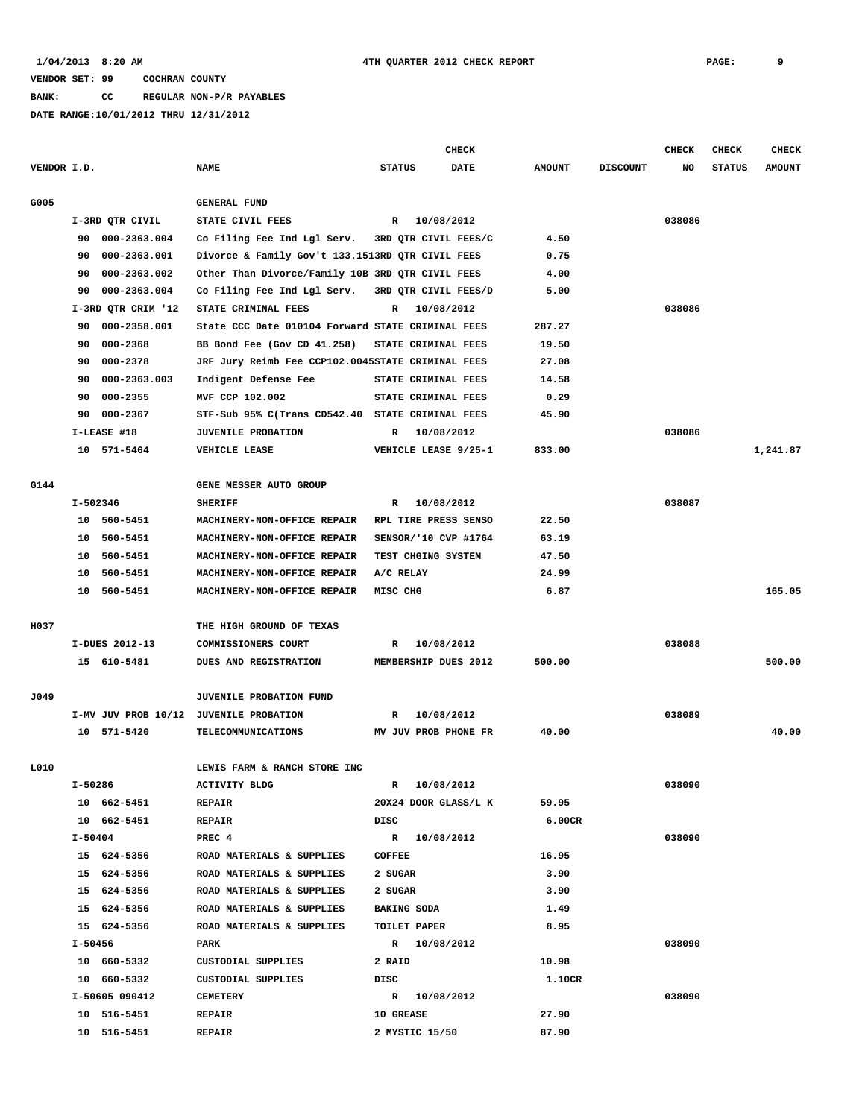**BANK: CC REGULAR NON-P/R PAYABLES**

|             |         |                    |                                                   |                     | <b>CHECK</b>          |               |                 | <b>CHECK</b> | <b>CHECK</b>  | <b>CHECK</b>  |
|-------------|---------|--------------------|---------------------------------------------------|---------------------|-----------------------|---------------|-----------------|--------------|---------------|---------------|
| VENDOR I.D. |         |                    | <b>NAME</b>                                       | <b>STATUS</b>       | <b>DATE</b>           | <b>AMOUNT</b> | <b>DISCOUNT</b> | NO           | <b>STATUS</b> | <b>AMOUNT</b> |
| G005        |         |                    | <b>GENERAL FUND</b>                               |                     |                       |               |                 |              |               |               |
|             |         | I-3RD QTR CIVIL    | STATE CIVIL FEES                                  |                     | R 10/08/2012          |               |                 | 038086       |               |               |
|             | 90.     | 000-2363.004       | Co Filing Fee Ind Lgl Serv.                       |                     | 3RD QTR CIVIL FEES/C  | 4.50          |                 |              |               |               |
|             | 90      | 000-2363.001       | Divorce & Family Gov't 133.1513RD QTR CIVIL FEES  |                     |                       | 0.75          |                 |              |               |               |
|             | 90      | 000-2363.002       | Other Than Divorce/Family 10B 3RD QTR CIVIL FEES  |                     |                       | 4.00          |                 |              |               |               |
|             | 90      | 000-2363.004       | Co Filing Fee Ind Lgl Serv.                       |                     | 3RD QTR CIVIL FEES/D  | 5.00          |                 |              |               |               |
|             |         | I-3RD QTR CRIM '12 | STATE CRIMINAL FEES                               | R                   | 10/08/2012            |               |                 | 038086       |               |               |
|             | 90      | 000-2358.001       | State CCC Date 010104 Forward STATE CRIMINAL FEES |                     |                       | 287.27        |                 |              |               |               |
|             | 90      | 000-2368           | BB Bond Fee (Gov CD 41.258)                       | STATE CRIMINAL FEES |                       | 19.50         |                 |              |               |               |
|             | 90      | 000-2378           | JRF Jury Reimb Fee CCP102.0045STATE CRIMINAL FEES |                     |                       | 27.08         |                 |              |               |               |
|             | 90      | 000-2363.003       | Indigent Defense Fee                              | STATE CRIMINAL FEES |                       | 14.58         |                 |              |               |               |
|             | 90      | 000-2355           | MVF CCP 102.002                                   | STATE CRIMINAL FEES |                       | 0.29          |                 |              |               |               |
|             | 90      | 000-2367           | STF-Sub 95% C(Trans CD542.40 STATE CRIMINAL FEES  |                     |                       | 45.90         |                 |              |               |               |
|             |         | I-LEASE #18        |                                                   |                     |                       |               |                 |              |               |               |
|             |         |                    | <b>JUVENILE PROBATION</b>                         | R                   | 10/08/2012            |               |                 | 038086       |               |               |
|             |         | 10 571-5464        | VEHICLE LEASE                                     |                     | VEHICLE LEASE 9/25-1  | 833.00        |                 |              |               | 1,241.87      |
| G144        |         |                    | GENE MESSER AUTO GROUP                            |                     |                       |               |                 |              |               |               |
|             |         | I-502346           | <b>SHERIFF</b>                                    | R                   | 10/08/2012            |               |                 | 038087       |               |               |
|             |         | 10 560-5451        | MACHINERY-NON-OFFICE REPAIR                       |                     | RPL TIRE PRESS SENSO  | 22.50         |                 |              |               |               |
|             | 10      | 560-5451           | MACHINERY-NON-OFFICE REPAIR                       |                     | SENSOR/ '10 CVP #1764 | 63.19         |                 |              |               |               |
|             | 10      | 560-5451           | MACHINERY-NON-OFFICE REPAIR                       | TEST CHGING SYSTEM  |                       | 47.50         |                 |              |               |               |
|             | 10      | 560-5451           | MACHINERY-NON-OFFICE REPAIR                       | A/C RELAY           |                       | 24.99         |                 |              |               |               |
|             | 10      | 560-5451           | MACHINERY-NON-OFFICE REPAIR                       | MISC CHG            |                       | 6.87          |                 |              |               | 165.05        |
| H037        |         |                    | THE HIGH GROUND OF TEXAS                          |                     |                       |               |                 |              |               |               |
|             |         | I-DUES 2012-13     | COMMISSIONERS COURT                               | R                   | 10/08/2012            |               |                 | 038088       |               |               |
|             |         | 15 610-5481        | DUES AND REGISTRATION                             |                     | MEMBERSHIP DUES 2012  | 500.00        |                 |              |               | 500.00        |
|             |         |                    |                                                   |                     |                       |               |                 |              |               |               |
| J049        |         |                    | <b>JUVENILE PROBATION FUND</b>                    |                     |                       |               |                 |              |               |               |
|             |         |                    | I-MV JUV PROB 10/12 JUVENILE PROBATION            | R                   | 10/08/2012            |               |                 | 038089       |               |               |
|             |         | 10 571-5420        | TELECOMMUNICATIONS                                |                     | MV JUV PROB PHONE FR  | 40.00         |                 |              |               | 40.00         |
| L010        |         |                    | LEWIS FARM & RANCH STORE INC                      |                     |                       |               |                 |              |               |               |
|             | I-50286 |                    | <b>ACTIVITY BLDG</b>                              |                     | R 10/08/2012          |               |                 | 038090       |               |               |
|             |         | 10 662-5451        | <b>REPAIR</b>                                     |                     | 20X24 DOOR GLASS/L K  | 59.95         |                 |              |               |               |
|             |         | 10 662-5451        | <b>REPAIR</b>                                     | DISC                |                       | 6.00CR        |                 |              |               |               |
|             |         | I-50404            | PREC 4                                            |                     | R 10/08/2012          |               |                 | 038090       |               |               |
|             |         | 15 624-5356        | ROAD MATERIALS & SUPPLIES                         | <b>COFFEE</b>       |                       | 16.95         |                 |              |               |               |
|             |         | 15 624-5356        | ROAD MATERIALS & SUPPLIES                         | 2 SUGAR             |                       | 3.90          |                 |              |               |               |
|             |         | 15 624-5356        | ROAD MATERIALS & SUPPLIES                         | 2 SUGAR             |                       | 3.90          |                 |              |               |               |
|             |         | 15 624-5356        | ROAD MATERIALS & SUPPLIES                         | <b>BAKING SODA</b>  |                       | 1.49          |                 |              |               |               |
|             |         | 15 624-5356        | ROAD MATERIALS & SUPPLIES                         | TOILET PAPER        |                       | 8.95          |                 |              |               |               |
|             | I-50456 |                    | PARK                                              | R 10/08/2012        |                       |               |                 | 038090       |               |               |
|             |         | 10 660-5332        | CUSTODIAL SUPPLIES                                | 2 RAID              |                       | 10.98         |                 |              |               |               |
|             |         | 10 660-5332        | CUSTODIAL SUPPLIES                                | DISC                |                       | 1.10CR        |                 |              |               |               |
|             |         | I-50605 090412     | <b>CEMETERY</b>                                   |                     | R 10/08/2012          |               |                 | 038090       |               |               |
|             |         | 10 516-5451        | <b>REPAIR</b>                                     | <b>10 GREASE</b>    |                       | 27.90         |                 |              |               |               |
|             |         | 10 516-5451        | <b>REPAIR</b>                                     | 2 MYSTIC 15/50      |                       | 87.90         |                 |              |               |               |
|             |         |                    |                                                   |                     |                       |               |                 |              |               |               |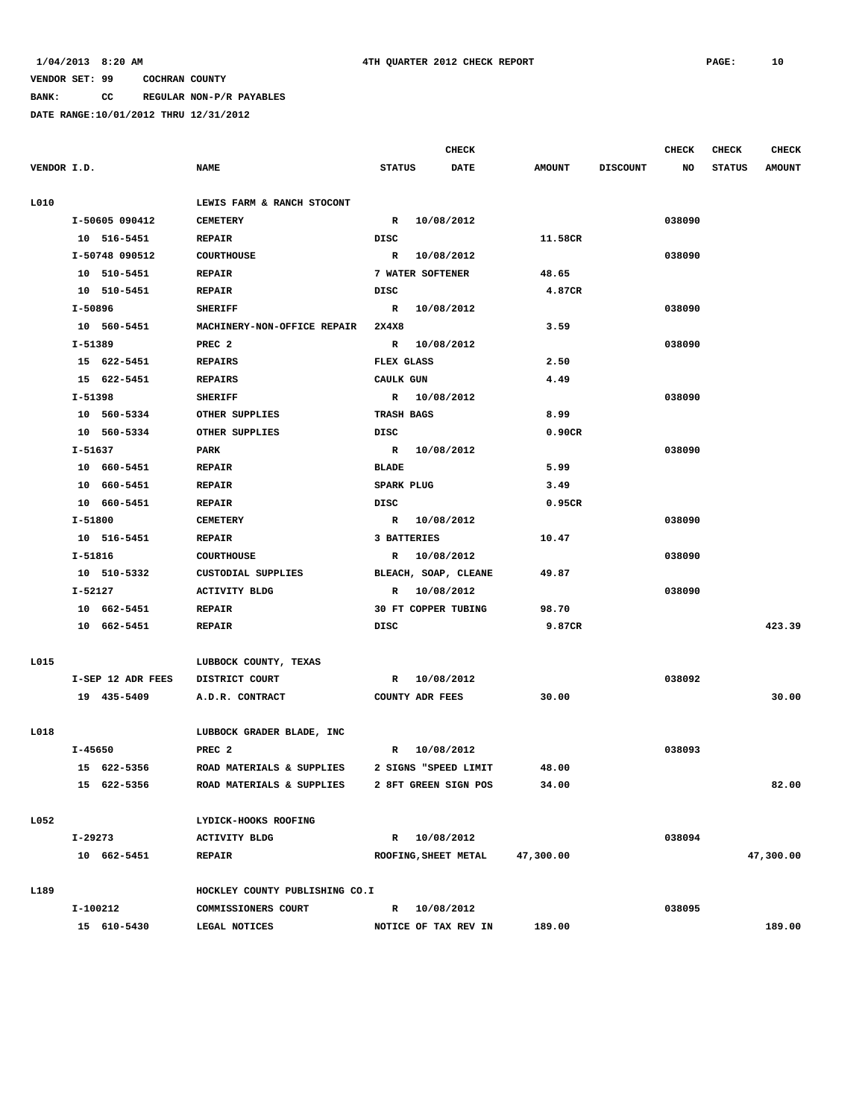**BANK: CC REGULAR NON-P/R PAYABLES**

|             |                   |                                |               | <b>CHECK</b>           |               |                 | <b>CHECK</b> | <b>CHECK</b>  | <b>CHECK</b>  |
|-------------|-------------------|--------------------------------|---------------|------------------------|---------------|-----------------|--------------|---------------|---------------|
| VENDOR I.D. |                   | <b>NAME</b>                    | <b>STATUS</b> | <b>DATE</b>            | <b>AMOUNT</b> | <b>DISCOUNT</b> | NO           | <b>STATUS</b> | <b>AMOUNT</b> |
|             |                   |                                |               |                        |               |                 |              |               |               |
| L010        |                   | LEWIS FARM & RANCH STOCONT     |               |                        |               |                 |              |               |               |
|             | I-50605 090412    | <b>CEMETERY</b>                |               | R 10/08/2012           |               |                 | 038090       |               |               |
|             | 10 516-5451       | <b>REPAIR</b>                  | DISC          |                        | 11.58CR       |                 |              |               |               |
|             | I-50748 090512    | <b>COURTHOUSE</b>              |               | R 10/08/2012           |               |                 | 038090       |               |               |
|             | 10 510-5451       | <b>REPAIR</b>                  |               | 7 WATER SOFTENER       | 48.65         |                 |              |               |               |
|             | 10 510-5451       | <b>REPAIR</b>                  | DISC          |                        | 4.87CR        |                 |              |               |               |
|             | I-50896           | <b>SHERIFF</b>                 |               | R 10/08/2012           |               |                 | 038090       |               |               |
|             | 10 560-5451       | MACHINERY-NON-OFFICE REPAIR    | 2X4X8         |                        | 3.59          |                 |              |               |               |
|             | I-51389           | PREC <sub>2</sub>              |               | R 10/08/2012           |               |                 | 038090       |               |               |
|             | 15 622-5451       | <b>REPAIRS</b>                 | FLEX GLASS    |                        | 2.50          |                 |              |               |               |
|             | 15 622-5451       | <b>REPAIRS</b>                 | CAULK GUN     |                        | 4.49          |                 |              |               |               |
|             | I-51398           | <b>SHERIFF</b>                 |               | R 10/08/2012           |               |                 | 038090       |               |               |
|             | 10 560-5334       | OTHER SUPPLIES                 | TRASH BAGS    |                        | 8.99          |                 |              |               |               |
|             | 10 560-5334       | OTHER SUPPLIES                 | DISC          |                        | 0.90CR        |                 |              |               |               |
|             | I-51637           | PARK                           |               | R 10/08/2012           |               |                 | 038090       |               |               |
|             | 10 660-5451       | <b>REPAIR</b>                  | <b>BLADE</b>  |                        | 5.99          |                 |              |               |               |
|             | 10 660-5451       | <b>REPAIR</b>                  | SPARK PLUG    |                        | 3.49          |                 |              |               |               |
|             | 10 660-5451       | <b>REPAIR</b>                  | DISC          |                        | 0.95CR        |                 |              |               |               |
|             | I-51800           | <b>CEMETERY</b>                |               | R 10/08/2012           |               |                 | 038090       |               |               |
|             | 10 516-5451       | <b>REPAIR</b>                  |               | 3 BATTERIES            | 10.47         |                 |              |               |               |
|             | I-51816           | <b>COURTHOUSE</b>              |               | R 10/08/2012           |               |                 | 038090       |               |               |
|             | 10 510-5332       | CUSTODIAL SUPPLIES             |               | BLEACH, SOAP, CLEANE   | 49.87         |                 |              |               |               |
|             | I-52127           | <b>ACTIVITY BLDG</b>           |               | R 10/08/2012           |               |                 | 038090       |               |               |
|             | 10 662-5451       | <b>REPAIR</b>                  |               | 30 FT COPPER TUBING    | 98.70         |                 |              |               |               |
|             | 10 662-5451       | <b>REPAIR</b>                  | DISC          |                        | 9.87CR        |                 |              |               | 423.39        |
|             |                   |                                |               |                        |               |                 |              |               |               |
| L015        |                   | LUBBOCK COUNTY, TEXAS          |               |                        |               |                 |              |               |               |
|             | I-SEP 12 ADR FEES | DISTRICT COURT                 |               | R 10/08/2012           |               |                 | 038092       |               |               |
|             | 19 435-5409       | A.D.R. CONTRACT                |               | <b>COUNTY ADR FEES</b> | 30.00         |                 |              |               | 30.00         |
| L018        |                   | LUBBOCK GRADER BLADE, INC      |               |                        |               |                 |              |               |               |
|             | I-45650           | PREC 2                         |               | R 10/08/2012           |               |                 | 038093       |               |               |
|             | 15 622-5356       | ROAD MATERIALS & SUPPLIES      |               | 2 SIGNS "SPEED LIMIT   | 48.00         |                 |              |               |               |
|             | 15 622-5356       | ROAD MATERIALS & SUPPLIES      |               | 2 8FT GREEN SIGN POS   | 34.00         |                 |              |               | 82.00         |
|             |                   |                                |               |                        |               |                 |              |               |               |
| L052        |                   | LYDICK-HOOKS ROOFING           |               |                        |               |                 |              |               |               |
|             | I-29273           | <b>ACTIVITY BLDG</b>           |               | R 10/08/2012           |               |                 | 038094       |               |               |
|             | 10 662-5451       | <b>REPAIR</b>                  |               | ROOFING, SHEET METAL   | 47,300.00     |                 |              |               | 47,300.00     |
| L189        |                   | HOCKLEY COUNTY PUBLISHING CO.I |               |                        |               |                 |              |               |               |
|             | I-100212          | COMMISSIONERS COURT            |               | R 10/08/2012           |               |                 | 038095       |               |               |
|             | 15 610-5430       | LEGAL NOTICES                  |               | NOTICE OF TAX REV IN   | 189.00        |                 |              |               | 189.00        |
|             |                   |                                |               |                        |               |                 |              |               |               |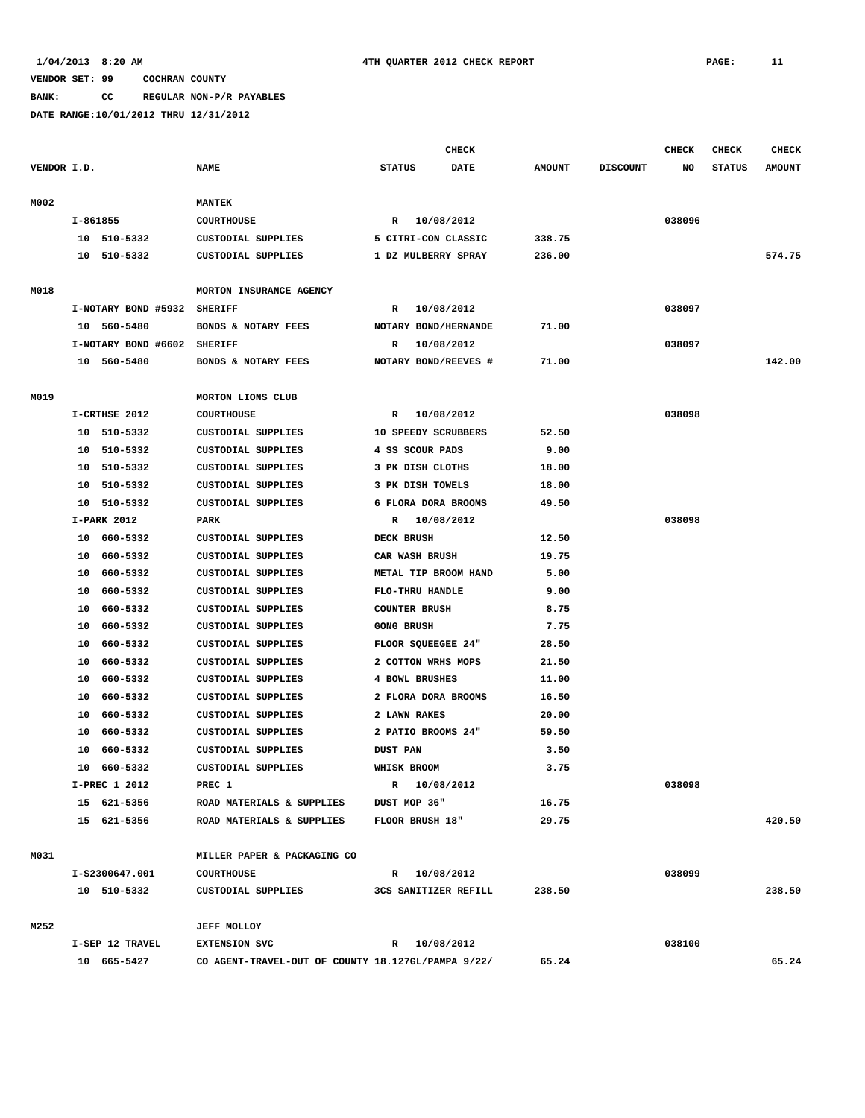**BANK: CC REGULAR NON-P/R PAYABLES**

|             |          |                         |                                                        |                   | <b>CHECK</b>         |                |                 | <b>CHECK</b> | <b>CHECK</b>  | <b>CHECK</b>  |
|-------------|----------|-------------------------|--------------------------------------------------------|-------------------|----------------------|----------------|-----------------|--------------|---------------|---------------|
| VENDOR I.D. |          |                         | <b>NAME</b>                                            | <b>STATUS</b>     | <b>DATE</b>          | <b>AMOUNT</b>  | <b>DISCOUNT</b> | NO           | <b>STATUS</b> | <b>AMOUNT</b> |
| M002        |          |                         | <b>MANTEK</b>                                          |                   |                      |                |                 |              |               |               |
|             |          | $I - 861855$            | <b>COURTHOUSE</b>                                      |                   | R 10/08/2012         |                |                 | 038096       |               |               |
|             |          | 10 510-5332             | CUSTODIAL SUPPLIES                                     |                   | 5 CITRI-CON CLASSIC  | 338.75         |                 |              |               |               |
|             | 10       | 510-5332                | CUSTODIAL SUPPLIES                                     |                   | 1 DZ MULBERRY SPRAY  | 236.00         |                 |              |               | 574.75        |
|             |          |                         |                                                        |                   |                      |                |                 |              |               |               |
| M018        |          |                         | MORTON INSURANCE AGENCY                                |                   |                      |                |                 |              |               |               |
|             |          | I-NOTARY BOND #5932     | <b>SHERIFF</b>                                         | R                 | 10/08/2012           |                |                 | 038097       |               |               |
|             |          | 10 560-5480             | BONDS & NOTARY FEES                                    |                   | NOTARY BOND/HERNANDE | 71.00          |                 |              |               |               |
|             |          | I-NOTARY BOND #6602     | <b>SHERIFF</b>                                         | R                 | 10/08/2012           |                |                 | 038097       |               |               |
|             |          | 10 560-5480             | BONDS & NOTARY FEES                                    |                   | NOTARY BOND/REEVES # | 71.00          |                 |              |               | 142.00        |
|             |          |                         |                                                        |                   |                      |                |                 |              |               |               |
| M019        |          |                         | MORTON LIONS CLUB                                      |                   |                      |                |                 |              |               |               |
|             |          | I-CRTHSE 2012           | <b>COURTHOUSE</b>                                      | R                 | 10/08/2012           |                |                 | 038098       |               |               |
|             | 10       | 510-5332                | CUSTODIAL SUPPLIES                                     |                   | 10 SPEEDY SCRUBBERS  | 52.50          |                 |              |               |               |
|             | 10       | 510-5332                | <b>CUSTODIAL SUPPLIES</b>                              |                   | 4 SS SCOUR PADS      | 9.00           |                 |              |               |               |
|             | 10       | 510-5332                | <b>CUSTODIAL SUPPLIES</b>                              |                   | 3 PK DISH CLOTHS     | 18.00          |                 |              |               |               |
|             | 10       | 510-5332                | <b>CUSTODIAL SUPPLIES</b>                              |                   | 3 PK DISH TOWELS     | 18.00          |                 |              |               |               |
|             | 10       | 510-5332<br>I-PARK 2012 | CUSTODIAL SUPPLIES<br>PARK                             |                   | 6 FLORA DORA BROOMS  | 49.50          |                 | 038098       |               |               |
|             |          |                         |                                                        | R<br>DECK BRUSH   | 10/08/2012           |                |                 |              |               |               |
|             | 10<br>10 | 660-5332<br>660-5332    | <b>CUSTODIAL SUPPLIES</b><br><b>CUSTODIAL SUPPLIES</b> |                   | CAR WASH BRUSH       | 12.50<br>19.75 |                 |              |               |               |
|             |          | 660-5332                | <b>CUSTODIAL SUPPLIES</b>                              |                   | METAL TIP BROOM HAND | 5.00           |                 |              |               |               |
|             | 10<br>10 | 660-5332                | <b>CUSTODIAL SUPPLIES</b>                              |                   | FLO-THRU HANDLE      | 9.00           |                 |              |               |               |
|             | 10       | 660-5332                | <b>CUSTODIAL SUPPLIES</b>                              |                   | <b>COUNTER BRUSH</b> | 8.75           |                 |              |               |               |
|             | 10       | 660-5332                | CUSTODIAL SUPPLIES                                     | <b>GONG BRUSH</b> |                      | 7.75           |                 |              |               |               |
|             | 10       | 660-5332                | <b>CUSTODIAL SUPPLIES</b>                              |                   | FLOOR SQUEEGEE 24"   | 28.50          |                 |              |               |               |
|             | 10       | 660-5332                | <b>CUSTODIAL SUPPLIES</b>                              |                   | 2 COTTON WRHS MOPS   | 21.50          |                 |              |               |               |
|             | 10       | 660-5332                | CUSTODIAL SUPPLIES                                     |                   | 4 BOWL BRUSHES       | 11.00          |                 |              |               |               |
|             | 10       | 660-5332                | <b>CUSTODIAL SUPPLIES</b>                              |                   | 2 FLORA DORA BROOMS  | 16.50          |                 |              |               |               |
|             | 10       | 660-5332                | <b>CUSTODIAL SUPPLIES</b>                              |                   | 2 LAWN RAKES         | 20.00          |                 |              |               |               |
|             | 10       | 660-5332                | <b>CUSTODIAL SUPPLIES</b>                              |                   | 2 PATIO BROOMS 24"   | 59.50          |                 |              |               |               |
|             | 10       | 660-5332                | <b>CUSTODIAL SUPPLIES</b>                              | <b>DUST PAN</b>   |                      | 3.50           |                 |              |               |               |
|             | 10       | 660-5332                | <b>CUSTODIAL SUPPLIES</b>                              | WHISK BROOM       |                      | 3.75           |                 |              |               |               |
|             |          | I-PREC 1 2012           | PREC 1                                                 |                   | R 10/08/2012         |                |                 | 038098       |               |               |
|             |          | 15 621-5356             | ROAD MATERIALS & SUPPLIES                              |                   | DUST MOP 36"         | 16.75          |                 |              |               |               |
|             |          | 15 621-5356             | ROAD MATERIALS & SUPPLIES                              |                   | FLOOR BRUSH 18"      | 29.75          |                 |              |               | 420.50        |
|             |          |                         |                                                        |                   |                      |                |                 |              |               |               |
| M031        |          |                         | MILLER PAPER & PACKAGING CO                            |                   |                      |                |                 |              |               |               |
|             |          | I-S2300647.001          | <b>COURTHOUSE</b>                                      |                   | R 10/08/2012         |                |                 | 038099       |               |               |
|             |          | 10 510-5332             | CUSTODIAL SUPPLIES                                     |                   | 3CS SANITIZER REFILL | 238.50         |                 |              |               | 238.50        |
| M252        |          |                         | <b>JEFF MOLLOY</b>                                     |                   |                      |                |                 |              |               |               |
|             |          | I-SEP 12 TRAVEL         | <b>EXTENSION SVC</b>                                   |                   | R 10/08/2012         |                |                 | 038100       |               |               |
|             |          | 10 665-5427             | CO AGENT-TRAVEL-OUT OF COUNTY 18.127GL/PAMPA 9/22/     |                   |                      | 65.24          |                 |              |               | 65.24         |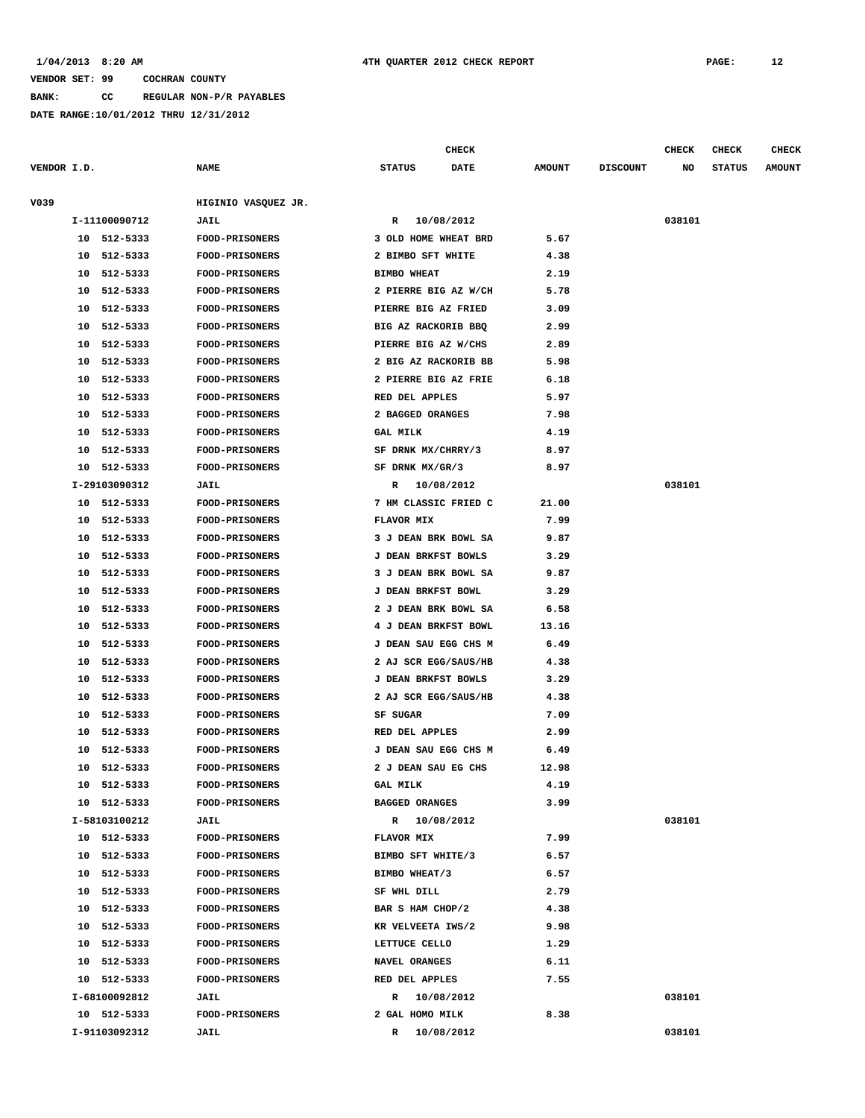**BANK: CC REGULAR NON-P/R PAYABLES**

**DATE RANGE:10/01/2012 THRU 12/31/2012**

**CHECK CHECK CHECK CHECK** 

| VENDOR I.D. |                | <b>NAME</b>           | <b>STATUS</b><br><b>DATE</b> | <b>AMOUNT</b> | <b>DISCOUNT</b> | NO     | <b>STATUS</b> | <b>AMOUNT</b> |
|-------------|----------------|-----------------------|------------------------------|---------------|-----------------|--------|---------------|---------------|
| V039        |                | HIGINIO VASQUEZ JR.   |                              |               |                 |        |               |               |
|             | I-11100090712  | <b>JAIL</b>           | R 10/08/2012                 |               |                 | 038101 |               |               |
|             | 10 512-5333    | FOOD-PRISONERS        | 3 OLD HOME WHEAT BRD         | 5.67          |                 |        |               |               |
|             | 10 512-5333    | <b>FOOD-PRISONERS</b> | 2 BIMBO SFT WHITE            | 4.38          |                 |        |               |               |
|             | 10 512-5333    | <b>FOOD-PRISONERS</b> | <b>BIMBO WHEAT</b>           | 2.19          |                 |        |               |               |
|             | 10 512-5333    | FOOD-PRISONERS        | 2 PIERRE BIG AZ W/CH         | 5.78          |                 |        |               |               |
|             | 10 512-5333    | FOOD-PRISONERS        | PIERRE BIG AZ FRIED          | 3.09          |                 |        |               |               |
|             | 10 512-5333    | <b>FOOD-PRISONERS</b> | BIG AZ RACKORIB BBQ          | 2.99          |                 |        |               |               |
|             | 10 512-5333    | <b>FOOD-PRISONERS</b> | PIERRE BIG AZ W/CHS          | 2.89          |                 |        |               |               |
|             | 10 512-5333    | <b>FOOD-PRISONERS</b> | 2 BIG AZ RACKORIB BB         | 5.98          |                 |        |               |               |
| 10          | 512-5333       | <b>FOOD-PRISONERS</b> | 2 PIERRE BIG AZ FRIE         | 6.18          |                 |        |               |               |
|             | 10 512-5333    | <b>FOOD-PRISONERS</b> | RED DEL APPLES               | 5.97          |                 |        |               |               |
|             | 10 512-5333    | FOOD-PRISONERS        | 2 BAGGED ORANGES             | 7.98          |                 |        |               |               |
|             | 10 512-5333    | FOOD-PRISONERS        | <b>GAL MILK</b>              | 4.19          |                 |        |               |               |
|             | 10 512-5333    | <b>FOOD-PRISONERS</b> | SF DRNK MX/CHRRY/3           | 8.97          |                 |        |               |               |
|             | 10 512-5333    | <b>FOOD-PRISONERS</b> | SF DRNK MX/GR/3              | 8.97          |                 |        |               |               |
|             | I-29103090312  | <b>JAIL</b>           | R 10/08/2012                 |               |                 | 038101 |               |               |
|             | 10 512-5333    | <b>FOOD-PRISONERS</b> | 7 HM CLASSIC FRIED C         | 21.00         |                 |        |               |               |
|             | 10 512-5333    | <b>FOOD-PRISONERS</b> | <b>FLAVOR MIX</b>            | 7.99          |                 |        |               |               |
|             | 10 512-5333    | <b>FOOD-PRISONERS</b> | 3 J DEAN BRK BOWL SA         | 9.87          |                 |        |               |               |
|             | 10 512-5333    | <b>FOOD-PRISONERS</b> | J DEAN BRKFST BOWLS          | 3.29          |                 |        |               |               |
| 10          | 512-5333       | <b>FOOD-PRISONERS</b> | 3 J DEAN BRK BOWL SA         | 9.87          |                 |        |               |               |
| 10          | 512-5333       | <b>FOOD-PRISONERS</b> | J DEAN BRKFST BOWL           | 3.29          |                 |        |               |               |
| 10          | 512-5333       | <b>FOOD-PRISONERS</b> | 2 J DEAN BRK BOWL SA         | 6.58          |                 |        |               |               |
|             | 10 512-5333    | <b>FOOD-PRISONERS</b> | 4 J DEAN BRKFST BOWL         | 13.16         |                 |        |               |               |
|             | 512-5333<br>10 | <b>FOOD-PRISONERS</b> | J DEAN SAU EGG CHS M         | 6.49          |                 |        |               |               |
|             | 512-5333<br>10 | <b>FOOD-PRISONERS</b> | 2 AJ SCR EGG/SAUS/HB         | 4.38          |                 |        |               |               |
|             | 512-5333<br>10 | FOOD-PRISONERS        | <b>J DEAN BRKFST BOWLS</b>   | 3.29          |                 |        |               |               |
| 10          | 512-5333       | <b>FOOD-PRISONERS</b> | 2 AJ SCR EGG/SAUS/HB         | 4.38          |                 |        |               |               |
|             | 512-5333<br>10 | <b>FOOD-PRISONERS</b> | SF SUGAR                     | 7.09          |                 |        |               |               |
|             | 10 512-5333    | <b>FOOD-PRISONERS</b> | RED DEL APPLES               | 2.99          |                 |        |               |               |
|             | 10 512-5333    | <b>FOOD-PRISONERS</b> | <b>J DEAN SAU EGG CHS M</b>  | 6.49          |                 |        |               |               |
|             | 10 512-5333    | <b>FOOD-PRISONERS</b> | 2 J DEAN SAU EG CHS          | 12.98         |                 |        |               |               |
|             | 10 512-5333    | FOOD-PRISONERS        | <b>GAL MILK</b>              | 4.19          |                 |        |               |               |
|             | 10 512-5333    | <b>FOOD-PRISONERS</b> | <b>BAGGED ORANGES</b>        | 3.99          |                 |        |               |               |
|             | I-58103100212  | JAIL                  | R 10/08/2012                 |               |                 | 038101 |               |               |
|             | 10 512-5333    | FOOD-PRISONERS        | FLAVOR MIX                   | 7.99          |                 |        |               |               |
|             | 10 512-5333    | <b>FOOD-PRISONERS</b> | BIMBO SFT WHITE/3            | 6.57          |                 |        |               |               |
|             | 10 512-5333    | FOOD-PRISONERS        | BIMBO WHEAT/3                | 6.57          |                 |        |               |               |
|             | 10 512-5333    | <b>FOOD-PRISONERS</b> | SF WHL DILL                  | 2.79          |                 |        |               |               |
|             | 10 512-5333    | <b>FOOD-PRISONERS</b> | BAR S HAM CHOP/2             | 4.38          |                 |        |               |               |
|             | 10 512-5333    | <b>FOOD-PRISONERS</b> | KR VELVEETA IWS/2            | 9.98          |                 |        |               |               |
|             | 10 512-5333    | <b>FOOD-PRISONERS</b> | LETTUCE CELLO                | 1.29          |                 |        |               |               |
|             | 10 512-5333    | <b>FOOD-PRISONERS</b> | NAVEL ORANGES                | 6.11          |                 |        |               |               |
|             | 10 512-5333    | <b>FOOD-PRISONERS</b> | RED DEL APPLES               | 7.55          |                 |        |               |               |
|             | I-68100092812  | <b>JAIL</b>           | R 10/08/2012                 |               |                 | 038101 |               |               |
|             | 10 512-5333    | <b>FOOD-PRISONERS</b> | 2 GAL HOMO MILK              | 8.38          |                 |        |               |               |
|             | I-91103092312  | <b>JAIL</b>           | $\mathbf{R}$<br>10/08/2012   |               |                 | 038101 |               |               |
|             |                |                       |                              |               |                 |        |               |               |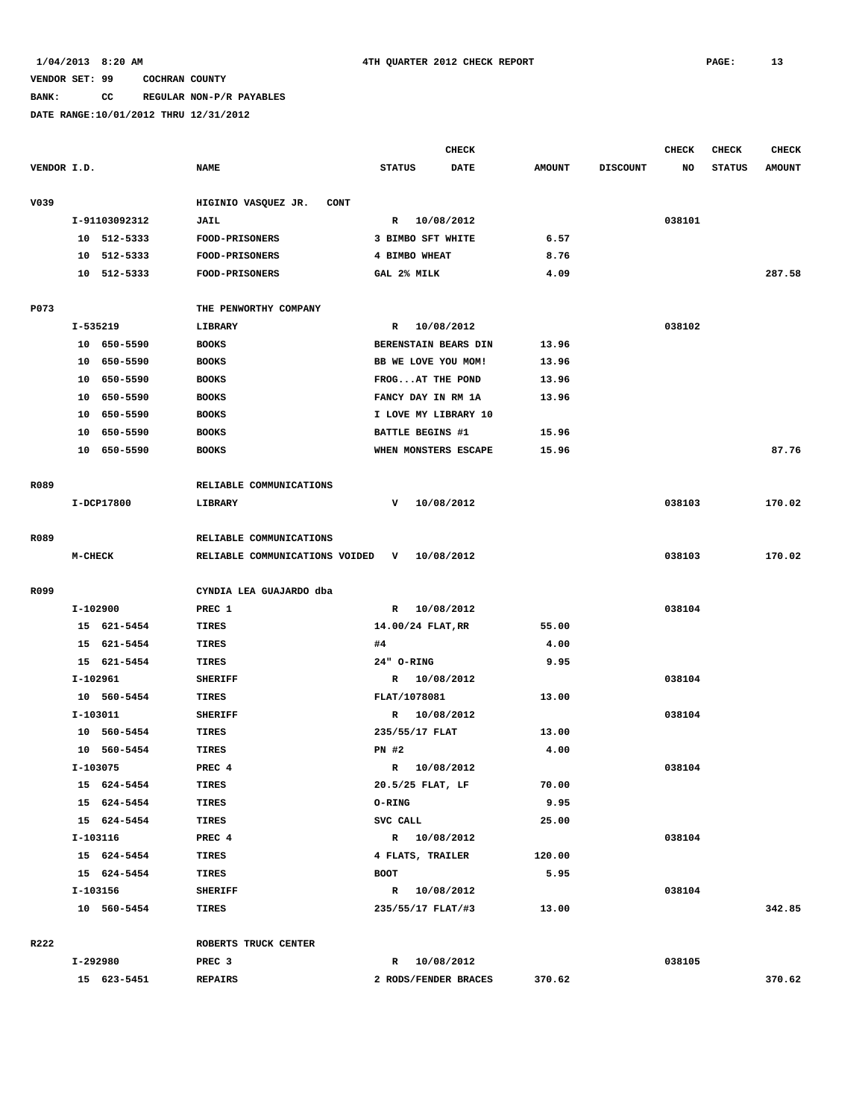### **BANK: CC REGULAR NON-P/R PAYABLES**

|             |               |                                    |                         | <b>CHECK</b> |               |                 | <b>CHECK</b> | <b>CHECK</b>  | <b>CHECK</b>  |
|-------------|---------------|------------------------------------|-------------------------|--------------|---------------|-----------------|--------------|---------------|---------------|
| VENDOR I.D. |               | <b>NAME</b>                        | <b>STATUS</b>           | DATE         | <b>AMOUNT</b> | <b>DISCOUNT</b> | NO           | <b>STATUS</b> | <b>AMOUNT</b> |
| V039        |               | HIGINIO VASQUEZ JR.<br><b>CONT</b> |                         |              |               |                 |              |               |               |
|             | I-91103092312 | JAIL                               | R 10/08/2012            |              |               |                 | 038101       |               |               |
|             | 10 512-5333   | <b>FOOD-PRISONERS</b>              | 3 BIMBO SFT WHITE       |              | 6.57          |                 |              |               |               |
| 10          | 512-5333      | FOOD-PRISONERS                     | 4 BIMBO WHEAT           |              | 8.76          |                 |              |               |               |
| 10          | 512-5333      | FOOD-PRISONERS                     | GAL 2% MILK             |              | 4.09          |                 |              |               | 287.58        |
| P073        |               | THE PENWORTHY COMPANY              |                         |              |               |                 |              |               |               |
|             | I-535219      | <b>LIBRARY</b>                     | $\mathbb{R}$            | 10/08/2012   |               |                 | 038102       |               |               |
|             | 10 650-5590   | <b>BOOKS</b>                       | BERENSTAIN BEARS DIN    |              | 13.96         |                 |              |               |               |
|             | 10 650-5590   | <b>BOOKS</b>                       | BB WE LOVE YOU MOM!     |              | 13.96         |                 |              |               |               |
| 10          | 650-5590      | <b>BOOKS</b>                       | FROGAT THE POND         |              | 13.96         |                 |              |               |               |
| 10          | 650-5590      | <b>BOOKS</b>                       | FANCY DAY IN RM 1A      |              | 13.96         |                 |              |               |               |
| 10          | 650-5590      | <b>BOOKS</b>                       | I LOVE MY LIBRARY 10    |              |               |                 |              |               |               |
| 10          | 650-5590      | <b>BOOKS</b>                       | <b>BATTLE BEGINS #1</b> |              | 15.96         |                 |              |               |               |
| 10          | 650-5590      | <b>BOOKS</b>                       | WHEN MONSTERS ESCAPE    |              | 15.96         |                 |              |               | 87.76         |
| R089        |               | RELIABLE COMMUNICATIONS            |                         |              |               |                 |              |               |               |
|             | I-DCP17800    | LIBRARY                            | v                       | 10/08/2012   |               |                 | 038103       |               | 170.02        |
|             |               |                                    |                         |              |               |                 |              |               |               |
| R089        |               | RELIABLE COMMUNICATIONS            |                         |              |               |                 |              |               |               |
|             | M-CHECK       | RELIABLE COMMUNICATIONS VOIDED     | v                       | 10/08/2012   |               |                 | 038103       |               | 170.02        |
| R099        |               | CYNDIA LEA GUAJARDO dba            |                         |              |               |                 |              |               |               |
|             | I-102900      | PREC 1                             | R 10/08/2012            |              |               |                 | 038104       |               |               |
|             | 15 621-5454   | TIRES                              | 14.00/24 FLAT, RR       |              | 55.00         |                 |              |               |               |
|             | 15 621-5454   | TIRES                              | #4                      |              | 4.00          |                 |              |               |               |
|             | 15 621-5454   | TIRES                              | 24" O-RING              |              | 9.95          |                 |              |               |               |
|             | I-102961      | <b>SHERIFF</b>                     | R 10/08/2012            |              |               |                 | 038104       |               |               |
|             | 10 560-5454   | <b>TIRES</b>                       | FLAT/1078081            |              | 13.00         |                 |              |               |               |
|             | I-103011      | <b>SHERIFF</b>                     | R                       | 10/08/2012   |               |                 | 038104       |               |               |
|             | 10 560-5454   | <b>TIRES</b>                       | 235/55/17 FLAT          |              | 13.00         |                 |              |               |               |
|             | 10 560-5454   | TIRES                              | $PN$ #2                 |              | 4.00          |                 |              |               |               |
|             | I-103075      | PREC 4                             | R                       | 10/08/2012   |               |                 | 038104       |               |               |
|             | 15 624-5454   | TIRES                              | 20.5/25 FLAT, LF        |              | 70.00         |                 |              |               |               |
|             | 15 624-5454   | TIRES                              | <b>O-RING</b>           |              | 9.95          |                 |              |               |               |
|             | 15 624-5454   | <b>TIRES</b>                       | SVC CALL                |              | 25.00         |                 |              |               |               |
|             | I-103116      | PREC 4                             | R 10/08/2012            |              |               |                 | 038104       |               |               |
|             | 15 624-5454   | TIRES                              | 4 FLATS, TRAILER        |              | 120.00        |                 |              |               |               |
|             | 15 624-5454   | TIRES                              | BOOT                    |              | 5.95          |                 |              |               |               |
|             | I-103156      | <b>SHERIFF</b>                     | R 10/08/2012            |              |               |                 | 038104       |               |               |
|             | 10 560-5454   | TIRES                              | 235/55/17 FLAT/#3       |              | 13.00         |                 |              |               | 342.85        |
|             |               |                                    |                         |              |               |                 |              |               |               |
| R222        |               | ROBERTS TRUCK CENTER               |                         |              |               |                 |              |               |               |
|             | I-292980      | PREC <sub>3</sub>                  | R 10/08/2012            |              |               |                 | 038105       |               |               |
|             | 15 623-5451   | <b>REPAIRS</b>                     | 2 RODS/FENDER BRACES    |              | 370.62        |                 |              |               | 370.62        |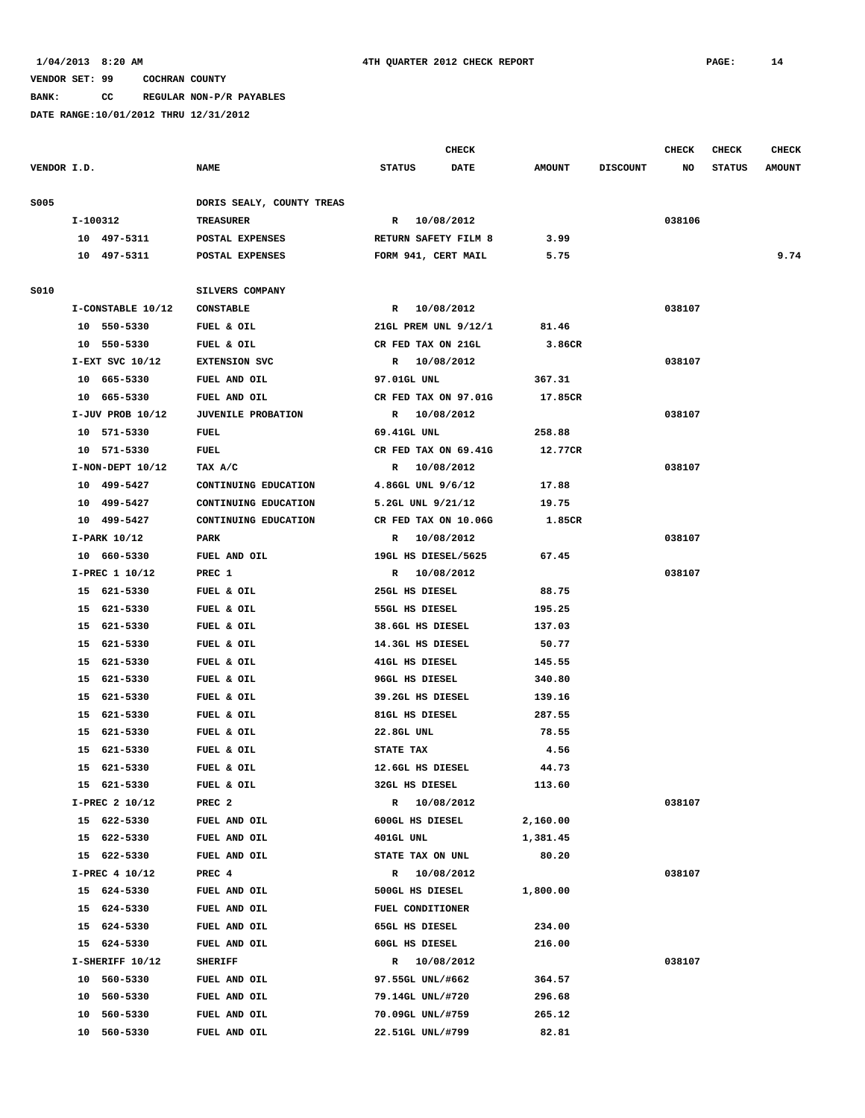**BANK: CC REGULAR NON-P/R PAYABLES**

|             |              |                      |                           |                  | <b>CHECK</b>         |               |                 | <b>CHECK</b> | <b>CHECK</b>  | <b>CHECK</b>  |
|-------------|--------------|----------------------|---------------------------|------------------|----------------------|---------------|-----------------|--------------|---------------|---------------|
| VENDOR I.D. |              |                      | <b>NAME</b>               | <b>STATUS</b>    | <b>DATE</b>          | <b>AMOUNT</b> | <b>DISCOUNT</b> | NO           | <b>STATUS</b> | <b>AMOUNT</b> |
| S005        |              |                      | DORIS SEALY, COUNTY TREAS |                  |                      |               |                 |              |               |               |
|             | I-100312     |                      | <b>TREASURER</b>          |                  | R 10/08/2012         |               |                 | 038106       |               |               |
|             |              | 10 497-5311          | POSTAL EXPENSES           |                  | RETURN SAFETY FILM 8 | 3.99          |                 |              |               |               |
|             |              | 10 497-5311          | POSTAL EXPENSES           |                  | FORM 941, CERT MAIL  | 5.75          |                 |              |               | 9.74          |
|             |              |                      |                           |                  |                      |               |                 |              |               |               |
| S010        |              |                      | SILVERS COMPANY           |                  |                      |               |                 |              |               |               |
|             |              | I-CONSTABLE 10/12    | <b>CONSTABLE</b>          |                  | R 10/08/2012         |               |                 | 038107       |               |               |
|             | 10 550-5330  |                      | FUEL & OIL                |                  | 21GL PREM UNL 9/12/1 | 81.46         |                 |              |               |               |
|             | 10 550-5330  |                      | FUEL & OIL                |                  | CR FED TAX ON 21GL   | 3.86CR        |                 |              |               |               |
|             |              | $I-EXT$ SVC $10/12$  | <b>EXTENSION SVC</b>      |                  | R 10/08/2012         |               |                 | 038107       |               |               |
|             | 10 665-5330  |                      | FUEL AND OIL              | 97.01GL UNL      |                      | 367.31        |                 |              |               |               |
|             |              | 10 665-5330          | FUEL AND OIL              |                  | CR FED TAX ON 97.01G | 17.85CR       |                 |              |               |               |
|             |              | $I-JUV$ PROB $10/12$ | <b>JUVENILE PROBATION</b> |                  | R 10/08/2012         |               |                 | 038107       |               |               |
|             | 10 571-5330  |                      | FUEL                      | 69.41GL UNL      |                      | 258.88        |                 |              |               |               |
|             |              | 10 571-5330          | FUEL                      |                  | CR FED TAX ON 69.41G | 12.77CR       |                 |              |               |               |
|             |              | $I-NON-DEFT 10/12$   | TAX A/C                   |                  | R 10/08/2012         |               |                 | 038107       |               |               |
|             | 10 499-5427  |                      | CONTINUING EDUCATION      |                  | 4.86GL UNL 9/6/12    | 17.88         |                 |              |               |               |
|             |              | 10 499-5427          | CONTINUING EDUCATION      |                  | 5.2GL UNL 9/21/12    | 19.75         |                 |              |               |               |
|             |              | 10 499-5427          | CONTINUING EDUCATION      |                  | CR FED TAX ON 10.06G | 1.85CR        |                 |              |               |               |
|             | I-PARK 10/12 |                      | PARK                      |                  | R 10/08/2012         |               |                 | 038107       |               |               |
|             | 10 660-5330  |                      | FUEL AND OIL              |                  | 19GL HS DIESEL/5625  | 67.45         |                 |              |               |               |
|             |              | I-PREC 1 10/12       | PREC 1                    |                  | R 10/08/2012         |               |                 | 038107       |               |               |
|             | 15 621-5330  |                      | FUEL & OIL                |                  | 25GL HS DIESEL       | 88.75         |                 |              |               |               |
|             | 15 621-5330  |                      | FUEL & OIL                |                  | 55GL HS DIESEL       | 195.25        |                 |              |               |               |
|             | 15 621-5330  |                      | FUEL & OIL                |                  | 38.6GL HS DIESEL     | 137.03        |                 |              |               |               |
|             | 15 621-5330  |                      | FUEL & OIL                |                  | 14.3GL HS DIESEL     | 50.77         |                 |              |               |               |
|             | 15 621-5330  |                      | FUEL & OIL                |                  | 41GL HS DIESEL       | 145.55        |                 |              |               |               |
|             | 15 621-5330  |                      | FUEL & OIL                |                  | 96GL HS DIESEL       | 340.80        |                 |              |               |               |
|             | 15 621-5330  |                      | FUEL & OIL                |                  | 39.2GL HS DIESEL     | 139.16        |                 |              |               |               |
|             | 15 621-5330  |                      | FUEL & OIL                |                  | 81GL HS DIESEL       | 287.55        |                 |              |               |               |
|             | 15 621-5330  |                      | FUEL & OIL                | 22.8GL UNL       |                      | 78.55         |                 |              |               |               |
|             |              | 15 621-5330          | FUEL & OIL                | <b>STATE TAX</b> |                      | 4.56          |                 |              |               |               |
|             | 15 621-5330  |                      | FUEL & OIL                |                  | 12.6GL HS DIESEL     | 44.73         |                 |              |               |               |
|             |              | 15 621-5330          | FUEL & OIL                |                  | 32GL HS DIESEL       | 113.60        |                 |              |               |               |
|             |              | I-PREC 2 10/12       | PREC <sub>2</sub>         |                  | R 10/08/2012         |               |                 | 038107       |               |               |
|             |              | 15 622-5330          | FUEL AND OIL              |                  | 600GL HS DIESEL      | 2,160.00      |                 |              |               |               |
|             |              | 15 622-5330          | FUEL AND OIL              | 401GL UNL        |                      | 1,381.45      |                 |              |               |               |
|             |              | 15 622-5330          | FUEL AND OIL              |                  | STATE TAX ON UNL     | 80.20         |                 |              |               |               |
|             |              | I-PREC 4 10/12       | PREC 4                    |                  | R 10/08/2012         |               |                 | 038107       |               |               |
|             | 15 624-5330  |                      | FUEL AND OIL              |                  | 500GL HS DIESEL      | 1,800.00      |                 |              |               |               |
|             | 15 624-5330  |                      | FUEL AND OIL              |                  | FUEL CONDITIONER     |               |                 |              |               |               |
|             | 15           | 624-5330             | FUEL AND OIL              |                  | 65GL HS DIESEL       | 234.00        |                 |              |               |               |
|             | 15 624-5330  |                      | FUEL AND OIL              |                  | 60GL HS DIESEL       | 216.00        |                 |              |               |               |
|             |              | I-SHERIFF 10/12      | <b>SHERIFF</b>            |                  | R 10/08/2012         |               |                 | 038107       |               |               |
|             | 10           | 560-5330             | FUEL AND OIL              |                  | 97.55GL UNL/#662     | 364.57        |                 |              |               |               |
|             | 10           | 560-5330             | FUEL AND OIL              |                  | 79.14GL UNL/#720     | 296.68        |                 |              |               |               |
|             | 10 560-5330  |                      | FUEL AND OIL              |                  | 70.09GL UNL/#759     | 265.12        |                 |              |               |               |
|             | 10 560-5330  |                      | FUEL AND OIL              |                  | 22.51GL UNL/#799     | 82.81         |                 |              |               |               |
|             |              |                      |                           |                  |                      |               |                 |              |               |               |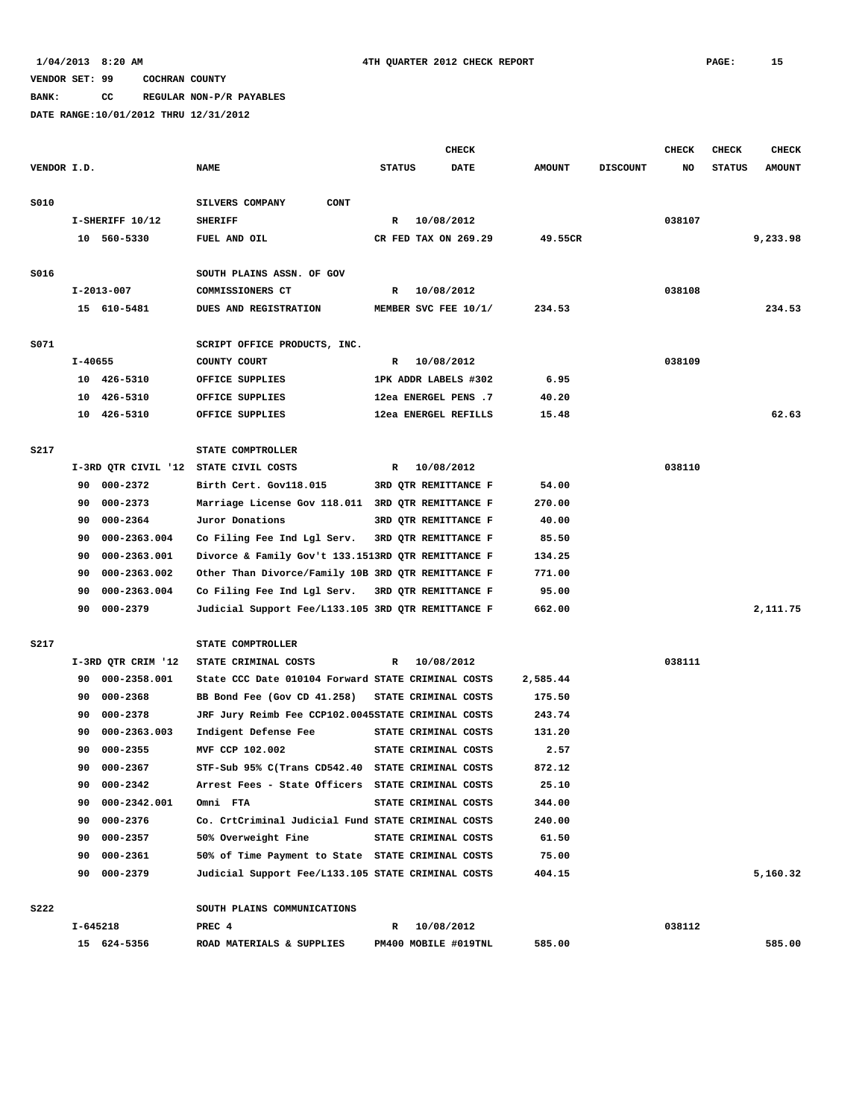**BANK: CC REGULAR NON-P/R PAYABLES**

|             |              |                    |                                                    |               | <b>CHECK</b>         |               |                 | <b>CHECK</b> | CHECK         | <b>CHECK</b>  |
|-------------|--------------|--------------------|----------------------------------------------------|---------------|----------------------|---------------|-----------------|--------------|---------------|---------------|
| VENDOR I.D. |              |                    | <b>NAME</b>                                        | <b>STATUS</b> | <b>DATE</b>          | <b>AMOUNT</b> | <b>DISCOUNT</b> | NO           | <b>STATUS</b> | <b>AMOUNT</b> |
|             |              |                    |                                                    |               |                      |               |                 |              |               |               |
| S010        |              |                    | SILVERS COMPANY<br><b>CONT</b>                     |               |                      |               |                 |              |               |               |
|             |              | I-SHERIFF 10/12    | <b>SHERIFF</b>                                     | R             | 10/08/2012           |               |                 | 038107       |               |               |
|             |              | 10 560-5330        | FUEL AND OIL                                       |               | CR FED TAX ON 269.29 | 49.55CR       |                 |              |               | 9,233.98      |
|             |              |                    |                                                    |               |                      |               |                 |              |               |               |
| S016        |              |                    | SOUTH PLAINS ASSN. OF GOV                          |               |                      |               |                 |              |               |               |
|             | $I-2013-007$ |                    | COMMISSIONERS CT                                   | R             | 10/08/2012           |               |                 | 038108       |               |               |
|             |              | 15 610-5481        | DUES AND REGISTRATION                              |               | MEMBER SVC FEE 10/1/ | 234.53        |                 |              |               | 234.53        |
|             |              |                    |                                                    |               |                      |               |                 |              |               |               |
| S071        |              |                    | SCRIPT OFFICE PRODUCTS, INC.                       |               |                      |               |                 |              |               |               |
|             | $I - 40655$  |                    | COUNTY COURT                                       | R             | 10/08/2012           |               |                 | 038109       |               |               |
|             |              | 10 426-5310        | OFFICE SUPPLIES                                    |               | 1PK ADDR LABELS #302 | 6.95          |                 |              |               |               |
|             | 10           | 426-5310           | OFFICE SUPPLIES                                    |               | 12ea ENERGEL PENS .7 | 40.20         |                 |              |               |               |
|             | 10           | 426-5310           | OFFICE SUPPLIES                                    |               | 12ea ENERGEL REFILLS | 15.48         |                 |              |               | 62.63         |
|             |              |                    |                                                    |               |                      |               |                 |              |               |               |
| S217        |              |                    | STATE COMPTROLLER                                  |               |                      |               |                 |              |               |               |
|             |              |                    | I-3RD QTR CIVIL '12 STATE CIVIL COSTS              | R             | 10/08/2012           |               |                 | 038110       |               |               |
|             | 90           | 000-2372           | Birth Cert. Gov118.015                             |               | 3RD QTR REMITTANCE F | 54.00         |                 |              |               |               |
|             | 90           | 000-2373           | Marriage License Gov 118.011 3RD QTR REMITTANCE F  |               |                      | 270.00        |                 |              |               |               |
|             | 90           | 000-2364           | Juror Donations                                    |               | 3RD QTR REMITTANCE F | 40.00         |                 |              |               |               |
|             | 90           | 000-2363.004       | Co Filing Fee Ind Lgl Serv.                        |               | 3RD OTR REMITTANCE F | 85.50         |                 |              |               |               |
|             | 90           | 000-2363.001       | Divorce & Family Gov't 133.1513RD QTR REMITTANCE F |               |                      | 134.25        |                 |              |               |               |
|             | 90           | 000-2363.002       | Other Than Divorce/Family 10B 3RD QTR REMITTANCE F |               |                      | 771.00        |                 |              |               |               |
|             | 90           | 000-2363.004       | Co Filing Fee Ind Lgl Serv.                        |               | 3RD QTR REMITTANCE F | 95.00         |                 |              |               |               |
|             | 90           | 000-2379           | Judicial Support Fee/L133.105 3RD QTR REMITTANCE F |               |                      | 662.00        |                 |              |               | 2,111.75      |
|             |              |                    |                                                    |               |                      |               |                 |              |               |               |
| S217        |              |                    | STATE COMPTROLLER                                  |               |                      |               |                 |              |               |               |
|             |              | I-3RD QTR CRIM '12 | STATE CRIMINAL COSTS                               | R             | 10/08/2012           |               |                 | 038111       |               |               |
|             | 90           | 000-2358.001       | State CCC Date 010104 Forward STATE CRIMINAL COSTS |               |                      | 2,585.44      |                 |              |               |               |
|             | 90           | $000 - 2368$       | BB Bond Fee (Gov CD 41.258)                        |               | STATE CRIMINAL COSTS | 175.50        |                 |              |               |               |
|             | 90           | 000-2378           | JRF Jury Reimb Fee CCP102.0045STATE CRIMINAL COSTS |               |                      | 243.74        |                 |              |               |               |
|             | 90           | 000-2363.003       | Indigent Defense Fee                               |               | STATE CRIMINAL COSTS | 131.20        |                 |              |               |               |
|             | 90           | $000 - 2355$       | MVF CCP 102.002                                    |               | STATE CRIMINAL COSTS | 2.57          |                 |              |               |               |
|             | 90           | 000-2367           | STF-Sub 95% C(Trans CD542.40 STATE CRIMINAL COSTS  |               |                      | 872.12        |                 |              |               |               |
|             |              | 90 000-2342        | Arrest Fees - State Officers STATE CRIMINAL COSTS  |               |                      | 25.10         |                 |              |               |               |
|             |              | 90 000-2342.001    | Omni FTA                                           |               | STATE CRIMINAL COSTS | 344.00        |                 |              |               |               |
|             |              | 90 000-2376        | Co. CrtCriminal Judicial Fund STATE CRIMINAL COSTS |               |                      | 240.00        |                 |              |               |               |
|             |              | 90 000-2357        | 50% Overweight Fine                                |               | STATE CRIMINAL COSTS | 61.50         |                 |              |               |               |
|             |              | 90 000-2361        | 50% of Time Payment to State STATE CRIMINAL COSTS  |               |                      | 75.00         |                 |              |               |               |
|             |              | 90 000-2379        | Judicial Support Fee/L133.105 STATE CRIMINAL COSTS |               |                      | 404.15        |                 |              |               | 5,160.32      |
|             |              |                    |                                                    |               |                      |               |                 |              |               |               |
| <b>S222</b> |              |                    | SOUTH PLAINS COMMUNICATIONS                        |               |                      |               |                 |              |               |               |
|             | I-645218     |                    | PREC 4                                             | $\mathbb{R}$  | 10/08/2012           |               |                 | 038112       |               |               |
|             |              | 15 624-5356        | ROAD MATERIALS & SUPPLIES                          |               | PM400 MOBILE #019TNL | 585.00        |                 |              |               | 585.00        |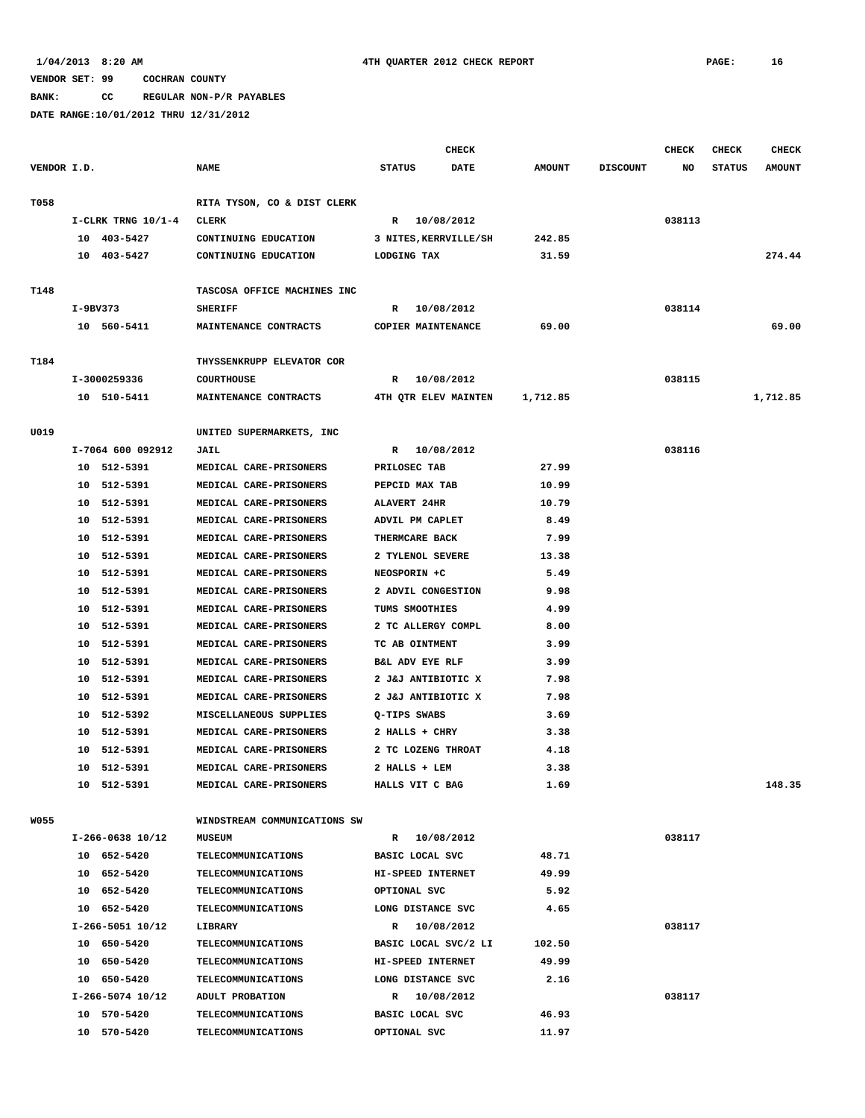**BANK: CC REGULAR NON-P/R PAYABLES**

|             |          |                                 |                                              |               | <b>CHECK</b>                      |               |                 | <b>CHECK</b> | <b>CHECK</b>  | <b>CHECK</b>  |
|-------------|----------|---------------------------------|----------------------------------------------|---------------|-----------------------------------|---------------|-----------------|--------------|---------------|---------------|
| VENDOR I.D. |          |                                 | <b>NAME</b>                                  | <b>STATUS</b> | <b>DATE</b>                       | <b>AMOUNT</b> | <b>DISCOUNT</b> | NO           | <b>STATUS</b> | <b>AMOUNT</b> |
|             |          |                                 |                                              |               |                                   |               |                 |              |               |               |
| T058        |          |                                 | RITA TYSON, CO & DIST CLERK                  |               |                                   |               |                 |              |               |               |
|             |          | $I-CLRK$ TRNG $10/1-4$          | <b>CLERK</b>                                 |               | R 10/08/2012                      |               |                 | 038113       |               |               |
|             |          | 10 403-5427                     | CONTINUING EDUCATION                         |               | 3 NITES, KERRVILLE/SH             | 242.85        |                 |              |               |               |
|             |          | 10 403-5427                     | CONTINUING EDUCATION                         | LODGING TAX   |                                   | 31.59         |                 |              |               | 274.44        |
|             |          |                                 |                                              |               |                                   |               |                 |              |               |               |
| T148        |          |                                 | TASCOSA OFFICE MACHINES INC                  |               |                                   |               |                 |              |               |               |
|             | I-9BV373 |                                 | <b>SHERIFF</b>                               | R             | 10/08/2012                        |               |                 | 038114       |               |               |
|             |          | 10 560-5411                     | MAINTENANCE CONTRACTS                        |               | COPIER MAINTENANCE                | 69.00         |                 |              |               | 69.00         |
| T184        |          |                                 | THYSSENKRUPP ELEVATOR COR                    |               |                                   |               |                 |              |               |               |
|             |          | I-3000259336                    | <b>COURTHOUSE</b>                            |               | R 10/08/2012                      |               |                 | 038115       |               |               |
|             |          | 10 510-5411                     | MAINTENANCE CONTRACTS                        |               | 4TH QTR ELEV MAINTEN              | 1,712.85      |                 |              |               | 1,712.85      |
|             |          |                                 |                                              |               |                                   |               |                 |              |               |               |
| U019        |          |                                 | UNITED SUPERMARKETS, INC                     |               |                                   |               |                 |              |               |               |
|             |          | I-7064 600 092912               | JAIL                                         |               | R 10/08/2012                      |               |                 | 038116       |               |               |
|             |          | 10 512-5391                     | MEDICAL CARE-PRISONERS                       |               | PRILOSEC TAB                      | 27.99         |                 |              |               |               |
|             |          | 10 512-5391                     | MEDICAL CARE-PRISONERS                       |               | PEPCID MAX TAB                    | 10.99         |                 |              |               |               |
|             |          | 10 512-5391                     | MEDICAL CARE-PRISONERS                       |               | <b>ALAVERT 24HR</b>               | 10.79         |                 |              |               |               |
|             |          | 10 512-5391                     | MEDICAL CARE-PRISONERS                       |               | ADVIL PM CAPLET                   | 8.49          |                 |              |               |               |
|             |          | 10 512-5391                     | MEDICAL CARE-PRISONERS                       |               | THERMCARE BACK                    | 7.99          |                 |              |               |               |
|             |          | 10 512-5391                     | MEDICAL CARE-PRISONERS                       |               | 2 TYLENOL SEVERE                  | 13.38         |                 |              |               |               |
|             |          | 10 512-5391                     | MEDICAL CARE-PRISONERS                       |               | NEOSPORIN +C                      | 5.49          |                 |              |               |               |
|             |          | 10 512-5391                     | MEDICAL CARE-PRISONERS                       |               | 2 ADVIL CONGESTION                | 9.98          |                 |              |               |               |
|             |          | 10 512-5391                     | MEDICAL CARE-PRISONERS                       |               | TUMS SMOOTHIES                    | 4.99          |                 |              |               |               |
|             |          | 10 512-5391                     | MEDICAL CARE-PRISONERS                       |               | 2 TC ALLERGY COMPL                | 8.00          |                 |              |               |               |
|             |          | 10 512-5391                     | MEDICAL CARE-PRISONERS                       |               | TC AB OINTMENT                    | 3.99          |                 |              |               |               |
|             |          | 10 512-5391                     | MEDICAL CARE-PRISONERS                       |               | B&L ADV EYE RLF                   | 3.99          |                 |              |               |               |
|             |          | 10 512-5391                     | MEDICAL CARE-PRISONERS                       |               | 2 J&J ANTIBIOTIC X                | 7.98          |                 |              |               |               |
|             |          | 10 512-5391                     | MEDICAL CARE-PRISONERS                       |               | 2 J&J ANTIBIOTIC X                | 7.98          |                 |              |               |               |
|             |          | 10 512-5392                     | MISCELLANEOUS SUPPLIES                       |               | Q-TIPS SWABS                      | 3.69          |                 |              |               |               |
|             |          | 10 512-5391                     | MEDICAL CARE-PRISONERS                       |               | 2 HALLS + CHRY                    | 3.38          |                 |              |               |               |
|             | 10       | 512-5391                        | MEDICAL CARE-PRISONERS                       |               | 2 TC LOZENG THROAT                | 4.18          |                 |              |               |               |
|             |          | 10 512-5391                     | MEDICAL CARE-PRISONERS                       |               | 2 HALLS + LEM                     | 3.38          |                 |              |               |               |
|             |          | 10 512-5391                     | MEDICAL CARE-PRISONERS                       |               | HALLS VIT C BAG                   | 1.69          |                 |              |               | 148.35        |
|             |          |                                 |                                              |               |                                   |               |                 |              |               |               |
| W055        |          |                                 | WINDSTREAM COMMUNICATIONS SW                 |               |                                   |               |                 |              |               |               |
|             |          | I-266-0638 10/12                | <b>MUSEUM</b>                                |               | R 10/08/2012                      |               |                 | 038117       |               |               |
|             |          | 10 652-5420                     | TELECOMMUNICATIONS                           |               | BASIC LOCAL SVC                   | 48.71         |                 |              |               |               |
|             |          | 10 652-5420                     | <b>TELECOMMUNICATIONS</b>                    |               | HI-SPEED INTERNET                 | 49.99         |                 |              |               |               |
|             |          | 10 652-5420                     | <b>TELECOMMUNICATIONS</b>                    |               | OPTIONAL SVC                      | 5.92          |                 |              |               |               |
|             |          | 10 652-5420                     | TELECOMMUNICATIONS                           |               | LONG DISTANCE SVC                 | 4.65          |                 |              |               |               |
|             |          | I-266-5051 10/12                | LIBRARY                                      |               | R 10/08/2012                      |               |                 | 038117       |               |               |
|             |          | 10 650-5420                     | <b>TELECOMMUNICATIONS</b>                    |               | BASIC LOCAL SVC/2 LI              | 102.50        |                 |              |               |               |
|             |          | 10 650-5420                     | TELECOMMUNICATIONS                           |               | HI-SPEED INTERNET                 | 49.99<br>2.16 |                 |              |               |               |
|             |          | 10 650-5420<br>I-266-5074 10/12 | <b>TELECOMMUNICATIONS</b><br>ADULT PROBATION |               | LONG DISTANCE SVC<br>R 10/08/2012 |               |                 | 038117       |               |               |
|             |          | 10 570-5420                     | <b>TELECOMMUNICATIONS</b>                    |               | BASIC LOCAL SVC                   | 46.93         |                 |              |               |               |
|             |          | 10 570-5420                     | <b>TELECOMMUNICATIONS</b>                    |               | OPTIONAL SVC                      | 11.97         |                 |              |               |               |
|             |          |                                 |                                              |               |                                   |               |                 |              |               |               |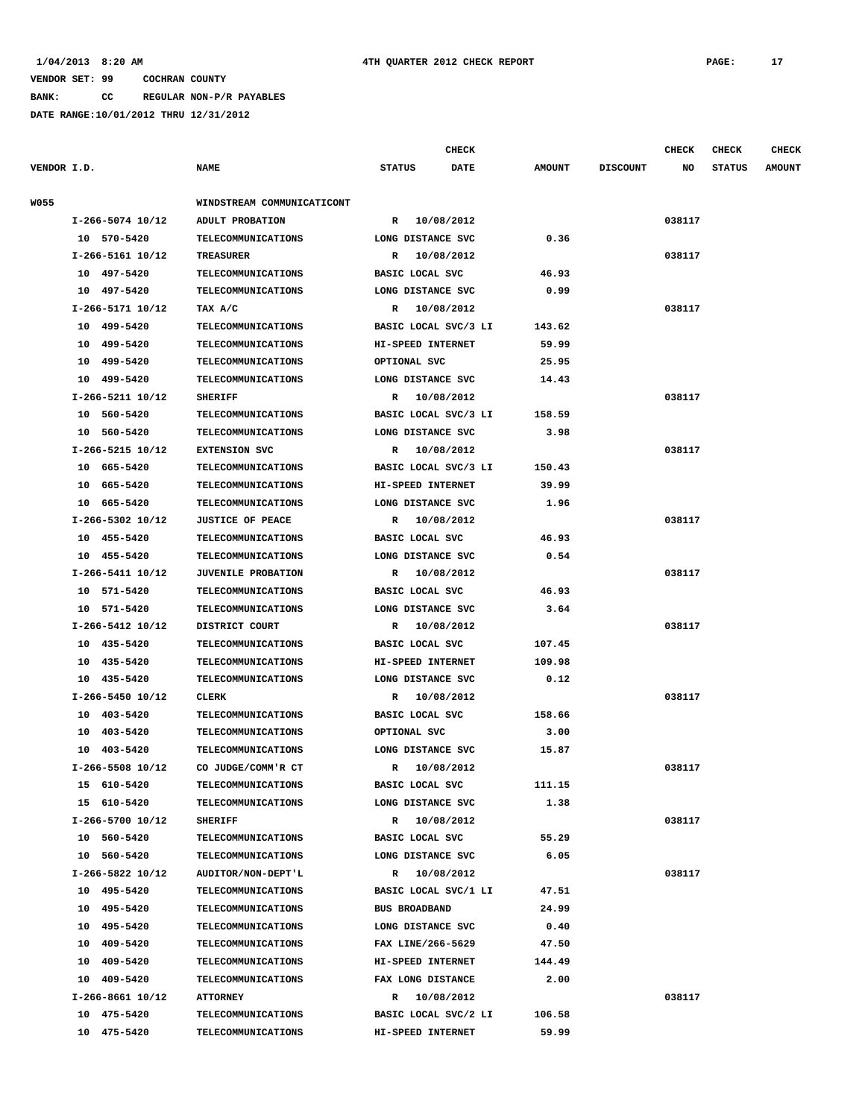**BANK: CC REGULAR NON-P/R PAYABLES**

|             |                    |                                                        |                      | CHECK      |               |                 | <b>CHECK</b> | <b>CHECK</b>  | <b>CHECK</b>  |
|-------------|--------------------|--------------------------------------------------------|----------------------|------------|---------------|-----------------|--------------|---------------|---------------|
| VENDOR I.D. |                    | <b>NAME</b>                                            | <b>STATUS</b>        | DATE       | <b>AMOUNT</b> | <b>DISCOUNT</b> | NO           | <b>STATUS</b> | <b>AMOUNT</b> |
| W055        |                    | WINDSTREAM COMMUNICATICONT                             |                      |            |               |                 |              |               |               |
|             | I-266-5074 10/12   | ADULT PROBATION                                        | R 10/08/2012         |            |               |                 | 038117       |               |               |
|             | 10 570-5420        | <b>TELECOMMUNICATIONS</b>                              | LONG DISTANCE SVC    |            | 0.36          |                 |              |               |               |
|             | I-266-5161 10/12   | <b>TREASURER</b>                                       | R 10/08/2012         |            |               |                 | 038117       |               |               |
|             | 10 497-5420        | <b>TELECOMMUNICATIONS</b>                              | BASIC LOCAL SVC      |            | 46.93         |                 |              |               |               |
|             | 10 497-5420        | <b>TELECOMMUNICATIONS</b>                              | LONG DISTANCE SVC    |            | 0.99          |                 |              |               |               |
|             | I-266-5171 10/12   | TAX A/C                                                | R 10/08/2012         |            |               |                 | 038117       |               |               |
|             | 10 499-5420        | <b>TELECOMMUNICATIONS</b>                              | BASIC LOCAL SVC/3 LI |            | 143.62        |                 |              |               |               |
|             | 10 499-5420        | <b>TELECOMMUNICATIONS</b>                              | HI-SPEED INTERNET    |            | 59.99         |                 |              |               |               |
|             | 10 499-5420        | <b>TELECOMMUNICATIONS</b>                              | OPTIONAL SVC         |            | 25.95         |                 |              |               |               |
|             | 10 499-5420        | <b>TELECOMMUNICATIONS</b>                              | LONG DISTANCE SVC    |            | 14.43         |                 |              |               |               |
|             | I-266-5211 10/12   | <b>SHERIFF</b>                                         | R 10/08/2012         |            |               |                 | 038117       |               |               |
|             | 10 560-5420        | <b>TELECOMMUNICATIONS</b>                              | BASIC LOCAL SVC/3 LI |            | 158.59        |                 |              |               |               |
|             | 10 560-5420        | <b>TELECOMMUNICATIONS</b>                              | LONG DISTANCE SVC    |            | 3.98          |                 |              |               |               |
|             | I-266-5215 10/12   | <b>EXTENSION SVC</b>                                   | R 10/08/2012         |            |               |                 | 038117       |               |               |
|             | 10 665-5420        | <b>TELECOMMUNICATIONS</b>                              | BASIC LOCAL SVC/3 LI |            | 150.43        |                 |              |               |               |
|             | 10 665-5420        | <b>TELECOMMUNICATIONS</b>                              | HI-SPEED INTERNET    |            | 39.99         |                 |              |               |               |
|             | 10 665-5420        | <b>TELECOMMUNICATIONS</b>                              | LONG DISTANCE SVC    |            | 1.96          |                 |              |               |               |
|             | $I-266-5302$ 10/12 | <b>JUSTICE OF PEACE</b>                                | R 10/08/2012         |            |               |                 | 038117       |               |               |
|             | 10 455-5420        |                                                        |                      |            |               |                 |              |               |               |
|             |                    | <b>TELECOMMUNICATIONS</b><br><b>TELECOMMUNICATIONS</b> | BASIC LOCAL SVC      |            | 46.93         |                 |              |               |               |
|             | 10 455-5420        |                                                        | LONG DISTANCE SVC    |            | 0.54          |                 |              |               |               |
|             | I-266-5411 10/12   | <b>JUVENILE PROBATION</b>                              | R 10/08/2012         |            |               |                 | 038117       |               |               |
|             | 10 571-5420        | <b>TELECOMMUNICATIONS</b>                              | BASIC LOCAL SVC      |            | 46.93         |                 |              |               |               |
|             | 10 571-5420        | <b>TELECOMMUNICATIONS</b>                              | LONG DISTANCE SVC    |            | 3.64          |                 |              |               |               |
|             | I-266-5412 10/12   | DISTRICT COURT                                         | R 10/08/2012         |            |               |                 | 038117       |               |               |
|             | 10 435-5420        | <b>TELECOMMUNICATIONS</b>                              | BASIC LOCAL SVC      |            | 107.45        |                 |              |               |               |
|             | 10 435-5420        | <b>TELECOMMUNICATIONS</b>                              | HI-SPEED INTERNET    |            | 109.98        |                 |              |               |               |
|             | 10 435-5420        | <b>TELECOMMUNICATIONS</b>                              | LONG DISTANCE SVC    |            | 0.12          |                 |              |               |               |
|             | I-266-5450 10/12   | CLERK                                                  | R                    | 10/08/2012 |               |                 | 038117       |               |               |
|             | 10 403-5420        | <b>TELECOMMUNICATIONS</b>                              | BASIC LOCAL SVC      |            | 158.66        |                 |              |               |               |
|             | 10 403-5420        | <b>TELECOMMUNICATIONS</b>                              | OPTIONAL SVC         |            | 3.00          |                 |              |               |               |
|             | 10 403-5420        | <b>TELECOMMUNICATIONS</b>                              | LONG DISTANCE SVC    |            | 15.87         |                 |              |               |               |
|             | I-266-5508 10/12   | CO JUDGE/COMM'R CT                                     | R 10/08/2012         |            |               |                 | 038117       |               |               |
|             | 15 610-5420        | TELECOMMUNICATIONS                                     | BASIC LOCAL SVC      |            | 111.15        |                 |              |               |               |
|             | 15 610-5420        | <b>TELECOMMUNICATIONS</b>                              | LONG DISTANCE SVC    |            | 1.38          |                 |              |               |               |
|             | I-266-5700 10/12   | <b>SHERIFF</b>                                         | R 10/08/2012         |            |               |                 | 038117       |               |               |
|             | 10 560-5420        | <b>TELECOMMUNICATIONS</b>                              | BASIC LOCAL SVC      |            | 55.29         |                 |              |               |               |
|             | 10 560-5420        | TELECOMMUNICATIONS                                     | LONG DISTANCE SVC    |            | 6.05          |                 |              |               |               |
|             | I-266-5822 10/12   | AUDITOR/NON-DEPT'L                                     | R 10/08/2012         |            |               |                 | 038117       |               |               |
|             | 10 495-5420        | <b>TELECOMMUNICATIONS</b>                              | BASIC LOCAL SVC/1 LI |            | 47.51         |                 |              |               |               |
|             | 10 495-5420        | <b>TELECOMMUNICATIONS</b>                              | <b>BUS BROADBAND</b> |            | 24.99         |                 |              |               |               |
|             | 10 495-5420        | <b>TELECOMMUNICATIONS</b>                              | LONG DISTANCE SVC    |            | 0.40          |                 |              |               |               |
|             | 10 409-5420        | <b>TELECOMMUNICATIONS</b>                              | FAX LINE/266-5629    |            | 47.50         |                 |              |               |               |
|             | 10 409-5420        | <b>TELECOMMUNICATIONS</b>                              | HI-SPEED INTERNET    |            | 144.49        |                 |              |               |               |
|             | 10 409-5420        | <b>TELECOMMUNICATIONS</b>                              | FAX LONG DISTANCE    |            | 2.00          |                 |              |               |               |
|             | I-266-8661 10/12   | <b>ATTORNEY</b>                                        | R 10/08/2012         |            |               |                 | 038117       |               |               |
|             | 10 475-5420        | <b>TELECOMMUNICATIONS</b>                              | BASIC LOCAL SVC/2 LI |            | 106.58        |                 |              |               |               |
|             | 10 475-5420        | <b>TELECOMMUNICATIONS</b>                              | HI-SPEED INTERNET    |            | 59.99         |                 |              |               |               |
|             |                    |                                                        |                      |            |               |                 |              |               |               |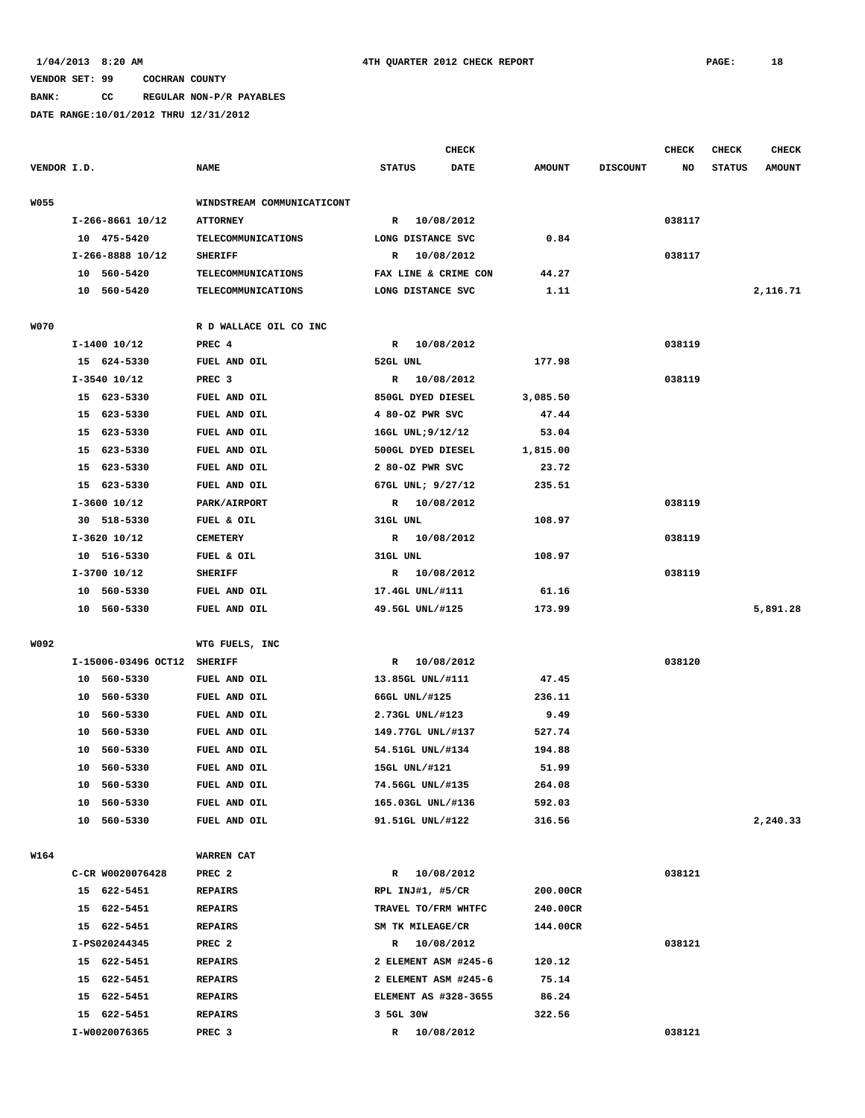**BANK: CC REGULAR NON-P/R PAYABLES**

|             |                             |                            |                      | <b>CHECK</b> |               |                 | <b>CHECK</b> | CHECK         | <b>CHECK</b>  |
|-------------|-----------------------------|----------------------------|----------------------|--------------|---------------|-----------------|--------------|---------------|---------------|
| VENDOR I.D. |                             | <b>NAME</b>                | <b>STATUS</b>        | <b>DATE</b>  | <b>AMOUNT</b> | <b>DISCOUNT</b> | NO           | <b>STATUS</b> | <b>AMOUNT</b> |
| <b>W055</b> |                             | WINDSTREAM COMMUNICATICONT |                      |              |               |                 |              |               |               |
|             | I-266-8661 10/12            | <b>ATTORNEY</b>            | R 10/08/2012         |              |               |                 | 038117       |               |               |
|             | 10 475-5420                 | TELECOMMUNICATIONS         | LONG DISTANCE SVC    |              | 0.84          |                 |              |               |               |
|             | I-266-8888 10/12            | <b>SHERIFF</b>             | R 10/08/2012         |              |               |                 | 038117       |               |               |
|             | 10 560-5420                 | TELECOMMUNICATIONS         | FAX LINE & CRIME CON |              | 44.27         |                 |              |               |               |
|             | 10 560-5420                 | <b>TELECOMMUNICATIONS</b>  | LONG DISTANCE SVC    |              | 1.11          |                 |              |               | 2,116.71      |
| <b>W070</b> |                             | R D WALLACE OIL CO INC     |                      |              |               |                 |              |               |               |
|             | $I-1400$ $10/12$            | PREC 4                     | R 10/08/2012         |              |               |                 | 038119       |               |               |
|             | 15 624-5330                 | FUEL AND OIL               | 52GL UNL             |              | 177.98        |                 |              |               |               |
|             | $I-3540$ 10/12              | PREC <sub>3</sub>          | R 10/08/2012         |              |               |                 | 038119       |               |               |
|             | 15 623-5330                 | FUEL AND OIL               | 850GL DYED DIESEL    |              | 3,085.50      |                 |              |               |               |
|             | 15 623-5330                 | FUEL AND OIL               | 4 80-OZ PWR SVC      |              | 47.44         |                 |              |               |               |
|             | 15 623-5330                 | FUEL AND OIL               | 16GL UNL; 9/12/12    |              | 53.04         |                 |              |               |               |
|             | 15 623-5330                 | FUEL AND OIL               | 500GL DYED DIESEL    |              | 1,815.00      |                 |              |               |               |
|             | 15<br>623-5330              | FUEL AND OIL               | 2 80-OZ PWR SVC      |              | 23.72         |                 |              |               |               |
|             | 15 623-5330                 | FUEL AND OIL               | 67GL UNL; 9/27/12    |              | 235.51        |                 |              |               |               |
|             | $I-3600$ 10/12              | PARK/AIRPORT               | R 10/08/2012         |              |               |                 | 038119       |               |               |
|             | 30 518-5330                 | FUEL & OIL                 | 31GL UNL             |              | 108.97        |                 |              |               |               |
|             | $I-3620$ 10/12              | <b>CEMETERY</b>            | R 10/08/2012         |              |               |                 | 038119       |               |               |
|             | 10 516-5330                 | FUEL & OIL                 | 31GL UNL             |              | 108.97        |                 |              |               |               |
|             | $I-3700$ 10/12              | <b>SHERIFF</b>             | R 10/08/2012         |              |               |                 | 038119       |               |               |
|             | 10 560-5330                 | FUEL AND OIL               | 17.4GL UNL/#111      |              | 61.16         |                 |              |               |               |
|             | 10 560-5330                 | FUEL AND OIL               | 49.5GL UNL/#125      |              | 173.99        |                 |              |               | 5,891.28      |
|             |                             |                            |                      |              |               |                 |              |               |               |
| W092        |                             | WTG FUELS, INC             |                      |              |               |                 |              |               |               |
|             | I-15006-03496 OCT12 SHERIFF |                            | R 10/08/2012         |              |               |                 | 038120       |               |               |
|             | 10 560-5330                 | FUEL AND OIL               | 13.85GL UNL/#111     |              | 47.45         |                 |              |               |               |
|             | 10 560-5330                 | FUEL AND OIL               | 66GL UNL/#125        |              | 236.11        |                 |              |               |               |
|             | 560-5330<br>10              | FUEL AND OIL               | 2.73GL UNL/#123      |              | 9.49          |                 |              |               |               |
|             | 10<br>560-5330              | FUEL AND OIL               | 149.77GL UNL/#137    |              | 527.74        |                 |              |               |               |
|             | 10<br>560-5330              | FUEL AND OIL               | 54.51GL UNL/#134     |              | 194.88        |                 |              |               |               |
|             | 10 560-5330                 | FUEL AND OIL               | 15GL UNL/#121        |              | 51.99         |                 |              |               |               |
|             | 10 560-5330                 | FUEL AND OIL               | 74.56GL UNL/#135     |              | 264.08        |                 |              |               |               |
|             | 10 560-5330                 | FUEL AND OIL               | 165.03GL UNL/#136    |              | 592.03        |                 |              |               |               |
|             | 10 560-5330                 | FUEL AND OIL               | 91.51GL UNL/#122     |              | 316.56        |                 |              |               | 2,240.33      |
| W164        |                             | WARREN CAT                 |                      |              |               |                 |              |               |               |
|             | C-CR W0020076428            | PREC <sub>2</sub>          | R 10/08/2012         |              |               |                 | 038121       |               |               |
|             | 15 622-5451                 | <b>REPAIRS</b>             | RPL INJ#1, #5/CR     |              | 200.00CR      |                 |              |               |               |
|             | 15 622-5451                 | <b>REPAIRS</b>             | TRAVEL TO/FRM WHTFC  |              | 240.00CR      |                 |              |               |               |
|             | 15 622-5451                 | REPAIRS                    | SM TK MILEAGE/CR     |              | 144.00CR      |                 |              |               |               |
|             | I-PS020244345               | PREC <sub>2</sub>          | R 10/08/2012         |              |               |                 | 038121       |               |               |
|             | 15 622-5451                 | <b>REPAIRS</b>             | 2 ELEMENT ASM #245-6 |              | 120.12        |                 |              |               |               |
|             |                             |                            |                      |              |               |                 |              |               |               |
|             | 15 622-5451                 | REPAIRS                    | 2 ELEMENT ASM #245-6 |              | 75.14         |                 |              |               |               |
|             | 15 622-5451                 | <b>REPAIRS</b>             | ELEMENT AS #328-3655 |              | 86.24         |                 |              |               |               |
|             | 15 622-5451                 | <b>REPAIRS</b>             | 3 5GL 30W            |              | 322.56        |                 |              |               |               |
|             | I-W0020076365               | PREC 3                     | R 10/08/2012         |              |               |                 | 038121       |               |               |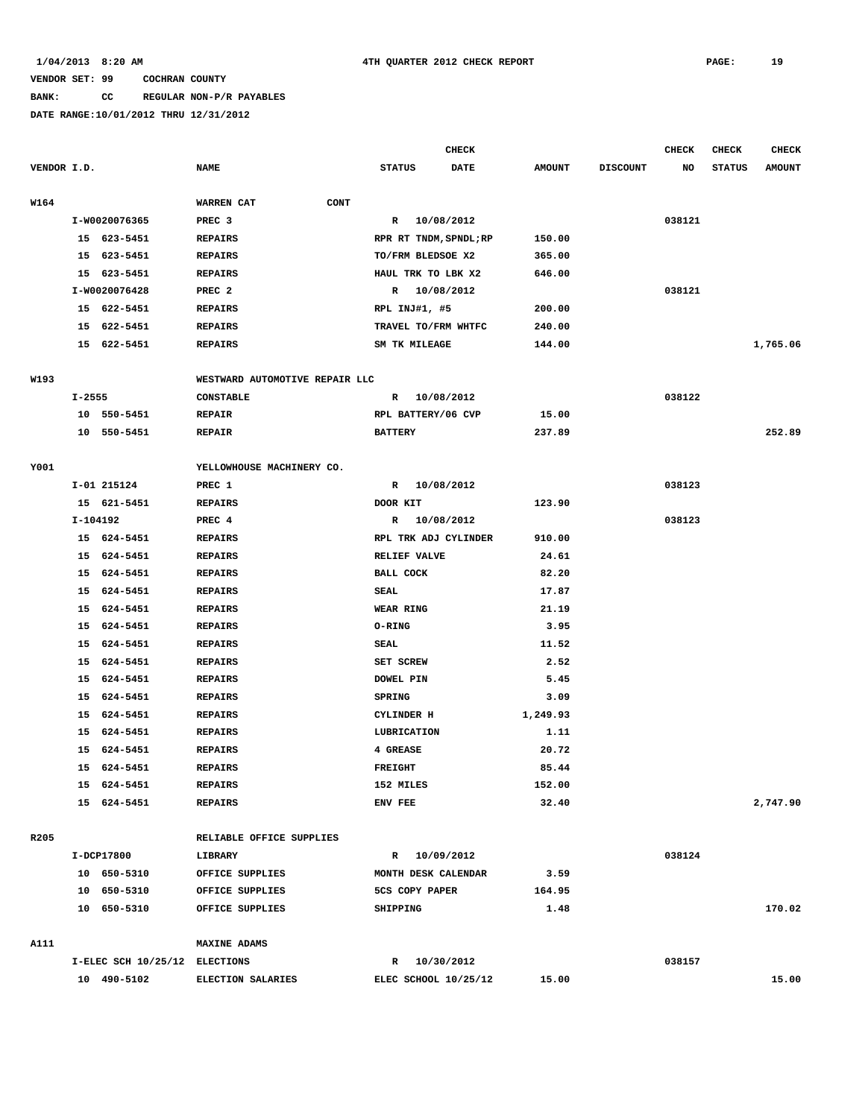### **BANK: CC REGULAR NON-P/R PAYABLES**

|             |            |                               |                                |                        | <b>CHECK</b> |               |                 | <b>CHECK</b> | <b>CHECK</b>  | <b>CHECK</b>  |
|-------------|------------|-------------------------------|--------------------------------|------------------------|--------------|---------------|-----------------|--------------|---------------|---------------|
| VENDOR I.D. |            |                               | <b>NAME</b>                    | <b>STATUS</b>          | DATE         | <b>AMOUNT</b> | <b>DISCOUNT</b> | NO           | <b>STATUS</b> | <b>AMOUNT</b> |
| W164        |            |                               | WARREN CAT<br><b>CONT</b>      |                        |              |               |                 |              |               |               |
|             |            | I-W0020076365                 | PREC <sub>3</sub>              | R 10/08/2012           |              |               |                 | 038121       |               |               |
|             |            | 15 623-5451                   | <b>REPAIRS</b>                 | RPR RT TNDM, SPNDL; RP |              | 150.00        |                 |              |               |               |
|             | 15         | 623-5451                      | <b>REPAIRS</b>                 | TO/FRM BLEDSOE X2      |              | 365.00        |                 |              |               |               |
|             |            | 15 623-5451                   | <b>REPAIRS</b>                 | HAUL TRK TO LBK X2     |              | 646.00        |                 |              |               |               |
|             |            | I-W0020076428                 | PREC <sub>2</sub>              | R                      | 10/08/2012   |               |                 | 038121       |               |               |
|             |            | 15 622-5451                   | <b>REPAIRS</b>                 | RPL INJ#1, #5          |              | 200.00        |                 |              |               |               |
|             |            | 15 622-5451                   | <b>REPAIRS</b>                 | TRAVEL TO/FRM WHTFC    |              | 240.00        |                 |              |               |               |
|             |            | 15 622-5451                   | <b>REPAIRS</b>                 | SM TK MILEAGE          |              | 144.00        |                 |              |               | 1,765.06      |
| W193        |            |                               | WESTWARD AUTOMOTIVE REPAIR LLC |                        |              |               |                 |              |               |               |
|             | $I - 2555$ |                               | <b>CONSTABLE</b>               | R 10/08/2012           |              |               |                 | 038122       |               |               |
|             |            | 10 550-5451                   | <b>REPAIR</b>                  | RPL BATTERY/06 CVP     |              | 15.00         |                 |              |               |               |
|             |            | 10 550-5451                   | <b>REPAIR</b>                  | <b>BATTERY</b>         |              | 237.89        |                 |              |               | 252.89        |
| Y001        |            |                               | YELLOWHOUSE MACHINERY CO.      |                        |              |               |                 |              |               |               |
|             |            | I-01 215124                   | PREC 1                         | R                      | 10/08/2012   |               |                 | 038123       |               |               |
|             |            | 15 621-5451                   | <b>REPAIRS</b>                 | DOOR KIT               |              | 123.90        |                 |              |               |               |
|             | I-104192   |                               | PREC 4                         | R 10/08/2012           |              |               |                 | 038123       |               |               |
|             |            | 15 624-5451                   | <b>REPAIRS</b>                 | RPL TRK ADJ CYLINDER   |              | 910.00        |                 |              |               |               |
|             |            | 15 624-5451                   | <b>REPAIRS</b>                 | <b>RELIEF VALVE</b>    |              | 24.61         |                 |              |               |               |
|             |            | 15 624-5451                   | <b>REPAIRS</b>                 | <b>BALL COCK</b>       |              | 82.20         |                 |              |               |               |
|             |            | 15 624-5451                   | <b>REPAIRS</b>                 | SEAL                   |              | 17.87         |                 |              |               |               |
|             | 15         | 624-5451                      | <b>REPAIRS</b>                 | WEAR RING              |              | 21.19         |                 |              |               |               |
|             |            | 15 624-5451                   | <b>REPAIRS</b>                 | O-RING                 |              | 3.95          |                 |              |               |               |
|             | 15         | 624-5451                      | <b>REPAIRS</b>                 | SEAL                   |              | 11.52         |                 |              |               |               |
|             | 15         | 624-5451                      | <b>REPAIRS</b>                 | SET SCREW              |              | 2.52          |                 |              |               |               |
|             | 15         | 624-5451                      | <b>REPAIRS</b>                 | <b>DOWEL PIN</b>       |              | 5.45          |                 |              |               |               |
|             | 15         | 624-5451                      | <b>REPAIRS</b>                 | <b>SPRING</b>          |              | 3.09          |                 |              |               |               |
|             | 15         | 624-5451                      | <b>REPAIRS</b>                 | CYLINDER H             |              | 1,249.93      |                 |              |               |               |
|             | 15         | 624-5451                      | <b>REPAIRS</b>                 | LUBRICATION            |              | 1.11          |                 |              |               |               |
|             | 15         | 624-5451                      | <b>REPAIRS</b>                 | 4 GREASE               |              | 20.72         |                 |              |               |               |
|             |            | 15 624-5451                   | <b>REPAIRS</b>                 | <b>FREIGHT</b>         |              | 85.44         |                 |              |               |               |
|             |            | 15 624-5451                   | <b>REPAIRS</b>                 | 152 MILES              |              | 152.00        |                 |              |               |               |
|             |            | 15 624-5451                   | <b>REPAIRS</b>                 | ENV FEE                |              | 32.40         |                 |              |               | 2,747.90      |
| R205        |            |                               | RELIABLE OFFICE SUPPLIES       |                        |              |               |                 |              |               |               |
|             |            | I-DCP17800                    | LIBRARY                        | R 10/09/2012           |              |               |                 | 038124       |               |               |
|             |            | 10 650-5310                   | OFFICE SUPPLIES                | MONTH DESK CALENDAR    |              | 3.59          |                 |              |               |               |
|             |            | 10 650-5310                   | OFFICE SUPPLIES                | 5CS COPY PAPER         |              | 164.95        |                 |              |               |               |
|             |            | 10 650-5310                   | OFFICE SUPPLIES                | SHIPPING               |              | 1.48          |                 |              |               | 170.02        |
|             |            |                               |                                |                        |              |               |                 |              |               |               |
| A111        |            |                               | <b>MAXINE ADAMS</b>            |                        |              |               |                 |              |               |               |
|             |            | I-ELEC SCH 10/25/12 ELECTIONS |                                | R 10/30/2012           |              |               |                 | 038157       |               |               |
|             |            | 10 490-5102                   | <b>ELECTION SALARIES</b>       | ELEC SCHOOL 10/25/12   |              | 15.00         |                 |              |               | 15.00         |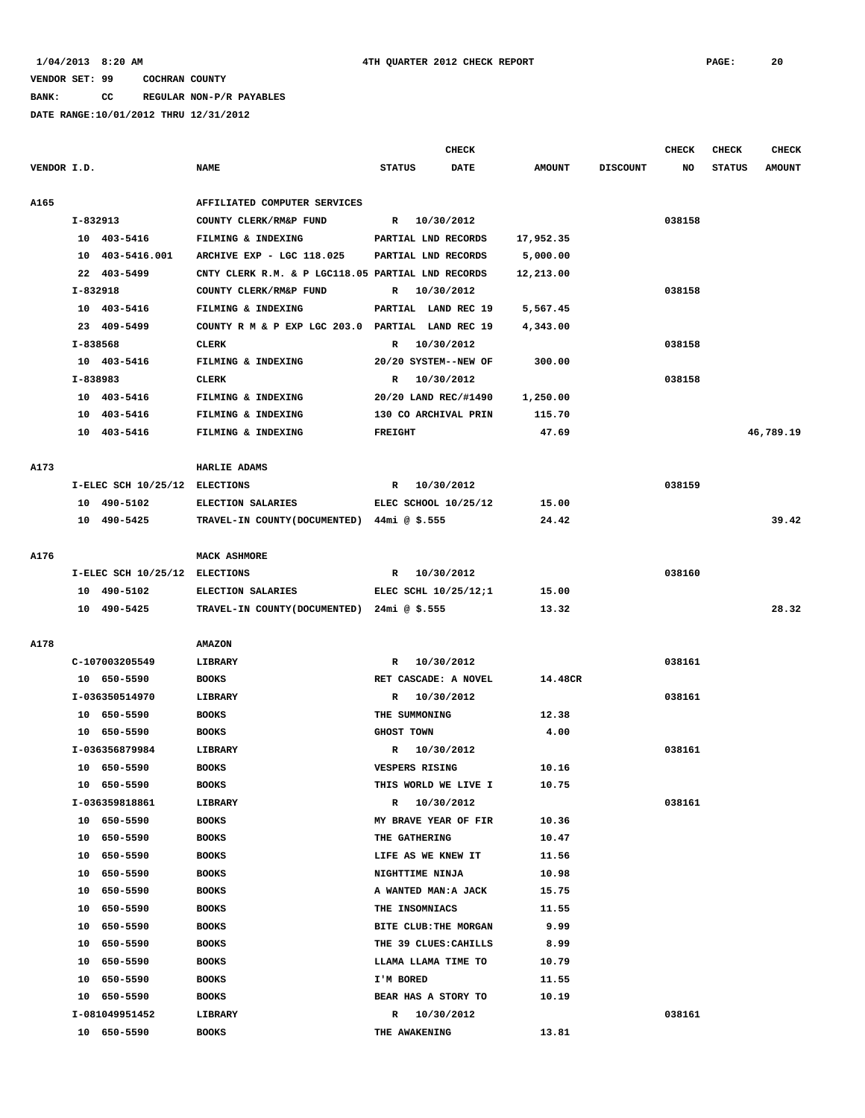**BANK: CC REGULAR NON-P/R PAYABLES**

|             |          |                               |                                                   |                       | <b>CHECK</b> |               |                 | <b>CHECK</b> | <b>CHECK</b>  | <b>CHECK</b>  |
|-------------|----------|-------------------------------|---------------------------------------------------|-----------------------|--------------|---------------|-----------------|--------------|---------------|---------------|
| VENDOR I.D. |          |                               | <b>NAME</b>                                       | <b>STATUS</b>         | <b>DATE</b>  | <b>AMOUNT</b> | <b>DISCOUNT</b> | NO           | <b>STATUS</b> | <b>AMOUNT</b> |
|             |          |                               |                                                   |                       |              |               |                 |              |               |               |
| A165        |          |                               | AFFILIATED COMPUTER SERVICES                      |                       |              |               |                 |              |               |               |
|             | I-832913 |                               | COUNTY CLERK/RM&P FUND                            | R 10/30/2012          |              |               |                 | 038158       |               |               |
|             |          | 10 403-5416                   | FILMING & INDEXING                                | PARTIAL LND RECORDS   |              | 17,952.35     |                 |              |               |               |
|             |          | 10 403-5416.001               | ARCHIVE EXP - LGC 118.025                         | PARTIAL LND RECORDS   |              | 5,000.00      |                 |              |               |               |
|             |          | 22 403-5499                   | CNTY CLERK R.M. & P LGC118.05 PARTIAL LND RECORDS |                       |              | 12,213.00     |                 |              |               |               |
|             | I-832918 | 10 403-5416                   | COUNTY CLERK/RM&P FUND                            | $\mathbb{R}$          | 10/30/2012   |               |                 | 038158       |               |               |
|             |          |                               | FILMING & INDEXING                                | PARTIAL LAND REC 19   |              | 5,567.45      |                 |              |               |               |
|             |          | 23 409-5499                   | COUNTY R M & P EXP LGC 203.0 PARTIAL LAND REC 19  |                       |              | 4,343.00      |                 |              |               |               |
|             | I-838568 |                               | <b>CLERK</b>                                      | R 10/30/2012          |              |               |                 | 038158       |               |               |
|             |          | 10 403-5416                   | FILMING & INDEXING                                | 20/20 SYSTEM--NEW OF  |              | 300.00        |                 |              |               |               |
|             | I-838983 |                               | <b>CLERK</b>                                      | R                     | 10/30/2012   |               |                 | 038158       |               |               |
|             |          | 10 403-5416                   | FILMING & INDEXING                                | 20/20 LAND REC/#1490  |              | 1,250.00      |                 |              |               |               |
|             |          | 10 403-5416                   | FILMING & INDEXING                                | 130 CO ARCHIVAL PRIN  |              | 115.70        |                 |              |               |               |
|             |          | 10 403-5416                   | FILMING & INDEXING                                | <b>FREIGHT</b>        |              | 47.69         |                 |              |               | 46,789.19     |
| A173        |          |                               | HARLIE ADAMS                                      |                       |              |               |                 |              |               |               |
|             |          | I-ELEC SCH 10/25/12 ELECTIONS |                                                   | R 10/30/2012          |              |               |                 | 038159       |               |               |
|             |          | 10 490-5102                   | <b>ELECTION SALARIES</b>                          | ELEC SCHOOL 10/25/12  |              | 15.00         |                 |              |               |               |
|             |          | 10 490-5425                   | TRAVEL-IN COUNTY (DOCUMENTED) 44mi @ \$.555       |                       |              | 24.42         |                 |              |               | 39.42         |
|             |          |                               |                                                   |                       |              |               |                 |              |               |               |
| A176        |          |                               | <b>MACK ASHMORE</b>                               |                       |              |               |                 |              |               |               |
|             |          | I-ELEC SCH 10/25/12 ELECTIONS |                                                   | R                     | 10/30/2012   |               |                 | 038160       |               |               |
|             |          | 10 490-5102                   | ELECTION SALARIES                                 | ELEC SCHL 10/25/12;1  |              | 15.00         |                 |              |               |               |
|             |          | 10 490-5425                   | TRAVEL-IN COUNTY (DOCUMENTED) 24mi @ \$.555       |                       |              | 13.32         |                 |              |               | 28.32         |
|             |          |                               |                                                   |                       |              |               |                 |              |               |               |
| A178        |          |                               | <b>AMAZON</b>                                     |                       |              |               |                 |              |               |               |
|             |          | C-107003205549                | <b>LIBRARY</b>                                    | R 10/30/2012          |              |               |                 | 038161       |               |               |
|             |          | 10 650-5590                   | <b>BOOKS</b>                                      | RET CASCADE: A NOVEL  |              | 14.48CR       |                 |              |               |               |
|             |          | I-036350514970                | LIBRARY                                           | R 10/30/2012          |              |               |                 | 038161       |               |               |
|             |          | 10 650-5590                   | <b>BOOKS</b>                                      | THE SUMMONING         |              | 12.38         |                 |              |               |               |
|             |          | 10 650-5590                   | <b>BOOKS</b>                                      | GHOST TOWN            |              | 4.00          |                 |              |               |               |
|             |          | I-036356879984                | <b>LIBRARY</b>                                    | R                     | 10/30/2012   |               |                 | 038161       |               |               |
|             |          | 10 650-5590                   | <b>BOOKS</b>                                      | <b>VESPERS RISING</b> |              | 10.16         |                 |              |               |               |
|             |          | 10 650-5590                   | <b>BOOKS</b>                                      | THIS WORLD WE LIVE I  |              | 10.75         |                 |              |               |               |
|             |          | I-036359818861                | LIBRARY                                           | R 10/30/2012          |              |               |                 | 038161       |               |               |
|             |          | 10 650-5590                   | <b>BOOKS</b>                                      | MY BRAVE YEAR OF FIR  |              | 10.36         |                 |              |               |               |
|             |          | 10 650-5590                   | <b>BOOKS</b>                                      | THE GATHERING         |              | 10.47         |                 |              |               |               |
|             |          | 10 650-5590                   | <b>BOOKS</b>                                      | LIFE AS WE KNEW IT    |              | 11.56         |                 |              |               |               |
|             |          | 10 650-5590                   | <b>BOOKS</b>                                      | NIGHTTIME NINJA       |              | 10.98         |                 |              |               |               |
|             |          | 10 650-5590                   | <b>BOOKS</b>                                      | A WANTED MAN: A JACK  |              | 15.75         |                 |              |               |               |
|             |          | 10 650-5590                   | <b>BOOKS</b>                                      | THE INSOMNIACS        |              | 11.55         |                 |              |               |               |
|             |          | 10 650-5590                   | <b>BOOKS</b>                                      | BITE CLUB: THE MORGAN |              | 9.99          |                 |              |               |               |
|             |          | 10 650-5590                   | <b>BOOKS</b>                                      | THE 39 CLUES: CAHILLS |              | 8.99          |                 |              |               |               |
|             |          | 10 650-5590                   | <b>BOOKS</b>                                      | LLAMA LLAMA TIME TO   |              | 10.79         |                 |              |               |               |
|             |          | 10 650-5590                   | <b>BOOKS</b>                                      | I'M BORED             |              | 11.55         |                 |              |               |               |
|             |          | 10 650-5590                   | <b>BOOKS</b>                                      | BEAR HAS A STORY TO   |              | 10.19         |                 |              |               |               |
|             |          | I-081049951452                | LIBRARY                                           | R 10/30/2012          |              |               |                 | 038161       |               |               |
|             |          | 10 650-5590                   | <b>BOOKS</b>                                      | THE AWAKENING         |              | 13.81         |                 |              |               |               |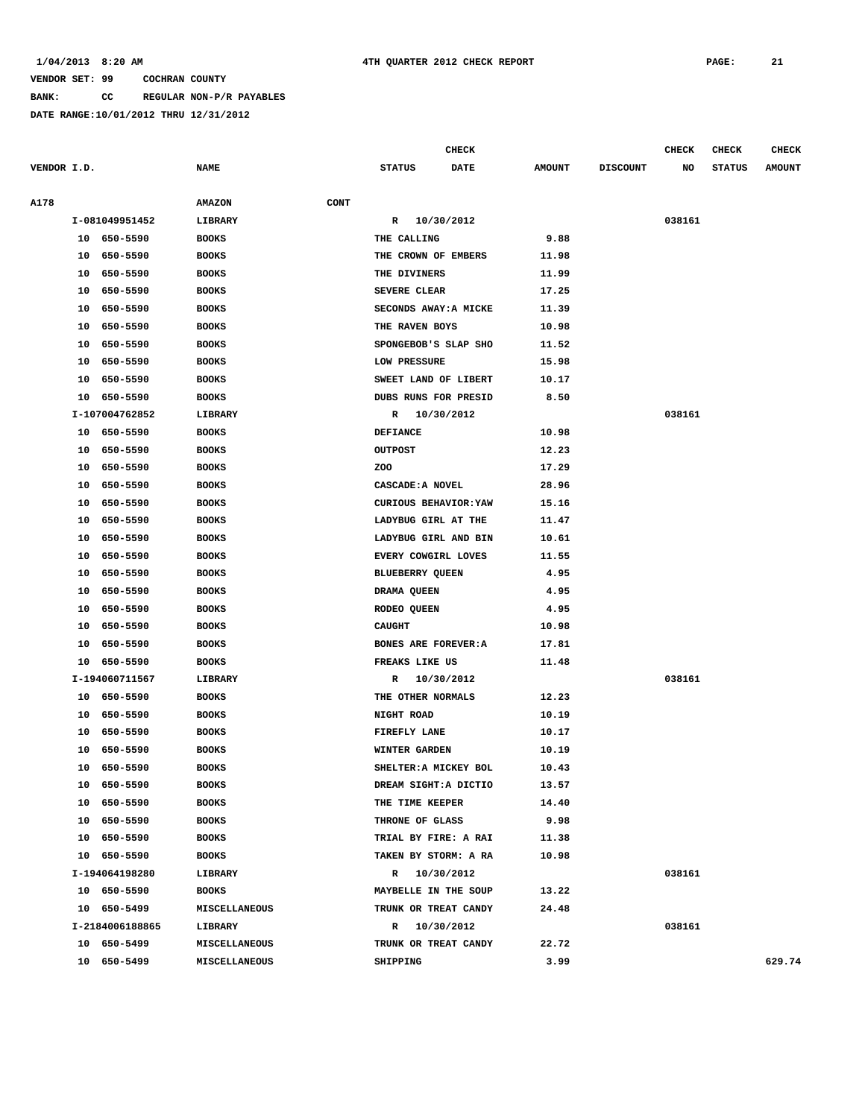**BANK: CC REGULAR NON-P/R PAYABLES**

|             |    |                 |               |      |                        | CHECK       |               |                 | <b>CHECK</b> | <b>CHECK</b>  | <b>CHECK</b>  |
|-------------|----|-----------------|---------------|------|------------------------|-------------|---------------|-----------------|--------------|---------------|---------------|
| VENDOR I.D. |    |                 | <b>NAME</b>   |      | <b>STATUS</b>          | <b>DATE</b> | <b>AMOUNT</b> | <b>DISCOUNT</b> | NO           | <b>STATUS</b> | <b>AMOUNT</b> |
| A178        |    |                 | <b>AMAZON</b> | CONT |                        |             |               |                 |              |               |               |
|             |    | I-081049951452  | LIBRARY       |      | R                      | 10/30/2012  |               |                 | 038161       |               |               |
|             | 10 | 650-5590        | <b>BOOKS</b>  |      | THE CALLING            |             | 9.88          |                 |              |               |               |
|             | 10 | 650-5590        | <b>BOOKS</b>  |      | THE CROWN OF EMBERS    |             | 11.98         |                 |              |               |               |
|             | 10 | 650-5590        | <b>BOOKS</b>  |      | THE DIVINERS           |             | 11.99         |                 |              |               |               |
|             | 10 | 650-5590        | <b>BOOKS</b>  |      | SEVERE CLEAR           |             | 17.25         |                 |              |               |               |
|             | 10 | 650-5590        | <b>BOOKS</b>  |      | SECONDS AWAY: A MICKE  |             | 11.39         |                 |              |               |               |
|             | 10 | 650-5590        | <b>BOOKS</b>  |      | THE RAVEN BOYS         |             | 10.98         |                 |              |               |               |
|             | 10 | 650-5590        | <b>BOOKS</b>  |      | SPONGEBOB'S SLAP SHO   |             | 11.52         |                 |              |               |               |
|             | 10 | 650-5590        | <b>BOOKS</b>  |      | LOW PRESSURE           |             | 15.98         |                 |              |               |               |
|             | 10 | 650-5590        | <b>BOOKS</b>  |      | SWEET LAND OF LIBERT   |             | 10.17         |                 |              |               |               |
|             | 10 | 650-5590        | <b>BOOKS</b>  |      | DUBS RUNS FOR PRESID   |             | 8.50          |                 |              |               |               |
|             |    | I-107004762852  | LIBRARY       |      | R                      | 10/30/2012  |               |                 | 038161       |               |               |
|             | 10 | 650-5590        | <b>BOOKS</b>  |      | <b>DEFIANCE</b>        |             | 10.98         |                 |              |               |               |
|             | 10 | 650-5590        | <b>BOOKS</b>  |      | <b>OUTPOST</b>         |             | 12.23         |                 |              |               |               |
|             | 10 | 650-5590        | <b>BOOKS</b>  |      | ZOO                    |             | 17.29         |                 |              |               |               |
|             | 10 | 650-5590        | <b>BOOKS</b>  |      | CASCADE: A NOVEL       |             | 28.96         |                 |              |               |               |
|             | 10 | 650-5590        | <b>BOOKS</b>  |      | CURIOUS BEHAVIOR: YAW  |             | 15.16         |                 |              |               |               |
|             | 10 | 650-5590        | <b>BOOKS</b>  |      | LADYBUG GIRL AT THE    |             | 11.47         |                 |              |               |               |
|             | 10 | 650-5590        | <b>BOOKS</b>  |      | LADYBUG GIRL AND BIN   |             | 10.61         |                 |              |               |               |
|             | 10 | 650-5590        | <b>BOOKS</b>  |      | EVERY COWGIRL LOVES    |             | 11.55         |                 |              |               |               |
|             | 10 | 650-5590        | <b>BOOKS</b>  |      | <b>BLUEBERRY QUEEN</b> |             | 4.95          |                 |              |               |               |
|             | 10 | 650-5590        | <b>BOOKS</b>  |      | DRAMA QUEEN            |             | 4.95          |                 |              |               |               |
|             | 10 | 650-5590        | <b>BOOKS</b>  |      | RODEO QUEEN            |             | 4.95          |                 |              |               |               |
|             | 10 | 650-5590        | <b>BOOKS</b>  |      | <b>CAUGHT</b>          |             | 10.98         |                 |              |               |               |
|             | 10 | 650-5590        | <b>BOOKS</b>  |      | BONES ARE FOREVER: A   |             | 17.81         |                 |              |               |               |
|             | 10 | 650-5590        | <b>BOOKS</b>  |      | FREAKS LIKE US         |             | 11.48         |                 |              |               |               |
|             |    | I-194060711567  | LIBRARY       |      | R                      | 10/30/2012  |               |                 | 038161       |               |               |
|             | 10 | 650-5590        | <b>BOOKS</b>  |      | THE OTHER NORMALS      |             | 12.23         |                 |              |               |               |
|             | 10 | 650-5590        | <b>BOOKS</b>  |      | NIGHT ROAD             |             | 10.19         |                 |              |               |               |
|             | 10 | 650-5590        | <b>BOOKS</b>  |      | FIREFLY LANE           |             | 10.17         |                 |              |               |               |
|             | 10 | 650-5590        | <b>BOOKS</b>  |      | <b>WINTER GARDEN</b>   |             | 10.19         |                 |              |               |               |
|             | 10 | 650-5590        | <b>BOOKS</b>  |      | SHELTER: A MICKEY BOL  |             | 10.43         |                 |              |               |               |
|             | 10 | 650-5590        | <b>BOOKS</b>  |      | DREAM SIGHT: A DICTIO  |             | 13.57         |                 |              |               |               |
|             |    | 10 650-5590     | <b>BOOKS</b>  |      | THE TIME KEEPER        |             | 14.40         |                 |              |               |               |
|             |    | 10 650-5590     | <b>BOOKS</b>  |      | THRONE OF GLASS        |             | 9.98          |                 |              |               |               |
|             |    | 10 650-5590     | <b>BOOKS</b>  |      | TRIAL BY FIRE: A RAI   |             | 11.38         |                 |              |               |               |
|             |    | 10 650-5590     | <b>BOOKS</b>  |      | TAKEN BY STORM: A RA   |             | 10.98         |                 |              |               |               |
|             |    | I-194064198280  | LIBRARY       |      | R 10/30/2012           |             |               |                 | 038161       |               |               |
|             |    | 10 650-5590     | <b>BOOKS</b>  |      | MAYBELLE IN THE SOUP   |             | 13.22         |                 |              |               |               |
|             |    | 10 650-5499     | MISCELLANEOUS |      | TRUNK OR TREAT CANDY   |             | 24.48         |                 |              |               |               |
|             |    | I-2184006188865 | LIBRARY       |      | R 10/30/2012           |             |               |                 | 038161       |               |               |
|             |    | 10 650-5499     | MISCELLANEOUS |      | TRUNK OR TREAT CANDY   |             | 22.72         |                 |              |               |               |
|             |    | 10 650-5499     | MISCELLANEOUS |      | SHIPPING               |             | 3.99          |                 |              |               | 629.74        |
|             |    |                 |               |      |                        |             |               |                 |              |               |               |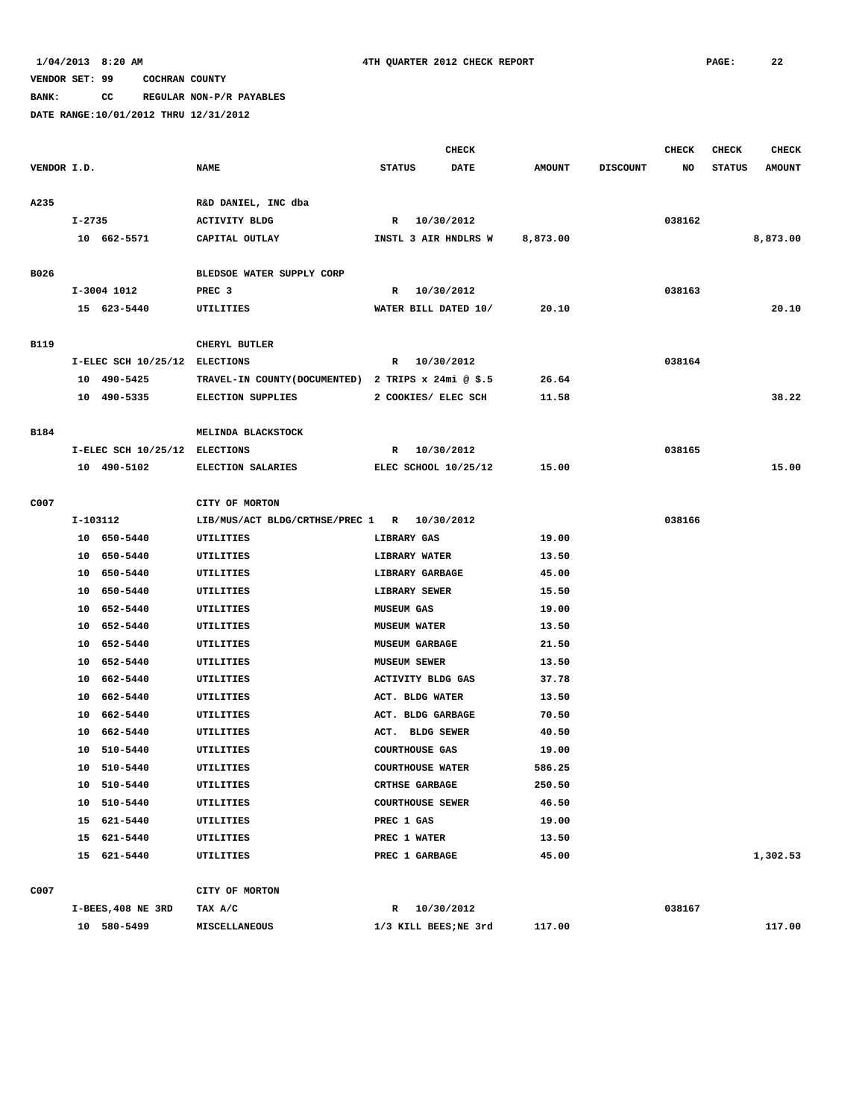### **BANK: CC REGULAR NON-P/R PAYABLES**

|             |            |                               |                                                     |                   |                         | <b>CHECK</b> |               |                 | <b>CHECK</b> | <b>CHECK</b>  | <b>CHECK</b>  |
|-------------|------------|-------------------------------|-----------------------------------------------------|-------------------|-------------------------|--------------|---------------|-----------------|--------------|---------------|---------------|
| VENDOR I.D. |            |                               | <b>NAME</b>                                         | <b>STATUS</b>     |                         | <b>DATE</b>  | <b>AMOUNT</b> | <b>DISCOUNT</b> | NO           | <b>STATUS</b> | <b>AMOUNT</b> |
|             |            |                               |                                                     |                   |                         |              |               |                 |              |               |               |
| A235        |            |                               | R&D DANIEL, INC dba                                 |                   |                         |              |               |                 |              |               |               |
|             | $I - 2735$ |                               | <b>ACTIVITY BLDG</b>                                |                   | R 10/30/2012            |              |               |                 | 038162       |               |               |
|             |            | 10 662-5571                   | CAPITAL OUTLAY                                      |                   | INSTL 3 AIR HNDLRS W    |              | 8,873.00      |                 |              |               | 8,873.00      |
|             |            |                               |                                                     |                   |                         |              |               |                 |              |               |               |
| B026        |            |                               | BLEDSOE WATER SUPPLY CORP                           |                   |                         |              |               |                 |              |               |               |
|             |            | I-3004 1012                   | PREC <sub>3</sub>                                   |                   | R 10/30/2012            |              |               |                 | 038163       |               |               |
|             |            | 15 623-5440                   | UTILITIES                                           |                   | WATER BILL DATED 10/    |              | 20.10         |                 |              |               | 20.10         |
|             |            |                               |                                                     |                   |                         |              |               |                 |              |               |               |
| B119        |            |                               | CHERYL BUTLER                                       |                   |                         |              |               |                 |              |               |               |
|             |            | I-ELEC SCH 10/25/12 ELECTIONS |                                                     |                   | R 10/30/2012            |              |               |                 | 038164       |               |               |
|             |            | 10 490-5425                   | TRAVEL-IN COUNTY (DOCUMENTED) 2 TRIPS x 24mi @ \$.5 |                   |                         |              | 26.64         |                 |              |               |               |
|             |            | 10 490-5335                   | <b>ELECTION SUPPLIES</b>                            |                   | 2 COOKIES/ ELEC SCH     |              | 11.58         |                 |              |               | 38.22         |
|             |            |                               |                                                     |                   |                         |              |               |                 |              |               |               |
| B184        |            |                               | MELINDA BLACKSTOCK                                  |                   |                         |              |               |                 |              |               |               |
|             |            | I-ELEC SCH 10/25/12 ELECTIONS |                                                     |                   | R 10/30/2012            |              |               |                 | 038165       |               |               |
|             |            | 10 490-5102                   | <b>ELECTION SALARIES</b>                            |                   | ELEC SCHOOL 10/25/12    |              | 15.00         |                 |              |               | 15.00         |
|             |            |                               |                                                     |                   |                         |              |               |                 |              |               |               |
| C007        |            |                               | CITY OF MORTON                                      |                   |                         |              |               |                 |              |               |               |
|             | I-103112   |                               | LIB/MUS/ACT BLDG/CRTHSE/PREC 1 R 10/30/2012         |                   |                         |              |               |                 | 038166       |               |               |
|             |            | 10 650-5440                   | UTILITIES                                           |                   | LIBRARY GAS             |              | 19.00         |                 |              |               |               |
|             |            | 10 650-5440                   | UTILITIES                                           |                   | LIBRARY WATER           |              | 13.50         |                 |              |               |               |
|             |            | 10 650-5440                   | UTILITIES                                           |                   | LIBRARY GARBAGE         |              | 45.00         |                 |              |               |               |
|             |            | 10 650-5440                   | UTILITIES                                           |                   | <b>LIBRARY SEWER</b>    |              | 15.50         |                 |              |               |               |
|             |            | 10 652-5440                   | UTILITIES                                           | <b>MUSEUM GAS</b> |                         |              | 19.00         |                 |              |               |               |
|             |            | 10 652-5440                   | UTILITIES                                           |                   | <b>MUSEUM WATER</b>     |              | 13.50         |                 |              |               |               |
|             |            | 10 652-5440                   | UTILITIES                                           |                   | <b>MUSEUM GARBAGE</b>   |              | 21.50         |                 |              |               |               |
|             |            | 10 652-5440                   | UTILITIES                                           |                   | <b>MUSEUM SEWER</b>     |              | 13.50         |                 |              |               |               |
|             |            | 10 662-5440                   | UTILITIES                                           |                   | ACTIVITY BLDG GAS       |              | 37.78         |                 |              |               |               |
|             |            | 10 662-5440                   | UTILITIES                                           |                   | ACT. BLDG WATER         |              | 13.50         |                 |              |               |               |
|             |            | 10 662-5440                   | UTILITIES                                           |                   | ACT. BLDG GARBAGE       |              | 70.50         |                 |              |               |               |
|             |            | 10 662-5440                   | UTILITIES                                           |                   | ACT. BLDG SEWER         |              | 40.50         |                 |              |               |               |
|             | 10         | 510-5440                      | UTILITIES                                           |                   | COURTHOUSE GAS          |              | 19.00         |                 |              |               |               |
|             |            | 10 510-5440                   | UTILITIES                                           |                   | <b>COURTHOUSE WATER</b> |              | 586.25        |                 |              |               |               |
|             |            | 10 510-5440                   | UTILITIES                                           |                   | <b>CRTHSE GARBAGE</b>   |              | 250.50        |                 |              |               |               |
|             |            | 10 510-5440                   | UTILITIES                                           |                   | <b>COURTHOUSE SEWER</b> |              | 46.50         |                 |              |               |               |
|             |            | 15 621-5440                   | UTILITIES                                           | PREC 1 GAS        |                         |              | 19.00         |                 |              |               |               |
|             |            | 15 621-5440                   | UTILITIES                                           |                   | PREC 1 WATER            |              | 13.50         |                 |              |               |               |
|             |            | 15 621-5440                   | UTILITIES                                           |                   | PREC 1 GARBAGE          |              | 45.00         |                 |              |               | 1,302.53      |
|             |            |                               |                                                     |                   |                         |              |               |                 |              |               |               |
| C007        |            |                               | CITY OF MORTON                                      |                   |                         |              |               |                 |              |               |               |
|             |            | I-BEES, 408 NE 3RD            | TAX A/C                                             |                   | R 10/30/2012            |              |               |                 | 038167       |               |               |
|             |            | 10 580-5499                   | MISCELLANEOUS                                       |                   | 1/3 KILL BEES;NE 3rd    |              | 117.00        |                 |              |               | 117.00        |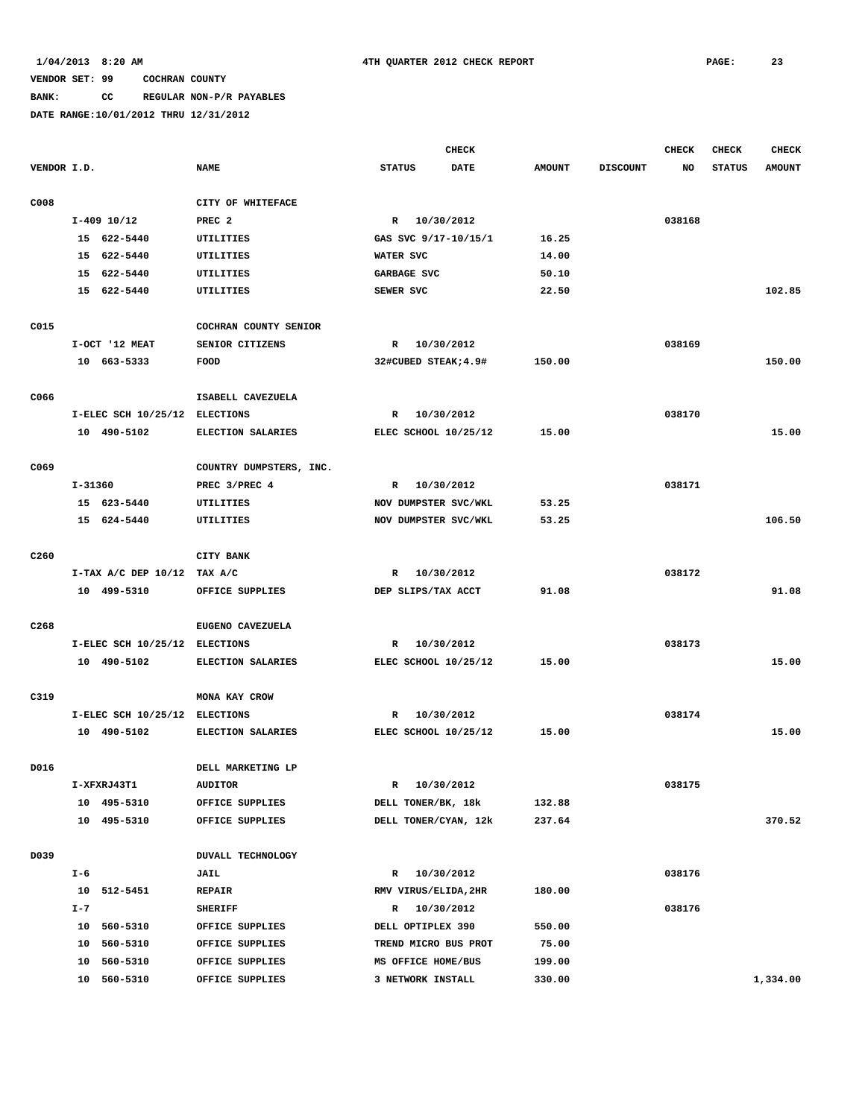# **BANK: CC REGULAR NON-P/R PAYABLES**

|                  |         |                               |                         |                      | <b>CHECK</b> |               |                 | <b>CHECK</b> | <b>CHECK</b>  | <b>CHECK</b>  |
|------------------|---------|-------------------------------|-------------------------|----------------------|--------------|---------------|-----------------|--------------|---------------|---------------|
| VENDOR I.D.      |         |                               | <b>NAME</b>             | <b>STATUS</b>        | <b>DATE</b>  | <b>AMOUNT</b> | <b>DISCOUNT</b> | NO           | <b>STATUS</b> | <b>AMOUNT</b> |
| C008             |         |                               | CITY OF WHITEFACE       |                      |              |               |                 |              |               |               |
|                  |         | $I-409$ 10/12                 | PREC <sub>2</sub>       | R 10/30/2012         |              |               |                 | 038168       |               |               |
|                  |         | 15 622-5440                   | UTILITIES               | GAS SVC 9/17-10/15/1 |              | 16.25         |                 |              |               |               |
|                  |         | 15 622-5440                   | UTILITIES               | WATER SVC            |              | 14.00         |                 |              |               |               |
|                  |         | 15 622-5440                   | UTILITIES               | GARBAGE SVC          |              | 50.10         |                 |              |               |               |
|                  |         | 15 622-5440                   | UTILITIES               | SEWER SVC            |              | 22.50         |                 |              |               | 102.85        |
| C015             |         |                               | COCHRAN COUNTY SENIOR   |                      |              |               |                 |              |               |               |
|                  |         | I-OCT '12 MEAT                | SENIOR CITIZENS         | R 10/30/2012         |              |               |                 | 038169       |               |               |
|                  |         | 10 663-5333                   | FOOD                    | 32#CUBED STEAK; 4.9# |              | 150.00        |                 |              |               | 150.00        |
| C066             |         |                               | ISABELL CAVEZUELA       |                      |              |               |                 |              |               |               |
|                  |         | I-ELEC SCH 10/25/12 ELECTIONS |                         | R                    | 10/30/2012   |               |                 | 038170       |               |               |
|                  |         | 10 490-5102                   | ELECTION SALARIES       | ELEC SCHOOL 10/25/12 |              | 15.00         |                 |              |               | 15.00         |
| C069             |         |                               | COUNTRY DUMPSTERS, INC. |                      |              |               |                 |              |               |               |
|                  | I-31360 |                               | PREC 3/PREC 4           | R                    | 10/30/2012   |               |                 | 038171       |               |               |
|                  |         | 15 623-5440                   | UTILITIES               | NOV DUMPSTER SVC/WKL |              | 53.25         |                 |              |               |               |
|                  |         | 15 624-5440                   | UTILITIES               | NOV DUMPSTER SVC/WKL |              | 53.25         |                 |              |               | 106.50        |
|                  |         |                               |                         |                      |              |               |                 |              |               |               |
| C <sub>260</sub> |         |                               | CITY BANK               |                      |              |               |                 |              |               |               |
|                  |         | I-TAX A/C DEP $10/12$ TAX A/C |                         | R                    | 10/30/2012   |               |                 | 038172       |               |               |
|                  |         | 10 499-5310                   | OFFICE SUPPLIES         | DEP SLIPS/TAX ACCT   |              | 91.08         |                 |              |               | 91.08         |
| C <sub>268</sub> |         |                               | EUGENO CAVEZUELA        |                      |              |               |                 |              |               |               |
|                  |         | I-ELEC SCH 10/25/12 ELECTIONS |                         | R                    | 10/30/2012   |               |                 | 038173       |               |               |
|                  |         | 10 490-5102                   | ELECTION SALARIES       | ELEC SCHOOL 10/25/12 |              | 15.00         |                 |              |               | 15.00         |
| C319             |         |                               | MONA KAY CROW           |                      |              |               |                 |              |               |               |
|                  |         | I-ELEC SCH 10/25/12 ELECTIONS |                         | R                    | 10/30/2012   |               |                 | 038174       |               |               |
|                  |         | 10 490-5102                   | ELECTION SALARIES       | ELEC SCHOOL 10/25/12 |              | 15.00         |                 |              |               | 15.00         |
| D016             |         |                               | DELL MARKETING LP       |                      |              |               |                 |              |               |               |
|                  |         | I-XFXRJ43T1                   | <b>AUDITOR</b>          | $\mathbf{R}$         | 10/30/2012   |               |                 | 038175       |               |               |
|                  |         | 10 495-5310                   | OFFICE SUPPLIES         | DELL TONER/BK, 18k   |              | 132.88        |                 |              |               |               |
|                  |         | 10 495-5310                   | OFFICE SUPPLIES         | DELL TONER/CYAN, 12k |              | 237.64        |                 |              |               | 370.52        |
|                  |         |                               |                         |                      |              |               |                 |              |               |               |
| D039             |         |                               | DUVALL TECHNOLOGY       |                      |              |               |                 |              |               |               |
|                  | I-6     |                               | <b>JAIL</b>             | R 10/30/2012         |              |               |                 | 038176       |               |               |
|                  |         | 10 512-5451                   | REPAIR                  | RMV VIRUS/ELIDA, 2HR |              | 180.00        |                 |              |               |               |
|                  | $I - 7$ |                               | <b>SHERIFF</b>          | R 10/30/2012         |              |               |                 | 038176       |               |               |
|                  |         | 10 560-5310                   | OFFICE SUPPLIES         | DELL OPTIPLEX 390    |              | 550.00        |                 |              |               |               |
|                  |         | 10 560-5310                   | OFFICE SUPPLIES         | TREND MICRO BUS PROT |              | 75.00         |                 |              |               |               |
|                  | 10      | 560-5310                      | OFFICE SUPPLIES         | MS OFFICE HOME/BUS   |              | 199.00        |                 |              |               |               |
|                  |         | 10 560-5310                   | OFFICE SUPPLIES         | 3 NETWORK INSTALL    |              | 330.00        |                 |              |               | 1,334.00      |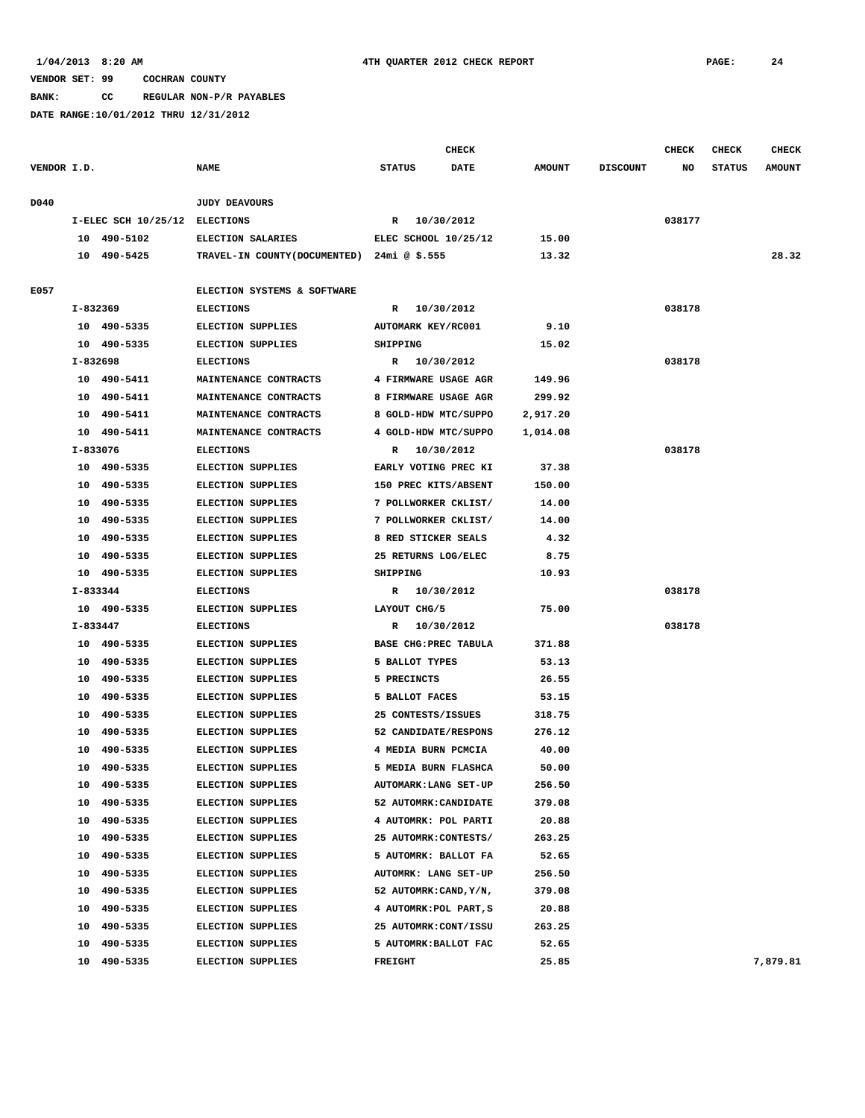**BANK: CC REGULAR NON-P/R PAYABLES**

|             |          |                               |                                            |                           | <b>CHECK</b> |               |                 | <b>CHECK</b> | CHECK         | <b>CHECK</b>  |
|-------------|----------|-------------------------------|--------------------------------------------|---------------------------|--------------|---------------|-----------------|--------------|---------------|---------------|
| VENDOR I.D. |          |                               | <b>NAME</b>                                | <b>STATUS</b>             | DATE         | <b>AMOUNT</b> | <b>DISCOUNT</b> | NO           | <b>STATUS</b> | <b>AMOUNT</b> |
| D040        |          |                               | <b>JUDY DEAVOURS</b>                       |                           |              |               |                 |              |               |               |
|             |          | I-ELEC SCH 10/25/12 ELECTIONS |                                            | R 10/30/2012              |              |               |                 | 038177       |               |               |
|             |          | 10 490-5102                   | ELECTION SALARIES                          | ELEC SCHOOL 10/25/12      |              | 15.00         |                 |              |               |               |
|             |          | 10 490-5425                   | TRAVEL-IN COUNTY(DOCUMENTED) 24mi @ \$.555 |                           |              | 13.32         |                 |              |               | 28.32         |
|             |          |                               |                                            |                           |              |               |                 |              |               |               |
| E057        |          |                               | ELECTION SYSTEMS & SOFTWARE                |                           |              |               |                 |              |               |               |
|             | I-832369 |                               | <b>ELECTIONS</b>                           | R 10/30/2012              |              |               |                 | 038178       |               |               |
|             |          | 10 490-5335                   | <b>ELECTION SUPPLIES</b>                   | <b>AUTOMARK KEY/RC001</b> |              | 9.10          |                 |              |               |               |
|             |          | 10 490-5335                   | ELECTION SUPPLIES                          | SHIPPING                  |              | 15.02         |                 |              |               |               |
|             | I-832698 |                               | <b>ELECTIONS</b>                           | R 10/30/2012              |              |               |                 | 038178       |               |               |
|             |          | 10 490-5411                   | MAINTENANCE CONTRACTS                      | 4 FIRMWARE USAGE AGR      |              | 149.96        |                 |              |               |               |
|             |          | 10 490-5411                   | MAINTENANCE CONTRACTS                      | 8 FIRMWARE USAGE AGR      |              | 299.92        |                 |              |               |               |
|             |          | 10 490-5411                   | MAINTENANCE CONTRACTS                      | 8 GOLD-HDW MTC/SUPPO      |              | 2,917.20      |                 |              |               |               |
|             |          | 10 490-5411                   | MAINTENANCE CONTRACTS                      | 4 GOLD-HDW MTC/SUPPO      |              | 1,014.08      |                 |              |               |               |
|             | I-833076 |                               | <b>ELECTIONS</b>                           | R 10/30/2012              |              |               |                 | 038178       |               |               |
|             |          | 10 490-5335                   | <b>ELECTION SUPPLIES</b>                   | EARLY VOTING PREC KI      |              | 37.38         |                 |              |               |               |
|             |          | 10 490-5335                   | ELECTION SUPPLIES                          | 150 PREC KITS/ABSENT      |              | 150.00        |                 |              |               |               |
|             |          | 10 490-5335                   | <b>ELECTION SUPPLIES</b>                   | 7 POLLWORKER CKLIST/      |              | 14.00         |                 |              |               |               |
|             |          | 10 490-5335                   | <b>ELECTION SUPPLIES</b>                   | 7 POLLWORKER CKLIST/      |              | 14.00         |                 |              |               |               |
|             | 10       | 490-5335                      | <b>ELECTION SUPPLIES</b>                   | 8 RED STICKER SEALS       |              | 4.32          |                 |              |               |               |
|             | 10       | 490-5335                      | <b>ELECTION SUPPLIES</b>                   | 25 RETURNS LOG/ELEC       |              | 8.75          |                 |              |               |               |
|             |          | 10 490-5335                   | ELECTION SUPPLIES                          | SHIPPING                  |              | 10.93         |                 |              |               |               |
|             | I-833344 |                               | <b>ELECTIONS</b>                           | R 10/30/2012              |              |               |                 | 038178       |               |               |
|             |          | 10 490-5335                   | ELECTION SUPPLIES                          | LAYOUT CHG/5              |              | 75.00         |                 |              |               |               |
|             | I-833447 |                               | <b>ELECTIONS</b>                           | R 10/30/2012              |              |               |                 | 038178       |               |               |
|             |          | 10 490-5335                   | ELECTION SUPPLIES                          | BASE CHG: PREC TABULA     |              | 371.88        |                 |              |               |               |
|             |          | 10 490-5335                   | ELECTION SUPPLIES                          | 5 BALLOT TYPES            |              | 53.13         |                 |              |               |               |
|             |          | 10 490-5335                   | <b>ELECTION SUPPLIES</b>                   | 5 PRECINCTS               |              | 26.55         |                 |              |               |               |
|             | 10       | 490-5335                      | ELECTION SUPPLIES                          | 5 BALLOT FACES            |              | 53.15         |                 |              |               |               |
|             | 10       | 490-5335                      | ELECTION SUPPLIES                          | 25 CONTESTS/ISSUES        |              | 318.75        |                 |              |               |               |
|             |          | 10 490-5335                   | ELECTION SUPPLIES                          | 52 CANDIDATE/RESPONS      |              | 276.12        |                 |              |               |               |
|             | 10       | 490-5335                      | <b>ELECTION SUPPLIES</b>                   | 4 MEDIA BURN PCMCIA       |              | 40.00         |                 |              |               |               |
|             |          | 10 490-5335                   | ELECTION SUPPLIES                          | 5 MEDIA BURN FLASHCA      |              | 50.00         |                 |              |               |               |
|             | 10       | 490-5335                      | ELECTION SUPPLIES                          | AUTOMARK: LANG SET-UP     |              | 256.50        |                 |              |               |               |
|             | 10       | 490-5335                      | <b>ELECTION SUPPLIES</b>                   | 52 AUTOMRK: CANDIDATE     |              | 379.08        |                 |              |               |               |
|             | 10       | 490-5335                      | ELECTION SUPPLIES                          | 4 AUTOMRK: POL PARTI      |              | 20.88         |                 |              |               |               |
|             | 10       | 490-5335                      | <b>ELECTION SUPPLIES</b>                   | 25 AUTOMRK: CONTESTS/     |              | 263.25        |                 |              |               |               |
|             | 10       | 490-5335                      | <b>ELECTION SUPPLIES</b>                   | 5 AUTOMRK: BALLOT FA      |              | 52.65         |                 |              |               |               |
|             | 10       | 490-5335                      | <b>ELECTION SUPPLIES</b>                   | AUTOMRK: LANG SET-UP      |              | 256.50        |                 |              |               |               |
|             | 10       | 490-5335                      | <b>ELECTION SUPPLIES</b>                   | 52 AUTOMRK: CAND, Y/N,    |              | 379.08        |                 |              |               |               |
|             | 10       | 490-5335                      | <b>ELECTION SUPPLIES</b>                   | 4 AUTOMRK: POL PART, S    |              | 20.88         |                 |              |               |               |
|             | 10       | 490-5335                      | ELECTION SUPPLIES                          | 25 AUTOMRK: CONT/ISSU     |              | 263.25        |                 |              |               |               |
|             | 10       | 490-5335                      | <b>ELECTION SUPPLIES</b>                   | 5 AUTOMRK: BALLOT FAC     |              | 52.65         |                 |              |               |               |
|             | 10       | 490-5335                      | <b>ELECTION SUPPLIES</b>                   | FREIGHT                   |              | 25.85         |                 |              |               | 7,879.81      |
|             |          |                               |                                            |                           |              |               |                 |              |               |               |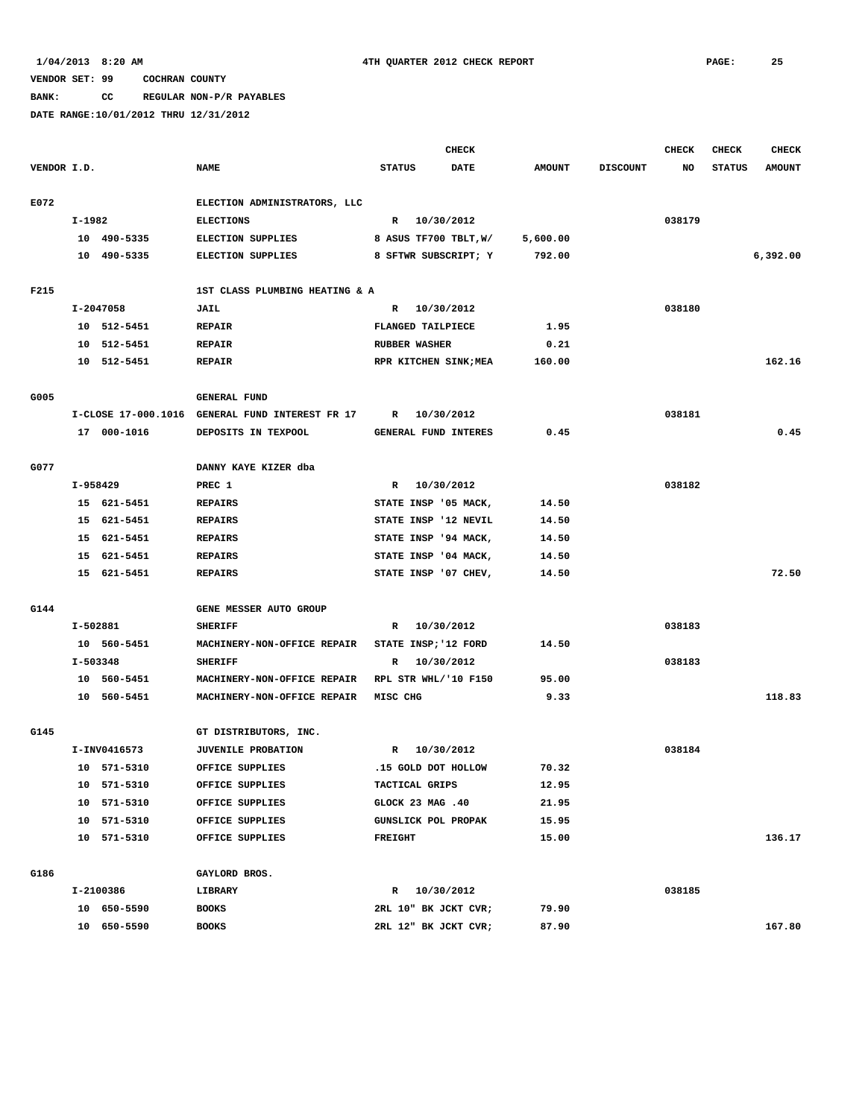### **BANK: CC REGULAR NON-P/R PAYABLES**

|             |          |              |                                                 |                | <b>CHECK</b>               |               |                 | <b>CHECK</b> | <b>CHECK</b>  | <b>CHECK</b>  |
|-------------|----------|--------------|-------------------------------------------------|----------------|----------------------------|---------------|-----------------|--------------|---------------|---------------|
| VENDOR I.D. |          |              | <b>NAME</b>                                     | <b>STATUS</b>  | <b>DATE</b>                | <b>AMOUNT</b> | <b>DISCOUNT</b> | NO           | <b>STATUS</b> | <b>AMOUNT</b> |
| E072        |          |              | ELECTION ADMINISTRATORS, LLC                    |                |                            |               |                 |              |               |               |
|             | I-1982   |              | <b>ELECTIONS</b>                                |                | R 10/30/2012               |               |                 | 038179       |               |               |
|             |          | 10 490-5335  | ELECTION SUPPLIES                               |                | 8 ASUS TF700 TBLT, W/      | 5,600.00      |                 |              |               |               |
|             |          | 10 490-5335  | ELECTION SUPPLIES                               |                | 8 SFTWR SUBSCRIPT; Y       | 792.00        |                 |              |               | 6,392.00      |
|             |          |              |                                                 |                |                            |               |                 |              |               |               |
| F215        |          |              | 1ST CLASS PLUMBING HEATING & A                  |                |                            |               |                 |              |               |               |
|             |          | I-2047058    | JAIL                                            | $\mathbb{R}$   | 10/30/2012                 |               |                 | 038180       |               |               |
|             |          | 10 512-5451  | <b>REPAIR</b>                                   |                | FLANGED TAILPIECE          | 1.95          |                 |              |               |               |
|             |          | 10 512-5451  | <b>REPAIR</b>                                   |                | <b>RUBBER WASHER</b>       | 0.21          |                 |              |               |               |
|             |          | 10 512-5451  | <b>REPAIR</b>                                   |                | RPR KITCHEN SINK; MEA      | 160.00        |                 |              |               | 162.16        |
| G005        |          |              | <b>GENERAL FUND</b>                             |                |                            |               |                 |              |               |               |
|             |          |              | I-CLOSE 17-000.1016 GENERAL FUND INTEREST FR 17 | R              | 10/30/2012                 |               |                 | 038181       |               |               |
|             |          | 17 000-1016  | DEPOSITS IN TEXPOOL                             |                | GENERAL FUND INTERES       | 0.45          |                 |              |               | 0.45          |
|             |          |              |                                                 |                |                            |               |                 |              |               |               |
| G077        |          |              | DANNY KAYE KIZER dba                            |                |                            |               |                 |              |               |               |
|             | I-958429 |              | PREC 1                                          | $\mathbb{R}$   | 10/30/2012                 |               |                 | 038182       |               |               |
|             |          | 15 621-5451  | <b>REPAIRS</b>                                  |                | STATE INSP '05 MACK,       | 14.50         |                 |              |               |               |
|             |          | 15 621-5451  | <b>REPAIRS</b>                                  |                | STATE INSP '12 NEVIL       | 14.50         |                 |              |               |               |
|             |          | 15 621-5451  | <b>REPAIRS</b>                                  |                | STATE INSP '94 MACK,       | 14.50         |                 |              |               |               |
|             |          | 15 621-5451  | <b>REPAIRS</b>                                  |                | STATE INSP '04 MACK,       | 14.50         |                 |              |               |               |
|             |          | 15 621-5451  | <b>REPAIRS</b>                                  |                | STATE INSP '07 CHEV,       | 14.50         |                 |              |               | 72.50         |
|             |          |              |                                                 |                |                            |               |                 |              |               |               |
| G144        |          |              | GENE MESSER AUTO GROUP                          |                |                            |               |                 |              |               |               |
|             | I-502881 |              | <b>SHERIFF</b>                                  | R              | 10/30/2012                 |               |                 | 038183       |               |               |
|             |          | 10 560-5451  | MACHINERY-NON-OFFICE REPAIR                     |                | STATE INSP; '12 FORD       | 14.50         |                 |              |               |               |
|             | I-503348 |              | <b>SHERIFF</b>                                  | R              | 10/30/2012                 |               |                 | 038183       |               |               |
|             |          | 10 560-5451  | MACHINERY-NON-OFFICE REPAIR                     |                | RPL STR WHL/'10 F150       | 95.00         |                 |              |               |               |
|             |          | 10 560-5451  | MACHINERY-NON-OFFICE REPAIR                     | MISC CHG       |                            | 9.33          |                 |              |               | 118.83        |
| G145        |          |              | GT DISTRIBUTORS, INC.                           |                |                            |               |                 |              |               |               |
|             |          | I-INV0416573 | <b>JUVENILE PROBATION</b>                       | $\mathbb{R}$   | 10/30/2012                 |               |                 | 038184       |               |               |
|             |          | 10 571-5310  | OFFICE SUPPLIES                                 |                | .15 GOLD DOT HOLLOW        | 70.32         |                 |              |               |               |
|             |          | 10 571-5310  | OFFICE SUPPLIES                                 |                | TACTICAL GRIPS             | 12.95         |                 |              |               |               |
|             |          | 10 571-5310  | OFFICE SUPPLIES                                 |                | GLOCK 23 MAG .40           | 21.95         |                 |              |               |               |
|             |          | 10 571-5310  | OFFICE SUPPLIES                                 |                | <b>GUNSLICK POL PROPAK</b> | 15.95         |                 |              |               |               |
|             |          | 10 571-5310  | OFFICE SUPPLIES                                 | <b>FREIGHT</b> |                            | 15.00         |                 |              |               | 136.17        |
|             |          |              |                                                 |                |                            |               |                 |              |               |               |
| G186        |          |              | GAYLORD BROS.                                   |                |                            |               |                 |              |               |               |
|             |          | I-2100386    | LIBRARY                                         |                | R 10/30/2012               |               |                 | 038185       |               |               |
|             |          | 10 650-5590  | <b>BOOKS</b>                                    |                | 2RL 10" BK JCKT CVR;       | 79.90         |                 |              |               | 167.80        |
|             |          | 10 650-5590  | <b>BOOKS</b>                                    |                | 2RL 12" BK JCKT CVR;       | 87.90         |                 |              |               |               |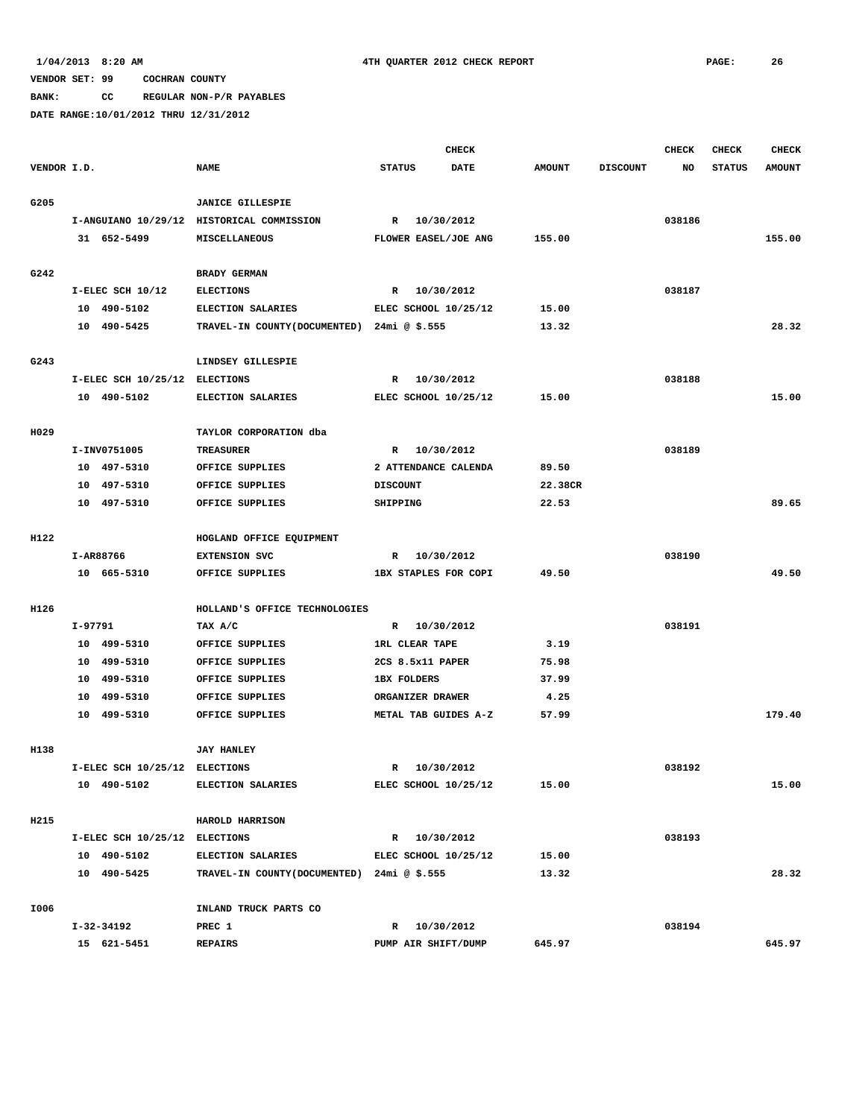**BANK: CC REGULAR NON-P/R PAYABLES**

|             |         |                               |                                             |                             | <b>CHECK</b> |               |                 | <b>CHECK</b> | <b>CHECK</b>  | <b>CHECK</b>  |
|-------------|---------|-------------------------------|---------------------------------------------|-----------------------------|--------------|---------------|-----------------|--------------|---------------|---------------|
| VENDOR I.D. |         |                               | <b>NAME</b>                                 | <b>STATUS</b>               | <b>DATE</b>  | <b>AMOUNT</b> | <b>DISCOUNT</b> | NO           | <b>STATUS</b> | <b>AMOUNT</b> |
| G205        |         |                               | <b>JANICE GILLESPIE</b>                     |                             |              |               |                 |              |               |               |
|             |         |                               | I-ANGUIANO 10/29/12 HISTORICAL COMMISSION   | R                           | 10/30/2012   |               |                 | 038186       |               |               |
|             |         | 31 652-5499                   | MISCELLANEOUS                               | FLOWER EASEL/JOE ANG        |              | 155.00        |                 |              |               | 155.00        |
|             |         |                               |                                             |                             |              |               |                 |              |               |               |
| G242        |         |                               | <b>BRADY GERMAN</b>                         |                             |              |               |                 |              |               |               |
|             |         | I-ELEC SCH 10/12              | <b>ELECTIONS</b>                            | R                           | 10/30/2012   |               |                 | 038187       |               |               |
|             |         | 10 490-5102                   | ELECTION SALARIES                           | ELEC SCHOOL 10/25/12        |              | 15.00         |                 |              |               |               |
|             |         | 10 490-5425                   | TRAVEL-IN COUNTY (DOCUMENTED) 24mi @ \$.555 |                             |              | 13.32         |                 |              |               | 28.32         |
|             |         |                               |                                             |                             |              |               |                 |              |               |               |
| G243        |         |                               | LINDSEY GILLESPIE                           |                             |              |               |                 |              |               |               |
|             |         | I-ELEC SCH 10/25/12 ELECTIONS |                                             | R                           | 10/30/2012   |               |                 | 038188       |               |               |
|             |         | 10 490-5102                   | ELECTION SALARIES                           | ELEC SCHOOL 10/25/12        |              | 15.00         |                 |              |               | 15.00         |
|             |         |                               |                                             |                             |              |               |                 |              |               |               |
| H029        |         |                               | TAYLOR CORPORATION dba                      |                             |              |               |                 |              |               |               |
|             |         | I-INV0751005                  | <b>TREASURER</b>                            | R                           | 10/30/2012   |               |                 | 038189       |               |               |
|             |         | 10 497-5310                   | OFFICE SUPPLIES                             | 2 ATTENDANCE CALENDA        |              | 89.50         |                 |              |               |               |
|             |         | 10 497-5310                   | OFFICE SUPPLIES                             | <b>DISCOUNT</b>             |              | 22.38CR       |                 |              |               |               |
|             |         | 10 497-5310                   | OFFICE SUPPLIES                             | SHIPPING                    |              | 22.53         |                 |              |               | 89.65         |
|             |         |                               |                                             |                             |              |               |                 |              |               |               |
| H122        |         |                               | HOGLAND OFFICE EQUIPMENT                    |                             |              |               |                 |              |               |               |
|             |         | I-AR88766                     | <b>EXTENSION SVC</b>                        | R                           | 10/30/2012   |               |                 | 038190       |               |               |
|             |         | 10 665-5310                   | OFFICE SUPPLIES                             | <b>1BX STAPLES FOR COPI</b> |              | 49.50         |                 |              |               | 49.50         |
|             |         |                               |                                             |                             |              |               |                 |              |               |               |
| H126        |         |                               | HOLLAND'S OFFICE TECHNOLOGIES               |                             |              |               |                 |              |               |               |
|             | I-97791 |                               | TAX A/C                                     | R                           | 10/30/2012   |               |                 | 038191       |               |               |
|             |         | 10 499-5310                   | OFFICE SUPPLIES                             | <b>1RL CLEAR TAPE</b>       |              | 3.19          |                 |              |               |               |
|             | 10      | 499-5310                      | OFFICE SUPPLIES                             | 2CS 8.5x11 PAPER            |              | 75.98         |                 |              |               |               |
|             | 10      | 499-5310                      | OFFICE SUPPLIES                             | <b>1BX FOLDERS</b>          |              | 37.99         |                 |              |               |               |
|             | 10      | 499-5310                      | OFFICE SUPPLIES                             | ORGANIZER DRAWER            |              | 4.25          |                 |              |               |               |
|             |         | 10 499-5310                   | OFFICE SUPPLIES                             | METAL TAB GUIDES A-Z        |              | 57.99         |                 |              |               | 179.40        |
|             |         |                               |                                             |                             |              |               |                 |              |               |               |
| H138        |         |                               | <b>JAY HANLEY</b>                           |                             |              |               |                 |              |               |               |
|             |         | I-ELEC SCH 10/25/12 ELECTIONS |                                             | R                           | 10/30/2012   |               |                 | 038192       |               |               |
|             |         | 10 490-5102                   | ELECTION SALARIES                           | ELEC SCHOOL 10/25/12        |              | 15.00         |                 |              |               | 15.00         |
|             |         |                               |                                             |                             |              |               |                 |              |               |               |
| H215        |         |                               | HAROLD HARRISON                             |                             |              |               |                 |              |               |               |
|             |         | I-ELEC SCH 10/25/12 ELECTIONS |                                             | R 10/30/2012                |              |               |                 | 038193       |               |               |
|             |         | 10 490-5102                   | <b>ELECTION SALARIES</b>                    | ELEC SCHOOL 10/25/12        |              | 15.00         |                 |              |               |               |
|             |         | 10 490-5425                   | TRAVEL-IN COUNTY(DOCUMENTED) 24mi @ \$.555  |                             |              | 13.32         |                 |              |               | 28.32         |
|             |         |                               |                                             |                             |              |               |                 |              |               |               |
| I006        |         |                               | INLAND TRUCK PARTS CO                       |                             |              |               |                 |              |               |               |
|             |         | I-32-34192                    | PREC 1                                      | R 10/30/2012                |              |               |                 | 038194       |               |               |
|             |         | 15 621-5451                   | <b>REPAIRS</b>                              | PUMP AIR SHIFT/DUMP         |              | 645.97        |                 |              |               | 645.97        |
|             |         |                               |                                             |                             |              |               |                 |              |               |               |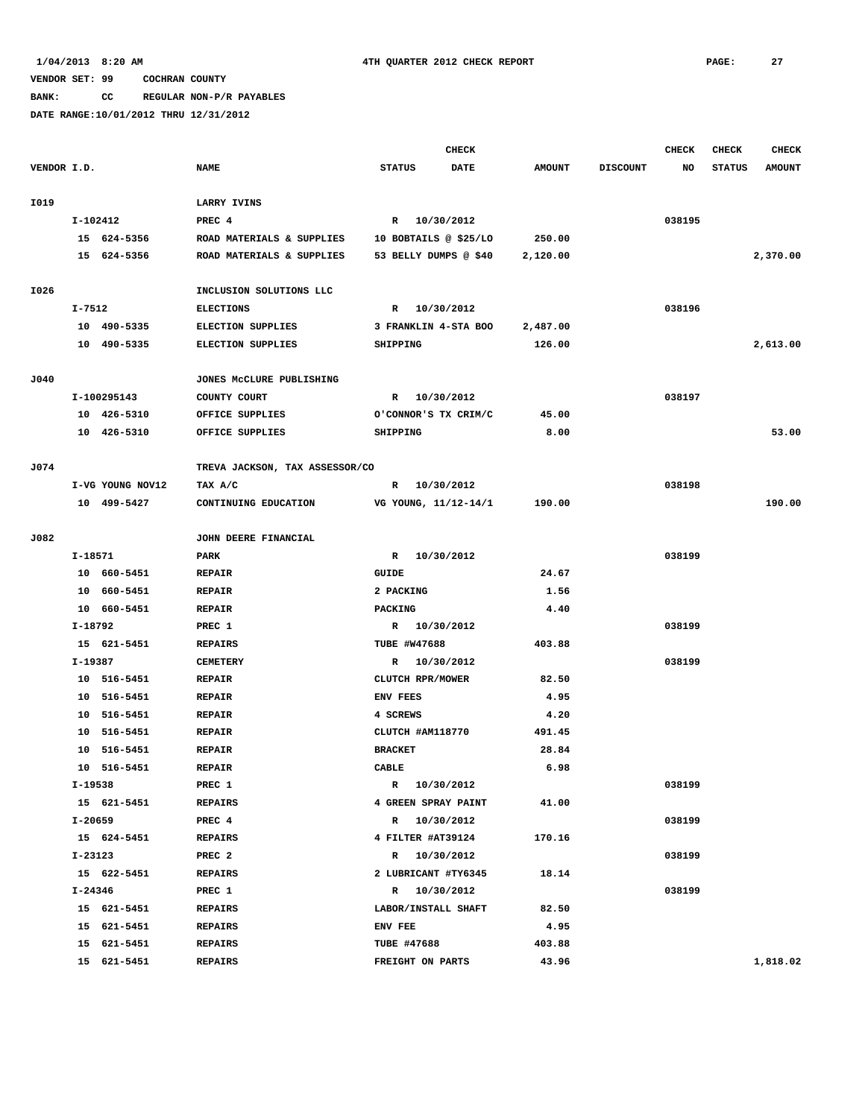**BANK: CC REGULAR NON-P/R PAYABLES**

|             |             |                  |                                |                     | <b>CHECK</b>          |               |                 | CHECK  | <b>CHECK</b>  | <b>CHECK</b>  |
|-------------|-------------|------------------|--------------------------------|---------------------|-----------------------|---------------|-----------------|--------|---------------|---------------|
| VENDOR I.D. |             |                  | <b>NAME</b>                    | <b>STATUS</b>       | <b>DATE</b>           | <b>AMOUNT</b> | <b>DISCOUNT</b> | NO     | <b>STATUS</b> | <b>AMOUNT</b> |
| I019        |             |                  | <b>LARRY IVINS</b>             |                     |                       |               |                 |        |               |               |
|             | I-102412    |                  | PREC 4                         |                     |                       |               |                 | 038195 |               |               |
|             |             | 15 624-5356      | ROAD MATERIALS & SUPPLIES      |                     | R 10/30/2012          | 250.00        |                 |        |               |               |
|             |             |                  |                                |                     | 10 BOBTAILS @ \$25/LO |               |                 |        |               |               |
|             |             | 15 624-5356      | ROAD MATERIALS & SUPPLIES      |                     | 53 BELLY DUMPS @ \$40 | 2,120.00      |                 |        |               | 2,370.00      |
| I026        |             |                  | INCLUSION SOLUTIONS LLC        |                     |                       |               |                 |        |               |               |
|             | I-7512      |                  | <b>ELECTIONS</b>               |                     | R 10/30/2012          |               |                 | 038196 |               |               |
|             |             | 10 490-5335      | <b>ELECTION SUPPLIES</b>       |                     | 3 FRANKLIN 4-STA BOO  | 2,487.00      |                 |        |               |               |
|             |             | 10 490-5335      | <b>ELECTION SUPPLIES</b>       | SHIPPING            |                       | 126.00        |                 |        |               | 2,613.00      |
|             |             |                  |                                |                     |                       |               |                 |        |               |               |
| J040        |             |                  | JONES MCCLURE PUBLISHING       |                     |                       |               |                 |        |               |               |
|             |             | I-100295143      | COUNTY COURT                   |                     | R 10/30/2012          |               |                 | 038197 |               |               |
|             |             | 10 426-5310      | OFFICE SUPPLIES                |                     | O'CONNOR'S TX CRIM/C  | 45.00         |                 |        |               |               |
|             |             | 10 426-5310      | OFFICE SUPPLIES                | SHIPPING            |                       | 8.00          |                 |        |               | 53.00         |
|             |             |                  |                                |                     |                       |               |                 |        |               |               |
| J074        |             |                  | TREVA JACKSON, TAX ASSESSOR/CO |                     | 10/30/2012            |               |                 | 038198 |               |               |
|             |             | I-VG YOUNG NOV12 | TAX A/C                        | R                   |                       | 190.00        |                 |        |               |               |
|             |             | 10 499-5427      | CONTINUING EDUCATION           |                     | VG YOUNG, 11/12-14/1  |               |                 |        |               | 190.00        |
| J082        |             |                  | JOHN DEERE FINANCIAL           |                     |                       |               |                 |        |               |               |
|             | I-18571     |                  | <b>PARK</b>                    |                     | R 10/30/2012          |               |                 | 038199 |               |               |
|             |             | 10 660-5451      | <b>REPAIR</b>                  | <b>GUIDE</b>        |                       | 24.67         |                 |        |               |               |
|             |             | 10 660-5451      | <b>REPAIR</b>                  | 2 PACKING           |                       | 1.56          |                 |        |               |               |
|             |             | 10 660-5451      | <b>REPAIR</b>                  | PACKING             |                       | 4.40          |                 |        |               |               |
|             | I-18792     |                  | PREC 1                         |                     | R 10/30/2012          |               |                 | 038199 |               |               |
|             |             | 15 621-5451      | <b>REPAIRS</b>                 | <b>TUBE #W47688</b> |                       | 403.88        |                 |        |               |               |
|             | $I-19387$   |                  | <b>CEMETERY</b>                | R                   | 10/30/2012            |               |                 | 038199 |               |               |
|             |             | 10 516-5451      | <b>REPAIR</b>                  | CLUTCH RPR/MOWER    |                       | 82.50         |                 |        |               |               |
|             |             | 10 516-5451      | <b>REPAIR</b>                  | ENV FEES            |                       | 4.95          |                 |        |               |               |
|             |             | 10 516-5451      | <b>REPAIR</b>                  | 4 SCREWS            |                       | 4.20          |                 |        |               |               |
|             |             | 10 516-5451      | <b>REPAIR</b>                  | CLUTCH #AM118770    |                       | 491.45        |                 |        |               |               |
|             |             | 10 516-5451      | <b>REPAIR</b>                  | <b>BRACKET</b>      |                       | 28.84         |                 |        |               |               |
|             |             | 10 516-5451      | <b>REPAIR</b>                  | CABLE               |                       | 6.98          |                 |        |               |               |
|             | I-19538     |                  | PREC 1                         |                     | R 10/30/2012          |               |                 | 038199 |               |               |
|             |             | 15 621-5451      | <b>REPAIRS</b>                 |                     | 4 GREEN SPRAY PAINT   | 41.00         |                 |        |               |               |
|             | I-20659     |                  | PREC 4                         |                     | R 10/30/2012          |               |                 | 038199 |               |               |
|             |             | 15 624-5451      | <b>REPAIRS</b>                 |                     | 4 FILTER #AT39124     | 170.16        |                 |        |               |               |
|             | $I - 23123$ |                  | PREC <sub>2</sub>              |                     | R 10/30/2012          |               |                 | 038199 |               |               |
|             |             | 15 622-5451      | <b>REPAIRS</b>                 |                     | 2 LUBRICANT #TY6345   | 18.14         |                 |        |               |               |
|             | I-24346     |                  | PREC 1                         |                     | R 10/30/2012          |               |                 | 038199 |               |               |
|             |             | 15 621-5451      | <b>REPAIRS</b>                 |                     | LABOR/INSTALL SHAFT   | 82.50         |                 |        |               |               |
|             |             | 15 621-5451      | <b>REPAIRS</b>                 | ENV FEE             |                       | 4.95          |                 |        |               |               |
|             |             | 15 621-5451      | <b>REPAIRS</b>                 | <b>TUBE #47688</b>  |                       | 403.88        |                 |        |               |               |
|             |             | 15 621-5451      | <b>REPAIRS</b>                 |                     | FREIGHT ON PARTS      | 43.96         |                 |        |               | 1,818.02      |
|             |             |                  |                                |                     |                       |               |                 |        |               |               |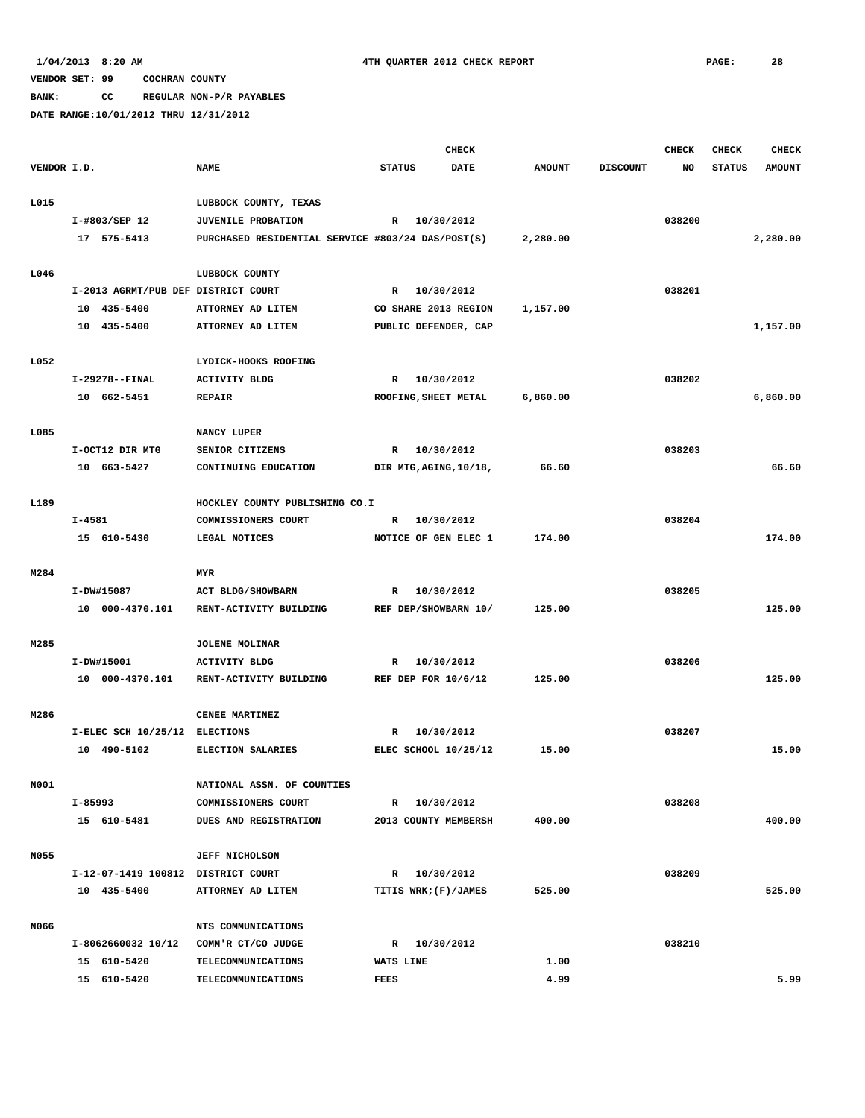**BANK: CC REGULAR NON-P/R PAYABLES**

|             |         |                                     |                                                   |                   |              | <b>CHECK</b>           |               |                 | <b>CHECK</b> | <b>CHECK</b>  | <b>CHECK</b>  |
|-------------|---------|-------------------------------------|---------------------------------------------------|-------------------|--------------|------------------------|---------------|-----------------|--------------|---------------|---------------|
| VENDOR I.D. |         |                                     | <b>NAME</b>                                       | <b>STATUS</b>     |              | <b>DATE</b>            | <b>AMOUNT</b> | <b>DISCOUNT</b> | NO           | <b>STATUS</b> | <b>AMOUNT</b> |
|             |         |                                     |                                                   |                   |              |                        |               |                 |              |               |               |
| L015        |         |                                     | LUBBOCK COUNTY, TEXAS                             |                   |              |                        |               |                 |              |               |               |
|             |         | I-#803/SEP 12                       | <b>JUVENILE PROBATION</b>                         |                   | R 10/30/2012 |                        |               |                 | 038200       |               |               |
|             |         | 17 575-5413                         | PURCHASED RESIDENTIAL SERVICE #803/24 DAS/POST(S) |                   |              |                        | 2,280.00      |                 |              |               | 2,280.00      |
| L046        |         |                                     | LUBBOCK COUNTY                                    |                   |              |                        |               |                 |              |               |               |
|             |         | I-2013 AGRMT/PUB DEF DISTRICT COURT |                                                   |                   | R 10/30/2012 |                        |               |                 | 038201       |               |               |
|             |         | 10 435-5400                         | ATTORNEY AD LITEM                                 |                   |              | CO SHARE 2013 REGION   | 1,157.00      |                 |              |               |               |
|             |         | 10 435-5400                         | ATTORNEY AD LITEM                                 |                   |              | PUBLIC DEFENDER, CAP   |               |                 |              |               | 1,157.00      |
| L052        |         |                                     | LYDICK-HOOKS ROOFING                              |                   |              |                        |               |                 |              |               |               |
|             |         | I-29278--FINAL                      | <b>ACTIVITY BLDG</b>                              | R                 | 10/30/2012   |                        |               |                 | 038202       |               |               |
|             |         | 10 662-5451                         | <b>REPAIR</b>                                     |                   |              | ROOFING, SHEET METAL   | 6,860.00      |                 |              |               | 6,860.00      |
|             |         |                                     |                                                   |                   |              |                        |               |                 |              |               |               |
| L085        |         |                                     | NANCY LUPER                                       |                   |              |                        |               |                 |              |               |               |
|             |         | I-OCT12 DIR MTG                     | SENIOR CITIZENS                                   | R                 | 10/30/2012   |                        |               |                 | 038203       |               |               |
|             |         | 10 663-5427                         | CONTINUING EDUCATION                              |                   |              | DIR MTG, AGING, 10/18, | 66.60         |                 |              |               | 66.60         |
| L189        |         |                                     | HOCKLEY COUNTY PUBLISHING CO.I                    |                   |              |                        |               |                 |              |               |               |
|             | I-4581  |                                     | COMMISSIONERS COURT                               | R                 | 10/30/2012   |                        |               |                 | 038204       |               |               |
|             |         | 15 610-5430                         | LEGAL NOTICES                                     |                   |              | NOTICE OF GEN ELEC 1   | 174.00        |                 |              |               | 174.00        |
|             |         |                                     |                                                   |                   |              |                        |               |                 |              |               |               |
| M284        |         |                                     | <b>MYR</b>                                        |                   |              |                        |               |                 |              |               |               |
|             |         | I-DW#15087                          | ACT BLDG/SHOWBARN                                 | R                 | 10/30/2012   |                        |               |                 | 038205       |               |               |
|             |         | 10 000-4370.101                     | RENT-ACTIVITY BUILDING                            |                   |              | REF DEP/SHOWBARN 10/   | 125.00        |                 |              |               | 125.00        |
| M285        |         |                                     | <b>JOLENE MOLINAR</b>                             |                   |              |                        |               |                 |              |               |               |
|             |         | I-DW#15001                          | <b>ACTIVITY BLDG</b>                              | R                 | 10/30/2012   |                        |               |                 | 038206       |               |               |
|             |         | 10 000-4370.101                     | RENT-ACTIVITY BUILDING                            |                   |              | REF DEP FOR 10/6/12    | 125.00        |                 |              |               | 125.00        |
| M286        |         |                                     | CENEE MARTINEZ                                    |                   |              |                        |               |                 |              |               |               |
|             |         | I-ELEC SCH 10/25/12 ELECTIONS       |                                                   | R                 | 10/30/2012   |                        |               |                 | 038207       |               |               |
|             |         | 10 490-5102                         | ELECTION SALARIES                                 |                   |              | ELEC SCHOOL 10/25/12   | 15.00         |                 |              |               | 15.00         |
|             |         |                                     |                                                   |                   |              |                        |               |                 |              |               |               |
| N001        |         |                                     | NATIONAL ASSN. OF COUNTIES                        |                   |              |                        |               |                 |              |               |               |
|             | I-85993 |                                     | COMMISSIONERS COURT                               |                   | R 10/30/2012 |                        |               |                 | 038208       |               |               |
|             |         | 15 610-5481                         | DUES AND REGISTRATION                             |                   |              | 2013 COUNTY MEMBERSH   | 400.00        |                 |              |               | 400.00        |
| N055        |         |                                     | <b>JEFF NICHOLSON</b>                             |                   |              |                        |               |                 |              |               |               |
|             |         | I-12-07-1419 100812 DISTRICT COURT  |                                                   |                   | R 10/30/2012 |                        |               |                 | 038209       |               |               |
|             |         | 10 435-5400                         | ATTORNEY AD LITEM                                 |                   |              | TITIS WRK; (F)/JAMES   | 525.00        |                 |              |               | 525.00        |
| N066        |         |                                     | NTS COMMUNICATIONS                                |                   |              |                        |               |                 |              |               |               |
|             |         | I-8062660032 10/12                  | COMM'R CT/CO JUDGE                                |                   | R 10/30/2012 |                        |               |                 | 038210       |               |               |
|             |         | 15 610-5420                         |                                                   |                   |              |                        | 1.00          |                 |              |               |               |
|             |         | 15 610-5420                         | TELECOMMUNICATIONS<br><b>TELECOMMUNICATIONS</b>   | WATS LINE<br>FEES |              |                        | 4.99          |                 |              |               | 5.99          |
|             |         |                                     |                                                   |                   |              |                        |               |                 |              |               |               |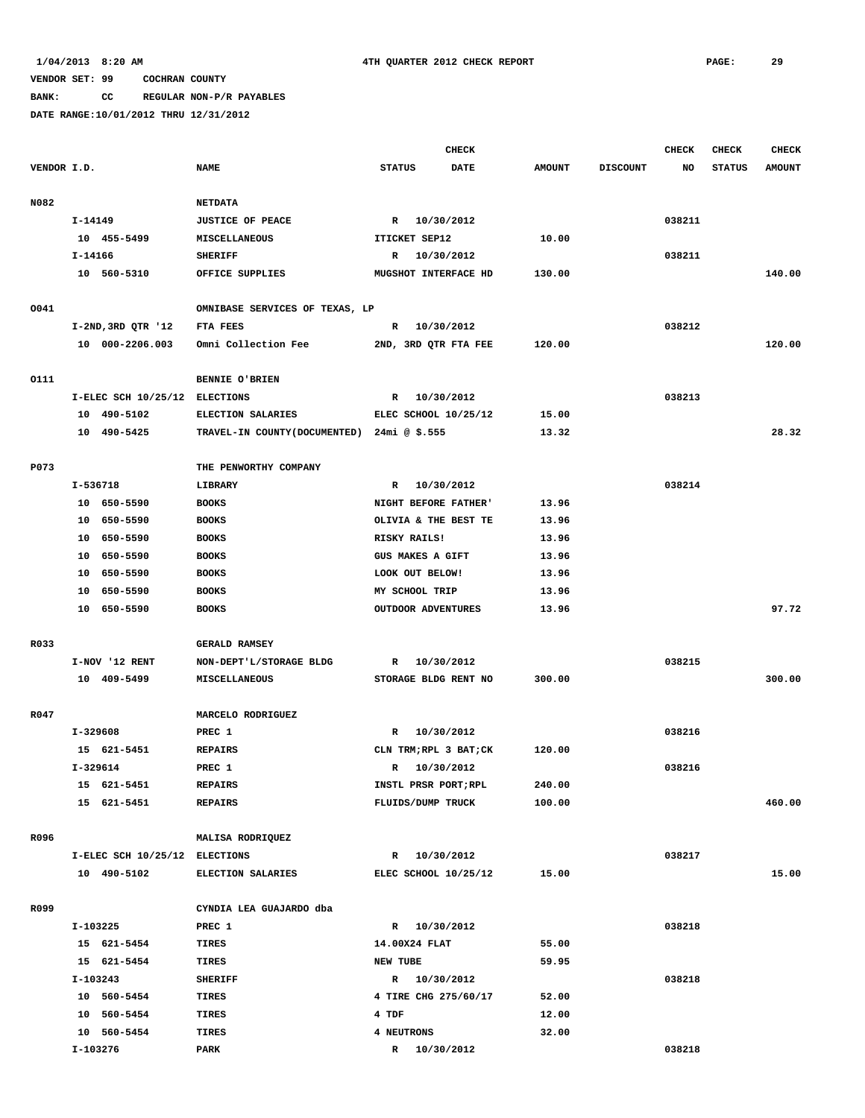**BANK: CC REGULAR NON-P/R PAYABLES**

|             |           |                               |                                             |                         | <b>CHECK</b> |               |                 | <b>CHECK</b> | <b>CHECK</b>  | <b>CHECK</b>  |
|-------------|-----------|-------------------------------|---------------------------------------------|-------------------------|--------------|---------------|-----------------|--------------|---------------|---------------|
| VENDOR I.D. |           |                               | <b>NAME</b>                                 | <b>STATUS</b>           | <b>DATE</b>  | <b>AMOUNT</b> | <b>DISCOUNT</b> | NO           | <b>STATUS</b> | <b>AMOUNT</b> |
|             |           |                               |                                             |                         |              |               |                 |              |               |               |
| N082        |           |                               | <b>NETDATA</b>                              |                         |              |               |                 |              |               |               |
|             | I-14149   |                               | <b>JUSTICE OF PEACE</b>                     | R 10/30/2012            |              |               |                 | 038211       |               |               |
|             |           | 10 455-5499                   | <b>MISCELLANEOUS</b>                        | ITICKET SEP12           |              | 10.00         |                 |              |               |               |
|             | $I-14166$ |                               | <b>SHERIFF</b>                              | R                       | 10/30/2012   |               |                 | 038211       |               |               |
|             |           | 10 560-5310                   | OFFICE SUPPLIES                             | MUGSHOT INTERFACE HD    |              | 130.00        |                 |              |               | 140.00        |
|             |           |                               |                                             |                         |              |               |                 |              |               |               |
| 0041        |           |                               | OMNIBASE SERVICES OF TEXAS, LP              |                         |              |               |                 |              |               |               |
|             |           | $I-2ND, 3RD QTR '12$          | FTA FEES                                    | R                       | 10/30/2012   |               |                 | 038212       |               |               |
|             |           | 10 000-2206.003               | Omni Collection Fee                         | 2ND, 3RD QTR FTA FEE    |              | 120.00        |                 |              |               | 120.00        |
|             |           |                               |                                             |                         |              |               |                 |              |               |               |
| 0111        |           |                               | BENNIE O'BRIEN                              |                         |              |               |                 |              |               |               |
|             |           | I-ELEC SCH 10/25/12 ELECTIONS |                                             | R                       | 10/30/2012   |               |                 | 038213       |               |               |
|             |           | 10 490-5102                   | ELECTION SALARIES                           | ELEC SCHOOL 10/25/12    |              | 15.00         |                 |              |               |               |
|             |           | 10 490-5425                   | TRAVEL-IN COUNTY (DOCUMENTED) 24mi @ \$.555 |                         |              | 13.32         |                 |              |               | 28.32         |
|             |           |                               |                                             |                         |              |               |                 |              |               |               |
| P073        |           |                               | THE PENWORTHY COMPANY                       |                         |              |               |                 |              |               |               |
|             | I-536718  |                               | LIBRARY                                     | R 10/30/2012            |              |               |                 | 038214       |               |               |
|             |           | 10 650-5590                   | <b>BOOKS</b>                                | NIGHT BEFORE FATHER'    |              | 13.96         |                 |              |               |               |
|             |           | 10 650-5590                   | <b>BOOKS</b>                                | OLIVIA & THE BEST TE    |              | 13.96         |                 |              |               |               |
|             |           | 10 650-5590                   | <b>BOOKS</b>                                | RISKY RAILS!            |              | 13.96         |                 |              |               |               |
|             |           | 10 650-5590                   | <b>BOOKS</b>                                | <b>GUS MAKES A GIFT</b> |              | 13.96         |                 |              |               |               |
|             |           | 10 650-5590                   | <b>BOOKS</b>                                | LOOK OUT BELOW!         |              | 13.96         |                 |              |               |               |
|             |           | 10 650-5590                   | <b>BOOKS</b>                                | MY SCHOOL TRIP          |              | 13.96         |                 |              |               |               |
|             |           | 10 650-5590                   | <b>BOOKS</b>                                | OUTDOOR ADVENTURES      |              | 13.96         |                 |              |               | 97.72         |
|             |           |                               |                                             |                         |              |               |                 |              |               |               |
| R033        |           |                               | <b>GERALD RAMSEY</b>                        |                         |              |               |                 |              |               |               |
|             |           | I-NOV '12 RENT                | NON-DEPT'L/STORAGE BLDG                     | R                       | 10/30/2012   |               |                 | 038215       |               |               |
|             |           | 10 409-5499                   | MISCELLANEOUS                               | STORAGE BLDG RENT NO    |              | 300.00        |                 |              |               | 300.00        |
|             |           |                               |                                             |                         |              |               |                 |              |               |               |
| R047        |           |                               | MARCELO RODRIGUEZ                           |                         |              |               |                 |              |               |               |
|             | I-329608  |                               | PREC 1                                      | R                       | 10/30/2012   |               |                 | 038216       |               |               |
|             |           | 15 621-5451                   | <b>REPAIRS</b>                              | CLN TRM; RPL 3 BAT; CK  |              | 120.00        |                 |              |               |               |
|             | I-329614  |                               | PREC 1                                      | R                       | 10/30/2012   |               |                 | 038216       |               |               |
|             |           | 15 621-5451                   | <b>REPAIRS</b>                              | INSTL PRSR PORT;RPL     |              | 240.00        |                 |              |               |               |
|             |           | 15 621-5451                   | <b>REPAIRS</b>                              | FLUIDS/DUMP TRUCK       |              | 100.00        |                 |              |               | 460.00        |
| R096        |           |                               | MALISA RODRIQUEZ                            |                         |              |               |                 |              |               |               |
|             |           | I-ELEC SCH 10/25/12 ELECTIONS |                                             | R 10/30/2012            |              |               |                 | 038217       |               |               |
|             |           | 10 490-5102                   | <b>ELECTION SALARIES</b>                    | ELEC SCHOOL 10/25/12    |              | 15.00         |                 |              |               | 15.00         |
|             |           |                               |                                             |                         |              |               |                 |              |               |               |
| R099        |           |                               | CYNDIA LEA GUAJARDO dba                     |                         |              |               |                 |              |               |               |
|             | I-103225  |                               | PREC 1                                      | R 10/30/2012            |              |               |                 | 038218       |               |               |
|             |           | 15 621-5454                   | TIRES                                       | 14.00X24 FLAT           |              | 55.00         |                 |              |               |               |
|             |           | 15 621-5454                   | TIRES                                       | NEW TUBE                |              | 59.95         |                 |              |               |               |
|             | I-103243  |                               | <b>SHERIFF</b>                              | R 10/30/2012            |              |               |                 | 038218       |               |               |
|             |           | 10 560-5454                   | TIRES                                       | 4 TIRE CHG 275/60/17    |              | 52.00         |                 |              |               |               |
|             |           | 10 560-5454                   | TIRES                                       | 4 TDF                   |              | 12.00         |                 |              |               |               |
|             |           | 10 560-5454                   | <b>TIRES</b>                                | 4 NEUTRONS              |              | 32.00         |                 |              |               |               |
|             | I-103276  |                               | PARK                                        | R 10/30/2012            |              |               |                 | 038218       |               |               |
|             |           |                               |                                             |                         |              |               |                 |              |               |               |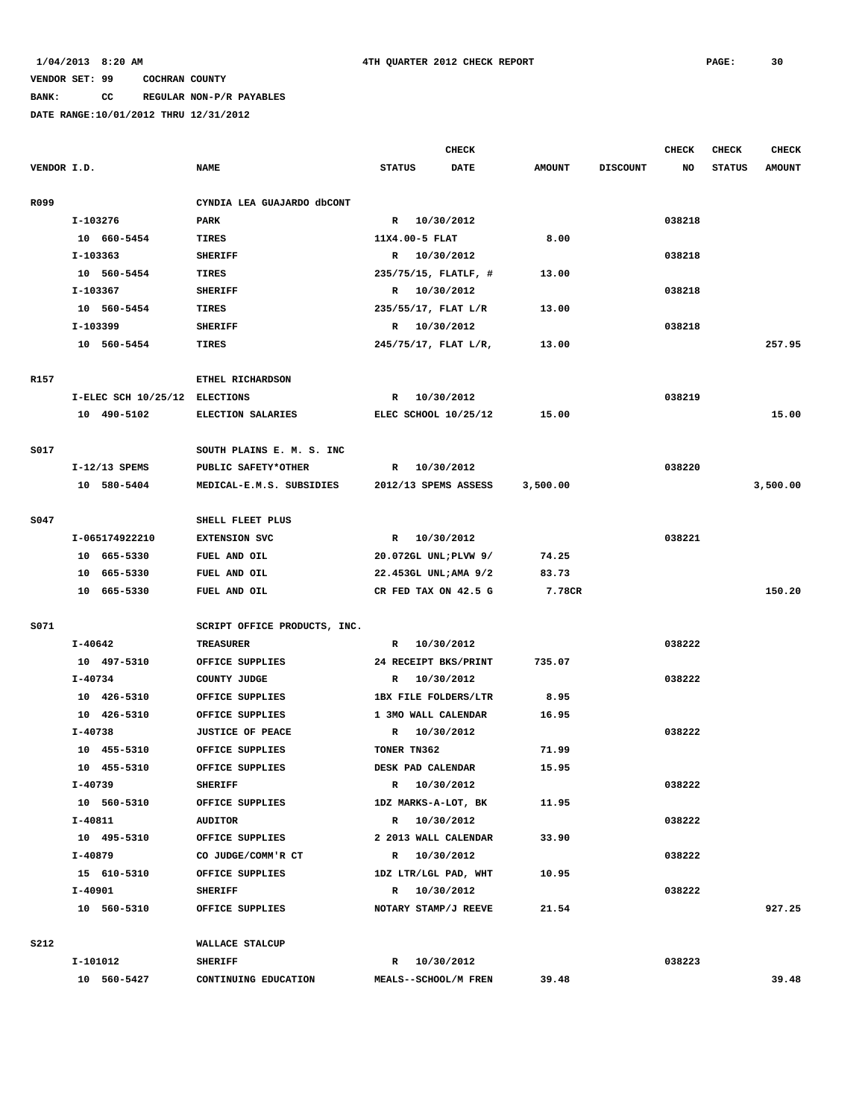# **BANK: CC REGULAR NON-P/R PAYABLES**

|             |             |                               |                              |                | <b>CHECK</b>          |               |                 | <b>CHECK</b> | <b>CHECK</b>  | <b>CHECK</b>  |
|-------------|-------------|-------------------------------|------------------------------|----------------|-----------------------|---------------|-----------------|--------------|---------------|---------------|
| VENDOR I.D. |             |                               | <b>NAME</b>                  | <b>STATUS</b>  | <b>DATE</b>           | <b>AMOUNT</b> | <b>DISCOUNT</b> | NO           | <b>STATUS</b> | <b>AMOUNT</b> |
|             |             |                               |                              |                |                       |               |                 |              |               |               |
| R099        |             |                               | CYNDIA LEA GUAJARDO dbCONT   |                |                       |               |                 |              |               |               |
|             | I-103276    |                               | PARK                         |                | R 10/30/2012          |               |                 | 038218       |               |               |
|             |             | 10 660-5454                   | TIRES                        | 11X4.00-5 FLAT |                       | 8.00          |                 |              |               |               |
|             | I-103363    |                               | <b>SHERIFF</b>               |                | R 10/30/2012          |               |                 | 038218       |               |               |
|             |             | 10 560-5454                   | <b>TIRES</b>                 |                | 235/75/15, FLATLF, #  | 13.00         |                 |              |               |               |
|             | I-103367    |                               | <b>SHERIFF</b>               |                | R 10/30/2012          |               |                 | 038218       |               |               |
|             |             | 10 560-5454                   | TIRES                        |                | 235/55/17, FLAT L/R   | 13.00         |                 |              |               |               |
|             | I-103399    |                               | <b>SHERIFF</b>               |                | R 10/30/2012          |               |                 | 038218       |               |               |
|             |             | 10 560-5454                   | TIRES                        |                | 245/75/17, FLAT L/R,  | 13.00         |                 |              |               | 257.95        |
|             |             |                               |                              |                |                       |               |                 |              |               |               |
| R157        |             |                               | ETHEL RICHARDSON             |                |                       |               |                 |              |               |               |
|             |             | I-ELEC SCH 10/25/12 ELECTIONS |                              | R              | 10/30/2012            |               |                 | 038219       |               |               |
|             |             | 10 490-5102                   | ELECTION SALARIES            |                | ELEC SCHOOL 10/25/12  | 15.00         |                 |              |               | 15.00         |
|             |             |                               |                              |                |                       |               |                 |              |               |               |
| S017        |             |                               | SOUTH PLAINS E. M. S. INC    |                |                       |               |                 |              |               |               |
|             |             | $I-12/13$ SPEMS               | PUBLIC SAFETY*OTHER          | R              | 10/30/2012            |               |                 | 038220       |               |               |
|             |             | 10 580-5404                   | MEDICAL-E.M.S. SUBSIDIES     |                | 2012/13 SPEMS ASSESS  | 3,500.00      |                 |              |               | 3,500.00      |
|             |             |                               |                              |                |                       |               |                 |              |               |               |
| S047        |             |                               | SHELL FLEET PLUS             |                |                       |               |                 |              |               |               |
|             |             | I-065174922210                | <b>EXTENSION SVC</b>         |                | R 10/30/2012          |               |                 | 038221       |               |               |
|             |             | 10 665-5330                   | FUEL AND OIL                 |                | 20.072GL UNL; PLVW 9/ | 74.25         |                 |              |               |               |
|             |             | 10 665-5330                   | FUEL AND OIL                 |                | 22.453GL UNL; AMA 9/2 | 83.73         |                 |              |               |               |
|             |             | 10 665-5330                   | FUEL AND OIL                 |                | CR FED TAX ON 42.5 G  | 7.78CR        |                 |              |               | 150.20        |
|             |             |                               |                              |                |                       |               |                 |              |               |               |
| S071        |             |                               | SCRIPT OFFICE PRODUCTS, INC. |                |                       |               |                 |              |               |               |
|             | I-40642     |                               | <b>TREASURER</b>             |                | R 10/30/2012          |               |                 | 038222       |               |               |
|             |             | 10 497-5310                   | OFFICE SUPPLIES              |                | 24 RECEIPT BKS/PRINT  | 735.07        |                 |              |               |               |
|             | I-40734     |                               | COUNTY JUDGE                 | R              | 10/30/2012            |               |                 | 038222       |               |               |
|             |             | 10 426-5310                   | OFFICE SUPPLIES              |                | 1BX FILE FOLDERS/LTR  | 8.95          |                 |              |               |               |
|             |             | 10 426-5310                   | OFFICE SUPPLIES              |                | 1 3MO WALL CALENDAR   | 16.95         |                 |              |               |               |
|             | $I - 40738$ |                               | <b>JUSTICE OF PEACE</b>      |                | R 10/30/2012          |               |                 | 038222       |               |               |
|             |             | 10 455-5310                   | OFFICE SUPPLIES              | TONER TN362    |                       | 71.99         |                 |              |               |               |
|             |             | 10 455-5310                   | OFFICE SUPPLIES              |                | DESK PAD CALENDAR     | 15.95         |                 |              |               |               |
|             | I-40739     |                               | <b>SHERIFF</b>               |                | R 10/30/2012          |               |                 | 038222       |               |               |
|             |             | 10 560-5310                   | OFFICE SUPPLIES              |                | 1DZ MARKS-A-LOT, BK   | 11.95         |                 |              |               |               |
|             | I-40811     |                               | AUDITOR                      |                | R 10/30/2012          |               |                 | 038222       |               |               |
|             |             | 10 495-5310                   | OFFICE SUPPLIES              |                | 2 2013 WALL CALENDAR  | 33.90         |                 |              |               |               |
|             | I-40879     |                               | CO JUDGE/COMM'R CT           |                | R 10/30/2012          |               |                 | 038222       |               |               |
|             |             | 15 610-5310                   | OFFICE SUPPLIES              |                | 1DZ LTR/LGL PAD, WHT  | 10.95         |                 |              |               |               |
|             | $I-40901$   |                               | <b>SHERIFF</b>               |                | R 10/30/2012          |               |                 | 038222       |               |               |
|             |             | 10 560-5310                   | OFFICE SUPPLIES              |                | NOTARY STAMP/J REEVE  | 21.54         |                 |              |               | 927.25        |
|             |             |                               |                              |                |                       |               |                 |              |               |               |
| S212        |             |                               | WALLACE STALCUP              |                |                       |               |                 |              |               |               |
|             | I-101012    |                               | <b>SHERIFF</b>               |                | R 10/30/2012          |               |                 | 038223       |               |               |
|             |             | 10 560-5427                   | CONTINUING EDUCATION         |                | MEALS--SCHOOL/M FREN  | 39.48         |                 |              |               | 39.48         |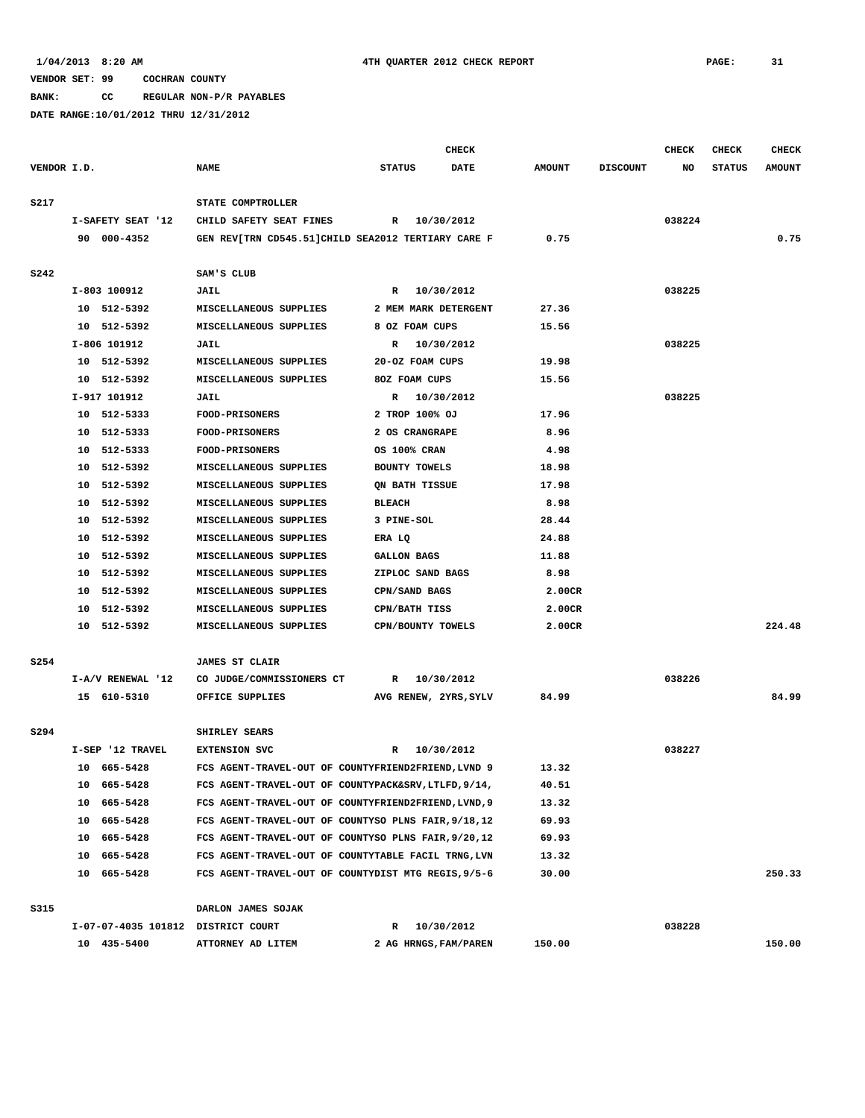**BANK: CC REGULAR NON-P/R PAYABLES**

|             |                                    |                                                      | <b>CHECK</b>                 |               |                 | CHECK  | <b>CHECK</b>  | <b>CHECK</b>  |
|-------------|------------------------------------|------------------------------------------------------|------------------------------|---------------|-----------------|--------|---------------|---------------|
| VENDOR I.D. |                                    | <b>NAME</b>                                          | <b>STATUS</b><br><b>DATE</b> | <b>AMOUNT</b> | <b>DISCOUNT</b> | NO     | <b>STATUS</b> | <b>AMOUNT</b> |
| S217        |                                    | STATE COMPTROLLER                                    |                              |               |                 |        |               |               |
|             | I-SAFETY SEAT '12                  | CHILD SAFETY SEAT FINES                              | R 10/30/2012                 |               |                 | 038224 |               |               |
|             | 90 000-4352                        | GEN REV[TRN CD545.51]CHILD SEA2012 TERTIARY CARE F   |                              | 0.75          |                 |        |               | 0.75          |
|             |                                    |                                                      |                              |               |                 |        |               |               |
| <b>S242</b> |                                    | SAM'S CLUB                                           |                              |               |                 |        |               |               |
|             | I-803 100912                       | <b>JAIL</b>                                          | R 10/30/2012                 |               |                 | 038225 |               |               |
|             | 10 512-5392                        | MISCELLANEOUS SUPPLIES                               | 2 MEM MARK DETERGENT         | 27.36         |                 |        |               |               |
|             | 10 512-5392                        | MISCELLANEOUS SUPPLIES                               | 8 OZ FOAM CUPS               | 15.56         |                 |        |               |               |
|             | I-806 101912                       | <b>JAIL</b>                                          | 10/30/2012<br>R              |               |                 | 038225 |               |               |
|             | 10 512-5392                        | MISCELLANEOUS SUPPLIES                               | 20-OZ FOAM CUPS              | 19.98         |                 |        |               |               |
|             | 10 512-5392                        | MISCELLANEOUS SUPPLIES                               | 80Z FOAM CUPS                | 15.56         |                 |        |               |               |
|             | I-917 101912                       | <b>JAIL</b>                                          | 10/30/2012<br>R              |               |                 | 038225 |               |               |
|             | 10 512-5333                        | <b>FOOD-PRISONERS</b>                                | 2 TROP 100% OJ               | 17.96         |                 |        |               |               |
|             | 10 512-5333                        | <b>FOOD-PRISONERS</b>                                | 2 OS CRANGRAPE               | 8.96          |                 |        |               |               |
|             | 10 512-5333                        | <b>FOOD-PRISONERS</b>                                | OS 100% CRAN                 | 4.98          |                 |        |               |               |
|             | 512-5392<br>10                     | MISCELLANEOUS SUPPLIES                               | BOUNTY TOWELS                | 18.98         |                 |        |               |               |
|             | 10<br>512-5392                     | MISCELLANEOUS SUPPLIES                               | QN BATH TISSUE               | 17.98         |                 |        |               |               |
|             | 10 512-5392                        | MISCELLANEOUS SUPPLIES                               | <b>BLEACH</b>                | 8.98          |                 |        |               |               |
|             | 10 512-5392                        | MISCELLANEOUS SUPPLIES                               | 3 PINE-SOL                   | 28.44         |                 |        |               |               |
|             | 10 512-5392                        | MISCELLANEOUS SUPPLIES                               | ERA LQ                       | 24.88         |                 |        |               |               |
|             | 10 512-5392                        | MISCELLANEOUS SUPPLIES                               | GALLON BAGS                  | 11.88         |                 |        |               |               |
|             | 10 512-5392                        | MISCELLANEOUS SUPPLIES                               | ZIPLOC SAND BAGS             | 8.98          |                 |        |               |               |
|             | 10 512-5392                        | MISCELLANEOUS SUPPLIES                               | CPN/SAND BAGS                | 2.00CR        |                 |        |               |               |
|             | 10 512-5392                        | MISCELLANEOUS SUPPLIES                               | CPN/BATH TISS                | 2.00CR        |                 |        |               |               |
|             | 10 512-5392                        | MISCELLANEOUS SUPPLIES                               | CPN/BOUNTY TOWELS            | 2.00CR        |                 |        |               | 224.48        |
| S254        |                                    | <b>JAMES ST CLAIR</b>                                |                              |               |                 |        |               |               |
|             | I-A/V RENEWAL '12                  | CO JUDGE/COMMISSIONERS CT                            | 10/30/2012<br>$\mathbb{R}$   |               |                 | 038226 |               |               |
|             | 15 610-5310                        | OFFICE SUPPLIES                                      | AVG RENEW, 2YRS, SYLV        | 84.99         |                 |        |               | 84.99         |
|             |                                    |                                                      |                              |               |                 |        |               |               |
| S294        |                                    | SHIRLEY SEARS                                        |                              |               |                 |        |               |               |
|             | I-SEP '12 TRAVEL                   | <b>EXTENSION SVC</b>                                 | 10/30/2012<br>$\mathbb{R}$   |               |                 | 038227 |               |               |
|             | 10 665-5428                        | FCS AGENT-TRAVEL-OUT OF COUNTYFRIEND2FRIEND, LVND 9  |                              | 13.32         |                 |        |               |               |
|             | 10 665-5428                        | FCS AGENT-TRAVEL-OUT OF COUNTYPACK&SRV, LTLFD, 9/14, |                              | 40.51         |                 |        |               |               |
|             | 10 665-5428                        | FCS AGENT-TRAVEL-OUT OF COUNTYFRIEND2FRIEND, LVND, 9 |                              | 13.32         |                 |        |               |               |
|             | 10 665-5428                        | FCS AGENT-TRAVEL-OUT OF COUNTYSO PLNS FAIR, 9/18, 12 |                              | 69.93         |                 |        |               |               |
|             | 10 665-5428                        | FCS AGENT-TRAVEL-OUT OF COUNTYSO PLNS FAIR, 9/20, 12 |                              | 69.93         |                 |        |               |               |
|             | 10 665-5428                        | FCS AGENT-TRAVEL-OUT OF COUNTYTABLE FACIL TRNG, LVN  |                              | 13.32         |                 |        |               |               |
|             | 10 665-5428                        | FCS AGENT-TRAVEL-OUT OF COUNTYDIST MTG REGIS, 9/5-6  |                              | 30.00         |                 |        |               | 250.33        |
| S315        |                                    | DARLON JAMES SOJAK                                   |                              |               |                 |        |               |               |
|             | I-07-07-4035 101812 DISTRICT COURT |                                                      | 10/30/2012<br>R              |               |                 | 038228 |               |               |
|             | 10 435-5400                        | ATTORNEY AD LITEM                                    | 2 AG HRNGS, FAM/PAREN        | 150.00        |                 |        |               | 150.00        |
|             |                                    |                                                      |                              |               |                 |        |               |               |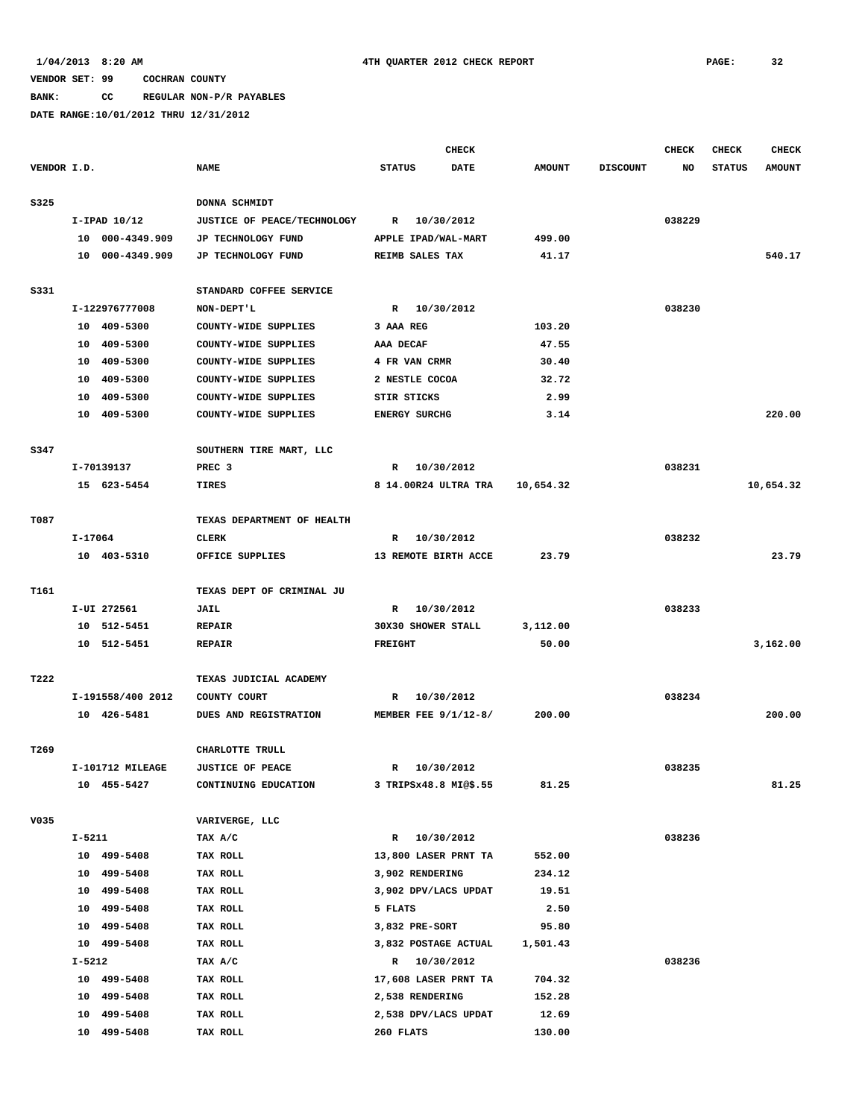**BANK: CC REGULAR NON-P/R PAYABLES**

|             |         |                   |                             |                        | <b>CHECK</b> |               |                 | <b>CHECK</b> | <b>CHECK</b>  | <b>CHECK</b>  |
|-------------|---------|-------------------|-----------------------------|------------------------|--------------|---------------|-----------------|--------------|---------------|---------------|
| VENDOR I.D. |         |                   | <b>NAME</b>                 | <b>STATUS</b>          | <b>DATE</b>  | <b>AMOUNT</b> | <b>DISCOUNT</b> | NO           | <b>STATUS</b> | <b>AMOUNT</b> |
| S325        |         |                   | DONNA SCHMIDT               |                        |              |               |                 |              |               |               |
|             |         | $I-IPAD$ $10/12$  | JUSTICE OF PEACE/TECHNOLOGY | R 10/30/2012           |              |               |                 | 038229       |               |               |
|             |         | 10 000-4349.909   | JP TECHNOLOGY FUND          | APPLE IPAD/WAL-MART    |              | 499.00        |                 |              |               |               |
|             |         | 10 000-4349.909   | JP TECHNOLOGY FUND          | REIMB SALES TAX        |              | 41.17         |                 |              |               | 540.17        |
|             |         |                   |                             |                        |              |               |                 |              |               |               |
| S331        |         |                   | STANDARD COFFEE SERVICE     |                        |              |               |                 |              |               |               |
|             |         | I-122976777008    | NON-DEPT'L                  | R 10/30/2012           |              |               |                 | 038230       |               |               |
|             |         | 10 409-5300       | COUNTY-WIDE SUPPLIES        | 3 AAA REG              |              | 103.20        |                 |              |               |               |
|             | 10      | 409-5300          | COUNTY-WIDE SUPPLIES        | AAA DECAF              |              | 47.55         |                 |              |               |               |
|             | 10      | 409-5300          | COUNTY-WIDE SUPPLIES        | 4 FR VAN CRMR          |              | 30.40         |                 |              |               |               |
|             |         | 10 409-5300       | COUNTY-WIDE SUPPLIES        | 2 NESTLE COCOA         |              | 32.72         |                 |              |               |               |
|             |         | 10 409-5300       | COUNTY-WIDE SUPPLIES        | STIR STICKS            |              | 2.99          |                 |              |               |               |
|             |         | 10 409-5300       | COUNTY-WIDE SUPPLIES        | <b>ENERGY SURCHG</b>   |              | 3.14          |                 |              |               | 220.00        |
|             |         |                   |                             |                        |              |               |                 |              |               |               |
| S347        |         |                   | SOUTHERN TIRE MART, LLC     |                        |              |               |                 |              |               |               |
|             |         | I-70139137        | PREC <sub>3</sub>           | R 10/30/2012           |              |               |                 | 038231       |               |               |
|             |         | 15 623-5454       | <b>TIRES</b>                | 8 14.00R24 ULTRA TRA   |              | 10,654.32     |                 |              |               | 10,654.32     |
|             |         |                   |                             |                        |              |               |                 |              |               |               |
| T087        |         |                   | TEXAS DEPARTMENT OF HEALTH  |                        |              |               |                 |              |               |               |
|             | I-17064 |                   | CLERK                       | R                      | 10/30/2012   |               |                 | 038232       |               |               |
|             |         | 10 403-5310       | OFFICE SUPPLIES             | 13 REMOTE BIRTH ACCE   |              | 23.79         |                 |              |               | 23.79         |
|             |         |                   |                             |                        |              |               |                 |              |               |               |
| T161        |         |                   | TEXAS DEPT OF CRIMINAL JU   |                        |              |               |                 |              |               |               |
|             |         | I-UI 272561       | <b>JAIL</b>                 | R 10/30/2012           |              |               |                 | 038233       |               |               |
|             |         | 10 512-5451       | <b>REPAIR</b>               | 30X30 SHOWER STALL     |              | 3,112.00      |                 |              |               |               |
|             |         | 10 512-5451       | <b>REPAIR</b>               | <b>FREIGHT</b>         |              | 50.00         |                 |              |               | 3,162.00      |
|             |         |                   |                             |                        |              |               |                 |              |               |               |
| T222        |         |                   | TEXAS JUDICIAL ACADEMY      |                        |              |               |                 |              |               |               |
|             |         | I-191558/400 2012 | COUNTY COURT                | R                      | 10/30/2012   |               |                 | 038234       |               |               |
|             |         | 10 426-5481       | DUES AND REGISTRATION       | MEMBER FEE $9/1/12-8/$ |              | 200.00        |                 |              |               | 200.00        |
|             |         |                   |                             |                        |              |               |                 |              |               |               |
| T269        |         |                   | CHARLOTTE TRULL             |                        |              |               |                 |              |               |               |
|             |         | I-101712 MILEAGE  | <b>JUSTICE OF PEACE</b>     | R                      | 10/30/2012   |               |                 | 038235       |               |               |
|             |         | 10 455-5427       | CONTINUING EDUCATION        | 3 TRIPSx48.8 MI@\$.55  |              | 81.25         |                 |              |               | 81.25         |
|             |         |                   |                             |                        |              |               |                 |              |               |               |
| V035        |         |                   | VARIVERGE, LLC              |                        |              |               |                 |              |               |               |
|             | I-5211  |                   | TAX A/C                     | R 10/30/2012           |              |               |                 | 038236       |               |               |
|             |         | 10 499-5408       | TAX ROLL                    | 13,800 LASER PRNT TA   |              | 552.00        |                 |              |               |               |
|             |         | 10 499-5408       | TAX ROLL                    | 3,902 RENDERING        |              | 234.12        |                 |              |               |               |
|             |         | 10 499-5408       | TAX ROLL                    | 3,902 DPV/LACS UPDAT   |              | 19.51         |                 |              |               |               |
|             |         | 10 499-5408       | TAX ROLL                    | 5 FLATS                |              | 2.50          |                 |              |               |               |
|             |         | 10 499-5408       | TAX ROLL                    | 3,832 PRE-SORT         |              | 95.80         |                 |              |               |               |
|             |         | 10 499-5408       | TAX ROLL                    | 3,832 POSTAGE ACTUAL   |              | 1,501.43      |                 |              |               |               |
|             | I-5212  |                   | TAX A/C                     | R 10/30/2012           |              |               |                 | 038236       |               |               |
|             |         | 10 499-5408       | TAX ROLL                    | 17,608 LASER PRNT TA   |              | 704.32        |                 |              |               |               |
|             |         | 10 499-5408       | TAX ROLL                    | 2,538 RENDERING        |              | 152.28        |                 |              |               |               |
|             |         | 10 499-5408       | TAX ROLL                    | 2,538 DPV/LACS UPDAT   |              | 12.69         |                 |              |               |               |
|             |         | 10 499-5408       | TAX ROLL                    | 260 FLATS              |              | 130.00        |                 |              |               |               |
|             |         |                   |                             |                        |              |               |                 |              |               |               |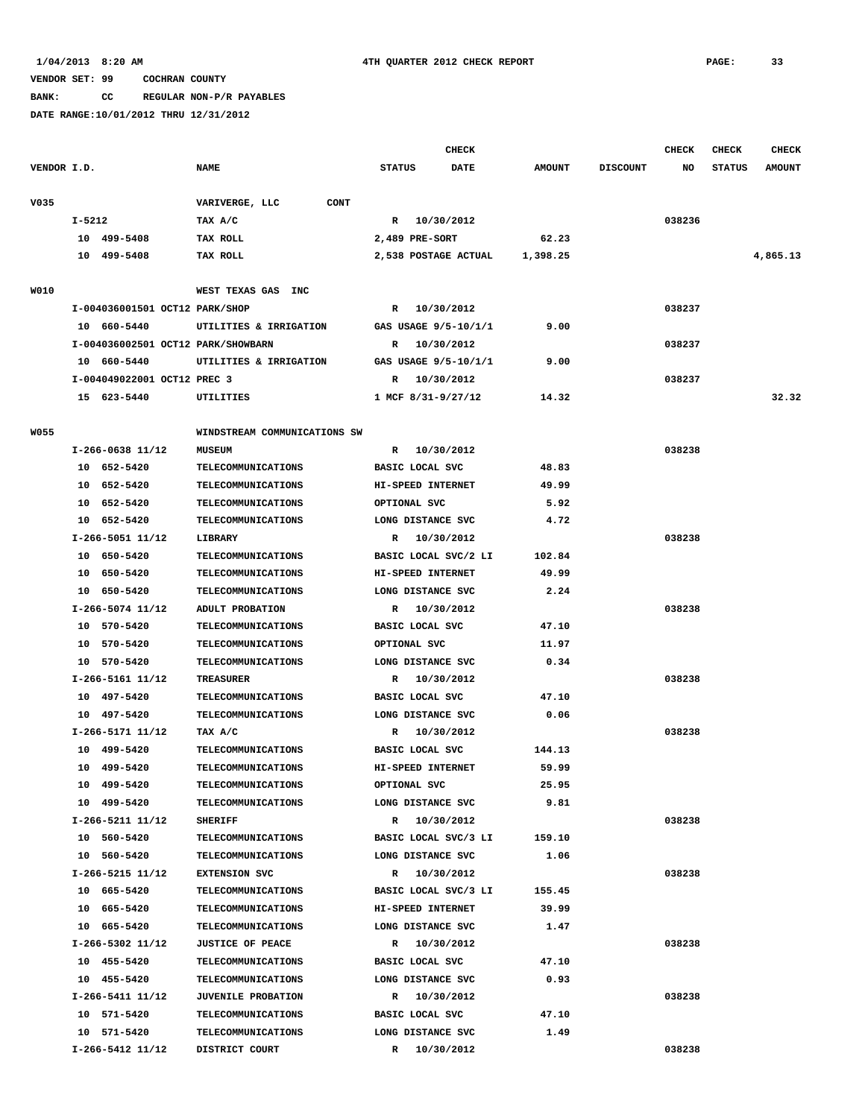**BANK: CC REGULAR NON-P/R PAYABLES**

|             |                                    |                               |                            | <b>CHECK</b> |               |                 | CHECK  | CHECK         | <b>CHECK</b>  |
|-------------|------------------------------------|-------------------------------|----------------------------|--------------|---------------|-----------------|--------|---------------|---------------|
| VENDOR I.D. |                                    | <b>NAME</b>                   | <b>STATUS</b>              | DATE         | <b>AMOUNT</b> | <b>DISCOUNT</b> | NO     | <b>STATUS</b> | <b>AMOUNT</b> |
| V035        |                                    | VARIVERGE, LLC<br><b>CONT</b> |                            |              |               |                 |        |               |               |
|             | $I - 5212$                         | TAX A/C                       | R 10/30/2012               |              |               |                 | 038236 |               |               |
|             | 10 499-5408                        | TAX ROLL                      | 2,489 PRE-SORT             |              | 62.23         |                 |        |               |               |
|             | 10 499-5408                        | TAX ROLL                      | 2,538 POSTAGE ACTUAL       |              | 1,398.25      |                 |        |               | 4,865.13      |
| W010        |                                    | WEST TEXAS GAS INC            |                            |              |               |                 |        |               |               |
|             | I-004036001501 OCT12 PARK/SHOP     |                               | R 10/30/2012               |              |               |                 | 038237 |               |               |
|             | 10 660-5440                        | UTILITIES & IRRIGATION        | GAS USAGE 9/5-10/1/1       |              | 9.00          |                 |        |               |               |
|             | I-004036002501 OCT12 PARK/SHOWBARN |                               | 10/30/2012<br>R            |              |               |                 | 038237 |               |               |
|             | 10 660-5440                        | UTILITIES & IRRIGATION        | GAS USAGE 9/5-10/1/1       |              | 9.00          |                 |        |               |               |
|             | I-004049022001 OCT12 PREC 3        |                               | R<br>10/30/2012            |              |               |                 | 038237 |               |               |
|             | 15 623-5440                        | UTILITIES                     | 1 MCF 8/31-9/27/12         |              | 14.32         |                 |        |               | 32.32         |
| <b>W055</b> |                                    | WINDSTREAM COMMUNICATIONS SW  |                            |              |               |                 |        |               |               |
|             | I-266-0638 11/12                   | <b>MUSEUM</b>                 | R 10/30/2012               |              |               |                 | 038238 |               |               |
|             | 10 652-5420                        | TELECOMMUNICATIONS            | BASIC LOCAL SVC            |              | 48.83         |                 |        |               |               |
|             | 10 652-5420                        | <b>TELECOMMUNICATIONS</b>     | HI-SPEED INTERNET          |              | 49.99         |                 |        |               |               |
|             | 10 652-5420                        | <b>TELECOMMUNICATIONS</b>     | OPTIONAL SVC               |              | 5.92          |                 |        |               |               |
|             | 10 652-5420                        | <b>TELECOMMUNICATIONS</b>     | LONG DISTANCE SVC          |              | 4.72          |                 |        |               |               |
|             | I-266-5051 11/12                   | LIBRARY                       | R 10/30/2012               |              |               |                 | 038238 |               |               |
|             | 10 650-5420                        | TELECOMMUNICATIONS            | BASIC LOCAL SVC/2 LI       |              | 102.84        |                 |        |               |               |
|             | 10 650-5420                        | TELECOMMUNICATIONS            | HI-SPEED INTERNET          |              | 49.99         |                 |        |               |               |
|             | 10 650-5420                        | <b>TELECOMMUNICATIONS</b>     | LONG DISTANCE SVC          |              | 2.24          |                 |        |               |               |
|             | I-266-5074 11/12                   | ADULT PROBATION               | R 10/30/2012               |              |               |                 | 038238 |               |               |
|             | 10 570-5420                        | TELECOMMUNICATIONS            | BASIC LOCAL SVC            |              | 47.10         |                 |        |               |               |
|             | 10 570-5420                        | TELECOMMUNICATIONS            | OPTIONAL SVC               |              | 11.97         |                 |        |               |               |
|             | 10 570-5420                        | <b>TELECOMMUNICATIONS</b>     | LONG DISTANCE SVC          |              | 0.34          |                 |        |               |               |
|             | I-266-5161 11/12                   | <b>TREASURER</b>              | R 10/30/2012               |              |               |                 | 038238 |               |               |
|             | 10 497-5420                        | <b>TELECOMMUNICATIONS</b>     | BASIC LOCAL SVC            |              | 47.10         |                 |        |               |               |
|             | 10 497-5420                        | <b>TELECOMMUNICATIONS</b>     | LONG DISTANCE SVC          |              | 0.06          |                 |        |               |               |
|             | I-266-5171 11/12                   | TAX A/C                       | 10/30/2012<br>$\mathbb{R}$ |              |               |                 | 038238 |               |               |
|             | 10 499-5420                        | <b>TELECOMMUNICATIONS</b>     | BASIC LOCAL SVC            |              | 144.13        |                 |        |               |               |
|             | 10 499-5420                        | TELECOMMUNICATIONS            | HI-SPEED INTERNET          |              | 59.99         |                 |        |               |               |
|             | 10 499-5420                        | TELECOMMUNICATIONS            | OPTIONAL SVC               |              | 25.95         |                 |        |               |               |
|             | 10 499-5420                        | <b>TELECOMMUNICATIONS</b>     | LONG DISTANCE SVC          |              | 9.81          |                 |        |               |               |
|             | I-266-5211 11/12                   | <b>SHERIFF</b>                | R 10/30/2012               |              |               |                 | 038238 |               |               |
|             | 10 560-5420                        | TELECOMMUNICATIONS            | BASIC LOCAL SVC/3 LI       |              | 159.10        |                 |        |               |               |
|             | 10 560-5420                        | <b>TELECOMMUNICATIONS</b>     | LONG DISTANCE SVC          |              | 1.06          |                 |        |               |               |
|             | $I-266-5215$ $11/12$               | <b>EXTENSION SVC</b>          | R 10/30/2012               |              |               |                 | 038238 |               |               |
|             | 10 665-5420                        | TELECOMMUNICATIONS            | BASIC LOCAL SVC/3 LI       |              | 155.45        |                 |        |               |               |
|             | 10 665-5420                        | <b>TELECOMMUNICATIONS</b>     | HI-SPEED INTERNET          |              | 39.99         |                 |        |               |               |
|             | 10 665-5420                        | <b>TELECOMMUNICATIONS</b>     | LONG DISTANCE SVC          |              | 1.47          |                 |        |               |               |
|             | $I-266-5302$ 11/12                 | <b>JUSTICE OF PEACE</b>       | R 10/30/2012               |              |               |                 | 038238 |               |               |
|             | 10 455-5420                        | <b>TELECOMMUNICATIONS</b>     | BASIC LOCAL SVC            |              | 47.10         |                 |        |               |               |
|             | 10 455-5420                        | <b>TELECOMMUNICATIONS</b>     | LONG DISTANCE SVC          |              | 0.93          |                 |        |               |               |
|             | I-266-5411 11/12                   | JUVENILE PROBATION            | R 10/30/2012               |              |               |                 | 038238 |               |               |
|             | 10 571-5420                        | <b>TELECOMMUNICATIONS</b>     | BASIC LOCAL SVC            |              | 47.10         |                 |        |               |               |
|             | 10 571-5420                        | <b>TELECOMMUNICATIONS</b>     | LONG DISTANCE SVC          |              | 1.49          |                 |        |               |               |
|             | I-266-5412 11/12                   | DISTRICT COURT                | R 10/30/2012               |              |               |                 | 038238 |               |               |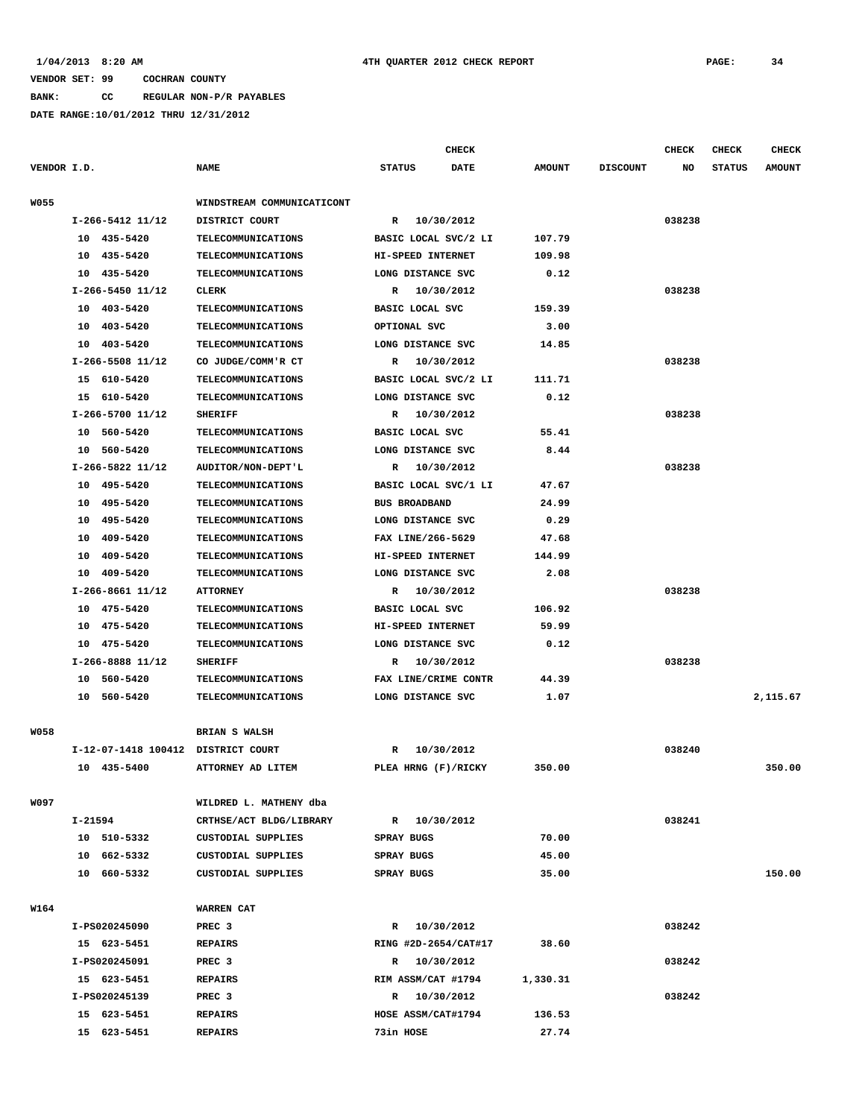**BANK: CC REGULAR NON-P/R PAYABLES**

|             |                                    |                                     | CHECK                              |               |                 | <b>CHECK</b> | CHECK         | <b>CHECK</b>  |
|-------------|------------------------------------|-------------------------------------|------------------------------------|---------------|-----------------|--------------|---------------|---------------|
| VENDOR I.D. |                                    | <b>NAME</b>                         | <b>STATUS</b><br><b>DATE</b>       | <b>AMOUNT</b> | <b>DISCOUNT</b> | NO           | <b>STATUS</b> | <b>AMOUNT</b> |
| <b>W055</b> |                                    | WINDSTREAM COMMUNICATICONT          |                                    |               |                 |              |               |               |
|             | I-266-5412 11/12                   | DISTRICT COURT                      | 10/30/2012<br>$\mathbb{R}$         |               |                 | 038238       |               |               |
|             | 10 435-5420                        | TELECOMMUNICATIONS                  | BASIC LOCAL SVC/2 LI               | 107.79        |                 |              |               |               |
|             | 10 435-5420                        | <b>TELECOMMUNICATIONS</b>           | HI-SPEED INTERNET                  | 109.98        |                 |              |               |               |
|             | 435-5420<br>10                     | <b>TELECOMMUNICATIONS</b>           | LONG DISTANCE SVC                  | 0.12          |                 |              |               |               |
|             | I-266-5450 11/12                   | <b>CLERK</b>                        | 10/30/2012<br>R                    |               |                 | 038238       |               |               |
|             | 10 403-5420                        | <b>TELECOMMUNICATIONS</b>           | BASIC LOCAL SVC                    | 159.39        |                 |              |               |               |
|             | 10 403-5420                        | TELECOMMUNICATIONS                  | OPTIONAL SVC                       | 3.00          |                 |              |               |               |
|             | 10 403-5420                        | TELECOMMUNICATIONS                  | LONG DISTANCE SVC                  | 14.85         |                 |              |               |               |
|             | I-266-5508 11/12                   | CO JUDGE/COMM'R CT                  | R<br>10/30/2012                    |               |                 | 038238       |               |               |
|             | 15 610-5420                        | TELECOMMUNICATIONS                  | BASIC LOCAL SVC/2 LI               | 111.71        |                 |              |               |               |
|             | 15 610-5420                        | TELECOMMUNICATIONS                  | LONG DISTANCE SVC                  | 0.12          |                 |              |               |               |
|             | I-266-5700 11/12                   | <b>SHERIFF</b>                      | 10/30/2012<br>R                    |               |                 | 038238       |               |               |
|             | 10 560-5420                        | <b>TELECOMMUNICATIONS</b>           | BASIC LOCAL SVC                    | 55.41         |                 |              |               |               |
|             | 10 560-5420                        | TELECOMMUNICATIONS                  | LONG DISTANCE SVC                  | 8.44          |                 |              |               |               |
|             | I-266-5822 11/12                   | AUDITOR/NON-DEPT'L                  | R<br>10/30/2012                    |               |                 | 038238       |               |               |
|             | 10 495-5420                        | <b>TELECOMMUNICATIONS</b>           | BASIC LOCAL SVC/1 LI               | 47.67         |                 |              |               |               |
|             | 10 495-5420                        | TELECOMMUNICATIONS                  | <b>BUS BROADBAND</b>               | 24.99         |                 |              |               |               |
|             | 495-5420<br>10                     | TELECOMMUNICATIONS                  | LONG DISTANCE SVC                  | 0.29          |                 |              |               |               |
|             | 409-5420<br>10                     | <b>TELECOMMUNICATIONS</b>           | FAX LINE/266-5629                  | 47.68         |                 |              |               |               |
|             | 409-5420<br>10                     | TELECOMMUNICATIONS                  | HI-SPEED INTERNET                  | 144.99        |                 |              |               |               |
|             | 409-5420<br>10                     | TELECOMMUNICATIONS                  | LONG DISTANCE SVC                  | 2.08          |                 |              |               |               |
|             | I-266-8661 11/12                   | <b>ATTORNEY</b>                     | R 10/30/2012                       |               |                 | 038238       |               |               |
|             | 10 475-5420                        | TELECOMMUNICATIONS                  | BASIC LOCAL SVC                    | 106.92        |                 |              |               |               |
|             | 10 475-5420                        | TELECOMMUNICATIONS                  | HI-SPEED INTERNET                  | 59.99         |                 |              |               |               |
|             | 10 475-5420                        | <b>TELECOMMUNICATIONS</b>           | LONG DISTANCE SVC                  | 0.12          |                 |              |               |               |
|             | I-266-8888 11/12                   | <b>SHERIFF</b>                      | 10/30/2012<br>R                    |               |                 | 038238       |               |               |
|             | 10 560-5420                        | <b>TELECOMMUNICATIONS</b>           | FAX LINE/CRIME CONTR               | 44.39         |                 |              |               |               |
|             | 10 560-5420                        | <b>TELECOMMUNICATIONS</b>           | LONG DISTANCE SVC                  | 1.07          |                 |              |               | 2,115.67      |
|             |                                    |                                     |                                    |               |                 |              |               |               |
| <b>W058</b> |                                    | <b>BRIAN S WALSH</b>                |                                    |               |                 |              |               |               |
|             | I-12-07-1418 100412 DISTRICT COURT |                                     | 10/30/2012<br>R                    |               |                 | 038240       |               |               |
|             | 10 435-5400                        | ATTORNEY AD LITEM                   | PLEA HRNG (F)/RICKY                | 350.00        |                 |              |               | 350.00        |
| W097        |                                    | WILDRED L. MATHENY dba              |                                    |               |                 |              |               |               |
|             | I-21594                            | CRTHSE/ACT BLDG/LIBRARY             | R 10/30/2012                       |               |                 | 038241       |               |               |
|             | 10 510-5332                        | CUSTODIAL SUPPLIES                  | SPRAY BUGS                         | 70.00         |                 |              |               |               |
|             | 10 662-5332                        | <b>CUSTODIAL SUPPLIES</b>           | <b>SPRAY BUGS</b>                  | 45.00         |                 |              |               |               |
|             | 10 660-5332                        | CUSTODIAL SUPPLIES                  | SPRAY BUGS                         | 35.00         |                 |              |               | 150.00        |
|             |                                    |                                     |                                    |               |                 |              |               |               |
| W164        |                                    | WARREN CAT                          |                                    |               |                 |              |               |               |
|             | I-PS020245090                      | PREC <sub>3</sub>                   | R 10/30/2012                       | 38.60         |                 | 038242       |               |               |
|             | 15 623-5451<br>I-PS020245091       | <b>REPAIRS</b>                      | RING #2D-2654/CAT#17               |               |                 |              |               |               |
|             | 15 623-5451                        | PREC <sub>3</sub><br><b>REPAIRS</b> | R 10/30/2012<br>RIM ASSM/CAT #1794 | 1,330.31      |                 | 038242       |               |               |
|             | I-PS020245139                      | PREC <sub>3</sub>                   | R 10/30/2012                       |               |                 | 038242       |               |               |
|             | 15 623-5451                        | <b>REPAIRS</b>                      | HOSE ASSM/CAT#1794                 | 136.53        |                 |              |               |               |
|             | 15 623-5451                        | <b>REPAIRS</b>                      | 73in HOSE                          | 27.74         |                 |              |               |               |
|             |                                    |                                     |                                    |               |                 |              |               |               |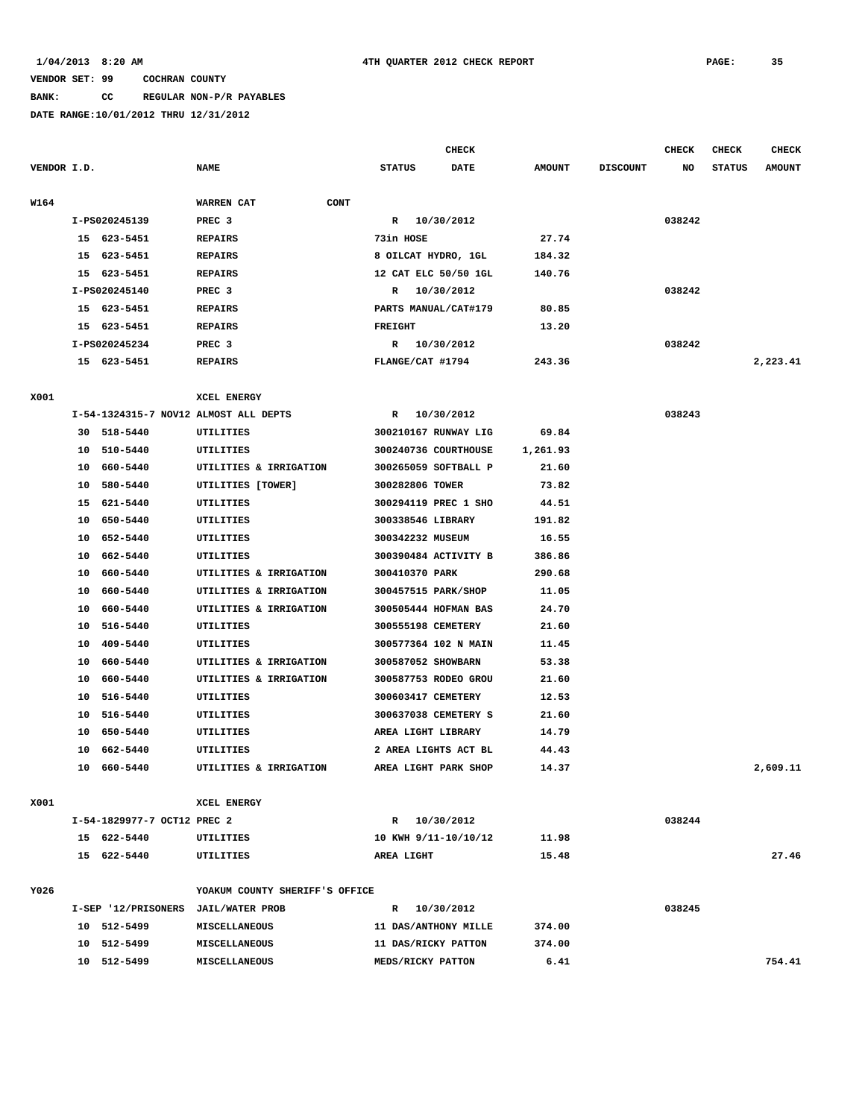# **BANK: CC REGULAR NON-P/R PAYABLES**

|             |                                                    |                               |                                       |                      | <b>CHECK</b> |               |                 | <b>CHECK</b> | <b>CHECK</b>  | <b>CHECK</b>  |
|-------------|----------------------------------------------------|-------------------------------|---------------------------------------|----------------------|--------------|---------------|-----------------|--------------|---------------|---------------|
| VENDOR I.D. |                                                    |                               | <b>NAME</b>                           | <b>STATUS</b>        | DATE         | <b>AMOUNT</b> | <b>DISCOUNT</b> | NO           | <b>STATUS</b> | <b>AMOUNT</b> |
| W164        |                                                    |                               | WARREN CAT<br>CONT                    |                      |              |               |                 |              |               |               |
|             | I-PS020245139                                      |                               | PREC <sub>3</sub>                     | R                    | 10/30/2012   |               |                 | 038242       |               |               |
|             |                                                    | 15 623-5451<br><b>REPAIRS</b> |                                       | 73in HOSE            |              | 27.74         |                 |              |               |               |
|             | 15                                                 | 623-5451                      | <b>REPAIRS</b>                        | 8 OILCAT HYDRO, 1GL  |              | 184.32        |                 |              |               |               |
|             | 15                                                 | 623-5451                      | <b>REPAIRS</b>                        | 12 CAT ELC 50/50 1GL |              | 140.76        |                 |              |               |               |
|             |                                                    | I-PS020245140                 | PREC <sub>3</sub>                     | R                    | 10/30/2012   |               |                 | 038242       |               |               |
|             |                                                    | 15 623-5451                   | <b>REPAIRS</b>                        | PARTS MANUAL/CAT#179 |              | 80.85         |                 |              |               |               |
|             |                                                    | 15 623-5451                   | <b>REPAIRS</b>                        | <b>FREIGHT</b>       |              | 13.20         |                 |              |               |               |
|             |                                                    | I-PS020245234                 | PREC <sub>3</sub>                     | $\mathbb{R}$         | 10/30/2012   |               |                 | 038242       |               |               |
|             |                                                    | 15 623-5451                   | <b>REPAIRS</b>                        | FLANGE/CAT #1794     |              | 243.36        |                 |              |               | 2,223.41      |
| X001        |                                                    |                               | XCEL ENERGY                           |                      |              |               |                 |              |               |               |
|             |                                                    |                               | I-54-1324315-7 NOV12 ALMOST ALL DEPTS | R                    | 10/30/2012   |               |                 | 038243       |               |               |
|             |                                                    | 30 518-5440                   | UTILITIES                             | 300210167 RUNWAY LIG |              | 69.84         |                 |              |               |               |
|             | 10                                                 | 510-5440                      | UTILITIES                             | 300240736 COURTHOUSE |              | 1,261.93      |                 |              |               |               |
|             | 10                                                 | 660-5440                      | UTILITIES & IRRIGATION                | 300265059 SOFTBALL P |              | 21.60         |                 |              |               |               |
|             | 10                                                 | 580-5440                      | UTILITIES [TOWER]                     | 300282806 TOWER      |              | 73.82         |                 |              |               |               |
|             | 15                                                 | 621-5440                      | UTILITIES                             | 300294119 PREC 1 SHO |              | 44.51         |                 |              |               |               |
|             | 10                                                 | 650-5440                      | UTILITIES                             | 300338546 LIBRARY    |              | 191.82        |                 |              |               |               |
|             | 10                                                 | 652-5440                      | UTILITIES                             | 300342232 MUSEUM     |              | 16.55         |                 |              |               |               |
|             | 10                                                 | 662-5440                      | UTILITIES                             | 300390484 ACTIVITY B |              | 386.86        |                 |              |               |               |
|             | 10                                                 | 660-5440                      | UTILITIES & IRRIGATION                | 300410370 PARK       |              | 290.68        |                 |              |               |               |
|             | 10                                                 | 660-5440                      | UTILITIES & IRRIGATION                | 300457515 PARK/SHOP  |              | 11.05         |                 |              |               |               |
|             | 10                                                 | 660-5440                      | UTILITIES & IRRIGATION                | 300505444 HOFMAN BAS |              | 24.70         |                 |              |               |               |
|             | 10                                                 | 516-5440                      | UTILITIES                             | 300555198 CEMETERY   |              | 21.60         |                 |              |               |               |
|             | 10                                                 | 409-5440                      | UTILITIES                             | 300577364 102 N MAIN |              | 11.45         |                 |              |               |               |
|             | 10                                                 | 660-5440                      | UTILITIES & IRRIGATION                | 300587052 SHOWBARN   |              | 53.38         |                 |              |               |               |
|             | 10                                                 | 660-5440                      | UTILITIES & IRRIGATION                | 300587753 RODEO GROU |              | 21.60         |                 |              |               |               |
|             | 10                                                 | 516-5440                      | UTILITIES                             | 300603417 CEMETERY   |              | 12.53         |                 |              |               |               |
|             | 10                                                 | 516-5440                      | UTILITIES                             | 300637038 CEMETERY S |              | 21.60         |                 |              |               |               |
|             | 10                                                 | 650-5440                      | UTILITIES                             | AREA LIGHT LIBRARY   |              | 14.79         |                 |              |               |               |
|             | 10                                                 | 662-5440                      | UTILITIES                             | 2 AREA LIGHTS ACT BL |              | 44.43         |                 |              |               |               |
|             | 10                                                 | 660-5440                      | UTILITIES & IRRIGATION                | AREA LIGHT PARK SHOP |              | 14.37         |                 |              |               | 2,609.11      |
| X001        |                                                    |                               | XCEL ENERGY                           |                      |              |               |                 |              |               |               |
|             | I-54-1829977-7 OCT12 PREC 2                        |                               |                                       | R 10/30/2012         |              |               |                 | 038244       |               |               |
|             |                                                    | 15 622-5440                   | UTILITIES                             | 10 KWH 9/11-10/10/12 |              | 11.98         |                 |              |               |               |
|             |                                                    | 15 622-5440                   | UTILITIES                             | AREA LIGHT           |              | 15.48         |                 |              |               | 27.46         |
| Y026        |                                                    |                               | YOAKUM COUNTY SHERIFF'S OFFICE        |                      |              |               |                 |              |               |               |
|             | I-SEP '12/PRISONERS JAIL/WATER PROB<br>10 512-5499 |                               |                                       | R 10/30/2012         |              |               |                 | 038245       |               |               |
|             |                                                    |                               | <b>MISCELLANEOUS</b>                  | 11 DAS/ANTHONY MILLE |              | 374.00        |                 |              |               |               |
|             |                                                    | 10 512-5499                   | MISCELLANEOUS                         | 11 DAS/RICKY PATTON  |              | 374.00        |                 |              |               |               |
|             |                                                    | 10 512-5499                   | MISCELLANEOUS                         | MEDS/RICKY PATTON    |              | 6.41          |                 |              |               | 754.41        |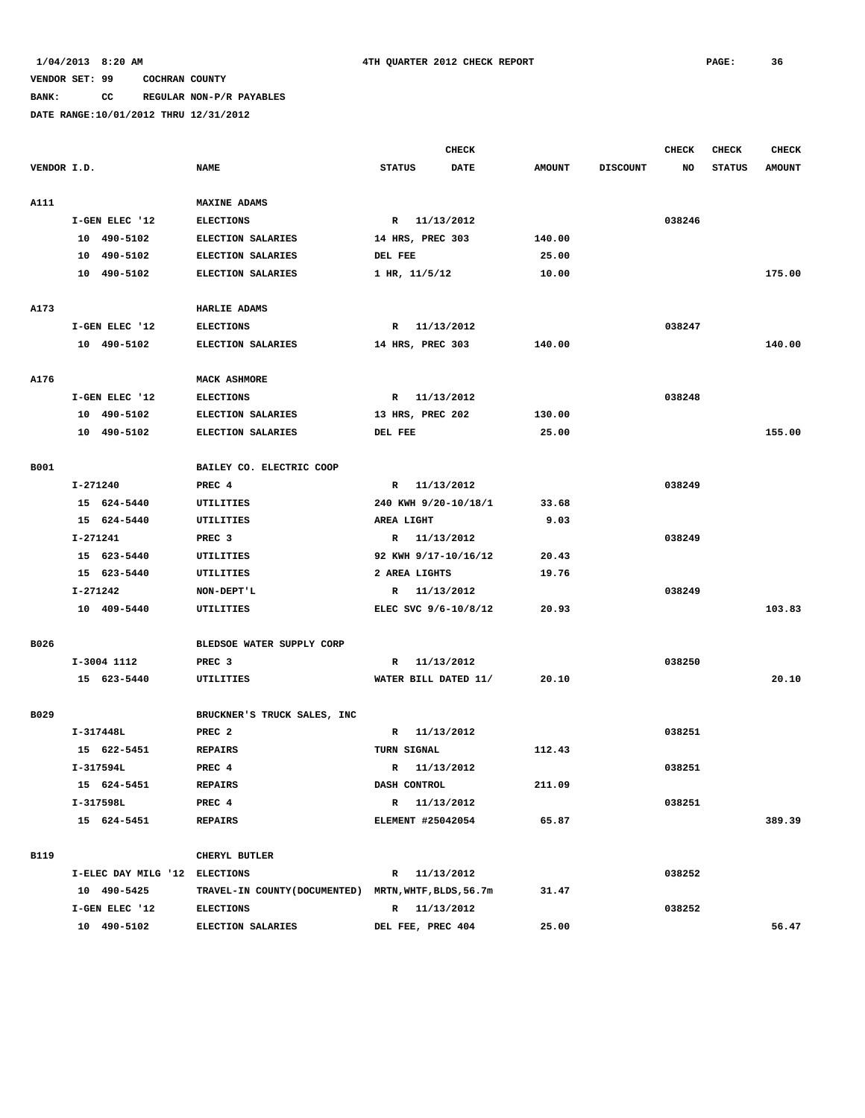# **BANK: CC REGULAR NON-P/R PAYABLES**

|             |                               |                                                       |                          | <b>CHECK</b> |               |                 | <b>CHECK</b> | <b>CHECK</b>  | <b>CHECK</b>  |
|-------------|-------------------------------|-------------------------------------------------------|--------------------------|--------------|---------------|-----------------|--------------|---------------|---------------|
| VENDOR I.D. |                               | <b>NAME</b>                                           | <b>STATUS</b>            | DATE         | <b>AMOUNT</b> | <b>DISCOUNT</b> | NO           | <b>STATUS</b> | <b>AMOUNT</b> |
|             |                               |                                                       |                          |              |               |                 |              |               |               |
| A111        |                               | <b>MAXINE ADAMS</b>                                   |                          |              |               |                 |              |               |               |
|             | I-GEN ELEC '12                | <b>ELECTIONS</b>                                      | R 11/13/2012             |              |               |                 | 038246       |               |               |
|             | 10 490-5102                   | ELECTION SALARIES                                     | 14 HRS, PREC 303         |              | 140.00        |                 |              |               |               |
|             | 10 490-5102                   | ELECTION SALARIES                                     | DEL FEE                  |              | 25.00         |                 |              |               |               |
|             | 10 490-5102                   | ELECTION SALARIES                                     | $1$ HR, $11/5/12$        |              | 10.00         |                 |              |               | 175.00        |
|             |                               |                                                       |                          |              |               |                 |              |               |               |
| A173        |                               | HARLIE ADAMS                                          |                          |              |               |                 |              |               |               |
|             | I-GEN ELEC '12                | <b>ELECTIONS</b>                                      | R 11/13/2012             |              |               |                 | 038247       |               |               |
|             | 10 490-5102                   | ELECTION SALARIES                                     | 14 HRS, PREC 303         |              | 140.00        |                 |              |               | 140.00        |
|             |                               |                                                       |                          |              |               |                 |              |               |               |
| A176        |                               | MACK ASHMORE                                          |                          |              |               |                 |              |               |               |
|             | I-GEN ELEC '12                | <b>ELECTIONS</b>                                      | $\mathbb{R}$             | 11/13/2012   |               |                 | 038248       |               |               |
|             | 10 490-5102                   | ELECTION SALARIES                                     | 13 HRS, PREC 202         |              | 130.00        |                 |              |               |               |
|             | 10 490-5102                   | ELECTION SALARIES                                     | DEL FEE                  |              | 25.00         |                 |              |               | 155.00        |
|             |                               |                                                       |                          |              |               |                 |              |               |               |
| <b>B001</b> |                               | BAILEY CO. ELECTRIC COOP                              |                          |              |               |                 |              |               |               |
|             | I-271240                      | PREC 4                                                | R 11/13/2012             |              |               |                 | 038249       |               |               |
|             | 15 624-5440                   | UTILITIES                                             | 240 KWH 9/20-10/18/1     |              | 33.68         |                 |              |               |               |
|             | 15 624-5440                   | UTILITIES                                             | AREA LIGHT               |              | 9.03          |                 |              |               |               |
|             | I-271241                      | PREC <sub>3</sub>                                     | R 11/13/2012             |              |               |                 | 038249       |               |               |
|             | 15 623-5440                   | UTILITIES                                             | 92 KWH 9/17-10/16/12     |              | 20.43         |                 |              |               |               |
|             | 15 623-5440                   | UTILITIES                                             | 2 AREA LIGHTS            |              | 19.76         |                 |              |               |               |
|             | I-271242                      | NON-DEPT'L                                            | R 11/13/2012             |              |               |                 | 038249       |               |               |
|             | 10 409-5440                   | UTILITIES                                             | ELEC SVC 9/6-10/8/12     |              | 20.93         |                 |              |               | 103.83        |
|             |                               |                                                       |                          |              |               |                 |              |               |               |
| B026        |                               | BLEDSOE WATER SUPPLY CORP                             |                          |              |               |                 |              |               |               |
|             | I-3004 1112                   | PREC <sub>3</sub>                                     | $\mathbb{R}$             | 11/13/2012   |               |                 | 038250       |               |               |
|             | 15 623-5440                   | UTILITIES                                             | WATER BILL DATED 11/     |              | 20.10         |                 |              |               | 20.10         |
|             |                               |                                                       |                          |              |               |                 |              |               |               |
| B029        | BRUCKNER'S TRUCK SALES, INC   |                                                       |                          |              |               |                 |              |               |               |
|             | I-317448L                     | PREC <sub>2</sub>                                     | R 11/13/2012             |              |               |                 | 038251       |               |               |
|             | 15 622-5451                   | <b>REPAIRS</b>                                        | TURN SIGNAL              |              | 112.43        |                 |              |               |               |
|             | I-317594L                     | PREC 4                                                | R                        | 11/13/2012   |               |                 | 038251       |               |               |
|             | 15 624-5451                   | REPAIRS                                               | DASH CONTROL             |              | 211.09        |                 |              |               |               |
|             | I-317598L                     | PREC 4                                                | R 11/13/2012             |              |               |                 | 038251       |               |               |
|             | 15 624-5451                   | <b>REPAIRS</b>                                        | <b>ELEMENT #25042054</b> |              | 65.87         |                 |              |               | 389.39        |
|             |                               |                                                       |                          |              |               |                 |              |               |               |
| B119        |                               | CHERYL BUTLER                                         |                          |              |               |                 |              |               |               |
|             | I-ELEC DAY MILG '12 ELECTIONS |                                                       | R 11/13/2012             |              |               |                 | 038252       |               |               |
|             | 10 490-5425                   | TRAVEL-IN COUNTY (DOCUMENTED) MRTN, WHTF, BLDS, 56.7m |                          |              | 31.47         |                 |              |               |               |
|             | I-GEN ELEC '12                | <b>ELECTIONS</b>                                      | R 11/13/2012             |              |               |                 | 038252       |               |               |
|             | 10 490-5102                   | ELECTION SALARIES                                     | DEL FEE, PREC 404        |              | 25.00         |                 |              |               | 56.47         |
|             |                               |                                                       |                          |              |               |                 |              |               |               |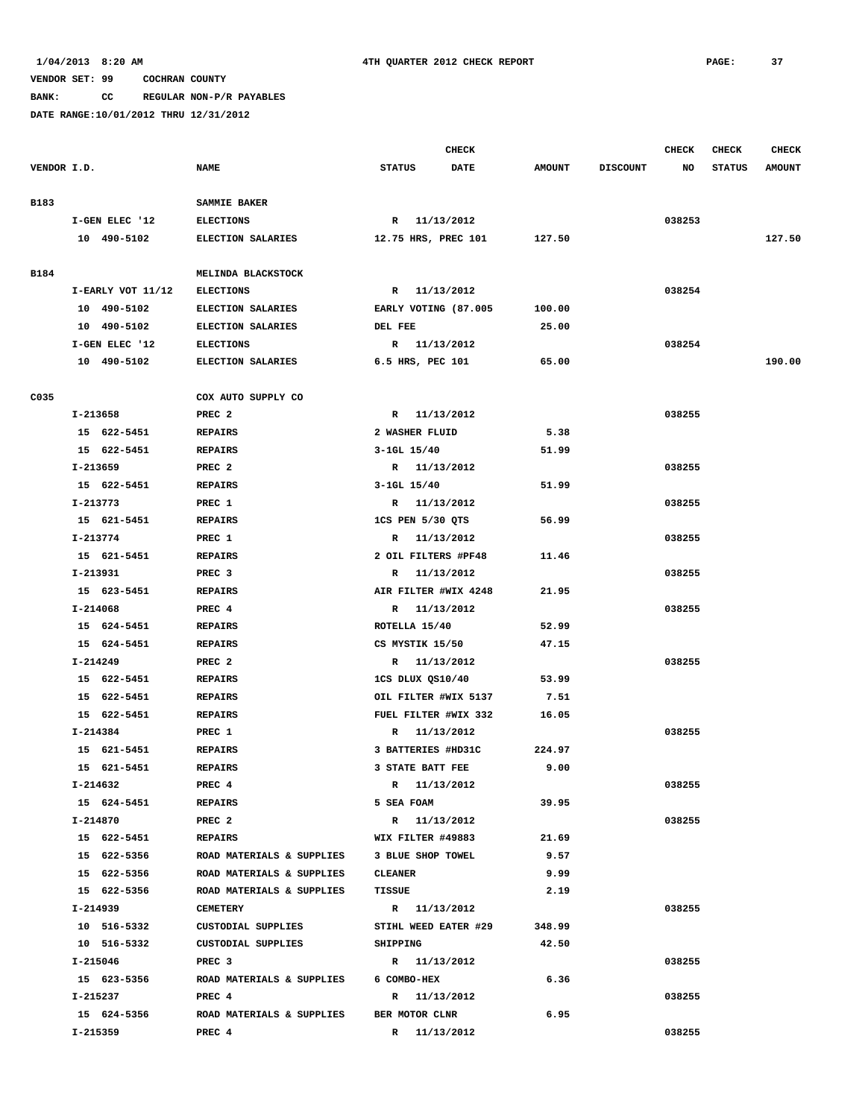**BANK: CC REGULAR NON-P/R PAYABLES**

|             |                   |                                                 | <b>CHECK</b>          |               |                 | <b>CHECK</b> | <b>CHECK</b>  | CHECK         |
|-------------|-------------------|-------------------------------------------------|-----------------------|---------------|-----------------|--------------|---------------|---------------|
| VENDOR I.D. |                   | <b>NAME</b>                                     | DATE<br><b>STATUS</b> | <b>AMOUNT</b> | <b>DISCOUNT</b> | NO           | <b>STATUS</b> | <b>AMOUNT</b> |
| B183        |                   | SAMMIE BAKER                                    |                       |               |                 |              |               |               |
|             | I-GEN ELEC '12    | <b>ELECTIONS</b>                                | R 11/13/2012          |               |                 | 038253       |               |               |
|             | 10 490-5102       | ELECTION SALARIES                               | 12.75 HRS, PREC 101   | 127.50        |                 |              |               | 127.50        |
|             |                   |                                                 |                       |               |                 |              |               |               |
| B184        |                   | MELINDA BLACKSTOCK                              |                       |               |                 |              |               |               |
|             | I-EARLY VOT 11/12 | <b>ELECTIONS</b>                                | R 11/13/2012          |               |                 | 038254       |               |               |
|             | 10 490-5102       | <b>ELECTION SALARIES</b>                        | EARLY VOTING (87.005  | 100.00        |                 |              |               |               |
|             | 10 490-5102       | ELECTION SALARIES                               | DEL FEE               | 25.00         |                 |              |               |               |
|             | I-GEN ELEC '12    | <b>ELECTIONS</b>                                | R 11/13/2012          |               |                 | 038254       |               |               |
|             | 10 490-5102       | ELECTION SALARIES                               | 6.5 HRS, PEC 101      | 65.00         |                 |              |               | 190.00        |
| C035        |                   | COX AUTO SUPPLY CO                              |                       |               |                 |              |               |               |
|             | I-213658          | PREC <sub>2</sub>                               | R 11/13/2012          |               |                 | 038255       |               |               |
|             | 15 622-5451       | <b>REPAIRS</b>                                  | 2 WASHER FLUID        | 5.38          |                 |              |               |               |
|             | 15 622-5451       | <b>REPAIRS</b>                                  | $3 - 1$ GL $15/40$    | 51.99         |                 |              |               |               |
|             | I-213659          | PREC <sub>2</sub>                               | R 11/13/2012          |               |                 | 038255       |               |               |
|             | 15 622-5451       | <b>REPAIRS</b>                                  | $3-1GL$ $15/40$       | 51.99         |                 |              |               |               |
|             | I-213773          | PREC 1                                          | R 11/13/2012          |               |                 | 038255       |               |               |
|             | 15 621-5451       | <b>REPAIRS</b>                                  | 1CS PEN 5/30 QTS      | 56.99         |                 |              |               |               |
|             | I-213774          | PREC 1                                          | R 11/13/2012          |               |                 | 038255       |               |               |
|             | 15 621-5451       | <b>REPAIRS</b>                                  | 2 OIL FILTERS #PF48   | 11.46         |                 |              |               |               |
|             | I-213931          | PREC <sub>3</sub>                               | R 11/13/2012          |               |                 | 038255       |               |               |
|             | 15 623-5451       | <b>REPAIRS</b>                                  | AIR FILTER #WIX 4248  | 21.95         |                 |              |               |               |
|             | I-214068          | PREC 4                                          | R 11/13/2012          |               |                 | 038255       |               |               |
|             | 15 624-5451       | <b>REPAIRS</b>                                  | ROTELLA 15/40         | 52.99         |                 |              |               |               |
|             | 15 624-5451       | <b>REPAIRS</b>                                  | CS MYSTIK 15/50       | 47.15         |                 |              |               |               |
|             | I-214249          | PREC <sub>2</sub>                               | R 11/13/2012          |               |                 | 038255       |               |               |
|             | 15 622-5451       | <b>REPAIRS</b>                                  | 1CS DLUX QS10/40      | 53.99         |                 |              |               |               |
|             | 15 622-5451       | <b>REPAIRS</b>                                  | OIL FILTER #WIX 5137  | 7.51          |                 |              |               |               |
|             | 15 622-5451       | <b>REPAIRS</b>                                  | FUEL FILTER #WIX 332  | 16.05         |                 |              |               |               |
|             | I-214384          | PREC 1                                          | R 11/13/2012          |               |                 | 038255       |               |               |
|             | 15 621-5451       | <b>REPAIRS</b>                                  | 3 BATTERIES #HD31C    | 224.97        |                 |              |               |               |
|             | 15 621-5451       | <b>REPAIRS</b>                                  | 3 STATE BATT FEE      | 9.00          |                 |              |               |               |
|             | I-214632          | PREC 4                                          | R 11/13/2012          |               |                 | 038255       |               |               |
|             | 15 624-5451       | <b>REPAIRS</b>                                  | 5 SEA FOAM            | 39.95         |                 |              |               |               |
|             | I-214870          | PREC 2                                          | R 11/13/2012          |               |                 | 038255       |               |               |
|             | 15 622-5451       | <b>REPAIRS</b>                                  | WIX FILTER #49883     | 21.69         |                 |              |               |               |
|             | 15 622-5356       | ROAD MATERIALS & SUPPLIES 3 BLUE SHOP TOWEL     |                       | 9.57          |                 |              |               |               |
|             | 15 622-5356       | ROAD MATERIALS & SUPPLIES                       | <b>CLEANER</b>        | 9.99          |                 |              |               |               |
|             | 15 622-5356       | ROAD MATERIALS & SUPPLIES                       | TISSUE                | 2.19          |                 |              |               |               |
|             | I-214939          | <b>CEMETERY</b>                                 | R 11/13/2012          |               |                 | 038255       |               |               |
|             | 10 516-5332       | CUSTODIAL SUPPLIES                              | STIHL WEED EATER #29  | 348.99        |                 |              |               |               |
|             | 10 516-5332       | CUSTODIAL SUPPLIES                              | SHIPPING              | 42.50         |                 |              |               |               |
|             | I-215046          | PREC <sub>3</sub>                               |                       |               |                 | 038255       |               |               |
|             |                   |                                                 | R 11/13/2012          | 6.36          |                 |              |               |               |
|             | 15 623-5356       | ROAD MATERIALS & SUPPLIES 6 COMBO-HEX<br>PREC 4 |                       |               |                 |              |               |               |
|             | I-215237          |                                                 | R 11/13/2012          |               |                 | 038255       |               |               |
|             | 15 624-5356       | ROAD MATERIALS & SUPPLIES                       | BER MOTOR CLNR        | 6.95          |                 |              |               |               |
|             | I-215359          | PREC 4                                          | R 11/13/2012          |               |                 | 038255       |               |               |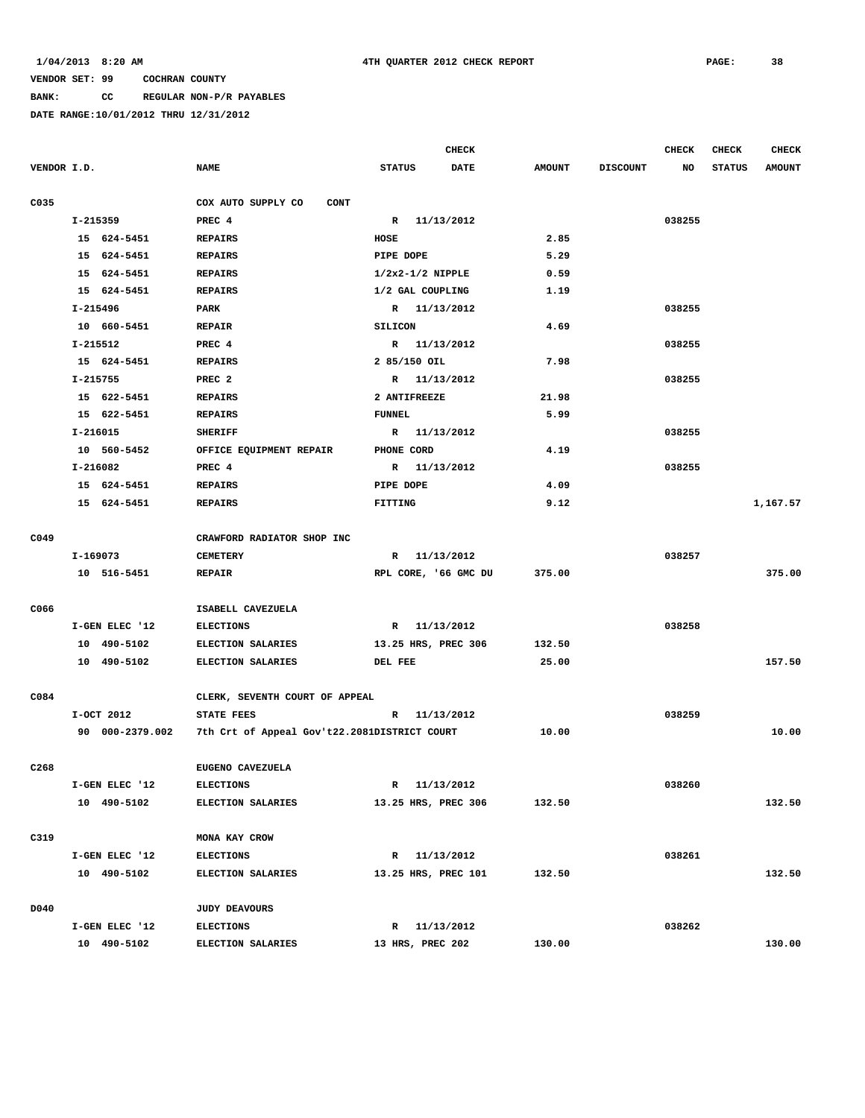**BANK: CC REGULAR NON-P/R PAYABLES**

|                  |                 |                                              |                      | <b>CHECK</b> |               |                 | <b>CHECK</b> | <b>CHECK</b>  | <b>CHECK</b>  |
|------------------|-----------------|----------------------------------------------|----------------------|--------------|---------------|-----------------|--------------|---------------|---------------|
| VENDOR I.D.      |                 | <b>NAME</b>                                  | <b>STATUS</b>        | <b>DATE</b>  | <b>AMOUNT</b> | <b>DISCOUNT</b> | NO           | <b>STATUS</b> | <b>AMOUNT</b> |
|                  |                 |                                              |                      |              |               |                 |              |               |               |
| C035             |                 | COX AUTO SUPPLY CO<br><b>CONT</b>            |                      |              |               |                 |              |               |               |
|                  | I-215359        | PREC 4                                       | R 11/13/2012         |              |               |                 | 038255       |               |               |
|                  | 15 624-5451     | <b>REPAIRS</b>                               | HOSE                 |              | 2.85          |                 |              |               |               |
|                  | 15 624-5451     | <b>REPAIRS</b>                               | PIPE DOPE            |              | 5.29          |                 |              |               |               |
|                  | 15 624-5451     | <b>REPAIRS</b>                               | $1/2x2-1/2$ NIPPLE   |              | 0.59          |                 |              |               |               |
|                  | 15 624-5451     | <b>REPAIRS</b>                               | 1/2 GAL COUPLING     |              | 1.19          |                 |              |               |               |
|                  | I-215496        | PARK                                         | R 11/13/2012         |              |               |                 | 038255       |               |               |
|                  | 10 660-5451     | <b>REPAIR</b>                                | <b>SILICON</b>       |              | 4.69          |                 |              |               |               |
|                  | I-215512        | PREC 4                                       | R 11/13/2012         |              |               |                 | 038255       |               |               |
|                  | 15 624-5451     | <b>REPAIRS</b>                               | 2 85/150 OIL         |              | 7.98          |                 |              |               |               |
|                  | I-215755        | PREC <sub>2</sub>                            | R 11/13/2012         |              |               |                 | 038255       |               |               |
|                  | 15 622-5451     | <b>REPAIRS</b>                               | 2 ANTIFREEZE         |              | 21.98         |                 |              |               |               |
|                  | 15 622-5451     | <b>REPAIRS</b>                               | <b>FUNNEL</b>        |              | 5.99          |                 |              |               |               |
|                  | I-216015        | <b>SHERIFF</b>                               | R 11/13/2012         |              |               |                 | 038255       |               |               |
|                  | 10 560-5452     | OFFICE EQUIPMENT REPAIR                      | PHONE CORD           |              | 4.19          |                 |              |               |               |
|                  | I-216082        | PREC 4                                       | R 11/13/2012         |              |               |                 | 038255       |               |               |
|                  | 15 624-5451     | <b>REPAIRS</b>                               | PIPE DOPE            |              | 4.09          |                 |              |               |               |
|                  | 15 624-5451     | <b>REPAIRS</b>                               | FITTING              |              | 9.12          |                 |              |               | 1,167.57      |
|                  |                 |                                              |                      |              |               |                 |              |               |               |
| C049             |                 | CRAWFORD RADIATOR SHOP INC                   |                      |              |               |                 |              |               |               |
|                  | I-169073        | <b>CEMETERY</b>                              | R 11/13/2012         |              |               |                 | 038257       |               |               |
|                  | 10 516-5451     | <b>REPAIR</b>                                | RPL CORE, '66 GMC DU |              | 375.00        |                 |              |               | 375.00        |
|                  |                 |                                              |                      |              |               |                 |              |               |               |
| C066             |                 | ISABELL CAVEZUELA                            |                      |              |               |                 |              |               |               |
|                  | I-GEN ELEC '12  | <b>ELECTIONS</b>                             | R 11/13/2012         |              |               |                 | 038258       |               |               |
|                  | 10 490-5102     | <b>ELECTION SALARIES</b>                     | 13.25 HRS, PREC 306  |              | 132.50        |                 |              |               |               |
|                  | 10 490-5102     | ELECTION SALARIES                            | DEL FEE              |              | 25.00         |                 |              |               | 157.50        |
|                  |                 |                                              |                      |              |               |                 |              |               |               |
| C084             |                 | CLERK, SEVENTH COURT OF APPEAL               |                      |              |               |                 |              |               |               |
|                  | I-OCT 2012      | STATE FEES                                   | R 11/13/2012         |              |               |                 | 038259       |               |               |
|                  | 90 000-2379.002 | 7th Crt of Appeal Gov't22.2081DISTRICT COURT |                      |              | 10.00         |                 |              |               | 10.00         |
|                  |                 |                                              |                      |              |               |                 |              |               |               |
| C <sub>268</sub> |                 | EUGENO CAVEZUELA                             |                      |              |               |                 |              |               |               |
|                  | I-GEN ELEC '12  | <b>ELECTIONS</b>                             | R 11/13/2012         |              |               |                 | 038260       |               |               |
|                  | 10 490-5102     | <b>ELECTION SALARIES</b>                     | 13.25 HRS, PREC 306  |              | 132.50        |                 |              |               | 132.50        |
|                  |                 |                                              |                      |              |               |                 |              |               |               |
| C319             |                 | MONA KAY CROW                                |                      |              |               |                 |              |               |               |
|                  | I-GEN ELEC '12  | <b>ELECTIONS</b>                             | R 11/13/2012         |              |               |                 | 038261       |               |               |
|                  | 10 490-5102     | <b>ELECTION SALARIES</b>                     | 13.25 HRS, PREC 101  |              | 132.50        |                 |              |               | 132.50        |
|                  |                 |                                              |                      |              |               |                 |              |               |               |
| D040             |                 | <b>JUDY DEAVOURS</b>                         |                      |              |               |                 |              |               |               |
|                  | I-GEN ELEC '12  | <b>ELECTIONS</b>                             | R 11/13/2012         |              |               |                 | 038262       |               |               |
|                  | 10 490-5102     | ELECTION SALARIES                            | 13 HRS, PREC 202     |              | 130.00        |                 |              |               | 130.00        |
|                  |                 |                                              |                      |              |               |                 |              |               |               |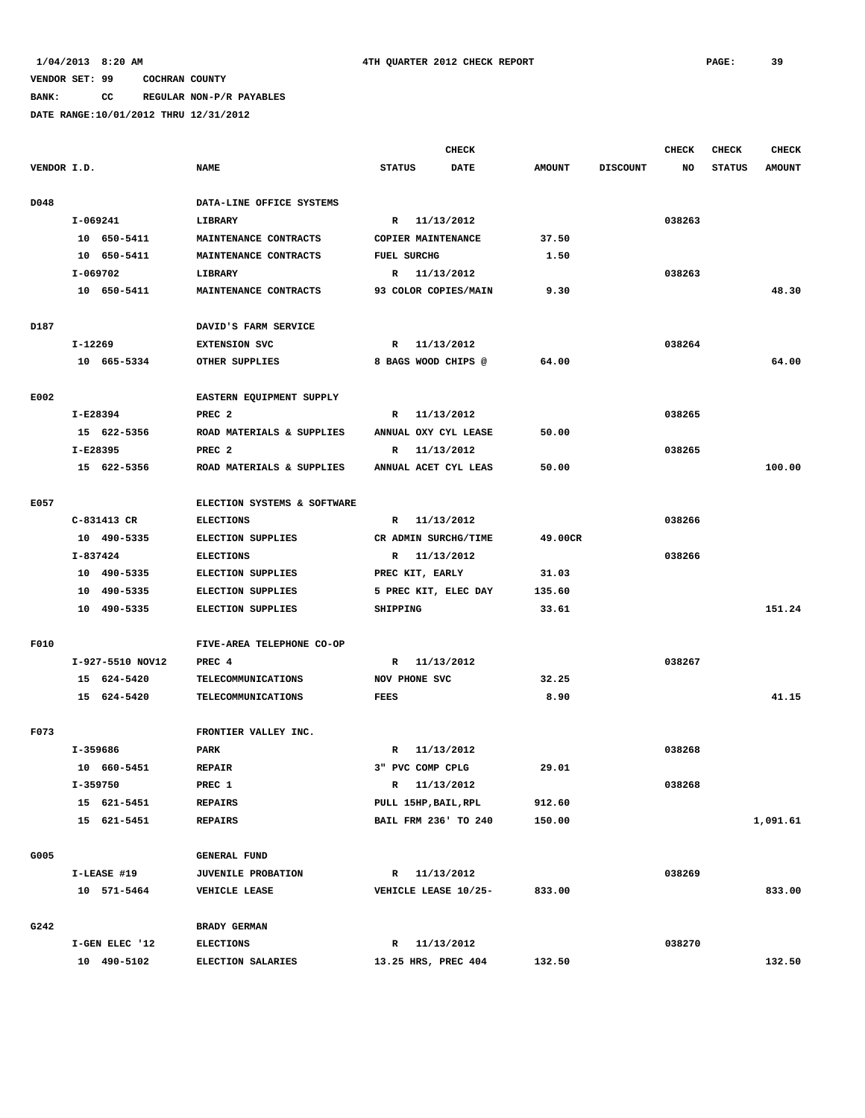# **BANK: CC REGULAR NON-P/R PAYABLES**

|             |                  |                             |                      | <b>CHECK</b> |               |                 | <b>CHECK</b> | <b>CHECK</b>  | <b>CHECK</b>  |
|-------------|------------------|-----------------------------|----------------------|--------------|---------------|-----------------|--------------|---------------|---------------|
| VENDOR I.D. |                  | <b>NAME</b>                 | <b>STATUS</b>        | <b>DATE</b>  | <b>AMOUNT</b> | <b>DISCOUNT</b> | NO           | <b>STATUS</b> | <b>AMOUNT</b> |
|             |                  |                             |                      |              |               |                 |              |               |               |
| D048        |                  | DATA-LINE OFFICE SYSTEMS    |                      |              |               |                 |              |               |               |
|             | I-069241         | LIBRARY                     | R 11/13/2012         |              |               |                 | 038263       |               |               |
|             | 10 650-5411      | MAINTENANCE CONTRACTS       | COPIER MAINTENANCE   |              | 37.50         |                 |              |               |               |
|             | 10 650-5411      | MAINTENANCE CONTRACTS       | FUEL SURCHG          |              | 1.50          |                 |              |               |               |
|             | I-069702         | LIBRARY                     | R 11/13/2012         |              |               |                 | 038263       |               |               |
|             | 10 650-5411      | MAINTENANCE CONTRACTS       | 93 COLOR COPIES/MAIN |              | 9.30          |                 |              |               | 48.30         |
|             |                  |                             |                      |              |               |                 |              |               |               |
| D187        |                  | DAVID'S FARM SERVICE        |                      |              |               |                 |              |               |               |
|             | I-12269          | <b>EXTENSION SVC</b>        | R                    | 11/13/2012   |               |                 | 038264       |               |               |
|             | 10 665-5334      | OTHER SUPPLIES              | 8 BAGS WOOD CHIPS @  |              | 64.00         |                 |              |               | 64.00         |
|             |                  |                             |                      |              |               |                 |              |               |               |
| E002        |                  | EASTERN EQUIPMENT SUPPLY    |                      |              |               |                 |              |               |               |
|             | I-E28394         | PREC <sub>2</sub>           | $\mathbb{R}$         | 11/13/2012   |               |                 | 038265       |               |               |
|             | 15 622-5356      | ROAD MATERIALS & SUPPLIES   | ANNUAL OXY CYL LEASE |              | 50.00         |                 |              |               |               |
|             | I-E28395         | PREC <sub>2</sub>           | $\mathbb{R}$         | 11/13/2012   |               |                 | 038265       |               |               |
|             | 15 622-5356      | ROAD MATERIALS & SUPPLIES   | ANNUAL ACET CYL LEAS |              | 50.00         |                 |              |               | 100.00        |
|             |                  |                             |                      |              |               |                 |              |               |               |
| E057        |                  | ELECTION SYSTEMS & SOFTWARE |                      |              |               |                 |              |               |               |
|             | C-831413 CR      | <b>ELECTIONS</b>            | R 11/13/2012         |              |               |                 | 038266       |               |               |
|             | 10 490-5335      | ELECTION SUPPLIES           | CR ADMIN SURCHG/TIME |              | 49.00CR       |                 |              |               |               |
|             | I-837424         | <b>ELECTIONS</b>            | R 11/13/2012         |              |               |                 | 038266       |               |               |
|             | 10 490-5335      | ELECTION SUPPLIES           | PREC KIT, EARLY      |              | 31.03         |                 |              |               |               |
|             | 10 490-5335      | <b>ELECTION SUPPLIES</b>    | 5 PREC KIT, ELEC DAY |              | 135.60        |                 |              |               |               |
|             | 10 490-5335      | <b>ELECTION SUPPLIES</b>    | SHIPPING             |              | 33.61         |                 |              |               | 151.24        |
|             |                  |                             |                      |              |               |                 |              |               |               |
| F010        |                  | FIVE-AREA TELEPHONE CO-OP   |                      |              |               |                 |              |               |               |
|             | I-927-5510 NOV12 | PREC 4                      | R 11/13/2012         |              |               |                 | 038267       |               |               |
|             | 15 624-5420      | <b>TELECOMMUNICATIONS</b>   | NOV PHONE SVC        |              | 32.25         |                 |              |               |               |
|             | 15 624-5420      | <b>TELECOMMUNICATIONS</b>   | <b>FEES</b>          |              | 8.90          |                 |              |               | 41.15         |
|             |                  |                             |                      |              |               |                 |              |               |               |
| F073        |                  | FRONTIER VALLEY INC.        |                      |              |               |                 |              |               |               |
|             | I-359686         | PARK                        | $\mathbb{R}$         | 11/13/2012   |               |                 | 038268       |               |               |
|             | 10 660-5451      | <b>REPAIR</b>               | 3" PVC COMP CPLG     |              | 29.01         |                 |              |               |               |
|             | I-359750         | PREC 1                      | R 11/13/2012         |              |               |                 | 038268       |               |               |
|             | 15 621-5451      | <b>REPAIRS</b>              | PULL 15HP, BAIL, RPL |              | 912.60        |                 |              |               |               |
|             | 15 621-5451      | <b>REPAIRS</b>              | BAIL FRM 236' TO 240 |              | 150.00        |                 |              |               | 1,091.61      |
|             |                  |                             |                      |              |               |                 |              |               |               |
| G005        |                  | <b>GENERAL FUND</b>         |                      |              |               |                 |              |               |               |
|             | I-LEASE #19      | JUVENILE PROBATION          | R 11/13/2012         |              |               |                 | 038269       |               |               |
|             | 10 571-5464      | VEHICLE LEASE               | VEHICLE LEASE 10/25- |              | 833.00        |                 |              |               | 833.00        |
| G242        |                  | BRADY GERMAN                |                      |              |               |                 |              |               |               |
|             | I-GEN ELEC '12   | <b>ELECTIONS</b>            | R 11/13/2012         |              |               |                 | 038270       |               |               |
|             | 10 490-5102      | ELECTION SALARIES           | 13.25 HRS, PREC 404  |              | 132.50        |                 |              |               | 132.50        |
|             |                  |                             |                      |              |               |                 |              |               |               |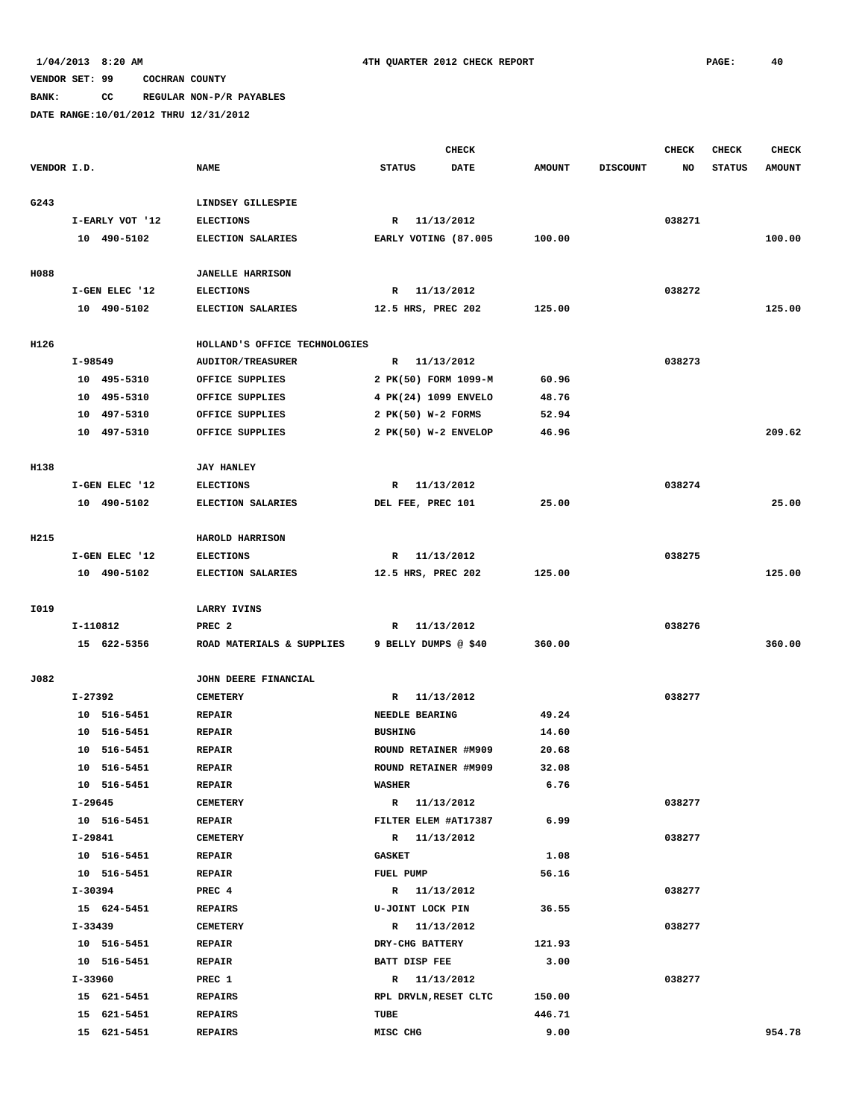**BANK: CC REGULAR NON-P/R PAYABLES**

|             |                 |                               | <b>CHECK</b>          |             |               |                 | <b>CHECK</b> | <b>CHECK</b>  | <b>CHECK</b>  |
|-------------|-----------------|-------------------------------|-----------------------|-------------|---------------|-----------------|--------------|---------------|---------------|
| VENDOR I.D. |                 | <b>NAME</b>                   | <b>STATUS</b>         | <b>DATE</b> | <b>AMOUNT</b> | <b>DISCOUNT</b> | NO           | <b>STATUS</b> | <b>AMOUNT</b> |
| G243        |                 | LINDSEY GILLESPIE             |                       |             |               |                 |              |               |               |
|             | I-EARLY VOT '12 | <b>ELECTIONS</b>              | R 11/13/2012          |             |               |                 | 038271       |               |               |
|             | 10 490-5102     | ELECTION SALARIES             | EARLY VOTING (87.005  |             | 100.00        |                 |              |               | 100.00        |
|             |                 |                               |                       |             |               |                 |              |               |               |
| H088        |                 | <b>JANELLE HARRISON</b>       |                       |             |               |                 |              |               |               |
|             | I-GEN ELEC '12  | <b>ELECTIONS</b>              | R 11/13/2012          |             |               |                 | 038272       |               |               |
|             | 10 490-5102     | ELECTION SALARIES             | 12.5 HRS, PREC 202    |             | 125.00        |                 |              |               | 125.00        |
| H126        |                 | HOLLAND'S OFFICE TECHNOLOGIES |                       |             |               |                 |              |               |               |
|             | I-98549         | <b>AUDITOR/TREASURER</b>      | R 11/13/2012          |             |               |                 | 038273       |               |               |
|             | 10 495-5310     | OFFICE SUPPLIES               | 2 PK(50) FORM 1099-M  |             | 60.96         |                 |              |               |               |
|             | 10 495-5310     | OFFICE SUPPLIES               | 4 PK(24) 1099 ENVELO  |             | 48.76         |                 |              |               |               |
|             | 10 497-5310     | OFFICE SUPPLIES               | 2 PK(50) W-2 FORMS    |             | 52.94         |                 |              |               |               |
|             | 10 497-5310     | OFFICE SUPPLIES               | 2 PK(50) W-2 ENVELOP  |             | 46.96         |                 |              |               | 209.62        |
|             |                 |                               |                       |             |               |                 |              |               |               |
| H138        |                 | <b>JAY HANLEY</b>             |                       |             |               |                 |              |               |               |
|             | I-GEN ELEC '12  | <b>ELECTIONS</b>              | R 11/13/2012          |             |               |                 | 038274       |               |               |
|             | 10 490-5102     | ELECTION SALARIES             | DEL FEE, PREC 101     |             | 25.00         |                 |              |               | 25.00         |
| H215        |                 | HAROLD HARRISON               |                       |             |               |                 |              |               |               |
|             | I-GEN ELEC '12  | <b>ELECTIONS</b>              | R                     | 11/13/2012  |               |                 | 038275       |               |               |
|             | 10 490-5102     | ELECTION SALARIES             | 12.5 HRS, PREC 202    |             | 125.00        |                 |              |               | 125.00        |
|             |                 |                               |                       |             |               |                 |              |               |               |
| I019        |                 | <b>LARRY IVINS</b>            |                       |             |               |                 |              |               |               |
|             | I-110812        | PREC <sub>2</sub>             | R 11/13/2012          |             |               |                 | 038276       |               |               |
|             | 15 622-5356     | ROAD MATERIALS & SUPPLIES     | 9 BELLY DUMPS @ \$40  |             | 360.00        |                 |              |               | 360.00        |
| J082        |                 | JOHN DEERE FINANCIAL          |                       |             |               |                 |              |               |               |
|             | I-27392         | <b>CEMETERY</b>               | R 11/13/2012          |             |               |                 | 038277       |               |               |
|             | 10 516-5451     | <b>REPAIR</b>                 | NEEDLE BEARING        |             | 49.24         |                 |              |               |               |
|             | 10 516-5451     | <b>REPAIR</b>                 | <b>BUSHING</b>        |             | 14.60         |                 |              |               |               |
|             | 10 516-5451     | <b>REPAIR</b>                 | ROUND RETAINER #M909  |             | 20.68         |                 |              |               |               |
|             | 10 516-5451     | <b>REPAIR</b>                 | ROUND RETAINER #M909  |             | 32.08         |                 |              |               |               |
|             | 10 516-5451     | <b>REPAIR</b>                 | <b>WASHER</b>         |             | 6.76          |                 |              |               |               |
|             | I-29645         | <b>CEMETERY</b>               | R 11/13/2012          |             |               |                 | 038277       |               |               |
|             | 10 516-5451     | <b>REPAIR</b>                 | FILTER ELEM #AT17387  |             | 6.99          |                 |              |               |               |
|             | I-29841         | <b>CEMETERY</b>               | R 11/13/2012          |             |               |                 | 038277       |               |               |
|             | 10 516-5451     | <b>REPAIR</b>                 | <b>GASKET</b>         |             | 1.08          |                 |              |               |               |
|             | 10 516-5451     | <b>REPAIR</b>                 | FUEL PUMP             |             | 56.16         |                 |              |               |               |
|             | I-30394         | PREC 4                        | R 11/13/2012          |             |               |                 | 038277       |               |               |
|             | 15 624-5451     | <b>REPAIRS</b>                | U-JOINT LOCK PIN      |             | 36.55         |                 |              |               |               |
|             | I-33439         | <b>CEMETERY</b>               | R 11/13/2012          |             |               |                 | 038277       |               |               |
|             | 10 516-5451     | <b>REPAIR</b>                 | DRY-CHG BATTERY       |             | 121.93        |                 |              |               |               |
|             | 10 516-5451     | <b>REPAIR</b>                 | BATT DISP FEE         |             | 3.00          |                 |              |               |               |
|             | I-33960         | PREC 1                        | R 11/13/2012          |             |               |                 | 038277       |               |               |
|             | 15 621-5451     | <b>REPAIRS</b>                | RPL DRVLN, RESET CLTC |             | 150.00        |                 |              |               |               |
|             | 15 621-5451     | <b>REPAIRS</b>                | TUBE                  |             | 446.71        |                 |              |               |               |
|             | 15 621-5451     | <b>REPAIRS</b>                | MISC CHG              |             | 9.00          |                 |              |               | 954.78        |
|             |                 |                               |                       |             |               |                 |              |               |               |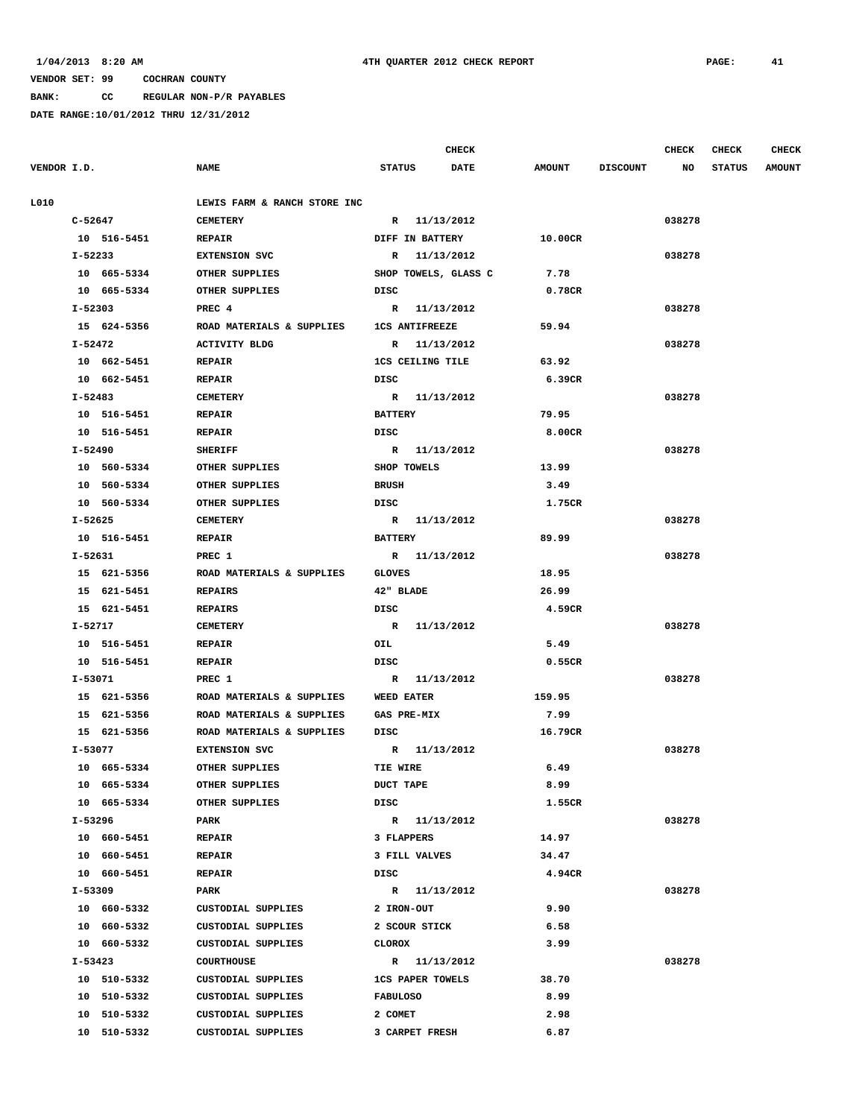**BANK: CC REGULAR NON-P/R PAYABLES**

|             |             |                              |                    | <b>CHECK</b>            |               |                 | <b>CHECK</b> | <b>CHECK</b>  | <b>CHECK</b>  |
|-------------|-------------|------------------------------|--------------------|-------------------------|---------------|-----------------|--------------|---------------|---------------|
| VENDOR I.D. |             | <b>NAME</b>                  | <b>STATUS</b>      | <b>DATE</b>             | <b>AMOUNT</b> | <b>DISCOUNT</b> | NO           | <b>STATUS</b> | <b>AMOUNT</b> |
| L010        |             | LEWIS FARM & RANCH STORE INC |                    |                         |               |                 |              |               |               |
|             | C-52647     | <b>CEMETERY</b>              |                    | R 11/13/2012            |               |                 | 038278       |               |               |
|             | 10 516-5451 | <b>REPAIR</b>                |                    | <b>DIFF IN BATTERY</b>  | 10.00CR       |                 |              |               |               |
|             | I-52233     | <b>EXTENSION SVC</b>         |                    | R 11/13/2012            |               |                 | 038278       |               |               |
|             | 10 665-5334 | OTHER SUPPLIES               |                    | SHOP TOWELS, GLASS C    | 7.78          |                 |              |               |               |
|             | 10 665-5334 | OTHER SUPPLIES               | DISC               |                         | 0.78CR        |                 |              |               |               |
|             | I-52303     | PREC 4                       |                    | R 11/13/2012            |               |                 | 038278       |               |               |
|             | 15 624-5356 | ROAD MATERIALS & SUPPLIES    |                    | <b>1CS ANTIFREEZE</b>   | 59.94         |                 |              |               |               |
|             | I-52472     | <b>ACTIVITY BLDG</b>         |                    | R 11/13/2012            |               |                 | 038278       |               |               |
|             | 10 662-5451 | <b>REPAIR</b>                |                    | 1CS CEILING TILE        | 63.92         |                 |              |               |               |
|             | 10 662-5451 | <b>REPAIR</b>                | DISC               |                         | 6.39CR        |                 |              |               |               |
|             | I-52483     | <b>CEMETERY</b>              |                    | R 11/13/2012            |               |                 | 038278       |               |               |
|             | 10 516-5451 | <b>REPAIR</b>                | <b>BATTERY</b>     |                         | 79.95         |                 |              |               |               |
|             | 10 516-5451 | <b>REPAIR</b>                | DISC               |                         | 8.00CR        |                 |              |               |               |
|             | I-52490     | <b>SHERIFF</b>               |                    | R 11/13/2012            |               |                 | 038278       |               |               |
|             | 10 560-5334 | OTHER SUPPLIES               | SHOP TOWELS        |                         | 13.99         |                 |              |               |               |
|             | 10 560-5334 | OTHER SUPPLIES               | <b>BRUSH</b>       |                         | 3.49          |                 |              |               |               |
|             | 10 560-5334 | OTHER SUPPLIES               | DISC               |                         | 1.75CR        |                 |              |               |               |
|             | I-52625     | <b>CEMETERY</b>              |                    | R 11/13/2012            |               |                 | 038278       |               |               |
|             | 10 516-5451 | <b>REPAIR</b>                | <b>BATTERY</b>     |                         | 89.99         |                 |              |               |               |
|             | I-52631     | PREC 1                       |                    | R 11/13/2012            |               |                 | 038278       |               |               |
|             | 15 621-5356 | ROAD MATERIALS & SUPPLIES    | <b>GLOVES</b>      |                         | 18.95         |                 |              |               |               |
|             | 15 621-5451 | <b>REPAIRS</b>               | 42" BLADE          |                         | 26.99         |                 |              |               |               |
|             | 15 621-5451 | <b>REPAIRS</b>               | DISC               |                         | 4.59CR        |                 |              |               |               |
|             | I-52717     | <b>CEMETERY</b>              |                    | R 11/13/2012            |               |                 | 038278       |               |               |
|             | 10 516-5451 | <b>REPAIR</b>                | OIL                |                         | 5.49          |                 |              |               |               |
|             | 10 516-5451 | <b>REPAIR</b>                | DISC               |                         | 0.55CR        |                 |              |               |               |
|             | I-53071     | PREC 1                       |                    | R 11/13/2012            |               |                 | 038278       |               |               |
|             | 15 621-5356 | ROAD MATERIALS & SUPPLIES    | <b>WEED EATER</b>  |                         | 159.95        |                 |              |               |               |
|             | 15 621-5356 | ROAD MATERIALS & SUPPLIES    | <b>GAS PRE-MIX</b> |                         | 7.99          |                 |              |               |               |
|             | 15 621-5356 | ROAD MATERIALS & SUPPLIES    | DISC               |                         | 16.79CR       |                 |              |               |               |
|             | I-53077     | <b>EXTENSION SVC</b>         |                    | R 11/13/2012            |               |                 | 038278       |               |               |
|             | 10 665-5334 | OTHER SUPPLIES               | TIE WIRE           |                         | 6.49          |                 |              |               |               |
|             | 10 665-5334 | OTHER SUPPLIES               | <b>DUCT TAPE</b>   |                         | 8.99          |                 |              |               |               |
|             | 10 665-5334 | OTHER SUPPLIES               | DISC               |                         | 1.55CR        |                 |              |               |               |
|             | I-53296     | PARK                         |                    | R 11/13/2012            |               |                 | 038278       |               |               |
|             | 10 660-5451 | <b>REPAIR</b>                |                    | 3 FLAPPERS              | 14.97         |                 |              |               |               |
|             | 10 660-5451 | <b>REPAIR</b>                |                    | 3 FILL VALVES           | 34.47         |                 |              |               |               |
|             | 10 660-5451 | <b>REPAIR</b>                | DISC               |                         | 4.94CR        |                 |              |               |               |
|             | I-53309     | PARK                         |                    | R 11/13/2012            |               |                 | 038278       |               |               |
|             | 10 660-5332 | CUSTODIAL SUPPLIES           | 2 IRON-OUT         |                         | 9.90          |                 |              |               |               |
|             | 10 660-5332 | CUSTODIAL SUPPLIES           |                    | 2 SCOUR STICK           | 6.58          |                 |              |               |               |
|             | 10 660-5332 | CUSTODIAL SUPPLIES           | CLOROX             |                         | 3.99          |                 |              |               |               |
|             | I-53423     | COURTHOUSE                   |                    | R 11/13/2012            |               |                 | 038278       |               |               |
|             | 10 510-5332 | CUSTODIAL SUPPLIES           |                    | <b>1CS PAPER TOWELS</b> | 38.70         |                 |              |               |               |
|             | 10 510-5332 | CUSTODIAL SUPPLIES           | <b>FABULOSO</b>    |                         | 8.99          |                 |              |               |               |
|             | 10 510-5332 | CUSTODIAL SUPPLIES           | 2 COMET            |                         | 2.98          |                 |              |               |               |
|             | 10 510-5332 | CUSTODIAL SUPPLIES           |                    | 3 CARPET FRESH          | 6.87          |                 |              |               |               |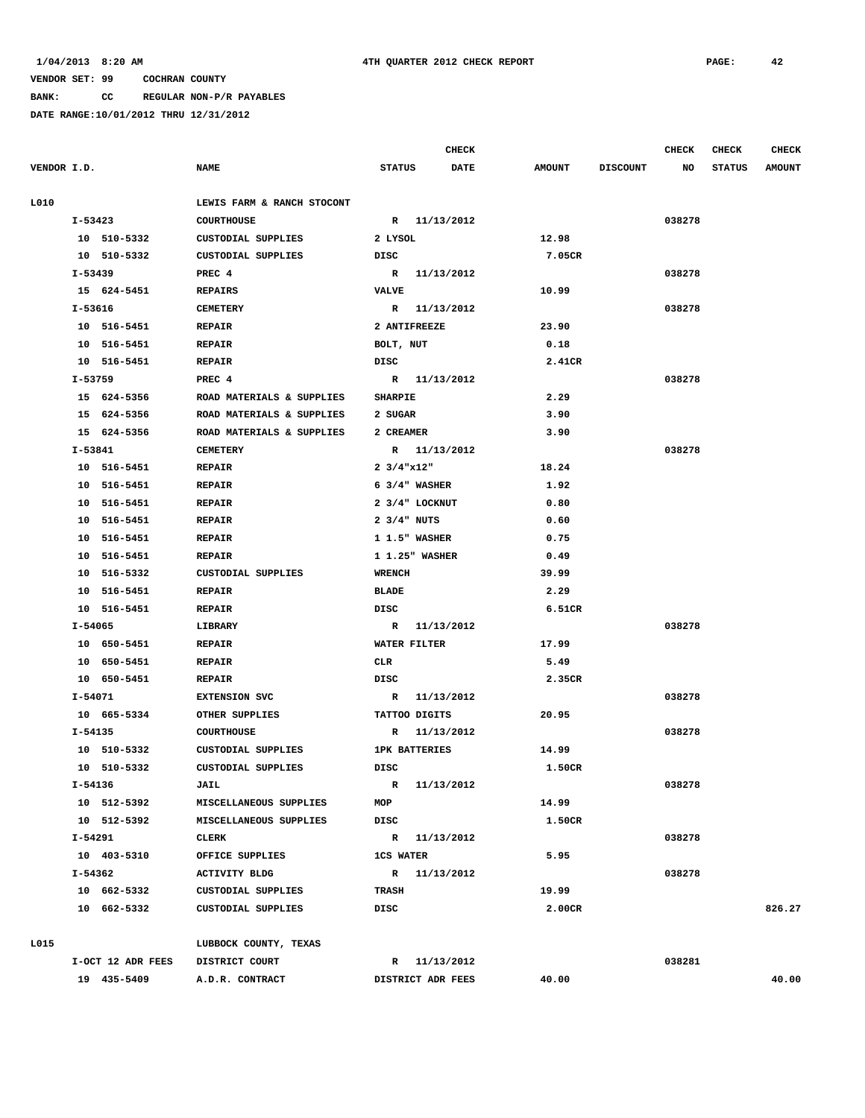### **BANK: CC REGULAR NON-P/R PAYABLES**

|             |                   |                            |                         | <b>CHECK</b> |               |                 | <b>CHECK</b> | CHECK         | <b>CHECK</b>  |
|-------------|-------------------|----------------------------|-------------------------|--------------|---------------|-----------------|--------------|---------------|---------------|
| VENDOR I.D. |                   | <b>NAME</b>                | <b>STATUS</b>           | <b>DATE</b>  | <b>AMOUNT</b> | <b>DISCOUNT</b> | NO           | <b>STATUS</b> | <b>AMOUNT</b> |
| L010        |                   | LEWIS FARM & RANCH STOCONT |                         |              |               |                 |              |               |               |
|             | $I - 53423$       | <b>COURTHOUSE</b>          | R 11/13/2012            |              |               |                 | 038278       |               |               |
|             | 10 510-5332       | CUSTODIAL SUPPLIES         | 2 LYSOL                 |              | 12.98         |                 |              |               |               |
|             | 10 510-5332       | CUSTODIAL SUPPLIES         | DISC                    |              | 7.05CR        |                 |              |               |               |
|             | I-53439           | PREC 4                     | R 11/13/2012            |              |               |                 | 038278       |               |               |
|             | 15 624-5451       | <b>REPAIRS</b>             | <b>VALVE</b>            |              | 10.99         |                 |              |               |               |
|             | I-53616           | <b>CEMETERY</b>            | R 11/13/2012            |              |               |                 | 038278       |               |               |
|             | 10 516-5451       | <b>REPAIR</b>              | 2 ANTIFREEZE            |              | 23.90         |                 |              |               |               |
|             | 10 516-5451       | <b>REPAIR</b>              | BOLT, NUT               |              | 0.18          |                 |              |               |               |
|             | 10 516-5451       | <b>REPAIR</b>              | DISC                    |              | 2.41CR        |                 |              |               |               |
|             | I-53759           | PREC 4                     | R 11/13/2012            |              |               |                 | 038278       |               |               |
|             | 15 624-5356       | ROAD MATERIALS & SUPPLIES  | <b>SHARPIE</b>          |              | 2.29          |                 |              |               |               |
|             | 15 624-5356       | ROAD MATERIALS & SUPPLIES  | 2 SUGAR                 |              | 3.90          |                 |              |               |               |
|             | 15 624-5356       | ROAD MATERIALS & SUPPLIES  | 2 CREAMER               |              | 3.90          |                 |              |               |               |
|             | I-53841           | <b>CEMETERY</b>            | R 11/13/2012            |              |               |                 | 038278       |               |               |
|             | 10 516-5451       | <b>REPAIR</b>              | $2 \frac{3}{4}$ "x12"   |              | 18.24         |                 |              |               |               |
|             | 10 516-5451       | <b>REPAIR</b>              | $6 \frac{3}{4}$ WASHER  |              | 1.92          |                 |              |               |               |
|             | 10 516-5451       | <b>REPAIR</b>              | $2 \frac{3}{4}$ LOCKNUT |              | 0.80          |                 |              |               |               |
|             | 10 516-5451       | <b>REPAIR</b>              | $2 \frac{3}{4}$ NUTS    |              | 0.60          |                 |              |               |               |
|             | 10 516-5451       | <b>REPAIR</b>              | 1 1.5" WASHER           |              | 0.75          |                 |              |               |               |
|             | 10 516-5451       | <b>REPAIR</b>              | 1 1.25" WASHER          |              | 0.49          |                 |              |               |               |
|             | 10 516-5332       | <b>CUSTODIAL SUPPLIES</b>  | <b>WRENCH</b>           |              | 39.99         |                 |              |               |               |
|             | 10 516-5451       | <b>REPAIR</b>              | BLADE                   |              | 2.29          |                 |              |               |               |
|             | 10 516-5451       | <b>REPAIR</b>              | DISC                    |              | 6.51CR        |                 |              |               |               |
|             | I-54065           | LIBRARY                    | R 11/13/2012            |              |               |                 | 038278       |               |               |
|             | 10 650-5451       | <b>REPAIR</b>              | WATER FILTER            |              | 17.99         |                 |              |               |               |
|             | 10 650-5451       | <b>REPAIR</b>              | <b>CLR</b>              |              | 5.49          |                 |              |               |               |
|             | 10 650-5451       | <b>REPAIR</b>              | DISC                    |              | 2.35CR        |                 |              |               |               |
|             | I-54071           | <b>EXTENSION SVC</b>       | R 11/13/2012            |              |               |                 | 038278       |               |               |
|             | 10 665-5334       | OTHER SUPPLIES             | TATTOO DIGITS           |              | 20.95         |                 |              |               |               |
|             | I-54135           | <b>COURTHOUSE</b>          | R 11/13/2012            |              |               |                 | 038278       |               |               |
|             | 10 510-5332       | CUSTODIAL SUPPLIES         | <b>1PK BATTERIES</b>    |              | 14.99         |                 |              |               |               |
|             | 10 510-5332       | CUSTODIAL SUPPLIES         | <b>DISC</b>             |              | 1.50CR        |                 |              |               |               |
|             | I-54136           | <b>JAIL</b>                | R 11/13/2012            |              |               |                 | 038278       |               |               |
|             | 10 512-5392       | MISCELLANEOUS SUPPLIES     | MOP                     |              | 14.99         |                 |              |               |               |
|             | 10 512-5392       | MISCELLANEOUS SUPPLIES     | DISC                    |              | 1.50CR        |                 |              |               |               |
|             | I-54291           | CLERK                      | R 11/13/2012            |              |               |                 | 038278       |               |               |
|             | 10 403-5310       | OFFICE SUPPLIES            | <b>1CS WATER</b>        |              | 5.95          |                 |              |               |               |
|             | I-54362           | <b>ACTIVITY BLDG</b>       | R 11/13/2012            |              |               |                 | 038278       |               |               |
|             | 10 662-5332       | CUSTODIAL SUPPLIES         | <b>TRASH</b>            |              | 19.99         |                 |              |               |               |
|             | 10 662-5332       | CUSTODIAL SUPPLIES         | DISC                    |              | 2.00CR        |                 |              |               | 826.27        |
| L015        |                   | LUBBOCK COUNTY, TEXAS      |                         |              |               |                 |              |               |               |
|             | I-OCT 12 ADR FEES | DISTRICT COURT             |                         | R 11/13/2012 |               |                 | 038281       |               |               |
|             | 19 435-5409       | A.D.R. CONTRACT            | DISTRICT ADR FEES       |              | 40.00         |                 |              |               | 40.00         |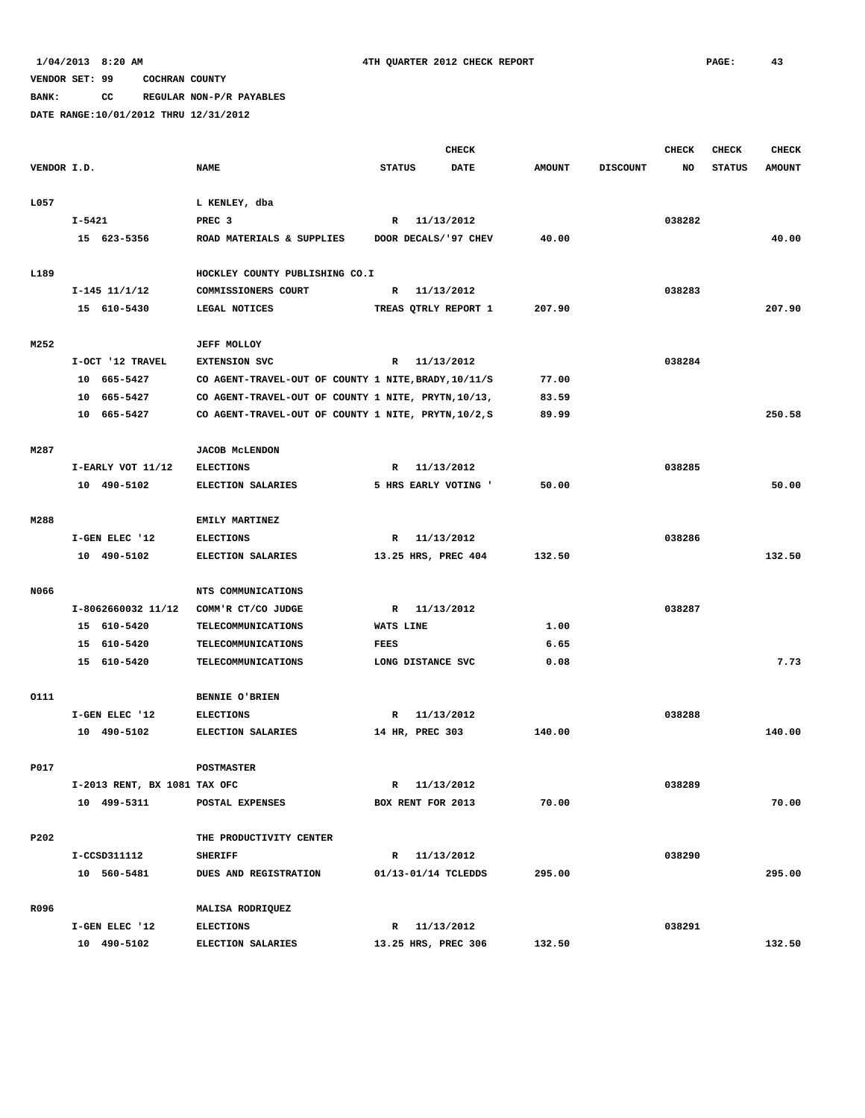**BANK: CC REGULAR NON-P/R PAYABLES**

|             |                              |                                                      | <b>CHECK</b>  |                       |               |                 | CHECK  | <b>CHECK</b>  | <b>CHECK</b>  |
|-------------|------------------------------|------------------------------------------------------|---------------|-----------------------|---------------|-----------------|--------|---------------|---------------|
| VENDOR I.D. |                              | <b>NAME</b>                                          | <b>STATUS</b> | <b>DATE</b>           | <b>AMOUNT</b> | <b>DISCOUNT</b> | NO     | <b>STATUS</b> | <b>AMOUNT</b> |
| L057        |                              | L KENLEY, dba                                        |               |                       |               |                 |        |               |               |
|             | I-5421                       | PREC <sub>3</sub>                                    | R             | 11/13/2012            |               |                 | 038282 |               |               |
|             | 15 623-5356                  | ROAD MATERIALS & SUPPLIES                            |               | DOOR DECALS/ '97 CHEV | 40.00         |                 |        |               | 40.00         |
|             |                              |                                                      |               |                       |               |                 |        |               |               |
| L189        |                              | HOCKLEY COUNTY PUBLISHING CO.I                       |               |                       |               |                 |        |               |               |
|             | $I-145$ $11/1/12$            | COMMISSIONERS COURT                                  |               | R 11/13/2012          |               |                 | 038283 |               |               |
|             | 15 610-5430                  | LEGAL NOTICES                                        |               | TREAS QTRLY REPORT 1  | 207.90        |                 |        |               | 207.90        |
| M252        |                              | <b>JEFF MOLLOY</b>                                   |               |                       |               |                 |        |               |               |
|             | I-OCT '12 TRAVEL             | <b>EXTENSION SVC</b>                                 |               | R 11/13/2012          |               |                 | 038284 |               |               |
|             | 10 665-5427                  | CO AGENT-TRAVEL-OUT OF COUNTY 1 NITE, BRADY, 10/11/S |               |                       | 77.00         |                 |        |               |               |
|             | 10 665-5427                  | CO AGENT-TRAVEL-OUT OF COUNTY 1 NITE, PRYTN, 10/13,  |               |                       | 83.59         |                 |        |               |               |
|             | 10 665-5427                  | CO AGENT-TRAVEL-OUT OF COUNTY 1 NITE, PRYTN, 10/2, S |               |                       | 89.99         |                 |        |               | 250.58        |
| M287        |                              | <b>JACOB MCLENDON</b>                                |               |                       |               |                 |        |               |               |
|             | I-EARLY VOT 11/12            | <b>ELECTIONS</b>                                     | R             | 11/13/2012            |               |                 | 038285 |               |               |
|             | 10 490-5102                  | ELECTION SALARIES                                    |               | 5 HRS EARLY VOTING '  | 50.00         |                 |        |               | 50.00         |
|             |                              |                                                      |               |                       |               |                 |        |               |               |
| M288        |                              | EMILY MARTINEZ                                       |               |                       |               |                 |        |               |               |
|             | I-GEN ELEC '12               | <b>ELECTIONS</b>                                     | R             | 11/13/2012            |               |                 | 038286 |               |               |
|             | 10 490-5102                  | ELECTION SALARIES                                    |               | 13.25 HRS, PREC 404   | 132.50        |                 |        |               | 132.50        |
| N066        |                              | NTS COMMUNICATIONS                                   |               |                       |               |                 |        |               |               |
|             | I-8062660032 11/12           | COMM'R CT/CO JUDGE                                   |               | R 11/13/2012          |               |                 | 038287 |               |               |
|             | 15 610-5420                  | TELECOMMUNICATIONS                                   | WATS LINE     |                       | 1.00          |                 |        |               |               |
|             | 15 610-5420                  | TELECOMMUNICATIONS                                   | <b>FEES</b>   |                       | 6.65          |                 |        |               |               |
|             | 15 610-5420                  | <b>TELECOMMUNICATIONS</b>                            |               | LONG DISTANCE SVC     | 0.08          |                 |        |               | 7.73          |
| 0111        |                              | <b>BENNIE O'BRIEN</b>                                |               |                       |               |                 |        |               |               |
|             | I-GEN ELEC '12               | <b>ELECTIONS</b>                                     |               | R 11/13/2012          |               |                 | 038288 |               |               |
|             | 10 490-5102                  | ELECTION SALARIES                                    |               | 14 HR, PREC 303       | 140.00        |                 |        |               | 140.00        |
|             |                              |                                                      |               |                       |               |                 |        |               |               |
| P017        |                              | <b>POSTMASTER</b>                                    |               |                       |               |                 |        |               |               |
|             | I-2013 RENT, BX 1081 TAX OFC |                                                      |               | R 11/13/2012          |               |                 | 038289 |               |               |
|             | 10 499-5311                  | POSTAL EXPENSES                                      |               | BOX RENT FOR 2013     | 70.00         |                 |        |               | 70.00         |
| P202        |                              | THE PRODUCTIVITY CENTER                              |               |                       |               |                 |        |               |               |
|             | I-CCSD311112                 | <b>SHERIFF</b>                                       |               | R 11/13/2012          |               |                 | 038290 |               |               |
|             | 10 560-5481                  | DUES AND REGISTRATION                                |               | 01/13-01/14 TCLEDDS   | 295.00        |                 |        |               | 295.00        |
| R096        |                              | MALISA RODRIQUEZ                                     |               |                       |               |                 |        |               |               |
|             | I-GEN ELEC '12               | <b>ELECTIONS</b>                                     |               | R 11/13/2012          |               |                 | 038291 |               |               |
|             | 10 490-5102                  | ELECTION SALARIES                                    |               | 13.25 HRS, PREC 306   | 132.50        |                 |        |               | 132.50        |
|             |                              |                                                      |               |                       |               |                 |        |               |               |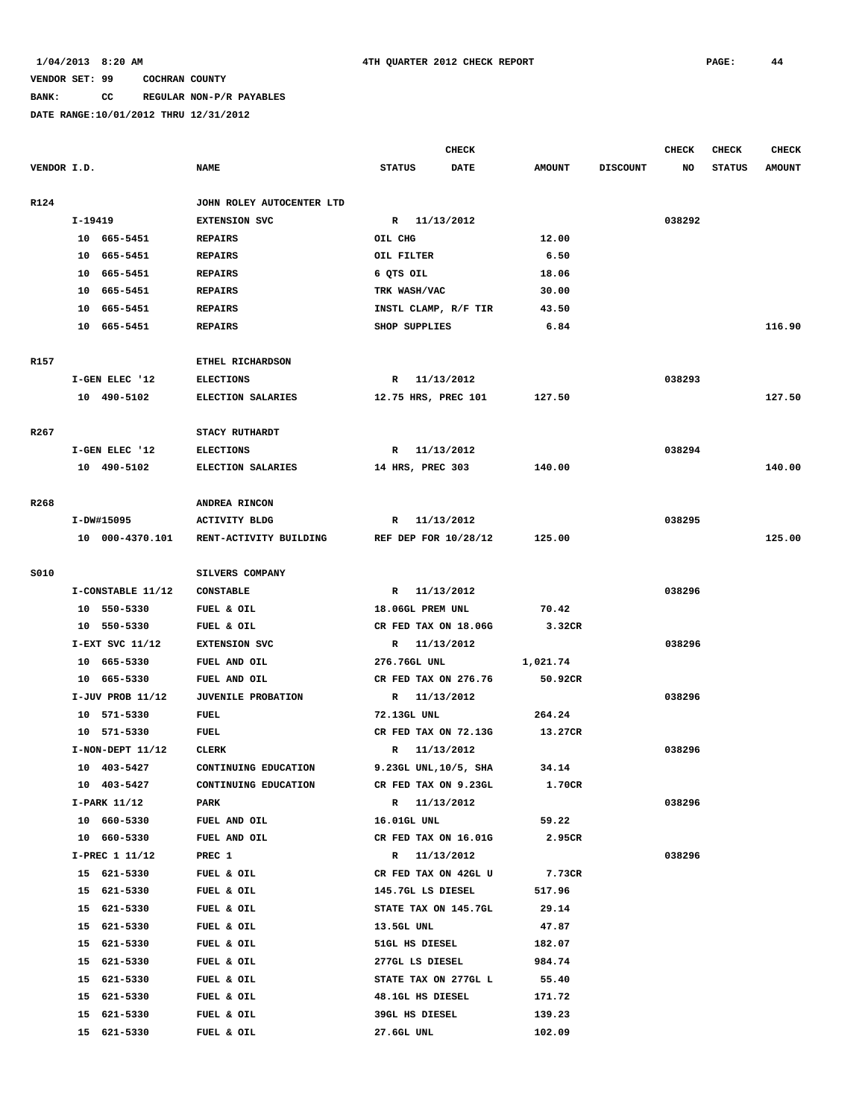# **BANK: CC REGULAR NON-P/R PAYABLES**

|                  |                            |                           |                                         | CHECK      |                 |                 | <b>CHECK</b> | <b>CHECK</b>  | CHECK         |
|------------------|----------------------------|---------------------------|-----------------------------------------|------------|-----------------|-----------------|--------------|---------------|---------------|
| VENDOR I.D.      |                            | <b>NAME</b>               | <b>STATUS</b>                           | DATE       | <b>AMOUNT</b>   | <b>DISCOUNT</b> | NO           | <b>STATUS</b> | <b>AMOUNT</b> |
| R124             |                            | JOHN ROLEY AUTOCENTER LTD |                                         |            |                 |                 |              |               |               |
|                  | I-19419                    | <b>EXTENSION SVC</b>      | R 11/13/2012                            |            |                 |                 | 038292       |               |               |
|                  | 10 665-5451                | <b>REPAIRS</b>            | OIL CHG                                 |            | 12.00           |                 |              |               |               |
|                  | 10 665-5451                | <b>REPAIRS</b>            | OIL FILTER                              |            | 6.50            |                 |              |               |               |
|                  | 10 665-5451                | <b>REPAIRS</b>            | 6 QTS OIL                               |            | 18.06           |                 |              |               |               |
|                  | 10 665-5451                | <b>REPAIRS</b>            | TRK WASH/VAC                            |            | 30.00           |                 |              |               |               |
|                  | 10 665-5451                | <b>REPAIRS</b>            | INSTL CLAMP, R/F TIR                    |            | 43.50           |                 |              |               |               |
|                  | 10 665-5451                | <b>REPAIRS</b>            | SHOP SUPPLIES                           |            | 6.84            |                 |              |               | 116.90        |
|                  |                            |                           |                                         |            |                 |                 |              |               |               |
| R157             |                            | ETHEL RICHARDSON          |                                         |            |                 |                 |              |               |               |
|                  | I-GEN ELEC '12             | <b>ELECTIONS</b>          | R 11/13/2012                            |            |                 |                 | 038293       |               |               |
|                  | 10 490-5102                | ELECTION SALARIES         | 12.75 HRS, PREC 101                     |            | 127.50          |                 |              |               | 127.50        |
| R <sub>267</sub> |                            | STACY RUTHARDT            |                                         |            |                 |                 |              |               |               |
|                  | I-GEN ELEC '12             | <b>ELECTIONS</b>          | R 11/13/2012                            |            |                 |                 | 038294       |               |               |
|                  | 10 490-5102                | ELECTION SALARIES         | 14 HRS, PREC 303                        |            | 140.00          |                 |              |               | 140.00        |
|                  |                            |                           |                                         |            |                 |                 |              |               |               |
| R268             |                            | ANDREA RINCON             |                                         |            |                 |                 |              |               |               |
|                  | I-DW#15095                 | <b>ACTIVITY BLDG</b>      | R 11/13/2012                            |            |                 |                 | 038295       |               |               |
|                  | 10 000-4370.101            | RENT-ACTIVITY BUILDING    | REF DEP FOR 10/28/12                    |            | 125.00          |                 |              |               | 125.00        |
| <b>S010</b>      |                            | SILVERS COMPANY           |                                         |            |                 |                 |              |               |               |
|                  | I-CONSTABLE 11/12          | <b>CONSTABLE</b>          | R 11/13/2012                            |            |                 |                 | 038296       |               |               |
|                  | 10 550-5330                | FUEL & OIL                | 18.06GL PREM UNL                        |            | 70.42           |                 |              |               |               |
|                  | 10 550-5330                | FUEL & OIL                | CR FED TAX ON 18.06G                    |            | 3.32CR          |                 |              |               |               |
|                  | I-EXT SVC 11/12            | <b>EXTENSION SVC</b>      | R 11/13/2012                            |            |                 |                 | 038296       |               |               |
|                  | 10 665-5330                | FUEL AND OIL              | 276.76GL UNL                            |            | 1,021.74        |                 |              |               |               |
|                  | 10 665-5330                | FUEL AND OIL              | CR FED TAX ON 276.76                    |            | 50.92CR         |                 |              |               |               |
|                  | $I-JUV$ PROB $11/12$       | <b>JUVENILE PROBATION</b> | R 11/13/2012                            |            |                 |                 | 038296       |               |               |
|                  | 10 571-5330                | FUEL                      | 72.13GL UNL                             |            | 264.24          |                 |              |               |               |
|                  | 10 571-5330                | <b>FUEL</b>               | CR FED TAX ON 72.13G                    |            | 13.27CR         |                 |              |               |               |
|                  | $I-NON-DEFT 11/12$         | <b>CLERK</b>              | R                                       | 11/13/2012 |                 |                 | 038296       |               |               |
|                  | 10 403-5427                | CONTINUING EDUCATION      | 9.23GL UNL, 10/5, SHA                   |            | 34.14           |                 |              |               |               |
|                  | 10 403-5427                | CONTINUING EDUCATION      | CR FED TAX ON 9.23GL                    |            | 1.70CR          |                 |              |               |               |
|                  | I-PARK 11/12               | PARK                      | R 11/13/2012                            |            |                 |                 | 038296       |               |               |
|                  | 10 660-5330                | FUEL AND OIL              | 16.01GL UNL                             |            | 59.22           |                 |              |               |               |
|                  | 10 660-5330                | FUEL AND OIL              | CR FED TAX ON 16.01G                    |            | 2.95CR          |                 |              |               |               |
|                  | I-PREC 1 11/12             | PREC 1                    | R 11/13/2012                            |            |                 |                 | 038296       |               |               |
|                  | 15 621-5330                | FUEL & OIL                | CR FED TAX ON 42GL U                    |            | 7.73CR          |                 |              |               |               |
|                  | 15 621-5330                | FUEL & OIL                | 145.7GL LS DIESEL                       |            | 517.96          |                 |              |               |               |
|                  | 15<br>621-5330             | FUEL & OIL                | STATE TAX ON 145.7GL                    |            | 29.14           |                 |              |               |               |
|                  | 621-5330<br>15             | FUEL & OIL                | 13.5GL UNL                              |            | 47.87           |                 |              |               |               |
|                  | 15<br>621-5330             | FUEL & OIL                | 51GL HS DIESEL                          |            | 182.07          |                 |              |               |               |
|                  | 15                         | FUEL & OIL                |                                         |            |                 |                 |              |               |               |
|                  | 621-5330<br>621-5330<br>15 | FUEL & OIL                | 277GL LS DIESEL<br>STATE TAX ON 277GL L |            | 984.74<br>55.40 |                 |              |               |               |
|                  | 621-5330<br>15             |                           | 48.1GL HS DIESEL                        |            | 171.72          |                 |              |               |               |
|                  |                            | FUEL & OIL                |                                         |            |                 |                 |              |               |               |
|                  | 15<br>621-5330             | FUEL & OIL                | 39GL HS DIESEL                          |            | 139.23          |                 |              |               |               |
|                  | 15 621-5330                | FUEL & OIL                | 27.6GL UNL                              |            | 102.09          |                 |              |               |               |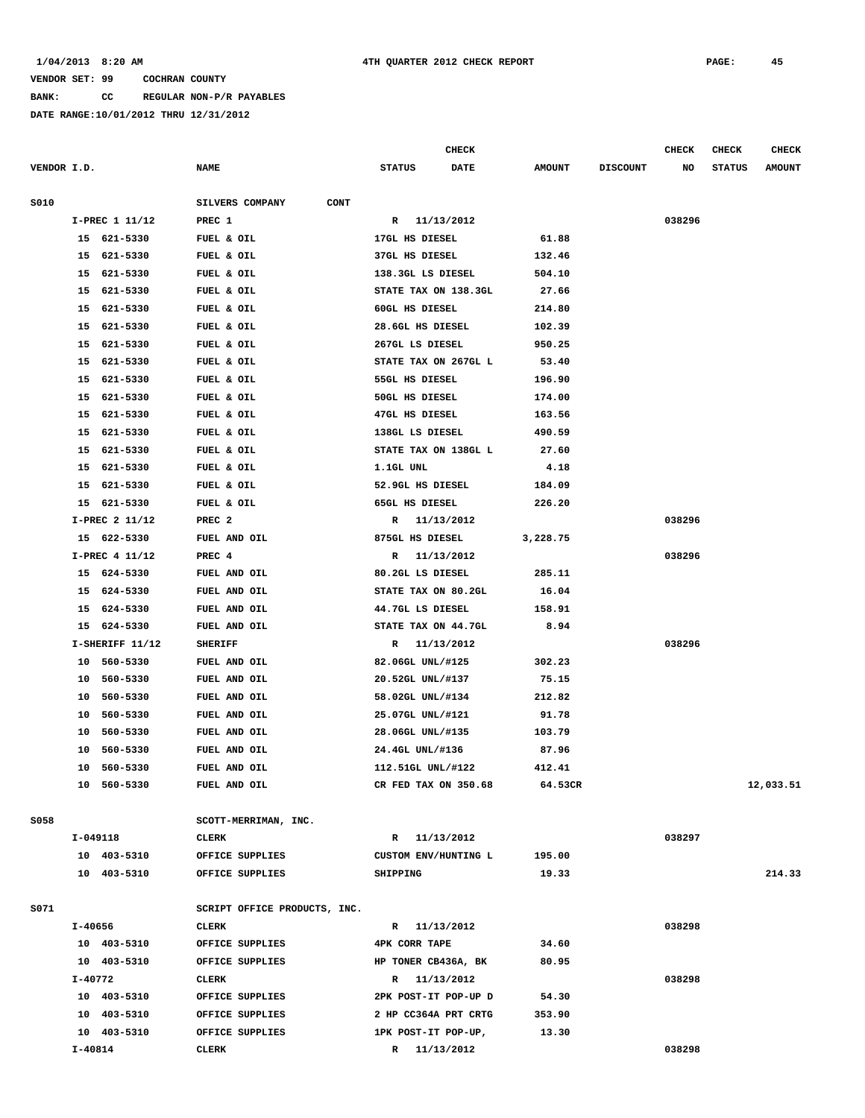**BANK: CC REGULAR NON-P/R PAYABLES**

|             |                   |          |                                |                                           | <b>CHECK</b> |                 |                 | CHECK  | <b>CHECK</b>  | <b>CHECK</b>  |
|-------------|-------------------|----------|--------------------------------|-------------------------------------------|--------------|-----------------|-----------------|--------|---------------|---------------|
| VENDOR I.D. |                   |          | <b>NAME</b>                    | <b>STATUS</b>                             | <b>DATE</b>  | <b>AMOUNT</b>   | <b>DISCOUNT</b> | NO     | <b>STATUS</b> | <b>AMOUNT</b> |
|             |                   |          |                                |                                           |              |                 |                 |        |               |               |
| S010        |                   |          | SILVERS COMPANY<br><b>CONT</b> |                                           |              |                 |                 |        |               |               |
|             | I-PREC 1 11/12    |          | PREC 1                         | R 11/13/2012                              |              |                 |                 | 038296 |               |               |
|             | 15 621-5330       |          | FUEL & OIL                     | 17GL HS DIESEL                            |              | 61.88           |                 |        |               |               |
|             | 15 621-5330       |          | FUEL & OIL                     | 37GL HS DIESEL                            |              | 132.46          |                 |        |               |               |
|             | 15 621-5330<br>15 | 621-5330 | FUEL & OIL                     | 138.3GL LS DIESEL<br>STATE TAX ON 138.3GL |              | 504.10<br>27.66 |                 |        |               |               |
|             | 15                | 621-5330 | FUEL & OIL<br>FUEL & OIL       | 60GL HS DIESEL                            |              | 214.80          |                 |        |               |               |
|             | 15                | 621-5330 |                                | 28.6GL HS DIESEL                          |              | 102.39          |                 |        |               |               |
|             | 15                | 621-5330 | FUEL & OIL<br>FUEL & OIL       | 267GL LS DIESEL                           |              | 950.25          |                 |        |               |               |
|             | 15                | 621-5330 | FUEL & OIL                     | STATE TAX ON 267GL L                      |              | 53.40           |                 |        |               |               |
|             | 15                | 621-5330 | FUEL & OIL                     | 55GL HS DIESEL                            |              | 196.90          |                 |        |               |               |
|             | 15                | 621-5330 | FUEL & OIL                     | 50GL HS DIESEL                            |              | 174.00          |                 |        |               |               |
|             | 15                | 621-5330 | FUEL & OIL                     | 47GL HS DIESEL                            |              | 163.56          |                 |        |               |               |
|             | 15                | 621-5330 | FUEL & OIL                     | 138GL LS DIESEL                           |              | 490.59          |                 |        |               |               |
|             | 15                | 621-5330 | FUEL & OIL                     | STATE TAX ON 138GL L                      |              | 27.60           |                 |        |               |               |
|             | 15                | 621-5330 | FUEL & OIL                     | 1.1GL UNL                                 |              | 4.18            |                 |        |               |               |
|             | 15                | 621-5330 | FUEL & OIL                     | 52.9GL HS DIESEL                          |              | 184.09          |                 |        |               |               |
|             | 15                | 621-5330 | FUEL & OIL                     | 65GL HS DIESEL                            |              | 226.20          |                 |        |               |               |
|             | I-PREC 2 11/12    |          | PREC <sub>2</sub>              | R 11/13/2012                              |              |                 |                 | 038296 |               |               |
|             | 15 622-5330       |          | FUEL AND OIL                   | 875GL HS DIESEL                           |              | 3,228.75        |                 |        |               |               |
|             | I-PREC 4 11/12    |          | PREC 4                         | R 11/13/2012                              |              |                 |                 | 038296 |               |               |
|             | 15 624-5330       |          | FUEL AND OIL                   | 80.2GL LS DIESEL                          |              | 285.11          |                 |        |               |               |
|             | 15                | 624-5330 | FUEL AND OIL                   | STATE TAX ON 80.2GL                       |              | 16.04           |                 |        |               |               |
|             | 15                | 624-5330 | FUEL AND OIL                   | 44.7GL LS DIESEL                          |              | 158.91          |                 |        |               |               |
|             | 15                | 624-5330 | FUEL AND OIL                   | STATE TAX ON 44.7GL                       |              | 8.94            |                 |        |               |               |
|             | $I-SHERIFF 11/12$ |          | <b>SHERIFF</b>                 | R                                         | 11/13/2012   |                 |                 | 038296 |               |               |
|             | 10                | 560-5330 | FUEL AND OIL                   | 82.06GL UNL/#125                          |              | 302.23          |                 |        |               |               |
|             | 10                | 560-5330 | FUEL AND OIL                   | 20.52GL UNL/#137                          |              | 75.15           |                 |        |               |               |
|             | 10                | 560-5330 | FUEL AND OIL                   | 58.02GL UNL/#134                          |              | 212.82          |                 |        |               |               |
|             | 10                | 560-5330 | FUEL AND OIL                   | 25.07GL UNL/#121                          |              | 91.78           |                 |        |               |               |
|             | 10                | 560-5330 | FUEL AND OIL                   | 28.06GL UNL/#135                          |              | 103.79          |                 |        |               |               |
|             | 10                | 560-5330 | FUEL AND OIL                   | 24.4GL UNL/#136                           |              | 87.96           |                 |        |               |               |
|             | 10                | 560-5330 | FUEL AND OIL                   | 112.51GL UNL/#122                         |              | 412.41          |                 |        |               |               |
|             | 10 560-5330       |          | FUEL AND OIL                   | CR FED TAX ON 350.68                      |              | 64.53CR         |                 |        |               | 12,033.51     |
|             |                   |          |                                |                                           |              |                 |                 |        |               |               |
| S058        | I-049118          |          | SCOTT-MERRIMAN, INC.<br>CLERK  | R 11/13/2012                              |              |                 |                 | 038297 |               |               |
|             | 10 403-5310       |          | OFFICE SUPPLIES                | CUSTOM ENV/HUNTING L                      |              | 195.00          |                 |        |               |               |
|             | 10 403-5310       |          | OFFICE SUPPLIES                | SHIPPING                                  |              | 19.33           |                 |        |               | 214.33        |
|             |                   |          |                                |                                           |              |                 |                 |        |               |               |
| S071        |                   |          | SCRIPT OFFICE PRODUCTS, INC.   |                                           |              |                 |                 |        |               |               |
|             | I-40656           |          | CLERK                          | R 11/13/2012                              |              |                 |                 | 038298 |               |               |
|             | 10 403-5310       |          | OFFICE SUPPLIES                | <b>4PK CORR TAPE</b>                      |              | 34.60           |                 |        |               |               |
|             | 10 403-5310       |          | OFFICE SUPPLIES                | HP TONER CB436A, BK                       |              | 80.95           |                 |        |               |               |
|             | I-40772           |          | CLERK                          | R 11/13/2012                              |              |                 |                 | 038298 |               |               |
|             | 10 403-5310       |          | OFFICE SUPPLIES                | 2PK POST-IT POP-UP D                      |              | 54.30           |                 |        |               |               |
|             | 10 403-5310       |          | OFFICE SUPPLIES                | 2 HP CC364A PRT CRTG                      |              | 353.90          |                 |        |               |               |
|             | 10 403-5310       |          | OFFICE SUPPLIES                | 1PK POST-IT POP-UP,                       |              | 13.30           |                 |        |               |               |
|             | I-40814           |          | CLERK                          | R 11/13/2012                              |              |                 |                 | 038298 |               |               |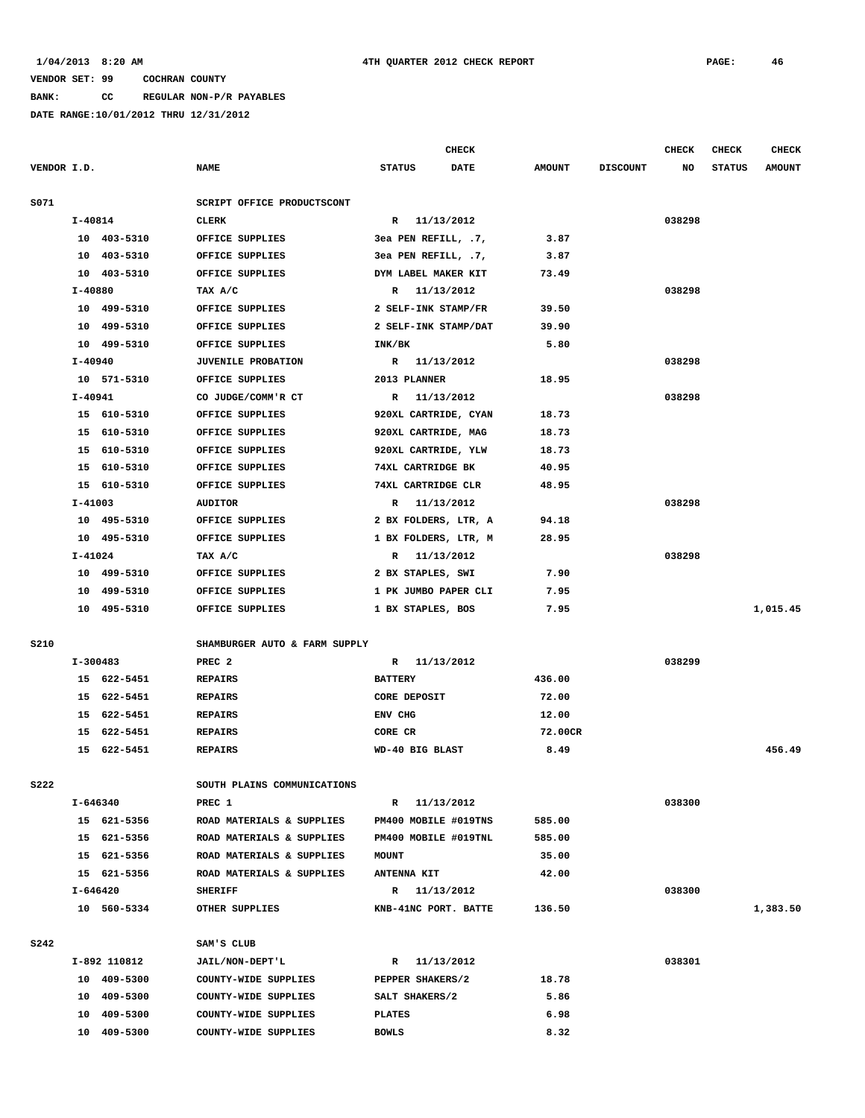**BANK: CC REGULAR NON-P/R PAYABLES**

|             |             |              |                               |                      | <b>CHECK</b> |               |                 | <b>CHECK</b> | <b>CHECK</b>  | <b>CHECK</b>  |
|-------------|-------------|--------------|-------------------------------|----------------------|--------------|---------------|-----------------|--------------|---------------|---------------|
| VENDOR I.D. |             |              | <b>NAME</b>                   | <b>STATUS</b>        | DATE         | <b>AMOUNT</b> | <b>DISCOUNT</b> | NO           | <b>STATUS</b> | <b>AMOUNT</b> |
| S071        |             |              | SCRIPT OFFICE PRODUCTSCONT    |                      |              |               |                 |              |               |               |
|             | $I - 40814$ |              | CLERK                         | R 11/13/2012         |              |               |                 | 038298       |               |               |
|             |             | 10 403-5310  | OFFICE SUPPLIES               | 3ea PEN REFILL, .7,  |              | 3.87          |                 |              |               |               |
|             |             | 10 403-5310  | OFFICE SUPPLIES               | 3ea PEN REFILL, .7,  |              | 3.87          |                 |              |               |               |
|             |             | 10 403-5310  | OFFICE SUPPLIES               | DYM LABEL MAKER KIT  |              | 73.49         |                 |              |               |               |
|             | I-40880     |              | TAX A/C                       | R 11/13/2012         |              |               |                 | 038298       |               |               |
|             |             | 10 499-5310  | OFFICE SUPPLIES               | 2 SELF-INK STAMP/FR  |              | 39.50         |                 |              |               |               |
|             |             | 10 499-5310  | OFFICE SUPPLIES               | 2 SELF-INK STAMP/DAT |              | 39.90         |                 |              |               |               |
|             |             | 10 499-5310  | OFFICE SUPPLIES               | INK/BK               |              | 5.80          |                 |              |               |               |
|             | $I - 40940$ |              | <b>JUVENILE PROBATION</b>     | R 11/13/2012         |              |               |                 | 038298       |               |               |
|             |             | 10 571-5310  | OFFICE SUPPLIES               | 2013 PLANNER         |              | 18.95         |                 |              |               |               |
|             | I-40941     |              | CO JUDGE/COMM'R CT            | R 11/13/2012         |              |               |                 | 038298       |               |               |
|             |             | 15 610-5310  | OFFICE SUPPLIES               | 920XL CARTRIDE, CYAN |              | 18.73         |                 |              |               |               |
|             |             | 15 610-5310  | OFFICE SUPPLIES               | 920XL CARTRIDE, MAG  |              | 18.73         |                 |              |               |               |
|             |             |              | OFFICE SUPPLIES               |                      |              |               |                 |              |               |               |
|             |             | 15 610-5310  |                               | 920XL CARTRIDE, YLW  |              | 18.73         |                 |              |               |               |
|             |             | 15 610-5310  | OFFICE SUPPLIES               | 74XL CARTRIDGE BK    |              | 40.95         |                 |              |               |               |
|             |             | 15 610-5310  | OFFICE SUPPLIES               | 74XL CARTRIDGE CLR   |              | 48.95         |                 |              |               |               |
|             | I-41003     |              | <b>AUDITOR</b>                | R 11/13/2012         |              |               |                 | 038298       |               |               |
|             |             | 10 495-5310  | OFFICE SUPPLIES               | 2 BX FOLDERS, LTR, A |              | 94.18         |                 |              |               |               |
|             |             | 10 495-5310  | OFFICE SUPPLIES               | 1 BX FOLDERS, LTR, M |              | 28.95         |                 |              |               |               |
|             | I-41024     |              | TAX A/C                       | R 11/13/2012         |              |               |                 | 038298       |               |               |
|             |             | 10 499-5310  | OFFICE SUPPLIES               | 2 BX STAPLES, SWI    |              | 7.90          |                 |              |               |               |
|             |             | 10 499-5310  | OFFICE SUPPLIES               | 1 PK JUMBO PAPER CLI |              | 7.95          |                 |              |               |               |
|             |             | 10 495-5310  | OFFICE SUPPLIES               | 1 BX STAPLES, BOS    |              | 7.95          |                 |              |               | 1,015.45      |
| <b>S210</b> |             |              | SHAMBURGER AUTO & FARM SUPPLY |                      |              |               |                 |              |               |               |
|             |             | I-300483     | PREC <sub>2</sub>             | R 11/13/2012         |              |               |                 | 038299       |               |               |
|             |             | 15 622-5451  | <b>REPAIRS</b>                | <b>BATTERY</b>       |              | 436.00        |                 |              |               |               |
|             |             | 15 622-5451  | <b>REPAIRS</b>                | <b>CORE DEPOSIT</b>  |              | 72.00         |                 |              |               |               |
|             |             | 15 622-5451  | <b>REPAIRS</b>                | ENV CHG              |              | 12.00         |                 |              |               |               |
|             |             | 15 622-5451  | <b>REPAIRS</b>                | CORE CR              |              | 72.00CR       |                 |              |               |               |
|             |             | 15 622-5451  | <b>REPAIRS</b>                | WD-40 BIG BLAST      |              | 8.49          |                 |              |               | 456.49        |
| <b>S222</b> |             |              | SOUTH PLAINS COMMUNICATIONS   |                      |              |               |                 |              |               |               |
|             | I-646340    |              | PREC 1                        | $\mathbf{R}$         | 11/13/2012   |               |                 | 038300       |               |               |
|             |             | 15 621-5356  | ROAD MATERIALS & SUPPLIES     | PM400 MOBILE #019TNS |              | 585.00        |                 |              |               |               |
|             |             | 15 621-5356  | ROAD MATERIALS & SUPPLIES     | PM400 MOBILE #019TNL |              | 585.00        |                 |              |               |               |
|             |             | 15 621-5356  | ROAD MATERIALS & SUPPLIES     | MOUNT                |              | 35.00         |                 |              |               |               |
|             |             | 15 621-5356  | ROAD MATERIALS & SUPPLIES     | <b>ANTENNA KIT</b>   |              | 42.00         |                 |              |               |               |
|             |             | I-646420     | <b>SHERIFF</b>                | R 11/13/2012         |              |               |                 | 038300       |               |               |
|             |             | 10 560-5334  | OTHER SUPPLIES                | KNB-41NC PORT. BATTE |              | 136.50        |                 |              |               | 1,383.50      |
|             |             |              |                               |                      |              |               |                 |              |               |               |
| S242        |             |              | SAM'S CLUB                    |                      |              |               |                 |              |               |               |
|             |             | I-892 110812 | JAIL/NON-DEPT'L               | R 11/13/2012         |              |               |                 | 038301       |               |               |
|             |             | 10 409-5300  | COUNTY-WIDE SUPPLIES          | PEPPER SHAKERS/2     |              | 18.78         |                 |              |               |               |
|             |             | 10 409-5300  | COUNTY-WIDE SUPPLIES          | SALT SHAKERS/2       |              | 5.86          |                 |              |               |               |
|             |             | 10 409-5300  | COUNTY-WIDE SUPPLIES          | <b>PLATES</b>        |              | 6.98          |                 |              |               |               |
|             |             | 10 409-5300  | COUNTY-WIDE SUPPLIES          | <b>BOWLS</b>         |              | 8.32          |                 |              |               |               |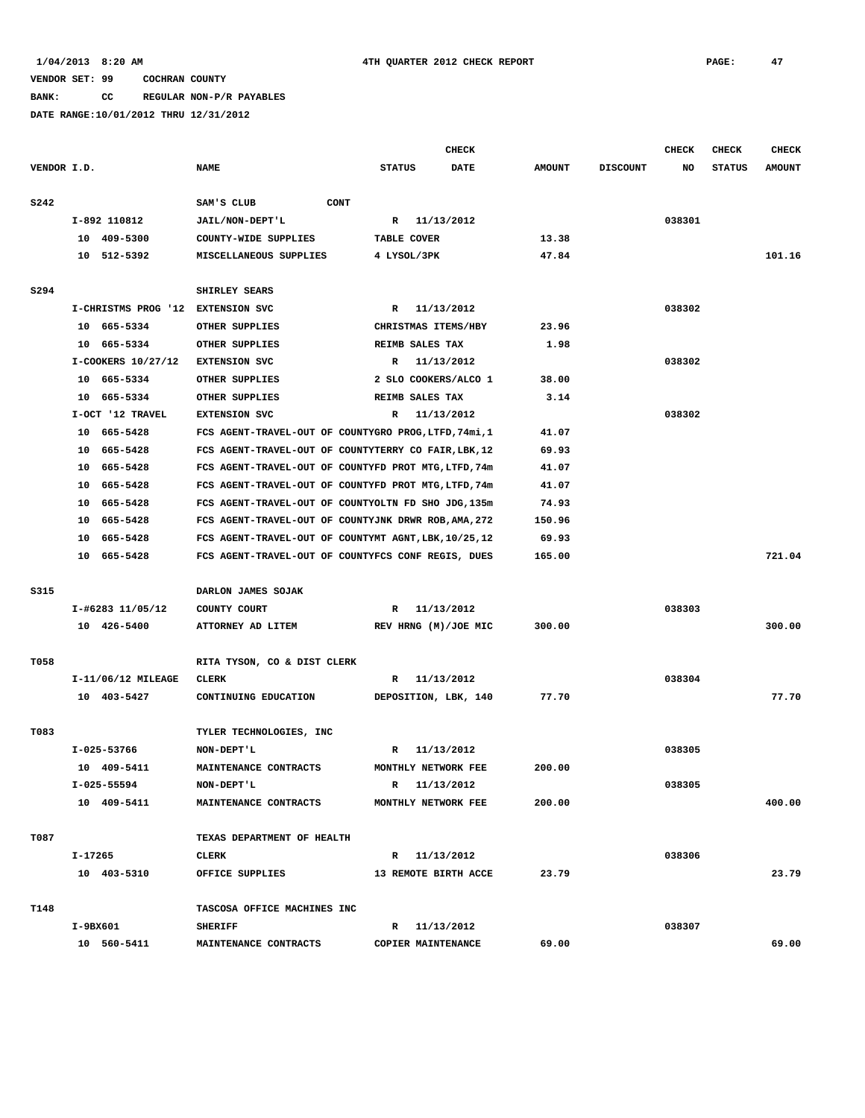### **BANK: CC REGULAR NON-P/R PAYABLES**

|             |                                   |                                                       |                      | <b>CHECK</b> |               |                 | CHECK  | CHECK         | <b>CHECK</b>  |
|-------------|-----------------------------------|-------------------------------------------------------|----------------------|--------------|---------------|-----------------|--------|---------------|---------------|
| VENDOR I.D. |                                   | <b>NAME</b>                                           | <b>STATUS</b>        | <b>DATE</b>  | <b>AMOUNT</b> | <b>DISCOUNT</b> | NO     | <b>STATUS</b> | <b>AMOUNT</b> |
| <b>S242</b> |                                   | SAM'S CLUB<br><b>CONT</b>                             |                      |              |               |                 |        |               |               |
|             | I-892 110812                      | JAIL/NON-DEPT'L                                       | R 11/13/2012         |              |               |                 | 038301 |               |               |
|             | 10 409-5300                       | COUNTY-WIDE SUPPLIES                                  | TABLE COVER          |              | 13.38         |                 |        |               |               |
|             | 10 512-5392                       | MISCELLANEOUS SUPPLIES                                | 4 LYSOL/3PK          |              | 47.84         |                 |        |               | 101.16        |
|             |                                   |                                                       |                      |              |               |                 |        |               |               |
| S294        |                                   | SHIRLEY SEARS                                         |                      |              |               |                 |        |               |               |
|             | I-CHRISTMS PROG '12 EXTENSION SVC |                                                       | R                    | 11/13/2012   |               |                 | 038302 |               |               |
|             | 10 665-5334                       | OTHER SUPPLIES                                        | CHRISTMAS ITEMS/HBY  |              | 23.96         |                 |        |               |               |
|             | 10 665-5334                       | OTHER SUPPLIES                                        | REIMB SALES TAX      |              | 1.98          |                 |        |               |               |
|             | I-COOKERS 10/27/12                | <b>EXTENSION SVC</b>                                  | R                    | 11/13/2012   |               |                 | 038302 |               |               |
|             | 10 665-5334                       | OTHER SUPPLIES                                        | 2 SLO COOKERS/ALCO 1 |              | 38.00         |                 |        |               |               |
|             | 10 665-5334                       | OTHER SUPPLIES                                        | REIMB SALES TAX      |              | 3.14          |                 |        |               |               |
|             | I-OCT '12 TRAVEL                  | <b>EXTENSION SVC</b>                                  | R                    | 11/13/2012   |               |                 | 038302 |               |               |
|             | 10 665-5428                       | FCS AGENT-TRAVEL-OUT OF COUNTYGRO PROG, LTFD, 74mi, 1 |                      |              | 41.07         |                 |        |               |               |
|             | 10 665-5428                       | FCS AGENT-TRAVEL-OUT OF COUNTYTERRY CO FAIR, LBK, 12  |                      |              | 69.93         |                 |        |               |               |
|             | 665–5428<br>10                    | FCS AGENT-TRAVEL-OUT OF COUNTYFD PROT MTG, LTFD, 74m  |                      |              | 41.07         |                 |        |               |               |
|             | 665-5428<br>10                    | FCS AGENT-TRAVEL-OUT OF COUNTYFD PROT MTG, LTFD, 74m  |                      |              | 41.07         |                 |        |               |               |
|             | 665-5428<br>10                    | FCS AGENT-TRAVEL-OUT OF COUNTYOLTN FD SHO JDG, 135m   |                      |              | 74.93         |                 |        |               |               |
|             | 10<br>665–5428                    | FCS AGENT-TRAVEL-OUT OF COUNTYJNK DRWR ROB, AMA, 272  |                      |              | 150.96        |                 |        |               |               |
|             | 665-5428<br>10                    | FCS AGENT-TRAVEL-OUT OF COUNTYMT AGNT, LBK, 10/25, 12 |                      |              | 69.93         |                 |        |               |               |
|             | 10 665-5428                       | FCS AGENT-TRAVEL-OUT OF COUNTYFCS CONF REGIS, DUES    |                      |              | 165.00        |                 |        |               | 721.04        |
| S315        |                                   | DARLON JAMES SOJAK                                    |                      |              |               |                 |        |               |               |
|             | I-#6283 11/05/12                  | COUNTY COURT                                          | R                    | 11/13/2012   |               |                 | 038303 |               |               |
|             | 10 426-5400                       | ATTORNEY AD LITEM                                     | REV HRNG (M)/JOE MIC |              | 300.00        |                 |        |               | 300.00        |
|             |                                   |                                                       |                      |              |               |                 |        |               |               |
| T058        |                                   | RITA TYSON, CO & DIST CLERK                           |                      |              |               |                 |        |               |               |
|             | I-11/06/12 MILEAGE                | CLERK                                                 | R                    | 11/13/2012   |               |                 | 038304 |               |               |
|             | 10 403-5427                       | CONTINUING EDUCATION                                  | DEPOSITION, LBK, 140 |              | 77.70         |                 |        |               | 77.70         |
|             |                                   |                                                       |                      |              |               |                 |        |               |               |
| T083        |                                   | TYLER TECHNOLOGIES, INC                               |                      |              |               |                 |        |               |               |
|             | I-025-53766                       | NON-DEPT'L                                            | R                    | 11/13/2012   | 200.00        |                 | 038305 |               |               |
|             | 10 409-5411                       | MAINTENANCE CONTRACTS                                 | MONTHLY NETWORK FEE  |              |               |                 |        |               |               |
|             | I-025-55594                       | <b>NON-DEPT'L</b>                                     | R                    | 11/13/2012   |               |                 | 038305 |               |               |
|             | 10 409-5411                       | MAINTENANCE CONTRACTS                                 | MONTHLY NETWORK FEE  |              | 200.00        |                 |        |               | 400.00        |
| T087        |                                   | TEXAS DEPARTMENT OF HEALTH                            |                      |              |               |                 |        |               |               |
|             | I-17265                           | CLERK                                                 | R 11/13/2012         |              |               |                 | 038306 |               |               |
|             | 10 403-5310                       | OFFICE SUPPLIES                                       | 13 REMOTE BIRTH ACCE |              | 23.79         |                 |        |               | 23.79         |
| T148        |                                   | TASCOSA OFFICE MACHINES INC                           |                      |              |               |                 |        |               |               |
|             | I-9BX601                          | <b>SHERIFF</b>                                        | R 11/13/2012         |              |               |                 | 038307 |               |               |
|             | 10 560-5411                       | MAINTENANCE CONTRACTS                                 | COPIER MAINTENANCE   |              | 69.00         |                 |        |               | 69.00         |
|             |                                   |                                                       |                      |              |               |                 |        |               |               |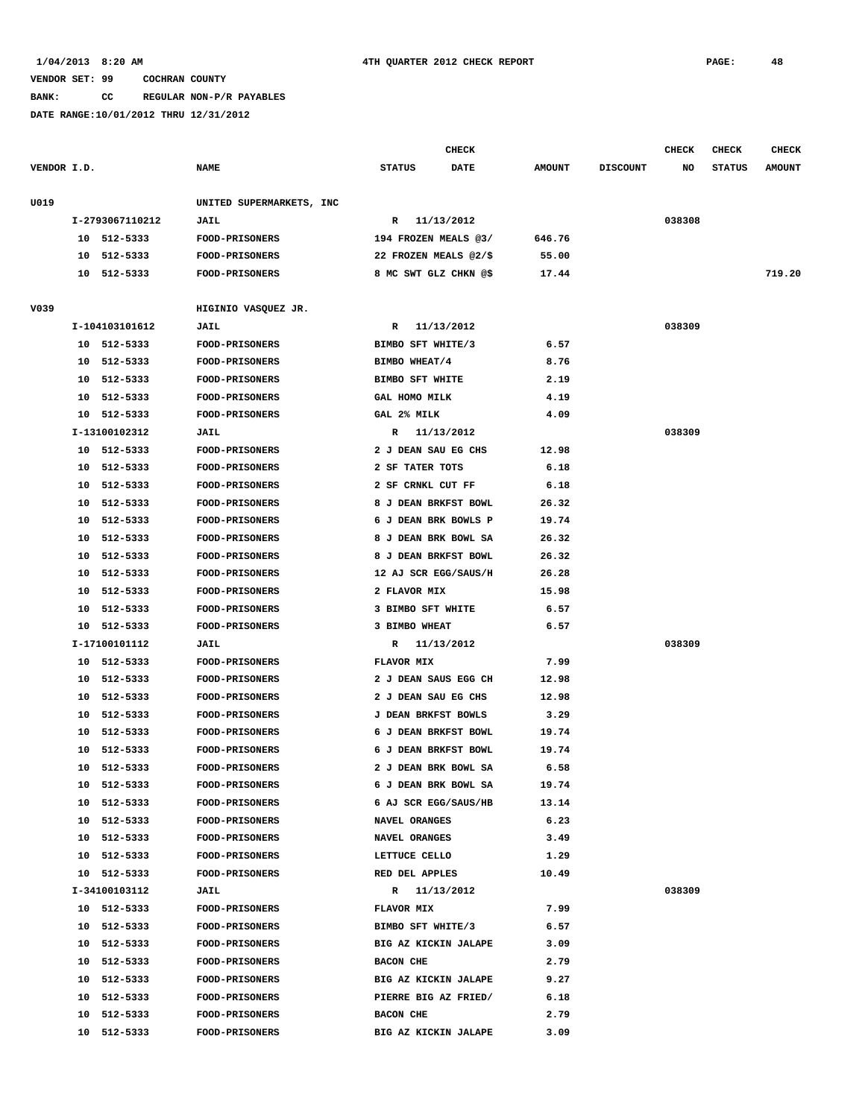**BANK: CC REGULAR NON-P/R PAYABLES**

|             |    |                 |                          |                        | <b>CHECK</b> |               |                 | <b>CHECK</b> | <b>CHECK</b>  | CHECK         |
|-------------|----|-----------------|--------------------------|------------------------|--------------|---------------|-----------------|--------------|---------------|---------------|
| VENDOR I.D. |    |                 | <b>NAME</b>              | <b>STATUS</b>          | <b>DATE</b>  | <b>AMOUNT</b> | <b>DISCOUNT</b> | NO           | <b>STATUS</b> | <b>AMOUNT</b> |
| U019        |    |                 | UNITED SUPERMARKETS, INC |                        |              |               |                 |              |               |               |
|             |    | I-2793067110212 | <b>JAIL</b>              | $\mathbb{R}$           | 11/13/2012   |               |                 | 038308       |               |               |
|             |    | 10 512-5333     | <b>FOOD-PRISONERS</b>    | 194 FROZEN MEALS @3/   |              | 646.76        |                 |              |               |               |
|             |    | 10 512-5333     | <b>FOOD-PRISONERS</b>    | 22 FROZEN MEALS @2/\$  |              | 55.00         |                 |              |               |               |
|             |    | 10 512-5333     | <b>FOOD-PRISONERS</b>    | 8 MC SWT GLZ CHKN @\$  |              | 17.44         |                 |              |               | 719.20        |
| V039        |    |                 | HIGINIO VASQUEZ JR.      |                        |              |               |                 |              |               |               |
|             |    | I-104103101612  | <b>JAIL</b>              | R                      | 11/13/2012   |               |                 | 038309       |               |               |
|             |    | 10 512-5333     | <b>FOOD-PRISONERS</b>    | BIMBO SFT WHITE/3      |              | 6.57          |                 |              |               |               |
|             |    | 10 512-5333     | <b>FOOD-PRISONERS</b>    | BIMBO WHEAT/4          |              | 8.76          |                 |              |               |               |
|             |    | 10 512-5333     | <b>FOOD-PRISONERS</b>    | <b>BIMBO SFT WHITE</b> |              | 2.19          |                 |              |               |               |
|             |    | 10 512-5333     | <b>FOOD-PRISONERS</b>    | GAL HOMO MILK          |              | 4.19          |                 |              |               |               |
|             |    | 10 512-5333     | <b>FOOD-PRISONERS</b>    | GAL 2% MILK            |              | 4.09          |                 |              |               |               |
|             |    | I-13100102312   | <b>JAIL</b>              | R                      | 11/13/2012   |               |                 | 038309       |               |               |
|             |    | 10 512-5333     | <b>FOOD-PRISONERS</b>    | 2 J DEAN SAU EG CHS    |              | 12.98         |                 |              |               |               |
|             |    | 10 512-5333     | <b>FOOD-PRISONERS</b>    | 2 SF TATER TOTS        |              | 6.18          |                 |              |               |               |
|             |    | 10 512-5333     | <b>FOOD-PRISONERS</b>    | 2 SF CRNKL CUT FF      |              | 6.18          |                 |              |               |               |
|             |    | 10 512-5333     | <b>FOOD-PRISONERS</b>    | 8 J DEAN BRKFST BOWL   |              | 26.32         |                 |              |               |               |
|             |    | 10 512-5333     | FOOD-PRISONERS           | 6 J DEAN BRK BOWLS P   |              | 19.74         |                 |              |               |               |
|             | 10 | 512-5333        | <b>FOOD-PRISONERS</b>    | 8 J DEAN BRK BOWL SA   |              | 26.32         |                 |              |               |               |
|             | 10 | 512-5333        | <b>FOOD-PRISONERS</b>    | 8 J DEAN BRKFST BOWL   |              | 26.32         |                 |              |               |               |
|             | 10 | 512-5333        | <b>FOOD-PRISONERS</b>    | 12 AJ SCR EGG/SAUS/H   |              | 26.28         |                 |              |               |               |
|             | 10 | 512-5333        | <b>FOOD-PRISONERS</b>    | 2 FLAVOR MIX           |              | 15.98         |                 |              |               |               |
|             |    | 10 512-5333     | <b>FOOD-PRISONERS</b>    | 3 BIMBO SFT WHITE      |              | 6.57          |                 |              |               |               |
|             |    | 10 512-5333     | <b>FOOD-PRISONERS</b>    | 3 BIMBO WHEAT          |              | 6.57          |                 |              |               |               |
|             |    | I-17100101112   | <b>JAIL</b>              | $\mathbb{R}$           | 11/13/2012   |               |                 | 038309       |               |               |
|             |    | 10 512-5333     | <b>FOOD-PRISONERS</b>    | FLAVOR MIX             |              | 7.99          |                 |              |               |               |
|             |    | 10 512-5333     | <b>FOOD-PRISONERS</b>    | 2 J DEAN SAUS EGG CH   |              | 12.98         |                 |              |               |               |
|             | 10 | 512-5333        | FOOD-PRISONERS           | 2 J DEAN SAU EG CHS    |              | 12.98         |                 |              |               |               |
|             | 10 | 512-5333        | <b>FOOD-PRISONERS</b>    | J DEAN BRKFST BOWLS    |              | 3.29          |                 |              |               |               |
|             | 10 | 512-5333        | <b>FOOD-PRISONERS</b>    | 6 J DEAN BRKFST BOWL   |              | 19.74         |                 |              |               |               |
|             | 10 | 512-5333        | <b>FOOD-PRISONERS</b>    | 6 J DEAN BRKFST BOWL   |              | 19.74         |                 |              |               |               |
|             | 10 | 512-5333        | <b>FOOD-PRISONERS</b>    | 2 J DEAN BRK BOWL SA   |              | 6.58          |                 |              |               |               |
|             | 10 | 512-5333        | <b>FOOD-PRISONERS</b>    | 6 J DEAN BRK BOWL SA   |              | 19.74         |                 |              |               |               |
|             |    | 10 512-5333     | <b>FOOD-PRISONERS</b>    | 6 AJ SCR EGG/SAUS/HB   |              | 13.14         |                 |              |               |               |
|             |    | 10 512-5333     | <b>FOOD-PRISONERS</b>    | NAVEL ORANGES          |              | 6.23          |                 |              |               |               |
|             |    | 10 512-5333     | <b>FOOD-PRISONERS</b>    | <b>NAVEL ORANGES</b>   |              | 3.49          |                 |              |               |               |
|             |    | 10 512-5333     | <b>FOOD-PRISONERS</b>    | LETTUCE CELLO          |              | 1.29          |                 |              |               |               |
|             |    | 10 512-5333     | <b>FOOD-PRISONERS</b>    | RED DEL APPLES         |              | 10.49         |                 |              |               |               |
|             |    | I-34100103112   | <b>JAIL</b>              | R 11/13/2012           |              |               |                 | 038309       |               |               |
|             |    | 10 512-5333     | <b>FOOD-PRISONERS</b>    | FLAVOR MIX             |              | 7.99          |                 |              |               |               |
|             |    | 10 512-5333     | FOOD-PRISONERS           | BIMBO SFT WHITE/3      |              | 6.57          |                 |              |               |               |
|             |    | 10 512-5333     | FOOD-PRISONERS           | BIG AZ KICKIN JALAPE   |              | 3.09          |                 |              |               |               |
|             |    | 10 512-5333     | FOOD-PRISONERS           | <b>BACON CHE</b>       |              | 2.79          |                 |              |               |               |
|             |    | 10 512-5333     | <b>FOOD-PRISONERS</b>    | BIG AZ KICKIN JALAPE   |              | 9.27          |                 |              |               |               |
|             |    | 10 512-5333     | <b>FOOD-PRISONERS</b>    | PIERRE BIG AZ FRIED/   |              | 6.18          |                 |              |               |               |
|             |    | 10 512-5333     | <b>FOOD-PRISONERS</b>    | BACON CHE              |              | 2.79          |                 |              |               |               |
|             |    | 10 512-5333     | <b>FOOD-PRISONERS</b>    | BIG AZ KICKIN JALAPE   |              | 3.09          |                 |              |               |               |
|             |    |                 |                          |                        |              |               |                 |              |               |               |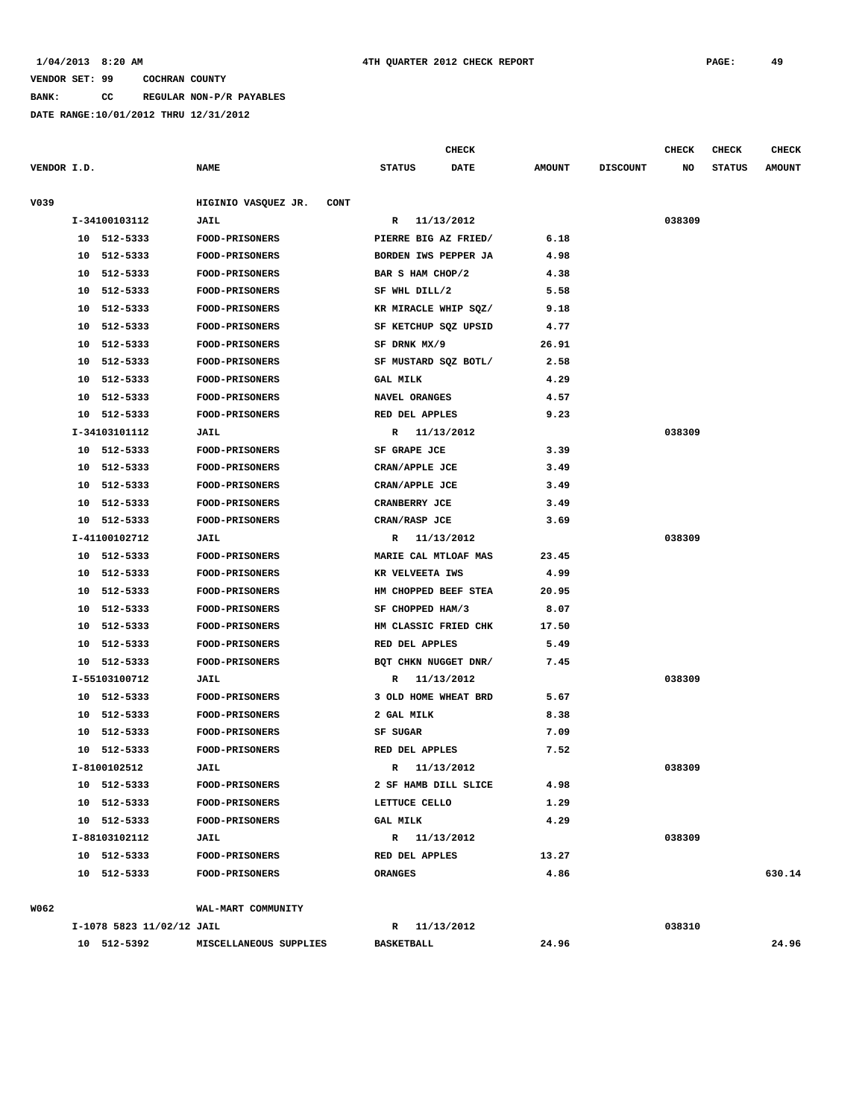**BANK: CC REGULAR NON-P/R PAYABLES**

|             |    |                           |                             |                      | <b>CHECK</b> |               |                 | CHECK  | CHECK         | <b>CHECK</b>  |
|-------------|----|---------------------------|-----------------------------|----------------------|--------------|---------------|-----------------|--------|---------------|---------------|
| VENDOR I.D. |    |                           | <b>NAME</b>                 | <b>STATUS</b>        | <b>DATE</b>  | <b>AMOUNT</b> | <b>DISCOUNT</b> | NO     | <b>STATUS</b> | <b>AMOUNT</b> |
|             |    |                           |                             |                      |              |               |                 |        |               |               |
| V039        |    | I-34100103112             | HIGINIO VASQUEZ JR.<br>CONT |                      |              |               |                 | 038309 |               |               |
|             |    | 10 512-5333               | <b>JAIL</b>                 | R                    | 11/13/2012   |               |                 |        |               |               |
|             |    |                           | <b>FOOD-PRISONERS</b>       | PIERRE BIG AZ FRIED/ |              | 6.18          |                 |        |               |               |
|             |    | 10 512-5333               | FOOD-PRISONERS              | BORDEN IWS PEPPER JA |              | 4.98          |                 |        |               |               |
|             | 10 | 512-5333                  | <b>FOOD-PRISONERS</b>       | BAR S HAM CHOP/2     |              | 4.38          |                 |        |               |               |
|             | 10 | 512-5333                  | <b>FOOD-PRISONERS</b>       | SF WHL DILL/2        |              | 5.58          |                 |        |               |               |
|             | 10 | 512-5333                  | FOOD-PRISONERS              | KR MIRACLE WHIP SQZ/ |              | 9.18          |                 |        |               |               |
|             | 10 | 512-5333                  | <b>FOOD-PRISONERS</b>       | SF KETCHUP SQZ UPSID |              | 4.77          |                 |        |               |               |
|             | 10 | 512-5333                  | <b>FOOD-PRISONERS</b>       | SF DRNK MX/9         |              | 26.91         |                 |        |               |               |
|             | 10 | 512-5333                  | <b>FOOD-PRISONERS</b>       | SF MUSTARD SQZ BOTL/ |              | 2.58          |                 |        |               |               |
|             | 10 | 512-5333                  | <b>FOOD-PRISONERS</b>       | <b>GAL MILK</b>      |              | 4.29          |                 |        |               |               |
|             | 10 | 512-5333                  | <b>FOOD-PRISONERS</b>       | NAVEL ORANGES        |              | 4.57          |                 |        |               |               |
|             | 10 | 512-5333                  | FOOD-PRISONERS              | RED DEL APPLES       |              | 9.23          |                 |        |               |               |
|             |    | I-34103101112             | <b>JAIL</b>                 | R 11/13/2012         |              |               |                 | 038309 |               |               |
|             |    | 10 512-5333               | FOOD-PRISONERS              | SF GRAPE JCE         |              | 3.39          |                 |        |               |               |
|             |    | 10 512-5333               | FOOD-PRISONERS              | CRAN/APPLE JCE       |              | 3.49          |                 |        |               |               |
|             | 10 | 512-5333                  | <b>FOOD-PRISONERS</b>       | CRAN/APPLE JCE       |              | 3.49          |                 |        |               |               |
|             | 10 | 512-5333                  | <b>FOOD-PRISONERS</b>       | CRANBERRY JCE        |              | 3.49          |                 |        |               |               |
|             |    | 10 512-5333               | FOOD-PRISONERS              | CRAN/RASP JCE        |              | 3.69          |                 |        |               |               |
|             |    | I-41100102712             | JAIL                        | R                    | 11/13/2012   |               |                 | 038309 |               |               |
|             |    | 10 512-5333               | <b>FOOD-PRISONERS</b>       | MARIE CAL MTLOAF MAS |              | 23.45         |                 |        |               |               |
|             | 10 | 512-5333                  | <b>FOOD-PRISONERS</b>       | KR VELVEETA IWS      |              | 4.99          |                 |        |               |               |
|             | 10 | 512-5333                  | <b>FOOD-PRISONERS</b>       | HM CHOPPED BEEF STEA |              | 20.95         |                 |        |               |               |
|             | 10 | 512-5333                  | <b>FOOD-PRISONERS</b>       | SF CHOPPED HAM/3     |              | 8.07          |                 |        |               |               |
|             | 10 | 512-5333                  | <b>FOOD-PRISONERS</b>       | HM CLASSIC FRIED CHK |              | 17.50         |                 |        |               |               |
|             | 10 | 512-5333                  | <b>FOOD-PRISONERS</b>       | RED DEL APPLES       |              | 5.49          |                 |        |               |               |
|             |    | 10 512-5333               | <b>FOOD-PRISONERS</b>       | BQT CHKN NUGGET DNR/ |              | 7.45          |                 |        |               |               |
|             |    | I-55103100712             | <b>JAIL</b>                 | R                    | 11/13/2012   |               |                 | 038309 |               |               |
|             |    | 10 512-5333               | FOOD-PRISONERS              | 3 OLD HOME WHEAT BRD |              | 5.67          |                 |        |               |               |
|             |    | 10 512-5333               | <b>FOOD-PRISONERS</b>       | 2 GAL MILK           |              | 8.38          |                 |        |               |               |
|             | 10 | 512-5333                  | <b>FOOD-PRISONERS</b>       | SF SUGAR             |              | 7.09          |                 |        |               |               |
|             |    | 10 512-5333               | <b>FOOD-PRISONERS</b>       | RED DEL APPLES       |              | 7.52          |                 |        |               |               |
|             |    | I-8100102512              | JAIL                        | R                    | 11/13/2012   |               |                 | 038309 |               |               |
|             |    | 10 512-5333               | <b>FOOD-PRISONERS</b>       | 2 SF HAMB DILL SLICE |              | 4.98          |                 |        |               |               |
|             |    | 10 512-5333               | <b>FOOD-PRISONERS</b>       | LETTUCE CELLO        |              | 1.29          |                 |        |               |               |
|             |    | 10 512-5333               | <b>FOOD-PRISONERS</b>       | <b>GAL MILK</b>      |              | 4.29          |                 |        |               |               |
|             |    | I-88103102112             | JAIL                        | R 11/13/2012         |              |               |                 | 038309 |               |               |
|             |    | 10 512-5333               | <b>FOOD-PRISONERS</b>       | RED DEL APPLES       |              | 13.27         |                 |        |               |               |
|             |    | 10 512-5333               | <b>FOOD-PRISONERS</b>       | <b>ORANGES</b>       |              | 4.86          |                 |        |               | 630.14        |
|             |    |                           |                             |                      |              |               |                 |        |               |               |
| W062        |    |                           | WAL-MART COMMUNITY          |                      |              |               |                 |        |               |               |
|             |    | I-1078 5823 11/02/12 JAIL |                             | R 11/13/2012         |              |               |                 | 038310 |               |               |
|             |    | 10 512-5392               | MISCELLANEOUS SUPPLIES      | <b>BASKETBALL</b>    |              | 24.96         |                 |        |               | 24.96         |
|             |    |                           |                             |                      |              |               |                 |        |               |               |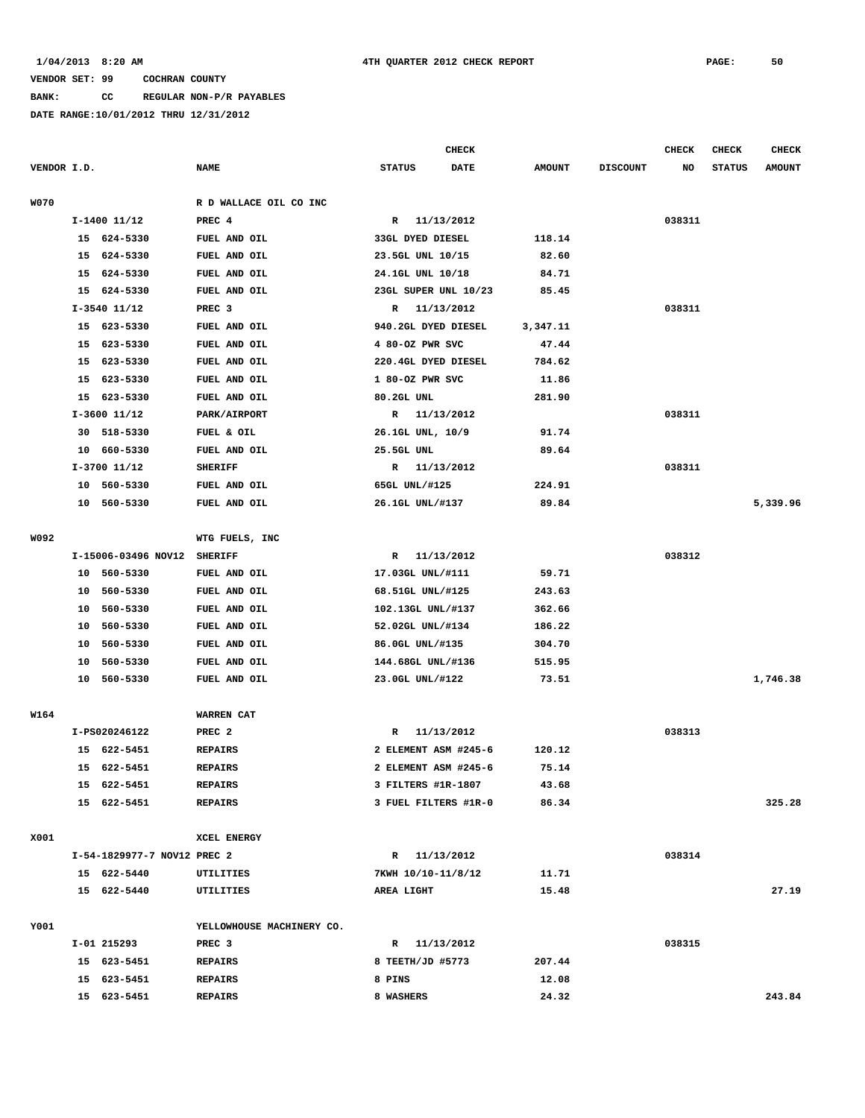**BANK: CC REGULAR NON-P/R PAYABLES**

|             |    |                             |                           |                            | <b>CHECK</b> |               |                 | <b>CHECK</b> | <b>CHECK</b>  | <b>CHECK</b>  |
|-------------|----|-----------------------------|---------------------------|----------------------------|--------------|---------------|-----------------|--------------|---------------|---------------|
| VENDOR I.D. |    |                             | <b>NAME</b>               | <b>STATUS</b>              | <b>DATE</b>  | <b>AMOUNT</b> | <b>DISCOUNT</b> | NO           | <b>STATUS</b> | <b>AMOUNT</b> |
| <b>W070</b> |    |                             | R D WALLACE OIL CO INC    |                            |              |               |                 |              |               |               |
|             |    | $I-1400$ $11/12$            | PREC <sub>4</sub>         | $\mathbf{R}$               | 11/13/2012   |               |                 | 038311       |               |               |
|             |    | 15 624-5330                 | FUEL AND OIL              | <b>33GL DYED DIESEL</b>    |              | 118.14        |                 |              |               |               |
|             |    | 15 624-5330                 | FUEL AND OIL              | 23.5GL UNL 10/15           |              | 82.60         |                 |              |               |               |
|             | 15 | 624-5330                    | FUEL AND OIL              | 24.1GL UNL 10/18           |              | 84.71         |                 |              |               |               |
|             |    | 15 624-5330                 | FUEL AND OIL              | 23GL SUPER UNL 10/23       |              | 85.45         |                 |              |               |               |
|             |    | $I-3540$ 11/12              | PREC <sub>3</sub>         | R 11/13/2012               |              |               |                 | 038311       |               |               |
|             |    | 15 623-5330                 | FUEL AND OIL              | 940.2GL DYED DIESEL        |              | 3,347.11      |                 |              |               |               |
|             | 15 | 623-5330                    | FUEL AND OIL              | 4 80-OZ PWR SVC            |              | 47.44         |                 |              |               |               |
|             |    | 15 623-5330                 | FUEL AND OIL              | 220.4GL DYED DIESEL        |              | 784.62        |                 |              |               |               |
|             | 15 | 623-5330                    | FUEL AND OIL              | 1 80-OZ PWR SVC            |              | 11.86         |                 |              |               |               |
|             |    | 15 623-5330                 | FUEL AND OIL              | 80.2GL UNL                 |              | 281.90        |                 |              |               |               |
|             |    | $I-3600$ $11/12$            | PARK/AIRPORT              | R 11/13/2012               |              |               |                 | 038311       |               |               |
|             |    | 30 518-5330                 | FUEL & OIL                | 26.1GL UNL, 10/9           |              | 91.74         |                 |              |               |               |
|             |    | 10 660-5330                 | FUEL AND OIL              | 25.5GL UNL                 |              | 89.64         |                 |              |               |               |
|             |    | I-3700 11/12                | <b>SHERIFF</b>            | R 11/13/2012               |              |               |                 | 038311       |               |               |
|             |    | 10 560-5330                 | FUEL AND OIL              | 65GL UNL/#125              |              | 224.91        |                 |              |               |               |
|             |    | 10 560-5330                 | FUEL AND OIL              | 26.1GL UNL/#137            |              | 89.84         |                 |              |               | 5,339.96      |
| W092        |    |                             | WTG FUELS, INC            |                            |              |               |                 |              |               |               |
|             |    | I-15006-03496 NOV12         | <b>SHERIFF</b>            | R                          | 11/13/2012   |               |                 | 038312       |               |               |
|             |    | 10 560-5330                 | FUEL AND OIL              | 17.03GL UNL/#111           |              | 59.71         |                 |              |               |               |
|             | 10 | 560-5330                    | FUEL AND OIL              | 68.51GL UNL/#125           |              | 243.63        |                 |              |               |               |
|             | 10 | 560-5330                    | FUEL AND OIL              | 102.13GL UNL/#137          |              | 362.66        |                 |              |               |               |
|             | 10 | 560-5330                    | FUEL AND OIL              | 52.02GL UNL/#134           |              | 186.22        |                 |              |               |               |
|             | 10 | 560-5330                    | FUEL AND OIL              | 86.0GL UNL/#135            |              | 304.70        |                 |              |               |               |
|             | 10 | 560-5330                    | FUEL AND OIL              | 144.68GL UNL/#136          |              | 515.95        |                 |              |               |               |
|             |    | 10 560-5330                 | FUEL AND OIL              | 23.0GL UNL/#122            |              | 73.51         |                 |              |               | 1,746.38      |
| W164        |    |                             | WARREN CAT                |                            |              |               |                 |              |               |               |
|             |    | I-PS020246122               | PREC <sub>2</sub>         | R                          | 11/13/2012   |               |                 | 038313       |               |               |
|             | 15 | 622-5451                    | <b>REPAIRS</b>            | 2 ELEMENT ASM #245-6       |              | 120.12        |                 |              |               |               |
|             |    | 15 622-5451                 | <b>REPAIRS</b>            | 2 ELEMENT ASM #245-6       |              | 75.14         |                 |              |               |               |
|             |    | 15 622-5451                 | <b>REPAIRS</b>            | 3 FILTERS #1R-1807         |              | 43.68         |                 |              |               |               |
|             |    | 15 622-5451                 | <b>REPAIRS</b>            | 3 FUEL FILTERS #1R-0       |              | 86.34         |                 |              |               | 325.28        |
| X001        |    |                             | XCEL ENERGY               |                            |              |               |                 |              |               |               |
|             |    | I-54-1829977-7 NOV12 PREC 2 |                           | R 11/13/2012               |              |               |                 | 038314       |               |               |
|             |    | 15 622-5440                 | UTILITIES                 | 7KWH 10/10-11/8/12         |              | 11.71         |                 |              |               |               |
|             |    | 15 622-5440                 | UTILITIES                 | AREA LIGHT                 |              | 15.48         |                 |              |               | 27.19         |
| Y001        |    |                             | YELLOWHOUSE MACHINERY CO. |                            |              |               |                 |              |               |               |
|             |    | I-01 215293                 | PREC 3                    | R 11/13/2012               |              |               |                 | 038315       |               |               |
|             |    |                             | <b>REPAIRS</b>            |                            |              |               |                 |              |               |               |
|             |    | 15 623-5451                 |                           | 8 TEETH/JD #5773<br>8 PINS |              | 207.44        |                 |              |               |               |
|             |    | 15 623-5451                 | <b>REPAIRS</b>            |                            |              | 12.08         |                 |              |               |               |
|             |    | 15 623-5451                 | <b>REPAIRS</b>            | 8 WASHERS                  |              | 24.32         |                 |              |               | 243.84        |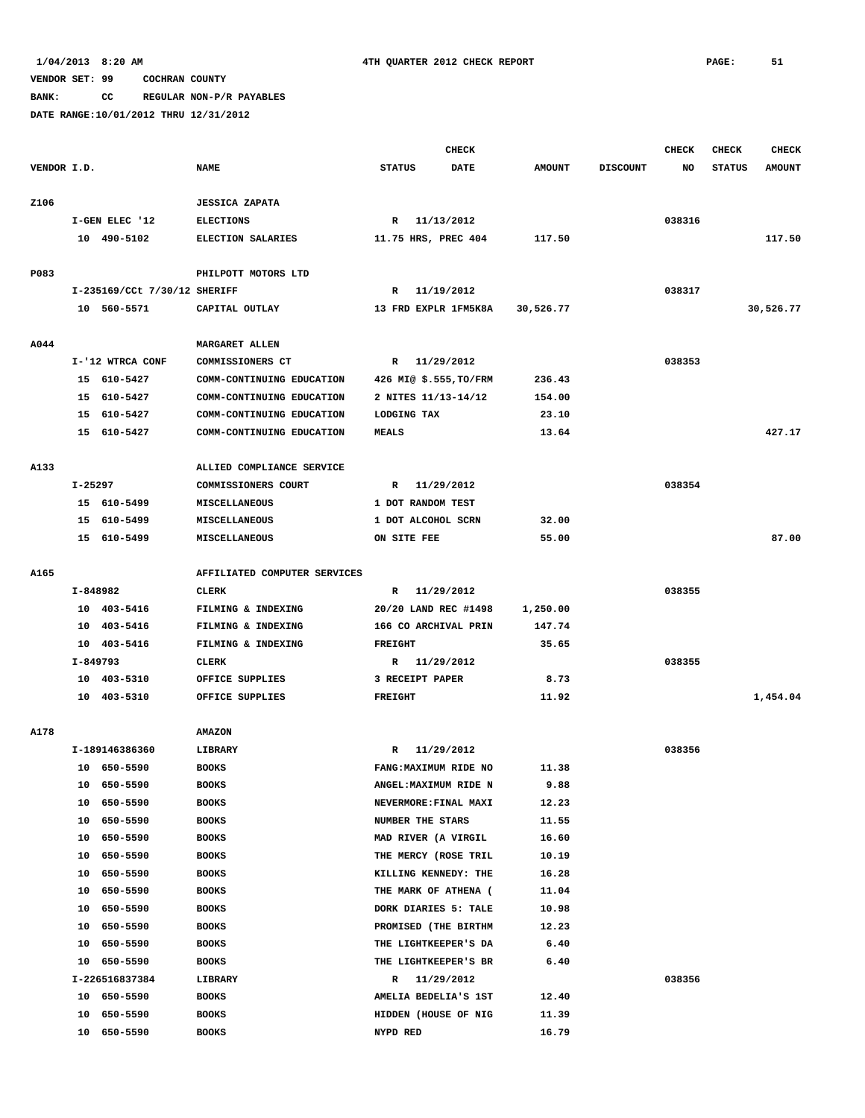**BANK: CC REGULAR NON-P/R PAYABLES**

|             |          |                              |                              |                        | <b>CHECK</b> |               |                 | CHECK  | <b>CHECK</b>  | <b>CHECK</b>  |
|-------------|----------|------------------------------|------------------------------|------------------------|--------------|---------------|-----------------|--------|---------------|---------------|
| VENDOR I.D. |          |                              | <b>NAME</b>                  | <b>STATUS</b>          | <b>DATE</b>  | <b>AMOUNT</b> | <b>DISCOUNT</b> | NO     | <b>STATUS</b> | <b>AMOUNT</b> |
|             |          |                              |                              |                        |              |               |                 |        |               |               |
| Z106        |          |                              | <b>JESSICA ZAPATA</b>        |                        |              |               |                 |        |               |               |
|             |          | I-GEN ELEC '12               | <b>ELECTIONS</b>             | R 11/13/2012           |              |               |                 | 038316 |               |               |
|             |          | 10 490-5102                  | ELECTION SALARIES            | 11.75 HRS, PREC 404    |              | 117.50        |                 |        |               | 117.50        |
|             |          |                              |                              |                        |              |               |                 |        |               |               |
| P083        |          |                              | PHILPOTT MOTORS LTD          |                        |              |               |                 |        |               |               |
|             |          | I-235169/CCt 7/30/12 SHERIFF |                              | R 11/19/2012           |              |               |                 | 038317 |               |               |
|             |          | 10 560-5571                  | CAPITAL OUTLAY               | 13 FRD EXPLR 1FM5K8A   |              | 30,526.77     |                 |        |               | 30,526.77     |
|             |          |                              |                              |                        |              |               |                 |        |               |               |
| A044        |          |                              | MARGARET ALLEN               |                        |              |               |                 |        |               |               |
|             |          | I-'12 WTRCA CONF             | COMMISSIONERS CT             | R 11/29/2012           |              |               |                 | 038353 |               |               |
|             |          | 15 610-5427                  | COMM-CONTINUING EDUCATION    | 426 MI@ \$.555, TO/FRM |              | 236.43        |                 |        |               |               |
|             |          | 15 610-5427                  | COMM-CONTINUING EDUCATION    | 2 NITES 11/13-14/12    |              | 154.00        |                 |        |               |               |
|             |          | 15 610-5427                  | COMM-CONTINUING EDUCATION    | LODGING TAX            |              | 23.10         |                 |        |               |               |
|             |          | 15 610-5427                  | COMM-CONTINUING EDUCATION    | <b>MEALS</b>           |              | 13.64         |                 |        |               | 427.17        |
|             |          |                              |                              |                        |              |               |                 |        |               |               |
| A133        |          |                              | ALLIED COMPLIANCE SERVICE    |                        |              |               |                 |        |               |               |
|             | I-25297  |                              | COMMISSIONERS COURT          | R 11/29/2012           |              |               |                 | 038354 |               |               |
|             |          | 15 610-5499                  | MISCELLANEOUS                | 1 DOT RANDOM TEST      |              |               |                 |        |               |               |
|             |          | 15 610-5499                  | MISCELLANEOUS                | 1 DOT ALCOHOL SCRN     |              | 32.00         |                 |        |               |               |
|             |          | 15 610-5499                  | MISCELLANEOUS                | ON SITE FEE            |              | 55.00         |                 |        |               | 87.00         |
|             |          |                              |                              |                        |              |               |                 |        |               |               |
| A165        |          |                              | AFFILIATED COMPUTER SERVICES |                        |              |               |                 |        |               |               |
|             | I-848982 |                              | <b>CLERK</b>                 | R 11/29/2012           |              |               |                 | 038355 |               |               |
|             |          | 10 403-5416                  | FILMING & INDEXING           | 20/20 LAND REC #1498   |              | 1,250.00      |                 |        |               |               |
|             |          | 10 403-5416                  | FILMING & INDEXING           | 166 CO ARCHIVAL PRIN   |              | 147.74        |                 |        |               |               |
|             |          | 10 403-5416                  | FILMING & INDEXING           | <b>FREIGHT</b>         |              | 35.65         |                 |        |               |               |
|             | I-849793 |                              | CLERK                        | R 11/29/2012           |              |               |                 | 038355 |               |               |
|             |          | 10 403-5310                  | OFFICE SUPPLIES              | 3 RECEIPT PAPER        |              | 8.73          |                 |        |               |               |
|             |          | 10 403-5310                  | OFFICE SUPPLIES              | <b>FREIGHT</b>         |              | 11.92         |                 |        |               | 1,454.04      |
|             |          |                              |                              |                        |              |               |                 |        |               |               |
| A178        |          |                              | <b>AMAZON</b>                |                        |              |               |                 |        |               |               |
|             |          | I-189146386360               | LIBRARY                      | R                      | 11/29/2012   |               |                 | 038356 |               |               |
|             |          | 10 650-5590                  | <b>BOOKS</b>                 | FANG: MAXIMUM RIDE NO  |              | 11.38         |                 |        |               |               |
|             |          | 10 650-5590                  | <b>BOOKS</b>                 | ANGEL: MAXIMUM RIDE N  |              | 9.88          |                 |        |               |               |
|             |          | 10 650-5590                  | <b>BOOKS</b>                 | NEVERMORE: FINAL MAXI  |              | 12.23         |                 |        |               |               |
|             | 10       | 650-5590                     | <b>BOOKS</b>                 | NUMBER THE STARS       |              | 11.55         |                 |        |               |               |
|             | 10       | 650-5590                     | <b>BOOKS</b>                 | MAD RIVER (A VIRGIL    |              | 16.60         |                 |        |               |               |
|             | 10       | 650-5590                     | <b>BOOKS</b>                 | THE MERCY (ROSE TRIL   |              | 10.19         |                 |        |               |               |
|             | 10       | 650-5590                     | <b>BOOKS</b>                 | KILLING KENNEDY: THE   |              | 16.28         |                 |        |               |               |
|             | 10       | 650-5590                     | <b>BOOKS</b>                 | THE MARK OF ATHENA (   |              | 11.04         |                 |        |               |               |
|             | 10       | 650-5590                     | <b>BOOKS</b>                 | DORK DIARIES 5: TALE   |              | 10.98         |                 |        |               |               |
|             | 10       | 650-5590                     | <b>BOOKS</b>                 | PROMISED (THE BIRTHM   |              | 12.23         |                 |        |               |               |
|             | 10       | 650-5590                     | <b>BOOKS</b>                 | THE LIGHTKEEPER'S DA   |              | 6.40          |                 |        |               |               |
|             | 10       | 650-5590                     | <b>BOOKS</b>                 | THE LIGHTKEEPER'S BR   |              | 6.40          |                 |        |               |               |
|             |          | I-226516837384               | LIBRARY                      | R 11/29/2012           |              |               |                 | 038356 |               |               |
|             |          | 10 650-5590                  | <b>BOOKS</b>                 | AMELIA BEDELIA'S 1ST   |              | 12.40         |                 |        |               |               |
|             | 10       | 650-5590                     | <b>BOOKS</b>                 | HIDDEN (HOUSE OF NIG   |              | 11.39         |                 |        |               |               |
|             |          | 10 650-5590                  | <b>BOOKS</b>                 | NYPD RED               |              | 16.79         |                 |        |               |               |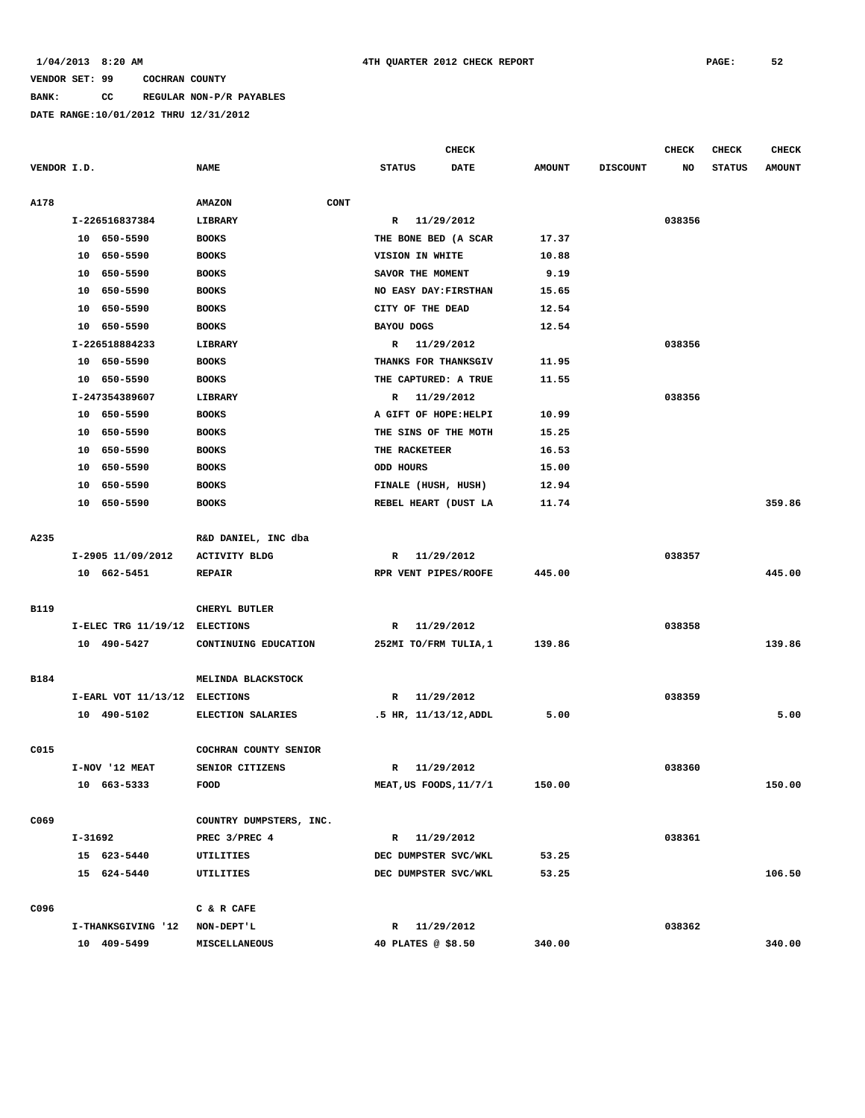**BANK: CC REGULAR NON-P/R PAYABLES**

|             |         |                               |                         |      |                     | <b>CHECK</b>           |               |                 | <b>CHECK</b> | <b>CHECK</b>  | <b>CHECK</b>  |
|-------------|---------|-------------------------------|-------------------------|------|---------------------|------------------------|---------------|-----------------|--------------|---------------|---------------|
| VENDOR I.D. |         |                               | <b>NAME</b>             |      | <b>STATUS</b>       | <b>DATE</b>            | <b>AMOUNT</b> | <b>DISCOUNT</b> | NO           | <b>STATUS</b> | <b>AMOUNT</b> |
| A178        |         |                               | <b>AMAZON</b>           | CONT |                     |                        |               |                 |              |               |               |
|             |         | I-226516837384                | LIBRARY                 |      | $\mathbb{R}$        | 11/29/2012             |               |                 | 038356       |               |               |
|             |         | 10 650-5590                   | <b>BOOKS</b>            |      |                     | THE BONE BED (A SCAR   | 17.37         |                 |              |               |               |
|             |         | 10 650-5590                   | <b>BOOKS</b>            |      | VISION IN WHITE     |                        | 10.88         |                 |              |               |               |
|             |         | 10 650-5590                   | <b>BOOKS</b>            |      | SAVOR THE MOMENT    |                        | 9.19          |                 |              |               |               |
|             | 10      | 650-5590                      | <b>BOOKS</b>            |      |                     | NO EASY DAY: FIRSTHAN  | 15.65         |                 |              |               |               |
|             | 10      | 650-5590                      | <b>BOOKS</b>            |      | CITY OF THE DEAD    |                        | 12.54         |                 |              |               |               |
|             | 10      | 650–5590                      | <b>BOOKS</b>            |      | <b>BAYOU DOGS</b>   |                        | 12.54         |                 |              |               |               |
|             |         | I-226518884233                | LIBRARY                 |      | R                   | 11/29/2012             |               |                 | 038356       |               |               |
|             |         | 10 650-5590                   | <b>BOOKS</b>            |      |                     | THANKS FOR THANKSGIV   | 11.95         |                 |              |               |               |
|             | 10      | 650-5590                      | <b>BOOKS</b>            |      |                     | THE CAPTURED: A TRUE   | 11.55         |                 |              |               |               |
|             |         | I-247354389607                | LIBRARY                 |      | R                   | 11/29/2012             |               |                 | 038356       |               |               |
|             |         | 10 650-5590                   | <b>BOOKS</b>            |      |                     | A GIFT OF HOPE: HELPI  | 10.99         |                 |              |               |               |
|             |         | 10 650-5590                   | <b>BOOKS</b>            |      |                     | THE SINS OF THE MOTH   | 15.25         |                 |              |               |               |
|             | 10      | 650-5590                      | <b>BOOKS</b>            |      | THE RACKETEER       |                        | 16.53         |                 |              |               |               |
|             | 10      | 650-5590                      | <b>BOOKS</b>            |      | ODD HOURS           |                        | 15.00         |                 |              |               |               |
|             | 10      | 650-5590                      | <b>BOOKS</b>            |      | FINALE (HUSH, HUSH) |                        | 12.94         |                 |              |               |               |
|             | 10      | 650-5590                      | <b>BOOKS</b>            |      |                     | REBEL HEART (DUST LA   | 11.74         |                 |              |               | 359.86        |
|             |         |                               |                         |      |                     |                        |               |                 |              |               |               |
| A235        |         |                               | R&D DANIEL, INC dba     |      |                     |                        |               |                 |              |               |               |
|             |         | I-2905 11/09/2012             | <b>ACTIVITY BLDG</b>    |      | R                   | 11/29/2012             |               |                 | 038357       |               |               |
|             |         | 10 662-5451                   | <b>REPAIR</b>           |      |                     | RPR VENT PIPES/ROOFE   | 445.00        |                 |              |               | 445.00        |
| B119        |         |                               | CHERYL BUTLER           |      |                     |                        |               |                 |              |               |               |
|             |         | I-ELEC TRG 11/19/12 ELECTIONS |                         |      | R                   | 11/29/2012             |               |                 | 038358       |               |               |
|             |         | 10 490-5427                   | CONTINUING EDUCATION    |      |                     | 252MI TO/FRM TULIA, 1  | 139.86        |                 |              |               | 139.86        |
|             |         |                               |                         |      |                     |                        |               |                 |              |               |               |
| <b>B184</b> |         |                               | MELINDA BLACKSTOCK      |      |                     |                        |               |                 |              |               |               |
|             |         | I-EARL VOT 11/13/12 ELECTIONS |                         |      |                     | R 11/29/2012           |               |                 | 038359       |               |               |
|             |         | 10 490-5102                   | ELECTION SALARIES       |      |                     | .5 HR, 11/13/12, ADDL  | 5.00          |                 |              |               | 5.00          |
| C015        |         |                               | COCHRAN COUNTY SENIOR   |      |                     |                        |               |                 |              |               |               |
|             |         | I-NOV '12 MEAT                | SENIOR CITIZENS         |      | R                   | 11/29/2012             |               |                 | 038360       |               |               |
|             |         | 10 663-5333                   | FOOD                    |      |                     | MEAT, US FOODS, 11/7/1 | 150.00        |                 |              |               | 150.00        |
|             |         |                               |                         |      |                     |                        |               |                 |              |               |               |
| C069        |         |                               | COUNTRY DUMPSTERS, INC. |      |                     |                        |               |                 |              |               |               |
|             | I-31692 |                               | PREC 3/PREC 4           |      |                     | R 11/29/2012           |               |                 | 038361       |               |               |
|             |         | 15 623-5440                   | UTILITIES               |      |                     | DEC DUMPSTER SVC/WKL   | 53.25         |                 |              |               |               |
|             |         | 15 624-5440                   | UTILITIES               |      |                     | DEC DUMPSTER SVC/WKL   | 53.25         |                 |              |               | 106.50        |
| C096        |         |                               | C & R CAFE              |      |                     |                        |               |                 |              |               |               |
|             |         | I-THANKSGIVING '12 NON-DEPT'L |                         |      |                     | R 11/29/2012           |               |                 | 038362       |               |               |
|             |         | 10 409-5499                   | MISCELLANEOUS           |      | 40 PLATES @ \$8.50  |                        | 340.00        |                 |              |               | 340.00        |
|             |         |                               |                         |      |                     |                        |               |                 |              |               |               |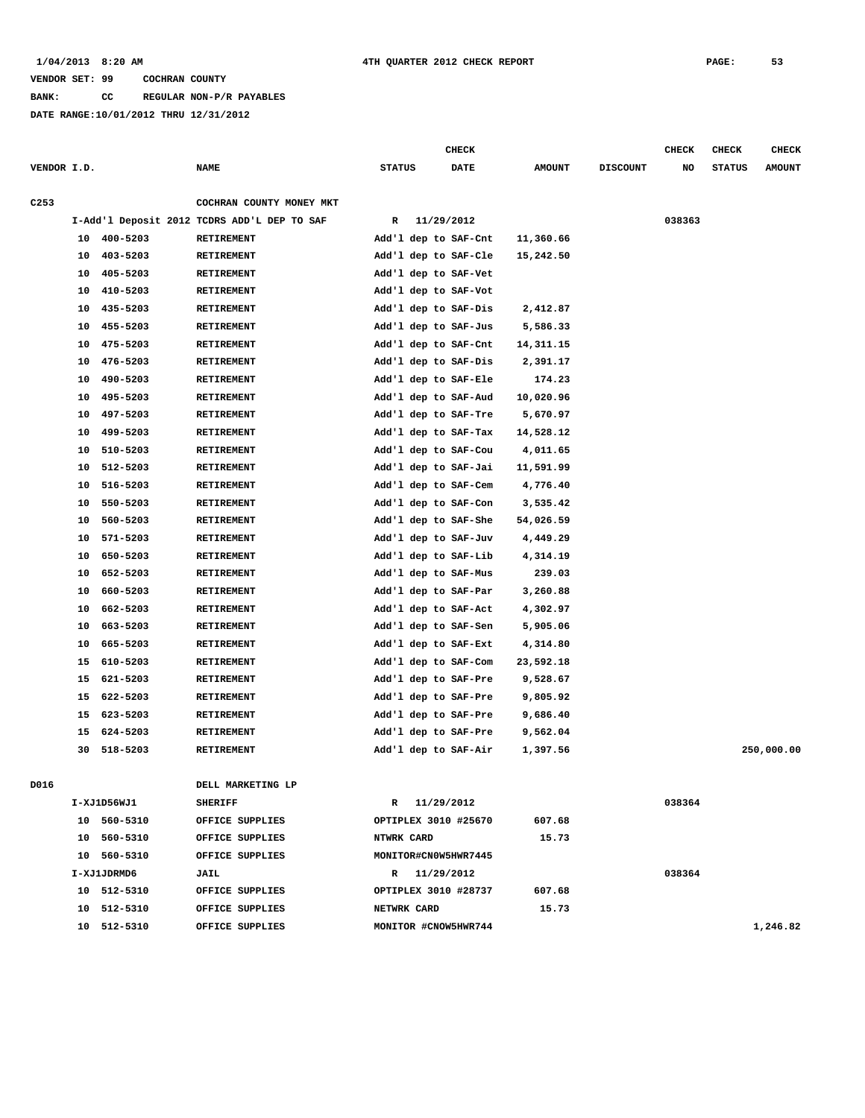### **BANK: CC REGULAR NON-P/R PAYABLES**

|                  |    |             |                                             |               | CHECK                |               |                 | CHECK  | <b>CHECK</b>  | <b>CHECK</b>  |
|------------------|----|-------------|---------------------------------------------|---------------|----------------------|---------------|-----------------|--------|---------------|---------------|
| VENDOR I.D.      |    |             | <b>NAME</b>                                 | <b>STATUS</b> | <b>DATE</b>          | <b>AMOUNT</b> | <b>DISCOUNT</b> | NO     | <b>STATUS</b> | <b>AMOUNT</b> |
| C <sub>253</sub> |    |             | COCHRAN COUNTY MONEY MKT                    |               |                      |               |                 |        |               |               |
|                  |    |             | I-Add'l Deposit 2012 TCDRS ADD'L DEP TO SAF | R             | 11/29/2012           |               |                 | 038363 |               |               |
|                  | 10 | 400-5203    | RETIREMENT                                  |               | Add'l dep to SAF-Cnt | 11,360.66     |                 |        |               |               |
|                  | 10 | 403-5203    | RETIREMENT                                  |               | Add'l dep to SAF-Cle | 15,242.50     |                 |        |               |               |
|                  | 10 | 405-5203    | RETIREMENT                                  |               | Add'l dep to SAF-Vet |               |                 |        |               |               |
|                  | 10 | 410-5203    | RETIREMENT                                  |               | Add'l dep to SAF-Vot |               |                 |        |               |               |
|                  | 10 | 435-5203    | <b>RETIREMENT</b>                           |               | Add'l dep to SAF-Dis | 2,412.87      |                 |        |               |               |
|                  | 10 | 455-5203    | RETIREMENT                                  |               | Add'l dep to SAF-Jus | 5,586.33      |                 |        |               |               |
|                  | 10 | 475-5203    | RETIREMENT                                  |               | Add'l dep to SAF-Cnt | 14,311.15     |                 |        |               |               |
|                  | 10 | 476-5203    | RETIREMENT                                  |               | Add'l dep to SAF-Dis | 2,391.17      |                 |        |               |               |
|                  | 10 | 490-5203    | RETIREMENT                                  |               | Add'l dep to SAF-Ele | 174.23        |                 |        |               |               |
|                  | 10 | 495-5203    | <b>RETIREMENT</b>                           |               | Add'l dep to SAF-Aud | 10,020.96     |                 |        |               |               |
|                  | 10 | 497-5203    | <b>RETIREMENT</b>                           |               | Add'l dep to SAF-Tre | 5,670.97      |                 |        |               |               |
|                  | 10 | 499-5203    | <b>RETIREMENT</b>                           |               | Add'l dep to SAF-Tax | 14,528.12     |                 |        |               |               |
|                  | 10 | 510-5203    | <b>RETIREMENT</b>                           |               | Add'l dep to SAF-Cou | 4,011.65      |                 |        |               |               |
|                  | 10 | 512-5203    | RETIREMENT                                  |               | Add'l dep to SAF-Jai | 11,591.99     |                 |        |               |               |
|                  | 10 | 516-5203    | <b>RETIREMENT</b>                           |               | Add'l dep to SAF-Cem | 4,776.40      |                 |        |               |               |
|                  | 10 | 550-5203    | RETIREMENT                                  |               | Add'l dep to SAF-Con | 3,535.42      |                 |        |               |               |
|                  | 10 | 560-5203    | RETIREMENT                                  |               | Add'l dep to SAF-She | 54,026.59     |                 |        |               |               |
|                  | 10 | 571-5203    | RETIREMENT                                  |               | Add'l dep to SAF-Juv | 4,449.29      |                 |        |               |               |
|                  | 10 | 650-5203    | RETIREMENT                                  |               | Add'l dep to SAF-Lib | 4,314.19      |                 |        |               |               |
|                  | 10 | 652-5203    | RETIREMENT                                  |               | Add'l dep to SAF-Mus | 239.03        |                 |        |               |               |
|                  | 10 | 660-5203    | RETIREMENT                                  |               | Add'l dep to SAF-Par | 3,260.88      |                 |        |               |               |
|                  | 10 | 662-5203    | RETIREMENT                                  |               | Add'l dep to SAF-Act | 4,302.97      |                 |        |               |               |
|                  | 10 | 663-5203    | RETIREMENT                                  |               | Add'l dep to SAF-Sen | 5,905.06      |                 |        |               |               |
|                  | 10 | 665-5203    | RETIREMENT                                  |               | Add'l dep to SAF-Ext | 4,314.80      |                 |        |               |               |
|                  | 15 | 610-5203    | RETIREMENT                                  |               | Add'l dep to SAF-Com | 23,592.18     |                 |        |               |               |
|                  | 15 | 621-5203    | RETIREMENT                                  |               | Add'l dep to SAF-Pre | 9,528.67      |                 |        |               |               |
|                  | 15 | 622-5203    | RETIREMENT                                  |               | Add'l dep to SAF-Pre | 9,805.92      |                 |        |               |               |
|                  | 15 | 623-5203    | RETIREMENT                                  |               | Add'l dep to SAF-Pre | 9,686.40      |                 |        |               |               |
|                  | 15 | 624-5203    | RETIREMENT                                  |               | Add'l dep to SAF-Pre | 9,562.04      |                 |        |               |               |
|                  | 30 | 518-5203    | RETIREMENT                                  |               | Add'l dep to SAF-Air | 1,397.56      |                 |        |               | 250,000.00    |
|                  |    |             |                                             |               |                      |               |                 |        |               |               |
| D016             |    |             | DELL MARKETING LP                           |               |                      |               |                 |        |               |               |
|                  |    | I-XJ1D56WJ1 | <b>SHERIFF</b>                              |               | R 11/29/2012         |               |                 | 038364 |               |               |
|                  |    | 10 560-5310 | OFFICE SUPPLIES                             |               | OPTIPLEX 3010 #25670 | 607.68        |                 |        |               |               |
|                  |    | 10 560-5310 | OFFICE SUPPLIES                             | NTWRK CARD    |                      | 15.73         |                 |        |               |               |
|                  |    | 10 560-5310 | OFFICE SUPPLIES                             |               | MONITOR#CN0W5HWR7445 |               |                 |        |               |               |
|                  |    | I-XJ1JDRMD6 | JAIL                                        |               | R 11/29/2012         |               |                 | 038364 |               |               |
|                  |    | 10 512-5310 | OFFICE SUPPLIES                             |               | OPTIPLEX 3010 #28737 | 607.68        |                 |        |               |               |
|                  |    | 10 512-5310 | OFFICE SUPPLIES                             | NETWRK CARD   |                      | 15.73         |                 |        |               |               |
|                  |    | 10 512-5310 | OFFICE SUPPLIES                             |               | MONITOR #CNOW5HWR744 |               |                 |        |               | 1,246.82      |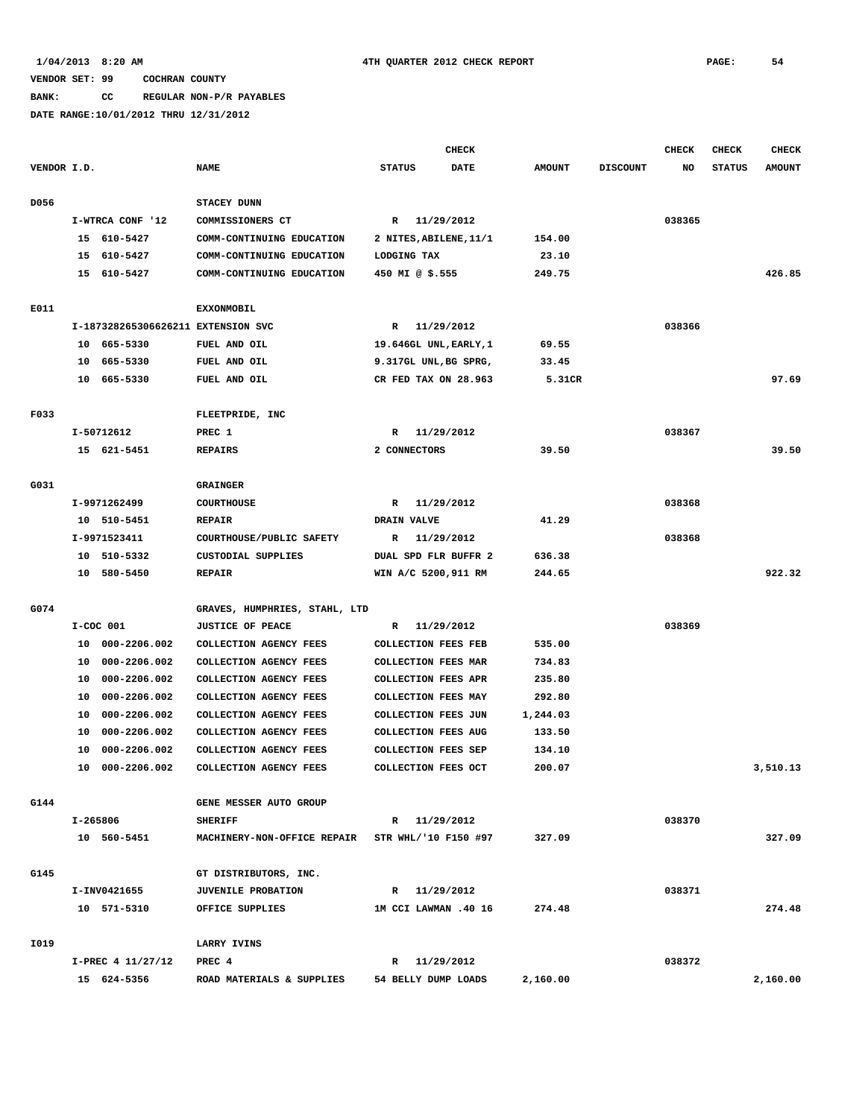**BANK: CC REGULAR NON-P/R PAYABLES**

|             |          |                                    |                               |                 | <b>CHECK</b>               |               |                 | CHECK  | <b>CHECK</b>  | <b>CHECK</b>  |
|-------------|----------|------------------------------------|-------------------------------|-----------------|----------------------------|---------------|-----------------|--------|---------------|---------------|
| VENDOR I.D. |          |                                    | <b>NAME</b>                   | <b>STATUS</b>   | <b>DATE</b>                | <b>AMOUNT</b> | <b>DISCOUNT</b> | NO     | <b>STATUS</b> | <b>AMOUNT</b> |
|             |          |                                    |                               |                 |                            |               |                 |        |               |               |
| D056        |          |                                    | STACEY DUNN                   |                 |                            |               |                 |        |               |               |
|             |          | I-WTRCA CONF '12                   | COMMISSIONERS CT              |                 | R 11/29/2012               |               |                 | 038365 |               |               |
|             |          | 15 610-5427                        | COMM-CONTINUING EDUCATION     |                 | 2 NITES, ABILENE, 11/1     | 154.00        |                 |        |               |               |
|             |          | 15 610-5427                        | COMM-CONTINUING EDUCATION     | LODGING TAX     |                            | 23.10         |                 |        |               |               |
|             |          | 15 610-5427                        | COMM-CONTINUING EDUCATION     | 450 MI @ \$.555 |                            | 249.75        |                 |        |               | 426.85        |
| E011        |          |                                    | <b>EXXONMOBIL</b>             |                 |                            |               |                 |        |               |               |
|             |          | I-187328265306626211 EXTENSION SVC |                               |                 | R 11/29/2012               |               |                 | 038366 |               |               |
|             |          | 10 665-5330                        | FUEL AND OIL                  |                 | 19.646GL UNL, EARLY, 1     | 69.55         |                 |        |               |               |
|             |          | 10 665-5330                        | FUEL AND OIL                  |                 | 9.317GL UNL, BG SPRG,      | 33.45         |                 |        |               |               |
|             |          | 10 665-5330                        | FUEL AND OIL                  |                 | CR FED TAX ON 28.963       | 5.31CR        |                 |        |               | 97.69         |
|             |          |                                    |                               |                 |                            |               |                 |        |               |               |
| F033        |          |                                    | FLEETPRIDE, INC               |                 |                            |               |                 |        |               |               |
|             |          | I-50712612                         | PREC 1                        | $\mathbb{R}$    | 11/29/2012                 |               |                 | 038367 |               |               |
|             |          | 15 621-5451                        | <b>REPAIRS</b>                | 2 CONNECTORS    |                            | 39.50         |                 |        |               | 39.50         |
|             |          |                                    |                               |                 |                            |               |                 |        |               |               |
| G031        |          |                                    | <b>GRAINGER</b>               |                 |                            |               |                 |        |               |               |
|             |          | I-9971262499                       | COURTHOUSE                    | R               | 11/29/2012                 |               |                 | 038368 |               |               |
|             |          | 10 510-5451                        | <b>REPAIR</b>                 | DRAIN VALVE     |                            | 41.29         |                 |        |               |               |
|             |          | I-9971523411                       | COURTHOUSE/PUBLIC SAFETY      | $\mathbb{R}$    | 11/29/2012                 |               |                 | 038368 |               |               |
|             |          | 10 510-5332                        | CUSTODIAL SUPPLIES            |                 | DUAL SPD FLR BUFFR 2       | 636.38        |                 |        |               |               |
|             |          | 10 580-5450                        | <b>REPAIR</b>                 |                 | WIN A/C 5200,911 RM        | 244.65        |                 |        |               | 922.32        |
| G074        |          |                                    | GRAVES, HUMPHRIES, STAHL, LTD |                 |                            |               |                 |        |               |               |
|             |          | $I-COC$ 001                        | <b>JUSTICE OF PEACE</b>       |                 | R 11/29/2012               |               |                 | 038369 |               |               |
|             |          | 10 000-2206.002                    | COLLECTION AGENCY FEES        |                 | <b>COLLECTION FEES FEB</b> | 535.00        |                 |        |               |               |
|             | 10       | 000-2206.002                       | COLLECTION AGENCY FEES        |                 | COLLECTION FEES MAR        | 734.83        |                 |        |               |               |
|             | 10       | 000-2206.002                       | COLLECTION AGENCY FEES        |                 | <b>COLLECTION FEES APR</b> | 235.80        |                 |        |               |               |
|             | 10       | 000-2206.002                       | COLLECTION AGENCY FEES        |                 | COLLECTION FEES MAY        | 292.80        |                 |        |               |               |
|             | 10       | 000-2206.002                       | COLLECTION AGENCY FEES        |                 | COLLECTION FEES JUN        | 1,244.03      |                 |        |               |               |
|             | 10       | 000-2206.002                       | COLLECTION AGENCY FEES        |                 | <b>COLLECTION FEES AUG</b> | 133.50        |                 |        |               |               |
|             | 10       | 000-2206.002                       | COLLECTION AGENCY FEES        |                 | COLLECTION FEES SEP        | 134.10        |                 |        |               |               |
|             | 10       | 000-2206.002                       | COLLECTION AGENCY FEES        |                 | COLLECTION FEES OCT        | 200.07        |                 |        |               | 3,510.13      |
|             |          |                                    |                               |                 |                            |               |                 |        |               |               |
| G144        |          |                                    | GENE MESSER AUTO GROUP        |                 |                            |               |                 |        |               |               |
|             | I-265806 |                                    | <b>SHERIFF</b>                |                 | R 11/29/2012               |               |                 | 038370 |               |               |
|             |          | 10 560-5451                        | MACHINERY-NON-OFFICE REPAIR   |                 | STR WHL/'10 F150 #97       | 327.09        |                 |        |               | 327.09        |
|             |          |                                    |                               |                 |                            |               |                 |        |               |               |
| G145        |          |                                    | GT DISTRIBUTORS, INC.         |                 |                            |               |                 |        |               |               |
|             |          | I-INV0421655                       | <b>JUVENILE PROBATION</b>     |                 | R 11/29/2012               |               |                 | 038371 |               |               |
|             |          | 10 571-5310                        | OFFICE SUPPLIES               |                 | 1M CCI LAWMAN .40 16       | 274.48        |                 |        |               | 274.48        |
| I019        |          |                                    | <b>LARRY IVINS</b>            |                 |                            |               |                 |        |               |               |
|             |          | I-PREC 4 11/27/12                  | PREC 4                        |                 | R 11/29/2012               |               |                 | 038372 |               |               |
|             |          | 15 624-5356                        | ROAD MATERIALS & SUPPLIES     |                 | 54 BELLY DUMP LOADS        | 2,160.00      |                 |        |               | 2,160.00      |
|             |          |                                    |                               |                 |                            |               |                 |        |               |               |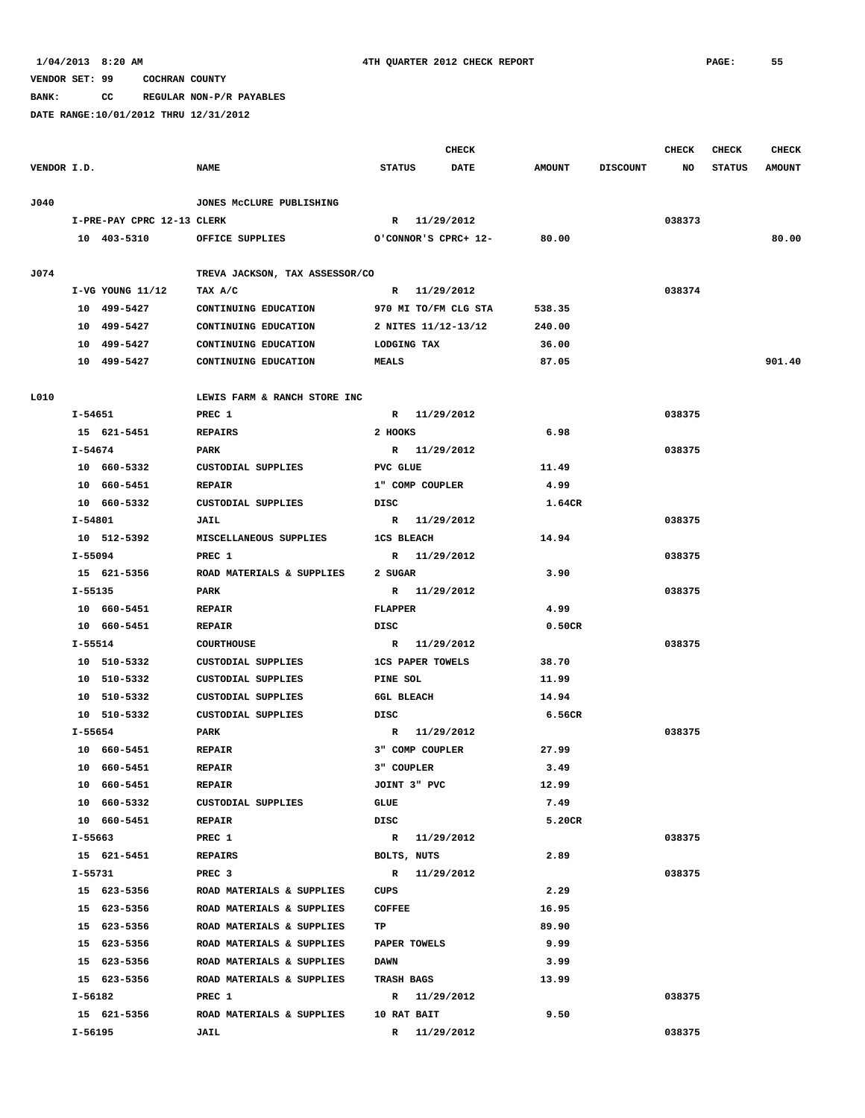**BANK: CC REGULAR NON-P/R PAYABLES**

|             |         |                            |                                |                   |                         | <b>CHECK</b>         |               |                 | <b>CHECK</b> | <b>CHECK</b>  | <b>CHECK</b>  |
|-------------|---------|----------------------------|--------------------------------|-------------------|-------------------------|----------------------|---------------|-----------------|--------------|---------------|---------------|
| VENDOR I.D. |         |                            | <b>NAME</b>                    | <b>STATUS</b>     |                         | <b>DATE</b>          | <b>AMOUNT</b> | <b>DISCOUNT</b> | NO           | <b>STATUS</b> | <b>AMOUNT</b> |
| J040        |         |                            | JONES MCCLURE PUBLISHING       |                   |                         |                      |               |                 |              |               |               |
|             |         | I-PRE-PAY CPRC 12-13 CLERK |                                |                   | R 11/29/2012            |                      |               |                 | 038373       |               |               |
|             |         | 10 403-5310                | OFFICE SUPPLIES                |                   |                         | O'CONNOR'S CPRC+ 12- | 80.00         |                 |              |               | 80.00         |
|             |         |                            |                                |                   |                         |                      |               |                 |              |               |               |
| J074        |         |                            | TREVA JACKSON, TAX ASSESSOR/CO |                   |                         |                      |               |                 |              |               |               |
|             |         | $I-VG$ YOUNG $11/12$       | TAX A/C                        |                   | R 11/29/2012            |                      |               |                 | 038374       |               |               |
|             |         | 10 499-5427                | CONTINUING EDUCATION           |                   |                         | 970 MI TO/FM CLG STA | 538.35        |                 |              |               |               |
|             |         | 10 499-5427                | CONTINUING EDUCATION           |                   | 2 NITES 11/12-13/12     |                      | 240.00        |                 |              |               |               |
|             |         | 10 499-5427                | CONTINUING EDUCATION           |                   | <b>LODGING TAX</b>      |                      | 36.00         |                 |              |               |               |
|             |         | 10 499-5427                | CONTINUING EDUCATION           | <b>MEALS</b>      |                         |                      | 87.05         |                 |              |               | 901.40        |
| L010        |         |                            | LEWIS FARM & RANCH STORE INC   |                   |                         |                      |               |                 |              |               |               |
|             |         | I-54651                    | PREC 1                         |                   | R 11/29/2012            |                      |               |                 | 038375       |               |               |
|             |         | 15 621-5451                | <b>REPAIRS</b>                 | 2 HOOKS           |                         |                      | 6.98          |                 |              |               |               |
|             | I-54674 |                            | PARK                           |                   | R 11/29/2012            |                      |               |                 | 038375       |               |               |
|             |         | 10 660-5332                | CUSTODIAL SUPPLIES             | PVC GLUE          |                         |                      | 11.49         |                 |              |               |               |
|             |         | 10 660-5451                | <b>REPAIR</b>                  |                   | 1" COMP COUPLER         |                      | 4.99          |                 |              |               |               |
|             |         | 10 660-5332                | CUSTODIAL SUPPLIES             | DISC              |                         |                      | 1.64CR        |                 |              |               |               |
|             | I-54801 |                            | JAIL                           |                   | R 11/29/2012            |                      |               |                 | 038375       |               |               |
|             |         | 10 512-5392                | MISCELLANEOUS SUPPLIES         | <b>1CS BLEACH</b> |                         |                      | 14.94         |                 |              |               |               |
|             | I-55094 |                            | PREC 1                         |                   | R 11/29/2012            |                      |               |                 | 038375       |               |               |
|             |         | 15 621-5356                | ROAD MATERIALS & SUPPLIES      | 2 SUGAR           |                         |                      | 3.90          |                 |              |               |               |
|             | I-55135 |                            | PARK                           |                   | R 11/29/2012            |                      |               |                 | 038375       |               |               |
|             |         | 10 660-5451                | <b>REPAIR</b>                  | <b>FLAPPER</b>    |                         |                      | 4.99          |                 |              |               |               |
|             |         | 10 660-5451                | <b>REPAIR</b>                  | DISC              |                         |                      | 0.50CR        |                 |              |               |               |
|             | I-55514 |                            | <b>COURTHOUSE</b>              |                   | R 11/29/2012            |                      |               |                 | 038375       |               |               |
|             |         | 10 510-5332                | CUSTODIAL SUPPLIES             |                   | <b>1CS PAPER TOWELS</b> |                      | 38.70         |                 |              |               |               |
|             |         | 10 510-5332                | CUSTODIAL SUPPLIES             | PINE SOL          |                         |                      | 11.99         |                 |              |               |               |
|             |         | 10 510-5332                | CUSTODIAL SUPPLIES             | 6GL BLEACH        |                         |                      | 14.94         |                 |              |               |               |
|             |         | 10 510-5332                | CUSTODIAL SUPPLIES             | DISC              |                         |                      | 6.56CR        |                 |              |               |               |
|             | I-55654 |                            | PARK                           |                   | R 11/29/2012            |                      |               |                 | 038375       |               |               |
|             |         | 10 660-5451                | <b>REPAIR</b>                  |                   | 3" COMP COUPLER         |                      | 27.99         |                 |              |               |               |
|             |         | 10 660-5451                | <b>REPAIR</b>                  | 3" COUPLER        |                         |                      | 3.49          |                 |              |               |               |
|             |         | 10 660-5451                | <b>REPAIR</b>                  |                   | JOINT 3" PVC            |                      | 12.99         |                 |              |               |               |
|             |         | 10 660-5332                | CUSTODIAL SUPPLIES             | GLUE              |                         |                      | 7.49          |                 |              |               |               |
|             |         | 10 660-5451                | <b>REPAIR</b>                  | DISC              |                         |                      | 5.20CR        |                 |              |               |               |
|             |         | I-55663                    | PREC 1                         |                   | R 11/29/2012            |                      |               |                 | 038375       |               |               |
|             |         | 15 621-5451                | <b>REPAIRS</b>                 |                   | BOLTS, NUTS             |                      | 2.89          |                 |              |               |               |
|             |         | I-55731                    | PREC <sub>3</sub>              |                   | R 11/29/2012            |                      |               |                 | 038375       |               |               |
|             |         | 15 623-5356                | ROAD MATERIALS & SUPPLIES      | CUPS              |                         |                      | 2.29          |                 |              |               |               |
|             |         | 15 623-5356                | ROAD MATERIALS & SUPPLIES      | <b>COFFEE</b>     |                         |                      | 16.95         |                 |              |               |               |
|             |         | 15 623-5356                | ROAD MATERIALS & SUPPLIES      | TP                |                         |                      | 89.90         |                 |              |               |               |
|             |         | 15 623-5356                | ROAD MATERIALS & SUPPLIES      |                   | PAPER TOWELS            |                      | 9.99          |                 |              |               |               |
|             |         | 15 623-5356                | ROAD MATERIALS & SUPPLIES      | <b>DAWN</b>       |                         |                      | 3.99          |                 |              |               |               |
|             |         | 15 623-5356                | ROAD MATERIALS & SUPPLIES      | <b>TRASH BAGS</b> |                         |                      | 13.99         |                 |              |               |               |
|             | I-56182 |                            | PREC 1                         |                   | R 11/29/2012            |                      |               |                 | 038375       |               |               |
|             |         | 15 621-5356                | ROAD MATERIALS & SUPPLIES      |                   | 10 RAT BAIT             |                      | 9.50          |                 |              |               |               |
|             | I-56195 |                            | JAIL                           |                   | R 11/29/2012            |                      |               |                 | 038375       |               |               |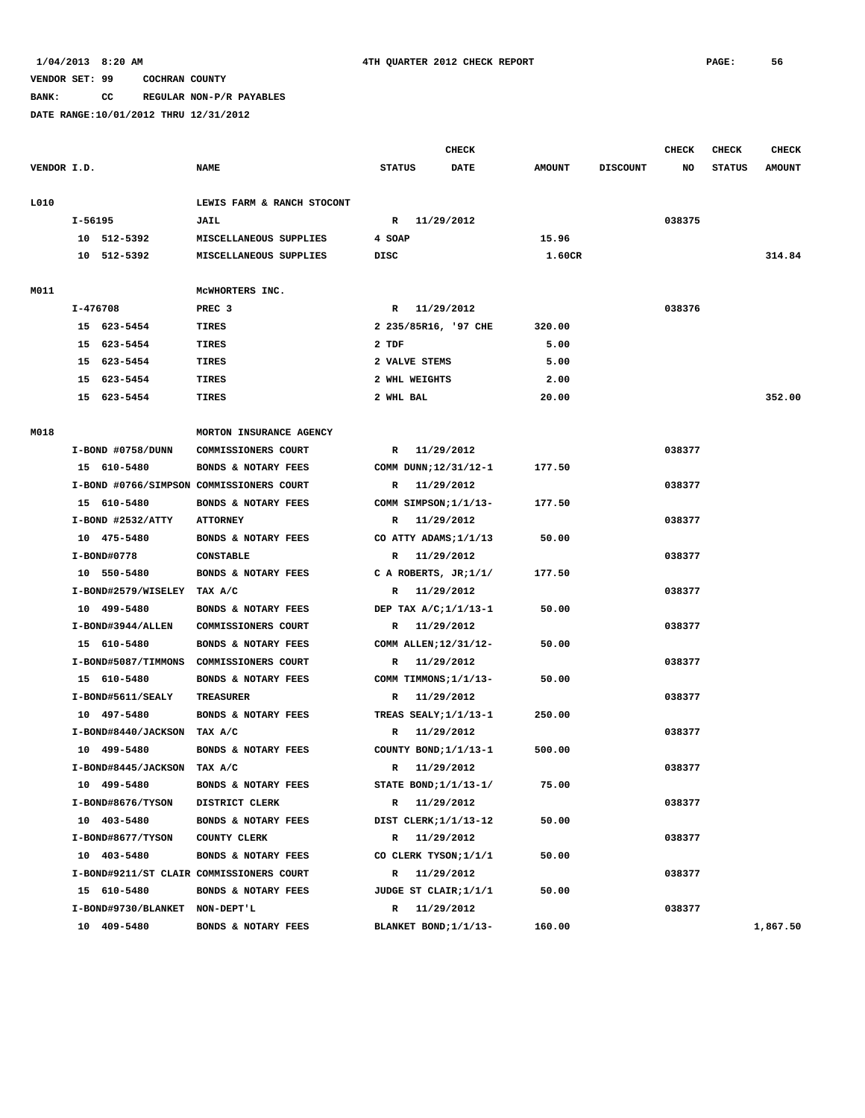**BANK: CC REGULAR NON-P/R PAYABLES**

|             |                                |                                          |                         | CHECK      |               |                 | CHECK  | CHECK         | <b>CHECK</b>  |
|-------------|--------------------------------|------------------------------------------|-------------------------|------------|---------------|-----------------|--------|---------------|---------------|
| VENDOR I.D. |                                | <b>NAME</b>                              | <b>STATUS</b>           | DATE       | <b>AMOUNT</b> | <b>DISCOUNT</b> | NO     | <b>STATUS</b> | <b>AMOUNT</b> |
| L010        |                                | LEWIS FARM & RANCH STOCONT               |                         |            |               |                 |        |               |               |
|             | I-56195                        | JAIL                                     | R                       | 11/29/2012 |               |                 | 038375 |               |               |
|             | 10 512-5392                    | MISCELLANEOUS SUPPLIES                   | 4 SOAP                  |            | 15.96         |                 |        |               |               |
|             | 10 512-5392                    | MISCELLANEOUS SUPPLIES                   | DISC                    |            | 1.60CR        |                 |        |               | 314.84        |
| M011        |                                | MCWHORTERS INC.                          |                         |            |               |                 |        |               |               |
|             | I-476708                       | PREC <sub>3</sub>                        | R 11/29/2012            |            |               |                 | 038376 |               |               |
|             | 15 623-5454                    | <b>TIRES</b>                             | 2 235/85R16, '97 CHE    |            | 320.00        |                 |        |               |               |
|             | 15 623-5454                    | <b>TIRES</b>                             | 2 TDF                   |            | 5.00          |                 |        |               |               |
|             | 15 623-5454                    | TIRES                                    | 2 VALVE STEMS           |            | 5.00          |                 |        |               |               |
|             | 15 623-5454                    | TIRES                                    | 2 WHL WEIGHTS           |            | 2.00          |                 |        |               |               |
|             | 15 623-5454                    | TIRES                                    | 2 WHL BAL               |            | 20.00         |                 |        |               | 352.00        |
| M018        |                                | MORTON INSURANCE AGENCY                  |                         |            |               |                 |        |               |               |
|             | I-BOND #0758/DUNN              | COMMISSIONERS COURT                      | R                       | 11/29/2012 |               |                 | 038377 |               |               |
|             | 15 610-5480                    | BONDS & NOTARY FEES                      | COMM DUNN; 12/31/12-1   |            | 177.50        |                 |        |               |               |
|             |                                | I-BOND #0766/SIMPSON COMMISSIONERS COURT | R                       | 11/29/2012 |               |                 | 038377 |               |               |
|             | 15 610-5480                    | BONDS & NOTARY FEES                      | COMM SIMPSON;1/1/13-    |            | 177.50        |                 |        |               |               |
|             | I-BOND #2532/ATTY              | <b>ATTORNEY</b>                          | $\mathbb{R}$            | 11/29/2012 |               |                 | 038377 |               |               |
|             | 10 475-5480                    | BONDS & NOTARY FEES                      | CO ATTY ADAMS; 1/1/13   |            | 50.00         |                 |        |               |               |
|             | I-BOND#0778                    | <b>CONSTABLE</b>                         | R                       | 11/29/2012 |               |                 | 038377 |               |               |
|             | 10 550-5480                    | BONDS & NOTARY FEES                      | C A ROBERTS, $JR;1/1/$  |            | 177.50        |                 |        |               |               |
|             | I-BOND#2579/WISELEY TAX A/C    |                                          | R 11/29/2012            |            |               |                 | 038377 |               |               |
|             | 10 499-5480                    | BONDS & NOTARY FEES                      | DEP TAX A/C;1/1/13-1    |            | 50.00         |                 |        |               |               |
|             | I-BOND#3944/ALLEN              | COMMISSIONERS COURT                      | R 11/29/2012            |            |               |                 | 038377 |               |               |
|             | 15 610-5480                    | BONDS & NOTARY FEES                      | COMM ALLEN; 12/31/12-   |            | 50.00         |                 |        |               |               |
|             |                                | I-BOND#5087/TIMMONS COMMISSIONERS COURT  | R                       | 11/29/2012 |               |                 | 038377 |               |               |
|             | 15 610-5480                    | BONDS & NOTARY FEES                      | COMM TIMMONS; 1/1/13-   |            | 50.00         |                 |        |               |               |
|             | I-BOND#5611/SEALY              | <b>TREASURER</b>                         | R                       | 11/29/2012 |               |                 | 038377 |               |               |
|             | 10 497-5480                    | BONDS & NOTARY FEES                      | TREAS SEALY;1/1/13-1    |            | 250.00        |                 |        |               |               |
|             | I-BOND#8440/JACKSON TAX A/C    |                                          | R                       | 11/29/2012 |               |                 | 038377 |               |               |
|             | 10 499-5480                    | BONDS & NOTARY FEES                      | COUNTY BOND;1/1/13-1    |            | 500.00        |                 |        |               |               |
|             | I-BOND#8445/JACKSON TAX A/C    |                                          | R                       | 11/29/2012 |               |                 | 038377 |               |               |
|             | 10 499-5480                    | BONDS & NOTARY FEES                      | STATE BOND; $1/1/13-1/$ |            | 75.00         |                 |        |               |               |
|             | I-BOND#8676/TYSON              | DISTRICT CLERK                           | R 11/29/2012            |            |               |                 | 038377 |               |               |
|             | 10 403-5480                    | BONDS & NOTARY FEES                      | DIST CLERK; 1/1/13-12   |            | 50.00         |                 |        |               |               |
|             | I-BOND#8677/TYSON              | COUNTY CLERK                             | R 11/29/2012            |            |               |                 | 038377 |               |               |
|             | 10 403-5480                    | BONDS & NOTARY FEES                      | CO CLERK TYSON; 1/1/1   |            | 50.00         |                 |        |               |               |
|             |                                | I-BOND#9211/ST CLAIR COMMISSIONERS COURT | R 11/29/2012            |            |               |                 | 038377 |               |               |
|             | 15 610-5480                    | BONDS & NOTARY FEES                      | JUDGE ST CLAIR;1/1/1    |            | 50.00         |                 |        |               |               |
|             | I-BOND#9730/BLANKET NON-DEPT'L |                                          | R 11/29/2012            |            |               |                 | 038377 |               |               |
|             | 10 409-5480                    | BONDS & NOTARY FEES                      | BLANKET BOND;1/1/13-    |            | 160.00        |                 |        |               | 1,867.50      |
|             |                                |                                          |                         |            |               |                 |        |               |               |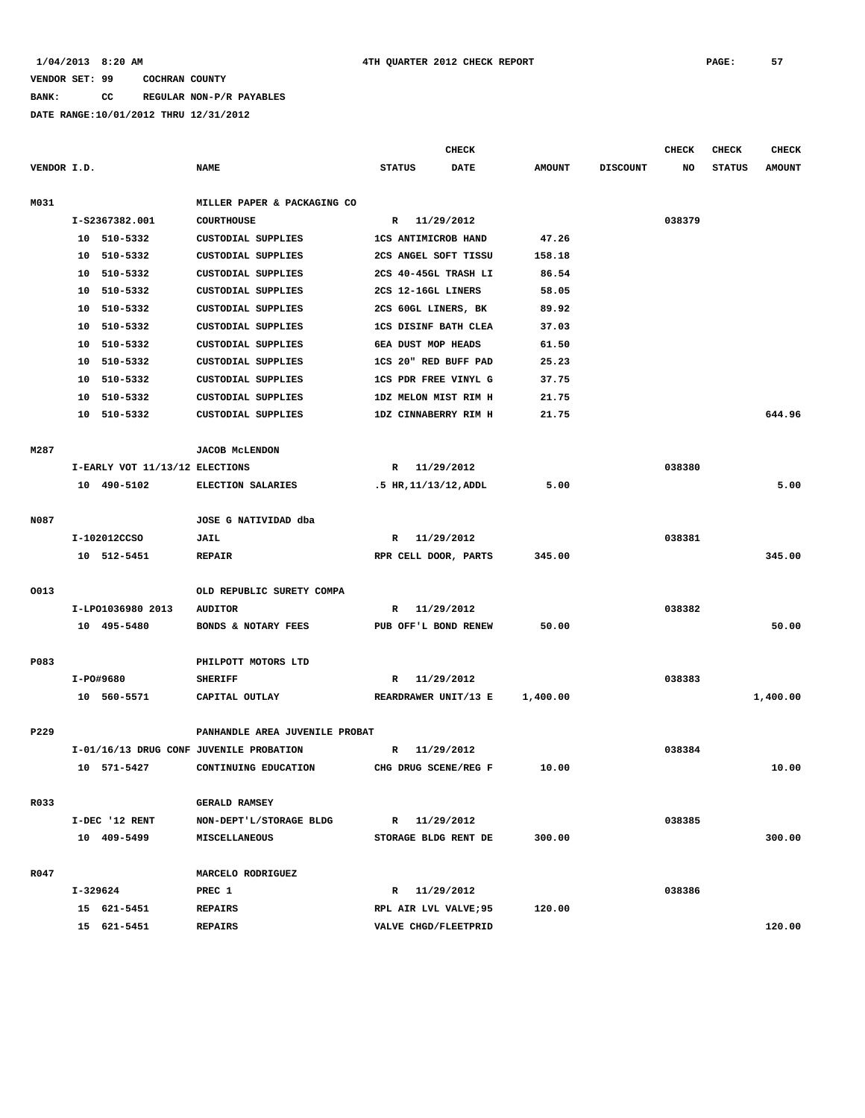# **BANK: CC REGULAR NON-P/R PAYABLES**

|             |          |                                |                                         |               |              | <b>CHECK</b>                |               |                 | <b>CHECK</b> | <b>CHECK</b>  | <b>CHECK</b>  |
|-------------|----------|--------------------------------|-----------------------------------------|---------------|--------------|-----------------------------|---------------|-----------------|--------------|---------------|---------------|
| VENDOR I.D. |          |                                | <b>NAME</b>                             | <b>STATUS</b> |              | <b>DATE</b>                 | <b>AMOUNT</b> | <b>DISCOUNT</b> | NO           | <b>STATUS</b> | <b>AMOUNT</b> |
|             |          |                                |                                         |               |              |                             |               |                 |              |               |               |
| M031        |          |                                | MILLER PAPER & PACKAGING CO             |               |              |                             |               |                 |              |               |               |
|             |          | I-S2367382.001                 | <b>COURTHOUSE</b>                       |               | $\mathbb{R}$ | 11/29/2012                  |               |                 | 038379       |               |               |
|             |          | 10 510-5332                    | CUSTODIAL SUPPLIES                      |               |              | <b>1CS ANTIMICROB HAND</b>  | 47.26         |                 |              |               |               |
|             |          | 10 510-5332                    | CUSTODIAL SUPPLIES                      |               |              | 2CS ANGEL SOFT TISSU        | 158.18        |                 |              |               |               |
|             | 10       | 510-5332                       | <b>CUSTODIAL SUPPLIES</b>               |               |              | 2CS 40-45GL TRASH LI        | 86.54         |                 |              |               |               |
|             |          | 10 510-5332                    | <b>CUSTODIAL SUPPLIES</b>               |               |              | 2CS 12-16GL LINERS          | 58.05         |                 |              |               |               |
|             |          | 10 510-5332                    | <b>CUSTODIAL SUPPLIES</b>               |               |              | 2CS 60GL LINERS, BK         | 89.92         |                 |              |               |               |
|             |          | 10 510-5332                    | CUSTODIAL SUPPLIES                      |               |              | <b>1CS DISINF BATH CLEA</b> | 37.03         |                 |              |               |               |
|             | 10       | 510-5332                       | <b>CUSTODIAL SUPPLIES</b>               |               |              | 6EA DUST MOP HEADS          | 61.50         |                 |              |               |               |
|             | 10       | 510-5332                       | <b>CUSTODIAL SUPPLIES</b>               |               |              | 1CS 20" RED BUFF PAD        | 25.23         |                 |              |               |               |
|             | 10       | 510-5332                       | CUSTODIAL SUPPLIES                      |               |              | <b>1CS PDR FREE VINYL G</b> | 37.75         |                 |              |               |               |
|             | 10       | 510-5332                       | <b>CUSTODIAL SUPPLIES</b>               |               |              | 1DZ MELON MIST RIM H        | 21.75         |                 |              |               |               |
|             |          | 10 510-5332                    | <b>CUSTODIAL SUPPLIES</b>               |               |              | 1DZ CINNABERRY RIM H        | 21.75         |                 |              |               | 644.96        |
|             |          |                                |                                         |               |              |                             |               |                 |              |               |               |
| M287        |          |                                | <b>JACOB MCLENDON</b>                   |               |              |                             |               |                 |              |               |               |
|             |          | I-EARLY VOT 11/13/12 ELECTIONS |                                         | R             | 11/29/2012   |                             |               |                 | 038380       |               |               |
|             |          | 10 490-5102                    | <b>ELECTION SALARIES</b>                |               |              | .5 HR, 11/13/12, ADDL       | 5.00          |                 |              |               | 5.00          |
|             |          |                                |                                         |               |              |                             |               |                 |              |               |               |
| N087        |          |                                | JOSE G NATIVIDAD dba                    |               |              |                             |               |                 |              |               |               |
|             |          | I-102012CCSO                   | JAIL                                    | R             |              | 11/29/2012                  |               |                 | 038381       |               |               |
|             |          | 10 512-5451                    | <b>REPAIR</b>                           |               |              | RPR CELL DOOR, PARTS        | 345.00        |                 |              |               | 345.00        |
|             |          |                                |                                         |               |              |                             |               |                 |              |               |               |
| 0013        |          |                                | OLD REPUBLIC SURETY COMPA               |               |              |                             |               |                 |              |               |               |
|             |          | I-LP01036980 2013              | <b>AUDITOR</b>                          | R             |              | 11/29/2012                  |               |                 | 038382       |               |               |
|             |          | 10 495-5480                    | BONDS & NOTARY FEES                     |               |              | PUB OFF'L BOND RENEW        | 50.00         |                 |              |               | 50.00         |
|             |          |                                |                                         |               |              |                             |               |                 |              |               |               |
| P083        |          |                                | PHILPOTT MOTORS LTD                     |               |              |                             |               |                 |              |               |               |
|             |          | I-PO#9680                      | <b>SHERIFF</b>                          | R             |              | 11/29/2012                  |               |                 | 038383       |               |               |
|             |          | 10 560-5571                    | CAPITAL OUTLAY                          |               |              | REARDRAWER UNIT/13 E        | 1,400.00      |                 |              |               | 1,400.00      |
|             |          |                                |                                         |               |              |                             |               |                 |              |               |               |
| P229        |          |                                | PANHANDLE AREA JUVENILE PROBAT          |               |              |                             |               |                 |              |               |               |
|             |          |                                | I-01/16/13 DRUG CONF JUVENILE PROBATION | R             |              | 11/29/2012                  |               |                 | 038384       |               |               |
|             |          | 10 571-5427                    | CONTINUING EDUCATION                    |               |              | CHG DRUG SCENE/REG F        | 10.00         |                 |              |               | 10.00         |
|             |          |                                |                                         |               |              |                             |               |                 |              |               |               |
| R033        |          |                                | <b>GERALD RAMSEY</b>                    |               |              |                             |               |                 |              |               |               |
|             |          | I-DEC '12 RENT                 | NON-DEPT'L/STORAGE BLDG                 |               | R 11/29/2012 |                             |               |                 | 038385       |               |               |
|             |          | 10 409-5499                    | MISCELLANEOUS                           |               |              | STORAGE BLDG RENT DE        | 300.00        |                 |              |               | 300.00        |
|             |          |                                |                                         |               |              |                             |               |                 |              |               |               |
| R047        |          |                                | MARCELO RODRIGUEZ                       |               |              |                             |               |                 |              |               |               |
|             | I-329624 |                                | PREC 1                                  |               | R 11/29/2012 |                             |               |                 | 038386       |               |               |
|             |          | 15 621-5451                    | <b>REPAIRS</b>                          |               |              | RPL AIR LVL VALVE; 95       | 120.00        |                 |              |               |               |
|             |          | 15 621-5451                    | <b>REPAIRS</b>                          |               |              | VALVE CHGD/FLEETPRID        |               |                 |              |               | 120.00        |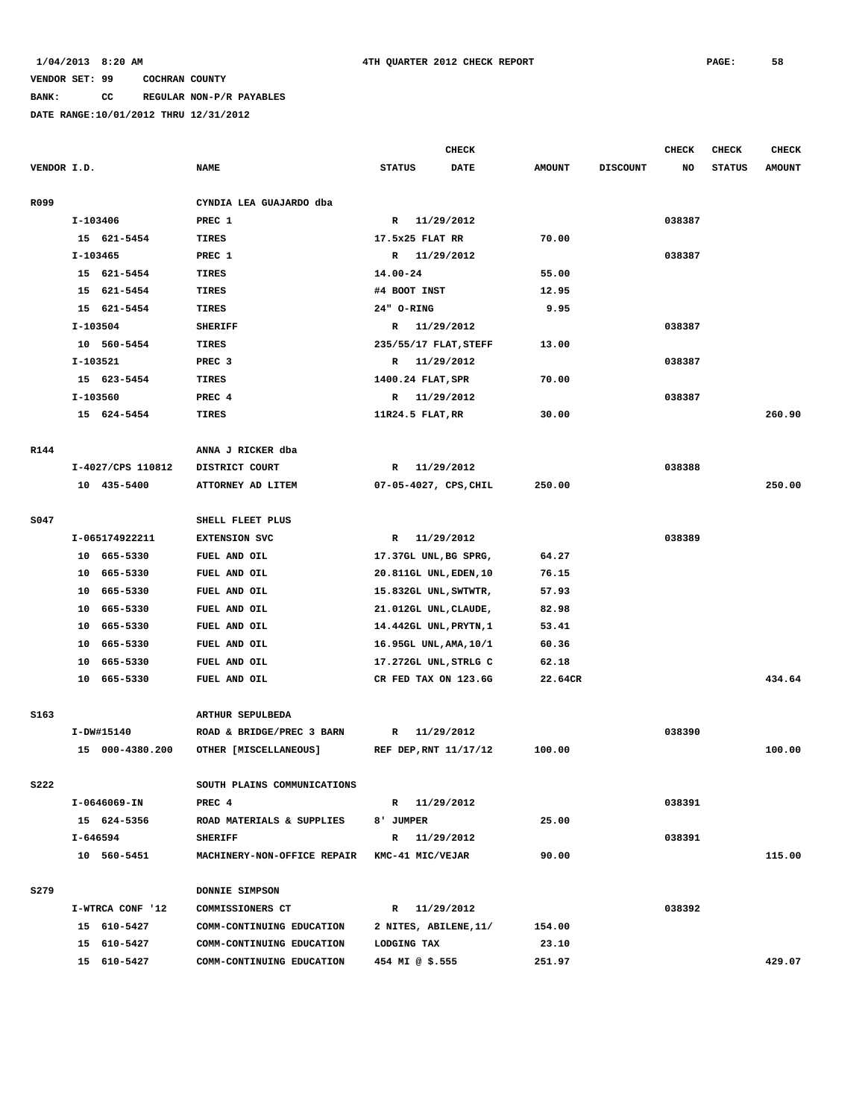# **BANK: CC REGULAR NON-P/R PAYABLES**

|             |                            |                                      | <b>CHECK</b>                                    |                |                 | <b>CHECK</b> | CHECK         | <b>CHECK</b>  |
|-------------|----------------------------|--------------------------------------|-------------------------------------------------|----------------|-----------------|--------------|---------------|---------------|
|             | VENDOR I.D.                | <b>NAME</b>                          | <b>DATE</b><br><b>STATUS</b>                    | <b>AMOUNT</b>  | <b>DISCOUNT</b> | NO           | <b>STATUS</b> | <b>AMOUNT</b> |
| R099        |                            | CYNDIA LEA GUAJARDO dba              |                                                 |                |                 |              |               |               |
|             | I-103406                   | PREC 1                               | 11/29/2012<br>$\mathbb{R}$                      |                |                 | 038387       |               |               |
|             | 15 621-5454                | TIRES                                | 17.5x25 FLAT RR                                 | 70.00          |                 |              |               |               |
|             | $I-103465$                 | PREC 1                               | R 11/29/2012                                    |                |                 | 038387       |               |               |
|             | 15 621-5454                | TIRES                                | 14.00-24                                        | 55.00          |                 |              |               |               |
|             | 15 621-5454                | <b>TIRES</b>                         | #4 BOOT INST                                    | 12.95          |                 |              |               |               |
|             | 15 621-5454                | <b>TIRES</b>                         | 24" O-RING                                      | 9.95           |                 |              |               |               |
|             | $I-103504$                 | <b>SHERIFF</b>                       | 11/29/2012<br>R                                 |                |                 | 038387       |               |               |
|             | 10 560-5454                | <b>TIRES</b>                         | 235/55/17 FLAT, STEFF                           | 13.00          |                 |              |               |               |
|             | I-103521                   | PREC <sub>3</sub>                    | 11/29/2012<br>R                                 |                |                 | 038387       |               |               |
|             | 15 623-5454                | TIRES                                | 1400.24 FLAT, SPR                               | 70.00          |                 |              |               |               |
|             | I-103560                   | PREC 4                               | 11/29/2012<br>$\mathbb{R}$                      |                |                 | 038387       |               |               |
|             | 15 624-5454                | TIRES                                | 11R24.5 FLAT, RR                                | 30.00          |                 |              |               | 260.90        |
| R144        |                            | ANNA J RICKER dba                    |                                                 |                |                 |              |               |               |
|             | I-4027/CPS 110812          | DISTRICT COURT                       | 11/29/2012<br>R                                 |                |                 | 038388       |               |               |
|             | 10 435-5400                | ATTORNEY AD LITEM                    | 07-05-4027, CPS, CHIL                           | 250.00         |                 |              |               | 250.00        |
| S047        |                            | SHELL FLEET PLUS                     |                                                 |                |                 |              |               |               |
|             | I-065174922211             |                                      | 11/29/2012                                      |                |                 | 038389       |               |               |
|             | 10 665-5330                | <b>EXTENSION SVC</b><br>FUEL AND OIL | R                                               | 64.27          |                 |              |               |               |
|             | 10 665-5330                |                                      | 17.37GL UNL, BG SPRG,                           |                |                 |              |               |               |
|             |                            | FUEL AND OIL                         | 20.811GL UNL, EDEN, 10                          | 76.15          |                 |              |               |               |
|             | 10 665-5330<br>10 665-5330 | FUEL AND OIL<br>FUEL AND OIL         | 15.832GL UNL, SWTWTR,                           | 57.93<br>82.98 |                 |              |               |               |
|             | 10 665-5330                | FUEL AND OIL                         | 21.012GL UNL, CLAUDE,<br>14.442GL UNL, PRYTN, 1 | 53.41          |                 |              |               |               |
|             | 665-5330<br>10             | FUEL AND OIL                         | 16.95GL UNL, AMA, 10/1                          | 60.36          |                 |              |               |               |
|             | 10<br>665-5330             | FUEL AND OIL                         | 17.272GL UNL, STRLG C                           | 62.18          |                 |              |               |               |
|             | 10 665-5330                | FUEL AND OIL                         | CR FED TAX ON 123.6G                            | 22.64CR        |                 |              |               | 434.64        |
|             |                            |                                      |                                                 |                |                 |              |               |               |
| S163        |                            | ARTHUR SEPULBEDA                     |                                                 |                |                 |              |               |               |
|             | I-DW#15140                 | ROAD & BRIDGE/PREC 3 BARN            | 11/29/2012<br>$\mathbb{R}$                      |                |                 | 038390       |               |               |
|             | 15 000-4380.200            | OTHER [MISCELLANEOUS]                | REF DEP, RNT 11/17/12                           | 100.00         |                 |              |               | 100.00        |
| <b>S222</b> |                            | SOUTH PLAINS COMMUNICATIONS          |                                                 |                |                 |              |               |               |
|             | I-0646069-IN               | PREC 4                               | R 11/29/2012                                    |                |                 | 038391       |               |               |
|             | 15 624-5356                | ROAD MATERIALS & SUPPLIES            | 8' JUMPER                                       | 25.00          |                 |              |               |               |
|             | I-646594                   | <b>SHERIFF</b>                       | R 11/29/2012                                    |                |                 | 038391       |               |               |
|             | 10 560-5451                | MACHINERY-NON-OFFICE REPAIR          | KMC-41 MIC/VEJAR                                | 90.00          |                 |              |               | 115.00        |
| S279        |                            | DONNIE SIMPSON                       |                                                 |                |                 |              |               |               |
|             | I-WTRCA CONF '12           | COMMISSIONERS CT                     | R 11/29/2012                                    |                |                 | 038392       |               |               |
|             | 15 610-5427                | COMM-CONTINUING EDUCATION            | 2 NITES, ABILENE, 11/                           | 154.00         |                 |              |               |               |
|             | 15 610-5427                | COMM-CONTINUING EDUCATION            | LODGING TAX                                     | 23.10          |                 |              |               |               |
|             | 15 610-5427                | COMM-CONTINUING EDUCATION            | 454 MI @ \$.555                                 | 251.97         |                 |              |               | 429.07        |
|             |                            |                                      |                                                 |                |                 |              |               |               |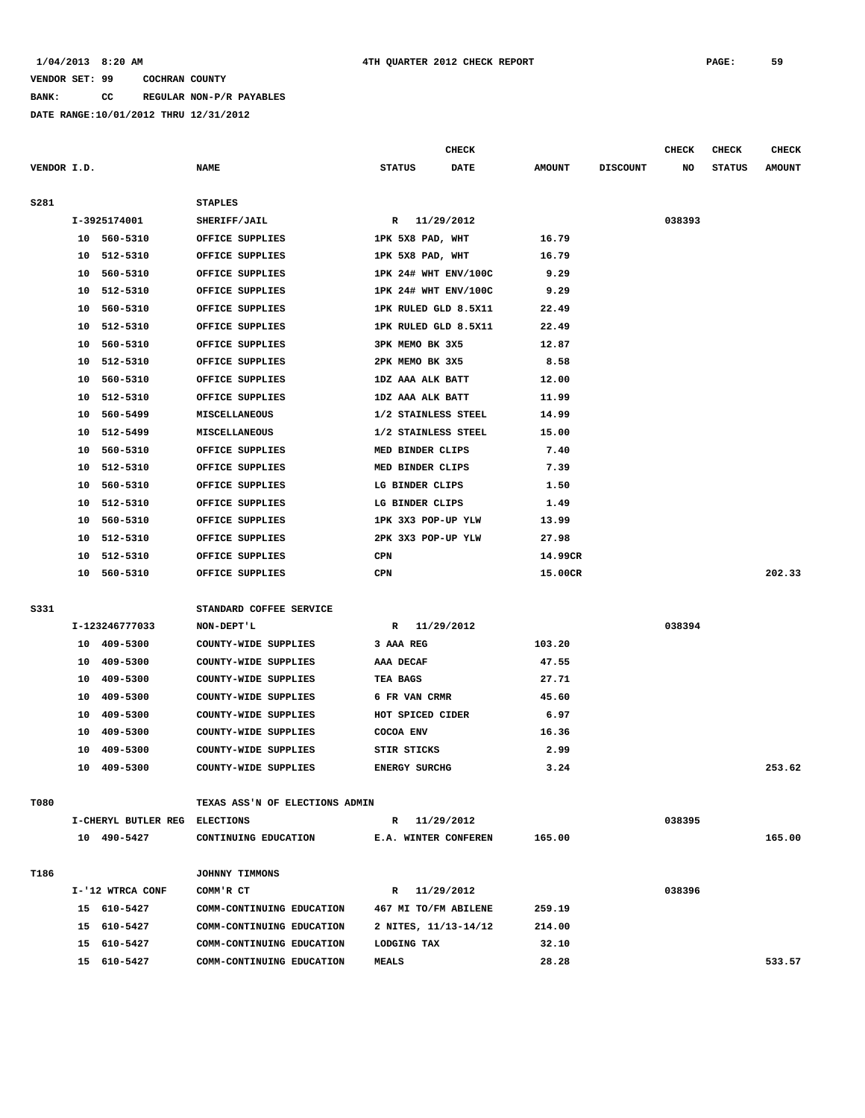**BANK: CC REGULAR NON-P/R PAYABLES**

**DATE RANGE:10/01/2012 THRU 12/31/2012**

**CHECK CHECK CHECK CHECK** 

| VENDOR I.D. |    |                               | <b>NAME</b>                    | <b>STATUS</b> |                      | <b>DATE</b> | <b>AMOUNT</b> | <b>DISCOUNT</b> | NO     | <b>STATUS</b> | <b>AMOUNT</b> |
|-------------|----|-------------------------------|--------------------------------|---------------|----------------------|-------------|---------------|-----------------|--------|---------------|---------------|
| S281        |    |                               | <b>STAPLES</b>                 |               |                      |             |               |                 |        |               |               |
|             |    | I-3925174001                  | SHERIFF/JAIL                   |               | R 11/29/2012         |             |               |                 | 038393 |               |               |
|             |    | 10 560-5310                   | OFFICE SUPPLIES                |               | 1PK 5X8 PAD, WHT     |             | 16.79         |                 |        |               |               |
|             |    | 10 512-5310                   | OFFICE SUPPLIES                |               | 1PK 5X8 PAD, WHT     |             | 16.79         |                 |        |               |               |
|             |    | 10 560-5310                   | OFFICE SUPPLIES                |               | 1PK 24# WHT ENV/100C |             | 9.29          |                 |        |               |               |
|             |    | 10 512-5310                   | OFFICE SUPPLIES                |               | 1PK 24# WHT ENV/100C |             | 9.29          |                 |        |               |               |
|             |    | 10 560-5310                   | OFFICE SUPPLIES                |               | 1PK RULED GLD 8.5X11 |             | 22.49         |                 |        |               |               |
|             |    | 10 512-5310                   | OFFICE SUPPLIES                |               | 1PK RULED GLD 8.5X11 |             | 22.49         |                 |        |               |               |
|             |    | 10 560-5310                   | OFFICE SUPPLIES                |               | 3PK MEMO BK 3X5      |             | 12.87         |                 |        |               |               |
|             |    | 10 512-5310                   | OFFICE SUPPLIES                |               | 2PK MEMO BK 3X5      |             | 8.58          |                 |        |               |               |
|             |    | 10 560-5310                   | OFFICE SUPPLIES                |               | 1DZ AAA ALK BATT     |             | 12.00         |                 |        |               |               |
|             | 10 | 512-5310                      | OFFICE SUPPLIES                |               | 1DZ AAA ALK BATT     |             | 11.99         |                 |        |               |               |
|             |    | 10 560-5499                   | MISCELLANEOUS                  |               | 1/2 STAINLESS STEEL  |             | 14.99         |                 |        |               |               |
|             |    | 10 512-5499                   | MISCELLANEOUS                  |               | 1/2 STAINLESS STEEL  |             | 15.00         |                 |        |               |               |
|             |    | 10 560-5310                   | OFFICE SUPPLIES                |               | MED BINDER CLIPS     |             | 7.40          |                 |        |               |               |
|             |    | 10 512-5310                   | OFFICE SUPPLIES                |               | MED BINDER CLIPS     |             | 7.39          |                 |        |               |               |
|             |    | 10 560-5310                   | OFFICE SUPPLIES                |               | LG BINDER CLIPS      |             | 1.50          |                 |        |               |               |
|             |    | 10 512-5310                   | OFFICE SUPPLIES                |               | LG BINDER CLIPS      |             | 1.49          |                 |        |               |               |
|             |    | 10 560-5310                   | OFFICE SUPPLIES                |               | 1PK 3X3 POP-UP YLW   |             | 13.99         |                 |        |               |               |
|             |    | 10 512-5310                   | OFFICE SUPPLIES                |               | 2PK 3X3 POP-UP YLW   |             | 27.98         |                 |        |               |               |
|             |    | 10 512-5310                   | OFFICE SUPPLIES                | CPN           |                      |             | 14.99CR       |                 |        |               |               |
|             |    | 10 560-5310                   | OFFICE SUPPLIES                | CPN           |                      |             | 15.00CR       |                 |        |               | 202.33        |
|             |    |                               |                                |               |                      |             |               |                 |        |               |               |
| S331        |    |                               | STANDARD COFFEE SERVICE        |               |                      |             |               |                 |        |               |               |
|             |    | I-123246777033                | NON-DEPT'L                     |               | R 11/29/2012         |             |               |                 | 038394 |               |               |
|             |    | 10 409-5300                   | COUNTY-WIDE SUPPLIES           | 3 AAA REG     |                      |             | 103.20        |                 |        |               |               |
|             |    | 10 409-5300                   | COUNTY-WIDE SUPPLIES           | AAA DECAF     |                      |             | 47.55         |                 |        |               |               |
|             |    | 10 409-5300                   | COUNTY-WIDE SUPPLIES           | TEA BAGS      |                      |             | 27.71         |                 |        |               |               |
|             |    | 10 409-5300                   | COUNTY-WIDE SUPPLIES           |               | 6 FR VAN CRMR        |             | 45.60         |                 |        |               |               |
|             |    | 10 409-5300                   | COUNTY-WIDE SUPPLIES           |               | HOT SPICED CIDER     |             | 6.97          |                 |        |               |               |
|             |    | 10 409-5300                   | COUNTY-WIDE SUPPLIES           | COCOA ENV     |                      |             | 16.36         |                 |        |               |               |
|             |    | 10 409-5300                   | COUNTY-WIDE SUPPLIES           | STIR STICKS   |                      |             | 2.99          |                 |        |               |               |
|             |    | 10 409-5300                   | COUNTY-WIDE SUPPLIES           |               | <b>ENERGY SURCHG</b> |             | 3.24          |                 |        |               | 253.62        |
| T080        |    |                               | TEXAS ASS'N OF ELECTIONS ADMIN |               |                      |             |               |                 |        |               |               |
|             |    | I-CHERYL BUTLER REG ELECTIONS |                                |               | R 11/29/2012         |             |               |                 | 038395 |               |               |
|             |    | 10 490-5427                   | CONTINUING EDUCATION           |               | E.A. WINTER CONFEREN |             | 165.00        |                 |        |               | 165.00        |
|             |    |                               |                                |               |                      |             |               |                 |        |               |               |
| T186        |    |                               | JOHNNY TIMMONS                 |               |                      |             |               |                 |        |               |               |
|             |    | I-'12 WTRCA CONF              | COMM'R CT                      |               | R 11/29/2012         |             |               |                 | 038396 |               |               |
|             |    | 15 610-5427                   | COMM-CONTINUING EDUCATION      |               | 467 MI TO/FM ABILENE |             | 259.19        |                 |        |               |               |
|             |    | 15 610-5427                   | COMM-CONTINUING EDUCATION      |               | 2 NITES, 11/13-14/12 |             | 214.00        |                 |        |               |               |
|             |    | 15 610-5427                   | COMM-CONTINUING EDUCATION      | LODGING TAX   |                      |             | 32.10         |                 |        |               |               |
|             |    | 15 610-5427                   | COMM-CONTINUING EDUCATION      | <b>MEALS</b>  |                      |             | 28.28         |                 |        |               | 533.57        |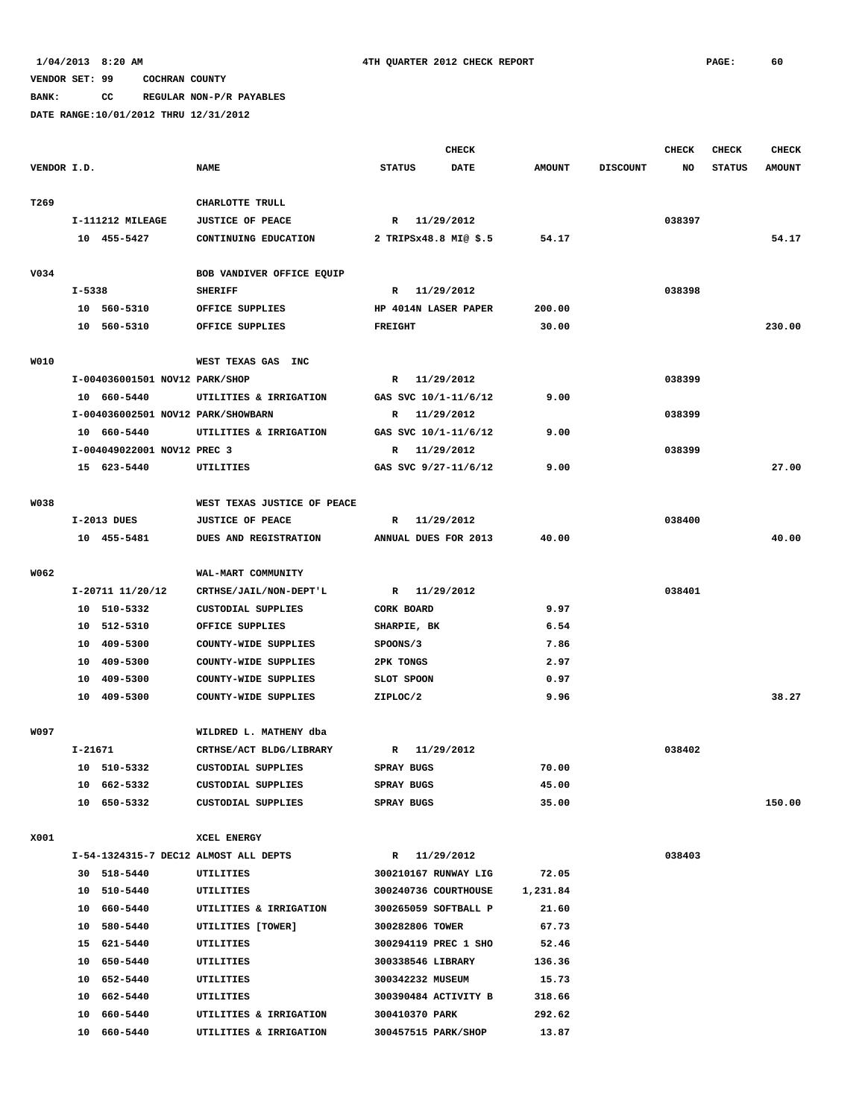**BANK: CC REGULAR NON-P/R PAYABLES**

|             |            |                                    |                                       |                       | <b>CHECK</b> |               |                 | <b>CHECK</b> | <b>CHECK</b>  | <b>CHECK</b>  |
|-------------|------------|------------------------------------|---------------------------------------|-----------------------|--------------|---------------|-----------------|--------------|---------------|---------------|
| VENDOR I.D. |            |                                    | <b>NAME</b>                           | <b>STATUS</b>         | <b>DATE</b>  | <b>AMOUNT</b> | <b>DISCOUNT</b> | NO           | <b>STATUS</b> | <b>AMOUNT</b> |
| T269        |            |                                    | CHARLOTTE TRULL                       |                       |              |               |                 |              |               |               |
|             |            | I-111212 MILEAGE                   | <b>JUSTICE OF PEACE</b>               | R 11/29/2012          |              |               |                 | 038397       |               |               |
|             |            | 10 455-5427                        | CONTINUING EDUCATION                  | 2 TRIPSx48.8 MI@ \$.5 |              | 54.17         |                 |              |               | 54.17         |
|             |            |                                    |                                       |                       |              |               |                 |              |               |               |
| V034        |            |                                    | BOB VANDIVER OFFICE EQUIP             |                       |              |               |                 |              |               |               |
|             | $I - 5338$ |                                    | <b>SHERIFF</b>                        | R 11/29/2012          |              |               |                 | 038398       |               |               |
|             |            | 10 560-5310                        | OFFICE SUPPLIES                       | HP 4014N LASER PAPER  |              | 200.00        |                 |              |               |               |
|             |            | 10 560-5310                        | OFFICE SUPPLIES                       | <b>FREIGHT</b>        |              | 30.00         |                 |              |               | 230.00        |
| <b>WO10</b> |            |                                    | WEST TEXAS GAS INC                    |                       |              |               |                 |              |               |               |
|             |            | I-004036001501 NOV12 PARK/SHOP     |                                       | R 11/29/2012          |              |               |                 | 038399       |               |               |
|             |            | 10 660-5440                        | UTILITIES & IRRIGATION                | GAS SVC 10/1-11/6/12  |              | 9.00          |                 |              |               |               |
|             |            | I-004036002501 NOV12 PARK/SHOWBARN |                                       | R                     | 11/29/2012   |               |                 | 038399       |               |               |
|             |            | 10 660-5440                        | UTILITIES & IRRIGATION                | GAS SVC 10/1-11/6/12  |              | 9.00          |                 |              |               |               |
|             |            | I-004049022001 NOV12 PREC 3        |                                       | R 11/29/2012          |              |               |                 | 038399       |               |               |
|             |            | 15 623-5440                        | <b>UTILITIES</b>                      | GAS SVC 9/27-11/6/12  |              | 9.00          |                 |              |               | 27.00         |
|             |            |                                    |                                       |                       |              |               |                 |              |               |               |
| <b>W038</b> |            |                                    | WEST TEXAS JUSTICE OF PEACE           |                       |              |               |                 |              |               |               |
|             |            | I-2013 DUES                        | <b>JUSTICE OF PEACE</b>               | R                     | 11/29/2012   |               |                 | 038400       |               |               |
|             |            | 10 455-5481                        | DUES AND REGISTRATION                 | ANNUAL DUES FOR 2013  |              | 40.00         |                 |              |               | 40.00         |
| W062        |            |                                    | WAL-MART COMMUNITY                    |                       |              |               |                 |              |               |               |
|             |            | I-20711 11/20/12                   | CRTHSE/JAIL/NON-DEPT'L                | R 11/29/2012          |              |               |                 | 038401       |               |               |
|             |            | 10 510-5332                        | CUSTODIAL SUPPLIES                    | CORK BOARD            |              | 9.97          |                 |              |               |               |
|             |            | 10 512-5310                        | OFFICE SUPPLIES                       | SHARPIE, BK           |              | 6.54          |                 |              |               |               |
|             |            | 10 409-5300                        | COUNTY-WIDE SUPPLIES                  | SPOONS/3              |              | 7.86          |                 |              |               |               |
|             |            | 10 409-5300                        | COUNTY-WIDE SUPPLIES                  | <b>2PK TONGS</b>      |              | 2.97          |                 |              |               |               |
|             | 10         | 409-5300                           | COUNTY-WIDE SUPPLIES                  | SLOT SPOON            |              | 0.97          |                 |              |               |               |
|             |            | 10 409-5300                        | COUNTY-WIDE SUPPLIES                  | ZIPLOC/2              |              | 9.96          |                 |              |               | 38.27         |
| W097        |            |                                    | WILDRED L. MATHENY dba                |                       |              |               |                 |              |               |               |
|             | I-21671    |                                    | CRTHSE/ACT BLDG/LIBRARY               | R                     | 11/29/2012   |               |                 | 038402       |               |               |
|             |            | 10 510-5332                        | <b>CUSTODIAL SUPPLIES</b>             | SPRAY BUGS            |              | 70.00         |                 |              |               |               |
|             |            | 10 662-5332                        | CUSTODIAL SUPPLIES                    | SPRAY BUGS            |              | 45.00         |                 |              |               |               |
|             |            | 10 650-5332                        | CUSTODIAL SUPPLIES                    | SPRAY BUGS            |              | 35.00         |                 |              |               | 150.00        |
|             |            |                                    |                                       |                       |              |               |                 |              |               |               |
| X001        |            |                                    | XCEL ENERGY                           |                       |              |               |                 |              |               |               |
|             |            |                                    | I-54-1324315-7 DEC12 ALMOST ALL DEPTS | R 11/29/2012          |              |               |                 | 038403       |               |               |
|             |            | 30 518-5440                        | UTILITIES                             | 300210167 RUNWAY LIG  |              | 72.05         |                 |              |               |               |
|             |            | 10 510-5440                        | UTILITIES                             | 300240736 COURTHOUSE  |              | 1,231.84      |                 |              |               |               |
|             |            | 10 660-5440                        | UTILITIES & IRRIGATION                | 300265059 SOFTBALL P  |              | 21.60         |                 |              |               |               |
|             |            | 10 580-5440                        | UTILITIES [TOWER]                     | 300282806 TOWER       |              | 67.73         |                 |              |               |               |
|             |            | 15 621-5440                        | UTILITIES                             | 300294119 PREC 1 SHO  |              | 52.46         |                 |              |               |               |
|             |            | 10 650-5440                        | UTILITIES                             | 300338546 LIBRARY     |              | 136.36        |                 |              |               |               |
|             |            | 10 652-5440                        | UTILITIES                             | 300342232 MUSEUM      |              | 15.73         |                 |              |               |               |
|             |            | 10 662-5440                        | UTILITIES                             | 300390484 ACTIVITY B  |              | 318.66        |                 |              |               |               |
|             |            | 10 660-5440                        | UTILITIES & IRRIGATION                | 300410370 PARK        |              | 292.62        |                 |              |               |               |
|             |            | 10 660-5440                        | UTILITIES & IRRIGATION                | 300457515 PARK/SHOP   |              | 13.87         |                 |              |               |               |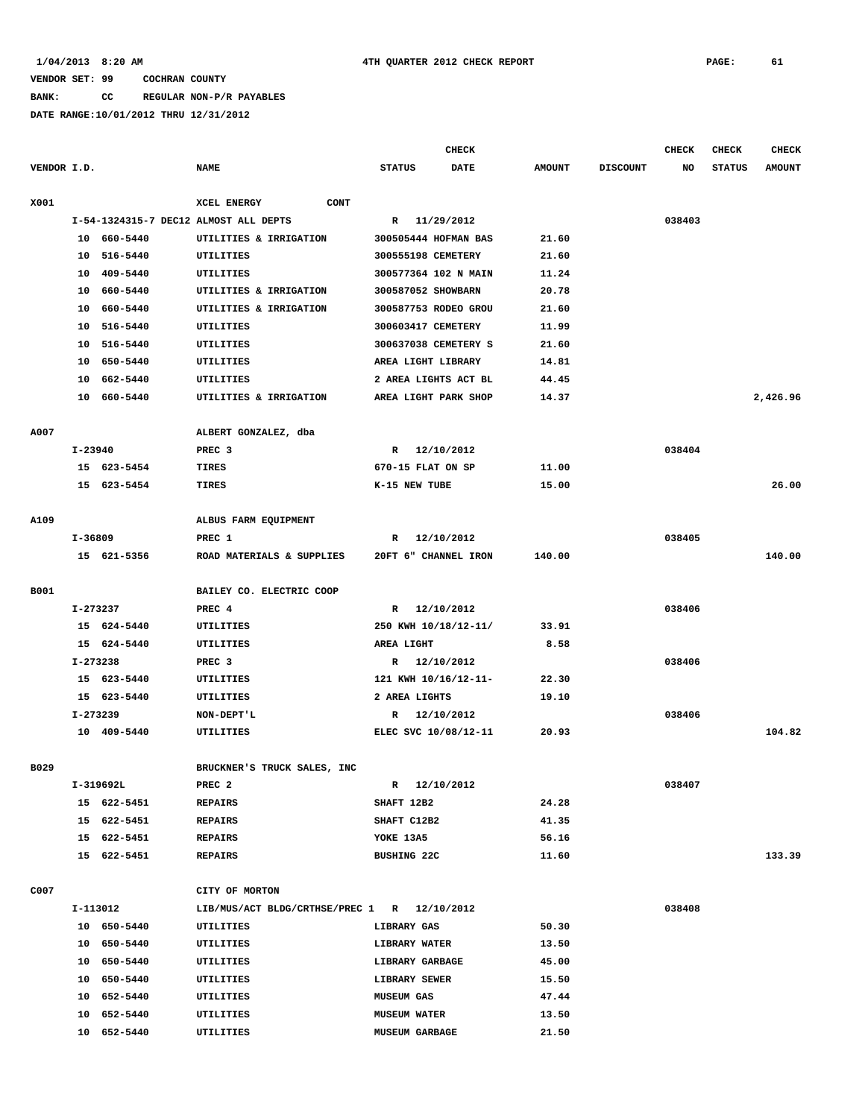**BANK: CC REGULAR NON-P/R PAYABLES**

|             |             |             |                                             |                       | <b>CHECK</b>         |               |                 | <b>CHECK</b> | <b>CHECK</b>  | <b>CHECK</b>  |
|-------------|-------------|-------------|---------------------------------------------|-----------------------|----------------------|---------------|-----------------|--------------|---------------|---------------|
| VENDOR I.D. |             |             | <b>NAME</b>                                 | <b>STATUS</b>         | <b>DATE</b>          | <b>AMOUNT</b> | <b>DISCOUNT</b> | NO           | <b>STATUS</b> | <b>AMOUNT</b> |
| X001        |             |             | XCEL ENERGY<br><b>CONT</b>                  |                       |                      |               |                 |              |               |               |
|             |             |             | I-54-1324315-7 DEC12 ALMOST ALL DEPTS       |                       | R 11/29/2012         |               |                 | 038403       |               |               |
|             |             | 10 660-5440 | UTILITIES & IRRIGATION                      |                       | 300505444 HOFMAN BAS | 21.60         |                 |              |               |               |
|             |             | 10 516-5440 | UTILITIES                                   | 300555198 CEMETERY    |                      | 21.60         |                 |              |               |               |
|             |             | 10 409-5440 | UTILITIES                                   |                       | 300577364 102 N MAIN | 11.24         |                 |              |               |               |
|             |             | 10 660-5440 | UTILITIES & IRRIGATION                      | 300587052 SHOWBARN    |                      | 20.78         |                 |              |               |               |
|             |             | 10 660-5440 | UTILITIES & IRRIGATION                      |                       | 300587753 RODEO GROU | 21.60         |                 |              |               |               |
|             | 10          | 516-5440    | UTILITIES                                   | 300603417 CEMETERY    |                      | 11.99         |                 |              |               |               |
|             | 10          | 516-5440    | UTILITIES                                   |                       | 300637038 CEMETERY S | 21.60         |                 |              |               |               |
|             |             | 10 650-5440 | UTILITIES                                   | AREA LIGHT LIBRARY    |                      | 14.81         |                 |              |               |               |
|             |             | 10 662-5440 | UTILITIES                                   |                       | 2 AREA LIGHTS ACT BL | 44.45         |                 |              |               |               |
|             |             | 10 660-5440 | UTILITIES & IRRIGATION                      |                       | AREA LIGHT PARK SHOP | 14.37         |                 |              |               | 2,426.96      |
|             |             |             |                                             |                       |                      |               |                 |              |               |               |
| A007        |             |             | ALBERT GONZALEZ, dba                        |                       |                      |               |                 |              |               |               |
|             | $I - 23940$ |             | PREC <sub>3</sub>                           | R                     | 12/10/2012           |               |                 | 038404       |               |               |
|             |             | 15 623-5454 | TIRES                                       | 670-15 FLAT ON SP     |                      | 11.00         |                 |              |               |               |
|             |             | 15 623-5454 | TIRES                                       | K-15 NEW TUBE         |                      | 15.00         |                 |              |               | 26.00         |
|             |             |             |                                             |                       |                      |               |                 |              |               |               |
| A109        |             |             | ALBUS FARM EQUIPMENT                        |                       |                      |               |                 |              |               |               |
|             | I-36809     |             | PREC 1                                      | R                     | 12/10/2012           |               |                 | 038405       |               |               |
|             |             | 15 621-5356 | ROAD MATERIALS & SUPPLIES                   |                       | 20FT 6" CHANNEL IRON | 140.00        |                 |              |               | 140.00        |
| B001        |             |             | BAILEY CO. ELECTRIC COOP                    |                       |                      |               |                 |              |               |               |
|             | I-273237    |             | PREC 4                                      |                       | R 12/10/2012         |               |                 | 038406       |               |               |
|             |             | 15 624-5440 | UTILITIES                                   |                       | 250 KWH 10/18/12-11/ | 33.91         |                 |              |               |               |
|             |             | 15 624-5440 | UTILITIES                                   | AREA LIGHT            |                      | 8.58          |                 |              |               |               |
|             | I-273238    |             | PREC <sub>3</sub>                           |                       | R 12/10/2012         |               |                 | 038406       |               |               |
|             |             | 15 623-5440 | UTILITIES                                   |                       | 121 KWH 10/16/12-11- | 22.30         |                 |              |               |               |
|             |             | 15 623-5440 | UTILITIES                                   | 2 AREA LIGHTS         |                      | 19.10         |                 |              |               |               |
|             | I-273239    |             | NON-DEPT'L                                  |                       | R 12/10/2012         |               |                 | 038406       |               |               |
|             |             | 10 409-5440 | UTILITIES                                   |                       | ELEC SVC 10/08/12-11 | 20.93         |                 |              |               | 104.82        |
|             |             |             |                                             |                       |                      |               |                 |              |               |               |
| B029        |             |             | BRUCKNER'S TRUCK SALES, INC                 |                       |                      |               |                 |              |               |               |
|             |             | I-319692L   | PREC <sub>2</sub>                           | $\mathbb{R}$          | 12/10/2012           |               |                 | 038407       |               |               |
|             |             | 15 622-5451 | REPAIRS                                     | SHAFT 12B2            |                      | 24.28         |                 |              |               |               |
|             |             | 15 622-5451 | <b>REPAIRS</b>                              | SHAFT C12B2           |                      | 41.35         |                 |              |               |               |
|             |             | 15 622-5451 | <b>REPAIRS</b>                              | YOKE 13A5             |                      | 56.16         |                 |              |               |               |
|             |             | 15 622-5451 | <b>REPAIRS</b>                              | <b>BUSHING 22C</b>    |                      | 11.60         |                 |              |               | 133.39        |
|             |             |             |                                             |                       |                      |               |                 |              |               |               |
| C007        |             |             | CITY OF MORTON                              |                       |                      |               |                 |              |               |               |
|             |             | I-113012    | LIB/MUS/ACT BLDG/CRTHSE/PREC 1 R 12/10/2012 |                       |                      |               |                 | 038408       |               |               |
|             |             | 10 650-5440 | UTILITIES                                   | <b>LIBRARY GAS</b>    |                      | 50.30         |                 |              |               |               |
|             |             | 10 650-5440 | UTILITIES                                   | LIBRARY WATER         |                      | 13.50         |                 |              |               |               |
|             |             | 10 650-5440 | UTILITIES                                   | LIBRARY GARBAGE       |                      | 45.00         |                 |              |               |               |
|             |             | 10 650-5440 | UTILITIES                                   | LIBRARY SEWER         |                      | 15.50         |                 |              |               |               |
|             |             | 10 652-5440 | UTILITIES                                   | <b>MUSEUM GAS</b>     |                      | 47.44         |                 |              |               |               |
|             |             | 10 652-5440 | UTILITIES                                   | <b>MUSEUM WATER</b>   |                      | 13.50         |                 |              |               |               |
|             |             | 10 652-5440 | UTILITIES                                   | <b>MUSEUM GARBAGE</b> |                      | 21.50         |                 |              |               |               |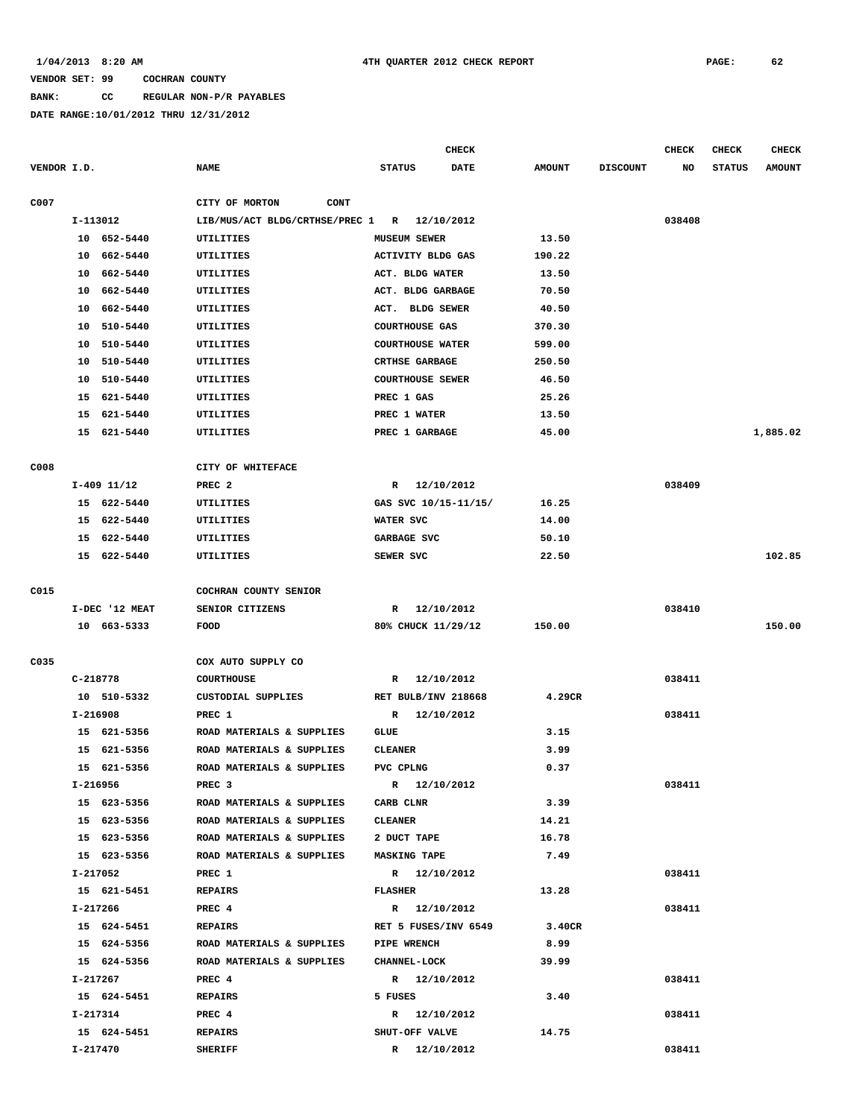### **BANK: CC REGULAR NON-P/R PAYABLES**

|             |                |                                | <b>CHECK</b>                 |               |                 | <b>CHECK</b> | <b>CHECK</b>  | <b>CHECK</b>  |
|-------------|----------------|--------------------------------|------------------------------|---------------|-----------------|--------------|---------------|---------------|
| VENDOR I.D. |                | <b>NAME</b>                    | <b>STATUS</b><br><b>DATE</b> | <b>AMOUNT</b> | <b>DISCOUNT</b> | NO           | <b>STATUS</b> | <b>AMOUNT</b> |
| C007        |                | CITY OF MORTON<br><b>CONT</b>  |                              |               |                 |              |               |               |
|             | I-113012       | LIB/MUS/ACT BLDG/CRTHSE/PREC 1 | R 12/10/2012                 |               |                 | 038408       |               |               |
|             | 10 652-5440    | UTILITIES                      | <b>MUSEUM SEWER</b>          | 13.50         |                 |              |               |               |
|             | 10 662-5440    | UTILITIES                      | ACTIVITY BLDG GAS            | 190.22        |                 |              |               |               |
|             | 662-5440<br>10 | UTILITIES                      | ACT. BLDG WATER              | 13.50         |                 |              |               |               |
|             | 662-5440<br>10 | UTILITIES                      | ACT. BLDG GARBAGE            | 70.50         |                 |              |               |               |
|             | 662-5440<br>10 | UTILITIES                      | ACT. BLDG SEWER              | 40.50         |                 |              |               |               |
|             | 510-5440<br>10 | UTILITIES                      | <b>COURTHOUSE GAS</b>        | 370.30        |                 |              |               |               |
|             | 510-5440<br>10 | UTILITIES                      | <b>COURTHOUSE WATER</b>      | 599.00        |                 |              |               |               |
|             | 510-5440<br>10 | UTILITIES                      | <b>CRTHSE GARBAGE</b>        | 250.50        |                 |              |               |               |
|             | 510-5440<br>10 | UTILITIES                      | <b>COURTHOUSE SEWER</b>      | 46.50         |                 |              |               |               |
|             | 15 621-5440    | UTILITIES                      | PREC 1 GAS                   | 25.26         |                 |              |               |               |
|             | 15 621-5440    | UTILITIES                      | PREC 1 WATER                 | 13.50         |                 |              |               |               |
|             | 621-5440<br>15 | UTILITIES                      | PREC 1 GARBAGE               | 45.00         |                 |              |               | 1,885.02      |
|             |                |                                |                              |               |                 |              |               |               |
| C008        |                | CITY OF WHITEFACE              |                              |               |                 |              |               |               |
|             | $I-409$ 11/12  | PREC <sub>2</sub>              | R 12/10/2012                 |               |                 | 038409       |               |               |
|             | 15 622-5440    | UTILITIES                      | GAS SVC 10/15-11/15/         | 16.25         |                 |              |               |               |
|             | 15 622-5440    | UTILITIES                      | WATER SVC                    | 14.00         |                 |              |               |               |
|             | 622-5440<br>15 | UTILITIES                      | GARBAGE SVC                  | 50.10         |                 |              |               |               |
|             | 15 622-5440    | UTILITIES                      | SEWER SVC                    | 22.50         |                 |              |               | 102.85        |
|             |                |                                |                              |               |                 |              |               |               |
| C015        |                | COCHRAN COUNTY SENIOR          |                              |               |                 |              |               |               |
|             | I-DEC '12 MEAT | SENIOR CITIZENS                | R 12/10/2012                 |               |                 | 038410       |               |               |
|             | 10 663-5333    | FOOD                           | 80% CHUCK 11/29/12           | 150.00        |                 |              |               | 150.00        |
| C035        |                | COX AUTO SUPPLY CO             |                              |               |                 |              |               |               |
|             | C-218778       | <b>COURTHOUSE</b>              | R<br>12/10/2012              |               |                 | 038411       |               |               |
|             | 10 510-5332    | CUSTODIAL SUPPLIES             | RET BULB/INV 218668          | 4.29CR        |                 |              |               |               |
|             | I-216908       | PREC 1                         | 12/10/2012<br>R              |               |                 | 038411       |               |               |
|             | 15 621-5356    | ROAD MATERIALS & SUPPLIES      | GLUE                         | 3.15          |                 |              |               |               |
|             | 15<br>621-5356 | ROAD MATERIALS & SUPPLIES      | <b>CLEANER</b>               | 3.99          |                 |              |               |               |
|             | 15 621-5356    | ROAD MATERIALS & SUPPLIES      | PVC CPLNG                    | 0.37          |                 |              |               |               |
|             | I-216956       | PREC <sub>3</sub>              | R 12/10/2012                 |               |                 | 038411       |               |               |
|             | 15 623-5356    | ROAD MATERIALS & SUPPLIES      | CARB CLNR                    | 3.39          |                 |              |               |               |
|             | 15 623-5356    | ROAD MATERIALS & SUPPLIES      | <b>CLEANER</b>               | 14.21         |                 |              |               |               |
|             | 15 623-5356    | ROAD MATERIALS & SUPPLIES      | 2 DUCT TAPE                  | 16.78         |                 |              |               |               |
|             | 15 623-5356    | ROAD MATERIALS & SUPPLIES      | <b>MASKING TAPE</b>          | 7.49          |                 |              |               |               |
|             | I-217052       | PREC 1                         | R 12/10/2012                 |               |                 | 038411       |               |               |
|             | 15 621-5451    | <b>REPAIRS</b>                 | <b>FLASHER</b>               | 13.28         |                 |              |               |               |
|             | I-217266       | PREC 4                         | R 12/10/2012                 |               |                 | 038411       |               |               |
|             | 15 624-5451    | <b>REPAIRS</b>                 | RET 5 FUSES/INV 6549         | 3.40CR        |                 |              |               |               |
|             | 15 624-5356    | ROAD MATERIALS & SUPPLIES      | <b>PIPE WRENCH</b>           | 8.99          |                 |              |               |               |
|             | 15 624-5356    | ROAD MATERIALS & SUPPLIES      | <b>CHANNEL-LOCK</b>          | 39.99         |                 |              |               |               |
|             | I-217267       | PREC 4                         | R 12/10/2012                 |               |                 | 038411       |               |               |
|             | 15 624-5451    | <b>REPAIRS</b>                 | 5 FUSES                      | 3.40          |                 |              |               |               |
|             | I-217314       | PREC 4                         | R 12/10/2012                 |               |                 | 038411       |               |               |
|             | 15 624-5451    | <b>REPAIRS</b>                 | SHUT-OFF VALVE               | 14.75         |                 |              |               |               |
|             | I-217470       | <b>SHERIFF</b>                 | R 12/10/2012                 |               |                 | 038411       |               |               |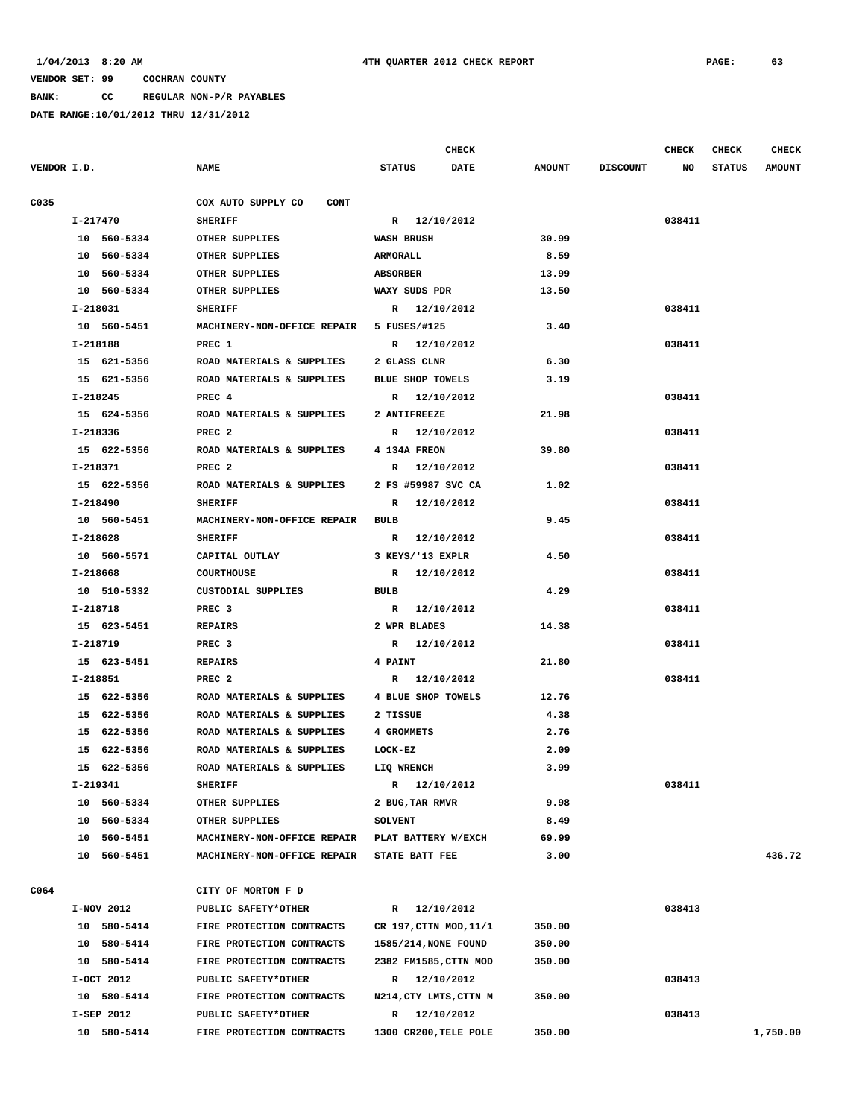**BANK: CC REGULAR NON-P/R PAYABLES**

|      |             |                                          | <b>CHECK</b>               |               |                 | <b>CHECK</b> | CHECK         | <b>CHECK</b>  |
|------|-------------|------------------------------------------|----------------------------|---------------|-----------------|--------------|---------------|---------------|
|      | VENDOR I.D. | <b>NAME</b>                              | <b>STATUS</b><br>DATE      | <b>AMOUNT</b> | <b>DISCOUNT</b> | NO           | <b>STATUS</b> | <b>AMOUNT</b> |
| C035 |             | COX AUTO SUPPLY CO<br>CONT               |                            |               |                 |              |               |               |
|      | I-217470    | <b>SHERIFF</b>                           | R 12/10/2012               |               |                 | 038411       |               |               |
|      | 10 560-5334 | OTHER SUPPLIES                           | <b>WASH BRUSH</b>          | 30.99         |                 |              |               |               |
|      | 10 560-5334 | OTHER SUPPLIES                           | <b>ARMORALL</b>            | 8.59          |                 |              |               |               |
|      | 10 560-5334 | OTHER SUPPLIES                           | <b>ABSORBER</b>            | 13.99         |                 |              |               |               |
|      | 10 560-5334 | OTHER SUPPLIES                           | WAXY SUDS PDR              | 13.50         |                 |              |               |               |
|      | I-218031    | <b>SHERIFF</b>                           | R 12/10/2012               |               |                 | 038411       |               |               |
|      | 10 560-5451 | MACHINERY-NON-OFFICE REPAIR 5 FUSES/#125 |                            | 3.40          |                 |              |               |               |
|      | I-218188    | PREC 1                                   | R 12/10/2012               |               |                 | 038411       |               |               |
|      | 15 621-5356 | ROAD MATERIALS & SUPPLIES                | 2 GLASS CLNR               | 6.30          |                 |              |               |               |
|      | 15 621-5356 | ROAD MATERIALS & SUPPLIES                | BLUE SHOP TOWELS           | 3.19          |                 |              |               |               |
|      | I-218245    | PREC 4                                   | R 12/10/2012               |               |                 | 038411       |               |               |
|      | 15 624-5356 | ROAD MATERIALS & SUPPLIES                | 2 ANTIFREEZE               | 21.98         |                 |              |               |               |
|      |             |                                          | R 12/10/2012               |               |                 |              |               |               |
|      | I-218336    | PREC <sub>2</sub>                        |                            |               |                 | 038411       |               |               |
|      | 15 622-5356 | ROAD MATERIALS & SUPPLIES                | 4 134A FREON               | 39.80         |                 |              |               |               |
|      | I-218371    | PREC <sub>2</sub>                        | R 12/10/2012               |               |                 | 038411       |               |               |
|      | 15 622-5356 | ROAD MATERIALS & SUPPLIES                | 2 FS #59987 SVC CA         | 1.02          |                 |              |               |               |
|      | I-218490    | <b>SHERIFF</b>                           | 12/10/2012<br>R            |               |                 | 038411       |               |               |
|      | 10 560-5451 | MACHINERY-NON-OFFICE REPAIR              | BULB                       | 9.45          |                 |              |               |               |
|      | I-218628    | <b>SHERIFF</b>                           | R 12/10/2012               |               |                 | 038411       |               |               |
|      | 10 560-5571 | CAPITAL OUTLAY                           | 3 KEYS/'13 EXPLR           | 4.50          |                 |              |               |               |
|      | I-218668    | <b>COURTHOUSE</b>                        | R 12/10/2012               |               |                 | 038411       |               |               |
|      | 10 510-5332 | CUSTODIAL SUPPLIES                       | <b>BULB</b>                | 4.29          |                 |              |               |               |
|      | I-218718    | PREC <sub>3</sub>                        | R 12/10/2012               |               |                 | 038411       |               |               |
|      | 15 623-5451 | <b>REPAIRS</b>                           | 2 WPR BLADES               | 14.38         |                 |              |               |               |
|      | I-218719    | PREC <sub>3</sub>                        | R 12/10/2012               |               |                 | 038411       |               |               |
|      | 15 623-5451 | <b>REPAIRS</b>                           | 4 PAINT                    | 21.80         |                 |              |               |               |
|      | I-218851    | PREC <sub>2</sub>                        | R 12/10/2012               |               |                 | 038411       |               |               |
|      | 15 622-5356 | ROAD MATERIALS & SUPPLIES                | 4 BLUE SHOP TOWELS         | 12.76         |                 |              |               |               |
|      | 15 622-5356 | ROAD MATERIALS & SUPPLIES                | 2 TISSUE                   | 4.38          |                 |              |               |               |
|      | 15 622-5356 | ROAD MATERIALS & SUPPLIES                | 4 GROMMETS                 | 2.76          |                 |              |               |               |
|      | 15 622-5356 | ROAD MATERIALS & SUPPLIES                | LOCK-EZ                    | 2.09          |                 |              |               |               |
|      | 15 622-5356 | ROAD MATERIALS & SUPPLIES                | LIQ WRENCH                 | 3.99          |                 |              |               |               |
|      | I-219341    | <b>SHERIFF</b>                           | 12/10/2012<br>$\mathbb{R}$ |               |                 | 038411       |               |               |
|      | 10 560-5334 | OTHER SUPPLIES                           | 2 BUG, TAR RMVR            | 9.98          |                 |              |               |               |
|      | 10 560-5334 | OTHER SUPPLIES                           | <b>SOLVENT</b>             | 8.49          |                 |              |               |               |
|      | 10 560-5451 | MACHINERY-NON-OFFICE REPAIR              | PLAT BATTERY W/EXCH        | 69.99         |                 |              |               |               |
|      | 10 560-5451 | MACHINERY-NON-OFFICE REPAIR              | <b>STATE BATT FEE</b>      | 3.00          |                 |              |               | 436.72        |
|      |             |                                          |                            |               |                 |              |               |               |
| C064 |             | CITY OF MORTON F D                       |                            |               |                 |              |               |               |
|      | I-NOV 2012  | PUBLIC SAFETY*OTHER                      | R 12/10/2012               |               |                 | 038413       |               |               |
|      | 10 580-5414 | FIRE PROTECTION CONTRACTS                | CR 197, CTTN MOD, 11/1     | 350.00        |                 |              |               |               |
|      | 10 580-5414 | FIRE PROTECTION CONTRACTS                | 1585/214, NONE FOUND       | 350.00        |                 |              |               |               |
|      | 10 580-5414 | FIRE PROTECTION CONTRACTS                | 2382 FM1585, CTTN MOD      | 350.00        |                 |              |               |               |
|      | I-OCT 2012  | PUBLIC SAFETY*OTHER                      | R 12/10/2012               |               |                 | 038413       |               |               |
|      | 10 580-5414 | FIRE PROTECTION CONTRACTS                | N214, CTY LMTS, CTTN M     | 350.00        |                 |              |               |               |
|      | I-SEP 2012  | PUBLIC SAFETY*OTHER                      | R 12/10/2012               |               |                 | 038413       |               |               |
|      | 10 580-5414 | FIRE PROTECTION CONTRACTS                | 1300 CR200, TELE POLE      | 350.00        |                 |              |               | 1,750.00      |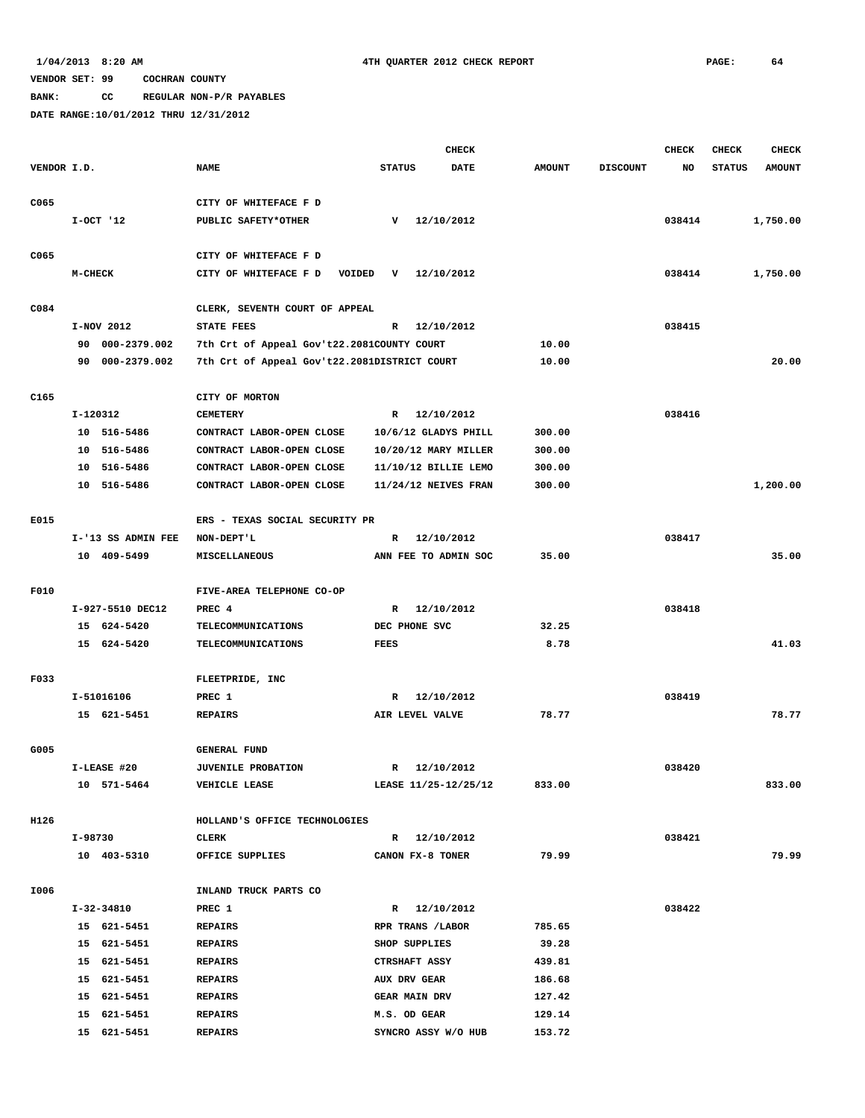**BANK: CC REGULAR NON-P/R PAYABLES**

|                  |          |                    |                                              |               |                      | <b>CHECK</b>           |               |                 | <b>CHECK</b> | <b>CHECK</b>  | <b>CHECK</b>  |
|------------------|----------|--------------------|----------------------------------------------|---------------|----------------------|------------------------|---------------|-----------------|--------------|---------------|---------------|
| VENDOR I.D.      |          |                    | <b>NAME</b>                                  | <b>STATUS</b> |                      | <b>DATE</b>            | <b>AMOUNT</b> | <b>DISCOUNT</b> | NO           | <b>STATUS</b> | <b>AMOUNT</b> |
|                  |          |                    |                                              |               |                      |                        |               |                 |              |               |               |
| C065             |          |                    | CITY OF WHITEFACE F D                        |               |                      |                        |               |                 |              |               |               |
|                  |          | $I-OCT$ '12        | PUBLIC SAFETY*OTHER                          | v             |                      | 12/10/2012             |               |                 | 038414       |               | 1,750.00      |
|                  |          |                    |                                              |               |                      |                        |               |                 |              |               |               |
| C065             |          |                    | CITY OF WHITEFACE F D                        |               |                      |                        |               |                 |              |               |               |
|                  | M-CHECK  |                    | CITY OF WHITEFACE F D<br>VOIDED              | v             |                      | 12/10/2012             |               |                 | 038414       |               | 1,750.00      |
|                  |          |                    |                                              |               |                      |                        |               |                 |              |               |               |
| C084             |          |                    | CLERK, SEVENTH COURT OF APPEAL               |               |                      |                        |               |                 |              |               |               |
|                  |          | I-NOV 2012         | STATE FEES                                   | R             |                      | 12/10/2012             |               |                 | 038415       |               |               |
|                  | 90       | 000-2379.002       | 7th Crt of Appeal Gov't22.2081COUNTY COURT   |               |                      |                        | 10.00         |                 |              |               |               |
|                  |          | 90 000-2379.002    | 7th Crt of Appeal Gov't22.2081DISTRICT COURT |               |                      |                        | 10.00         |                 |              |               | 20.00         |
|                  |          |                    |                                              |               |                      |                        |               |                 |              |               |               |
| C <sub>165</sub> | I-120312 |                    | CITY OF MORTON<br><b>CEMETERY</b>            | $\mathbb{R}$  |                      | 12/10/2012             |               |                 | 038416       |               |               |
|                  |          | 10 516-5486        | CONTRACT LABOR-OPEN CLOSE                    |               |                      | 10/6/12 GLADYS PHILL   | 300.00        |                 |              |               |               |
|                  |          | 10 516-5486        | CONTRACT LABOR-OPEN CLOSE                    |               |                      | 10/20/12 MARY MILLER   | 300.00        |                 |              |               |               |
|                  |          | 10 516-5486        | CONTRACT LABOR-OPEN CLOSE                    |               |                      | 11/10/12 BILLIE LEMO   | 300.00        |                 |              |               |               |
|                  |          | 10 516-5486        | CONTRACT LABOR-OPEN CLOSE                    |               |                      | $11/24/12$ NEIVES FRAN | 300.00        |                 |              |               | 1,200.00      |
|                  |          |                    |                                              |               |                      |                        |               |                 |              |               |               |
| E015             |          |                    | ERS - TEXAS SOCIAL SECURITY PR               |               |                      |                        |               |                 |              |               |               |
|                  |          | I-'13 SS ADMIN FEE | NON-DEPT'L                                   | R             |                      | 12/10/2012             |               |                 | 038417       |               |               |
|                  |          | 10 409-5499        | MISCELLANEOUS                                |               |                      | ANN FEE TO ADMIN SOC   | 35.00         |                 |              |               | 35.00         |
|                  |          |                    |                                              |               |                      |                        |               |                 |              |               |               |
| F010             |          |                    | FIVE-AREA TELEPHONE CO-OP                    |               |                      |                        |               |                 |              |               |               |
|                  |          | I-927-5510 DEC12   | PREC 4                                       | $\mathbb{R}$  |                      | 12/10/2012             |               |                 | 038418       |               |               |
|                  |          | 15 624-5420        | TELECOMMUNICATIONS                           |               | DEC PHONE SVC        |                        | 32.25         |                 |              |               |               |
|                  |          | 15 624-5420        | <b>TELECOMMUNICATIONS</b>                    | <b>FEES</b>   |                      |                        | 8.78          |                 |              |               | 41.03         |
|                  |          |                    |                                              |               |                      |                        |               |                 |              |               |               |
| F033             |          |                    | FLEETPRIDE, INC                              |               |                      |                        |               |                 |              |               |               |
|                  |          | I-51016106         | PREC 1                                       | R             |                      | 12/10/2012             |               |                 | 038419       |               |               |
|                  |          | 15 621-5451        | <b>REPAIRS</b>                               |               | AIR LEVEL VALVE      |                        | 78.77         |                 |              |               | 78.77         |
|                  |          |                    |                                              |               |                      |                        |               |                 |              |               |               |
| G005             |          |                    | <b>GENERAL FUND</b>                          |               |                      |                        |               |                 |              |               |               |
|                  |          | I-LEASE #20        | <b>JUVENILE PROBATION</b>                    | R             |                      | 12/10/2012             |               |                 | 038420       |               |               |
|                  |          | 10 571-5464        | VEHICLE LEASE                                |               |                      | LEASE 11/25-12/25/12   | 833.00        |                 |              |               | 833.00        |
| H126             |          |                    | HOLLAND'S OFFICE TECHNOLOGIES                |               |                      |                        |               |                 |              |               |               |
|                  | I-98730  |                    | CLERK                                        |               | R 12/10/2012         |                        |               |                 | 038421       |               |               |
|                  |          | 10 403-5310        | OFFICE SUPPLIES                              |               | CANON FX-8 TONER     |                        | 79.99         |                 |              |               | 79.99         |
|                  |          |                    |                                              |               |                      |                        |               |                 |              |               |               |
| I006             |          |                    | INLAND TRUCK PARTS CO                        |               |                      |                        |               |                 |              |               |               |
|                  |          | I-32-34810         | PREC 1                                       |               | R 12/10/2012         |                        |               |                 | 038422       |               |               |
|                  |          | 15 621-5451        | <b>REPAIRS</b>                               |               | RPR TRANS / LABOR    |                        | 785.65        |                 |              |               |               |
|                  |          | 15 621-5451        | <b>REPAIRS</b>                               |               | SHOP SUPPLIES        |                        | 39.28         |                 |              |               |               |
|                  |          | 15 621-5451        | <b>REPAIRS</b>                               |               | <b>CTRSHAFT ASSY</b> |                        | 439.81        |                 |              |               |               |
|                  |          | 15 621-5451        | <b>REPAIRS</b>                               |               | AUX DRV GEAR         |                        | 186.68        |                 |              |               |               |
|                  |          | 15 621-5451        | <b>REPAIRS</b>                               |               | <b>GEAR MAIN DRV</b> |                        | 127.42        |                 |              |               |               |
|                  |          | 15 621-5451        | <b>REPAIRS</b>                               |               | M.S. OD GEAR         |                        | 129.14        |                 |              |               |               |
|                  |          | 15 621-5451        | <b>REPAIRS</b>                               |               |                      | SYNCRO ASSY W/O HUB    | 153.72        |                 |              |               |               |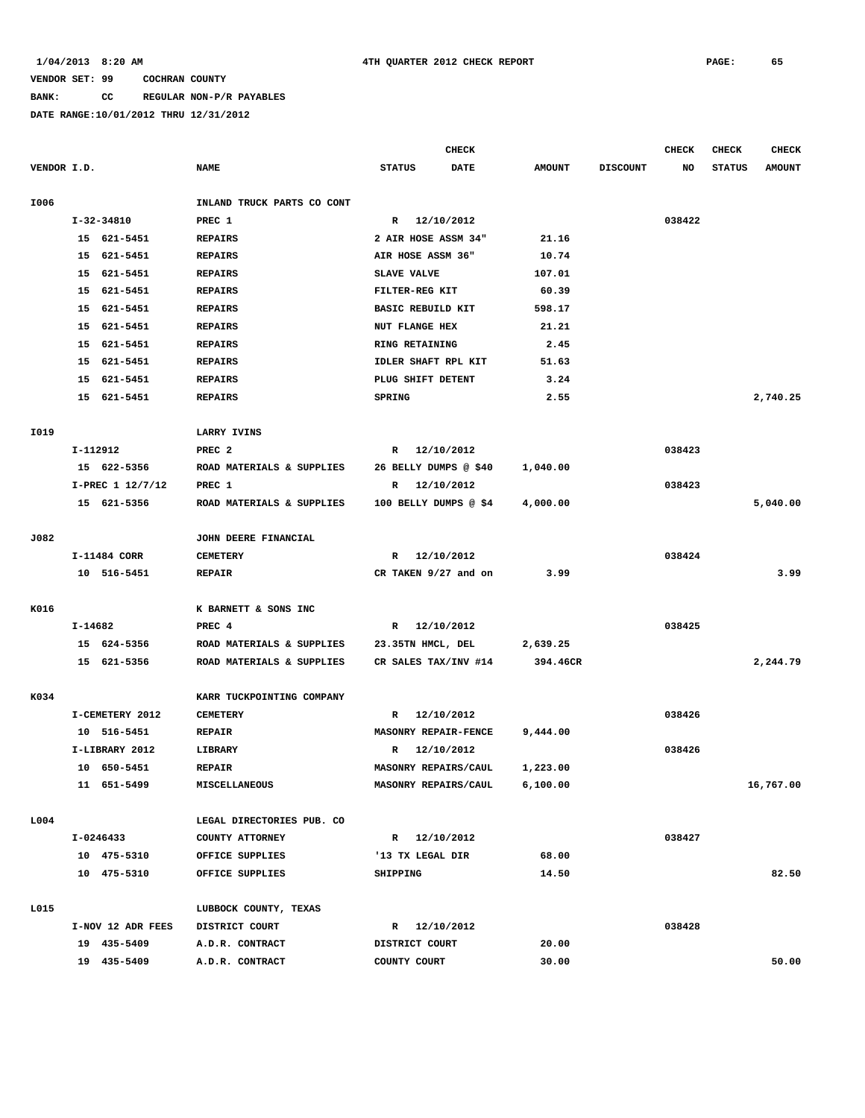# **BANK: CC REGULAR NON-P/R PAYABLES**

|             |                   |                            |                          | <b>CHECK</b> |               |                 | <b>CHECK</b> | <b>CHECK</b>  | <b>CHECK</b>  |
|-------------|-------------------|----------------------------|--------------------------|--------------|---------------|-----------------|--------------|---------------|---------------|
| VENDOR I.D. |                   | <b>NAME</b>                | <b>STATUS</b>            | <b>DATE</b>  | <b>AMOUNT</b> | <b>DISCOUNT</b> | NO           | <b>STATUS</b> | <b>AMOUNT</b> |
|             |                   |                            |                          |              |               |                 |              |               |               |
| I006        |                   | INLAND TRUCK PARTS CO CONT |                          |              |               |                 |              |               |               |
|             | I-32-34810        | PREC 1                     | R 12/10/2012             |              |               |                 | 038422       |               |               |
|             | 15 621-5451       | <b>REPAIRS</b>             | 2 AIR HOSE ASSM 34"      |              | 21.16         |                 |              |               |               |
|             | 15 621-5451       | <b>REPAIRS</b>             | AIR HOSE ASSM 36"        |              | 10.74         |                 |              |               |               |
|             | 15 621-5451       | <b>REPAIRS</b>             | SLAVE VALVE              |              | 107.01        |                 |              |               |               |
|             | 15 621-5451       | <b>REPAIRS</b>             | FILTER-REG KIT           |              | 60.39         |                 |              |               |               |
|             | 15 621-5451       | <b>REPAIRS</b>             | <b>BASIC REBUILD KIT</b> |              | 598.17        |                 |              |               |               |
|             | 15 621-5451       | <b>REPAIRS</b>             | NUT FLANGE HEX           |              | 21.21         |                 |              |               |               |
|             | 15 621-5451       | <b>REPAIRS</b>             | RING RETAINING           |              | 2.45          |                 |              |               |               |
|             | 15<br>621-5451    | <b>REPAIRS</b>             | IDLER SHAFT RPL KIT      |              | 51.63         |                 |              |               |               |
|             | 621-5451<br>15    | <b>REPAIRS</b>             | PLUG SHIFT DETENT        |              | 3.24          |                 |              |               |               |
|             | 15 621-5451       | <b>REPAIRS</b>             | <b>SPRING</b>            |              | 2.55          |                 |              |               | 2,740.25      |
|             |                   |                            |                          |              |               |                 |              |               |               |
| I019        |                   | LARRY IVINS                |                          |              |               |                 |              |               |               |
|             | I-112912          | PREC <sub>2</sub>          | R 12/10/2012             |              |               |                 | 038423       |               |               |
|             | 15 622-5356       | ROAD MATERIALS & SUPPLIES  | 26 BELLY DUMPS @ \$40    |              | 1,040.00      |                 |              |               |               |
|             | I-PREC 1 12/7/12  | PREC 1                     | R 12/10/2012             |              |               |                 | 038423       |               |               |
|             | 15 621-5356       | ROAD MATERIALS & SUPPLIES  | 100 BELLY DUMPS @ \$4    |              | 4,000.00      |                 |              |               | 5,040.00      |
|             |                   |                            |                          |              |               |                 |              |               |               |
| J082        |                   | JOHN DEERE FINANCIAL       |                          |              |               |                 |              |               |               |
|             | I-11484 CORR      | <b>CEMETERY</b>            | R 12/10/2012             |              |               |                 | 038424       |               |               |
|             | 10 516-5451       | <b>REPAIR</b>              | CR TAKEN 9/27 and on     |              | 3.99          |                 |              |               | 3.99          |
|             |                   |                            |                          |              |               |                 |              |               |               |
| K016        |                   | K BARNETT & SONS INC       |                          |              |               |                 |              |               |               |
|             | I-14682           | PREC <sub>4</sub>          | R 12/10/2012             |              |               |                 | 038425       |               |               |
|             | 15 624-5356       | ROAD MATERIALS & SUPPLIES  | 23.35TN HMCL, DEL        |              | 2,639.25      |                 |              |               |               |
|             | 15 621-5356       | ROAD MATERIALS & SUPPLIES  | CR SALES TAX/INV #14     |              | 394.46CR      |                 |              |               | 2,244.79      |
|             |                   |                            |                          |              |               |                 |              |               |               |
| K034        |                   | KARR TUCKPOINTING COMPANY  |                          |              |               |                 |              |               |               |
|             | I-CEMETERY 2012   | <b>CEMETERY</b>            | R 12/10/2012             |              |               |                 | 038426       |               |               |
|             | 10 516-5451       | <b>REPAIR</b>              | MASONRY REPAIR-FENCE     |              | 9,444.00      |                 |              |               |               |
|             | I-LIBRARY 2012    | LIBRARY                    | R                        | 12/10/2012   |               |                 | 038426       |               |               |
|             | 10 650-5451       | <b>REPAIR</b>              | MASONRY REPAIRS/CAUL     |              | 1,223.00      |                 |              |               |               |
|             | 11 651-5499       | MISCELLANEOUS              | MASONRY REPAIRS/CAUL     |              | 6,100.00      |                 |              |               | 16,767.00     |
|             |                   |                            |                          |              |               |                 |              |               |               |
| L004        |                   | LEGAL DIRECTORIES PUB. CO  |                          |              |               |                 |              |               |               |
|             | I-0246433         | COUNTY ATTORNEY            | R 12/10/2012             |              |               |                 | 038427       |               |               |
|             | 10 475-5310       | OFFICE SUPPLIES            | '13 TX LEGAL DIR         |              | 68.00         |                 |              |               |               |
|             | 10 475-5310       | OFFICE SUPPLIES            | SHIPPING                 |              | 14.50         |                 |              |               | 82.50         |
|             |                   |                            |                          |              |               |                 |              |               |               |
| L015        |                   | LUBBOCK COUNTY, TEXAS      |                          |              |               |                 |              |               |               |
|             | I-NOV 12 ADR FEES | DISTRICT COURT             | R 12/10/2012             |              |               |                 | 038428       |               |               |
|             | 19 435-5409       | A.D.R. CONTRACT            | DISTRICT COURT           |              | 20.00         |                 |              |               |               |
|             | 19 435-5409       | A.D.R. CONTRACT            | COUNTY COURT             |              | 30.00         |                 |              |               | 50.00         |
|             |                   |                            |                          |              |               |                 |              |               |               |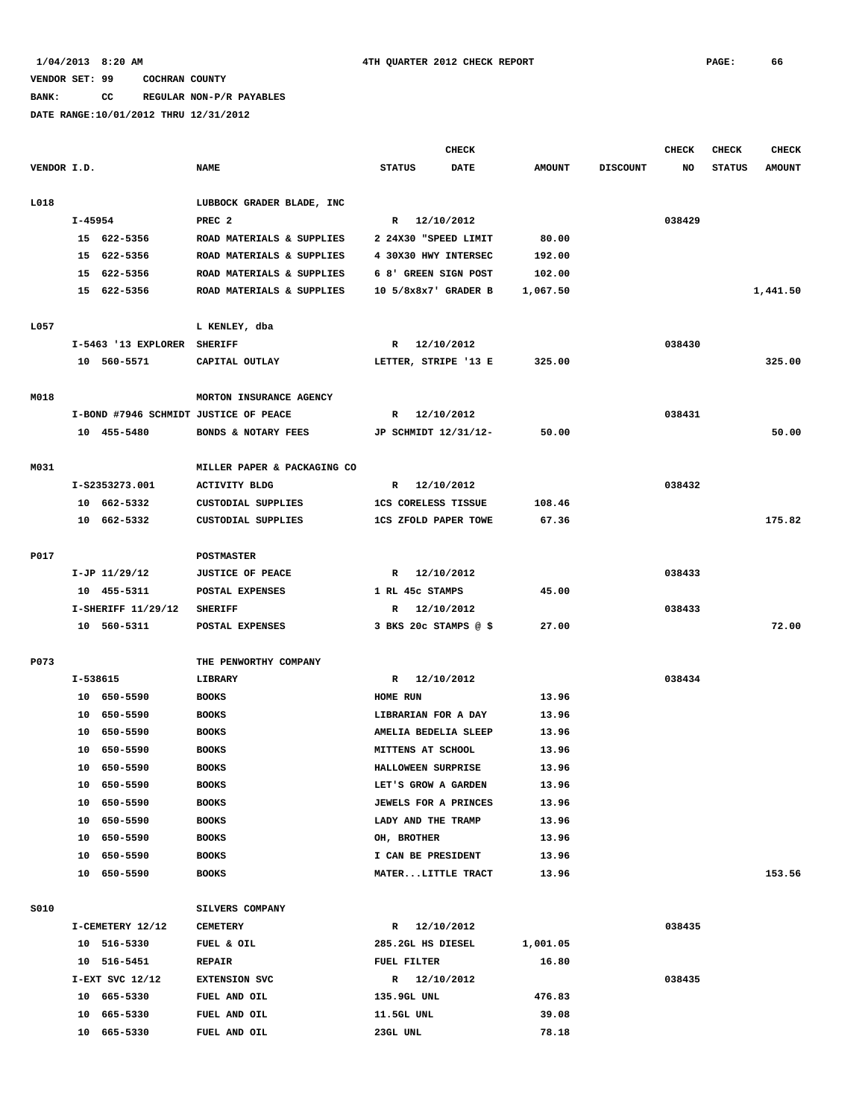**BANK: CC REGULAR NON-P/R PAYABLES**

|             |          |                             |                                       |                             | <b>CHECK</b> |               |                 | <b>CHECK</b> | <b>CHECK</b>  | <b>CHECK</b>  |
|-------------|----------|-----------------------------|---------------------------------------|-----------------------------|--------------|---------------|-----------------|--------------|---------------|---------------|
| VENDOR I.D. |          |                             | <b>NAME</b>                           | <b>STATUS</b>               | <b>DATE</b>  | <b>AMOUNT</b> | <b>DISCOUNT</b> | NO           | <b>STATUS</b> | <b>AMOUNT</b> |
| L018        |          |                             | LUBBOCK GRADER BLADE, INC             |                             |              |               |                 |              |               |               |
|             | I-45954  |                             | PREC <sub>2</sub>                     | R 12/10/2012                |              |               |                 | 038429       |               |               |
|             |          | 15 622-5356                 | ROAD MATERIALS & SUPPLIES             | 2 24X30 "SPEED LIMIT        |              | 80.00         |                 |              |               |               |
|             |          | 15 622-5356                 | ROAD MATERIALS & SUPPLIES             | 4 30X30 HWY INTERSEC        |              | 192.00        |                 |              |               |               |
|             |          | 15 622-5356                 | ROAD MATERIALS & SUPPLIES             | 6 8' GREEN SIGN POST        |              | 102.00        |                 |              |               |               |
|             |          | 15 622-5356                 | ROAD MATERIALS & SUPPLIES             | 10 5/8x8x7' GRADER B        |              | 1,067.50      |                 |              |               | 1,441.50      |
| L057        |          |                             | L KENLEY, dba                         |                             |              |               |                 |              |               |               |
|             |          | I-5463 '13 EXPLORER SHERIFF |                                       | R 12/10/2012                |              |               |                 | 038430       |               |               |
|             |          | 10 560-5571                 | CAPITAL OUTLAY                        | LETTER, STRIPE '13 E        |              | 325.00        |                 |              |               | 325.00        |
| M018        |          |                             | MORTON INSURANCE AGENCY               |                             |              |               |                 |              |               |               |
|             |          |                             | I-BOND #7946 SCHMIDT JUSTICE OF PEACE | R 12/10/2012                |              |               |                 | 038431       |               |               |
|             |          | 10 455-5480                 | BONDS & NOTARY FEES                   | JP SCHMIDT 12/31/12-        |              | 50.00         |                 |              |               | 50.00         |
| M031        |          |                             | MILLER PAPER & PACKAGING CO           |                             |              |               |                 |              |               |               |
|             |          | I-S2353273.001              | <b>ACTIVITY BLDG</b>                  | R 12/10/2012                |              |               |                 | 038432       |               |               |
|             |          | 10 662-5332                 | CUSTODIAL SUPPLIES                    | <b>1CS CORELESS TISSUE</b>  |              | 108.46        |                 |              |               |               |
|             |          | 10 662-5332                 | CUSTODIAL SUPPLIES                    | <b>1CS ZFOLD PAPER TOWE</b> |              | 67.36         |                 |              |               | 175.82        |
| P017        |          |                             | <b>POSTMASTER</b>                     |                             |              |               |                 |              |               |               |
|             |          | $I-JP$ $11/29/12$           | <b>JUSTICE OF PEACE</b>               | R 12/10/2012                |              |               |                 | 038433       |               |               |
|             |          | 10 455-5311                 | POSTAL EXPENSES                       | 1 RL 45c STAMPS             |              | 45.00         |                 |              |               |               |
|             |          | I-SHERIFF 11/29/12          | <b>SHERIFF</b>                        | R 12/10/2012                |              |               |                 | 038433       |               |               |
|             |          | 10 560-5311                 | POSTAL EXPENSES                       | $3$ BKS 20c STAMPS @ \$     |              | 27.00         |                 |              |               | 72.00         |
| P073        |          |                             | THE PENWORTHY COMPANY                 |                             |              |               |                 |              |               |               |
|             | I-538615 |                             | LIBRARY                               | R 12/10/2012                |              |               |                 | 038434       |               |               |
|             |          | 10 650-5590                 | <b>BOOKS</b>                          | HOME RUN                    |              | 13.96         |                 |              |               |               |
|             |          | 10 650-5590                 | <b>BOOKS</b>                          | LIBRARIAN FOR A DAY         |              | 13.96         |                 |              |               |               |
|             |          | 10 650-5590                 | <b>BOOKS</b>                          | AMELIA BEDELIA SLEEP        |              | 13.96         |                 |              |               |               |
|             |          | 10 650-5590                 | <b>BOOKS</b>                          | MITTENS AT SCHOOL           |              | 13.96         |                 |              |               |               |
|             |          | 10 650-5590                 | <b>BOOKS</b>                          | HALLOWEEN SURPRISE          |              | 13.96         |                 |              |               |               |
|             |          | 10 650-5590                 | <b>BOOKS</b>                          | LET'S GROW A GARDEN         |              | 13.96         |                 |              |               |               |
|             |          | 10 650-5590                 | <b>BOOKS</b>                          | JEWELS FOR A PRINCES        |              | 13.96         |                 |              |               |               |
|             |          | 10 650-5590                 | <b>BOOKS</b>                          | LADY AND THE TRAMP          |              | 13.96         |                 |              |               |               |
|             |          | 10 650-5590                 | <b>BOOKS</b>                          | OH, BROTHER                 |              | 13.96         |                 |              |               |               |
|             |          | 10 650-5590                 | <b>BOOKS</b>                          | I CAN BE PRESIDENT          |              | 13.96         |                 |              |               |               |
|             | 10       | 650-5590                    | <b>BOOKS</b>                          | MATERLITTLE TRACT           |              | 13.96         |                 |              |               | 153.56        |
| S010        |          |                             | SILVERS COMPANY                       |                             |              |               |                 |              |               |               |
|             |          | I-CEMETERY 12/12            | <b>CEMETERY</b>                       | R 12/10/2012                |              |               |                 | 038435       |               |               |
|             |          | 10 516-5330                 | FUEL & OIL                            | 285.2GL HS DIESEL           |              | 1,001.05      |                 |              |               |               |
|             |          | 10 516-5451                 | <b>REPAIR</b>                         | FUEL FILTER                 |              | 16.80         |                 |              |               |               |
|             |          | $I-EXT$ SVC $12/12$         | <b>EXTENSION SVC</b>                  | R 12/10/2012                |              |               |                 | 038435       |               |               |
|             |          | 10 665-5330                 | FUEL AND OIL                          | 135.9GL UNL                 |              | 476.83        |                 |              |               |               |
|             |          | 10 665-5330                 | FUEL AND OIL                          | 11.5GL UNL                  |              | 39.08         |                 |              |               |               |
|             | 10       | 665-5330                    | FUEL AND OIL                          | 23GL UNL                    |              | 78.18         |                 |              |               |               |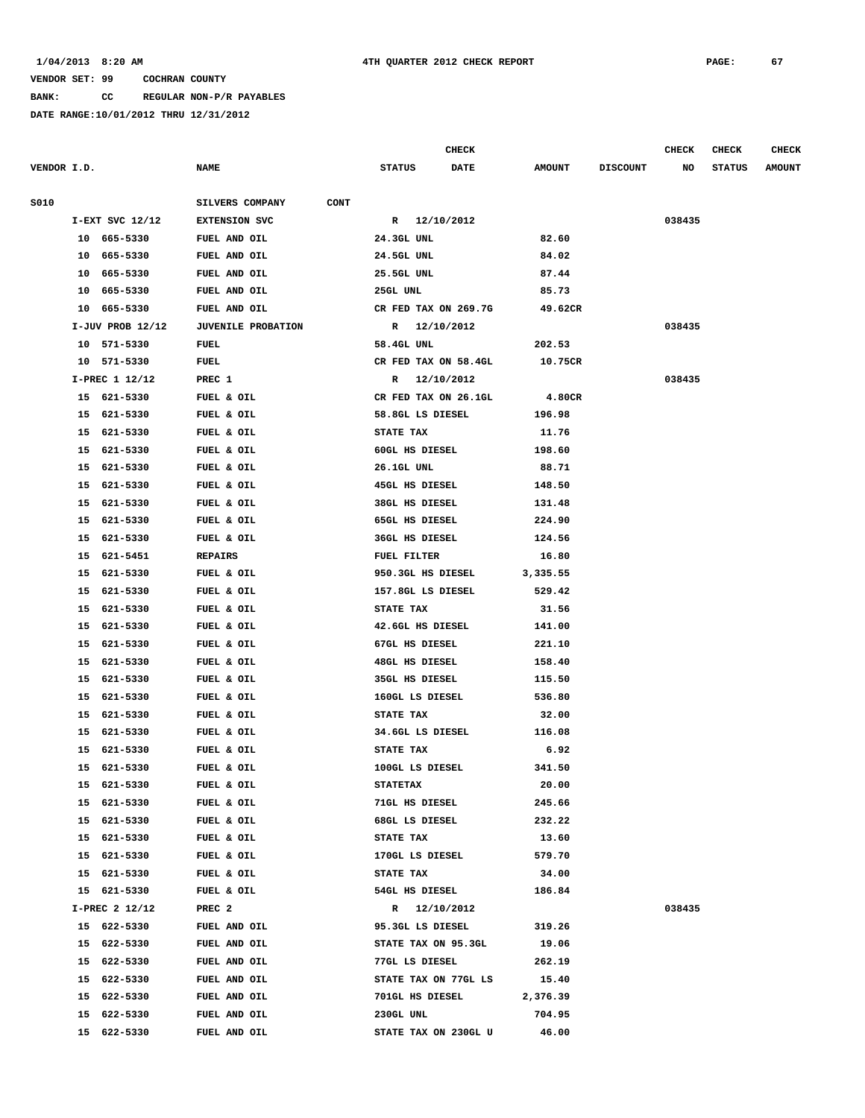**BANK: CC REGULAR NON-P/R PAYABLES**

|             |    |                      |                                |                 | <b>CHECK</b>          |               |                 | <b>CHECK</b> | <b>CHECK</b>  | CHECK         |
|-------------|----|----------------------|--------------------------------|-----------------|-----------------------|---------------|-----------------|--------------|---------------|---------------|
| VENDOR I.D. |    |                      | <b>NAME</b>                    | <b>STATUS</b>   | <b>DATE</b>           | <b>AMOUNT</b> | <b>DISCOUNT</b> | NO           | <b>STATUS</b> | <b>AMOUNT</b> |
| S010        |    |                      | SILVERS COMPANY<br><b>CONT</b> |                 |                       |               |                 |              |               |               |
|             |    | I-EXT SVC 12/12      | <b>EXTENSION SVC</b>           | $\mathbf{R}$    | 12/10/2012            |               |                 | 038435       |               |               |
|             |    | 10 665-5330          | FUEL AND OIL                   | 24.3GL UNL      |                       | 82.60         |                 |              |               |               |
|             |    | 10 665-5330          | FUEL AND OIL                   | 24.5GL UNL      |                       | 84.02         |                 |              |               |               |
|             | 10 | 665-5330             | FUEL AND OIL                   | 25.5GL UNL      |                       | 87.44         |                 |              |               |               |
|             | 10 | 665-5330             | FUEL AND OIL                   | 25GL UNL        |                       | 85.73         |                 |              |               |               |
|             | 10 | 665-5330             | FUEL AND OIL                   |                 | CR FED TAX ON 269.7G  | 49.62CR       |                 |              |               |               |
|             |    | $I-JUV$ PROB $12/12$ | <b>JUVENILE PROBATION</b>      | R               | 12/10/2012            |               |                 | 038435       |               |               |
|             |    | 10 571-5330          | FUEL                           | 58.4GL UNL      |                       | 202.53        |                 |              |               |               |
|             |    | 10 571-5330          | FUEL                           |                 | CR FED TAX ON 58.4GL  | 10.75CR       |                 |              |               |               |
|             |    | I-PREC 1 12/12       | PREC 1                         | R               | 12/10/2012            |               |                 | 038435       |               |               |
|             |    | 15 621-5330          | FUEL & OIL                     |                 | CR FED TAX ON 26.1GL  | 4.80CR        |                 |              |               |               |
|             |    | 15 621-5330          | FUEL & OIL                     |                 | 58.8GL LS DIESEL      | 196.98        |                 |              |               |               |
|             | 15 | 621-5330             | FUEL & OIL                     | STATE TAX       |                       | 11.76         |                 |              |               |               |
|             |    | 15 621-5330          | FUEL & OIL                     |                 | 60GL HS DIESEL        | 198.60        |                 |              |               |               |
|             | 15 | 621-5330             | FUEL & OIL                     | 26.1GL UNL      |                       | 88.71         |                 |              |               |               |
|             | 15 | 621-5330             | FUEL & OIL                     |                 | <b>45GL HS DIESEL</b> | 148.50        |                 |              |               |               |
|             |    | 15 621-5330          | FUEL & OIL                     |                 | 38GL HS DIESEL        | 131.48        |                 |              |               |               |
|             | 15 | 621-5330             | FUEL & OIL                     |                 | 65GL HS DIESEL        | 224.90        |                 |              |               |               |
|             | 15 | 621-5330             | FUEL & OIL                     |                 | <b>36GL HS DIESEL</b> | 124.56        |                 |              |               |               |
|             | 15 | 621-5451             | <b>REPAIRS</b>                 | FUEL FILTER     |                       | 16.80         |                 |              |               |               |
|             | 15 | 621-5330             | FUEL & OIL                     |                 | 950.3GL HS DIESEL     | 3,335.55      |                 |              |               |               |
|             | 15 | 621-5330             | FUEL & OIL                     |                 | 157.8GL LS DIESEL     | 529.42        |                 |              |               |               |
|             |    | 15 621-5330          | FUEL & OIL                     | STATE TAX       |                       | 31.56         |                 |              |               |               |
|             | 15 | 621-5330             | FUEL & OIL                     |                 | 42.6GL HS DIESEL      | 141.00        |                 |              |               |               |
|             | 15 | 621-5330             | FUEL & OIL                     |                 | 67GL HS DIESEL        | 221.10        |                 |              |               |               |
|             | 15 | 621-5330             | FUEL & OIL                     |                 | <b>48GL HS DIESEL</b> | 158.40        |                 |              |               |               |
|             | 15 | 621-5330             | FUEL & OIL                     |                 | 35GL HS DIESEL        | 115.50        |                 |              |               |               |
|             | 15 | 621-5330             | FUEL & OIL                     |                 | 160GL LS DIESEL       | 536.80        |                 |              |               |               |
|             | 15 | 621-5330             | FUEL & OIL                     | STATE TAX       |                       | 32.00         |                 |              |               |               |
|             | 15 | 621-5330             | FUEL & OIL                     |                 | 34.6GL LS DIESEL      | 116.08        |                 |              |               |               |
|             | 15 | 621-5330             | FUEL & OIL                     | STATE TAX       |                       | 6.92          |                 |              |               |               |
|             |    | 15 621-5330          | FUEL & OIL                     |                 | 100GL LS DIESEL       | 341.50        |                 |              |               |               |
|             | 15 | 621-5330             | FUEL & OIL                     | <b>STATETAX</b> |                       | 20.00         |                 |              |               |               |
|             |    | 15 621-5330          | FUEL & OIL                     |                 | 71GL HS DIESEL        | 245.66        |                 |              |               |               |
|             |    | 15 621-5330          | FUEL & OIL                     |                 | 68GL LS DIESEL        | 232.22        |                 |              |               |               |
|             |    | 15 621-5330          | FUEL & OIL                     | STATE TAX       |                       | 13.60         |                 |              |               |               |
|             | 15 | 621-5330             | FUEL & OIL                     |                 | 170GL LS DIESEL       | 579.70        |                 |              |               |               |
|             |    | 15 621-5330          | FUEL & OIL                     | STATE TAX       |                       | 34.00         |                 |              |               |               |
|             |    | 15 621-5330          | FUEL & OIL                     |                 | 54GL HS DIESEL        | 186.84        |                 |              |               |               |
|             |    | I-PREC 2 12/12       | PREC <sub>2</sub>              |                 | R 12/10/2012          |               |                 | 038435       |               |               |
|             |    | 15 622-5330          | FUEL AND OIL                   |                 | 95.3GL LS DIESEL      | 319.26        |                 |              |               |               |
|             |    | 15 622-5330          | FUEL AND OIL                   |                 | STATE TAX ON 95.3GL   | 19.06         |                 |              |               |               |
|             | 15 | 622-5330             | FUEL AND OIL                   |                 | 77GL LS DIESEL        | 262.19        |                 |              |               |               |
|             |    | 15 622-5330          | FUEL AND OIL                   |                 | STATE TAX ON 77GL LS  | 15.40         |                 |              |               |               |
|             |    | 15 622-5330          | FUEL AND OIL                   |                 | 701GL HS DIESEL       | 2,376.39      |                 |              |               |               |
|             | 15 | 622-5330             | FUEL AND OIL                   | 230GL UNL       |                       | 704.95        |                 |              |               |               |
|             |    | 15 622-5330          | FUEL AND OIL                   |                 | STATE TAX ON 230GL U  | 46.00         |                 |              |               |               |
|             |    |                      |                                |                 |                       |               |                 |              |               |               |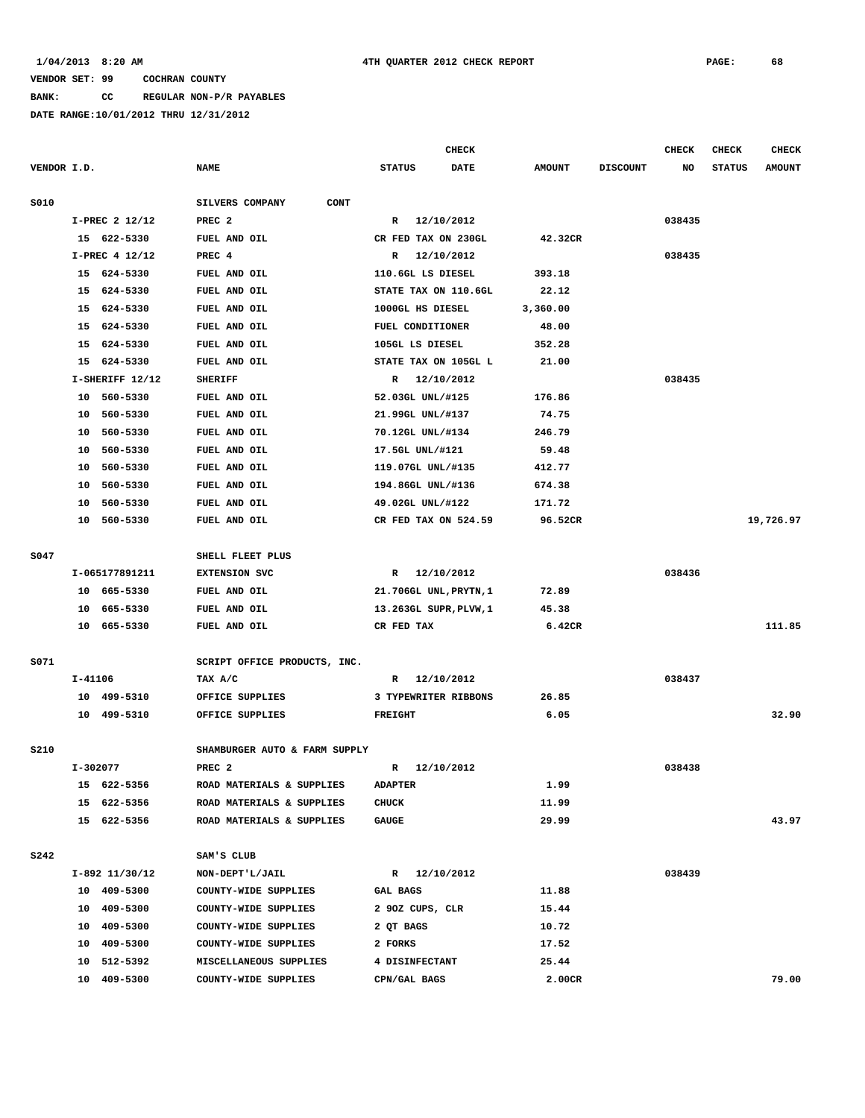**BANK: CC REGULAR NON-P/R PAYABLES**

|             |          |                 |                               |                   | CHECK                  |               |                 | <b>CHECK</b> | <b>CHECK</b>  | <b>CHECK</b>  |
|-------------|----------|-----------------|-------------------------------|-------------------|------------------------|---------------|-----------------|--------------|---------------|---------------|
| VENDOR I.D. |          |                 | <b>NAME</b>                   | <b>STATUS</b>     | DATE                   | <b>AMOUNT</b> | <b>DISCOUNT</b> | NO           | <b>STATUS</b> | <b>AMOUNT</b> |
| <b>S010</b> |          |                 | CONT<br>SILVERS COMPANY       |                   |                        |               |                 |              |               |               |
|             |          | I-PREC 2 12/12  | PREC <sub>2</sub>             | $\mathbf{R}$      | 12/10/2012             |               |                 | 038435       |               |               |
|             |          | 15 622-5330     | FUEL AND OIL                  |                   | CR FED TAX ON 230GL    | 42.32CR       |                 |              |               |               |
|             |          | I-PREC 4 12/12  | PREC 4                        | R                 | 12/10/2012             |               |                 | 038435       |               |               |
|             |          | 15 624-5330     | FUEL AND OIL                  | 110.6GL LS DIESEL |                        | 393.18        |                 |              |               |               |
|             | 15       | 624-5330        | FUEL AND OIL                  |                   | STATE TAX ON 110.6GL   | 22.12         |                 |              |               |               |
|             |          | 15 624-5330     | FUEL AND OIL                  | 1000GL HS DIESEL  |                        | 3,360.00      |                 |              |               |               |
|             | 15       | 624-5330        | FUEL AND OIL                  | FUEL CONDITIONER  |                        | 48.00         |                 |              |               |               |
|             | 15       | 624-5330        | FUEL AND OIL                  | 105GL LS DIESEL   |                        | 352.28        |                 |              |               |               |
|             |          | 15 624-5330     | FUEL AND OIL                  |                   | STATE TAX ON 105GL L   | 21.00         |                 |              |               |               |
|             |          | I-SHERIFF 12/12 | <b>SHERIFF</b>                | R                 | 12/10/2012             |               |                 | 038435       |               |               |
|             |          | 10 560-5330     | FUEL AND OIL                  | 52.03GL UNL/#125  |                        | 176.86        |                 |              |               |               |
|             |          | 10 560-5330     | FUEL AND OIL                  | 21.99GL UNL/#137  |                        | 74.75         |                 |              |               |               |
|             | 10       | 560-5330        | FUEL AND OIL                  | 70.12GL UNL/#134  |                        | 246.79        |                 |              |               |               |
|             | 10       | 560-5330        | FUEL AND OIL                  | 17.5GL UNL/#121   |                        | 59.48         |                 |              |               |               |
|             | 10       | 560-5330        | FUEL AND OIL                  | 119.07GL UNL/#135 |                        | 412.77        |                 |              |               |               |
|             | 10       | 560-5330        | FUEL AND OIL                  | 194.86GL UNL/#136 |                        | 674.38        |                 |              |               |               |
|             | 10       | 560-5330        | FUEL AND OIL                  | 49.02GL UNL/#122  |                        | 171.72        |                 |              |               |               |
|             | 10       | 560-5330        | FUEL AND OIL                  |                   | CR FED TAX ON 524.59   | 96.52CR       |                 |              |               | 19,726.97     |
| S047        |          |                 | SHELL FLEET PLUS              |                   |                        |               |                 |              |               |               |
|             |          | I-065177891211  | <b>EXTENSION SVC</b>          | R                 | 12/10/2012             |               |                 | 038436       |               |               |
|             |          | 10 665-5330     | FUEL AND OIL                  |                   | 21.706GL UNL, PRYTN, 1 | 72.89         |                 |              |               |               |
|             |          | 10 665-5330     | FUEL AND OIL                  |                   | 13.263GL SUPR, PLVW, 1 | 45.38         |                 |              |               |               |
|             |          | 10 665-5330     | FUEL AND OIL                  | CR FED TAX        |                        | 6.42CR        |                 |              |               | 111.85        |
| S071        |          |                 | SCRIPT OFFICE PRODUCTS, INC.  |                   |                        |               |                 |              |               |               |
|             | I-41106  |                 | TAX A/C                       | R                 | 12/10/2012             |               |                 | 038437       |               |               |
|             |          | 10 499-5310     | OFFICE SUPPLIES               |                   | 3 TYPEWRITER RIBBONS   | 26.85         |                 |              |               |               |
|             |          | 10 499-5310     | OFFICE SUPPLIES               | <b>FREIGHT</b>    |                        | 6.05          |                 |              |               | 32.90         |
| S210        |          |                 | SHAMBURGER AUTO & FARM SUPPLY |                   |                        |               |                 |              |               |               |
|             | I-302077 |                 | PREC <sub>2</sub>             | R                 | 12/10/2012             |               |                 | 038438       |               |               |
|             |          | 15 622-5356     | ROAD MATERIALS & SUPPLIES     | <b>ADAPTER</b>    |                        | 1.99          |                 |              |               |               |
|             |          | 15 622-5356     | ROAD MATERIALS & SUPPLIES     | <b>CHUCK</b>      |                        | 11.99         |                 |              |               |               |
|             |          | 15 622-5356     | ROAD MATERIALS & SUPPLIES     | <b>GAUGE</b>      |                        | 29.99         |                 |              |               | 43.97         |
| <b>S242</b> |          |                 | SAM'S CLUB                    |                   |                        |               |                 |              |               |               |
|             |          | I-892 11/30/12  | NON-DEPT'L/JAIL               |                   | R 12/10/2012           |               |                 | 038439       |               |               |
|             |          | 10 409-5300     | COUNTY-WIDE SUPPLIES          | <b>GAL BAGS</b>   |                        | 11.88         |                 |              |               |               |
|             |          | 10 409-5300     | COUNTY-WIDE SUPPLIES          | 2 90Z CUPS, CLR   |                        | 15.44         |                 |              |               |               |
|             |          | 10 409-5300     | COUNTY-WIDE SUPPLIES          | 2 QT BAGS         |                        | 10.72         |                 |              |               |               |
|             |          | 10 409-5300     | COUNTY-WIDE SUPPLIES          | 2 FORKS           |                        | 17.52         |                 |              |               |               |
|             | 10       | 512-5392        | MISCELLANEOUS SUPPLIES        | 4 DISINFECTANT    |                        | 25.44         |                 |              |               |               |
|             |          | 10 409-5300     | COUNTY-WIDE SUPPLIES          | CPN/GAL BAGS      |                        | 2.00CR        |                 |              |               | 79.00         |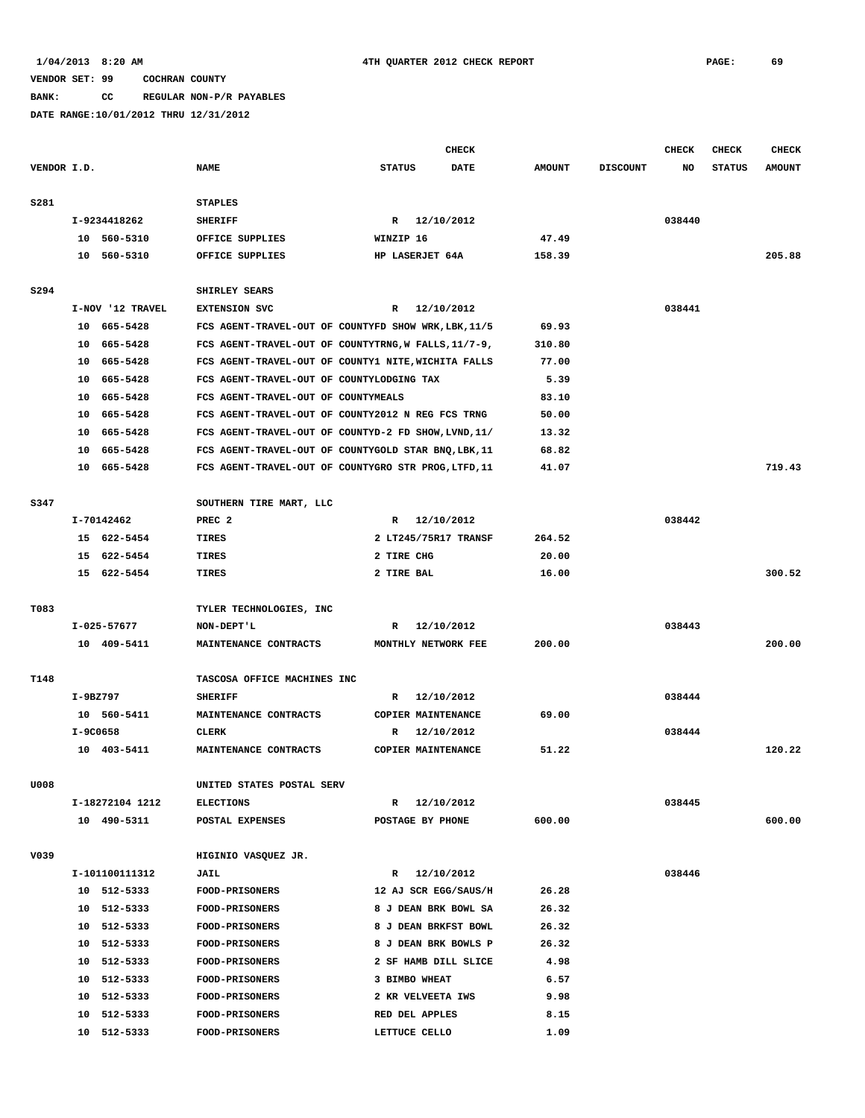**BANK: CC REGULAR NON-P/R PAYABLES**

|             |            |                  |                                                      |                      | CHECK      |               |                 | <b>CHECK</b> | <b>CHECK</b>  | <b>CHECK</b>  |
|-------------|------------|------------------|------------------------------------------------------|----------------------|------------|---------------|-----------------|--------------|---------------|---------------|
| VENDOR I.D. |            |                  | <b>NAME</b>                                          | <b>STATUS</b>        | DATE       | <b>AMOUNT</b> | <b>DISCOUNT</b> | NO           | <b>STATUS</b> | <b>AMOUNT</b> |
| S281        |            |                  | <b>STAPLES</b>                                       |                      |            |               |                 |              |               |               |
|             |            | I-9234418262     | <b>SHERIFF</b>                                       | R 12/10/2012         |            |               |                 | 038440       |               |               |
|             |            | 10 560-5310      | OFFICE SUPPLIES                                      | WINZIP 16            |            | 47.49         |                 |              |               |               |
|             |            | 10 560-5310      | OFFICE SUPPLIES                                      | HP LASERJET 64A      |            | 158.39        |                 |              |               | 205.88        |
| S294        |            |                  | SHIRLEY SEARS                                        |                      |            |               |                 |              |               |               |
|             |            | I-NOV '12 TRAVEL | <b>EXTENSION SVC</b>                                 | R 12/10/2012         |            |               |                 | 038441       |               |               |
|             |            | 10 665-5428      | FCS AGENT-TRAVEL-OUT OF COUNTYFD SHOW WRK, LBK, 11/5 |                      |            | 69.93         |                 |              |               |               |
|             |            | 10 665-5428      | FCS AGENT-TRAVEL-OUT OF COUNTYTRNG, W FALLS, 11/7-9, |                      |            | 310.80        |                 |              |               |               |
|             |            | 10 665-5428      | FCS AGENT-TRAVEL-OUT OF COUNTY1 NITE, WICHITA FALLS  |                      |            | 77.00         |                 |              |               |               |
|             | 10         | 665–5428         | FCS AGENT-TRAVEL-OUT OF COUNTYLODGING TAX            |                      |            | 5.39          |                 |              |               |               |
|             |            | 10 665-5428      | FCS AGENT-TRAVEL-OUT OF COUNTYMEALS                  |                      |            | 83.10         |                 |              |               |               |
|             |            | 10 665-5428      | FCS AGENT-TRAVEL-OUT OF COUNTY2012 N REG FCS TRNG    |                      |            | 50.00         |                 |              |               |               |
|             |            |                  |                                                      |                      |            |               |                 |              |               |               |
|             | 10         | 665-5428         | FCS AGENT-TRAVEL-OUT OF COUNTYD-2 FD SHOW, LVND, 11/ |                      |            | 13.32         |                 |              |               |               |
|             | 10         | 665-5428         | FCS AGENT-TRAVEL-OUT OF COUNTYGOLD STAR BNQ, LBK, 11 |                      |            | 68.82         |                 |              |               |               |
|             |            | 10 665-5428      | FCS AGENT-TRAVEL-OUT OF COUNTYGRO STR PROG, LTFD, 11 |                      |            | 41.07         |                 |              |               | 719.43        |
| S347        |            |                  | SOUTHERN TIRE MART, LLC                              |                      |            |               |                 |              |               |               |
|             |            | I-70142462       | PREC <sub>2</sub>                                    | R 12/10/2012         |            |               |                 | 038442       |               |               |
|             |            | 15 622-5454      | TIRES                                                | 2 LT245/75R17 TRANSF |            | 264.52        |                 |              |               |               |
|             | 15         | 622-5454         | TIRES                                                | 2 TIRE CHG           |            | 20.00         |                 |              |               |               |
|             |            | 15 622-5454      | TIRES                                                | 2 TIRE BAL           |            | 16.00         |                 |              |               | 300.52        |
| T083        |            |                  | TYLER TECHNOLOGIES, INC                              |                      |            |               |                 |              |               |               |
|             |            | $I-025-57677$    | NON-DEPT'L                                           | R                    | 12/10/2012 |               |                 | 038443       |               |               |
|             |            | 10 409-5411      | MAINTENANCE CONTRACTS                                | MONTHLY NETWORK FEE  |            | 200.00        |                 |              |               | 200.00        |
| T148        |            |                  | TASCOSA OFFICE MACHINES INC                          |                      |            |               |                 |              |               |               |
|             | $I-9BZ797$ |                  | <b>SHERIFF</b>                                       | R 12/10/2012         |            |               |                 | 038444       |               |               |
|             |            | 10 560-5411      | MAINTENANCE CONTRACTS                                | COPIER MAINTENANCE   |            | 69.00         |                 |              |               |               |
|             | I-9C0658   |                  | <b>CLERK</b>                                         | R                    | 12/10/2012 |               |                 | 038444       |               |               |
|             |            | 10 403-5411      | MAINTENANCE CONTRACTS                                | COPIER MAINTENANCE   |            | 51.22         |                 |              |               | 120.22        |
| U008        |            |                  | UNITED STATES POSTAL SERV                            |                      |            |               |                 |              |               |               |
|             |            | I-18272104 1212  | <b>ELECTIONS</b>                                     | $\mathbb{R}$         | 12/10/2012 |               |                 | 038445       |               |               |
|             |            | 10 490-5311      | POSTAL EXPENSES                                      | POSTAGE BY PHONE     |            | 600.00        |                 |              |               | 600.00        |
|             |            |                  |                                                      |                      |            |               |                 |              |               |               |
| V039        |            |                  | HIGINIO VASQUEZ JR.                                  |                      |            |               |                 |              |               |               |
|             |            | I-101100111312   | JAIL                                                 | $\mathbb{R}$         | 12/10/2012 |               |                 | 038446       |               |               |
|             |            | 10 512-5333      | <b>FOOD-PRISONERS</b>                                | 12 AJ SCR EGG/SAUS/H |            | 26.28         |                 |              |               |               |
|             |            | 10 512-5333      | FOOD-PRISONERS                                       | 8 J DEAN BRK BOWL SA |            | 26.32         |                 |              |               |               |
|             |            | 10 512-5333      | FOOD-PRISONERS                                       | 8 J DEAN BRKFST BOWL |            | 26.32         |                 |              |               |               |
|             |            | 10 512-5333      | FOOD-PRISONERS                                       | 8 J DEAN BRK BOWLS P |            | 26.32         |                 |              |               |               |
|             |            | 10 512-5333      | <b>FOOD-PRISONERS</b>                                | 2 SF HAMB DILL SLICE |            | 4.98          |                 |              |               |               |
|             |            | 10 512-5333      | <b>FOOD-PRISONERS</b>                                | 3 BIMBO WHEAT        |            | 6.57          |                 |              |               |               |
|             |            | 10 512-5333      | <b>FOOD-PRISONERS</b>                                | 2 KR VELVEETA IWS    |            | 9.98          |                 |              |               |               |
|             | 10         | 512-5333         | <b>FOOD-PRISONERS</b>                                | RED DEL APPLES       |            | 8.15          |                 |              |               |               |
|             |            | 10 512-5333      | FOOD-PRISONERS                                       | LETTUCE CELLO        |            | 1.09          |                 |              |               |               |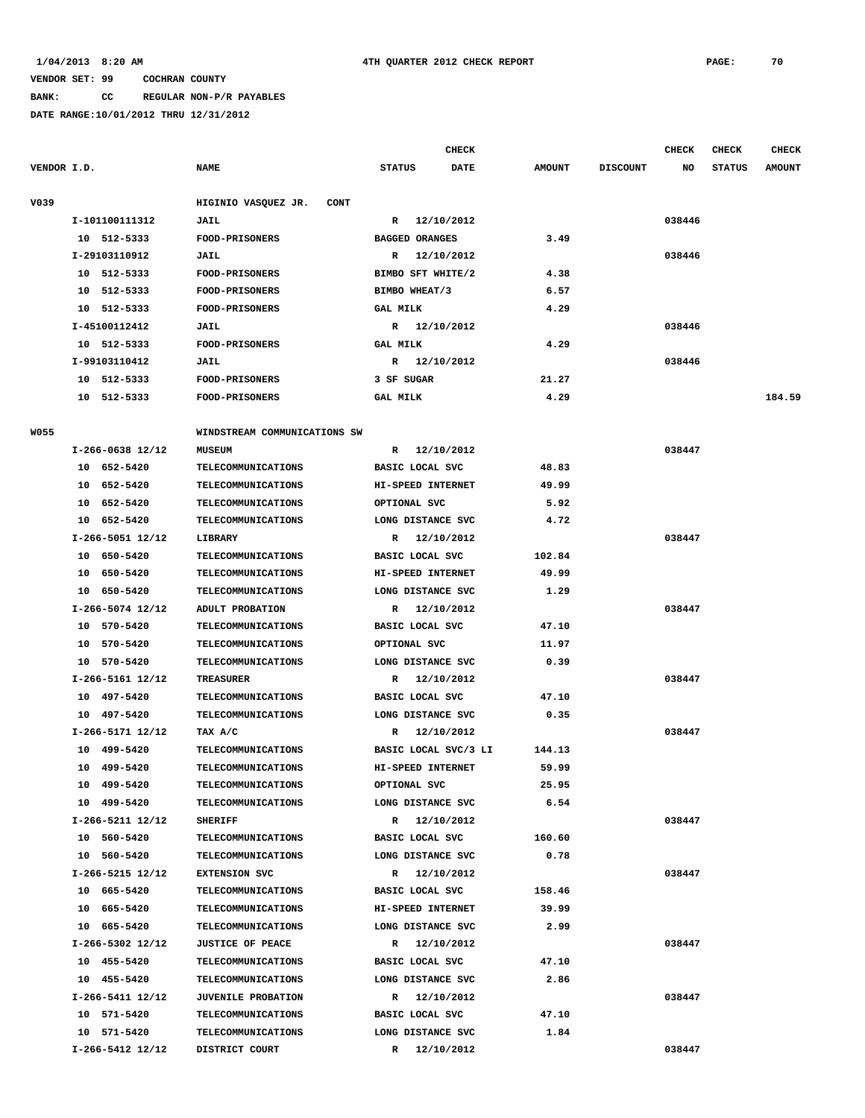### **BANK: CC REGULAR NON-P/R PAYABLES**

|             |                  |                                    |                        | <b>CHECK</b>         |               |                 | <b>CHECK</b> | <b>CHECK</b>  | CHECK         |
|-------------|------------------|------------------------------------|------------------------|----------------------|---------------|-----------------|--------------|---------------|---------------|
| VENDOR I.D. |                  | <b>NAME</b>                        | <b>STATUS</b>          | DATE                 | <b>AMOUNT</b> | <b>DISCOUNT</b> | NO           | <b>STATUS</b> | <b>AMOUNT</b> |
| V039        |                  | HIGINIO VASQUEZ JR.<br><b>CONT</b> |                        |                      |               |                 |              |               |               |
|             | I-101100111312   | JAIL                               | $\mathbb{R}$           | 12/10/2012           |               |                 | 038446       |               |               |
|             | 10 512-5333      | FOOD-PRISONERS                     | <b>BAGGED ORANGES</b>  |                      | 3.49          |                 |              |               |               |
|             | I-29103110912    | JAIL                               |                        | R 12/10/2012         |               |                 | 038446       |               |               |
|             | 10 512-5333      | <b>FOOD-PRISONERS</b>              | BIMBO SFT WHITE/2      |                      | 4.38          |                 |              |               |               |
|             | 10 512-5333      | FOOD-PRISONERS                     | BIMBO WHEAT/3          |                      | 6.57          |                 |              |               |               |
|             | 10 512-5333      | <b>FOOD-PRISONERS</b>              | <b>GAL MILK</b>        |                      | 4.29          |                 |              |               |               |
|             | I-45100112412    | JAIL                               |                        | R 12/10/2012         |               |                 | 038446       |               |               |
|             | 10 512-5333      | FOOD-PRISONERS                     | <b>GAL MILK</b>        |                      | 4.29          |                 |              |               |               |
|             | I-99103110412    | JAIL                               |                        | R 12/10/2012         |               |                 | 038446       |               |               |
|             | 10 512-5333      | <b>FOOD-PRISONERS</b>              | 3 SF SUGAR             |                      | 21.27         |                 |              |               |               |
|             | 10 512-5333      | <b>FOOD-PRISONERS</b>              | <b>GAL MILK</b>        |                      | 4.29          |                 |              |               | 184.59        |
|             |                  |                                    |                        |                      |               |                 |              |               |               |
| <b>W055</b> |                  | WINDSTREAM COMMUNICATIONS SW       |                        |                      |               |                 |              |               |               |
|             | I-266-0638 12/12 | <b>MUSEUM</b>                      |                        | R 12/10/2012         |               |                 | 038447       |               |               |
|             | 10 652-5420      | TELECOMMUNICATIONS                 | BASIC LOCAL SVC        |                      | 48.83         |                 |              |               |               |
|             | 10 652-5420      | <b>TELECOMMUNICATIONS</b>          | HI-SPEED INTERNET      |                      | 49.99         |                 |              |               |               |
|             | 10 652-5420      | <b>TELECOMMUNICATIONS</b>          | OPTIONAL SVC           |                      | 5.92          |                 |              |               |               |
|             | 10 652-5420      | <b>TELECOMMUNICATIONS</b>          | LONG DISTANCE SVC      |                      | 4.72          |                 |              |               |               |
|             | I-266-5051 12/12 | LIBRARY                            |                        | R 12/10/2012         |               |                 | 038447       |               |               |
|             | 10 650-5420      | TELECOMMUNICATIONS                 | <b>BASIC LOCAL SVC</b> |                      | 102.84        |                 |              |               |               |
|             | 650-5420<br>10   | TELECOMMUNICATIONS                 | HI-SPEED INTERNET      |                      | 49.99         |                 |              |               |               |
|             | 10 650-5420      | <b>TELECOMMUNICATIONS</b>          | LONG DISTANCE SVC      |                      | 1.29          |                 |              |               |               |
|             | I-266-5074 12/12 | ADULT PROBATION                    |                        | R 12/10/2012         |               |                 | 038447       |               |               |
|             | 10 570-5420      | TELECOMMUNICATIONS                 | BASIC LOCAL SVC        |                      | 47.10         |                 |              |               |               |
|             | 10 570-5420      | TELECOMMUNICATIONS                 | OPTIONAL SVC           |                      | 11.97         |                 |              |               |               |
|             | 10 570-5420      | <b>TELECOMMUNICATIONS</b>          | LONG DISTANCE SVC      |                      | 0.39          |                 |              |               |               |
|             | I-266-5161 12/12 | <b>TREASURER</b>                   | R                      | 12/10/2012           |               |                 | 038447       |               |               |
|             | 10 497-5420      | <b>TELECOMMUNICATIONS</b>          | BASIC LOCAL SVC        |                      | 47.10         |                 |              |               |               |
|             | 10 497-5420      | <b>TELECOMMUNICATIONS</b>          | LONG DISTANCE SVC      |                      | 0.35          |                 |              |               |               |
|             | I-266-5171 12/12 | TAX A/C                            | R                      | 12/10/2012           |               |                 | 038447       |               |               |
|             | 10<br>499-5420   | <b>TELECOMMUNICATIONS</b>          |                        | BASIC LOCAL SVC/3 LI | 144.13        |                 |              |               |               |
|             | 10 499-5420      | <b>TELECOMMUNICATIONS</b>          | HI-SPEED INTERNET      |                      | 59.99         |                 |              |               |               |
|             | 10 499-5420      | TELECOMMUNICATIONS                 | OPTIONAL SVC           |                      | 25.95         |                 |              |               |               |
|             | 10 499-5420      | <b>TELECOMMUNICATIONS</b>          | LONG DISTANCE SVC      |                      | 6.54          |                 |              |               |               |
|             | I-266-5211 12/12 | <b>SHERIFF</b>                     |                        | R 12/10/2012         |               |                 | 038447       |               |               |
|             | 10 560-5420      | TELECOMMUNICATIONS                 | BASIC LOCAL SVC        |                      | 160.60        |                 |              |               |               |
|             | 10 560-5420      | <b>TELECOMMUNICATIONS</b>          | LONG DISTANCE SVC      |                      | 0.78          |                 |              |               |               |
|             | I-266-5215 12/12 | <b>EXTENSION SVC</b>               |                        | R 12/10/2012         |               |                 | 038447       |               |               |
|             | 10 665-5420      | TELECOMMUNICATIONS                 | BASIC LOCAL SVC        |                      | 158.46        |                 |              |               |               |
|             | 10 665-5420      | <b>TELECOMMUNICATIONS</b>          | HI-SPEED INTERNET      |                      | 39.99         |                 |              |               |               |
|             | 10 665-5420      | <b>TELECOMMUNICATIONS</b>          | LONG DISTANCE SVC      |                      | 2.99          |                 |              |               |               |
|             | I-266-5302 12/12 | <b>JUSTICE OF PEACE</b>            |                        | R 12/10/2012         |               |                 | 038447       |               |               |
|             | 10 455-5420      | <b>TELECOMMUNICATIONS</b>          | BASIC LOCAL SVC        |                      | 47.10         |                 |              |               |               |
|             | 10 455-5420      | <b>TELECOMMUNICATIONS</b>          | LONG DISTANCE SVC      |                      | 2.86          |                 |              |               |               |
|             | I-266-5411 12/12 | <b>JUVENILE PROBATION</b>          |                        | R 12/10/2012         |               |                 | 038447       |               |               |
|             | 10 571-5420      | <b>TELECOMMUNICATIONS</b>          | BASIC LOCAL SVC        |                      | 47.10         |                 |              |               |               |
|             | 10 571-5420      | <b>TELECOMMUNICATIONS</b>          | LONG DISTANCE SVC      |                      | 1.84          |                 |              |               |               |
|             | I-266-5412 12/12 | DISTRICT COURT                     |                        | R 12/10/2012         |               |                 | 038447       |               |               |
|             |                  |                                    |                        |                      |               |                 |              |               |               |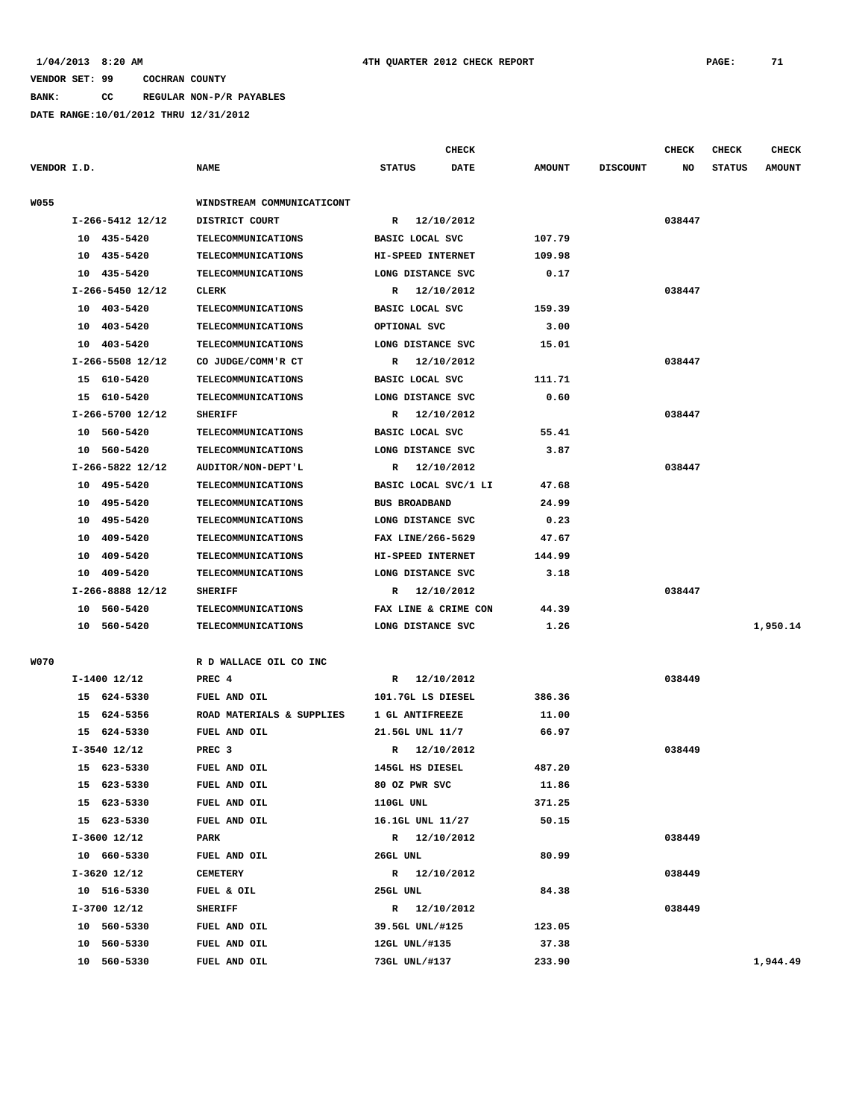**BANK: CC REGULAR NON-P/R PAYABLES**

|             |                               |                                     | <b>CHECK</b>                       |                 |                 | <b>CHECK</b> | <b>CHECK</b>  | <b>CHECK</b>  |
|-------------|-------------------------------|-------------------------------------|------------------------------------|-----------------|-----------------|--------------|---------------|---------------|
| VENDOR I.D. |                               | <b>NAME</b>                         | <b>STATUS</b><br><b>DATE</b>       | <b>AMOUNT</b>   | <b>DISCOUNT</b> | NO           | <b>STATUS</b> | <b>AMOUNT</b> |
| <b>W055</b> |                               | WINDSTREAM COMMUNICATICONT          |                                    |                 |                 |              |               |               |
|             | $I-266-5412$ 12/12            | DISTRICT COURT                      | R 12/10/2012                       |                 |                 | 038447       |               |               |
|             | 10 435-5420                   | TELECOMMUNICATIONS                  | BASIC LOCAL SVC                    | 107.79          |                 |              |               |               |
|             | 435-5420<br>10                | <b>TELECOMMUNICATIONS</b>           | HI-SPEED INTERNET                  | 109.98          |                 |              |               |               |
|             | 10 435-5420                   | TELECOMMUNICATIONS                  | LONG DISTANCE SVC                  | 0.17            |                 |              |               |               |
|             | I-266-5450 12/12              | <b>CLERK</b>                        | 12/10/2012<br>R                    |                 |                 | 038447       |               |               |
|             | 10 403-5420                   | <b>TELECOMMUNICATIONS</b>           | BASIC LOCAL SVC                    | 159.39          |                 |              |               |               |
|             | 10 403-5420                   | TELECOMMUNICATIONS                  | OPTIONAL SVC                       | 3.00            |                 |              |               |               |
|             | 10 403-5420                   | TELECOMMUNICATIONS                  | LONG DISTANCE SVC                  | 15.01           |                 |              |               |               |
|             | I-266-5508 12/12              | CO JUDGE/COMM'R CT                  | 12/10/2012<br>R                    |                 |                 | 038447       |               |               |
|             | 15 610-5420                   | TELECOMMUNICATIONS                  | BASIC LOCAL SVC                    | 111.71          |                 |              |               |               |
|             | 15 610-5420                   | <b>TELECOMMUNICATIONS</b>           | LONG DISTANCE SVC                  | 0.60            |                 |              |               |               |
|             | I-266-5700 12/12              | <b>SHERIFF</b>                      | R 12/10/2012                       |                 |                 | 038447       |               |               |
|             | 10 560-5420                   | TELECOMMUNICATIONS                  | BASIC LOCAL SVC                    | 55.41           |                 |              |               |               |
|             | 10 560-5420                   | TELECOMMUNICATIONS                  | LONG DISTANCE SVC                  | 3.87            |                 |              |               |               |
|             | I-266-5822 12/12              | AUDITOR/NON-DEPT'L                  | 12/10/2012<br>$\mathbb{R}$         |                 |                 | 038447       |               |               |
|             | 10 495-5420                   | TELECOMMUNICATIONS                  | BASIC LOCAL SVC/1 LI               | 47.68           |                 |              |               |               |
|             | 10 495-5420                   | TELECOMMUNICATIONS                  | <b>BUS BROADBAND</b>               | 24.99           |                 |              |               |               |
|             | 10 495-5420                   | <b>TELECOMMUNICATIONS</b>           | LONG DISTANCE SVC                  | 0.23            |                 |              |               |               |
|             | 10 409-5420                   | TELECOMMUNICATIONS                  | FAX LINE/266-5629                  | 47.67           |                 |              |               |               |
|             | 10 409-5420                   | TELECOMMUNICATIONS                  | HI-SPEED INTERNET                  | 144.99          |                 |              |               |               |
|             | 10<br>409-5420                | <b>TELECOMMUNICATIONS</b>           | LONG DISTANCE SVC                  | 3.18            |                 |              |               |               |
|             | I-266-8888 12/12              | <b>SHERIFF</b>                      | 12/10/2012<br>R                    |                 |                 | 038447       |               |               |
|             | 10 560-5420                   | TELECOMMUNICATIONS                  | FAX LINE & CRIME CON               | 44.39           |                 |              |               |               |
|             | 10 560-5420                   | <b>TELECOMMUNICATIONS</b>           | LONG DISTANCE SVC                  | 1.26            |                 |              |               | 1,950.14      |
|             |                               |                                     |                                    |                 |                 |              |               |               |
| <b>W070</b> |                               | R D WALLACE OIL CO INC              |                                    |                 |                 |              |               |               |
|             | $I-1400$ 12/12                | PREC 4                              | R 12/10/2012                       |                 |                 | 038449       |               |               |
|             | 15 624-5330                   | FUEL AND OIL                        | 101.7GL LS DIESEL                  | 386.36          |                 |              |               |               |
|             | 624-5356<br>15<br>15 624-5330 | ROAD MATERIALS & SUPPLIES           | 1 GL ANTIFREEZE                    | 11.00           |                 |              |               |               |
|             |                               | FUEL AND OIL                        | 21.5GL UNL 11/7                    | 66.97           |                 | 038449       |               |               |
|             | $I-3540$ 12/12                | PREC <sub>3</sub><br>FUEL AND OIL   | 12/10/2012<br>R<br>145GL HS DIESEL | 487.20          |                 |              |               |               |
|             | 15 623-5330                   |                                     | 80 OZ PWR SVC                      |                 |                 |              |               |               |
|             | 15 623-5330<br>15 623-5330    | <b>FUEL AND OIL</b><br>FUEL AND OIL | 110GL UNL                          | 11.86           |                 |              |               |               |
|             | 15 623-5330                   | FUEL AND OIL                        | 16.1GL UNL 11/27                   | 371.25<br>50.15 |                 |              |               |               |
|             | I-3600 12/12                  | PARK                                | R 12/10/2012                       |                 |                 | 038449       |               |               |
|             | 10 660-5330                   | FUEL AND OIL                        | 26GL UNL                           | 80.99           |                 |              |               |               |
|             | $I-3620$ 12/12                | CEMETERY                            | R 12/10/2012                       |                 |                 | 038449       |               |               |
|             | 10 516-5330                   | FUEL & OIL                          | 25GL UNL                           | 84.38           |                 |              |               |               |
|             | I-3700 12/12                  | <b>SHERIFF</b>                      | 12/10/2012<br>$\mathbb{R}$         |                 |                 | 038449       |               |               |
|             | 10 560-5330                   | <b>FUEL AND OIL</b>                 | 39.5GL UNL/#125                    | 123.05          |                 |              |               |               |
|             | 10<br>560-5330                | FUEL AND OIL                        | 12GL UNL/#135                      | 37.38           |                 |              |               |               |
|             | 10 560-5330                   | FUEL AND OIL                        | 73GL UNL/#137                      | 233.90          |                 |              |               | 1,944.49      |
|             |                               |                                     |                                    |                 |                 |              |               |               |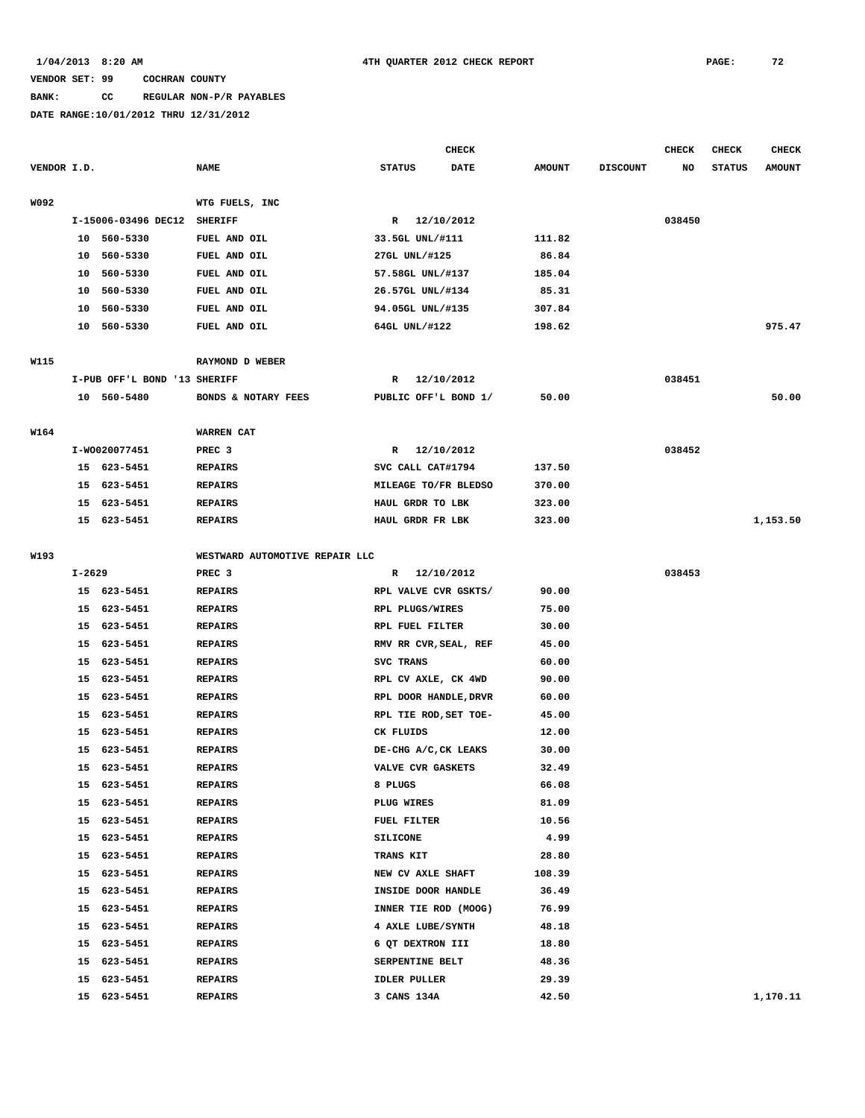# **BANK: CC REGULAR NON-P/R PAYABLES**

|             |            |                              |                                  |                                    | <b>CHECK</b> |                |                 | <b>CHECK</b> | <b>CHECK</b>  | <b>CHECK</b>  |
|-------------|------------|------------------------------|----------------------------------|------------------------------------|--------------|----------------|-----------------|--------------|---------------|---------------|
| VENDOR I.D. |            |                              | <b>NAME</b>                      | <b>STATUS</b>                      | <b>DATE</b>  | <b>AMOUNT</b>  | <b>DISCOUNT</b> | NO           | <b>STATUS</b> | <b>AMOUNT</b> |
|             |            |                              |                                  |                                    |              |                |                 |              |               |               |
| W092        |            |                              | WTG FUELS, INC                   |                                    |              |                |                 |              |               |               |
|             |            | I-15006-03496 DEC12          | <b>SHERIFF</b>                   | R 12/10/2012                       |              |                |                 | 038450       |               |               |
|             |            | 10 560-5330                  | FUEL AND OIL                     | 33.5GL UNL/#111                    |              | 111.82         |                 |              |               |               |
|             | 10         | 560-5330                     | FUEL AND OIL                     | 27GL UNL/#125                      |              | 86.84          |                 |              |               |               |
|             | 10         | 560-5330                     | FUEL AND OIL                     | 57.58GL UNL/#137                   |              | 185.04         |                 |              |               |               |
|             | 10         | 560-5330                     | FUEL AND OIL                     | 26.57GL UNL/#134                   |              | 85.31          |                 |              |               |               |
|             | 10         | 560-5330                     | FUEL AND OIL                     | 94.05GL UNL/#135                   |              | 307.84         |                 |              |               |               |
|             |            | 10 560-5330                  | FUEL AND OIL                     | 64GL UNL/#122                      |              | 198.62         |                 |              |               | 975.47        |
| W115        |            |                              | RAYMOND D WEBER                  |                                    |              |                |                 |              |               |               |
|             |            | I-PUB OFF'L BOND '13 SHERIFF |                                  | 12/10/2012<br>R                    |              |                |                 | 038451       |               |               |
|             |            | 10 560-5480                  | BONDS & NOTARY FEES              | PUBLIC OFF'L BOND 1/               |              | 50.00          |                 |              |               | 50.00         |
|             |            |                              |                                  |                                    |              |                |                 |              |               |               |
| W164        |            |                              | WARREN CAT                       |                                    |              |                |                 |              |               |               |
|             |            | I-W0020077451                | PREC <sub>3</sub>                | 12/10/2012<br>R                    |              |                |                 | 038452       |               |               |
|             |            | 15 623-5451                  | <b>REPAIRS</b>                   | SVC CALL CAT#1794                  |              | 137.50         |                 |              |               |               |
|             |            | 15 623-5451                  | <b>REPAIRS</b>                   | MILEAGE TO/FR BLEDSO               |              | 370.00         |                 |              |               |               |
|             |            | 15 623-5451                  | <b>REPAIRS</b>                   | HAUL GRDR TO LBK                   |              | 323.00         |                 |              |               |               |
|             |            | 15 623-5451                  | <b>REPAIRS</b>                   | HAUL GRDR FR LBK                   |              | 323.00         |                 |              |               | 1,153.50      |
| W193        |            |                              | WESTWARD AUTOMOTIVE REPAIR LLC   |                                    |              |                |                 |              |               |               |
|             | $I - 2629$ |                              | PREC <sub>3</sub>                | R 12/10/2012                       |              |                |                 | 038453       |               |               |
|             |            | 15 623-5451                  |                                  | RPL VALVE CVR GSKTS/               |              | 90.00          |                 |              |               |               |
|             |            | 15 623-5451                  | <b>REPAIRS</b><br><b>REPAIRS</b> | RPL PLUGS/WIRES                    |              | 75.00          |                 |              |               |               |
|             |            | 15 623-5451                  | <b>REPAIRS</b>                   | RPL FUEL FILTER                    |              | 30.00          |                 |              |               |               |
|             |            |                              |                                  |                                    |              |                |                 |              |               |               |
|             |            | 15 623-5451<br>15 623-5451   | <b>REPAIRS</b>                   | RMV RR CVR, SEAL, REF<br>SVC TRANS |              | 45.00<br>60.00 |                 |              |               |               |
|             |            |                              | <b>REPAIRS</b>                   |                                    |              |                |                 |              |               |               |
|             | 15         | 623-5451                     | <b>REPAIRS</b>                   | RPL CV AXLE, CK 4WD                |              | 90.00          |                 |              |               |               |
|             |            | 15 623-5451                  | <b>REPAIRS</b>                   | RPL DOOR HANDLE, DRVR              |              | 60.00          |                 |              |               |               |
|             |            | 15 623-5451                  | <b>REPAIRS</b>                   | RPL TIE ROD, SET TOE-              |              | 45.00          |                 |              |               |               |
|             |            | 15 623-5451                  | <b>REPAIRS</b>                   | CK FLUIDS                          |              | 12.00          |                 |              |               |               |
|             |            | 15 623-5451                  | <b>REPAIRS</b>                   | DE-CHG A/C, CK LEAKS               |              | 30.00          |                 |              |               |               |
|             |            | 15 623-5451                  | <b>REPAIRS</b>                   | VALVE CVR GASKETS                  |              | 32.49          |                 |              |               |               |
|             |            | 15 623-5451                  | <b>REPAIRS</b>                   | 8 PLUGS                            |              | 66.08          |                 |              |               |               |
|             |            | 15 623-5451                  | <b>REPAIRS</b>                   | PLUG WIRES                         |              | 81.09          |                 |              |               |               |
|             |            | 15 623-5451                  | REPAIRS                          | FUEL FILTER                        |              | 10.56          |                 |              |               |               |
|             |            | 15 623-5451                  | <b>REPAIRS</b>                   | <b>SILICONE</b>                    |              | 4.99           |                 |              |               |               |
|             |            | 15 623-5451                  | REPAIRS                          | <b>TRANS KIT</b>                   |              | 28.80          |                 |              |               |               |
|             | 15         | 623-5451                     | <b>REPAIRS</b>                   | NEW CV AXLE SHAFT                  |              | 108.39         |                 |              |               |               |
|             | 15         | 623-5451                     | <b>REPAIRS</b>                   | INSIDE DOOR HANDLE                 |              | 36.49          |                 |              |               |               |
|             |            | 15 623-5451                  | <b>REPAIRS</b>                   | INNER TIE ROD (MOOG)               |              | 76.99          |                 |              |               |               |
|             |            | 15 623-5451                  | REPAIRS                          | 4 AXLE LUBE/SYNTH                  |              | 48.18          |                 |              |               |               |
|             | 15         | 623-5451                     | <b>REPAIRS</b>                   | 6 QT DEXTRON III                   |              | 18.80          |                 |              |               |               |
|             | 15         | 623-5451                     | <b>REPAIRS</b>                   | SERPENTINE BELT                    |              | 48.36          |                 |              |               |               |
|             | 15         | 623-5451                     | <b>REPAIRS</b>                   | IDLER PULLER                       |              | 29.39          |                 |              |               |               |
|             | 15         | 623-5451                     | REPAIRS                          | 3 CANS 134A                        |              | 42.50          |                 |              |               | 1,170.11      |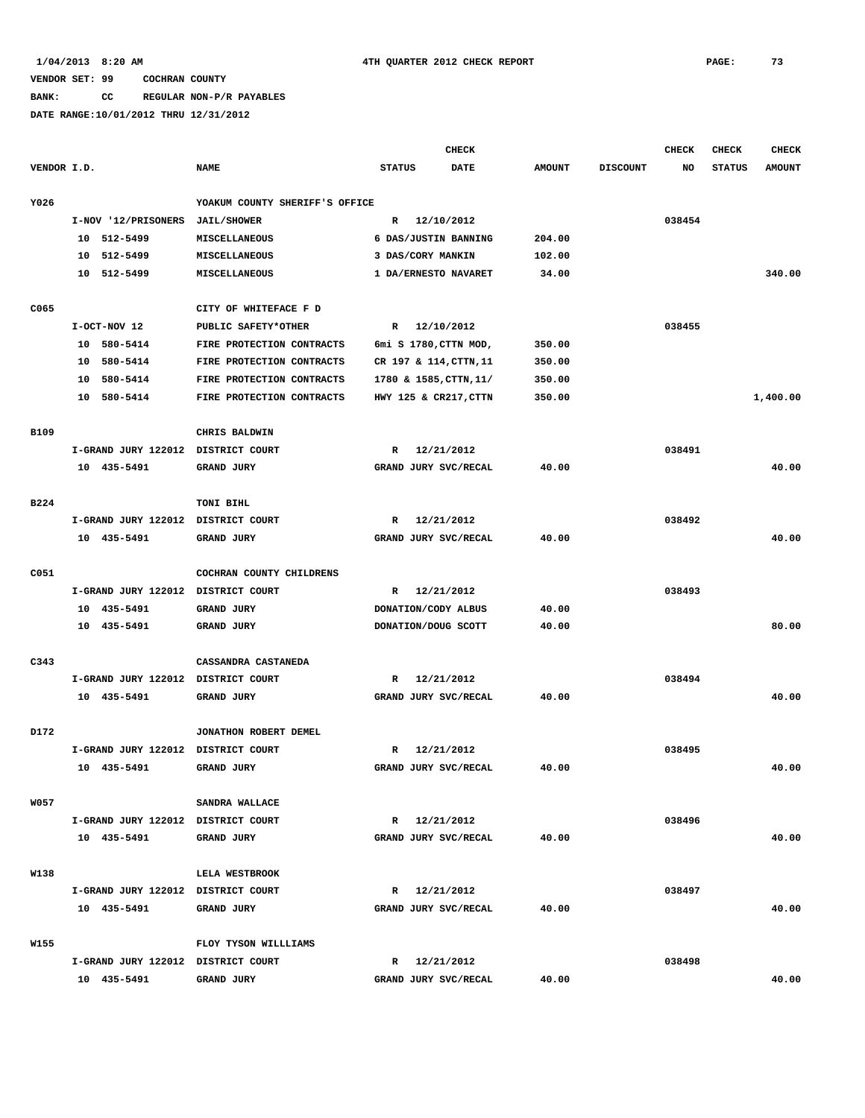### **BANK: CC REGULAR NON-P/R PAYABLES**

|             |    |                                    |                                |                     | <b>CHECK</b>           |               |                 | CHECK  | <b>CHECK</b>  | <b>CHECK</b>  |
|-------------|----|------------------------------------|--------------------------------|---------------------|------------------------|---------------|-----------------|--------|---------------|---------------|
| VENDOR I.D. |    |                                    | <b>NAME</b>                    | <b>STATUS</b>       | <b>DATE</b>            | <b>AMOUNT</b> | <b>DISCOUNT</b> | NO     | <b>STATUS</b> | <b>AMOUNT</b> |
| Y026        |    |                                    | YOAKUM COUNTY SHERIFF'S OFFICE |                     |                        |               |                 |        |               |               |
|             |    | I-NOV '12/PRISONERS                | <b>JAIL/SHOWER</b>             |                     | R 12/10/2012           |               |                 | 038454 |               |               |
|             | 10 | 512-5499                           | MISCELLANEOUS                  |                     | 6 DAS/JUSTIN BANNING   | 204.00        |                 |        |               |               |
|             | 10 | 512-5499                           | MISCELLANEOUS                  | 3 DAS/CORY MANKIN   |                        | 102.00        |                 |        |               |               |
|             |    | 10 512-5499                        | MISCELLANEOUS                  |                     | 1 DA/ERNESTO NAVARET   | 34.00         |                 |        |               | 340.00        |
|             |    |                                    |                                |                     |                        |               |                 |        |               |               |
| C065        |    |                                    | CITY OF WHITEFACE F D          |                     |                        |               |                 |        |               |               |
|             |    | I-OCT-NOV 12                       | PUBLIC SAFETY*OTHER            |                     | R 12/10/2012           |               |                 | 038455 |               |               |
|             |    | 10 580-5414                        | FIRE PROTECTION CONTRACTS      |                     | 6mi S 1780, CTTN MOD,  | 350.00        |                 |        |               |               |
|             | 10 | 580-5414                           | FIRE PROTECTION CONTRACTS      |                     | CR 197 & 114, CTTN, 11 | 350.00        |                 |        |               |               |
|             | 10 | 580-5414                           | FIRE PROTECTION CONTRACTS      |                     | 1780 & 1585, CTTN, 11/ | 350.00        |                 |        |               |               |
|             | 10 | 580-5414                           | FIRE PROTECTION CONTRACTS      |                     | HWY 125 & CR217, CTTN  | 350.00        |                 |        |               | 1,400.00      |
|             |    |                                    |                                |                     |                        |               |                 |        |               |               |
| <b>B109</b> |    |                                    | CHRIS BALDWIN                  |                     |                        |               |                 |        |               |               |
|             |    | I-GRAND JURY 122012 DISTRICT COURT |                                | R                   | 12/21/2012             |               |                 | 038491 |               |               |
|             |    | 10 435-5491                        | <b>GRAND JURY</b>              |                     | GRAND JURY SVC/RECAL   | 40.00         |                 |        |               | 40.00         |
|             |    |                                    |                                |                     |                        |               |                 |        |               |               |
| B224        |    |                                    | TONI BIHL                      |                     |                        |               |                 |        |               |               |
|             |    | I-GRAND JURY 122012 DISTRICT COURT |                                | R                   | 12/21/2012             |               |                 | 038492 |               |               |
|             |    | 10 435-5491                        | GRAND JURY                     |                     | GRAND JURY SVC/RECAL   | 40.00         |                 |        |               | 40.00         |
|             |    |                                    |                                |                     |                        |               |                 |        |               |               |
| C051        |    |                                    | COCHRAN COUNTY CHILDRENS       |                     |                        |               |                 |        |               |               |
|             |    | I-GRAND JURY 122012 DISTRICT COURT |                                | R                   | 12/21/2012             |               |                 | 038493 |               |               |
|             |    | 10 435-5491                        | GRAND JURY                     | DONATION/CODY ALBUS |                        | 40.00         |                 |        |               |               |
|             |    | 10 435-5491                        | <b>GRAND JURY</b>              | DONATION/DOUG SCOTT |                        | 40.00         |                 |        |               | 80.00         |
|             |    |                                    |                                |                     |                        |               |                 |        |               |               |
| C343        |    |                                    | CASSANDRA CASTANEDA            |                     |                        |               |                 |        |               |               |
|             |    | I-GRAND JURY 122012 DISTRICT COURT |                                | R                   | 12/21/2012             |               |                 | 038494 |               |               |
|             |    | 10 435-5491                        | <b>GRAND JURY</b>              |                     | GRAND JURY SVC/RECAL   | 40.00         |                 |        |               | 40.00         |
|             |    |                                    |                                |                     |                        |               |                 |        |               |               |
| D172        |    |                                    | JONATHON ROBERT DEMEL          |                     |                        |               |                 |        |               |               |
|             |    | I-GRAND JURY 122012 DISTRICT COURT |                                | R                   | 12/21/2012             |               |                 | 038495 |               |               |
|             |    | 10 435-5491                        | GRAND JURY                     |                     | GRAND JURY SVC/RECAL   | 40.00         |                 |        |               | 40.00         |
|             |    |                                    |                                |                     |                        |               |                 |        |               |               |
| <b>W057</b> |    |                                    | SANDRA WALLACE                 |                     |                        |               |                 |        |               |               |
|             |    | I-GRAND JURY 122012 DISTRICT COURT |                                |                     | R 12/21/2012           |               |                 | 038496 |               |               |
|             |    | 10 435-5491                        | GRAND JURY                     |                     | GRAND JURY SVC/RECAL   | 40.00         |                 |        |               | 40.00         |
|             |    |                                    |                                |                     |                        |               |                 |        |               |               |
| W138        |    |                                    | LELA WESTBROOK                 |                     |                        |               |                 |        |               |               |
|             |    | I-GRAND JURY 122012 DISTRICT COURT |                                |                     | R 12/21/2012           |               |                 | 038497 |               |               |
|             |    | 10 435-5491                        | <b>GRAND JURY</b>              |                     | GRAND JURY SVC/RECAL   | 40.00         |                 |        |               | 40.00         |
|             |    |                                    |                                |                     |                        |               |                 |        |               |               |
| W155        |    |                                    | FLOY TYSON WILLLIAMS           |                     |                        |               |                 |        |               |               |
|             |    | I-GRAND JURY 122012 DISTRICT COURT |                                |                     | R 12/21/2012           |               |                 | 038498 |               |               |
|             |    | 10 435-5491                        | GRAND JURY                     |                     | GRAND JURY SVC/RECAL   | 40.00         |                 |        |               | 40.00         |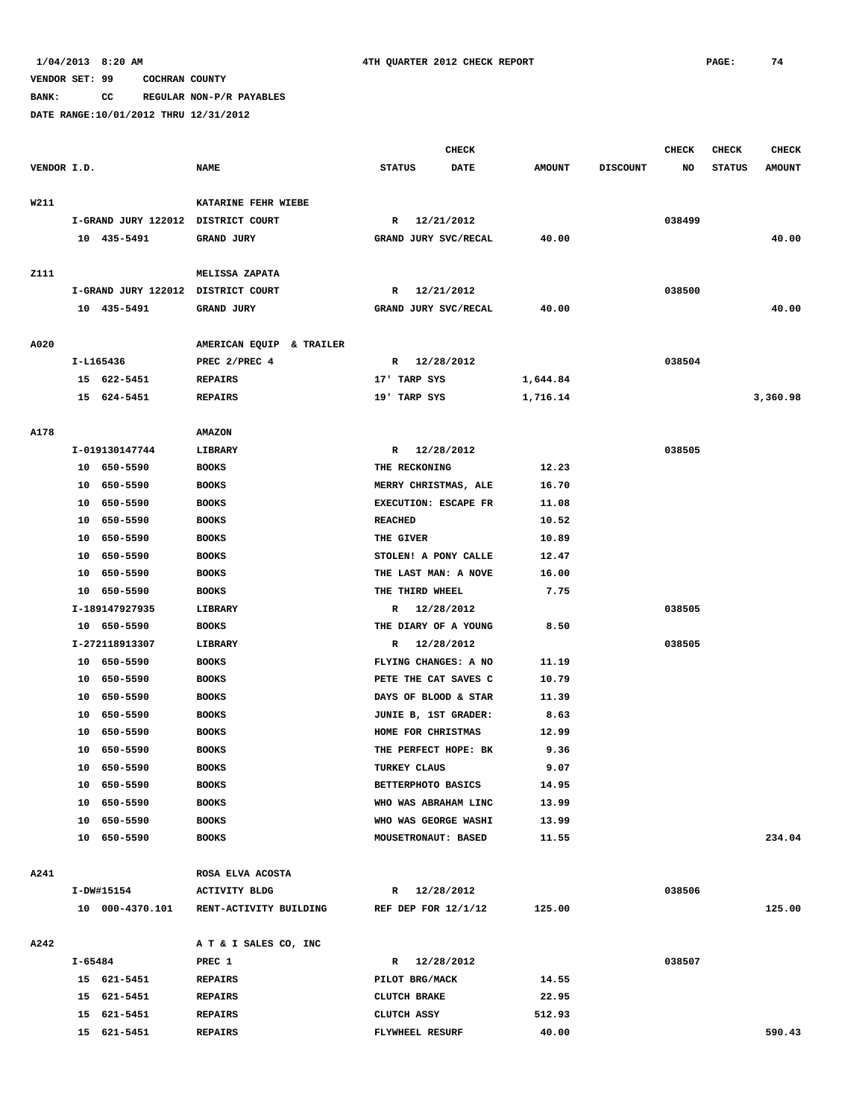**BANK: CC REGULAR NON-P/R PAYABLES**

|             |         |                                    |                          |                       | <b>CHECK</b>                |               |                 | CHECK  | <b>CHECK</b>  | <b>CHECK</b>  |
|-------------|---------|------------------------------------|--------------------------|-----------------------|-----------------------------|---------------|-----------------|--------|---------------|---------------|
| VENDOR I.D. |         |                                    | <b>NAME</b>              | <b>STATUS</b>         | <b>DATE</b>                 | <b>AMOUNT</b> | <b>DISCOUNT</b> | NO     | <b>STATUS</b> | <b>AMOUNT</b> |
| W211        |         |                                    | KATARINE FEHR WIEBE      |                       |                             |               |                 |        |               |               |
|             |         | I-GRAND JURY 122012 DISTRICT COURT |                          | R                     | 12/21/2012                  |               |                 | 038499 |               |               |
|             |         | 10 435-5491                        | <b>GRAND JURY</b>        |                       | GRAND JURY SVC/RECAL        | 40.00         |                 |        |               | 40.00         |
|             |         |                                    |                          |                       |                             |               |                 |        |               |               |
| Z111        |         |                                    | MELISSA ZAPATA           |                       |                             |               |                 |        |               |               |
|             |         | I-GRAND JURY 122012 DISTRICT COURT |                          |                       | R 12/21/2012                |               |                 | 038500 |               |               |
|             |         | 10 435-5491                        | GRAND JURY               |                       | GRAND JURY SVC/RECAL        | 40.00         |                 |        |               | 40.00         |
| A020        |         |                                    | AMERICAN EQUIP & TRAILER |                       |                             |               |                 |        |               |               |
|             |         | I-L165436                          | PREC 2/PREC 4            |                       | R 12/28/2012                |               |                 | 038504 |               |               |
|             |         | 15 622-5451                        | <b>REPAIRS</b>           | 17' TARP SYS          |                             | 1,644.84      |                 |        |               |               |
|             |         | 15 624-5451                        | <b>REPAIRS</b>           | 19' TARP SYS          |                             | 1,716.14      |                 |        |               | 3,360.98      |
|             |         |                                    |                          |                       |                             |               |                 |        |               |               |
| A178        |         |                                    | <b>AMAZON</b>            |                       |                             |               |                 |        |               |               |
|             |         | I-019130147744                     | LIBRARY                  |                       | R 12/28/2012                |               |                 | 038505 |               |               |
|             |         | 10 650-5590                        | <b>BOOKS</b>             | THE RECKONING         |                             | 12.23         |                 |        |               |               |
|             |         | 10 650-5590                        | <b>BOOKS</b>             |                       | MERRY CHRISTMAS, ALE        | 16.70         |                 |        |               |               |
|             | 10      | 650-5590                           | <b>BOOKS</b>             |                       | EXECUTION: ESCAPE FR        | 11.08         |                 |        |               |               |
|             | 10      | 650-5590                           | <b>BOOKS</b>             | <b>REACHED</b>        |                             | 10.52         |                 |        |               |               |
|             | 10      | 650-5590                           | <b>BOOKS</b>             | THE GIVER             |                             | 10.89         |                 |        |               |               |
|             | 10      | 650-5590                           | <b>BOOKS</b>             |                       | STOLEN! A PONY CALLE        | 12.47         |                 |        |               |               |
|             | 10      | 650-5590                           | <b>BOOKS</b>             |                       | THE LAST MAN: A NOVE        | 16.00         |                 |        |               |               |
|             | 10      | 650-5590                           | <b>BOOKS</b>             | THE THIRD WHEEL       |                             | 7.75          |                 |        |               |               |
|             |         | I-189147927935                     | LIBRARY                  |                       | R 12/28/2012                |               |                 | 038505 |               |               |
|             |         | 10 650-5590                        | <b>BOOKS</b>             |                       | THE DIARY OF A YOUNG        | 8.50          |                 |        |               |               |
|             |         | I-272118913307                     | LIBRARY                  | R                     | 12/28/2012                  |               |                 | 038505 |               |               |
|             |         | 10 650-5590                        | <b>BOOKS</b>             |                       | FLYING CHANGES: A NO        | 11.19         |                 |        |               |               |
|             |         | 10 650-5590                        | <b>BOOKS</b>             |                       | PETE THE CAT SAVES C        | 10.79         |                 |        |               |               |
|             | 10      | 650–5590                           | <b>BOOKS</b>             |                       | DAYS OF BLOOD & STAR        | 11.39         |                 |        |               |               |
|             | 10      | 650-5590                           | <b>BOOKS</b>             |                       | <b>JUNIE B, 1ST GRADER:</b> | 8.63          |                 |        |               |               |
|             | 10      | 650-5590                           | <b>BOOKS</b>             | HOME FOR CHRISTMAS    |                             | 12.99         |                 |        |               |               |
|             | 10      | 650-5590                           | <b>BOOKS</b>             |                       | THE PERFECT HOPE: BK        | 9.36          |                 |        |               |               |
|             | 10      | 650-5590                           | <b>BOOKS</b>             | TURKEY CLAUS          |                             | 9.07          |                 |        |               |               |
|             | 10      | 650-5590                           | <b>BOOKS</b>             | BETTERPHOTO BASICS    |                             | 14.95         |                 |        |               |               |
|             |         | 10 650-5590                        | <b>BOOKS</b>             |                       | WHO WAS ABRAHAM LINC        | 13.99         |                 |        |               |               |
|             |         | 10 650-5590                        | <b>BOOKS</b>             |                       | WHO WAS GEORGE WASHI        | 13.99         |                 |        |               |               |
|             |         | 10 650-5590                        | <b>BOOKS</b>             | MOUSETRONAUT: BASED   |                             | 11.55         |                 |        |               | 234.04        |
|             |         |                                    |                          |                       |                             |               |                 |        |               |               |
| A241        |         |                                    | ROSA ELVA ACOSTA         |                       |                             |               |                 |        |               |               |
|             |         | I-DW#15154                         | <b>ACTIVITY BLDG</b>     |                       | R 12/28/2012                |               |                 | 038506 |               |               |
|             |         | 10 000-4370.101                    | RENT-ACTIVITY BUILDING   | REF DEP FOR $12/1/12$ |                             | 125.00        |                 |        |               | 125.00        |
| A242        |         |                                    | A T & I SALES CO, INC    |                       |                             |               |                 |        |               |               |
|             | I-65484 |                                    | PREC 1                   |                       | R 12/28/2012                |               |                 | 038507 |               |               |
|             |         | 15 621-5451                        | <b>REPAIRS</b>           | PILOT BRG/MACK        |                             | 14.55         |                 |        |               |               |
|             |         | 15 621-5451                        | <b>REPAIRS</b>           | <b>CLUTCH BRAKE</b>   |                             | 22.95         |                 |        |               |               |
|             |         | 15 621-5451                        | <b>REPAIRS</b>           | CLUTCH ASSY           |                             | 512.93        |                 |        |               |               |
|             |         | 15 621-5451                        | <b>REPAIRS</b>           | FLYWHEEL RESURF       |                             | 40.00         |                 |        |               | 590.43        |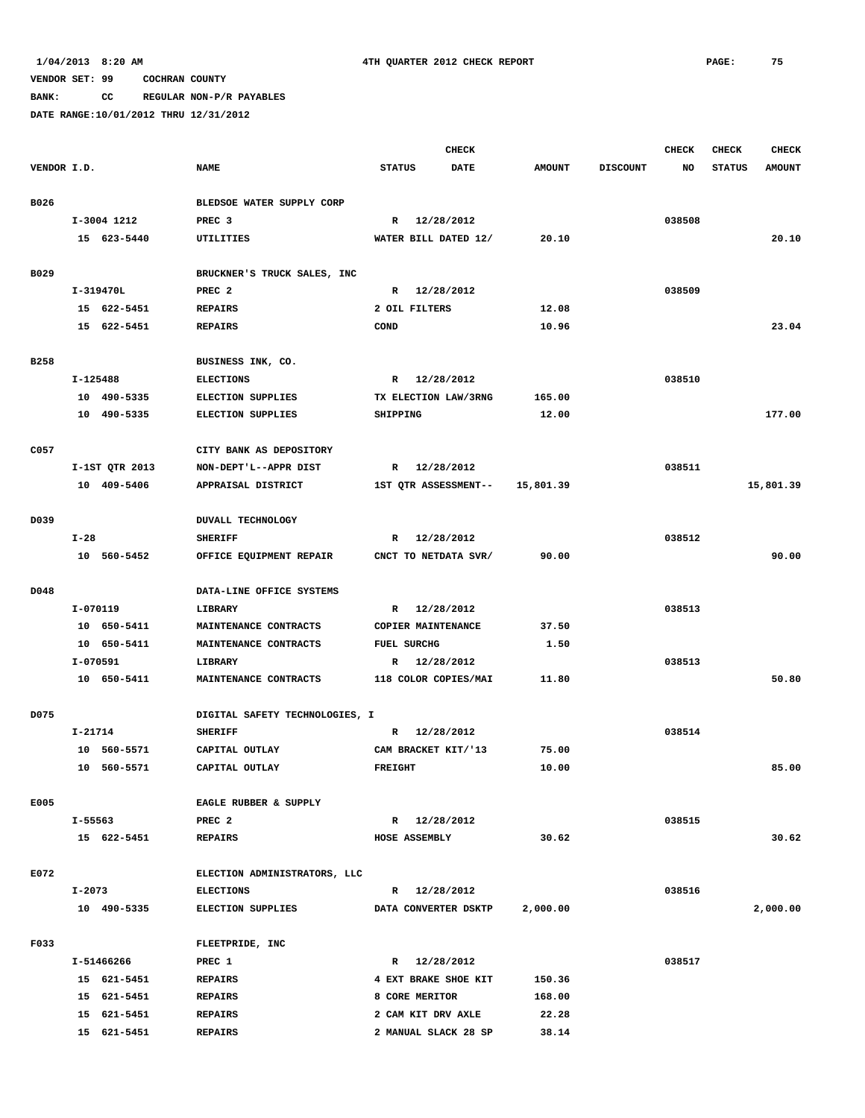**BANK: CC REGULAR NON-P/R PAYABLES**

|             |          |                |                                |                    | CHECK                |               |                 | <b>CHECK</b> | <b>CHECK</b>  | <b>CHECK</b>  |
|-------------|----------|----------------|--------------------------------|--------------------|----------------------|---------------|-----------------|--------------|---------------|---------------|
| VENDOR I.D. |          |                | <b>NAME</b>                    | <b>STATUS</b>      | <b>DATE</b>          | <b>AMOUNT</b> | <b>DISCOUNT</b> | NO.          | <b>STATUS</b> | <b>AMOUNT</b> |
| B026        |          |                | BLEDSOE WATER SUPPLY CORP      |                    |                      |               |                 |              |               |               |
|             |          | I-3004 1212    | PREC <sub>3</sub>              |                    | R 12/28/2012         |               |                 | 038508       |               |               |
|             |          | 15 623-5440    | UTILITIES                      |                    | WATER BILL DATED 12/ | 20.10         |                 |              |               | 20.10         |
|             |          |                |                                |                    |                      |               |                 |              |               |               |
| B029        |          |                | BRUCKNER'S TRUCK SALES, INC    |                    |                      |               |                 |              |               |               |
|             |          | I-319470L      | PREC <sub>2</sub>              |                    | R 12/28/2012         |               |                 | 038509       |               |               |
|             |          | 15 622-5451    | <b>REPAIRS</b>                 |                    | 2 OIL FILTERS        | 12.08         |                 |              |               |               |
|             |          | 15 622-5451    | <b>REPAIRS</b>                 | COND               |                      | 10.96         |                 |              |               | 23.04         |
| B258        |          |                | BUSINESS INK, CO.              |                    |                      |               |                 |              |               |               |
|             | I-125488 |                | <b>ELECTIONS</b>               |                    | R 12/28/2012         |               |                 | 038510       |               |               |
|             |          | 10 490-5335    | <b>ELECTION SUPPLIES</b>       |                    | TX ELECTION LAW/3RNG | 165.00        |                 |              |               |               |
|             |          | 10 490-5335    | <b>ELECTION SUPPLIES</b>       | SHIPPING           |                      | 12.00         |                 |              |               | 177.00        |
|             |          |                |                                |                    |                      |               |                 |              |               |               |
| C057        |          |                | CITY BANK AS DEPOSITORY        |                    |                      |               |                 |              |               |               |
|             |          | I-1ST QTR 2013 | NON-DEPT'L--APPR DIST          | $\mathbb{R}$       | 12/28/2012           |               |                 | 038511       |               |               |
|             |          | 10 409-5406    | APPRAISAL DISTRICT             |                    | 1ST QTR ASSESSMENT-- | 15,801.39     |                 |              |               | 15,801.39     |
| D039        |          |                | DUVALL TECHNOLOGY              |                    |                      |               |                 |              |               |               |
|             | $I-28$   |                | <b>SHERIFF</b>                 | $\mathbb{R}$       | 12/28/2012           |               |                 | 038512       |               |               |
|             |          | 10 560-5452    |                                |                    |                      | 90.00         |                 |              |               | 90.00         |
|             |          |                | OFFICE EQUIPMENT REPAIR        |                    | CNCT TO NETDATA SVR/ |               |                 |              |               |               |
| D048        |          |                | DATA-LINE OFFICE SYSTEMS       |                    |                      |               |                 |              |               |               |
|             | I-070119 |                | LIBRARY                        |                    | R 12/28/2012         |               |                 | 038513       |               |               |
|             |          | 10 650-5411    | MAINTENANCE CONTRACTS          |                    | COPIER MAINTENANCE   | 37.50         |                 |              |               |               |
|             |          | 10 650-5411    | MAINTENANCE CONTRACTS          | <b>FUEL SURCHG</b> |                      | 1.50          |                 |              |               |               |
|             | I-070591 |                | LIBRARY                        | R                  | 12/28/2012           |               |                 | 038513       |               |               |
|             |          | 10 650-5411    | MAINTENANCE CONTRACTS          |                    | 118 COLOR COPIES/MAI | 11.80         |                 |              |               | 50.80         |
|             |          |                |                                |                    |                      |               |                 |              |               |               |
| D075        |          |                | DIGITAL SAFETY TECHNOLOGIES, I |                    |                      |               |                 |              |               |               |
|             | I-21714  |                | <b>SHERIFF</b>                 | R                  | 12/28/2012           |               |                 | 038514       |               |               |
|             |          | 10 560-5571    | CAPITAL OUTLAY                 |                    | CAM BRACKET KIT/'13  | 75.00         |                 |              |               |               |
|             |          | 10 560-5571    | CAPITAL OUTLAY                 | <b>FREIGHT</b>     |                      | 10.00         |                 |              |               | 85.00         |
| E005        |          |                | EAGLE RUBBER & SUPPLY          |                    |                      |               |                 |              |               |               |
|             | I-55563  |                | PREC <sub>2</sub>              |                    | R 12/28/2012         |               |                 | 038515       |               |               |
|             |          | 15 622-5451    | <b>REPAIRS</b>                 |                    | HOSE ASSEMBLY        | 30.62         |                 |              |               | 30.62         |
|             |          |                |                                |                    |                      |               |                 |              |               |               |
| E072        |          |                | ELECTION ADMINISTRATORS, LLC   |                    |                      |               |                 |              |               |               |
|             | I-2073   |                | <b>ELECTIONS</b>               |                    | R 12/28/2012         |               |                 | 038516       |               |               |
|             |          | 10 490-5335    | <b>ELECTION SUPPLIES</b>       |                    | DATA CONVERTER DSKTP | 2,000.00      |                 |              |               | 2,000.00      |
| F033        |          |                | FLEETPRIDE, INC                |                    |                      |               |                 |              |               |               |
|             |          | I-51466266     | PREC 1                         |                    | R 12/28/2012         |               |                 | 038517       |               |               |
|             |          | 15 621-5451    | <b>REPAIRS</b>                 |                    | 4 EXT BRAKE SHOE KIT | 150.36        |                 |              |               |               |
|             |          | 15 621-5451    | <b>REPAIRS</b>                 |                    | 8 CORE MERITOR       | 168.00        |                 |              |               |               |
|             |          | 15 621-5451    | <b>REPAIRS</b>                 |                    | 2 CAM KIT DRV AXLE   | 22.28         |                 |              |               |               |
|             |          | 15 621-5451    | <b>REPAIRS</b>                 |                    | 2 MANUAL SLACK 28 SP | 38.14         |                 |              |               |               |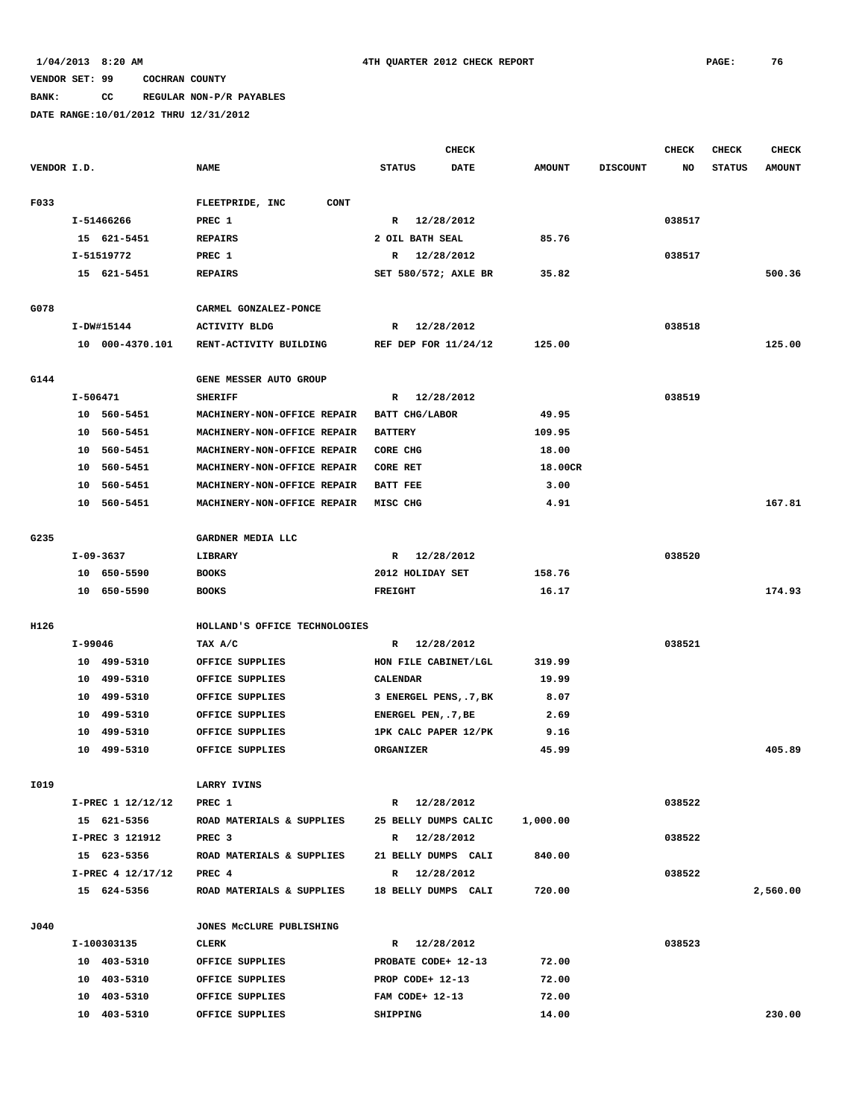**BANK: CC REGULAR NON-P/R PAYABLES**

|             |          |                   |                                |                        | <b>CHECK</b> |               |                 | CHECK  | <b>CHECK</b>  | <b>CHECK</b>  |
|-------------|----------|-------------------|--------------------------------|------------------------|--------------|---------------|-----------------|--------|---------------|---------------|
| VENDOR I.D. |          |                   | <b>NAME</b>                    | <b>STATUS</b>          | <b>DATE</b>  | <b>AMOUNT</b> | <b>DISCOUNT</b> | NO     | <b>STATUS</b> | <b>AMOUNT</b> |
|             |          |                   |                                |                        |              |               |                 |        |               |               |
| F033        |          |                   | <b>CONT</b><br>FLEETPRIDE, INC |                        |              |               |                 |        |               |               |
|             |          | I-51466266        | PREC 1                         | R 12/28/2012           |              |               |                 | 038517 |               |               |
|             |          | 15 621-5451       | <b>REPAIRS</b>                 | 2 OIL BATH SEAL        |              | 85.76         |                 |        |               |               |
|             |          | I-51519772        | PREC 1                         | R 12/28/2012           |              |               |                 | 038517 |               |               |
|             |          | 15 621-5451       | <b>REPAIRS</b>                 | SET 580/572; AXLE BR   |              | 35.82         |                 |        |               | 500.36        |
|             |          |                   |                                |                        |              |               |                 |        |               |               |
| G078        |          |                   | CARMEL GONZALEZ-PONCE          |                        |              |               |                 |        |               |               |
|             |          | I-DW#15144        | <b>ACTIVITY BLDG</b>           | R 12/28/2012           |              |               |                 | 038518 |               |               |
|             |          | 10 000-4370.101   | RENT-ACTIVITY BUILDING         | REF DEP FOR 11/24/12   |              | 125.00        |                 |        |               | 125.00        |
|             |          |                   |                                |                        |              |               |                 |        |               |               |
| G144        |          |                   | GENE MESSER AUTO GROUP         |                        |              |               |                 |        |               |               |
|             | I-506471 |                   | <b>SHERIFF</b>                 | $\mathbb{R}$           | 12/28/2012   |               |                 | 038519 |               |               |
|             |          | 10 560-5451       | MACHINERY-NON-OFFICE REPAIR    | BATT CHG/LABOR         |              | 49.95         |                 |        |               |               |
|             | 10       | 560-5451          | MACHINERY-NON-OFFICE REPAIR    | <b>BATTERY</b>         |              | 109.95        |                 |        |               |               |
|             |          | 10 560-5451       | MACHINERY-NON-OFFICE REPAIR    | CORE CHG               |              | 18.00         |                 |        |               |               |
|             |          | 10 560-5451       | MACHINERY-NON-OFFICE REPAIR    | CORE RET               |              | 18.00CR       |                 |        |               |               |
|             |          | 10 560-5451       | MACHINERY-NON-OFFICE REPAIR    | <b>BATT FEE</b>        |              | 3.00          |                 |        |               |               |
|             |          | 10 560-5451       | MACHINERY-NON-OFFICE REPAIR    | MISC CHG               |              | 4.91          |                 |        |               | 167.81        |
| G235        |          |                   | GARDNER MEDIA LLC              |                        |              |               |                 |        |               |               |
|             |          | I-09-3637         | LIBRARY                        | R 12/28/2012           |              |               |                 | 038520 |               |               |
|             |          | 10 650-5590       | <b>BOOKS</b>                   | 2012 HOLIDAY SET       |              | 158.76        |                 |        |               |               |
|             |          | 10 650-5590       | <b>BOOKS</b>                   | <b>FREIGHT</b>         |              | 16.17         |                 |        |               | 174.93        |
|             |          |                   |                                |                        |              |               |                 |        |               |               |
| H126        |          |                   | HOLLAND'S OFFICE TECHNOLOGIES  |                        |              |               |                 |        |               |               |
|             | I-99046  |                   | TAX A/C                        | R 12/28/2012           |              |               |                 | 038521 |               |               |
|             |          | 10 499-5310       | OFFICE SUPPLIES                | HON FILE CABINET/LGL   |              | 319.99        |                 |        |               |               |
|             |          | 10 499-5310       | OFFICE SUPPLIES                | CALENDAR               |              | 19.99         |                 |        |               |               |
|             |          | 10 499-5310       | OFFICE SUPPLIES                | 3 ENERGEL PENS, .7, BK |              | 8.07          |                 |        |               |               |
|             |          | 10 499-5310       | OFFICE SUPPLIES                | ENERGEL PEN, .7, BE    |              | 2.69          |                 |        |               |               |
|             |          | 10 499-5310       | OFFICE SUPPLIES                | 1PK CALC PAPER 12/PK   |              | 9.16          |                 |        |               |               |
|             |          | 10 499-5310       | OFFICE SUPPLIES                | ORGANIZER              |              | 45.99         |                 |        |               | 405.89        |
|             |          |                   |                                |                        |              |               |                 |        |               |               |
| I019        |          |                   | LARRY IVINS                    |                        |              |               |                 |        |               |               |
|             |          | I-PREC 1 12/12/12 | PREC 1                         | R 12/28/2012           |              |               |                 | 038522 |               |               |
|             |          | 15 621-5356       | ROAD MATERIALS & SUPPLIES      | 25 BELLY DUMPS CALIC   |              | 1,000.00      |                 |        |               |               |
|             |          | I-PREC 3 121912   | PREC 3                         | R 12/28/2012           |              |               |                 | 038522 |               |               |
|             |          | 15 623-5356       | ROAD MATERIALS & SUPPLIES      | 21 BELLY DUMPS CALI    |              | 840.00        |                 |        |               |               |
|             |          | I-PREC 4 12/17/12 | PREC 4                         | R 12/28/2012           |              |               |                 | 038522 |               |               |
|             |          | 15 624-5356       | ROAD MATERIALS & SUPPLIES      | 18 BELLY DUMPS CALI    |              | 720.00        |                 |        |               | 2,560.00      |
|             |          |                   |                                |                        |              |               |                 |        |               |               |
| J040        |          |                   | JONES MCCLURE PUBLISHING       |                        |              |               |                 |        |               |               |
|             |          | I-100303135       | <b>CLERK</b>                   | R 12/28/2012           |              |               |                 | 038523 |               |               |
|             |          | 10 403-5310       | OFFICE SUPPLIES                | PROBATE CODE+ 12-13    |              | 72.00         |                 |        |               |               |
|             |          | 10 403-5310       | OFFICE SUPPLIES                | PROP CODE+ 12-13       |              | 72.00         |                 |        |               |               |
|             |          | 10 403-5310       | OFFICE SUPPLIES                | FAM CODE+ 12-13        |              | 72.00         |                 |        |               |               |
|             |          | 10 403-5310       | OFFICE SUPPLIES                | SHIPPING               |              | 14.00         |                 |        |               | 230.00        |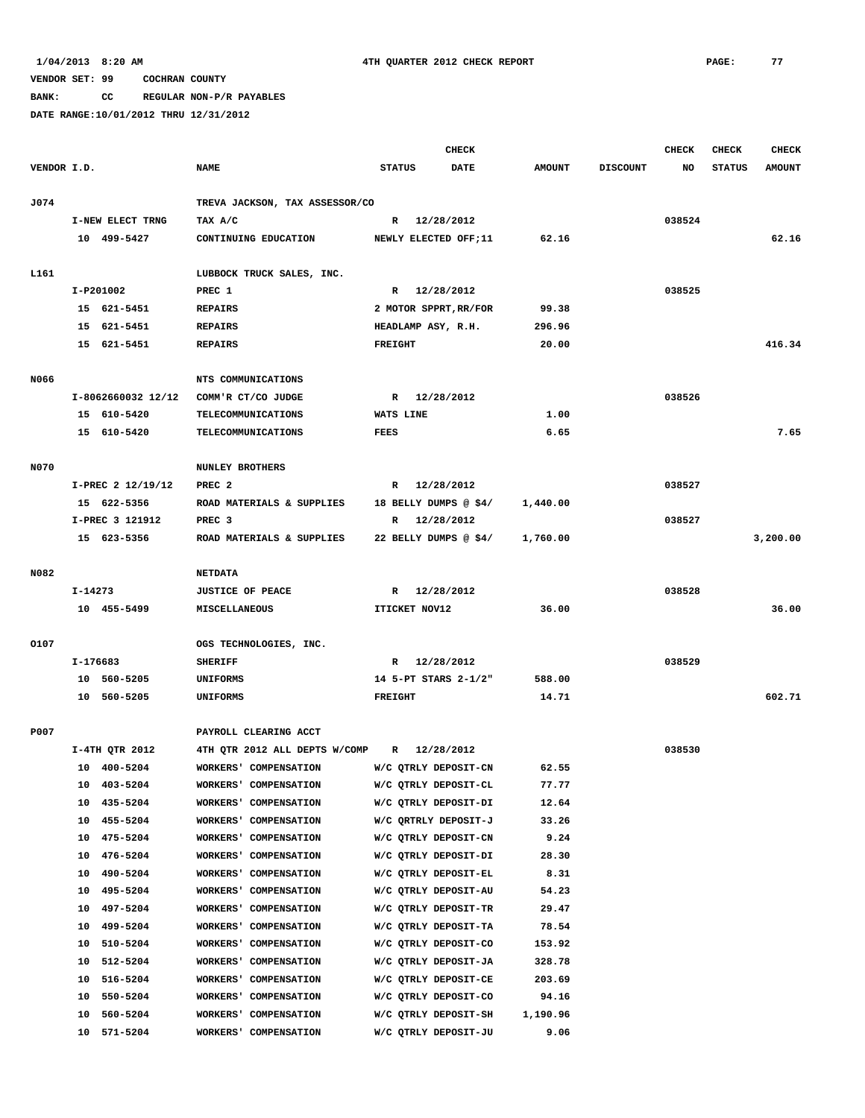**BANK: CC REGULAR NON-P/R PAYABLES**

|             |          |                                  |                                                |                | <b>CHECK</b>                                 |                  |                 | <b>CHECK</b> | <b>CHECK</b>  | <b>CHECK</b>  |
|-------------|----------|----------------------------------|------------------------------------------------|----------------|----------------------------------------------|------------------|-----------------|--------------|---------------|---------------|
| VENDOR I.D. |          |                                  | <b>NAME</b>                                    | <b>STATUS</b>  | <b>DATE</b>                                  | <b>AMOUNT</b>    | <b>DISCOUNT</b> | NO           | <b>STATUS</b> | <b>AMOUNT</b> |
|             |          |                                  |                                                |                |                                              |                  |                 |              |               |               |
| J074        |          |                                  | TREVA JACKSON, TAX ASSESSOR/CO                 |                |                                              |                  |                 |              |               |               |
|             |          | I-NEW ELECT TRNG                 | TAX A/C                                        |                | R 12/28/2012                                 |                  |                 | 038524       |               |               |
|             |          | 10 499-5427                      | CONTINUING EDUCATION                           |                | NEWLY ELECTED OFF;11                         | 62.16            |                 |              |               | 62.16         |
| L161        |          |                                  | LUBBOCK TRUCK SALES, INC.                      |                |                                              |                  |                 |              |               |               |
|             |          | I-P201002                        | PREC 1                                         |                | R 12/28/2012                                 |                  |                 | 038525       |               |               |
|             |          | 15 621-5451                      | <b>REPAIRS</b>                                 |                | 2 MOTOR SPPRT, RR/FOR                        | 99.38            |                 |              |               |               |
|             |          | 15 621-5451                      | <b>REPAIRS</b>                                 |                | HEADLAMP ASY, R.H.                           | 296.96           |                 |              |               |               |
|             |          | 15 621-5451                      | <b>REPAIRS</b>                                 | <b>FREIGHT</b> |                                              | 20.00            |                 |              |               | 416.34        |
|             |          |                                  |                                                |                |                                              |                  |                 |              |               |               |
| N066        |          |                                  | NTS COMMUNICATIONS                             |                |                                              |                  |                 |              |               |               |
|             |          | I-8062660032 12/12               | COMM'R CT/CO JUDGE                             | R              | 12/28/2012                                   |                  |                 | 038526       |               |               |
|             |          | 15 610-5420                      | <b>TELECOMMUNICATIONS</b>                      | WATS LINE      |                                              | 1.00             |                 |              |               |               |
|             |          | 15 610-5420                      | <b>TELECOMMUNICATIONS</b>                      | <b>FEES</b>    |                                              | 6.65             |                 |              |               | 7.65          |
|             |          |                                  |                                                |                |                                              |                  |                 |              |               |               |
| <b>N070</b> |          |                                  | <b>NUNLEY BROTHERS</b>                         |                |                                              |                  |                 |              |               |               |
|             |          | I-PREC 2 12/19/12<br>15 622-5356 | PREC <sub>2</sub>                              |                | R 12/28/2012<br>18 BELLY DUMPS @ \$4/        |                  |                 | 038527       |               |               |
|             |          | I-PREC 3 121912                  | ROAD MATERIALS & SUPPLIES<br>PREC <sub>3</sub> |                | R 12/28/2012                                 | 1,440.00         |                 | 038527       |               |               |
|             |          | 15 623-5356                      | ROAD MATERIALS & SUPPLIES                      |                | 22 BELLY DUMPS @ \$4/                        | 1,760.00         |                 |              |               | 3,200.00      |
|             |          |                                  |                                                |                |                                              |                  |                 |              |               |               |
| N082        |          |                                  | <b>NETDATA</b>                                 |                |                                              |                  |                 |              |               |               |
|             | I-14273  |                                  | <b>JUSTICE OF PEACE</b>                        |                | R 12/28/2012                                 |                  |                 | 038528       |               |               |
|             |          | 10 455-5499                      | MISCELLANEOUS                                  |                | ITICKET NOV12                                | 36.00            |                 |              |               | 36.00         |
|             |          |                                  |                                                |                |                                              |                  |                 |              |               |               |
| 0107        |          |                                  | OGS TECHNOLOGIES, INC.                         |                |                                              |                  |                 |              |               |               |
|             | I-176683 |                                  | <b>SHERIFF</b>                                 |                | R 12/28/2012                                 |                  |                 | 038529       |               |               |
|             |          | 10 560-5205                      | <b>UNIFORMS</b>                                |                | 14 5-PT STARS 2-1/2"                         | 588.00           |                 |              |               |               |
|             |          | 10 560-5205                      | <b>UNIFORMS</b>                                | <b>FREIGHT</b> |                                              | 14.71            |                 |              |               | 602.71        |
| P007        |          |                                  | PAYROLL CLEARING ACCT                          |                |                                              |                  |                 |              |               |               |
|             |          | I-4TH QTR 2012                   | 4TH QTR 2012 ALL DEPTS W/COMP                  |                | R 12/28/2012                                 |                  |                 | 038530       |               |               |
|             |          | 10 400-5204                      | WORKERS' COMPENSATION                          |                | W/C QTRLY DEPOSIT-CN                         | 62.55            |                 |              |               |               |
|             | 10       | 403-5204                         | WORKERS' COMPENSATION                          |                | W/C QTRLY DEPOSIT-CL                         | 77.77            |                 |              |               |               |
|             | 10       | 435-5204                         | WORKERS' COMPENSATION                          |                | W/C QTRLY DEPOSIT-DI                         | 12.64            |                 |              |               |               |
|             | 10       | 455-5204                         | WORKERS' COMPENSATION                          |                | W/C QRTRLY DEPOSIT-J                         | 33.26            |                 |              |               |               |
|             | 10       | 475-5204                         | WORKERS' COMPENSATION                          |                | W/C QTRLY DEPOSIT-CN                         | 9.24             |                 |              |               |               |
|             | 10       | 476-5204                         | WORKERS' COMPENSATION                          |                | W/C QTRLY DEPOSIT-DI                         | 28.30            |                 |              |               |               |
|             | 10       | 490-5204                         | WORKERS' COMPENSATION                          |                | W/C QTRLY DEPOSIT-EL                         | 8.31             |                 |              |               |               |
|             | 10       | 495-5204                         | WORKERS' COMPENSATION                          |                | W/C QTRLY DEPOSIT-AU                         | 54.23            |                 |              |               |               |
|             | 10       | 497-5204                         | WORKERS' COMPENSATION                          |                | W/C QTRLY DEPOSIT-TR                         | 29.47            |                 |              |               |               |
|             | 10       | 499-5204                         | WORKERS' COMPENSATION                          |                | W/C QTRLY DEPOSIT-TA                         | 78.54            |                 |              |               |               |
|             | 10       | 510-5204                         | WORKERS' COMPENSATION                          |                | W/C QTRLY DEPOSIT-CO                         | 153.92           |                 |              |               |               |
|             | 10       | 512-5204                         | WORKERS' COMPENSATION                          |                | W/C QTRLY DEPOSIT-JA                         | 328.78           |                 |              |               |               |
|             | 10       | 516-5204                         | WORKERS' COMPENSATION                          |                | W/C QTRLY DEPOSIT-CE                         | 203.69           |                 |              |               |               |
|             | 10       | 550-5204                         | WORKERS' COMPENSATION                          |                | W/C QTRLY DEPOSIT-CO                         | 94.16            |                 |              |               |               |
|             | 10       | 560-5204<br>10 571-5204          | WORKERS' COMPENSATION                          |                | W/C QTRLY DEPOSIT-SH<br>W/C QTRLY DEPOSIT-JU | 1,190.96<br>9.06 |                 |              |               |               |
|             |          |                                  | WORKERS' COMPENSATION                          |                |                                              |                  |                 |              |               |               |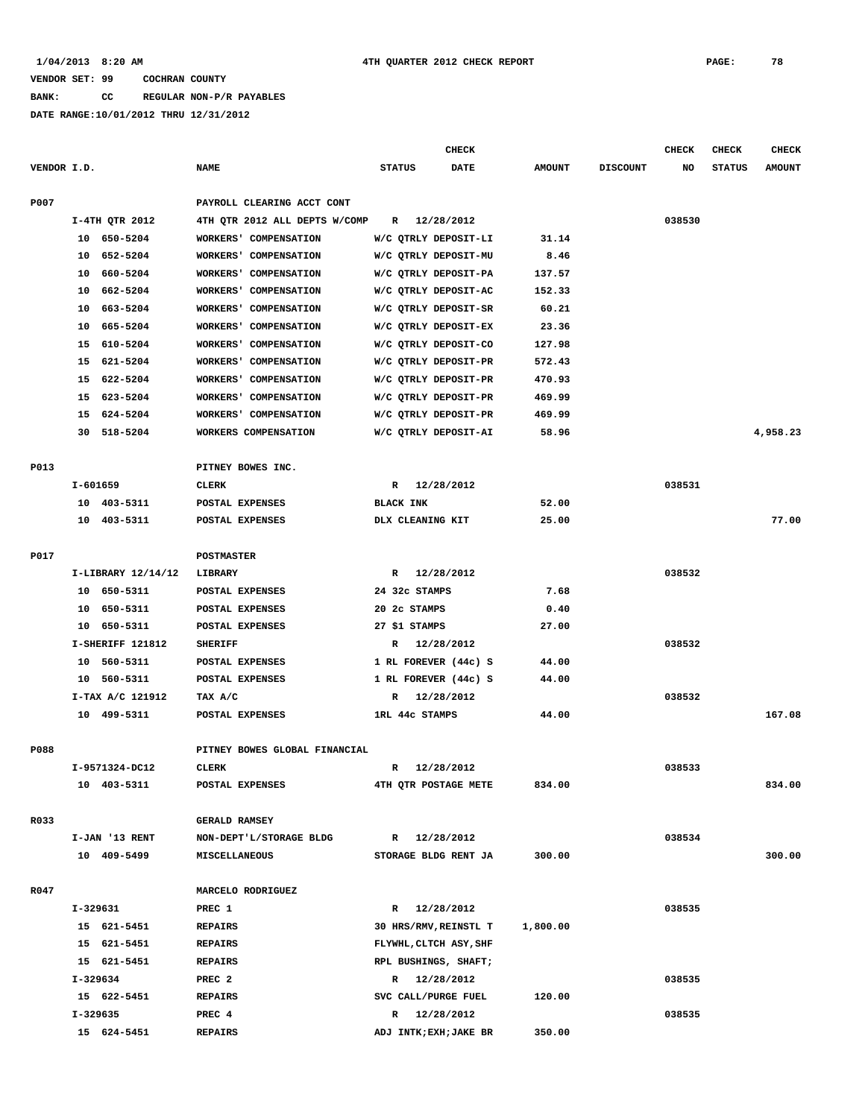**BANK: CC REGULAR NON-P/R PAYABLES**

|             |            |                    |                               |                  | CHECK                  |               |                 | <b>CHECK</b> | <b>CHECK</b>  | <b>CHECK</b>  |
|-------------|------------|--------------------|-------------------------------|------------------|------------------------|---------------|-----------------|--------------|---------------|---------------|
| VENDOR I.D. |            |                    | <b>NAME</b>                   | <b>STATUS</b>    | <b>DATE</b>            | <b>AMOUNT</b> | <b>DISCOUNT</b> | NO           | <b>STATUS</b> | <b>AMOUNT</b> |
| P007        |            |                    | PAYROLL CLEARING ACCT CONT    |                  |                        |               |                 |              |               |               |
|             |            | I-4TH QTR 2012     | 4TH QTR 2012 ALL DEPTS W/COMP | $\mathbb{R}$     | 12/28/2012             |               |                 | 038530       |               |               |
|             |            | 10 650-5204        | WORKERS' COMPENSATION         |                  | W/C QTRLY DEPOSIT-LI   | 31.14         |                 |              |               |               |
|             | 10         | 652-5204           | WORKERS' COMPENSATION         |                  | W/C QTRLY DEPOSIT-MU   | 8.46          |                 |              |               |               |
|             | 10         | 660-5204           | WORKERS' COMPENSATION         |                  | W/C QTRLY DEPOSIT-PA   | 137.57        |                 |              |               |               |
|             | 10         | 662-5204           | WORKERS' COMPENSATION         |                  | W/C QTRLY DEPOSIT-AC   | 152.33        |                 |              |               |               |
|             | 10         | 663–5204           | WORKERS' COMPENSATION         |                  | W/C QTRLY DEPOSIT-SR   | 60.21         |                 |              |               |               |
|             | 10         | 665-5204           | WORKERS' COMPENSATION         |                  | W/C QTRLY DEPOSIT-EX   | 23.36         |                 |              |               |               |
|             | 15         | 610-5204           | WORKERS' COMPENSATION         |                  | W/C QTRLY DEPOSIT-CO   | 127.98        |                 |              |               |               |
|             | 15         | 621-5204           | WORKERS' COMPENSATION         |                  | W/C QTRLY DEPOSIT-PR   | 572.43        |                 |              |               |               |
|             | 15         | 622-5204           | WORKERS' COMPENSATION         |                  | W/C QTRLY DEPOSIT-PR   | 470.93        |                 |              |               |               |
|             | 15         | 623-5204           | WORKERS' COMPENSATION         |                  | W/C QTRLY DEPOSIT-PR   | 469.99        |                 |              |               |               |
|             | 15         | 624-5204           | WORKERS' COMPENSATION         |                  | W/C QTRLY DEPOSIT-PR   | 469.99        |                 |              |               |               |
|             | 30         | 518-5204           | WORKERS COMPENSATION          |                  | W/C QTRLY DEPOSIT-AI   | 58.96         |                 |              |               | 4,958.23      |
|             |            |                    |                               |                  |                        |               |                 |              |               |               |
| P013        |            |                    | PITNEY BOWES INC.             |                  |                        |               |                 |              |               |               |
|             | I-601659   |                    | CLERK                         | R                | 12/28/2012             |               |                 | 038531       |               |               |
|             | 10         | 403-5311           | POSTAL EXPENSES               | <b>BLACK INK</b> |                        | 52.00         |                 |              |               |               |
|             |            | 10 403-5311        | POSTAL EXPENSES               | DLX CLEANING KIT |                        | 25.00         |                 |              |               | 77.00         |
| P017        |            |                    | <b>POSTMASTER</b>             |                  |                        |               |                 |              |               |               |
|             |            | I-LIBRARY 12/14/12 | LIBRARY                       | R                | 12/28/2012             |               |                 | 038532       |               |               |
|             |            | 10 650-5311        | POSTAL EXPENSES               | 24 32c STAMPS    |                        | 7.68          |                 |              |               |               |
|             | 10         | 650-5311           | POSTAL EXPENSES               | 20 2c STAMPS     |                        | 0.40          |                 |              |               |               |
|             | 10         | 650-5311           | POSTAL EXPENSES               | 27 \$1 STAMPS    |                        | 27.00         |                 |              |               |               |
|             |            | I-SHERIFF 121812   | <b>SHERIFF</b>                | R                | 12/28/2012             |               |                 | 038532       |               |               |
|             | 10         | 560-5311           | POSTAL EXPENSES               |                  | 1 RL FOREVER (44c) S   | 44.00         |                 |              |               |               |
|             | 10         | 560-5311           | POSTAL EXPENSES               |                  | 1 RL FOREVER (44c) S   | 44.00         |                 |              |               |               |
|             |            | I-TAX A/C 121912   | TAX A/C                       | R                | 12/28/2012             |               |                 | 038532       |               |               |
|             |            | 10 499-5311        | POSTAL EXPENSES               | 1RL 44c STAMPS   |                        | 44.00         |                 |              |               | 167.08        |
|             |            |                    |                               |                  |                        |               |                 |              |               |               |
| P088        |            |                    | PITNEY BOWES GLOBAL FINANCIAL |                  |                        |               |                 |              |               |               |
|             |            | I-9571324-DC12     | <b>CLERK</b>                  | $\mathbb{R}$     | 12/28/2012             |               |                 | 038533       |               |               |
|             |            | 10 403-5311        | POSTAL EXPENSES               |                  | 4TH QTR POSTAGE METE   | 834.00        |                 |              |               | 834.00        |
| R033        |            |                    | <b>GERALD RAMSEY</b>          |                  |                        |               |                 |              |               |               |
|             |            | I-JAN '13 RENT     | NON-DEPT'L/STORAGE BLDG       |                  | R 12/28/2012           |               |                 | 038534       |               |               |
|             |            | 10 409-5499        | <b>MISCELLANEOUS</b>          |                  | STORAGE BLDG RENT JA   | 300.00        |                 |              |               | 300.00        |
| R047        |            |                    | MARCELO RODRIGUEZ             |                  |                        |               |                 |              |               |               |
|             | $I-329631$ |                    | PREC 1                        |                  | R 12/28/2012           |               |                 | 038535       |               |               |
|             |            | 15 621-5451        | <b>REPAIRS</b>                |                  | 30 HRS/RMV, REINSTL T  | 1,800.00      |                 |              |               |               |
|             |            | 15 621-5451        | <b>REPAIRS</b>                |                  | FLYWHL, CLTCH ASY, SHF |               |                 |              |               |               |
|             |            | 15 621-5451        | <b>REPAIRS</b>                |                  | RPL BUSHINGS, SHAFT;   |               |                 |              |               |               |
|             | I-329634   |                    | PREC <sub>2</sub>             |                  | R 12/28/2012           |               |                 | 038535       |               |               |
|             |            | 15 622-5451        | <b>REPAIRS</b>                |                  | SVC CALL/PURGE FUEL    | 120.00        |                 |              |               |               |
|             | I-329635   |                    | PREC 4                        |                  | R 12/28/2012           |               |                 | 038535       |               |               |
|             |            | 15 624-5451        | <b>REPAIRS</b>                |                  | ADJ INTK; EXH; JAKE BR | 350.00        |                 |              |               |               |
|             |            |                    |                               |                  |                        |               |                 |              |               |               |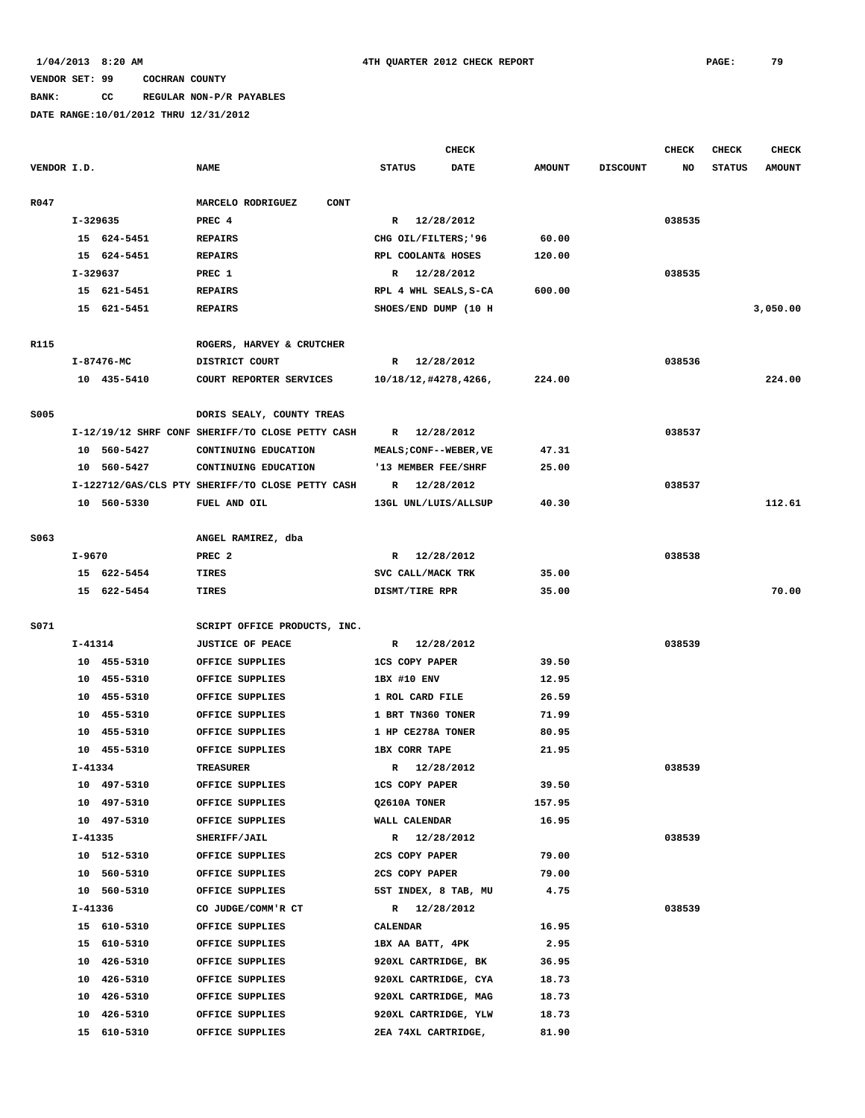## **BANK: CC REGULAR NON-P/R PAYABLES**

|             |             |                            |                                                  |                                | <b>CHECK</b> |                |                 | <b>CHECK</b> | CHECK         | <b>CHECK</b>  |
|-------------|-------------|----------------------------|--------------------------------------------------|--------------------------------|--------------|----------------|-----------------|--------------|---------------|---------------|
| VENDOR I.D. |             |                            | <b>NAME</b>                                      | <b>STATUS</b>                  | <b>DATE</b>  | <b>AMOUNT</b>  | <b>DISCOUNT</b> | NO           | <b>STATUS</b> | <b>AMOUNT</b> |
| R047        |             |                            | MARCELO RODRIGUEZ<br><b>CONT</b>                 |                                |              |                |                 |              |               |               |
|             | I-329635    |                            | PREC 4                                           | R                              | 12/28/2012   |                |                 | 038535       |               |               |
|             |             | 15 624-5451                | <b>REPAIRS</b>                                   | CHG OIL/FILTERS; '96           |              | 60.00          |                 |              |               |               |
|             |             | 15 624-5451                | <b>REPAIRS</b>                                   | RPL COOLANT& HOSES             |              | 120.00         |                 |              |               |               |
|             | I-329637    |                            | PREC 1                                           | R                              | 12/28/2012   |                |                 | 038535       |               |               |
|             |             | 15 621-5451                | <b>REPAIRS</b>                                   | RPL 4 WHL SEALS, S-CA          |              | 600.00         |                 |              |               |               |
|             |             | 15 621-5451                | <b>REPAIRS</b>                                   | SHOES/END DUMP (10 H           |              |                |                 |              |               | 3,050.00      |
|             |             |                            |                                                  |                                |              |                |                 |              |               |               |
| R115        |             |                            | ROGERS, HARVEY & CRUTCHER                        |                                |              |                |                 |              |               |               |
|             |             | I-87476-MC                 | DISTRICT COURT                                   | R 12/28/2012                   |              |                |                 | 038536       |               |               |
|             |             | 10 435-5410                | COURT REPORTER SERVICES                          | 10/18/12,#4278,4266,           |              | 224.00         |                 |              |               | 224.00        |
| <b>S005</b> |             |                            | DORIS SEALY, COUNTY TREAS                        |                                |              |                |                 |              |               |               |
|             |             |                            | I-12/19/12 SHRF CONF SHERIFF/TO CLOSE PETTY CASH | R                              | 12/28/2012   |                |                 | 038537       |               |               |
|             |             | 10 560-5427                | CONTINUING EDUCATION                             | MEALS; CONF--WEBER, VE         |              | 47.31          |                 |              |               |               |
|             |             | 10 560-5427                | CONTINUING EDUCATION                             | '13 MEMBER FEE/SHRF            |              | 25.00          |                 |              |               |               |
|             |             |                            | I-122712/GAS/CLS PTY SHERIFF/TO CLOSE PETTY CASH | R                              | 12/28/2012   |                |                 | 038537       |               |               |
|             |             | 10 560-5330                | FUEL AND OIL                                     | 13GL UNL/LUIS/ALLSUP           |              | 40.30          |                 |              |               | 112.61        |
|             |             |                            |                                                  |                                |              |                |                 |              |               |               |
| S063        |             |                            | ANGEL RAMIREZ, dba                               |                                |              |                |                 |              |               |               |
|             | $I - 9670$  |                            | PREC <sub>2</sub>                                | R                              | 12/28/2012   |                |                 | 038538       |               |               |
|             |             | 15 622-5454                | TIRES                                            | SVC CALL/MACK TRK              |              | 35.00          |                 |              |               |               |
|             |             | 15 622-5454                | TIRES                                            | DISMT/TIRE RPR                 |              | 35.00          |                 |              |               | 70.00         |
|             |             |                            |                                                  |                                |              |                |                 |              |               |               |
| S071        |             |                            | SCRIPT OFFICE PRODUCTS, INC.                     |                                |              |                |                 |              |               |               |
|             | I-41314     |                            | <b>JUSTICE OF PEACE</b>                          | R 12/28/2012                   |              |                |                 | 038539       |               |               |
|             |             | 10 455-5310                | OFFICE SUPPLIES                                  | <b>1CS COPY PAPER</b>          |              | 39.50          |                 |              |               |               |
|             |             | 10 455-5310                | OFFICE SUPPLIES                                  | 1BX #10 ENV                    |              | 12.95          |                 |              |               |               |
|             |             | 10 455-5310                | OFFICE SUPPLIES                                  | 1 ROL CARD FILE                |              | 26.59          |                 |              |               |               |
|             |             | 10 455-5310                | OFFICE SUPPLIES                                  | 1 BRT TN360 TONER              |              | 71.99          |                 |              |               |               |
|             | 10          | 455-5310                   | OFFICE SUPPLIES                                  | 1 HP CE278A TONER              |              | 80.95          |                 |              |               |               |
|             |             | 10 455-5310                | OFFICE SUPPLIES                                  | <b>1BX CORR TAPE</b>           |              | 21.95          |                 |              |               |               |
|             | $I - 41334$ |                            | <b>TREASURER</b>                                 | R                              | 12/28/2012   |                |                 | 038539       |               |               |
|             |             | 10 497-5310                | OFFICE SUPPLIES                                  | <b>1CS COPY PAPER</b>          |              | 39.50          |                 |              |               |               |
|             |             | 10 497-5310                | OFFICE SUPPLIES                                  | Q2610A TONER                   |              | 157.95         |                 |              |               |               |
|             |             | 10 497-5310                | OFFICE SUPPLIES<br>SHERIFF/JAIL                  | WALL CALENDAR                  |              | 16.95          |                 |              |               |               |
|             | I-41335     |                            | OFFICE SUPPLIES                                  | R 12/28/2012<br>2CS COPY PAPER |              |                |                 | 038539       |               |               |
|             |             | 10 512-5310<br>10 560-5310 | OFFICE SUPPLIES                                  | 2CS COPY PAPER                 |              | 79.00<br>79.00 |                 |              |               |               |
|             |             | 10 560-5310                | OFFICE SUPPLIES                                  | 5ST INDEX, 8 TAB, MU           |              | 4.75           |                 |              |               |               |
|             | I-41336     |                            |                                                  |                                |              |                |                 |              |               |               |
|             |             | 15 610-5310                | CO JUDGE/COMM'R CT<br>OFFICE SUPPLIES            | R 12/28/2012<br>CALENDAR       |              | 16.95          |                 | 038539       |               |               |
|             |             | 15 610-5310                | OFFICE SUPPLIES                                  | 1BX AA BATT, 4PK               |              | 2.95           |                 |              |               |               |
|             |             | 10 426-5310                | OFFICE SUPPLIES                                  | 920XL CARTRIDGE, BK            |              | 36.95          |                 |              |               |               |
|             |             | 10 426-5310                | OFFICE SUPPLIES                                  | 920XL CARTRIDGE, CYA           |              | 18.73          |                 |              |               |               |
|             |             | 10 426-5310                | OFFICE SUPPLIES                                  | 920XL CARTRIDGE, MAG           |              | 18.73          |                 |              |               |               |
|             |             | 10 426-5310                | OFFICE SUPPLIES                                  | 920XL CARTRIDGE, YLW           |              | 18.73          |                 |              |               |               |
|             |             | 15 610-5310                | OFFICE SUPPLIES                                  | 2EA 74XL CARTRIDGE,            |              | 81.90          |                 |              |               |               |
|             |             |                            |                                                  |                                |              |                |                 |              |               |               |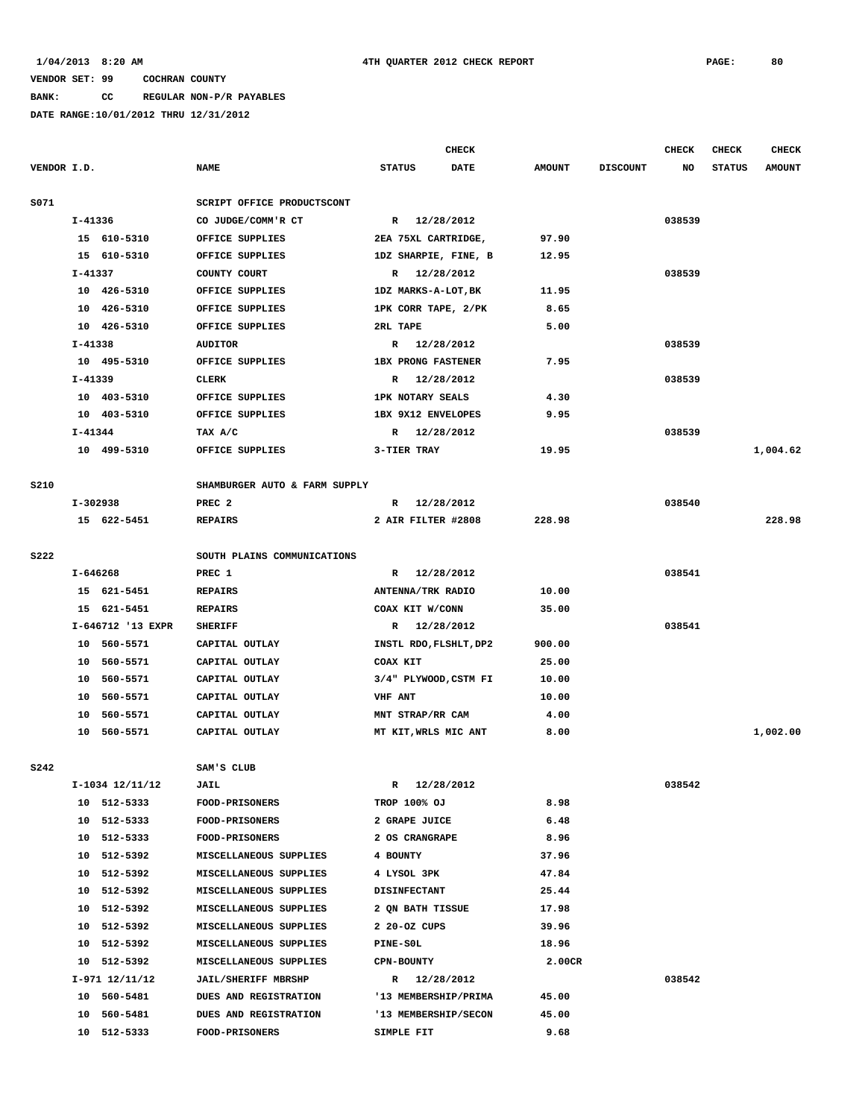### **BANK: CC REGULAR NON-P/R PAYABLES**

|             |            |                   |                               |                           | <b>CHECK</b> |               |                 | <b>CHECK</b> | <b>CHECK</b>  | <b>CHECK</b>  |
|-------------|------------|-------------------|-------------------------------|---------------------------|--------------|---------------|-----------------|--------------|---------------|---------------|
| VENDOR I.D. |            |                   | <b>NAME</b>                   | <b>STATUS</b>             | <b>DATE</b>  | <b>AMOUNT</b> | <b>DISCOUNT</b> | NO           | <b>STATUS</b> | <b>AMOUNT</b> |
|             |            |                   |                               |                           |              |               |                 |              |               |               |
| S071        |            |                   | SCRIPT OFFICE PRODUCTSCONT    |                           |              |               |                 |              |               |               |
|             | I-41336    |                   | CO JUDGE/COMM'R CT            | R 12/28/2012              |              |               |                 | 038539       |               |               |
|             |            | 15 610-5310       | OFFICE SUPPLIES               | 2EA 75XL CARTRIDGE,       |              | 97.90         |                 |              |               |               |
|             |            | 15 610-5310       | OFFICE SUPPLIES               | 1DZ SHARPIE, FINE, B      |              | 12.95         |                 |              |               |               |
|             | $I-41337$  |                   | COUNTY COURT                  | R 12/28/2012              |              |               |                 | 038539       |               |               |
|             |            | 10 426-5310       | OFFICE SUPPLIES               | 1DZ MARKS-A-LOT, BK       |              | 11.95         |                 |              |               |               |
|             |            | 10 426-5310       | OFFICE SUPPLIES               | 1PK CORR TAPE, 2/PK       |              | 8.65          |                 |              |               |               |
|             |            | 10 426-5310       | OFFICE SUPPLIES               | 2RL TAPE                  |              | 5.00          |                 |              |               |               |
|             | I-41338    |                   | <b>AUDITOR</b>                | R 12/28/2012              |              |               |                 | 038539       |               |               |
|             |            | 10 495-5310       | OFFICE SUPPLIES               | <b>1BX PRONG FASTENER</b> |              | 7.95          |                 |              |               |               |
|             | I-41339    |                   | CLERK                         | R 12/28/2012              |              |               |                 | 038539       |               |               |
|             |            | 10 403-5310       | OFFICE SUPPLIES               | <b>1PK NOTARY SEALS</b>   |              | 4.30          |                 |              |               |               |
|             |            | 10 403-5310       | OFFICE SUPPLIES               | 1BX 9X12 ENVELOPES        |              | 9.95          |                 |              |               |               |
|             | I-41344    |                   | TAX A/C                       | R 12/28/2012              |              |               |                 | 038539       |               |               |
|             |            | 10 499-5310       | OFFICE SUPPLIES               | 3-TIER TRAY               |              | 19.95         |                 |              |               | 1,004.62      |
|             |            |                   |                               |                           |              |               |                 |              |               |               |
| <b>S210</b> |            |                   | SHAMBURGER AUTO & FARM SUPPLY |                           |              |               |                 |              |               |               |
|             | $I-302938$ |                   | PREC <sub>2</sub>             | R 12/28/2012              |              |               |                 | 038540       |               |               |
|             |            | 15 622-5451       | <b>REPAIRS</b>                | 2 AIR FILTER #2808        |              | 228.98        |                 |              |               | 228.98        |
|             |            |                   |                               |                           |              |               |                 |              |               |               |
| <b>S222</b> |            |                   | SOUTH PLAINS COMMUNICATIONS   |                           |              |               |                 |              |               |               |
|             | I-646268   |                   | PREC 1                        | R 12/28/2012              |              |               |                 | 038541       |               |               |
|             |            | 15 621-5451       | <b>REPAIRS</b>                | ANTENNA/TRK RADIO         |              | 10.00         |                 |              |               |               |
|             |            | 15 621-5451       | <b>REPAIRS</b>                | COAX KIT W/CONN           |              | 35.00         |                 |              |               |               |
|             |            | I-646712 '13 EXPR | <b>SHERIFF</b>                | R 12/28/2012              |              |               |                 | 038541       |               |               |
|             |            | 10 560-5571       | CAPITAL OUTLAY                | INSTL RDO, FLSHLT, DP2    |              | 900.00        |                 |              |               |               |
|             |            | 10 560-5571       | CAPITAL OUTLAY                | COAX KIT                  |              | 25.00         |                 |              |               |               |
|             |            | 10 560-5571       | CAPITAL OUTLAY                | 3/4" PLYWOOD, CSTM FI     |              | 10.00         |                 |              |               |               |
|             |            | 10 560-5571       | CAPITAL OUTLAY                | VHF ANT                   |              | 10.00         |                 |              |               |               |
|             | 10         | 560-5571          | CAPITAL OUTLAY                | MNT STRAP/RR CAM          |              | 4.00          |                 |              |               |               |
|             |            | 10 560-5571       | CAPITAL OUTLAY                | MT KIT, WRLS MIC ANT      |              | 8.00          |                 |              |               | 1,002.00      |
|             |            |                   |                               |                           |              |               |                 |              |               |               |
| <b>S242</b> |            |                   | SAM'S CLUB                    |                           |              |               |                 |              |               |               |
|             |            | I-1034 12/11/12   | <b>JAIL</b>                   | R 12/28/2012              |              |               |                 | 038542       |               |               |
|             |            | 10 512-5333       | <b>FOOD-PRISONERS</b>         | TROP 100% OJ              |              | 8.98          |                 |              |               |               |
|             |            | 10 512-5333       | <b>FOOD-PRISONERS</b>         | 2 GRAPE JUICE             |              | 6.48          |                 |              |               |               |
|             |            | 10 512-5333       | <b>FOOD-PRISONERS</b>         | 2 OS CRANGRAPE            |              | 8.96          |                 |              |               |               |
|             |            | 10 512-5392       | MISCELLANEOUS SUPPLIES        | 4 BOUNTY                  |              | 37.96         |                 |              |               |               |
|             |            | 10 512-5392       | MISCELLANEOUS SUPPLIES        | 4 LYSOL 3PK               |              | 47.84         |                 |              |               |               |
|             |            | 10 512-5392       | MISCELLANEOUS SUPPLIES        | <b>DISINFECTANT</b>       |              | 25.44         |                 |              |               |               |
|             |            | 10 512-5392       | MISCELLANEOUS SUPPLIES        | 2 ON BATH TISSUE          |              | 17.98         |                 |              |               |               |
|             |            | 10 512-5392       | MISCELLANEOUS SUPPLIES        | 2 20-OZ CUPS              |              | 39.96         |                 |              |               |               |
|             |            | 10 512-5392       | MISCELLANEOUS SUPPLIES        | <b>PINE-SOL</b>           |              | 18.96         |                 |              |               |               |
|             |            | 10 512-5392       | MISCELLANEOUS SUPPLIES        | <b>CPN-BOUNTY</b>         |              | 2.00CR        |                 |              |               |               |
|             |            | I-971 12/11/12    | <b>JAIL/SHERIFF MBRSHP</b>    | R 12/28/2012              |              |               |                 | 038542       |               |               |
|             |            | 10 560-5481       | DUES AND REGISTRATION         | '13 MEMBERSHIP/PRIMA      |              | 45.00         |                 |              |               |               |
|             |            | 10 560-5481       | DUES AND REGISTRATION         | '13 MEMBERSHIP/SECON      |              | 45.00         |                 |              |               |               |
|             |            | 10 512-5333       | <b>FOOD-PRISONERS</b>         | SIMPLE FIT                |              | 9.68          |                 |              |               |               |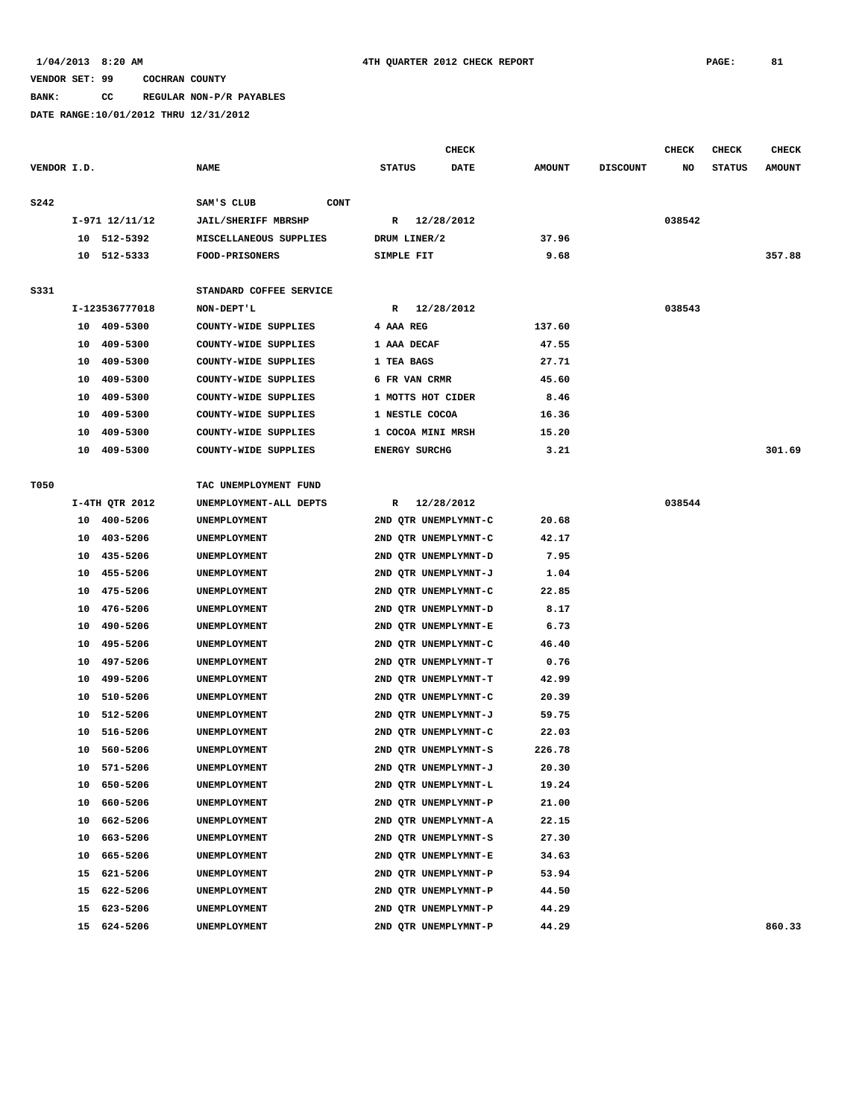### **BANK: CC REGULAR NON-P/R PAYABLES**

|             |    |                |                            |                   | <b>CHECK</b>         |               |                 | CHECK  | CHECK         | <b>CHECK</b>  |
|-------------|----|----------------|----------------------------|-------------------|----------------------|---------------|-----------------|--------|---------------|---------------|
| VENDOR I.D. |    |                | <b>NAME</b>                | <b>STATUS</b>     | DATE                 | <b>AMOUNT</b> | <b>DISCOUNT</b> | NO     | <b>STATUS</b> | <b>AMOUNT</b> |
| <b>S242</b> |    |                | SAM'S CLUB<br><b>CONT</b>  |                   |                      |               |                 |        |               |               |
|             |    | I-971 12/11/12 | <b>JAIL/SHERIFF MBRSHP</b> |                   | R 12/28/2012         |               |                 | 038542 |               |               |
|             |    | 10 512-5392    | MISCELLANEOUS SUPPLIES     | DRUM LINER/2      |                      | 37.96         |                 |        |               |               |
|             |    | 10 512-5333    | <b>FOOD-PRISONERS</b>      | SIMPLE FIT        |                      | 9.68          |                 |        |               | 357.88        |
|             |    |                |                            |                   |                      |               |                 |        |               |               |
| S331        |    |                | STANDARD COFFEE SERVICE    |                   |                      |               |                 |        |               |               |
|             |    | I-123536777018 | NON-DEPT'L                 |                   | R 12/28/2012         |               |                 | 038543 |               |               |
|             |    | 10 409-5300    | COUNTY-WIDE SUPPLIES       | 4 AAA REG         |                      | 137.60        |                 |        |               |               |
|             | 10 | 409-5300       | COUNTY-WIDE SUPPLIES       | 1 AAA DECAF       |                      | 47.55         |                 |        |               |               |
|             | 10 | 409-5300       | COUNTY-WIDE SUPPLIES       | 1 TEA BAGS        |                      | 27.71         |                 |        |               |               |
|             | 10 | 409-5300       | COUNTY-WIDE SUPPLIES       | 6 FR VAN CRMR     |                      | 45.60         |                 |        |               |               |
|             | 10 | 409-5300       | COUNTY-WIDE SUPPLIES       | 1 MOTTS HOT CIDER |                      | 8.46          |                 |        |               |               |
|             | 10 | 409-5300       | COUNTY-WIDE SUPPLIES       | 1 NESTLE COCOA    |                      | 16.36         |                 |        |               |               |
|             | 10 | 409-5300       | COUNTY-WIDE SUPPLIES       | 1 COCOA MINI MRSH |                      | 15.20         |                 |        |               |               |
|             | 10 | 409-5300       | COUNTY-WIDE SUPPLIES       | ENERGY SURCHG     |                      | 3.21          |                 |        |               | 301.69        |
|             |    |                |                            |                   |                      |               |                 |        |               |               |
| T050        |    |                | TAC UNEMPLOYMENT FUND      |                   |                      |               |                 |        |               |               |
|             |    | I-4TH QTR 2012 | UNEMPLOYMENT-ALL DEPTS     | $\mathbb{R}$      | 12/28/2012           |               |                 | 038544 |               |               |
|             |    | 10 400-5206    | UNEMPLOYMENT               |                   | 2ND QTR UNEMPLYMNT-C | 20.68         |                 |        |               |               |
|             | 10 | 403-5206       | UNEMPLOYMENT               |                   | 2ND QTR UNEMPLYMNT-C | 42.17         |                 |        |               |               |
|             | 10 | 435-5206       | UNEMPLOYMENT               |                   | 2ND QTR UNEMPLYMNT-D | 7.95          |                 |        |               |               |
|             | 10 | 455-5206       | UNEMPLOYMENT               |                   | 2ND QTR UNEMPLYMNT-J | 1.04          |                 |        |               |               |
|             | 10 | 475-5206       | UNEMPLOYMENT               |                   | 2ND QTR UNEMPLYMNT-C | 22.85         |                 |        |               |               |
|             | 10 | 476-5206       | UNEMPLOYMENT               |                   | 2ND QTR UNEMPLYMNT-D | 8.17          |                 |        |               |               |
|             | 10 | 490-5206       | UNEMPLOYMENT               |                   | 2ND QTR UNEMPLYMNT-E | 6.73          |                 |        |               |               |
|             | 10 | 495-5206       | UNEMPLOYMENT               |                   | 2ND QTR UNEMPLYMNT-C | 46.40         |                 |        |               |               |
|             | 10 | 497-5206       | UNEMPLOYMENT               |                   | 2ND QTR UNEMPLYMNT-T | 0.76          |                 |        |               |               |
|             | 10 | 499-5206       | UNEMPLOYMENT               |                   | 2ND QTR UNEMPLYMNT-T | 42.99         |                 |        |               |               |
|             | 10 | 510-5206       | UNEMPLOYMENT               |                   | 2ND QTR UNEMPLYMNT-C | 20.39         |                 |        |               |               |
|             | 10 | 512-5206       | UNEMPLOYMENT               |                   | 2ND QTR UNEMPLYMNT-J | 59.75         |                 |        |               |               |
|             | 10 | 516-5206       | UNEMPLOYMENT               |                   | 2ND QTR UNEMPLYMNT-C | 22.03         |                 |        |               |               |
|             | 10 | 560-5206       | UNEMPLOYMENT               |                   | 2ND QTR UNEMPLYMNT-S | 226.78        |                 |        |               |               |
|             |    | 10 571-5206    | UNEMPLOYMENT               |                   | 2ND QTR UNEMPLYMNT-J | 20.30         |                 |        |               |               |
|             | 10 | 650-5206       | UNEMPLOYMENT               |                   | 2ND QTR UNEMPLYMNT-L | 19.24         |                 |        |               |               |
|             | 10 | 660-5206       | UNEMPLOYMENT               |                   | 2ND QTR UNEMPLYMNT-P | 21.00         |                 |        |               |               |
|             | 10 | 662-5206       | UNEMPLOYMENT               |                   | 2ND OTR UNEMPLYMNT-A | 22.15         |                 |        |               |               |
|             | 10 | 663-5206       | UNEMPLOYMENT               |                   | 2ND QTR UNEMPLYMNT-S | 27.30         |                 |        |               |               |
|             | 10 | 665-5206       | UNEMPLOYMENT               |                   | 2ND OTR UNEMPLYMNT-E | 34.63         |                 |        |               |               |
|             | 15 | 621-5206       | UNEMPLOYMENT               |                   | 2ND OTR UNEMPLYMNT-P | 53.94         |                 |        |               |               |
|             | 15 | 622-5206       | UNEMPLOYMENT               |                   | 2ND QTR UNEMPLYMNT-P | 44.50         |                 |        |               |               |
|             | 15 | 623-5206       | UNEMPLOYMENT               |                   | 2ND QTR UNEMPLYMNT-P | 44.29         |                 |        |               |               |
|             | 15 | 624-5206       | UNEMPLOYMENT               |                   | 2ND QTR UNEMPLYMNT-P | 44.29         |                 |        |               | 860.33        |
|             |    |                |                            |                   |                      |               |                 |        |               |               |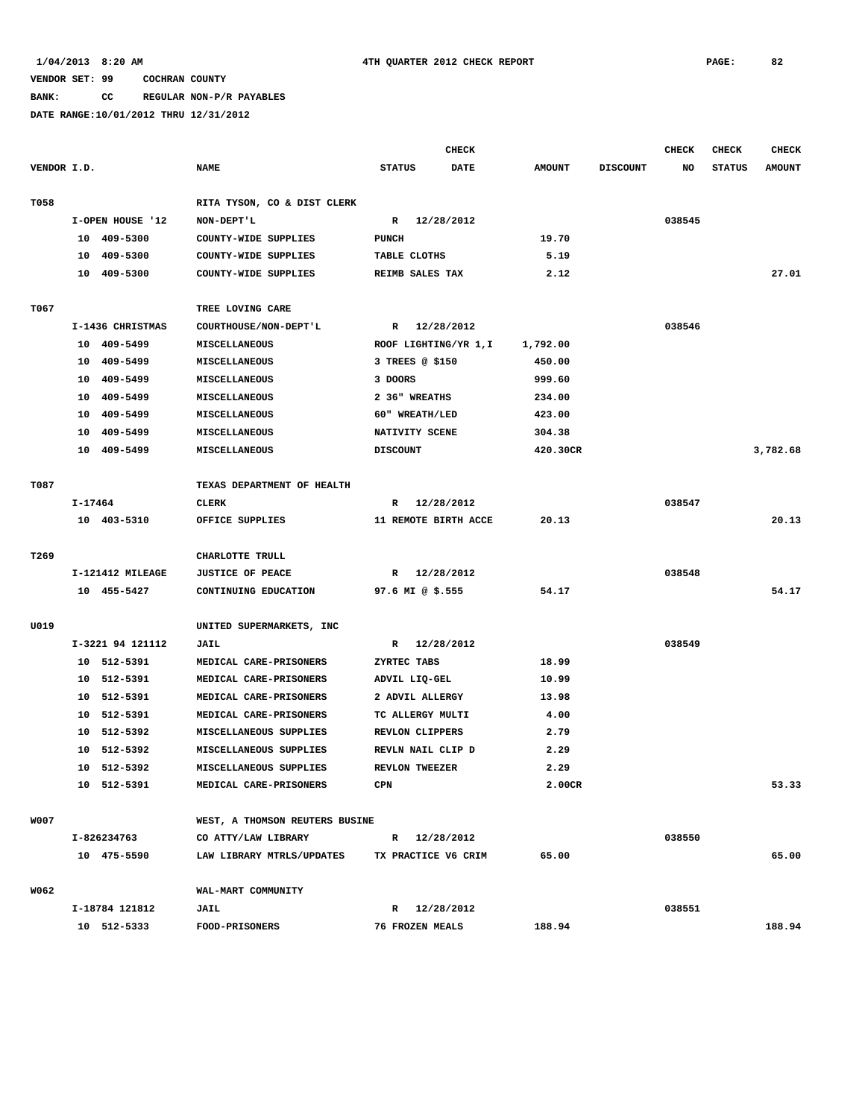### **BANK: CC REGULAR NON-P/R PAYABLES**

|             |         |                  |                                |                        | <b>CHECK</b> |               |                 | CHECK  | <b>CHECK</b>  | <b>CHECK</b>  |
|-------------|---------|------------------|--------------------------------|------------------------|--------------|---------------|-----------------|--------|---------------|---------------|
| VENDOR I.D. |         |                  | <b>NAME</b>                    | <b>STATUS</b>          | <b>DATE</b>  | <b>AMOUNT</b> | <b>DISCOUNT</b> | NO     | <b>STATUS</b> | <b>AMOUNT</b> |
| T058        |         |                  | RITA TYSON, CO & DIST CLERK    |                        |              |               |                 |        |               |               |
|             |         | I-OPEN HOUSE '12 | NON-DEPT'L                     | R 12/28/2012           |              |               |                 | 038545 |               |               |
|             |         | 10 409-5300      | COUNTY-WIDE SUPPLIES           | <b>PUNCH</b>           |              | 19.70         |                 |        |               |               |
|             |         | 10 409-5300      | COUNTY-WIDE SUPPLIES           | TABLE CLOTHS           |              | 5.19          |                 |        |               |               |
|             |         | 10 409-5300      | COUNTY-WIDE SUPPLIES           | REIMB SALES TAX        |              | 2.12          |                 |        |               | 27.01         |
| T067        |         |                  | TREE LOVING CARE               |                        |              |               |                 |        |               |               |
|             |         | I-1436 CHRISTMAS | COURTHOUSE/NON-DEPT'L          | R 12/28/2012           |              |               |                 | 038546 |               |               |
|             |         | 10 409-5499      | MISCELLANEOUS                  | ROOF LIGHTING/YR 1, I  |              | 1,792.00      |                 |        |               |               |
|             |         | 10 409-5499      | MISCELLANEOUS                  | 3 TREES @ \$150        |              | 450.00        |                 |        |               |               |
|             |         | 10 409-5499      | MISCELLANEOUS                  | 3 DOORS                |              | 999.60        |                 |        |               |               |
|             |         | 10 409-5499      | MISCELLANEOUS                  | 2 36" WREATHS          |              | 234.00        |                 |        |               |               |
|             |         | 10 409-5499      | MISCELLANEOUS                  | 60" WREATH/LED         |              | 423.00        |                 |        |               |               |
|             | 10      | 409–5499         | MISCELLANEOUS                  | NATIVITY SCENE         |              | 304.38        |                 |        |               |               |
|             |         | 10 409-5499      | MISCELLANEOUS                  | <b>DISCOUNT</b>        |              | 420.30CR      |                 |        |               | 3,782.68      |
| T087        |         |                  | TEXAS DEPARTMENT OF HEALTH     |                        |              |               |                 |        |               |               |
|             | I-17464 |                  | CLERK                          | R 12/28/2012           |              |               |                 | 038547 |               |               |
|             |         | 10 403-5310      | OFFICE SUPPLIES                | 11 REMOTE BIRTH ACCE   |              | 20.13         |                 |        |               | 20.13         |
| T269        |         |                  | CHARLOTTE TRULL                |                        |              |               |                 |        |               |               |
|             |         | I-121412 MILEAGE | <b>JUSTICE OF PEACE</b>        | $\mathbb{R}$           | 12/28/2012   |               |                 | 038548 |               |               |
|             |         | 10 455-5427      | CONTINUING EDUCATION           | 97.6 MI @ \$.555       |              | 54.17         |                 |        |               | 54.17         |
| U019        |         |                  | UNITED SUPERMARKETS, INC       |                        |              |               |                 |        |               |               |
|             |         | I-3221 94 121112 | <b>JAIL</b>                    | R 12/28/2012           |              |               |                 | 038549 |               |               |
|             |         | 10 512-5391      | MEDICAL CARE-PRISONERS         | ZYRTEC TABS            |              | 18.99         |                 |        |               |               |
|             |         | 10 512-5391      | MEDICAL CARE-PRISONERS         | ADVIL LIQ-GEL          |              | 10.99         |                 |        |               |               |
|             |         | 10 512-5391      | MEDICAL CARE-PRISONERS         | 2 ADVIL ALLERGY        |              | 13.98         |                 |        |               |               |
|             |         | 10 512-5391      | MEDICAL CARE-PRISONERS         | TC ALLERGY MULTI       |              | 4.00          |                 |        |               |               |
|             |         | 10 512-5392      | MISCELLANEOUS SUPPLIES         | REVLON CLIPPERS        |              | 2.79          |                 |        |               |               |
|             | 10      | 512-5392         | MISCELLANEOUS SUPPLIES         | REVLN NAIL CLIP D      |              | 2.29          |                 |        |               |               |
|             |         | 10 512-5392      | MISCELLANEOUS SUPPLIES         | REVLON TWEEZER         |              | 2.29          |                 |        |               |               |
|             |         | 10 512-5391      | MEDICAL CARE-PRISONERS         | CPN                    |              | 2.00CR        |                 |        |               | 53.33         |
| <b>W007</b> |         |                  | WEST, A THOMSON REUTERS BUSINE |                        |              |               |                 |        |               |               |
|             |         | I-826234763      | CO ATTY/LAW LIBRARY            | R 12/28/2012           |              |               |                 | 038550 |               |               |
|             |         | 10 475-5590      | LAW LIBRARY MTRLS/UPDATES      | TX PRACTICE V6 CRIM    |              | 65.00         |                 |        |               | 65.00         |
| W062        |         |                  | WAL-MART COMMUNITY             |                        |              |               |                 |        |               |               |
|             |         | I-18784 121812   | <b>JAIL</b>                    | R 12/28/2012           |              |               |                 | 038551 |               |               |
|             |         | 10 512-5333      | FOOD-PRISONERS                 | <b>76 FROZEN MEALS</b> |              | 188.94        |                 |        |               | 188.94        |
|             |         |                  |                                |                        |              |               |                 |        |               |               |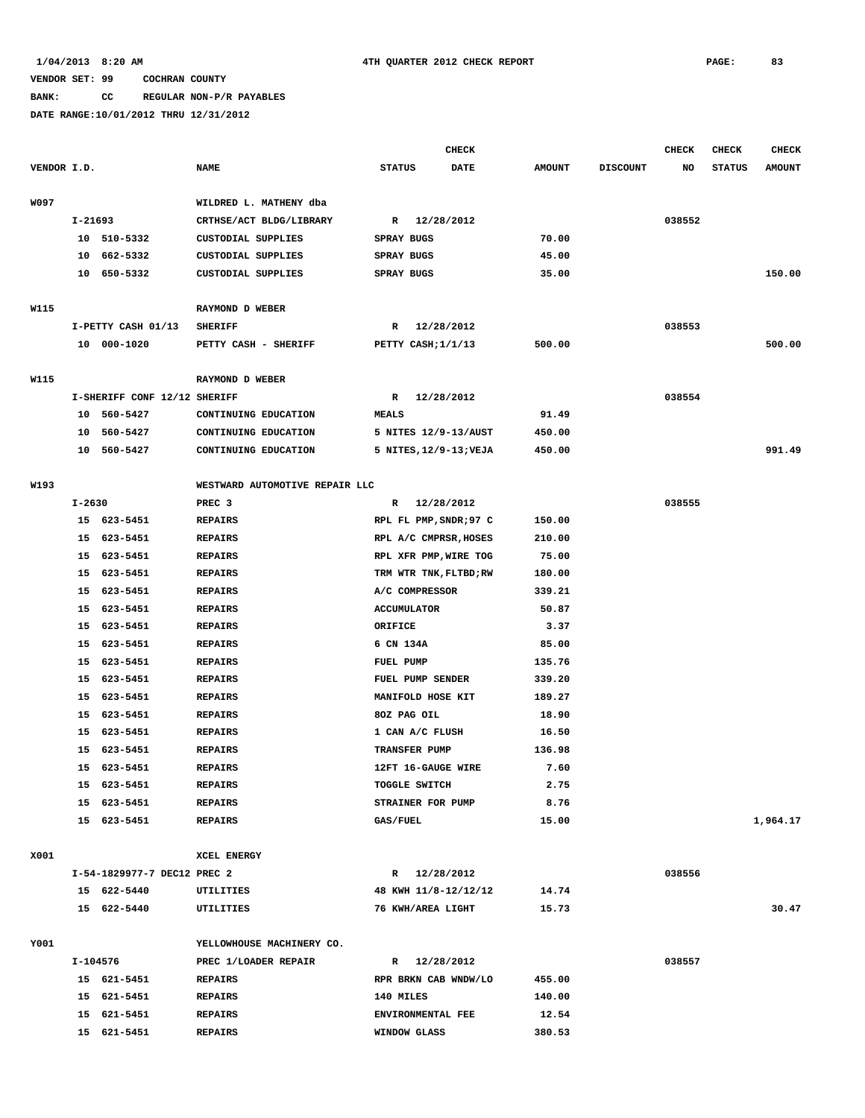# **BANK: CC REGULAR NON-P/R PAYABLES**

|             |          |                              |                                |                    | <b>CHECK</b>           |               |                 | <b>CHECK</b> | <b>CHECK</b>  | <b>CHECK</b>  |
|-------------|----------|------------------------------|--------------------------------|--------------------|------------------------|---------------|-----------------|--------------|---------------|---------------|
| VENDOR I.D. |          |                              | <b>NAME</b>                    | <b>STATUS</b>      | <b>DATE</b>            | <b>AMOUNT</b> | <b>DISCOUNT</b> | NO           | <b>STATUS</b> | <b>AMOUNT</b> |
|             |          |                              |                                |                    |                        |               |                 |              |               |               |
| W097        |          |                              | WILDRED L. MATHENY dba         |                    |                        |               |                 |              |               |               |
|             | I-21693  |                              | CRTHSE/ACT BLDG/LIBRARY        | $\mathbb{R}$       | 12/28/2012             |               |                 | 038552       |               |               |
|             |          | 10 510-5332                  | CUSTODIAL SUPPLIES             | SPRAY BUGS         |                        | 70.00         |                 |              |               |               |
|             | 10       | 662-5332                     | CUSTODIAL SUPPLIES             | SPRAY BUGS         |                        | 45.00         |                 |              |               |               |
|             | 10       | 650-5332                     | CUSTODIAL SUPPLIES             | SPRAY BUGS         |                        | 35.00         |                 |              |               | 150.00        |
|             |          |                              |                                |                    |                        |               |                 |              |               |               |
| W115        |          |                              | RAYMOND D WEBER                |                    |                        |               |                 |              |               |               |
|             |          | I-PETTY CASH 01/13           | <b>SHERIFF</b>                 | R                  | 12/28/2012             |               |                 | 038553       |               |               |
|             |          | 10 000-1020                  | PETTY CASH - SHERIFF           | PETTY CASH; 1/1/13 |                        | 500.00        |                 |              |               | 500.00        |
|             |          |                              |                                |                    |                        |               |                 |              |               |               |
| W115        |          |                              | RAYMOND D WEBER                |                    |                        |               |                 |              |               |               |
|             |          | I-SHERIFF CONF 12/12 SHERIFF |                                | R                  | 12/28/2012             |               |                 | 038554       |               |               |
|             |          | 10 560-5427                  | CONTINUING EDUCATION           | <b>MEALS</b>       |                        | 91.49         |                 |              |               |               |
|             | 10       | 560-5427                     | CONTINUING EDUCATION           |                    | 5 NITES 12/9-13/AUST   | 450.00        |                 |              |               |               |
|             |          | 10 560-5427                  | CONTINUING EDUCATION           |                    | 5 NITES, 12/9-13; VEJA | 450.00        |                 |              |               | 991.49        |
|             |          |                              |                                |                    |                        |               |                 |              |               |               |
| W193        |          |                              | WESTWARD AUTOMOTIVE REPAIR LLC |                    |                        |               |                 |              |               |               |
|             | I-2630   |                              | PREC <sub>3</sub>              |                    | R 12/28/2012           |               |                 | 038555       |               |               |
|             |          | 15 623-5451                  | <b>REPAIRS</b>                 |                    | RPL FL PMP, SNDR; 97 C | 150.00        |                 |              |               |               |
|             |          | 15 623-5451                  | <b>REPAIRS</b>                 |                    | RPL A/C CMPRSR, HOSES  | 210.00        |                 |              |               |               |
|             |          | 15 623-5451                  | <b>REPAIRS</b>                 |                    | RPL XFR PMP, WIRE TOG  | 75.00         |                 |              |               |               |
|             | 15       | 623-5451                     | <b>REPAIRS</b>                 |                    | TRM WTR TNK, FLTBD; RW | 180.00        |                 |              |               |               |
|             | 15       | 623-5451                     | <b>REPAIRS</b>                 | A/C COMPRESSOR     |                        | 339.21        |                 |              |               |               |
|             |          | 15 623-5451                  | <b>REPAIRS</b>                 | <b>ACCUMULATOR</b> |                        | 50.87         |                 |              |               |               |
|             |          | 15 623-5451                  | <b>REPAIRS</b>                 | ORIFICE            |                        | 3.37          |                 |              |               |               |
|             |          | 15 623-5451                  | <b>REPAIRS</b>                 | 6 CN 134A          |                        | 85.00         |                 |              |               |               |
|             |          | 15 623-5451                  | <b>REPAIRS</b>                 | FUEL PUMP          |                        | 135.76        |                 |              |               |               |
|             | 15       | 623-5451                     | <b>REPAIRS</b>                 | FUEL PUMP SENDER   |                        | 339.20        |                 |              |               |               |
|             | 15       | 623-5451                     | <b>REPAIRS</b>                 | MANIFOLD HOSE KIT  |                        | 189.27        |                 |              |               |               |
|             |          | 15 623-5451                  | <b>REPAIRS</b>                 | 80Z PAG OIL        |                        | 18.90         |                 |              |               |               |
|             | 15       | 623-5451                     | <b>REPAIRS</b>                 | 1 CAN A/C FLUSH    |                        | 16.50         |                 |              |               |               |
|             | 15       | 623-5451                     | <b>REPAIRS</b>                 | TRANSFER PUMP      |                        | 136.98        |                 |              |               |               |
|             | 15       | 623-5451                     | <b>REPAIRS</b>                 | 12FT 16-GAUGE WIRE |                        | 7.60          |                 |              |               |               |
|             |          | 15 623-5451                  | <b>REPAIRS</b>                 | TOGGLE SWITCH      |                        | 2.75          |                 |              |               |               |
|             |          | 15 623-5451                  | <b>REPAIRS</b>                 | STRAINER FOR PUMP  |                        | 8.76          |                 |              |               |               |
|             |          | 15 623-5451                  | <b>REPAIRS</b>                 | GAS/FUEL           |                        | 15.00         |                 |              |               | 1,964.17      |
|             |          |                              |                                |                    |                        |               |                 |              |               |               |
| X001        |          |                              | XCEL ENERGY                    |                    |                        |               |                 |              |               |               |
|             |          | I-54-1829977-7 DEC12 PREC 2  |                                |                    | R 12/28/2012           |               |                 | 038556       |               |               |
|             |          | 15 622-5440                  | UTILITIES                      |                    | 48 KWH 11/8-12/12/12   | 14.74         |                 |              |               |               |
|             |          | 15 622-5440                  | UTILITIES                      | 76 KWH/AREA LIGHT  |                        | 15.73         |                 |              |               | 30.47         |
|             |          |                              |                                |                    |                        |               |                 |              |               |               |
| Y001        |          |                              | YELLOWHOUSE MACHINERY CO.      |                    |                        |               |                 |              |               |               |
|             | I-104576 |                              | PREC 1/LOADER REPAIR           |                    | R 12/28/2012           |               |                 | 038557       |               |               |
|             |          | 15 621-5451                  | <b>REPAIRS</b>                 |                    | RPR BRKN CAB WNDW/LO   | 455.00        |                 |              |               |               |
|             |          | 15 621-5451                  | <b>REPAIRS</b>                 | 140 MILES          |                        | 140.00        |                 |              |               |               |
|             |          | 15 621-5451                  | <b>REPAIRS</b>                 | ENVIRONMENTAL FEE  |                        | 12.54         |                 |              |               |               |
|             |          | 15 621-5451                  | <b>REPAIRS</b>                 | WINDOW GLASS       |                        | 380.53        |                 |              |               |               |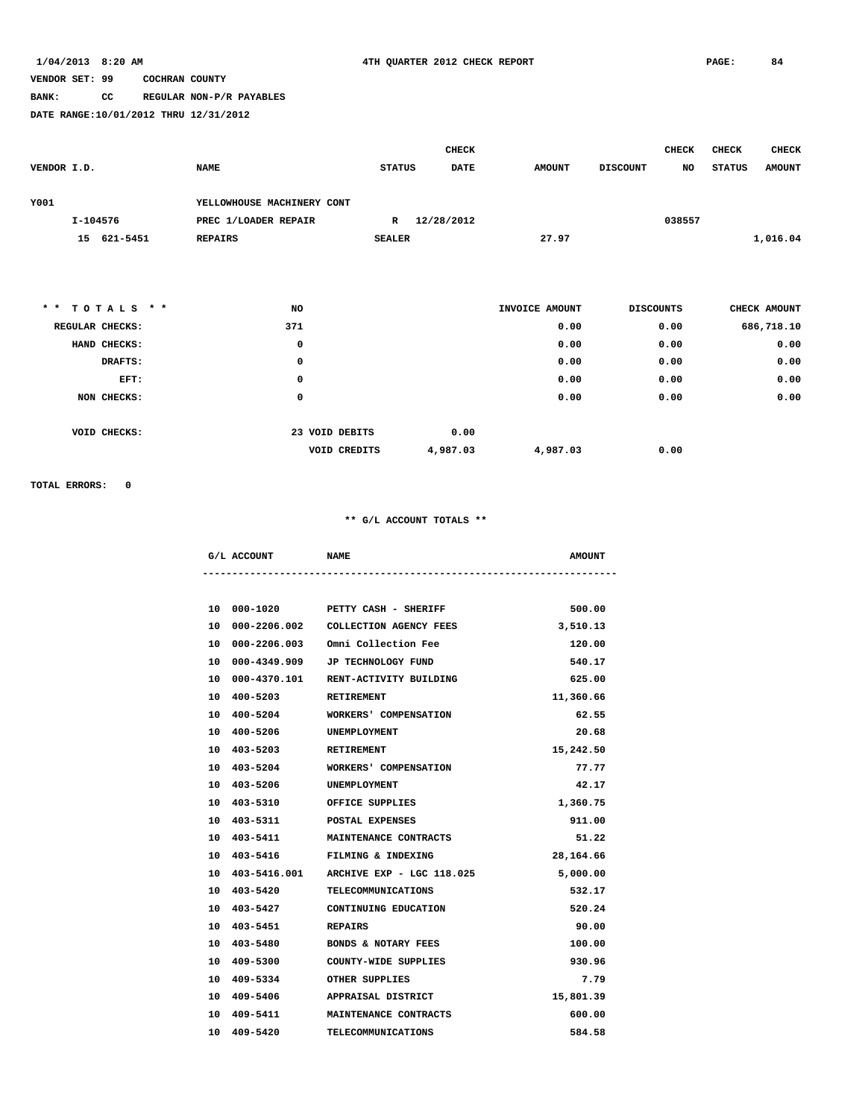### **BANK: CC REGULAR NON-P/R PAYABLES**

**DATE RANGE:10/01/2012 THRU 12/31/2012**

|             |                |                            |               | <b>CHECK</b> |               |                 | <b>CHECK</b> | <b>CHECK</b> | <b>CHECK</b>  |
|-------------|----------------|----------------------------|---------------|--------------|---------------|-----------------|--------------|--------------|---------------|
| VENDOR I.D. |                | <b>NAME</b>                | <b>STATUS</b> | <b>DATE</b>  | <b>AMOUNT</b> | <b>DISCOUNT</b> | NO           | STATUS       | <b>AMOUNT</b> |
|             |                |                            |               |              |               |                 |              |              |               |
| Y001        |                | YELLOWHOUSE MACHINERY CONT |               |              |               |                 |              |              |               |
|             | I-104576       | PREC 1/LOADER REPAIR       | R             | 12/28/2012   |               |                 | 038557       |              |               |
|             | 621-5451<br>15 | <b>REPAIRS</b>             | <b>SEALER</b> |              | 27.97         |                 |              |              | 1,016.04      |
|             |                |                            |               |              |               |                 |              |              |               |

| ** TOTALS **    | NO  |                                 | INVOICE AMOUNT | <b>DISCOUNTS</b> | CHECK AMOUNT |
|-----------------|-----|---------------------------------|----------------|------------------|--------------|
| REGULAR CHECKS: | 371 |                                 | 0.00           | 0.00             | 686,718.10   |
| HAND CHECKS:    | 0   |                                 | 0.00           | 0.00             | 0.00         |
| DRAFTS:         | 0   |                                 | 0.00           | 0.00             | 0.00         |
| EFT:            | 0   |                                 | 0.00           | 0.00             | 0.00         |
| NON CHECKS:     | 0   |                                 | 0.00           | 0.00             | 0.00         |
|                 |     |                                 |                |                  |              |
| VOID CHECKS:    |     | 23 VOID DEBITS<br>0.00          |                |                  |              |
|                 |     | 4,987.03<br><b>VOID CREDITS</b> | 4,987.03       | 0.00             |              |
|                 |     |                                 |                |                  |              |

**TOTAL ERRORS: 0**

| G/L ACCOUNT                 | <b>NAME</b>                                      | <b>AMOUNT</b> |
|-----------------------------|--------------------------------------------------|---------------|
|                             |                                                  |               |
|                             | 10 000-1020 PETTY CASH - SHERIFF                 | 500.00        |
|                             | 10 000-2206.002 COLLECTION AGENCY FEES           | 3,510.13      |
|                             | 10 000-2206.003 Omni Collection Fee              | 120.00        |
|                             | 10 000-4349.909 JP TECHNOLOGY FUND               | 540.17        |
|                             | 10 000-4370.101 RENT-ACTIVITY BUILDING           | 625.00        |
| 10 400-5203 RETIREMENT      |                                                  | 11,360.66     |
| 10 400-5204                 | WORKERS' COMPENSATION                            | 62.55         |
| 10 400-5206 UNEMPLOYMENT    |                                                  | 20.68         |
| 10 403-5203 RETIREMENT      |                                                  | 15,242.50     |
| 10 403-5204                 | WORKERS' COMPENSATION                            | 77.77         |
| 10 403-5206 UNEMPLOYMENT    |                                                  | 42.17         |
| 10 403-5310 OFFICE SUPPLIES |                                                  | 1,360.75      |
| 10 403-5311                 | POSTAL EXPENSES                                  | 911.00        |
|                             | 10 403-5411 MAINTENANCE CONTRACTS                | 51.22         |
|                             | 10 403-5416 FILMING & INDEXING                   | 28,164.66     |
|                             | 10  403-5416.001    ARCHIVE EXP - LGC    118.025 | 5,000.00      |
| 10 403-5420                 | <b>TELECOMMUNICATIONS</b>                        | 532.17        |
|                             | 10 403-5427 CONTINUING EDUCATION                 | 520.24        |
| 10 403-5451                 | REPAIRS                                          | 90.00         |
|                             | 10 403-5480 BONDS & NOTARY FEES                  | 100.00        |
|                             | 10 409-5300 COUNTY-WIDE SUPPLIES                 | 930.96        |
| 10 409-5334                 | OTHER SUPPLIES                                   | 7.79          |
|                             | 10 409-5406 APPRAISAL DISTRICT                   | 15,801.39     |
|                             | 10 409-5411 MAINTENANCE CONTRACTS                | 600.00        |
| 10 409-5420                 | <b>TELECOMMUNICATIONS</b>                        | 584.58        |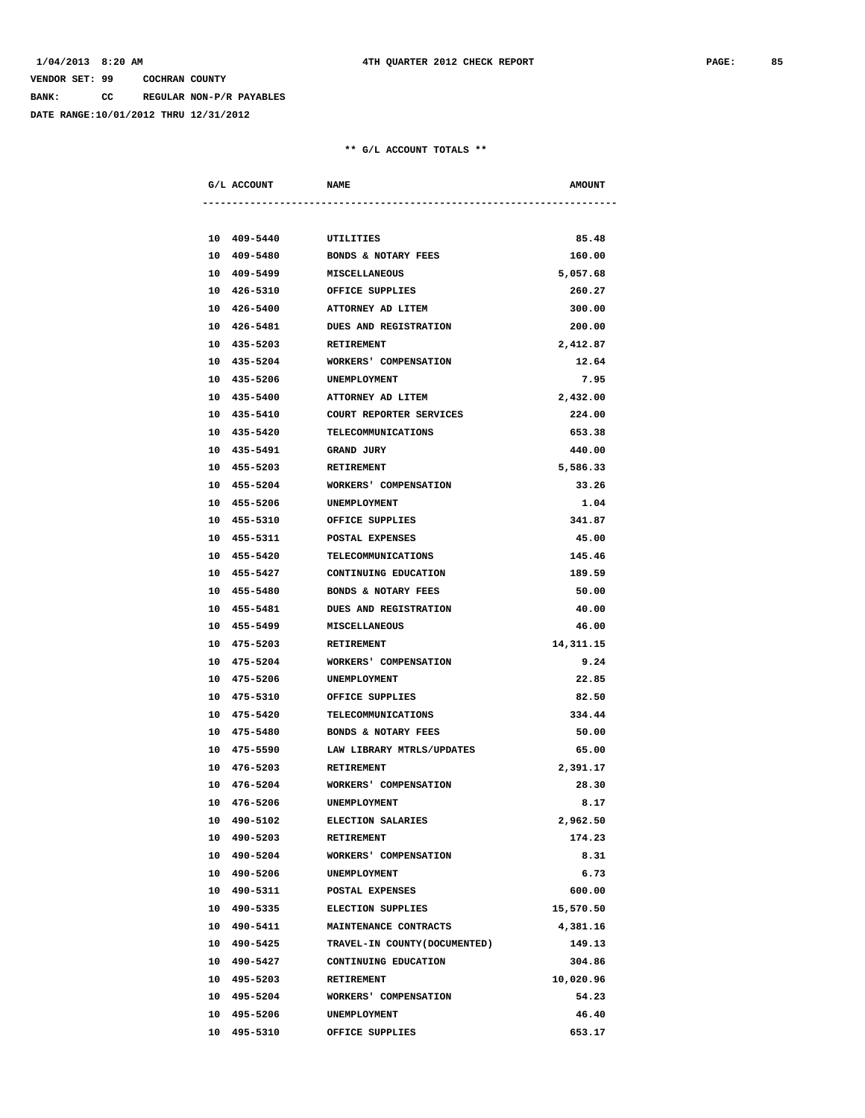**BANK: CC REGULAR NON-P/R PAYABLES**

**DATE RANGE:10/01/2012 THRU 12/31/2012**

| G/L ACCOUNT            | <b>NAME</b>                       | <b>AMOUNT</b> |
|------------------------|-----------------------------------|---------------|
|                        |                                   |               |
| 10 409-5440 UTILITIES  |                                   | 85.48         |
| 10 409-5480            | <b>BONDS &amp; NOTARY FEES</b>    | 160.00        |
| 10 409-5499            | <b>MISCELLANEOUS</b>              | 5,057.68      |
|                        | 10 426-5310 OFFICE SUPPLIES       | 260.27        |
|                        | 10 426-5400 ATTORNEY AD LITEM     | 300.00        |
| 10 426-5481            | <b>DUES AND REGISTRATION</b>      | 200.00        |
| 10 435-5203            | RETIREMENT                        | 2,412.87      |
| 10 435-5204            | WORKERS' COMPENSATION             | 12.64         |
| 10 435-5206            | UNEMPLOYMENT                      | 7.95          |
| 10 435-5400            | ATTORNEY AD LITEM                 | 2,432.00      |
| 10 435-5410            | COURT REPORTER SERVICES           | 224.00        |
| 10 435-5420            | TELECOMMUNICATIONS                | 653.38        |
| 10 435-5491            | <b>GRAND JURY</b>                 | 440.00        |
| 10 455-5203 RETIREMENT |                                   | 5,586.33      |
|                        | 10 455-5204 WORKERS' COMPENSATION | 33.26         |
| 10 455-5206            | <b>UNEMPLOYMENT</b>               | 1.04          |
| 10 455-5310            | OFFICE SUPPLIES                   | 341.87        |
| 10 455-5311            | <b>POSTAL EXPENSES</b>            | 45.00         |
| 10 455-5420            | TELECOMMUNICATIONS                | 145.46        |
| 10 455-5427            | CONTINUING EDUCATION              | 189.59        |
| 10 455-5480            | <b>BONDS &amp; NOTARY FEES</b>    | 50.00         |
| 10 455-5481            | <b>DUES AND REGISTRATION</b>      | 40.00         |
| 10 455-5499            | <b>MISCELLANEOUS</b>              | 46.00         |
| 10 475-5203            | <b>RETIREMENT</b>                 | 14,311.15     |
| 10 475-5204            | <b>WORKERS' COMPENSATION</b>      | 9.24          |
| 10 475-5206            | UNEMPLOYMENT                      | 22.85         |
| 10 475-5310            | OFFICE SUPPLIES                   | 82.50         |
| 10 475-5420            | TELECOMMUNICATIONS                | 334.44        |
|                        | 10 475-5480 BONDS & NOTARY FEES   | 50.00         |
| 10 475-5590            | LAW LIBRARY MTRLS/UPDATES         | 65.00         |
| 10 476-5203            | RETIREMENT                        | 2,391.17      |
| 10 476-5204            | WORKERS' COMPENSATION             | 28.30         |
| 10 476-5206            | UNEMPLOYMENT                      | 8.17          |
| 10 490-5102            | ELECTION SALARIES                 | 2,962.50      |
| 10 490-5203            | RETIREMENT                        | 174.23        |
| 10 490-5204            | WORKERS' COMPENSATION             | 8.31          |
| 10 490-5206            | UNEMPLOYMENT                      | 6.73          |
| 10 490-5311            | POSTAL EXPENSES                   | 600.00        |
| 10 490-5335            | <b>ELECTION SUPPLIES</b>          | 15,570.50     |
| 10 490-5411            | MAINTENANCE CONTRACTS             | 4,381.16      |
| 10 490-5425            | TRAVEL-IN COUNTY (DOCUMENTED)     | 149.13        |
| 10 490-5427            | CONTINUING EDUCATION              | 304.86        |
| 10 495-5203            | RETIREMENT                        | 10,020.96     |
| 10 495-5204            | WORKERS' COMPENSATION             | 54.23         |
| 10 495-5206            | UNEMPLOYMENT                      | 46.40         |
| 10 495-5310            | OFFICE SUPPLIES                   | 653.17        |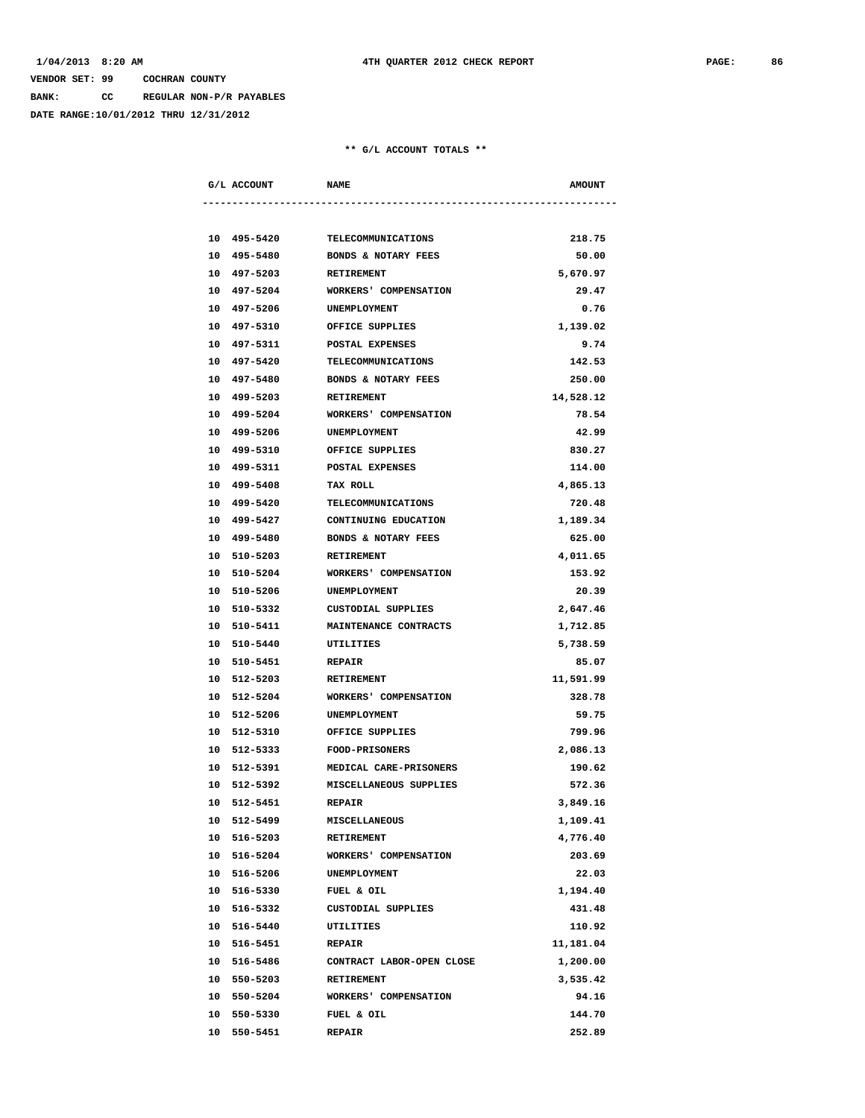**BANK: CC REGULAR NON-P/R PAYABLES**

**DATE RANGE:10/01/2012 THRU 12/31/2012**

| G/L ACCOUNT | <b>NAME</b>                    | <b>AMOUNT</b> |
|-------------|--------------------------------|---------------|
|             |                                |               |
| 10 495-5420 | TELECOMMUNICATIONS             | 218.75        |
| 10 495-5480 | <b>BONDS &amp; NOTARY FEES</b> | 50.00         |
| 10 497-5203 | RETIREMENT                     | 5,670.97      |
| 10 497-5204 | WORKERS' COMPENSATION          | 29.47         |
| 10 497-5206 | UNEMPLOYMENT                   | 0.76          |
| 10 497-5310 | OFFICE SUPPLIES                | 1,139.02      |
| 10 497-5311 | POSTAL EXPENSES                | 9.74          |
| 10 497-5420 | <b>TELECOMMUNICATIONS</b>      | 142.53        |
| 10 497-5480 | BONDS & NOTARY FEES            | 250.00        |
| 10 499-5203 | RETIREMENT                     | 14,528.12     |
| 10 499-5204 | WORKERS' COMPENSATION          | 78.54         |
| 10 499-5206 | UNEMPLOYMENT                   | 42.99         |
| 10 499-5310 | OFFICE SUPPLIES                | 830.27        |
| 10 499-5311 | POSTAL EXPENSES                | 114.00        |
| 10 499-5408 | TAX ROLL                       | 4,865.13      |
| 10 499-5420 | TELECOMMUNICATIONS             | 720.48        |
| 10 499-5427 | CONTINUING EDUCATION           | 1,189.34      |
| 10 499-5480 | BONDS & NOTARY FEES            | 625.00        |
| 10 510-5203 | <b>RETIREMENT</b>              | 4,011.65      |
| 10 510-5204 | WORKERS' COMPENSATION          | 153.92        |
| 10 510-5206 | UNEMPLOYMENT                   | 20.39         |
| 10 510-5332 | CUSTODIAL SUPPLIES             | 2,647.46      |
| 10 510-5411 | MAINTENANCE CONTRACTS          | 1,712.85      |
| 10 510-5440 | <b>UTILITIES</b>               | 5,738.59      |
| 10 510-5451 | <b>REPAIR</b>                  | 85.07         |
| 10 512-5203 | <b>RETIREMENT</b>              | 11,591.99     |
| 10 512-5204 | WORKERS' COMPENSATION          | 328.78        |
| 10 512-5206 | UNEMPLOYMENT                   | 59.75         |
| 10 512-5310 | OFFICE SUPPLIES                | 799.96        |
| 10 512-5333 | FOOD-PRISONERS                 | 2,086.13      |
| 10 512-5391 | MEDICAL CARE-PRISONERS         | 190.62        |
| 10 512-5392 | MISCELLANEOUS SUPPLIES         | 572.36        |
| 10 512-5451 | <b>REPAIR</b>                  | 3,849.16      |
| 10 512-5499 | MISCELLANEOUS                  | 1,109.41      |
| 10 516-5203 | RETIREMENT                     | 4,776.40      |
| 10 516-5204 | WORKERS' COMPENSATION          | 203.69        |
| 10 516-5206 | UNEMPLOYMENT                   | 22.03         |
| 10 516-5330 | FUEL & OIL                     | 1,194.40      |
| 10 516-5332 | CUSTODIAL SUPPLIES             | 431.48        |
| 10 516-5440 | UTILITIES                      | 110.92        |
| 10 516-5451 | <b>REPAIR</b>                  | 11,181.04     |
| 10 516-5486 | CONTRACT LABOR-OPEN CLOSE      | 1,200.00      |
| 10 550-5203 | RETIREMENT                     | 3,535.42      |
| 10 550-5204 | WORKERS' COMPENSATION          | 94.16         |
| 10 550-5330 | FUEL & OIL                     | 144.70        |
| 10 550-5451 | REPAIR                         | 252.89        |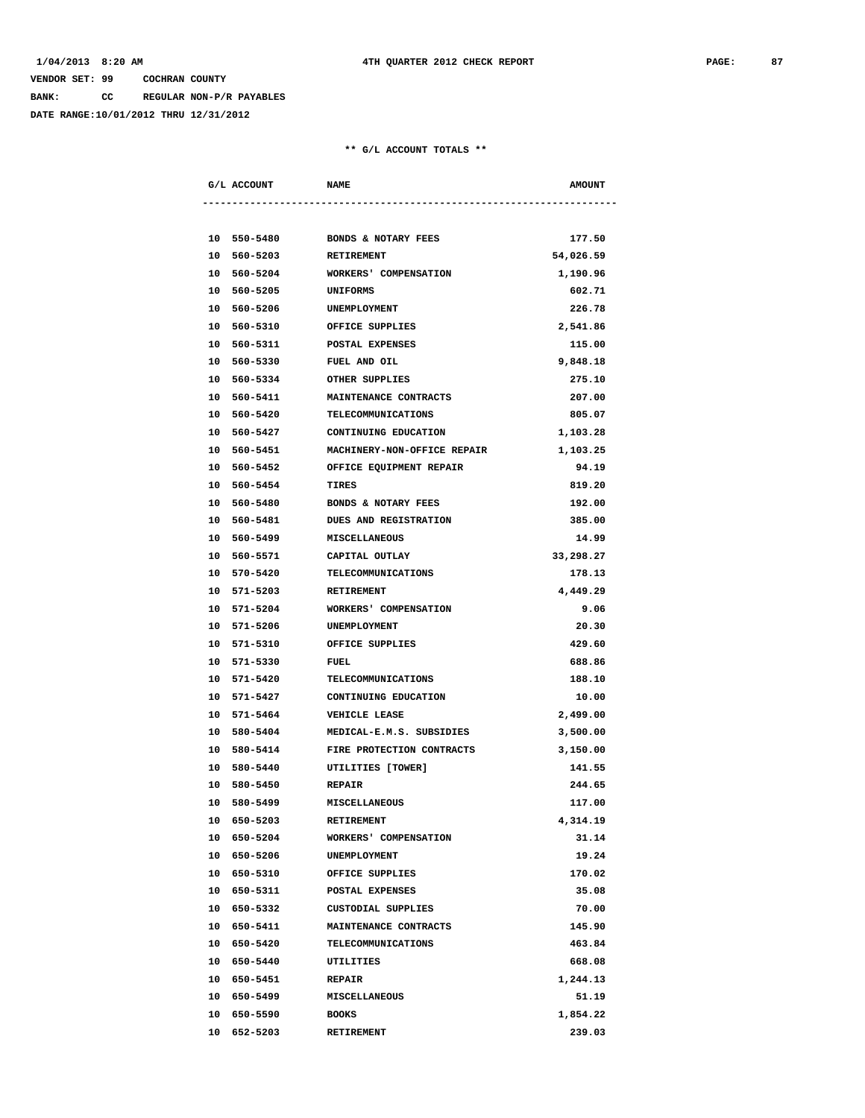**BANK: CC REGULAR NON-P/R PAYABLES**

**DATE RANGE:10/01/2012 THRU 12/31/2012**

|             | G/L ACCOUNT NAME       |                                       | <b>AMOUNT</b> |
|-------------|------------------------|---------------------------------------|---------------|
|             |                        |                                       |               |
| 10 550-5480 |                        | <b>BONDS &amp; NOTARY FEES</b>        | 177.50        |
| 10 560-5203 |                        | RETIREMENT                            | 54,026.59     |
| 10 560-5204 |                        | <b>WORKERS' COMPENSATION</b>          | 1,190.96      |
| 10 560-5205 |                        | UNIFORMS                              | 602.71        |
| 10 560-5206 |                        | UNEMPLOYMENT                          | 226.78        |
|             | 10 560-5310            | OFFICE SUPPLIES                       | 2,541.86      |
|             |                        | 10 560-5311 POSTAL EXPENSES           | 115.00        |
|             |                        | 10 560-5330 FUEL AND OIL              | 9,848.18      |
|             |                        | 10 560-5334 OTHER SUPPLIES            | 275.10        |
|             |                        | 10 560-5411 MAINTENANCE CONTRACTS     | 207.00        |
| 10 560-5420 |                        | TELECOMMUNICATIONS                    | 805.07        |
| 10 560-5427 |                        | CONTINUING EDUCATION                  | 1,103.28      |
| 10 560-5451 |                        | MACHINERY-NON-OFFICE REPAIR           | 1,103.25      |
| 10 560-5452 |                        | OFFICE EQUIPMENT REPAIR               | 94.19         |
| 10 560-5454 |                        | TIRES                                 | 819.20        |
| 10 560-5480 |                        | <b>BONDS &amp; NOTARY FEES</b>        | 192.00        |
| 10 560-5481 |                        | <b>DUES AND REGISTRATION</b>          | 385.00        |
|             | 10 560-5499            | MISCELLANEOUS                         | 14.99         |
|             |                        | 10 560-5571 CAPITAL OUTLAY            | 33,298.27     |
|             |                        | 10 570-5420 TELECOMMUNICATIONS        | 178.13        |
|             | 10 571-5203 RETIREMENT |                                       | 4,449.29      |
|             |                        | 10 571-5204 WORKERS' COMPENSATION     | 9.06          |
| 10 571-5206 |                        | <b>UNEMPLOYMENT</b>                   | 20.30         |
| 10 571-5310 |                        | OFFICE SUPPLIES                       | 429.60        |
| 10 571-5330 |                        | FUEL                                  | 688.86        |
| 10 571-5420 |                        | TELECOMMUNICATIONS                    | 188.10        |
| 10 571-5427 |                        | CONTINUING EDUCATION                  | 10.00         |
| 10 571-5464 |                        | <b>VEHICLE LEASE</b>                  | 2,499.00      |
| 10 580-5404 |                        | MEDICAL-E.M.S. SUBSIDIES              | 3,500.00      |
|             |                        | 10 580-5414 FIRE PROTECTION CONTRACTS | 3,150.00      |
|             | 10 580-5440            | UTILITIES [TOWER]                     | 141.55        |
|             | 10 580-5450 REPAIR     |                                       | 244.65        |
| 10 580-5499 |                        | MISCELLANEOUS                         | 117.00        |
| 10 650-5203 |                        | <b>RETIREMENT</b>                     | 4,314.19      |
| 10 650-5204 |                        | WORKERS' COMPENSATION                 | 31.14         |
| 10 650-5206 |                        | UNEMPLOYMENT                          | 19.24         |
| 10 650-5310 |                        | OFFICE SUPPLIES                       | 170.02        |
| 10 650-5311 |                        | POSTAL EXPENSES                       | 35.08         |
| 10 650-5332 |                        | CUSTODIAL SUPPLIES                    | 70.00         |
| 10 650-5411 |                        |                                       |               |
|             |                        | MAINTENANCE CONTRACTS                 | 145.90        |
| 10 650-5420 |                        | <b>TELECOMMUNICATIONS</b>             | 463.84        |
| 10 650-5440 |                        | UTILITIES                             | 668.08        |
| 10 650-5451 |                        | <b>REPAIR</b>                         | 1,244.13      |
| 10 650-5499 |                        | MISCELLANEOUS                         | 51.19         |
| 10 650-5590 |                        | <b>BOOKS</b>                          | 1,854.22      |
| 10 652-5203 |                        | <b>RETIREMENT</b>                     | 239.03        |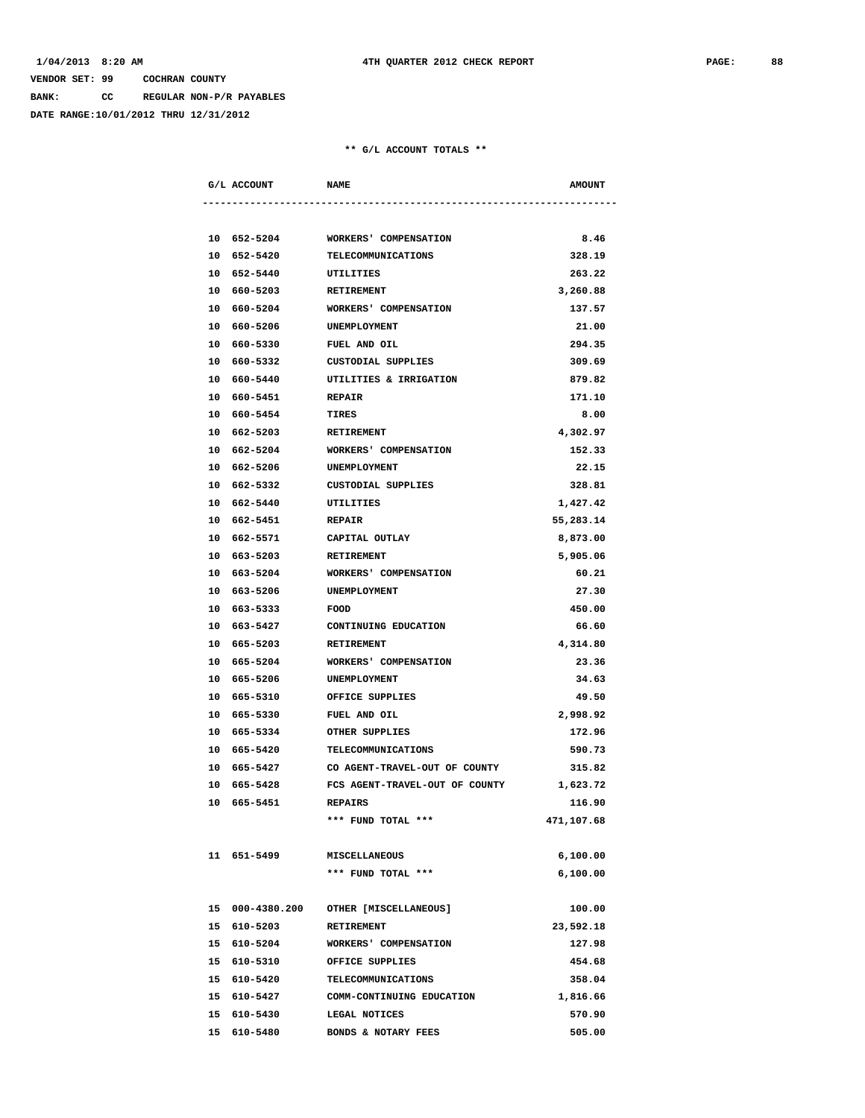**BANK: CC REGULAR NON-P/R PAYABLES**

**DATE RANGE:10/01/2012 THRU 12/31/2012**

|  | G/L ACCOUNT            | <b>NAME</b>                       | <b>AMOUNT</b> |
|--|------------------------|-----------------------------------|---------------|
|  |                        |                                   |               |
|  |                        | 10 652-5204 WORKERS' COMPENSATION | 8.46          |
|  | 10 652-5420            | <b>TELECOMMUNICATIONS</b>         | 328.19        |
|  | 10 652-5440            | UTILITIES                         | 263.22        |
|  | 10 660-5203            | <b>RETIREMENT</b>                 | 3,260.88      |
|  | 10 660-5204            | WORKERS' COMPENSATION             | 137.57        |
|  | 10 660-5206            | UNEMPLOYMENT                      | 21.00         |
|  | 10 660-5330            | FUEL AND OIL                      | 294.35        |
|  | 10 660-5332            | CUSTODIAL SUPPLIES                | 309.69        |
|  | 10 660-5440            | UTILITIES & IRRIGATION            | 879.82        |
|  | 10 660-5451            | <b>REPAIR</b>                     | 171.10        |
|  | 10 660-5454 TIRES      |                                   | 8.00          |
|  | 10 662-5203 RETIREMENT |                                   | 4,302.97      |
|  | 10 662-5204            | WORKERS' COMPENSATION             | 152.33        |
|  | 10 662-5206            | UNEMPLOYMENT                      | 22.15         |
|  | 10 662-5332            | CUSTODIAL SUPPLIES                | 328.81        |
|  | 10 662-5440            | UTILITIES                         | 1,427.42      |
|  | 10 662-5451            | <b>REPAIR</b>                     | 55,283.14     |
|  | 10 662-5571            | CAPITAL OUTLAY                    | 8,873.00      |
|  | 10 663-5203            | <b>RETIREMENT</b>                 | 5,905.06      |
|  | 10 663-5204            | WORKERS' COMPENSATION             | 60.21         |
|  | 10 663-5206            | UNEMPLOYMENT                      | 27.30         |
|  | 10 663-5333            | <b>FOOD</b>                       | 450.00        |
|  |                        | 10 663-5427 CONTINUING EDUCATION  | 66.60         |
|  | 10 665-5203 RETIREMENT |                                   | 4,314.80      |
|  | 10 665-5204            | WORKERS' COMPENSATION             | 23.36         |
|  | 10 665-5206            | UNEMPLOYMENT                      | 34.63         |
|  | 10 665-5310            | OFFICE SUPPLIES                   | 49.50         |
|  | 10 665-5330            | <b>FUEL AND OIL</b>               | 2,998.92      |
|  | 10 665-5334            | OTHER SUPPLIES                    | 172.96        |
|  | 10 665-5420            | TELECOMMUNICATIONS                | 590.73        |
|  | 10 665-5427            | CO AGENT-TRAVEL-OUT OF COUNTY     | 315.82        |
|  | 10 665-5428            | FCS AGENT-TRAVEL-OUT OF COUNTY    | 1,623.72      |
|  | 10 665-5451            | <b>REPAIRS</b>                    | 116.90        |
|  |                        | *** FUND TOTAL ***                | 471,107.68    |
|  | 11 651-5499            | MISCELLANEOUS                     | 6,100.00      |
|  |                        | *** FUND TOTAL ***                | 6,100.00      |
|  | 15 000-4380.200        | OTHER [MISCELLANEOUS]             | 100.00        |
|  | 15 610-5203            | RETIREMENT                        | 23,592.18     |
|  | 15 610-5204            | WORKERS' COMPENSATION             | 127.98        |
|  | 15 610-5310            | OFFICE SUPPLIES                   | 454.68        |
|  | 15 610-5420            | <b>TELECOMMUNICATIONS</b>         | 358.04        |
|  | 15 610-5427            | COMM-CONTINUING EDUCATION         | 1,816.66      |
|  | 15 610-5430            | LEGAL NOTICES                     | 570.90        |
|  | 15 610-5480            | BONDS & NOTARY FEES               | 505.00        |
|  |                        |                                   |               |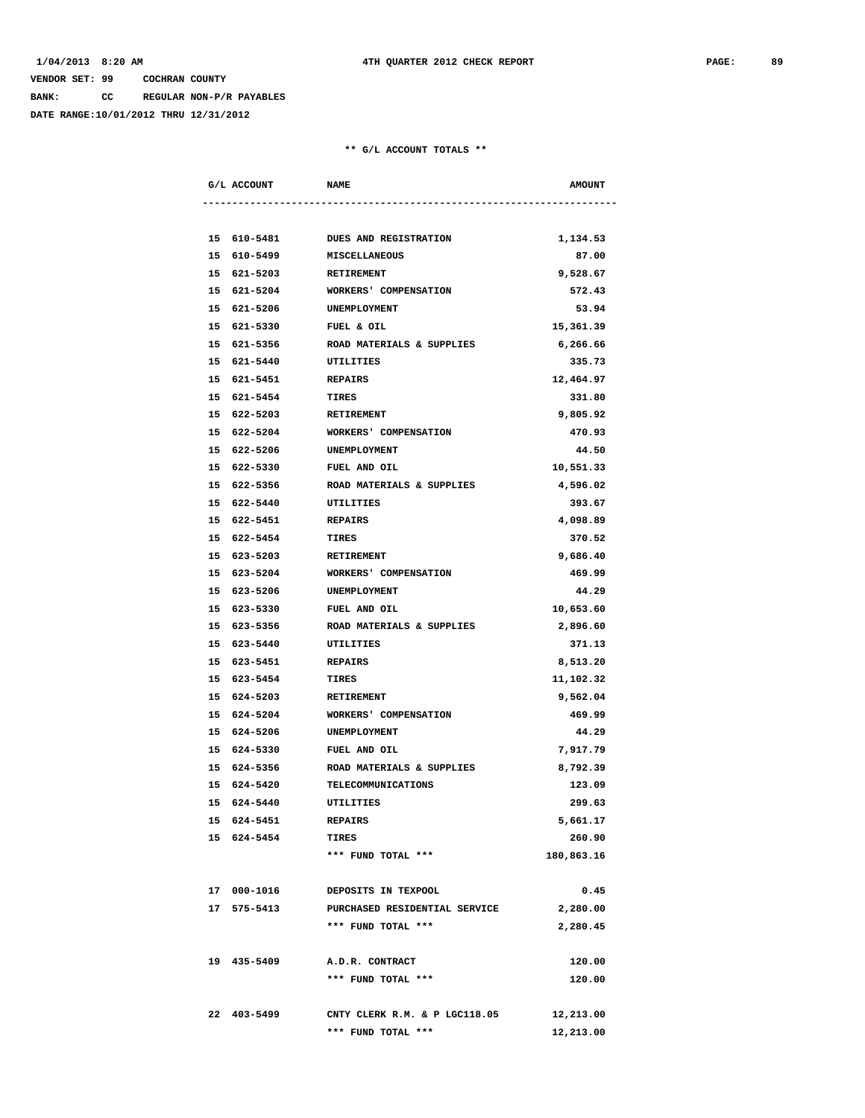**BANK: CC REGULAR NON-P/R PAYABLES**

**DATE RANGE:10/01/2012 THRU 12/31/2012**

| G/L ACCOUNT           | <b>NAME</b>                       | <b>AMOUNT</b> |
|-----------------------|-----------------------------------|---------------|
|                       |                                   |               |
|                       | 15 610-5481 DUES AND REGISTRATION | 1,134.53      |
|                       | 15 610-5499 MISCELLANEOUS         | 87.00         |
|                       | 15 621-5203 RETIREMENT            | 9,528.67      |
|                       | 15 621-5204 WORKERS' COMPENSATION | 572.43        |
| 15 621-5206           | UNEMPLOYMENT                      | 53.94         |
| 15 621-5330           | FUEL & OIL                        | 15,361.39     |
| 15 621-5356           | ROAD MATERIALS & SUPPLIES         | 6,266.66      |
| 15 621-5440           | UTILITIES                         | 335.73        |
| 15 621-5451           | <b>REPAIRS</b>                    | 12,464.97     |
| 15 621-5454           | TIRES                             | 331.80        |
| 15 622-5203           | <b>RETIREMENT</b>                 | 9,805.92      |
| 15 622-5204           | WORKERS' COMPENSATION             | 470.93        |
| 15 622-5206           | UNEMPLOYMENT                      | 44.50         |
| 15 622-5330           | FUEL AND OIL                      | 10,551.33     |
| 15 622-5356           | ROAD MATERIALS & SUPPLIES         | 4,596.02      |
| 15 622-5440 UTILITIES |                                   | 393.67        |
| 15 622-5451 REPAIRS   |                                   | 4,098.89      |
| 15 622-5454           | <b>TIRES</b>                      | 370.52        |
| 15 623-5203           | <b>RETIREMENT</b>                 | 9,686.40      |
| 15 623-5204           | WORKERS' COMPENSATION             | 469.99        |
| 15 623-5206           | UNEMPLOYMENT                      | 44.29         |
| 15 623-5330           | FUEL AND OIL                      | 10,653.60     |
| 15 623-5356           | ROAD MATERIALS & SUPPLIES         | 2,896.60      |
| 15 623-5440           | UTILITIES                         | 371.13        |
| 15 623-5451           | <b>REPAIRS</b>                    | 8,513.20      |
| 15 623-5454           | TIRES                             | 11,102.32     |
| 15 624-5203           | <b>RETIREMENT</b>                 | 9,562.04      |
| 15 624-5204           | WORKERS' COMPENSATION             | 469.99        |
| 15 624-5206           | UNEMPLOYMENT                      | 44.29         |
| 15 624-5330           | FUEL AND OIL                      | 7,917.79      |
| 15 624-5356           | ROAD MATERIALS & SUPPLIES         | 8,792.39      |
| 15 624-5420           | TELECOMMUNICATIONS                | 123.09        |
| 15 624-5440           | UTILITIES                         | 299.63        |
| 15 624-5451           | REPAIRS                           | 5,661.17      |
| 15 624-5454           | TIRES                             | 260.90        |
|                       | *** FUND TOTAL ***                | 180,863.16    |
| 17 000-1016           | DEPOSITS IN TEXPOOL               | 0.45          |
| 17 575-5413           | PURCHASED RESIDENTIAL SERVICE     | 2,280.00      |
|                       | *** FUND TOTAL ***                | 2,280.45      |
| 19 435-5409           | A.D.R. CONTRACT                   | 120.00        |
|                       | *** FUND TOTAL ***                | 120.00        |
| 22 403-5499           | CNTY CLERK R.M. & P LGC118.05     | 12,213.00     |
|                       | *** FUND TOTAL ***                | 12,213.00     |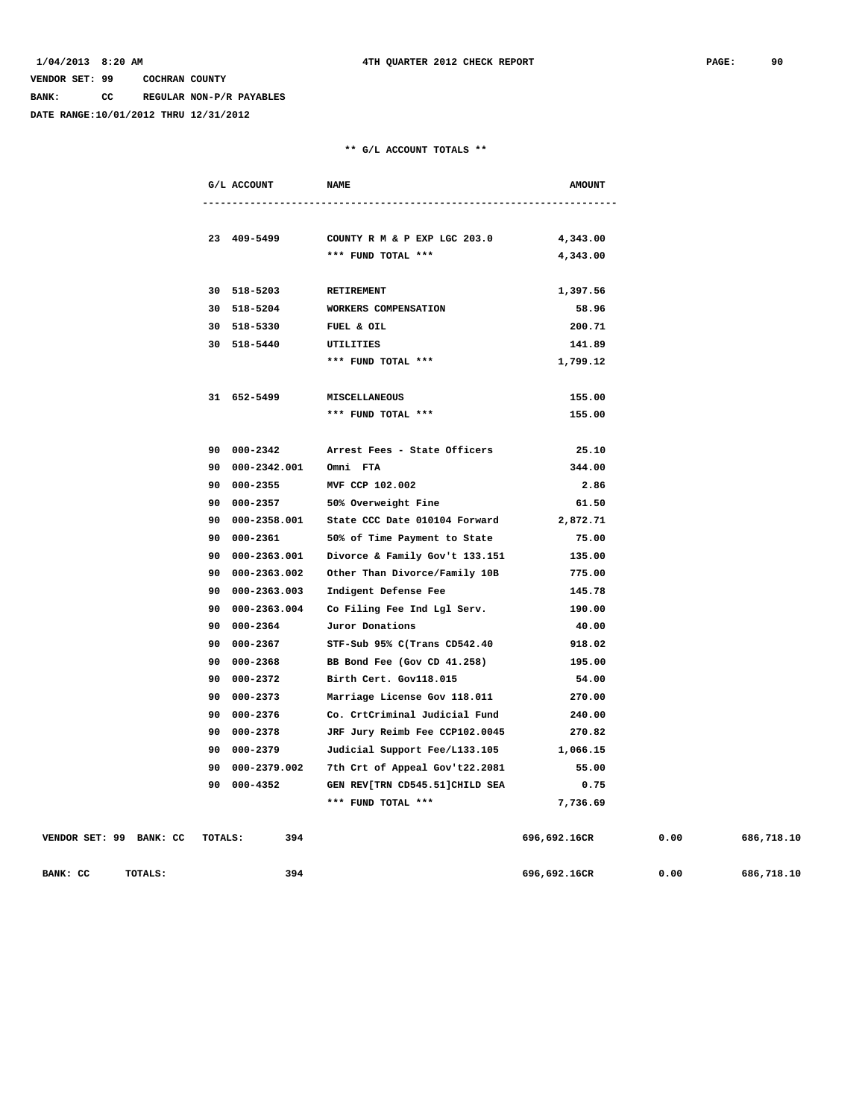**BANK: CC REGULAR NON-P/R PAYABLES**

**DATE RANGE:10/01/2012 THRU 12/31/2012**

|  | G/L ACCOUNT              | <b>NAME</b>                                                 | <b>AMOUNT</b> |
|--|--------------------------|-------------------------------------------------------------|---------------|
|  |                          |                                                             |               |
|  |                          |                                                             |               |
|  |                          | 23 409-5499 COUNTY R M & P EXP LGC 203.0 4,343.00           |               |
|  |                          | *** FUND TOTAL ***                                          | 4,343.00      |
|  |                          |                                                             |               |
|  | 30 518-5203 RETIREMENT   |                                                             | 1,397.56      |
|  |                          | 30 518-5204 WORKERS COMPENSATION                            | 58.96         |
|  | 30 518-5330              | FUEL & OIL                                                  | 200.71        |
|  | 30 518-5440              | UTILITIES                                                   | 141.89        |
|  |                          | *** FUND TOTAL ***                                          | 1,799.12      |
|  |                          |                                                             |               |
|  | 31 652-5499              | <b>MISCELLANEOUS</b>                                        | 155.00        |
|  |                          | *** FUND TOTAL ***                                          | 155.00        |
|  |                          |                                                             |               |
|  |                          | 90 000-2342 Arrest Fees - State Officers                    | 25.10         |
|  | 90 000-2342.001 Omni FTA |                                                             | 344.00        |
|  | 90 000-2355              | MVF CCP 102.002                                             | 2.86          |
|  |                          | 90 000-2357 50% Overweight Fine                             | 61.50         |
|  |                          | 90  000-2358.001  State CCC Date  010104  Forward  2,872.71 |               |
|  | 90 000-2361              | 50% of Time Payment to State                                | 75.00         |
|  |                          | 90 000-2363.001 Divorce & Family Gov't 133.151 135.00       |               |
|  | 90 000-2363.002          | Other Than Divorce/Family 10B 775.00                        |               |
|  | 90 000-2363.003          | Indigent Defense Fee                                        | 145.78        |
|  | 90 000-2363.004          | Co Filing Fee Ind Lgl Serv.                                 | 190.00        |
|  | 90 000-2364              | Juror Donations                                             | 40.00         |
|  | 90 000-2367              | STF-Sub 95% C(Trans CD542.40                                | 918.02        |
|  | 90 000-2368              | BB Bond Fee (Gov CD 41.258)                                 | 195.00        |
|  | 90 000-2372              | Birth Cert. Gov118.015                                      | 54.00         |
|  | 90 000-2373              | Marriage License Gov 118.011                                | 270.00        |
|  | 90 000-2376              | Co. CrtCriminal Judicial Fund                               | 240.00        |
|  | 90 000-2378              | JRF Jury Reimb Fee CCP102.0045                              | 270.82        |
|  |                          | 90 000-2379 Judicial Support Fee/L133.105 1,066.15          |               |
|  |                          | 90 000-2379.002 7th Crt of Appeal Gov't22.2081              | 55.00         |
|  |                          | 90 000-4352 GEN REV[TRN CD545.51]CHILD SEA                  | 0.75          |
|  |                          | *** FUND TOTAL ***                                          | 7,736.69      |
|  |                          |                                                             |               |

| VENDOR SET: 99 | BANK: CC<br>TOTALS: | 394 | 696,692.16CR | 0.00 | 686,718.10 |
|----------------|---------------------|-----|--------------|------|------------|
| BANK: CC       | TOTALS:             | 394 | 696,692.16CR | 0.00 | 686,718.10 |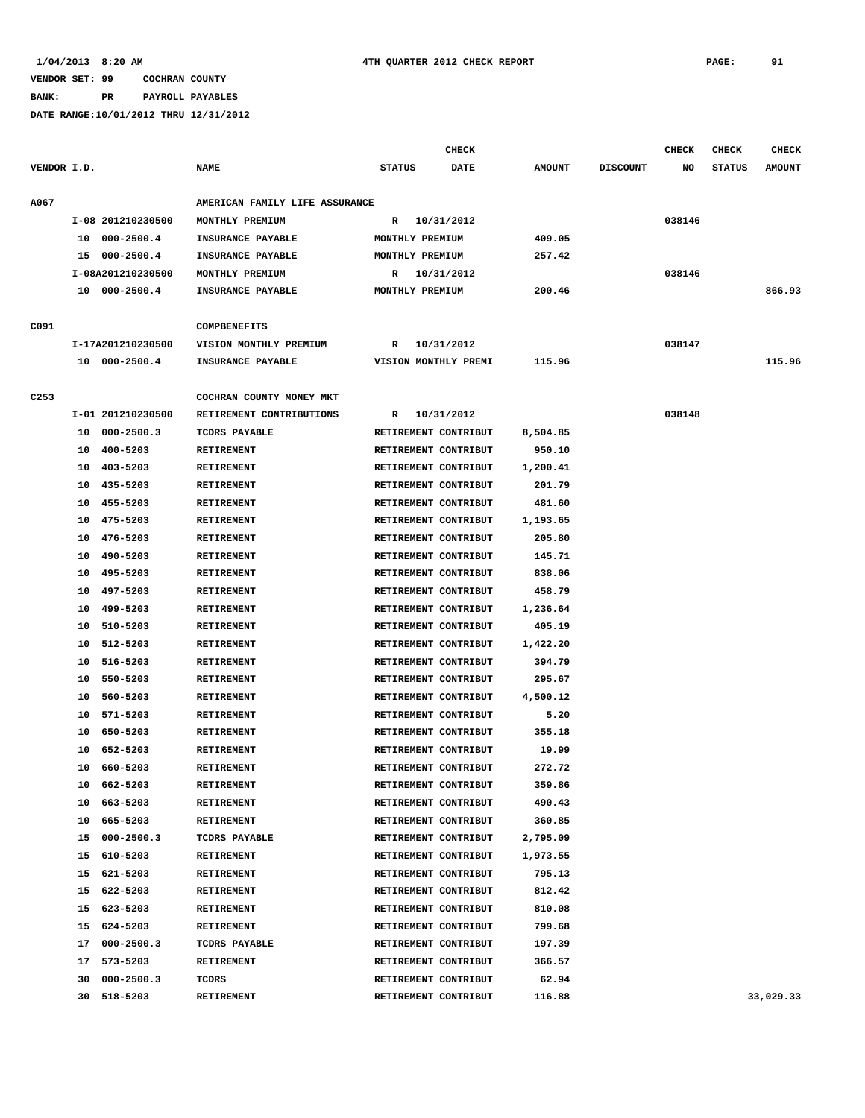# **BANK: PR PAYROLL PAYABLES**

|                  |    |                   |                                |                      | <b>CHECK</b> |               |                 | <b>CHECK</b> | <b>CHECK</b>  | <b>CHECK</b>  |
|------------------|----|-------------------|--------------------------------|----------------------|--------------|---------------|-----------------|--------------|---------------|---------------|
| VENDOR I.D.      |    |                   | <b>NAME</b>                    | <b>STATUS</b>        | <b>DATE</b>  | <b>AMOUNT</b> | <b>DISCOUNT</b> | NO           | <b>STATUS</b> | <b>AMOUNT</b> |
| A067             |    |                   | AMERICAN FAMILY LIFE ASSURANCE |                      |              |               |                 |              |               |               |
|                  |    | I-08 201210230500 | MONTHLY PREMIUM                | R                    | 10/31/2012   |               |                 | 038146       |               |               |
|                  | 10 | $000 - 2500.4$    | INSURANCE PAYABLE              | MONTHLY PREMIUM      |              | 409.05        |                 |              |               |               |
|                  | 15 | 000-2500.4        | INSURANCE PAYABLE              | MONTHLY PREMIUM      |              | 257.42        |                 |              |               |               |
|                  |    | I-08A201210230500 | MONTHLY PREMIUM                | R                    | 10/31/2012   |               |                 | 038146       |               |               |
|                  |    | 10 000-2500.4     | INSURANCE PAYABLE              | MONTHLY PREMIUM      |              | 200.46        |                 |              |               | 866.93        |
|                  |    |                   |                                |                      |              |               |                 |              |               |               |
| C091             |    |                   | <b>COMPBENEFITS</b>            |                      |              |               |                 |              |               |               |
|                  |    | I-17A201210230500 | VISION MONTHLY PREMIUM         | R                    | 10/31/2012   |               |                 | 038147       |               |               |
|                  |    | 10 000-2500.4     | INSURANCE PAYABLE              | VISION MONTHLY PREMI |              | 115.96        |                 |              |               | 115.96        |
|                  |    |                   |                                |                      |              |               |                 |              |               |               |
| C <sub>253</sub> |    |                   | COCHRAN COUNTY MONEY MKT       |                      |              |               |                 |              |               |               |
|                  |    | I-01 201210230500 | RETIREMENT CONTRIBUTIONS       | R                    | 10/31/2012   |               |                 | 038148       |               |               |
|                  | 10 | $000 - 2500.3$    | TCDRS PAYABLE                  | RETIREMENT CONTRIBUT |              | 8,504.85      |                 |              |               |               |
|                  | 10 | 400-5203          | RETIREMENT                     | RETIREMENT CONTRIBUT |              | 950.10        |                 |              |               |               |
|                  | 10 | 403-5203          | RETIREMENT                     | RETIREMENT CONTRIBUT |              | 1,200.41      |                 |              |               |               |
|                  | 10 | 435-5203          | RETIREMENT                     | RETIREMENT CONTRIBUT |              | 201.79        |                 |              |               |               |
|                  | 10 | 455-5203          | RETIREMENT                     | RETIREMENT CONTRIBUT |              | 481.60        |                 |              |               |               |
|                  | 10 | 475-5203          | RETIREMENT                     | RETIREMENT CONTRIBUT |              | 1,193.65      |                 |              |               |               |
|                  | 10 | 476-5203          | RETIREMENT                     | RETIREMENT CONTRIBUT |              | 205.80        |                 |              |               |               |
|                  | 10 | 490-5203          | RETIREMENT                     | RETIREMENT CONTRIBUT |              | 145.71        |                 |              |               |               |
|                  | 10 | 495-5203          | RETIREMENT                     | RETIREMENT CONTRIBUT |              | 838.06        |                 |              |               |               |
|                  | 10 | 497-5203          | RETIREMENT                     | RETIREMENT CONTRIBUT |              | 458.79        |                 |              |               |               |
|                  | 10 | 499-5203          | RETIREMENT                     | RETIREMENT CONTRIBUT |              | 1,236.64      |                 |              |               |               |
|                  | 10 | 510-5203          | RETIREMENT                     | RETIREMENT CONTRIBUT |              | 405.19        |                 |              |               |               |
|                  | 10 | 512-5203          | RETIREMENT                     | RETIREMENT CONTRIBUT |              | 1,422.20      |                 |              |               |               |
|                  | 10 | 516-5203          | <b>RETIREMENT</b>              | RETIREMENT CONTRIBUT |              | 394.79        |                 |              |               |               |
|                  | 10 | 550-5203          | RETIREMENT                     | RETIREMENT CONTRIBUT |              | 295.67        |                 |              |               |               |
|                  | 10 | 560-5203          | RETIREMENT                     | RETIREMENT CONTRIBUT |              | 4,500.12      |                 |              |               |               |
|                  | 10 | 571-5203          | RETIREMENT                     | RETIREMENT CONTRIBUT |              | 5.20          |                 |              |               |               |
|                  | 10 | 650-5203          | RETIREMENT                     | RETIREMENT CONTRIBUT |              | 355.18        |                 |              |               |               |
|                  | 10 | 652-5203          | RETIREMENT                     | RETIREMENT CONTRIBUT |              | 19.99         |                 |              |               |               |
|                  | 10 | 660-5203          | <b>RETIREMENT</b>              | RETIREMENT CONTRIBUT |              | 272.72        |                 |              |               |               |
|                  | 10 | 662-5203          | RETIREMENT                     | RETIREMENT CONTRIBUT |              | 359.86        |                 |              |               |               |
|                  |    | 10 663-5203       | RETIREMENT                     | RETIREMENT CONTRIBUT |              | 490.43        |                 |              |               |               |
|                  |    | 10 665-5203       | RETIREMENT                     | RETIREMENT CONTRIBUT |              | 360.85        |                 |              |               |               |
|                  |    | 15 000-2500.3     | TCDRS PAYABLE                  | RETIREMENT CONTRIBUT |              | 2,795.09      |                 |              |               |               |
|                  | 15 | 610-5203          | <b>RETIREMENT</b>              | RETIREMENT CONTRIBUT |              | 1,973.55      |                 |              |               |               |
|                  | 15 | 621-5203          | RETIREMENT                     | RETIREMENT CONTRIBUT |              | 795.13        |                 |              |               |               |
|                  | 15 | 622-5203          | RETIREMENT                     | RETIREMENT CONTRIBUT |              | 812.42        |                 |              |               |               |
|                  | 15 | 623-5203          | RETIREMENT                     | RETIREMENT CONTRIBUT |              | 810.08        |                 |              |               |               |
|                  |    | 15 624-5203       | <b>RETIREMENT</b>              | RETIREMENT CONTRIBUT |              | 799.68        |                 |              |               |               |
|                  | 17 | $000 - 2500.3$    | TCDRS PAYABLE                  | RETIREMENT CONTRIBUT |              | 197.39        |                 |              |               |               |
|                  | 17 | 573-5203          | <b>RETIREMENT</b>              | RETIREMENT CONTRIBUT |              | 366.57        |                 |              |               |               |
|                  | 30 | $000 - 2500.3$    | TCDRS                          | RETIREMENT CONTRIBUT |              | 62.94         |                 |              |               |               |
|                  | 30 | 518-5203          | RETIREMENT                     | RETIREMENT CONTRIBUT |              | 116.88        |                 |              |               | 33,029.33     |
|                  |    |                   |                                |                      |              |               |                 |              |               |               |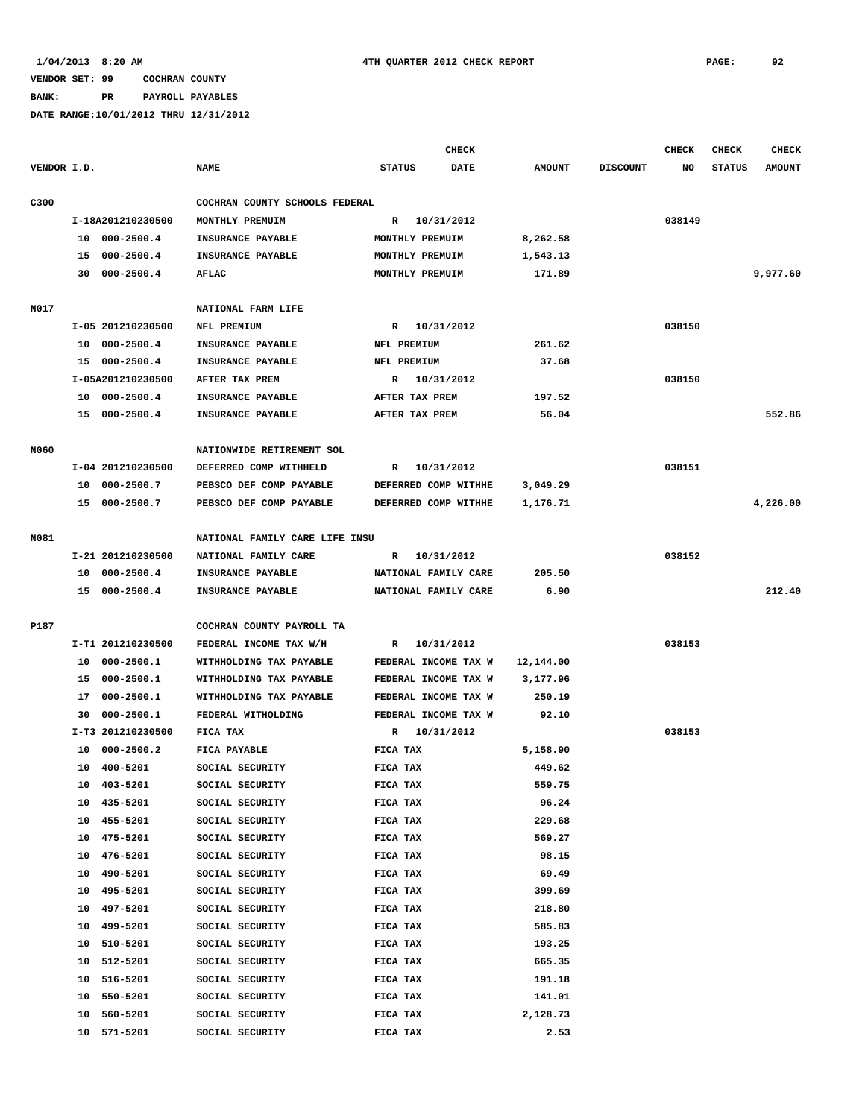**BANK: PR PAYROLL PAYABLES**

|             |    |                   |                                |               | CHECK                |               |                 | <b>CHECK</b> | <b>CHECK</b>  | <b>CHECK</b>  |
|-------------|----|-------------------|--------------------------------|---------------|----------------------|---------------|-----------------|--------------|---------------|---------------|
| VENDOR I.D. |    |                   | <b>NAME</b>                    | <b>STATUS</b> | <b>DATE</b>          | <b>AMOUNT</b> | <b>DISCOUNT</b> | NO           | <b>STATUS</b> | <b>AMOUNT</b> |
| C300        |    |                   | COCHRAN COUNTY SCHOOLS FEDERAL |               |                      |               |                 |              |               |               |
|             |    | I-18A201210230500 | MONTHLY PREMUIM                | R             | 10/31/2012           |               |                 | 038149       |               |               |
|             | 10 | $000 - 2500.4$    | INSURANCE PAYABLE              |               | MONTHLY PREMUIM      | 8,262.58      |                 |              |               |               |
|             | 15 | $000 - 2500.4$    | INSURANCE PAYABLE              |               | MONTHLY PREMUIM      | 1,543.13      |                 |              |               |               |
|             |    | 30 000-2500.4     | AFLAC                          |               | MONTHLY PREMUIM      | 171.89        |                 |              |               | 9,977.60      |
|             |    |                   |                                |               |                      |               |                 |              |               |               |
| N017        |    |                   | NATIONAL FARM LIFE             |               |                      |               |                 |              |               |               |
|             |    | I-05 201210230500 | NFL PREMIUM                    |               | R 10/31/2012         |               |                 | 038150       |               |               |
|             | 10 | $000 - 2500.4$    | INSURANCE PAYABLE              | NFL PREMIUM   |                      | 261.62        |                 |              |               |               |
|             |    | 15 000-2500.4     | INSURANCE PAYABLE              | NFL PREMIUM   |                      | 37.68         |                 |              |               |               |
|             |    | I-05A201210230500 | AFTER TAX PREM                 |               | R 10/31/2012         |               |                 | 038150       |               |               |
|             |    | 10 000-2500.4     | INSURANCE PAYABLE              |               | AFTER TAX PREM       | 197.52        |                 |              |               |               |
|             |    | 15 000-2500.4     | INSURANCE PAYABLE              |               | AFTER TAX PREM       | 56.04         |                 |              |               | 552.86        |
|             |    |                   |                                |               |                      |               |                 |              |               |               |
| <b>N060</b> |    |                   | NATIONWIDE RETIREMENT SOL      |               |                      |               |                 |              |               |               |
|             |    | I-04 201210230500 | DEFERRED COMP WITHHELD         | R             | 10/31/2012           |               |                 | 038151       |               |               |
|             | 10 | $000 - 2500.7$    | PEBSCO DEF COMP PAYABLE        |               | DEFERRED COMP WITHHE | 3,049.29      |                 |              |               |               |
|             | 15 | $000 - 2500.7$    | PEBSCO DEF COMP PAYABLE        |               | DEFERRED COMP WITHHE | 1,176.71      |                 |              |               | 4,226.00      |
|             |    |                   |                                |               |                      |               |                 |              |               |               |
| N081        |    |                   | NATIONAL FAMILY CARE LIFE INSU |               |                      |               |                 |              |               |               |
|             |    | I-21 201210230500 | NATIONAL FAMILY CARE           | R             | 10/31/2012           |               |                 | 038152       |               |               |
|             | 10 | $000 - 2500.4$    | INSURANCE PAYABLE              |               | NATIONAL FAMILY CARE | 205.50        |                 |              |               |               |
|             |    | 15 000-2500.4     | INSURANCE PAYABLE              |               | NATIONAL FAMILY CARE | 6.90          |                 |              |               | 212.40        |
|             |    |                   |                                |               |                      |               |                 |              |               |               |
| P187        |    |                   | COCHRAN COUNTY PAYROLL TA      |               |                      |               |                 |              |               |               |
|             |    | I-T1 201210230500 | FEDERAL INCOME TAX W/H         | R             | 10/31/2012           |               |                 | 038153       |               |               |
|             | 10 | $000 - 2500.1$    | WITHHOLDING TAX PAYABLE        |               | FEDERAL INCOME TAX W | 12,144.00     |                 |              |               |               |
|             | 15 | 000-2500.1        | WITHHOLDING TAX PAYABLE        |               | FEDERAL INCOME TAX W | 3,177.96      |                 |              |               |               |
|             | 17 | $000 - 2500.1$    | WITHHOLDING TAX PAYABLE        |               | FEDERAL INCOME TAX W | 250.19        |                 |              |               |               |
|             | 30 | $000 - 2500.1$    | FEDERAL WITHOLDING             |               | FEDERAL INCOME TAX W | 92.10         |                 |              |               |               |
|             |    | I-T3 201210230500 | FICA TAX                       | R             | 10/31/2012           |               |                 | 038153       |               |               |
|             | 10 | $000 - 2500.2$    | FICA PAYABLE                   | FICA TAX      |                      | 5,158.90      |                 |              |               |               |
|             | 10 | 400-5201          | SOCIAL SECURITY                | FICA TAX      |                      | 449.62        |                 |              |               |               |
|             | 10 | 403-5201          | SOCIAL SECURITY                | FICA TAX      |                      | 559.75        |                 |              |               |               |
|             | 10 | 435-5201          | SOCIAL SECURITY                | FICA TAX      |                      | 96.24         |                 |              |               |               |
|             | 10 | 455-5201          | SOCIAL SECURITY                | FICA TAX      |                      | 229.68        |                 |              |               |               |
|             | 10 | 475-5201          | SOCIAL SECURITY                | FICA TAX      |                      | 569.27        |                 |              |               |               |
|             | 10 | 476-5201          | SOCIAL SECURITY                | FICA TAX      |                      | 98.15         |                 |              |               |               |
|             | 10 | 490-5201          | SOCIAL SECURITY                | FICA TAX      |                      | 69.49         |                 |              |               |               |
|             | 10 | 495-5201          | SOCIAL SECURITY                | FICA TAX      |                      | 399.69        |                 |              |               |               |
|             | 10 | 497-5201          | SOCIAL SECURITY                | FICA TAX      |                      | 218.80        |                 |              |               |               |
|             | 10 | 499-5201          | SOCIAL SECURITY                | FICA TAX      |                      | 585.83        |                 |              |               |               |
|             | 10 | 510-5201          | SOCIAL SECURITY                | FICA TAX      |                      | 193.25        |                 |              |               |               |
|             |    | 512-5201          |                                |               |                      |               |                 |              |               |               |
|             | 10 |                   | SOCIAL SECURITY                | FICA TAX      |                      | 665.35        |                 |              |               |               |
|             | 10 | 516-5201          | SOCIAL SECURITY                | FICA TAX      |                      | 191.18        |                 |              |               |               |
|             | 10 | 550-5201          | SOCIAL SECURITY                | FICA TAX      |                      | 141.01        |                 |              |               |               |
|             | 10 | 560-5201          | SOCIAL SECURITY                | FICA TAX      |                      | 2,128.73      |                 |              |               |               |
|             | 10 | 571-5201          | SOCIAL SECURITY                | FICA TAX      |                      | 2.53          |                 |              |               |               |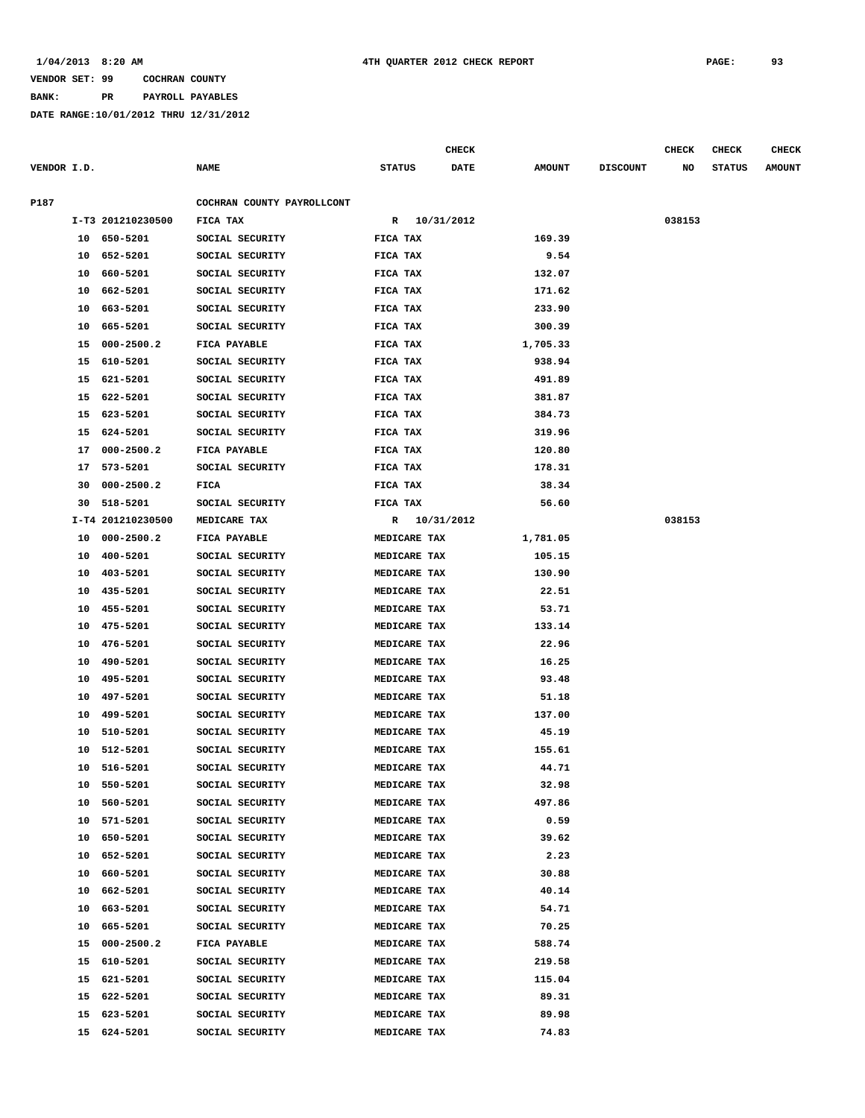### **BANK: PR PAYROLL PAYABLES**

|             |    |                            |                                 |                              |              | CHECK |                    |                 | <b>CHECK</b> | <b>CHECK</b>  | <b>CHECK</b>  |
|-------------|----|----------------------------|---------------------------------|------------------------------|--------------|-------|--------------------|-----------------|--------------|---------------|---------------|
| VENDOR I.D. |    |                            | <b>NAME</b>                     | <b>STATUS</b>                |              | DATE  | <b>AMOUNT</b>      | <b>DISCOUNT</b> | NO           | <b>STATUS</b> | <b>AMOUNT</b> |
| P187        |    |                            | COCHRAN COUNTY PAYROLLCONT      |                              |              |       |                    |                 |              |               |               |
|             |    | I-T3 201210230500          | FICA TAX                        |                              | R 10/31/2012 |       |                    |                 | 038153       |               |               |
|             |    | 10 650-5201                | SOCIAL SECURITY                 | FICA TAX                     |              |       | 169.39             |                 |              |               |               |
|             | 10 | 652-5201                   | SOCIAL SECURITY                 | FICA TAX                     |              |       | 9.54               |                 |              |               |               |
|             | 10 | 660-5201                   | SOCIAL SECURITY                 | FICA TAX                     |              |       | 132.07             |                 |              |               |               |
|             | 10 | 662-5201                   | SOCIAL SECURITY                 | FICA TAX                     |              |       | 171.62             |                 |              |               |               |
|             | 10 | 663-5201                   | SOCIAL SECURITY                 | FICA TAX                     |              |       | 233.90             |                 |              |               |               |
|             | 10 | 665-5201                   | SOCIAL SECURITY                 | FICA TAX                     |              |       | 300.39             |                 |              |               |               |
|             | 15 | $000 - 2500.2$             | FICA PAYABLE                    | FICA TAX                     |              |       | 1,705.33           |                 |              |               |               |
|             | 15 | 610-5201                   | SOCIAL SECURITY                 | FICA TAX                     |              |       | 938.94             |                 |              |               |               |
|             | 15 | 621-5201                   | SOCIAL SECURITY                 | FICA TAX                     |              |       | 491.89             |                 |              |               |               |
|             | 15 | 622-5201                   | SOCIAL SECURITY                 | FICA TAX                     |              |       | 381.87             |                 |              |               |               |
|             | 15 | 623-5201                   | SOCIAL SECURITY                 | FICA TAX                     |              |       | 384.73             |                 |              |               |               |
|             | 15 | 624-5201                   | SOCIAL SECURITY                 | FICA TAX                     |              |       | 319.96             |                 |              |               |               |
|             | 17 | $000 - 2500.2$             | FICA PAYABLE                    | FICA TAX                     |              |       | 120.80             |                 |              |               |               |
|             |    | 573-5201                   | SOCIAL SECURITY                 | FICA TAX                     |              |       | 178.31             |                 |              |               |               |
|             | 17 | $000 - 2500.2$             |                                 |                              |              |       |                    |                 |              |               |               |
|             | 30 | 518-5201                   | FICA                            | FICA TAX<br>FICA TAX         |              |       | 38.34              |                 |              |               |               |
|             | 30 |                            | SOCIAL SECURITY                 |                              |              |       | 56.60              |                 |              |               |               |
|             |    | I-T4 201210230500          | MEDICARE TAX                    |                              | R 10/31/2012 |       |                    |                 | 038153       |               |               |
|             | 10 | $000 - 2500.2$<br>400-5201 | FICA PAYABLE<br>SOCIAL SECURITY | MEDICARE TAX<br>MEDICARE TAX |              |       | 1,781.05<br>105.15 |                 |              |               |               |
|             | 10 |                            |                                 |                              |              |       |                    |                 |              |               |               |
|             | 10 | 403-5201                   | SOCIAL SECURITY                 | MEDICARE TAX                 |              |       | 130.90             |                 |              |               |               |
|             | 10 | 435-5201                   | SOCIAL SECURITY                 | MEDICARE TAX                 |              |       | 22.51              |                 |              |               |               |
|             | 10 | 455-5201                   | SOCIAL SECURITY                 | MEDICARE TAX                 |              |       | 53.71              |                 |              |               |               |
|             | 10 | 475-5201                   | SOCIAL SECURITY                 | MEDICARE TAX                 |              |       | 133.14             |                 |              |               |               |
|             | 10 | 476-5201                   | SOCIAL SECURITY                 | MEDICARE TAX                 |              |       | 22.96              |                 |              |               |               |
|             | 10 | 490-5201                   | SOCIAL SECURITY                 | MEDICARE TAX                 |              |       | 16.25              |                 |              |               |               |
|             | 10 | 495-5201                   | SOCIAL SECURITY                 | MEDICARE TAX                 |              |       | 93.48              |                 |              |               |               |
|             | 10 | 497-5201                   | SOCIAL SECURITY                 | MEDICARE TAX                 |              |       | 51.18              |                 |              |               |               |
|             | 10 | 499-5201                   | SOCIAL SECURITY                 | MEDICARE TAX                 |              |       | 137.00             |                 |              |               |               |
|             | 10 | 510-5201                   | SOCIAL SECURITY                 | MEDICARE TAX                 |              |       | 45.19              |                 |              |               |               |
|             | 10 | 512-5201                   | SOCIAL SECURITY                 | MEDICARE TAX                 |              |       | 155.61             |                 |              |               |               |
|             | 10 | 516-5201                   | SOCIAL SECURITY                 | MEDICARE TAX                 |              |       | 44.71              |                 |              |               |               |
|             |    | 10 550-5201                | SOCIAL SECURITY                 | MEDICARE TAX                 |              |       | 32.98              |                 |              |               |               |
|             | 10 | 560-5201                   | SOCIAL SECURITY                 | MEDICARE TAX                 |              |       | 497.86             |                 |              |               |               |
|             | 10 | 571-5201                   | SOCIAL SECURITY                 | MEDICARE TAX                 |              |       | 0.59               |                 |              |               |               |
|             | 10 | 650-5201                   | SOCIAL SECURITY                 | MEDICARE TAX                 |              |       | 39.62              |                 |              |               |               |
|             |    | 10 652-5201                | SOCIAL SECURITY                 | MEDICARE TAX                 |              |       | 2.23               |                 |              |               |               |
|             |    | 10 660-5201                | SOCIAL SECURITY                 | MEDICARE TAX                 |              |       | 30.88              |                 |              |               |               |
|             | 10 | 662-5201                   | SOCIAL SECURITY                 | MEDICARE TAX                 |              |       | 40.14              |                 |              |               |               |
|             | 10 | 663-5201                   | SOCIAL SECURITY                 | MEDICARE TAX                 |              |       | 54.71              |                 |              |               |               |
|             | 10 | 665-5201                   | SOCIAL SECURITY                 | MEDICARE TAX                 |              |       | 70.25              |                 |              |               |               |
|             | 15 | $000 - 2500.2$             | FICA PAYABLE                    | MEDICARE TAX                 |              |       | 588.74             |                 |              |               |               |
|             |    | 15 610-5201                | SOCIAL SECURITY                 | MEDICARE TAX                 |              |       | 219.58             |                 |              |               |               |
|             |    | 15 621-5201                | SOCIAL SECURITY                 | MEDICARE TAX                 |              |       | 115.04             |                 |              |               |               |
|             |    | 15 622-5201                | SOCIAL SECURITY                 | MEDICARE TAX                 |              |       | 89.31              |                 |              |               |               |
|             | 15 | 623-5201                   | SOCIAL SECURITY                 | MEDICARE TAX                 |              |       | 89.98              |                 |              |               |               |
|             |    | 15 624-5201                | SOCIAL SECURITY                 | MEDICARE TAX                 |              |       | 74.83              |                 |              |               |               |
|             |    |                            |                                 |                              |              |       |                    |                 |              |               |               |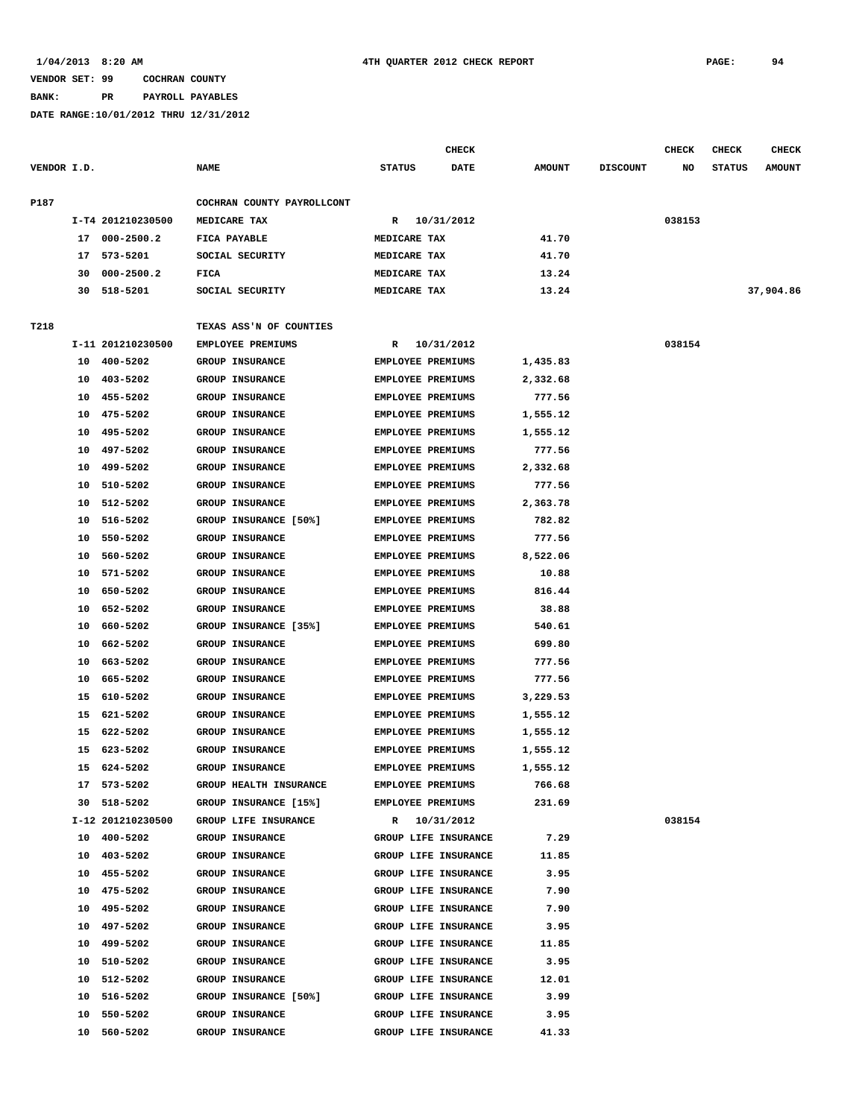# **BANK: PR PAYROLL PAYABLES**

|             |    |                   |                               |                          | CHECK                |               |                 | CHECK  | <b>CHECK</b>  | <b>CHECK</b>  |
|-------------|----|-------------------|-------------------------------|--------------------------|----------------------|---------------|-----------------|--------|---------------|---------------|
| VENDOR I.D. |    |                   | <b>NAME</b>                   | <b>STATUS</b>            | <b>DATE</b>          | <b>AMOUNT</b> | <b>DISCOUNT</b> | NO     | <b>STATUS</b> | <b>AMOUNT</b> |
| P187        |    |                   | COCHRAN COUNTY PAYROLLCONT    |                          |                      |               |                 |        |               |               |
|             |    | I-T4 201210230500 | MEDICARE TAX                  | R                        | 10/31/2012           |               |                 | 038153 |               |               |
|             |    | 17 000-2500.2     | FICA PAYABLE                  | MEDICARE TAX             |                      | 41.70         |                 |        |               |               |
|             | 17 | 573-5201          | SOCIAL SECURITY               | MEDICARE TAX             |                      | 41.70         |                 |        |               |               |
|             | 30 | $000 - 2500.2$    | FICA                          | MEDICARE TAX             |                      | 13.24         |                 |        |               |               |
|             | 30 | 518-5201          | SOCIAL SECURITY               | MEDICARE TAX             |                      | 13.24         |                 |        |               | 37,904.86     |
| T218        |    |                   | TEXAS ASS'N OF COUNTIES       |                          |                      |               |                 |        |               |               |
|             |    | I-11 201210230500 | <b>EMPLOYEE PREMIUMS</b>      | R                        | 10/31/2012           |               |                 | 038154 |               |               |
|             |    | 10 400-5202       | <b>GROUP INSURANCE</b>        | <b>EMPLOYEE PREMIUMS</b> |                      | 1,435.83      |                 |        |               |               |
|             | 10 | 403-5202          | <b>GROUP INSURANCE</b>        | <b>EMPLOYEE PREMIUMS</b> |                      | 2,332.68      |                 |        |               |               |
|             | 10 | 455-5202          | GROUP INSURANCE               | <b>EMPLOYEE PREMIUMS</b> |                      | 777.56        |                 |        |               |               |
|             | 10 | 475-5202          | GROUP INSURANCE               | <b>EMPLOYEE PREMIUMS</b> |                      | 1,555.12      |                 |        |               |               |
|             | 10 | 495-5202          | <b>GROUP INSURANCE</b>        | <b>EMPLOYEE PREMIUMS</b> |                      | 1,555.12      |                 |        |               |               |
|             | 10 | 497-5202          | GROUP INSURANCE               | <b>EMPLOYEE PREMIUMS</b> |                      | 777.56        |                 |        |               |               |
|             | 10 | 499-5202          | <b>GROUP INSURANCE</b>        | EMPLOYEE PREMIUMS        |                      | 2,332.68      |                 |        |               |               |
|             | 10 | 510-5202          | <b>GROUP INSURANCE</b>        | <b>EMPLOYEE PREMIUMS</b> |                      | 777.56        |                 |        |               |               |
|             | 10 | 512-5202          | <b>GROUP INSURANCE</b>        | <b>EMPLOYEE PREMIUMS</b> |                      | 2,363.78      |                 |        |               |               |
|             | 10 | 516-5202          | GROUP INSURANCE [50%]         | EMPLOYEE PREMIUMS        |                      | 782.82        |                 |        |               |               |
|             | 10 | 550-5202          | <b>GROUP INSURANCE</b>        | <b>EMPLOYEE PREMIUMS</b> |                      | 777.56        |                 |        |               |               |
|             | 10 | 560-5202          | GROUP INSURANCE               | EMPLOYEE PREMIUMS        |                      | 8,522.06      |                 |        |               |               |
|             | 10 | 571-5202          | <b>GROUP INSURANCE</b>        | EMPLOYEE PREMIUMS        |                      | 10.88         |                 |        |               |               |
|             | 10 | 650-5202          | <b>GROUP INSURANCE</b>        | <b>EMPLOYEE PREMIUMS</b> |                      | 816.44        |                 |        |               |               |
|             | 10 | 652-5202          | GROUP INSURANCE               | <b>EMPLOYEE PREMIUMS</b> |                      | 38.88         |                 |        |               |               |
|             | 10 | 660-5202          | GROUP INSURANCE [35%]         | <b>EMPLOYEE PREMIUMS</b> |                      | 540.61        |                 |        |               |               |
|             | 10 | 662-5202          | <b>GROUP INSURANCE</b>        | <b>EMPLOYEE PREMIUMS</b> |                      | 699.80        |                 |        |               |               |
|             | 10 | 663-5202          | <b>GROUP INSURANCE</b>        | <b>EMPLOYEE PREMIUMS</b> |                      | 777.56        |                 |        |               |               |
|             | 10 | 665–5202          | <b>GROUP INSURANCE</b>        | <b>EMPLOYEE PREMIUMS</b> |                      | 777.56        |                 |        |               |               |
|             | 15 | 610-5202          | <b>GROUP INSURANCE</b>        | <b>EMPLOYEE PREMIUMS</b> |                      | 3,229.53      |                 |        |               |               |
|             | 15 | 621-5202          | GROUP INSURANCE               | <b>EMPLOYEE PREMIUMS</b> |                      | 1,555.12      |                 |        |               |               |
|             | 15 | 622-5202          | GROUP INSURANCE               | <b>EMPLOYEE PREMIUMS</b> |                      | 1,555.12      |                 |        |               |               |
|             | 15 | 623-5202          | <b>GROUP INSURANCE</b>        | <b>EMPLOYEE PREMIUMS</b> |                      | 1,555.12      |                 |        |               |               |
|             |    | 15 624-5202       | GROUP INSURANCE               | <b>EMPLOYEE PREMIUMS</b> |                      | 1,555.12      |                 |        |               |               |
|             | 17 | 573-5202          | <b>GROUP HEALTH INSURANCE</b> | EMPLOYEE PREMIUMS        |                      | 766.68        |                 |        |               |               |
|             |    | 30 518-5202       | GROUP INSURANCE [15%]         | <b>EMPLOYEE PREMIUMS</b> |                      | 231.69        |                 |        |               |               |
|             |    | I-12 201210230500 | GROUP LIFE INSURANCE          |                          | R 10/31/2012         |               |                 | 038154 |               |               |
|             |    | 10 400-5202       | GROUP INSURANCE               |                          | GROUP LIFE INSURANCE | 7.29          |                 |        |               |               |
|             |    | 10 403-5202       | <b>GROUP INSURANCE</b>        |                          | GROUP LIFE INSURANCE | 11.85         |                 |        |               |               |
|             | 10 | 455-5202          | GROUP INSURANCE               |                          | GROUP LIFE INSURANCE | 3.95          |                 |        |               |               |
|             | 10 | 475-5202          | GROUP INSURANCE               |                          | GROUP LIFE INSURANCE | 7.90          |                 |        |               |               |
|             | 10 | 495-5202          | <b>GROUP INSURANCE</b>        |                          | GROUP LIFE INSURANCE | 7.90          |                 |        |               |               |
|             | 10 | 497-5202          | GROUP INSURANCE               |                          | GROUP LIFE INSURANCE | 3.95          |                 |        |               |               |
|             | 10 | 499-5202          | GROUP INSURANCE               |                          | GROUP LIFE INSURANCE | 11.85         |                 |        |               |               |
|             | 10 | 510-5202          | <b>GROUP INSURANCE</b>        |                          | GROUP LIFE INSURANCE | 3.95          |                 |        |               |               |
|             | 10 | 512-5202          | GROUP INSURANCE               |                          | GROUP LIFE INSURANCE | 12.01         |                 |        |               |               |
|             | 10 | 516-5202          | GROUP INSURANCE [50%]         |                          | GROUP LIFE INSURANCE | 3.99          |                 |        |               |               |
|             | 10 | 550-5202          | GROUP INSURANCE               |                          | GROUP LIFE INSURANCE | 3.95          |                 |        |               |               |
|             |    | 10 560-5202       | GROUP INSURANCE               |                          | GROUP LIFE INSURANCE | 41.33         |                 |        |               |               |
|             |    |                   |                               |                          |                      |               |                 |        |               |               |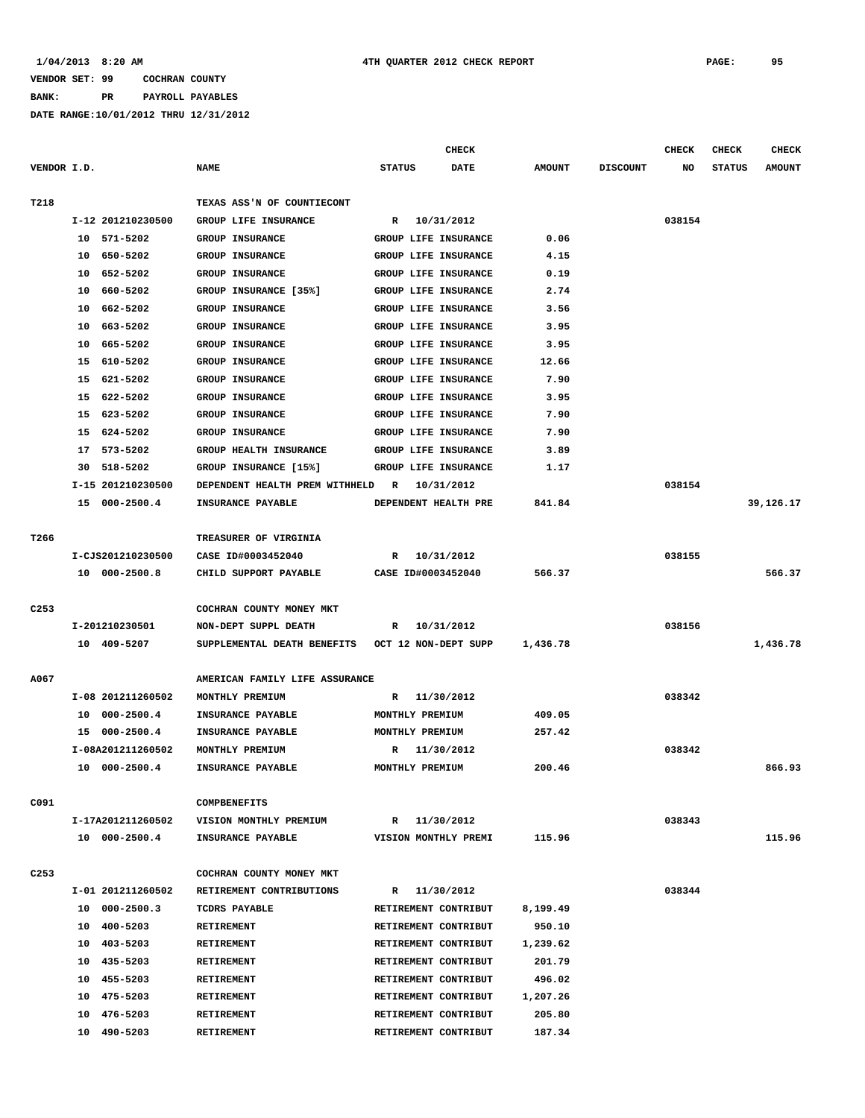## **BANK: PR PAYROLL PAYABLES**

|                  |                      |                                |                      | <b>CHECK</b> |               |                 | <b>CHECK</b> | <b>CHECK</b>  | <b>CHECK</b>  |
|------------------|----------------------|--------------------------------|----------------------|--------------|---------------|-----------------|--------------|---------------|---------------|
| VENDOR I.D.      |                      | <b>NAME</b>                    | <b>STATUS</b>        | <b>DATE</b>  | <b>AMOUNT</b> | <b>DISCOUNT</b> | NO           | <b>STATUS</b> | <b>AMOUNT</b> |
|                  |                      |                                |                      |              |               |                 |              |               |               |
| T218             |                      | TEXAS ASS'N OF COUNTIECONT     |                      |              |               |                 |              |               |               |
|                  | I-12 201210230500    | GROUP LIFE INSURANCE           | $\mathbb{R}$         | 10/31/2012   |               |                 | 038154       |               |               |
|                  | $10 571 - 5202$      | <b>GROUP INSURANCE</b>         | GROUP LIFE INSURANCE |              | 0.06          |                 |              |               |               |
|                  | 650-5202<br>10       | <b>GROUP INSURANCE</b>         | GROUP LIFE INSURANCE |              | 4.15          |                 |              |               |               |
|                  | 652-5202<br>10       | <b>GROUP INSURANCE</b>         | GROUP LIFE INSURANCE |              | 0.19          |                 |              |               |               |
|                  | 660-5202<br>10       | GROUP INSURANCE [35%]          | GROUP LIFE INSURANCE |              | 2.74          |                 |              |               |               |
|                  | 662-5202<br>10       | <b>GROUP INSURANCE</b>         | GROUP LIFE INSURANCE |              | 3.56          |                 |              |               |               |
|                  | 10<br>663–5202       | <b>GROUP INSURANCE</b>         | GROUP LIFE INSURANCE |              | 3.95          |                 |              |               |               |
|                  | 665-5202<br>10       | <b>GROUP INSURANCE</b>         | GROUP LIFE INSURANCE |              | 3.95          |                 |              |               |               |
|                  | 610-5202<br>15       | GROUP INSURANCE                | GROUP LIFE INSURANCE |              | 12.66         |                 |              |               |               |
|                  | 15<br>621-5202       | GROUP INSURANCE                | GROUP LIFE INSURANCE |              | 7.90          |                 |              |               |               |
|                  | 622-5202<br>15       | GROUP INSURANCE                | GROUP LIFE INSURANCE |              | 3.95          |                 |              |               |               |
|                  | 623-5202<br>15       | GROUP INSURANCE                | GROUP LIFE INSURANCE |              | 7.90          |                 |              |               |               |
|                  | 624-5202<br>15       | <b>GROUP INSURANCE</b>         | GROUP LIFE INSURANCE |              | 7.90          |                 |              |               |               |
|                  | 17 573-5202          | <b>GROUP HEALTH INSURANCE</b>  | GROUP LIFE INSURANCE |              | 3.89          |                 |              |               |               |
|                  | 518-5202<br>30       | GROUP INSURANCE [15%]          | GROUP LIFE INSURANCE |              | 1.17          |                 |              |               |               |
|                  | I-15 201210230500    | DEPENDENT HEALTH PREM WITHHELD | R                    | 10/31/2012   |               |                 | 038154       |               |               |
|                  | 15 000-2500.4        | INSURANCE PAYABLE              | DEPENDENT HEALTH PRE |              | 841.84        |                 |              |               | 39,126.17     |
|                  |                      |                                |                      |              |               |                 |              |               |               |
| T266             |                      | TREASURER OF VIRGINIA          |                      |              |               |                 |              |               |               |
|                  | I-CJS201210230500    | CASE ID#0003452040             | R 10/31/2012         |              |               |                 | 038155       |               |               |
|                  | 10 000-2500.8        | CHILD SUPPORT PAYABLE          | CASE ID#0003452040   |              | 566.37        |                 |              |               | 566.37        |
|                  |                      |                                |                      |              |               |                 |              |               |               |
| C <sub>253</sub> |                      | COCHRAN COUNTY MONEY MKT       |                      |              |               |                 |              |               |               |
|                  | I-201210230501       | NON-DEPT SUPPL DEATH           | R                    | 10/31/2012   |               |                 | 038156       |               |               |
|                  | 10 409-5207          | SUPPLEMENTAL DEATH BENEFITS    | OCT 12 NON-DEPT SUPP |              | 1,436.78      |                 |              |               | 1,436.78      |
|                  |                      |                                |                      |              |               |                 |              |               |               |
| A067             |                      | AMERICAN FAMILY LIFE ASSURANCE |                      |              |               |                 |              |               |               |
|                  | I-08 201211260502    | MONTHLY PREMIUM                | R                    | 11/30/2012   |               |                 | 038342       |               |               |
|                  | $000 - 2500.4$<br>10 | INSURANCE PAYABLE              | MONTHLY PREMIUM      |              | 409.05        |                 |              |               |               |
|                  | 15<br>$000 - 2500.4$ | INSURANCE PAYABLE              | MONTHLY PREMIUM      |              | 257.42        |                 |              |               |               |
|                  | I-08A201211260502    | MONTHLY PREMIUM                | R                    | 11/30/2012   |               |                 | 038342       |               |               |
|                  | 10 000-2500.4        | INSURANCE PAYABLE              | MONTHLY PREMIUM      |              | 200.46        |                 |              |               | 866.93        |
|                  |                      |                                |                      |              |               |                 |              |               |               |
| C091             |                      | <b>COMPBENEFITS</b>            |                      |              |               |                 |              |               |               |
|                  | I-17A201211260502    | VISION MONTHLY PREMIUM         | $\mathbb{R}$         | 11/30/2012   |               |                 | 038343       |               |               |
|                  | 10 000-2500.4        | INSURANCE PAYABLE              | VISION MONTHLY PREMI |              | 115.96        |                 |              |               | 115.96        |
|                  |                      |                                |                      |              |               |                 |              |               |               |
| C <sub>253</sub> |                      | COCHRAN COUNTY MONEY MKT       |                      |              |               |                 |              |               |               |
|                  | I-01 201211260502    | RETIREMENT CONTRIBUTIONS       | R 11/30/2012         |              |               |                 | 038344       |               |               |
|                  | 10 000-2500.3        | TCDRS PAYABLE                  | RETIREMENT CONTRIBUT |              | 8,199.49      |                 |              |               |               |
|                  | 10 400-5203          | RETIREMENT                     | RETIREMENT CONTRIBUT |              | 950.10        |                 |              |               |               |
|                  | 10 403-5203          | <b>RETIREMENT</b>              | RETIREMENT CONTRIBUT |              | 1,239.62      |                 |              |               |               |
|                  | 10 435-5203          | RETIREMENT                     | RETIREMENT CONTRIBUT |              | 201.79        |                 |              |               |               |
|                  | 10 455-5203          | <b>RETIREMENT</b>              | RETIREMENT CONTRIBUT |              | 496.02        |                 |              |               |               |
|                  | 10 475-5203          | RETIREMENT                     | RETIREMENT CONTRIBUT |              | 1,207.26      |                 |              |               |               |
|                  | 10<br>476-5203       | RETIREMENT                     | RETIREMENT CONTRIBUT |              | 205.80        |                 |              |               |               |
|                  | 10 490-5203          | RETIREMENT                     | RETIREMENT CONTRIBUT |              | 187.34        |                 |              |               |               |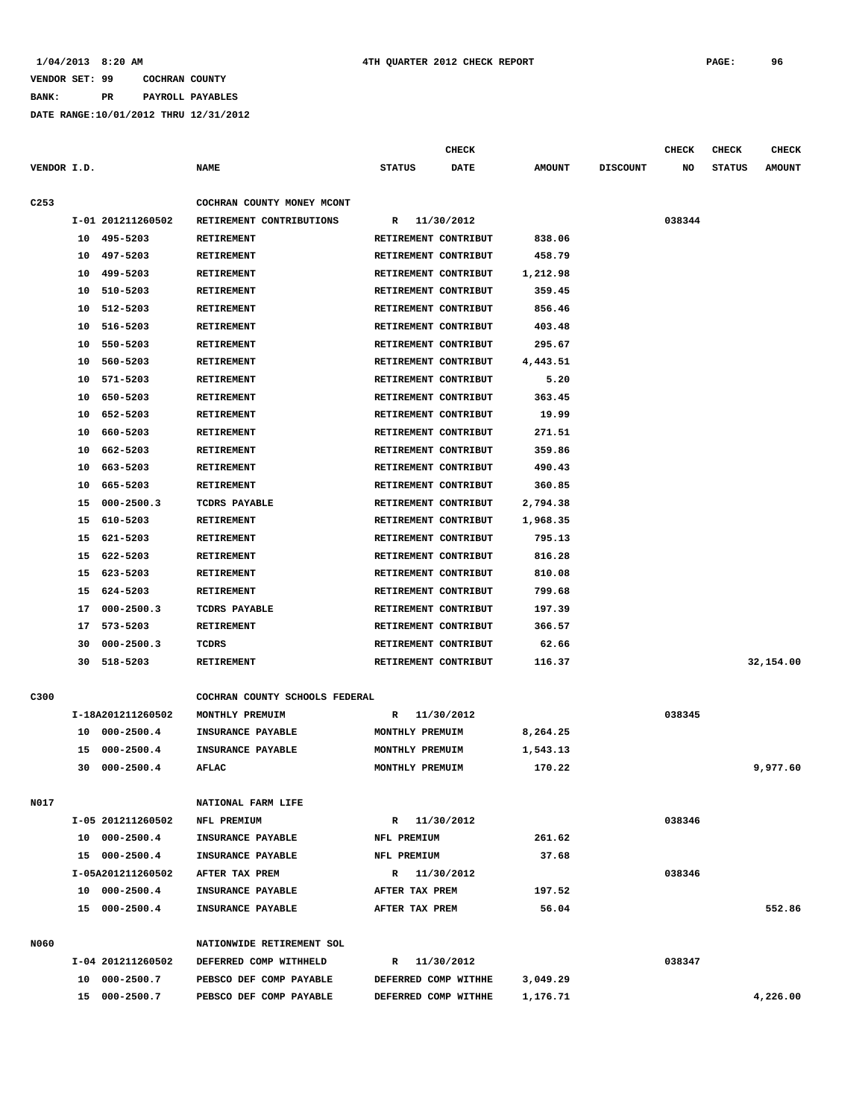### **BANK: PR PAYROLL PAYABLES**

|                  |          |                            |                                 |                                              | <b>CHECK</b> |                      |                 | <b>CHECK</b> | CHECK         | <b>CHECK</b>  |
|------------------|----------|----------------------------|---------------------------------|----------------------------------------------|--------------|----------------------|-----------------|--------------|---------------|---------------|
| VENDOR I.D.      |          |                            | <b>NAME</b>                     | <b>STATUS</b>                                | DATE         | <b>AMOUNT</b>        | <b>DISCOUNT</b> | NO           | <b>STATUS</b> | <b>AMOUNT</b> |
|                  |          |                            |                                 |                                              |              |                      |                 |              |               |               |
| C <sub>253</sub> |          |                            | COCHRAN COUNTY MONEY MCONT      |                                              |              |                      |                 |              |               |               |
|                  |          | I-01 201211260502          | RETIREMENT CONTRIBUTIONS        | R                                            | 11/30/2012   |                      |                 | 038344       |               |               |
|                  |          | 10 495-5203                | <b>RETIREMENT</b>               | RETIREMENT CONTRIBUT                         |              | 838.06               |                 |              |               |               |
|                  |          | 10 497-5203                | RETIREMENT                      | RETIREMENT CONTRIBUT                         |              | 458.79               |                 |              |               |               |
|                  | 10       | 499-5203                   | RETIREMENT                      | RETIREMENT CONTRIBUT                         |              | 1,212.98             |                 |              |               |               |
|                  | 10       | 510-5203                   | <b>RETIREMENT</b>               | RETIREMENT CONTRIBUT                         |              | 359.45               |                 |              |               |               |
|                  | 10       | 512-5203                   | <b>RETIREMENT</b>               | RETIREMENT CONTRIBUT                         |              | 856.46               |                 |              |               |               |
|                  | 10       | 516-5203                   | RETIREMENT                      | RETIREMENT CONTRIBUT                         |              | 403.48               |                 |              |               |               |
|                  | 10       | 550-5203                   | <b>RETIREMENT</b>               | RETIREMENT CONTRIBUT                         |              | 295.67               |                 |              |               |               |
|                  | 10       | 560-5203                   | <b>RETIREMENT</b>               | RETIREMENT CONTRIBUT                         |              | 4,443.51             |                 |              |               |               |
|                  | 10       | 571-5203                   | RETIREMENT                      | RETIREMENT CONTRIBUT                         |              | 5.20                 |                 |              |               |               |
|                  | 10       | 650-5203                   | <b>RETIREMENT</b>               | RETIREMENT CONTRIBUT                         |              | 363.45               |                 |              |               |               |
|                  | 10       | 652-5203                   | RETIREMENT                      | RETIREMENT CONTRIBUT                         |              | 19.99                |                 |              |               |               |
|                  | 10       | 660-5203                   | RETIREMENT                      | RETIREMENT CONTRIBUT                         |              | 271.51               |                 |              |               |               |
|                  | 10       | 662-5203                   | <b>RETIREMENT</b>               | RETIREMENT CONTRIBUT                         |              | 359.86               |                 |              |               |               |
|                  | 10       | 663-5203                   | RETIREMENT                      | RETIREMENT CONTRIBUT                         |              | 490.43               |                 |              |               |               |
|                  | 10       | 665-5203                   | <b>RETIREMENT</b>               | RETIREMENT CONTRIBUT                         |              | 360.85               |                 |              |               |               |
|                  | 15<br>15 | $000 - 2500.3$<br>610-5203 | TCDRS PAYABLE<br>RETIREMENT     | RETIREMENT CONTRIBUT<br>RETIREMENT CONTRIBUT |              | 2,794.38<br>1,968.35 |                 |              |               |               |
|                  |          | 621-5203                   |                                 | RETIREMENT CONTRIBUT                         |              | 795.13               |                 |              |               |               |
|                  | 15<br>15 | 622-5203                   | RETIREMENT<br><b>RETIREMENT</b> | RETIREMENT CONTRIBUT                         |              | 816.28               |                 |              |               |               |
|                  | 15       | 623-5203                   | <b>RETIREMENT</b>               |                                              |              | 810.08               |                 |              |               |               |
|                  | 15       | 624-5203                   | RETIREMENT                      | RETIREMENT CONTRIBUT<br>RETIREMENT CONTRIBUT |              | 799.68               |                 |              |               |               |
|                  | 17       | $000 - 2500.3$             | TCDRS PAYABLE                   | RETIREMENT CONTRIBUT                         |              | 197.39               |                 |              |               |               |
|                  | 17       | 573-5203                   | RETIREMENT                      | RETIREMENT CONTRIBUT                         |              | 366.57               |                 |              |               |               |
|                  | 30       | $000 - 2500.3$             | TCDRS                           | RETIREMENT CONTRIBUT                         |              | 62.66                |                 |              |               |               |
|                  |          | 30 518-5203                | <b>RETIREMENT</b>               | RETIREMENT CONTRIBUT                         |              | 116.37               |                 |              |               | 32,154.00     |
|                  |          |                            |                                 |                                              |              |                      |                 |              |               |               |
| C300             |          |                            | COCHRAN COUNTY SCHOOLS FEDERAL  |                                              |              |                      |                 |              |               |               |
|                  |          | I-18A201211260502          | MONTHLY PREMUIM                 | R                                            | 11/30/2012   |                      |                 | 038345       |               |               |
|                  |          | 10 000-2500.4              | INSURANCE PAYABLE               | MONTHLY PREMUIM                              |              | 8,264.25             |                 |              |               |               |
|                  | 15       | $000 - 2500.4$             | INSURANCE PAYABLE               | MONTHLY PREMUIM                              |              | 1,543.13             |                 |              |               |               |
|                  | 30       | $000 - 2500.4$             | <b>AFLAC</b>                    | MONTHLY PREMUIM                              |              | 170.22               |                 |              |               | 9,977.60      |
|                  |          |                            |                                 |                                              |              |                      |                 |              |               |               |
| N017             |          |                            | NATIONAL FARM LIFE              |                                              |              |                      |                 |              |               |               |
|                  |          | I-05 201211260502          | NFL PREMIUM                     | R 11/30/2012                                 |              |                      |                 | 038346       |               |               |
|                  |          | 10 000-2500.4              | INSURANCE PAYABLE               | NFL PREMIUM                                  |              | 261.62               |                 |              |               |               |
|                  |          | 15 000-2500.4              | INSURANCE PAYABLE               | NFL PREMIUM                                  |              | 37.68                |                 |              |               |               |
|                  |          | I-05A201211260502          | AFTER TAX PREM                  | R 11/30/2012                                 |              |                      |                 | 038346       |               |               |
|                  |          | 10 000-2500.4              | INSURANCE PAYABLE               | AFTER TAX PREM                               |              | 197.52               |                 |              |               |               |
|                  |          | 15 000-2500.4              | INSURANCE PAYABLE               | AFTER TAX PREM                               |              | 56.04                |                 |              |               | 552.86        |
| N060             |          |                            | NATIONWIDE RETIREMENT SOL       |                                              |              |                      |                 |              |               |               |
|                  |          | I-04 201211260502          | DEFERRED COMP WITHHELD          | R 11/30/2012                                 |              |                      |                 | 038347       |               |               |
|                  |          | 10 000-2500.7              | PEBSCO DEF COMP PAYABLE         | DEFERRED COMP WITHHE                         |              | 3,049.29             |                 |              |               |               |
|                  |          | 15 000-2500.7              | PEBSCO DEF COMP PAYABLE         | DEFERRED COMP WITHHE                         |              | 1,176.71             |                 |              |               | 4,226.00      |
|                  |          |                            |                                 |                                              |              |                      |                 |              |               |               |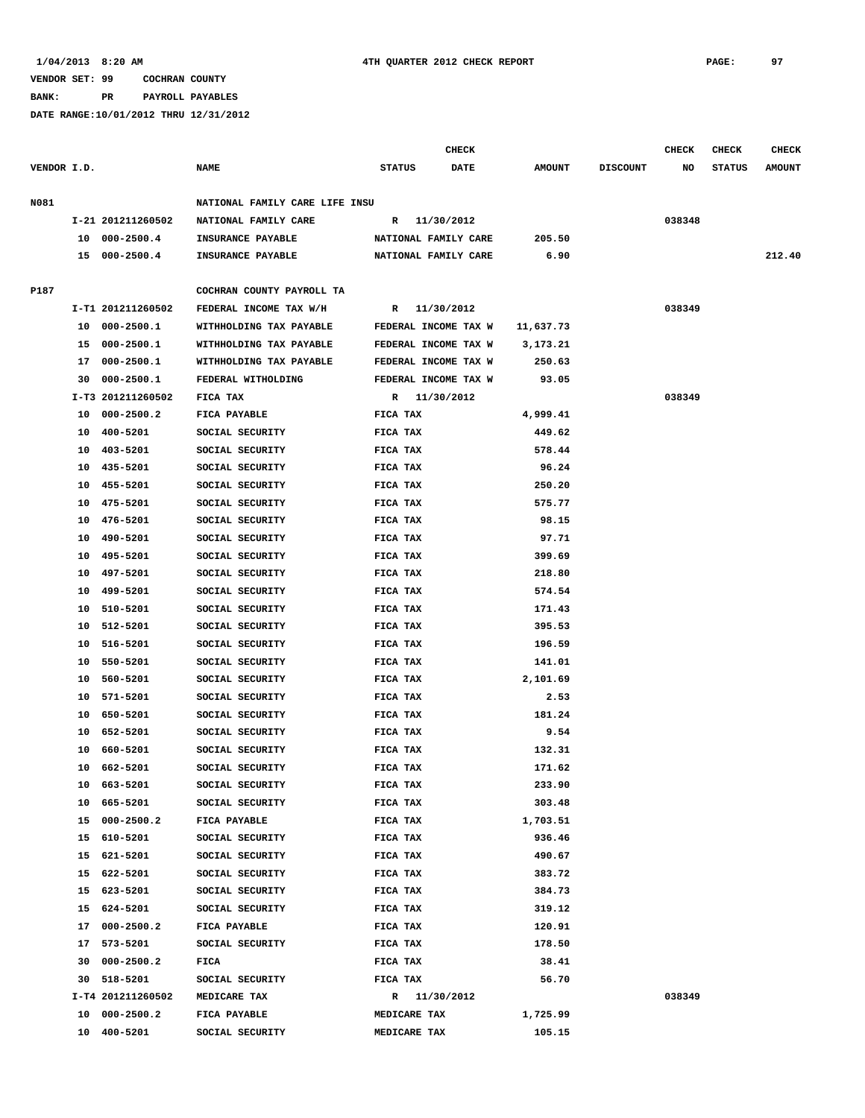**BANK: PR PAYROLL PAYABLES**

|             |    |                   |                                |                      | CHECK |               |                 | <b>CHECK</b> | <b>CHECK</b>  | <b>CHECK</b>  |
|-------------|----|-------------------|--------------------------------|----------------------|-------|---------------|-----------------|--------------|---------------|---------------|
| VENDOR I.D. |    |                   | <b>NAME</b>                    | <b>STATUS</b>        | DATE  | <b>AMOUNT</b> | <b>DISCOUNT</b> | NO           | <b>STATUS</b> | <b>AMOUNT</b> |
| N081        |    |                   | NATIONAL FAMILY CARE LIFE INSU |                      |       |               |                 |              |               |               |
|             |    | I-21 201211260502 | NATIONAL FAMILY CARE           | R 11/30/2012         |       |               |                 | 038348       |               |               |
|             |    | 10 000-2500.4     | INSURANCE PAYABLE              | NATIONAL FAMILY CARE |       | 205.50        |                 |              |               |               |
|             |    | 15 000-2500.4     | <b>INSURANCE PAYABLE</b>       | NATIONAL FAMILY CARE |       | 6.90          |                 |              |               | 212.40        |
|             |    |                   |                                |                      |       |               |                 |              |               |               |
| P187        |    |                   | COCHRAN COUNTY PAYROLL TA      |                      |       |               |                 |              |               |               |
|             |    | I-T1 201211260502 | FEDERAL INCOME TAX W/H         | R 11/30/2012         |       |               |                 | 038349       |               |               |
|             | 10 | $000 - 2500.1$    | WITHHOLDING TAX PAYABLE        | FEDERAL INCOME TAX W |       | 11,637.73     |                 |              |               |               |
|             | 15 | 000-2500.1        | WITHHOLDING TAX PAYABLE        | FEDERAL INCOME TAX W |       | 3,173.21      |                 |              |               |               |
|             | 17 | $000 - 2500.1$    | WITHHOLDING TAX PAYABLE        | FEDERAL INCOME TAX W |       | 250.63        |                 |              |               |               |
|             | 30 | $000 - 2500.1$    | FEDERAL WITHOLDING             | FEDERAL INCOME TAX W |       | 93.05         |                 |              |               |               |
|             |    | I-T3 201211260502 | FICA TAX                       | R 11/30/2012         |       |               |                 | 038349       |               |               |
|             | 10 | $000 - 2500.2$    | FICA PAYABLE                   | FICA TAX             |       | 4,999.41      |                 |              |               |               |
|             | 10 | 400-5201          | SOCIAL SECURITY                | FICA TAX             |       | 449.62        |                 |              |               |               |
|             | 10 | 403-5201          | SOCIAL SECURITY                | FICA TAX             |       | 578.44        |                 |              |               |               |
|             | 10 | 435-5201          | SOCIAL SECURITY                | FICA TAX             |       | 96.24         |                 |              |               |               |
|             | 10 | 455-5201          | SOCIAL SECURITY                | FICA TAX             |       | 250.20        |                 |              |               |               |
|             | 10 | 475-5201          | SOCIAL SECURITY                | FICA TAX             |       | 575.77        |                 |              |               |               |
|             | 10 | 476-5201          | SOCIAL SECURITY                | FICA TAX             |       | 98.15         |                 |              |               |               |
|             | 10 | 490-5201          | SOCIAL SECURITY                | FICA TAX             |       | 97.71         |                 |              |               |               |
|             | 10 | 495-5201          | SOCIAL SECURITY                | FICA TAX             |       | 399.69        |                 |              |               |               |
|             | 10 | 497-5201          | SOCIAL SECURITY                | FICA TAX             |       | 218.80        |                 |              |               |               |
|             | 10 | 499-5201          | SOCIAL SECURITY                | FICA TAX             |       | 574.54        |                 |              |               |               |
|             | 10 | 510-5201          | SOCIAL SECURITY                | FICA TAX             |       | 171.43        |                 |              |               |               |
|             | 10 | 512-5201          | SOCIAL SECURITY                | FICA TAX             |       | 395.53        |                 |              |               |               |
|             | 10 | 516-5201          | SOCIAL SECURITY                | FICA TAX             |       | 196.59        |                 |              |               |               |
|             | 10 | 550-5201          | SOCIAL SECURITY                | FICA TAX             |       | 141.01        |                 |              |               |               |
|             | 10 | 560-5201          | SOCIAL SECURITY                | FICA TAX             |       | 2,101.69      |                 |              |               |               |
|             | 10 | 571-5201          | SOCIAL SECURITY                | FICA TAX             |       | 2.53          |                 |              |               |               |
|             | 10 | 650-5201          | SOCIAL SECURITY                | FICA TAX             |       | 181.24        |                 |              |               |               |
|             | 10 | 652-5201          | SOCIAL SECURITY                | FICA TAX             |       | 9.54          |                 |              |               |               |
|             | 10 | 660-5201          | SOCIAL SECURITY                | FICA TAX             |       | 132.31        |                 |              |               |               |
|             | 10 | 662-5201          | SOCIAL SECURITY                | FICA TAX             |       | 171.62        |                 |              |               |               |
|             | 10 | 663-5201          | SOCIAL SECURITY                | FICA TAX             |       | 233.90        |                 |              |               |               |
|             |    | 10 665-5201       | SOCIAL SECURITY                | FICA TAX             |       | 303.48        |                 |              |               |               |
|             |    | 15 000-2500.2     | FICA PAYABLE                   | FICA TAX             |       | 1,703.51      |                 |              |               |               |
|             |    | 15 610-5201       | SOCIAL SECURITY                | FICA TAX             |       | 936.46        |                 |              |               |               |
|             |    | 15 621-5201       | SOCIAL SECURITY                | FICA TAX             |       | 490.67        |                 |              |               |               |
|             |    | 15 622-5201       | SOCIAL SECURITY                | FICA TAX             |       | 383.72        |                 |              |               |               |
|             |    | 15 623-5201       | SOCIAL SECURITY                | FICA TAX             |       | 384.73        |                 |              |               |               |
|             |    | 15 624-5201       | SOCIAL SECURITY                | FICA TAX             |       | 319.12        |                 |              |               |               |
|             |    | 17 000-2500.2     | <b>FICA PAYABLE</b>            | FICA TAX             |       | 120.91        |                 |              |               |               |
|             |    | 17 573-5201       | SOCIAL SECURITY                | FICA TAX             |       | 178.50        |                 |              |               |               |
|             | 30 | 000-2500.2        | FICA                           | FICA TAX             |       | 38.41         |                 |              |               |               |
|             |    | 30 518-5201       | SOCIAL SECURITY                | FICA TAX             |       | 56.70         |                 |              |               |               |
|             |    | I-T4 201211260502 | MEDICARE TAX                   | R 11/30/2012         |       |               |                 | 038349       |               |               |
|             |    | 10 000-2500.2     | FICA PAYABLE                   | MEDICARE TAX         |       | 1,725.99      |                 |              |               |               |
|             |    | 10 400-5201       | SOCIAL SECURITY                | MEDICARE TAX         |       | 105.15        |                 |              |               |               |
|             |    |                   |                                |                      |       |               |                 |              |               |               |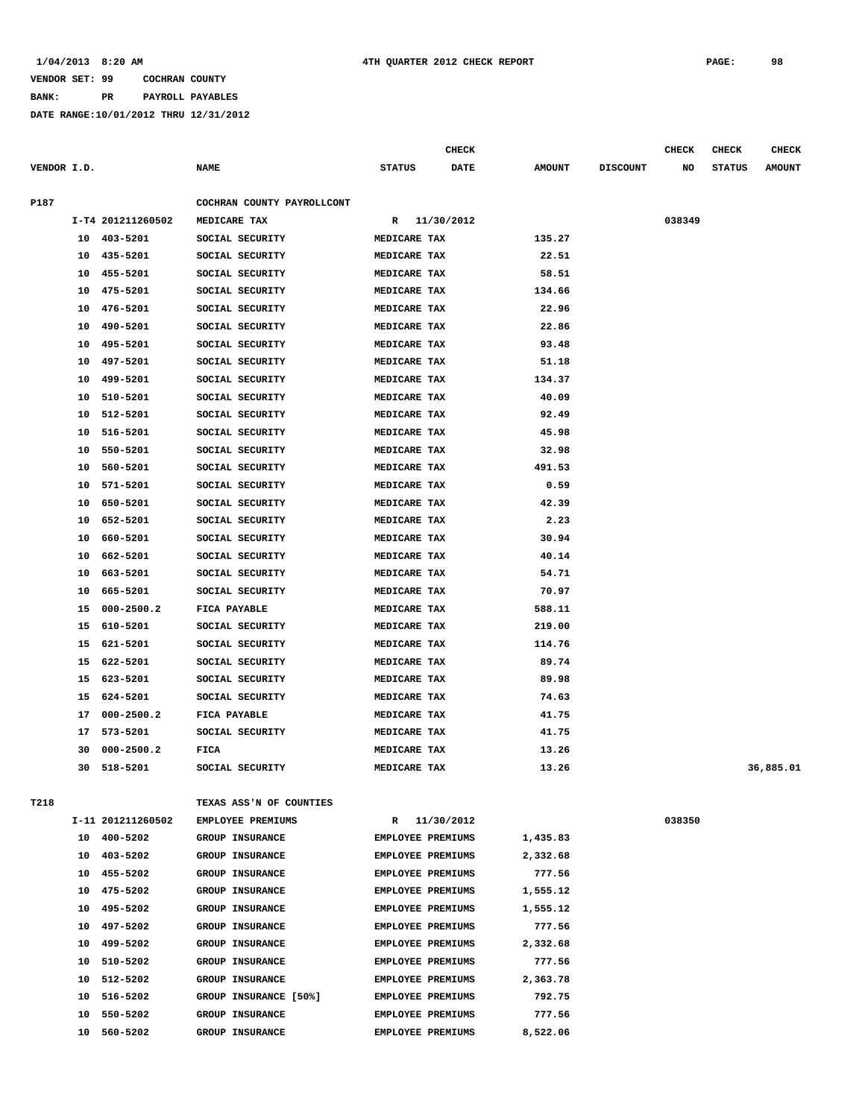## **BANK: PR PAYROLL PAYABLES**

|             |    |                   |                            |                          | <b>CHECK</b> |               |                 | CHECK  | CHECK         | <b>CHECK</b>  |
|-------------|----|-------------------|----------------------------|--------------------------|--------------|---------------|-----------------|--------|---------------|---------------|
| VENDOR I.D. |    |                   | <b>NAME</b>                | <b>STATUS</b>            | DATE         | <b>AMOUNT</b> | <b>DISCOUNT</b> | NO     | <b>STATUS</b> | <b>AMOUNT</b> |
| P187        |    |                   | COCHRAN COUNTY PAYROLLCONT |                          |              |               |                 |        |               |               |
|             |    | I-T4 201211260502 | MEDICARE TAX               | R                        | 11/30/2012   |               |                 | 038349 |               |               |
|             | 10 | 403-5201          | SOCIAL SECURITY            | MEDICARE TAX             |              | 135.27        |                 |        |               |               |
|             | 10 | 435-5201          | SOCIAL SECURITY            | MEDICARE TAX             |              | 22.51         |                 |        |               |               |
|             | 10 | 455-5201          | SOCIAL SECURITY            | MEDICARE TAX             |              | 58.51         |                 |        |               |               |
|             | 10 | 475-5201          | SOCIAL SECURITY            | MEDICARE TAX             |              | 134.66        |                 |        |               |               |
|             | 10 | 476-5201          | SOCIAL SECURITY            | MEDICARE TAX             |              | 22.96         |                 |        |               |               |
|             | 10 | 490-5201          | SOCIAL SECURITY            | MEDICARE TAX             |              | 22.86         |                 |        |               |               |
|             | 10 | 495-5201          | SOCIAL SECURITY            | MEDICARE TAX             |              | 93.48         |                 |        |               |               |
|             | 10 | 497-5201          | SOCIAL SECURITY            | MEDICARE TAX             |              | 51.18         |                 |        |               |               |
|             | 10 | 499-5201          | SOCIAL SECURITY            | MEDICARE TAX             |              | 134.37        |                 |        |               |               |
|             | 10 | 510-5201          | SOCIAL SECURITY            | MEDICARE TAX             |              | 40.09         |                 |        |               |               |
|             | 10 | 512-5201          | SOCIAL SECURITY            | MEDICARE TAX             |              | 92.49         |                 |        |               |               |
|             | 10 | 516-5201          | SOCIAL SECURITY            | MEDICARE TAX             |              | 45.98         |                 |        |               |               |
|             | 10 | 550-5201          | SOCIAL SECURITY            | MEDICARE TAX             |              | 32.98         |                 |        |               |               |
|             | 10 | 560-5201          | SOCIAL SECURITY            | MEDICARE TAX             |              | 491.53        |                 |        |               |               |
|             | 10 | 571-5201          | SOCIAL SECURITY            | MEDICARE TAX             |              | 0.59          |                 |        |               |               |
|             | 10 | 650-5201          | SOCIAL SECURITY            | MEDICARE TAX             |              | 42.39         |                 |        |               |               |
|             | 10 | 652-5201          | SOCIAL SECURITY            | MEDICARE TAX             |              | 2.23          |                 |        |               |               |
|             | 10 | 660-5201          | SOCIAL SECURITY            | MEDICARE TAX             |              | 30.94         |                 |        |               |               |
|             | 10 | 662-5201          | SOCIAL SECURITY            | MEDICARE TAX             |              | 40.14         |                 |        |               |               |
|             | 10 | 663-5201          | SOCIAL SECURITY            | MEDICARE TAX             |              | 54.71         |                 |        |               |               |
|             | 10 | 665-5201          | SOCIAL SECURITY            | MEDICARE TAX             |              | 70.97         |                 |        |               |               |
|             | 15 | $000 - 2500.2$    | FICA PAYABLE               | MEDICARE TAX             |              | 588.11        |                 |        |               |               |
|             | 15 | 610-5201          | SOCIAL SECURITY            | MEDICARE TAX             |              | 219.00        |                 |        |               |               |
|             | 15 | 621-5201          | SOCIAL SECURITY            | MEDICARE TAX             |              | 114.76        |                 |        |               |               |
|             | 15 | 622-5201          | SOCIAL SECURITY            | MEDICARE TAX             |              | 89.74         |                 |        |               |               |
|             | 15 | 623-5201          | SOCIAL SECURITY            | MEDICARE TAX             |              | 89.98         |                 |        |               |               |
|             | 15 | 624-5201          | SOCIAL SECURITY            | MEDICARE TAX             |              | 74.63         |                 |        |               |               |
|             | 17 | $000 - 2500.2$    | FICA PAYABLE               | MEDICARE TAX             |              | 41.75         |                 |        |               |               |
|             | 17 | 573-5201          | SOCIAL SECURITY            | MEDICARE TAX             |              | 41.75         |                 |        |               |               |
|             | 30 | $000 - 2500.2$    | FICA                       | MEDICARE TAX             |              | 13.26         |                 |        |               |               |
|             | 30 | 518-5201          | SOCIAL SECURITY            | MEDICARE TAX             |              | 13.26         |                 |        |               | 36,885.01     |
|             |    |                   |                            |                          |              |               |                 |        |               |               |
| T218        |    |                   | TEXAS ASS'N OF COUNTIES    |                          |              |               |                 |        |               |               |
|             |    | I-11 201211260502 | EMPLOYEE PREMIUMS          | R                        | 11/30/2012   |               |                 | 038350 |               |               |
|             | 10 | 400-5202          | GROUP INSURANCE            | <b>EMPLOYEE PREMIUMS</b> |              | 1,435.83      |                 |        |               |               |
|             | 10 | 403-5202          | <b>GROUP INSURANCE</b>     | <b>EMPLOYEE PREMIUMS</b> |              | 2,332.68      |                 |        |               |               |
|             | 10 | 455-5202          | <b>GROUP INSURANCE</b>     | <b>EMPLOYEE PREMIUMS</b> |              | 777.56        |                 |        |               |               |
|             | 10 | 475-5202          | GROUP INSURANCE            | EMPLOYEE PREMIUMS        |              | 1,555.12      |                 |        |               |               |
|             | 10 | 495-5202          | <b>GROUP INSURANCE</b>     | <b>EMPLOYEE PREMIUMS</b> |              | 1,555.12      |                 |        |               |               |
|             | 10 | 497-5202          | <b>GROUP INSURANCE</b>     | <b>EMPLOYEE PREMIUMS</b> |              | 777.56        |                 |        |               |               |
|             | 10 | 499-5202          | GROUP INSURANCE            | <b>EMPLOYEE PREMIUMS</b> |              | 2,332.68      |                 |        |               |               |
|             | 10 | 510-5202          | <b>GROUP INSURANCE</b>     | <b>EMPLOYEE PREMIUMS</b> |              | 777.56        |                 |        |               |               |
|             | 10 | 512-5202          | GROUP INSURANCE            | <b>EMPLOYEE PREMIUMS</b> |              | 2,363.78      |                 |        |               |               |
|             | 10 | 516-5202          | GROUP INSURANCE [50%]      | EMPLOYEE PREMIUMS        |              | 792.75        |                 |        |               |               |
|             | 10 | 550-5202          | <b>GROUP INSURANCE</b>     | <b>EMPLOYEE PREMIUMS</b> |              | 777.56        |                 |        |               |               |
|             |    | 10 560-5202       | <b>GROUP INSURANCE</b>     | <b>EMPLOYEE PREMIUMS</b> |              | 8,522.06      |                 |        |               |               |
|             |    |                   |                            |                          |              |               |                 |        |               |               |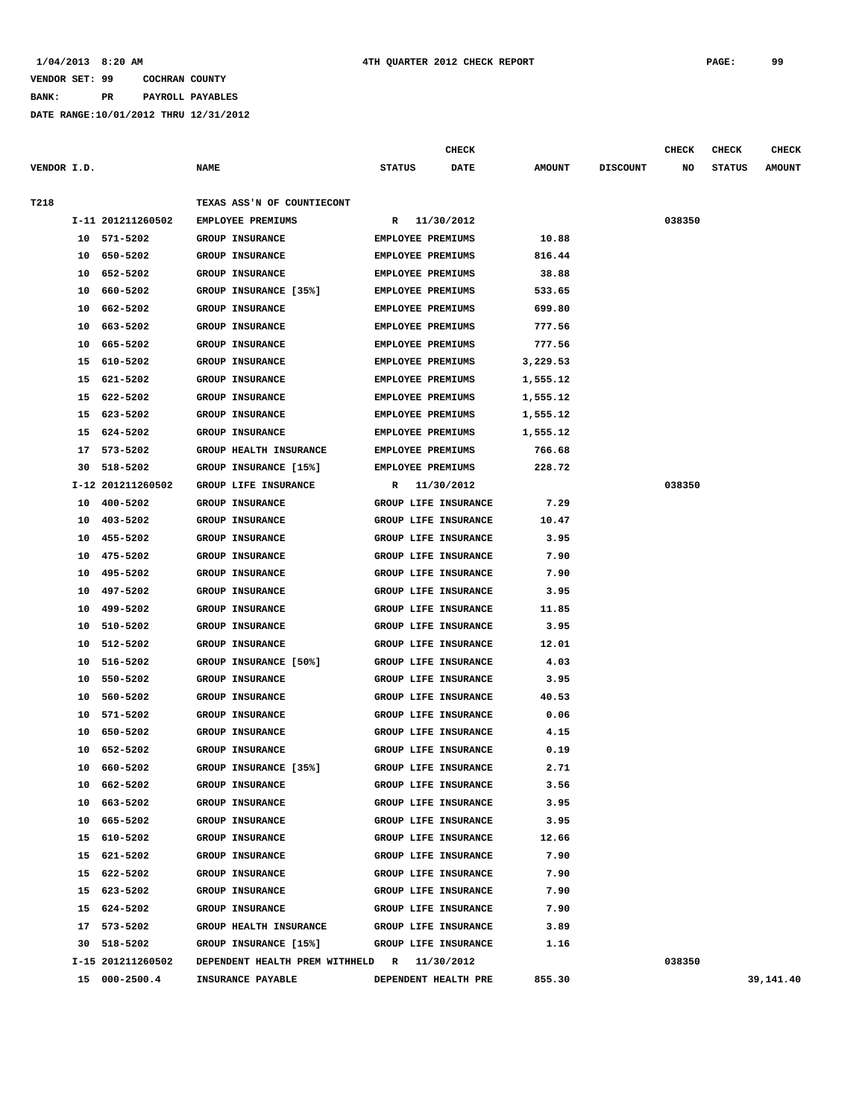**BANK: PR PAYROLL PAYABLES**

|             |    |                   |                                             |                          | <b>CHECK</b>                |               |                 | <b>CHECK</b> | CHECK         | <b>CHECK</b>  |
|-------------|----|-------------------|---------------------------------------------|--------------------------|-----------------------------|---------------|-----------------|--------------|---------------|---------------|
| VENDOR I.D. |    |                   | <b>NAME</b>                                 | <b>STATUS</b>            | <b>DATE</b>                 | <b>AMOUNT</b> | <b>DISCOUNT</b> | NO           | <b>STATUS</b> | <b>AMOUNT</b> |
| T218        |    |                   | TEXAS ASS'N OF COUNTIECONT                  |                          |                             |               |                 |              |               |               |
|             |    | I-11 201211260502 | EMPLOYEE PREMIUMS                           | R                        | 11/30/2012                  |               |                 | 038350       |               |               |
|             |    | 10 571-5202       | <b>GROUP INSURANCE</b>                      | <b>EMPLOYEE PREMIUMS</b> |                             | 10.88         |                 |              |               |               |
|             | 10 | 650-5202          | <b>GROUP INSURANCE</b>                      | <b>EMPLOYEE PREMIUMS</b> |                             | 816.44        |                 |              |               |               |
|             | 10 | 652-5202          | <b>GROUP INSURANCE</b>                      | <b>EMPLOYEE PREMIUMS</b> |                             | 38.88         |                 |              |               |               |
|             | 10 | 660-5202          | GROUP INSURANCE [35%]                       | <b>EMPLOYEE PREMIUMS</b> |                             | 533.65        |                 |              |               |               |
|             | 10 | 662-5202          | <b>GROUP INSURANCE</b>                      | <b>EMPLOYEE PREMIUMS</b> |                             | 699.80        |                 |              |               |               |
|             | 10 | 663–5202          | <b>GROUP INSURANCE</b>                      | <b>EMPLOYEE PREMIUMS</b> |                             | 777.56        |                 |              |               |               |
|             | 10 | 665-5202          | <b>GROUP INSURANCE</b>                      | <b>EMPLOYEE PREMIUMS</b> |                             | 777.56        |                 |              |               |               |
|             | 15 | 610-5202          | <b>GROUP INSURANCE</b>                      | <b>EMPLOYEE PREMIUMS</b> |                             | 3,229.53      |                 |              |               |               |
|             | 15 | 621-5202          | <b>GROUP INSURANCE</b>                      | <b>EMPLOYEE PREMIUMS</b> |                             | 1,555.12      |                 |              |               |               |
|             | 15 | 622-5202          | <b>GROUP INSURANCE</b>                      | <b>EMPLOYEE PREMIUMS</b> |                             | 1,555.12      |                 |              |               |               |
|             | 15 | 623-5202          | GROUP INSURANCE                             | <b>EMPLOYEE PREMIUMS</b> |                             | 1,555.12      |                 |              |               |               |
|             | 15 | 624-5202          | <b>GROUP INSURANCE</b>                      | <b>EMPLOYEE PREMIUMS</b> |                             | 1,555.12      |                 |              |               |               |
|             | 17 | 573-5202          | <b>GROUP HEALTH INSURANCE</b>               | <b>EMPLOYEE PREMIUMS</b> |                             | 766.68        |                 |              |               |               |
|             | 30 | 518-5202          | GROUP INSURANCE [15%]                       | EMPLOYEE PREMIUMS        |                             | 228.72        |                 |              |               |               |
|             |    | I-12 201211260502 | GROUP LIFE INSURANCE                        | R                        | 11/30/2012                  |               |                 | 038350       |               |               |
|             | 10 | 400-5202          | <b>GROUP INSURANCE</b>                      |                          | GROUP LIFE INSURANCE        | 7.29          |                 |              |               |               |
|             | 10 | 403-5202          | <b>GROUP INSURANCE</b>                      |                          | GROUP LIFE INSURANCE        | 10.47         |                 |              |               |               |
|             | 10 | 455-5202          | <b>GROUP INSURANCE</b>                      |                          | GROUP LIFE INSURANCE        | 3.95          |                 |              |               |               |
|             | 10 | 475-5202          | <b>GROUP INSURANCE</b>                      |                          | GROUP LIFE INSURANCE        | 7.90          |                 |              |               |               |
|             | 10 | 495-5202          | <b>GROUP INSURANCE</b>                      |                          | GROUP LIFE INSURANCE        | 7.90          |                 |              |               |               |
|             | 10 | 497-5202          | <b>GROUP INSURANCE</b>                      |                          | GROUP LIFE INSURANCE        | 3.95          |                 |              |               |               |
|             | 10 | 499-5202          | <b>GROUP INSURANCE</b>                      |                          | GROUP LIFE INSURANCE        | 11.85         |                 |              |               |               |
|             | 10 | 510-5202          | <b>GROUP INSURANCE</b>                      |                          | GROUP LIFE INSURANCE        | 3.95          |                 |              |               |               |
|             | 10 | 512-5202          | <b>GROUP INSURANCE</b>                      |                          | GROUP LIFE INSURANCE        | 12.01         |                 |              |               |               |
|             | 10 | 516-5202          | GROUP INSURANCE [50%]                       |                          | GROUP LIFE INSURANCE        | 4.03          |                 |              |               |               |
|             | 10 | 550-5202          | <b>GROUP INSURANCE</b>                      |                          | GROUP LIFE INSURANCE        | 3.95          |                 |              |               |               |
|             | 10 | 560-5202          | <b>GROUP INSURANCE</b>                      |                          | <b>GROUP LIFE INSURANCE</b> | 40.53         |                 |              |               |               |
|             | 10 | 571-5202          | <b>GROUP INSURANCE</b>                      |                          | GROUP LIFE INSURANCE        | 0.06          |                 |              |               |               |
|             | 10 | 650-5202          | GROUP INSURANCE                             |                          | GROUP LIFE INSURANCE        | 4.15          |                 |              |               |               |
|             | 10 | 652-5202          | <b>GROUP INSURANCE</b>                      |                          | GROUP LIFE INSURANCE        | 0.19          |                 |              |               |               |
|             | 10 | 660-5202          | GROUP INSURANCE [35%]                       |                          | GROUP LIFE INSURANCE        | 2.71          |                 |              |               |               |
|             |    | 10 662-5202       | <b>GROUP INSURANCE</b>                      |                          | GROUP LIFE INSURANCE        | 3.56          |                 |              |               |               |
|             |    | 10 663-5202       | <b>GROUP INSURANCE</b>                      |                          | GROUP LIFE INSURANCE        | 3.95          |                 |              |               |               |
|             |    | 10 665-5202       | GROUP INSURANCE                             |                          | GROUP LIFE INSURANCE        | 3.95          |                 |              |               |               |
|             |    | 15 610-5202       | GROUP INSURANCE                             |                          | GROUP LIFE INSURANCE        | 12.66         |                 |              |               |               |
|             |    | 15 621-5202       | GROUP INSURANCE                             |                          | GROUP LIFE INSURANCE        | 7.90          |                 |              |               |               |
|             |    | 15 622-5202       | GROUP INSURANCE                             |                          | GROUP LIFE INSURANCE        | 7.90          |                 |              |               |               |
|             |    | 15 623-5202       | GROUP INSURANCE                             |                          | GROUP LIFE INSURANCE        | 7.90          |                 |              |               |               |
|             |    | 15 624-5202       | GROUP INSURANCE                             |                          | GROUP LIFE INSURANCE        | 7.90          |                 |              |               |               |
|             |    | 17 573-5202       | GROUP HEALTH INSURANCE                      |                          | <b>GROUP LIFE INSURANCE</b> | 3.89          |                 |              |               |               |
|             |    | 30 518-5202       | GROUP INSURANCE [15%]                       |                          | GROUP LIFE INSURANCE        | 1.16          |                 |              |               |               |
|             |    | I-15 201211260502 | DEPENDENT HEALTH PREM WITHHELD R 11/30/2012 |                          |                             |               |                 | 038350       |               |               |
|             |    | 15 000-2500.4     | INSURANCE PAYABLE                           |                          | DEPENDENT HEALTH PRE        | 855.30        |                 |              |               | 39,141.40     |
|             |    |                   |                                             |                          |                             |               |                 |              |               |               |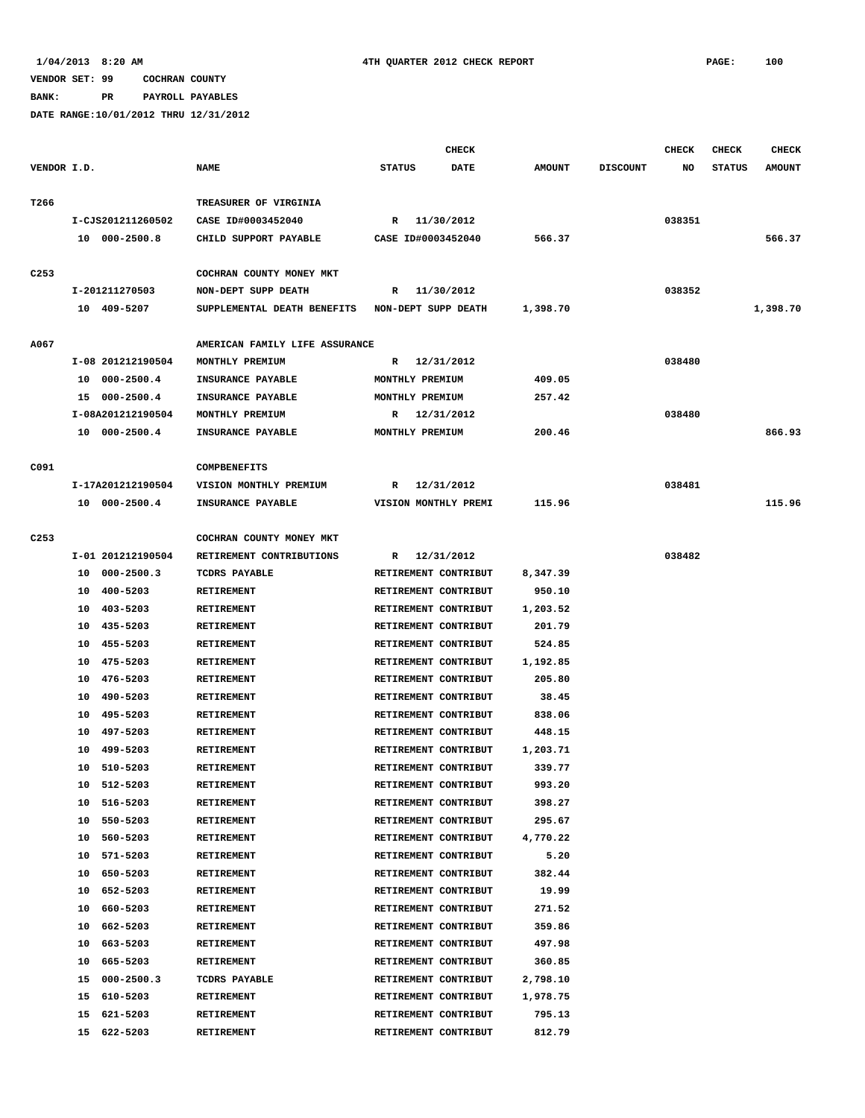**BANK: PR PAYROLL PAYABLES**

|                  |    |                   |                                |                      | <b>CHECK</b> |               |                 | <b>CHECK</b> | <b>CHECK</b>  | <b>CHECK</b>  |
|------------------|----|-------------------|--------------------------------|----------------------|--------------|---------------|-----------------|--------------|---------------|---------------|
| VENDOR I.D.      |    |                   | <b>NAME</b>                    | <b>STATUS</b>        | <b>DATE</b>  | <b>AMOUNT</b> | <b>DISCOUNT</b> | NO           | <b>STATUS</b> | <b>AMOUNT</b> |
| T266             |    |                   | TREASURER OF VIRGINIA          |                      |              |               |                 |              |               |               |
|                  |    | I-CJS201211260502 | CASE ID#0003452040             | R 11/30/2012         |              |               |                 | 038351       |               |               |
|                  |    | 10 000-2500.8     | CHILD SUPPORT PAYABLE          | CASE ID#0003452040   |              | 566.37        |                 |              |               | 566.37        |
|                  |    |                   |                                |                      |              |               |                 |              |               |               |
| C <sub>253</sub> |    |                   | COCHRAN COUNTY MONEY MKT       |                      |              |               |                 |              |               |               |
|                  |    | I-201211270503    | NON-DEPT SUPP DEATH            | R                    | 11/30/2012   |               |                 | 038352       |               |               |
|                  |    | 10 409-5207       | SUPPLEMENTAL DEATH BENEFITS    | NON-DEPT SUPP DEATH  |              | 1,398.70      |                 |              |               | 1,398.70      |
|                  |    |                   |                                |                      |              |               |                 |              |               |               |
| A067             |    |                   | AMERICAN FAMILY LIFE ASSURANCE |                      |              |               |                 |              |               |               |
|                  |    | I-08 201212190504 | MONTHLY PREMIUM                | R                    | 12/31/2012   |               |                 | 038480       |               |               |
|                  |    | 10 000-2500.4     | INSURANCE PAYABLE              | MONTHLY PREMIUM      |              | 409.05        |                 |              |               |               |
|                  |    | 15 000-2500.4     | INSURANCE PAYABLE              | MONTHLY PREMIUM      |              | 257.42        |                 |              |               |               |
|                  |    | I-08A201212190504 | MONTHLY PREMIUM                | R                    | 12/31/2012   |               |                 | 038480       |               |               |
|                  |    | 10 000-2500.4     | INSURANCE PAYABLE              | MONTHLY PREMIUM      |              | 200.46        |                 |              |               | 866.93        |
|                  |    |                   |                                |                      |              |               |                 |              |               |               |
| C091             |    |                   | <b>COMPBENEFITS</b>            |                      |              |               |                 |              |               |               |
|                  |    | I-17A201212190504 | VISION MONTHLY PREMIUM         | R                    | 12/31/2012   |               |                 | 038481       |               |               |
|                  |    | 10 000-2500.4     | INSURANCE PAYABLE              | VISION MONTHLY PREMI |              | 115.96        |                 |              |               | 115.96        |
|                  |    |                   |                                |                      |              |               |                 |              |               |               |
| C <sub>253</sub> |    |                   | COCHRAN COUNTY MONEY MKT       |                      |              |               |                 |              |               |               |
|                  |    | I-01 201212190504 | RETIREMENT CONTRIBUTIONS       | R                    | 12/31/2012   |               |                 | 038482       |               |               |
|                  |    | 10 000-2500.3     | TCDRS PAYABLE                  | RETIREMENT CONTRIBUT |              | 8,347.39      |                 |              |               |               |
|                  |    | 10 400-5203       | RETIREMENT                     | RETIREMENT CONTRIBUT |              | 950.10        |                 |              |               |               |
|                  |    | 10 403-5203       | RETIREMENT                     | RETIREMENT CONTRIBUT |              | 1,203.52      |                 |              |               |               |
|                  |    | 10 435-5203       | RETIREMENT                     | RETIREMENT CONTRIBUT |              | 201.79        |                 |              |               |               |
|                  |    | 10 455-5203       | RETIREMENT                     | RETIREMENT CONTRIBUT |              | 524.85        |                 |              |               |               |
|                  |    | 10 475-5203       | RETIREMENT                     | RETIREMENT CONTRIBUT |              | 1,192.85      |                 |              |               |               |
|                  | 10 | 476-5203          | RETIREMENT                     | RETIREMENT CONTRIBUT |              | 205.80        |                 |              |               |               |
|                  | 10 | 490-5203          | RETIREMENT                     | RETIREMENT CONTRIBUT |              | 38.45         |                 |              |               |               |
|                  | 10 | 495-5203          | RETIREMENT                     | RETIREMENT CONTRIBUT |              | 838.06        |                 |              |               |               |
|                  | 10 | 497-5203          | RETIREMENT                     | RETIREMENT CONTRIBUT |              | 448.15        |                 |              |               |               |
|                  | 10 | 499-5203          | <b>RETIREMENT</b>              | RETIREMENT CONTRIBUT |              | 1,203.71      |                 |              |               |               |
|                  |    | 10 510-5203       | RETIREMENT                     | RETIREMENT CONTRIBUT |              | 339.77        |                 |              |               |               |
|                  | 10 | 512-5203          | RETIREMENT                     | RETIREMENT CONTRIBUT |              | 993.20        |                 |              |               |               |
|                  | 10 | 516-5203          | <b>RETIREMENT</b>              | RETIREMENT CONTRIBUT |              | 398.27        |                 |              |               |               |
|                  |    | 10 550-5203       | RETIREMENT                     | RETIREMENT CONTRIBUT |              | 295.67        |                 |              |               |               |
|                  | 10 | 560-5203          | RETIREMENT                     | RETIREMENT CONTRIBUT |              | 4,770.22      |                 |              |               |               |
|                  | 10 | 571-5203          | <b>RETIREMENT</b>              | RETIREMENT CONTRIBUT |              | 5.20          |                 |              |               |               |
|                  | 10 | 650-5203          | <b>RETIREMENT</b>              | RETIREMENT CONTRIBUT |              | 382.44        |                 |              |               |               |
|                  | 10 | 652-5203          | RETIREMENT                     | RETIREMENT CONTRIBUT |              | 19.99         |                 |              |               |               |
|                  | 10 | 660-5203          | RETIREMENT                     | RETIREMENT CONTRIBUT |              | 271.52        |                 |              |               |               |
|                  | 10 | 662-5203          | RETIREMENT                     | RETIREMENT CONTRIBUT |              | 359.86        |                 |              |               |               |
|                  | 10 | 663-5203          | RETIREMENT                     | RETIREMENT CONTRIBUT |              | 497.98        |                 |              |               |               |
|                  | 10 | 665-5203          | RETIREMENT                     | RETIREMENT CONTRIBUT |              | 360.85        |                 |              |               |               |
|                  | 15 | $000 - 2500.3$    | TCDRS PAYABLE                  | RETIREMENT CONTRIBUT |              | 2,798.10      |                 |              |               |               |
|                  | 15 | 610-5203          | RETIREMENT                     | RETIREMENT CONTRIBUT |              | 1,978.75      |                 |              |               |               |
|                  | 15 | 621-5203          | RETIREMENT                     | RETIREMENT CONTRIBUT |              | 795.13        |                 |              |               |               |
|                  |    | 15 622-5203       |                                | RETIREMENT CONTRIBUT |              | 812.79        |                 |              |               |               |
|                  |    |                   | RETIREMENT                     |                      |              |               |                 |              |               |               |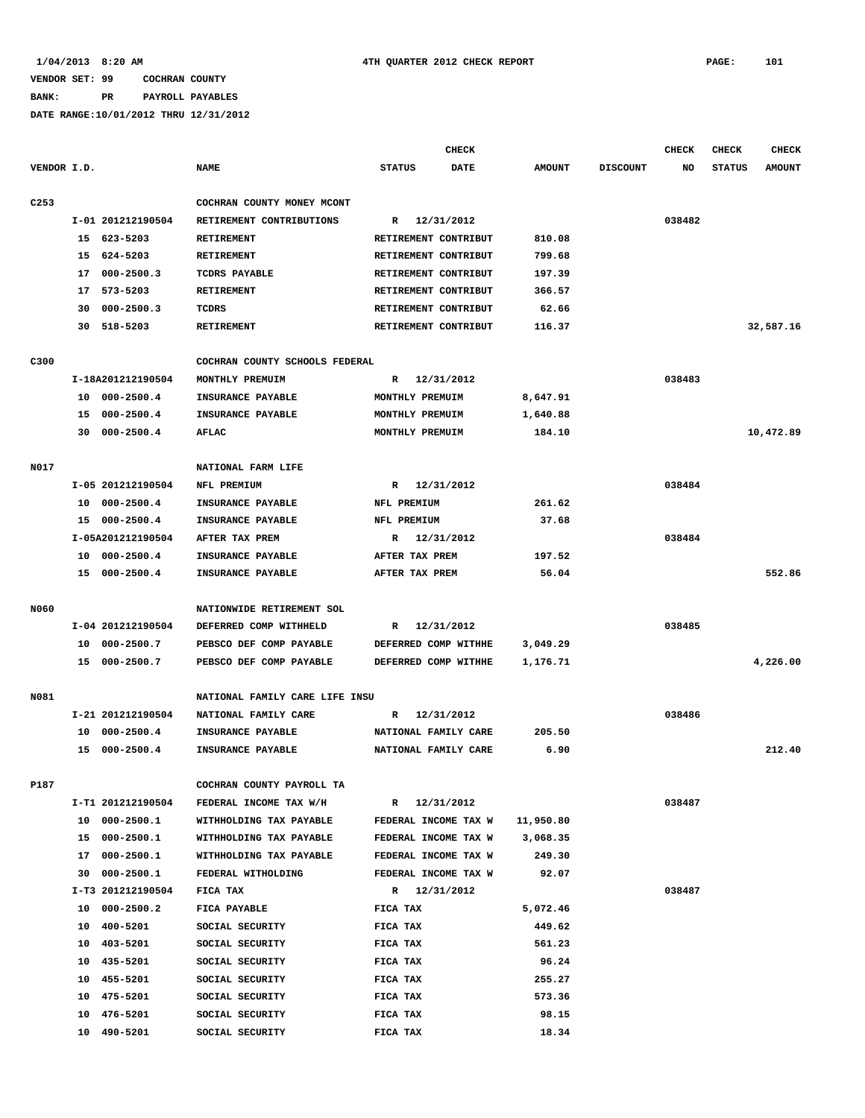## **BANK: PR PAYROLL PAYABLES**

|                  |    |                   |                                |                      | <b>CHECK</b>    |               |                 | <b>CHECK</b> | <b>CHECK</b>  | <b>CHECK</b>  |
|------------------|----|-------------------|--------------------------------|----------------------|-----------------|---------------|-----------------|--------------|---------------|---------------|
| VENDOR I.D.      |    |                   | <b>NAME</b>                    | <b>STATUS</b>        | $\mathtt{DATE}$ | <b>AMOUNT</b> | <b>DISCOUNT</b> | NO           | <b>STATUS</b> | <b>AMOUNT</b> |
| C <sub>253</sub> |    |                   | COCHRAN COUNTY MONEY MCONT     |                      |                 |               |                 |              |               |               |
|                  |    | I-01 201212190504 | RETIREMENT CONTRIBUTIONS       | R                    | 12/31/2012      |               |                 | 038482       |               |               |
|                  |    | 15 623-5203       | <b>RETIREMENT</b>              | RETIREMENT CONTRIBUT |                 | 810.08        |                 |              |               |               |
|                  |    | 15 624-5203       | <b>RETIREMENT</b>              | RETIREMENT CONTRIBUT |                 | 799.68        |                 |              |               |               |
|                  | 17 | $000 - 2500.3$    | TCDRS PAYABLE                  | RETIREMENT CONTRIBUT |                 | 197.39        |                 |              |               |               |
|                  |    | 17 573-5203       | <b>RETIREMENT</b>              | RETIREMENT CONTRIBUT |                 | 366.57        |                 |              |               |               |
|                  | 30 | $000 - 2500.3$    | TCDRS                          | RETIREMENT CONTRIBUT |                 | 62.66         |                 |              |               |               |
|                  |    | 30 518-5203       | RETIREMENT                     | RETIREMENT CONTRIBUT |                 | 116.37        |                 |              |               | 32,587.16     |
| C300             |    |                   | COCHRAN COUNTY SCHOOLS FEDERAL |                      |                 |               |                 |              |               |               |
|                  |    | I-18A201212190504 | MONTHLY PREMUIM                | R                    | 12/31/2012      |               |                 | 038483       |               |               |
|                  |    | 10 000-2500.4     | INSURANCE PAYABLE              | MONTHLY PREMUIM      |                 | 8,647.91      |                 |              |               |               |
|                  |    | 15 000-2500.4     | INSURANCE PAYABLE              | MONTHLY PREMUIM      |                 | 1,640.88      |                 |              |               |               |
|                  | 30 | $000 - 2500.4$    | <b>AFLAC</b>                   | MONTHLY PREMUIM      |                 | 184.10        |                 |              |               | 10,472.89     |
|                  |    |                   |                                |                      |                 |               |                 |              |               |               |
| N017             |    |                   | NATIONAL FARM LIFE             |                      |                 |               |                 |              |               |               |
|                  |    | I-05 201212190504 | NFL PREMIUM                    | $\mathbb{R}$         | 12/31/2012      |               |                 | 038484       |               |               |
|                  | 10 | $000 - 2500.4$    | INSURANCE PAYABLE              | NFL PREMIUM          |                 | 261.62        |                 |              |               |               |
|                  |    | 15 000-2500.4     | INSURANCE PAYABLE              | NFL PREMIUM          |                 | 37.68         |                 |              |               |               |
|                  |    | I-05A201212190504 | AFTER TAX PREM                 | R 12/31/2012         |                 |               |                 | 038484       |               |               |
|                  |    | 10 000-2500.4     | INSURANCE PAYABLE              | AFTER TAX PREM       |                 | 197.52        |                 |              |               |               |
|                  |    | 15 000-2500.4     | INSURANCE PAYABLE              | AFTER TAX PREM       |                 | 56.04         |                 |              |               | 552.86        |
| N060             |    |                   | NATIONWIDE RETIREMENT SOL      |                      |                 |               |                 |              |               |               |
|                  |    | I-04 201212190504 | DEFERRED COMP WITHHELD         | R                    | 12/31/2012      |               |                 | 038485       |               |               |
|                  |    | 10 000-2500.7     | PEBSCO DEF COMP PAYABLE        | DEFERRED COMP WITHHE |                 | 3,049.29      |                 |              |               |               |
|                  |    | 15 000-2500.7     | PEBSCO DEF COMP PAYABLE        | DEFERRED COMP WITHHE |                 | 1,176.71      |                 |              |               | 4,226.00      |
|                  |    |                   |                                |                      |                 |               |                 |              |               |               |
| N081             |    |                   | NATIONAL FAMILY CARE LIFE INSU |                      |                 |               |                 |              |               |               |
|                  |    | I-21 201212190504 | NATIONAL FAMILY CARE           | R                    | 12/31/2012      |               |                 | 038486       |               |               |
|                  | 10 | $000 - 2500.4$    | INSURANCE PAYABLE              | NATIONAL FAMILY CARE |                 | 205.50        |                 |              |               |               |
|                  |    | 15 000-2500.4     | INSURANCE PAYABLE              | NATIONAL FAMILY CARE |                 | 6.90          |                 |              |               | 212.40        |
| P187             |    |                   | COCHRAN COUNTY PAYROLL TA      |                      |                 |               |                 |              |               |               |
|                  |    | I-T1 201212190504 | FEDERAL INCOME TAX W/H         | R 12/31/2012         |                 |               |                 | 038487       |               |               |
|                  |    | 10 000-2500.1     | WITHHOLDING TAX PAYABLE        | FEDERAL INCOME TAX W |                 | 11,950.80     |                 |              |               |               |
|                  |    | 15 000-2500.1     | WITHHOLDING TAX PAYABLE        | FEDERAL INCOME TAX W |                 | 3,068.35      |                 |              |               |               |
|                  | 17 | 000-2500.1        | WITHHOLDING TAX PAYABLE        | FEDERAL INCOME TAX W |                 | 249.30        |                 |              |               |               |
|                  | 30 | $000 - 2500.1$    | FEDERAL WITHOLDING             | FEDERAL INCOME TAX W |                 | 92.07         |                 |              |               |               |
|                  |    | I-T3 201212190504 | FICA TAX                       | R 12/31/2012         |                 |               |                 | 038487       |               |               |
|                  | 10 | $000 - 2500.2$    | FICA PAYABLE                   | FICA TAX             |                 | 5,072.46      |                 |              |               |               |
|                  | 10 | 400-5201          | SOCIAL SECURITY                | FICA TAX             |                 | 449.62        |                 |              |               |               |
|                  | 10 | 403-5201          | SOCIAL SECURITY                | FICA TAX             |                 | 561.23        |                 |              |               |               |
|                  |    | 10 435-5201       | SOCIAL SECURITY                | FICA TAX             |                 | 96.24         |                 |              |               |               |
|                  | 10 | 455-5201          | SOCIAL SECURITY                | FICA TAX             |                 | 255.27        |                 |              |               |               |
|                  | 10 | 475-5201          | SOCIAL SECURITY                | FICA TAX             |                 | 573.36        |                 |              |               |               |
|                  | 10 | 476-5201          | SOCIAL SECURITY                | FICA TAX             |                 | 98.15         |                 |              |               |               |
|                  |    | 10 490-5201       | SOCIAL SECURITY                | FICA TAX             |                 | 18.34         |                 |              |               |               |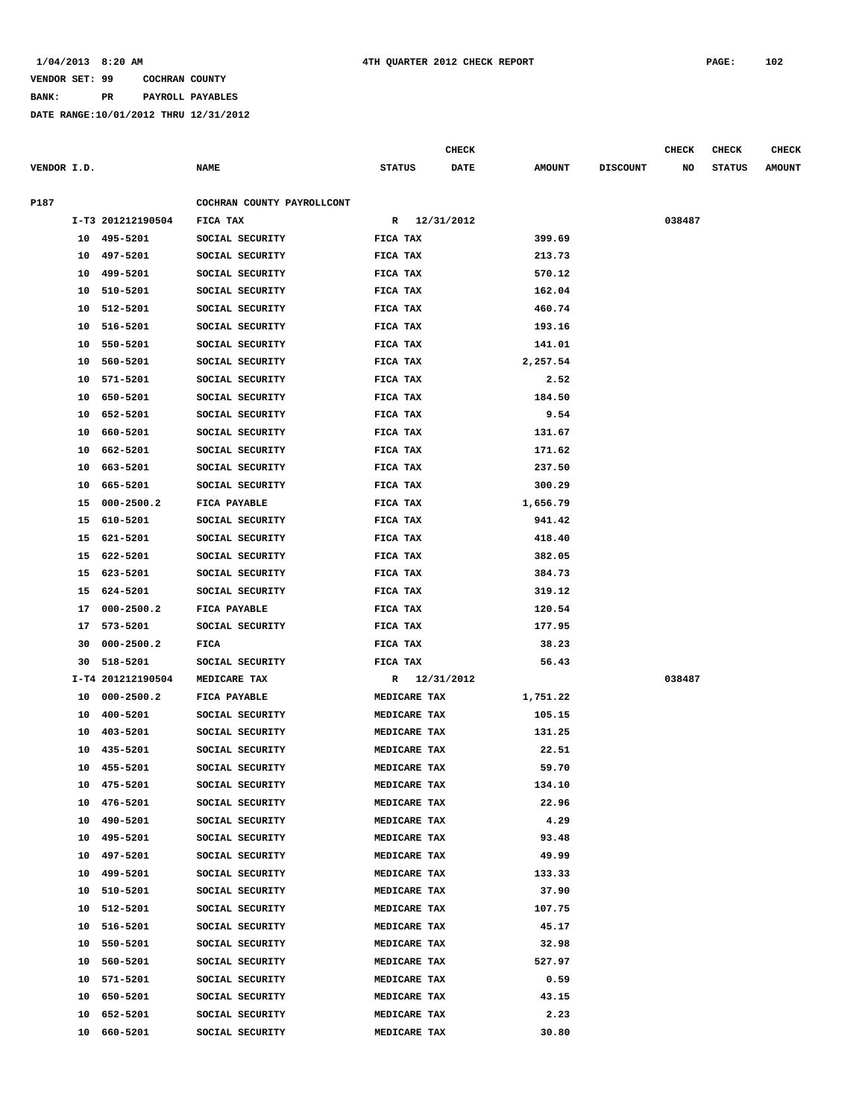### **BANK: PR PAYROLL PAYABLES**

|             |          |                      |                                    |               |              | CHECK       |                  |                 | <b>CHECK</b> | CHECK         | <b>CHECK</b>  |
|-------------|----------|----------------------|------------------------------------|---------------|--------------|-------------|------------------|-----------------|--------------|---------------|---------------|
| VENDOR I.D. |          |                      | <b>NAME</b>                        | <b>STATUS</b> |              | <b>DATE</b> | <b>AMOUNT</b>    | <b>DISCOUNT</b> | NO           | <b>STATUS</b> | <b>AMOUNT</b> |
| P187        |          |                      | COCHRAN COUNTY PAYROLLCONT         |               |              |             |                  |                 |              |               |               |
|             |          | I-T3 201212190504    | FICA TAX                           |               | R 12/31/2012 |             |                  |                 | 038487       |               |               |
|             |          | 10 495-5201          | SOCIAL SECURITY                    | FICA TAX      |              |             | 399.69           |                 |              |               |               |
|             | 10       | 497-5201             | SOCIAL SECURITY                    | FICA TAX      |              |             | 213.73           |                 |              |               |               |
|             | 10       | 499-5201             | SOCIAL SECURITY                    | FICA TAX      |              |             | 570.12           |                 |              |               |               |
|             | 10       | 510-5201             | SOCIAL SECURITY                    | FICA TAX      |              |             | 162.04           |                 |              |               |               |
|             | 10       | 512-5201             | SOCIAL SECURITY                    | FICA TAX      |              |             | 460.74           |                 |              |               |               |
|             |          |                      |                                    | FICA TAX      |              |             |                  |                 |              |               |               |
|             | 10<br>10 | 516-5201<br>550-5201 | SOCIAL SECURITY<br>SOCIAL SECURITY |               |              |             | 193.16<br>141.01 |                 |              |               |               |
|             |          | 560-5201             |                                    | FICA TAX      |              |             |                  |                 |              |               |               |
|             | 10       |                      | SOCIAL SECURITY                    | FICA TAX      |              |             | 2,257.54         |                 |              |               |               |
|             | 10       | 571-5201             | SOCIAL SECURITY                    | FICA TAX      |              |             | 2.52             |                 |              |               |               |
|             | 10       | 650-5201             | SOCIAL SECURITY                    | FICA TAX      |              |             | 184.50           |                 |              |               |               |
|             | 10       | 652-5201             | SOCIAL SECURITY                    | FICA TAX      |              |             | 9.54             |                 |              |               |               |
|             | 10       | 660-5201             | SOCIAL SECURITY                    | FICA TAX      |              |             | 131.67           |                 |              |               |               |
|             | 10       | 662-5201             | SOCIAL SECURITY                    | FICA TAX      |              |             | 171.62           |                 |              |               |               |
|             | 10       | 663-5201             | SOCIAL SECURITY                    | FICA TAX      |              |             | 237.50           |                 |              |               |               |
|             | 10       | 665-5201             | SOCIAL SECURITY                    | FICA TAX      |              |             | 300.29           |                 |              |               |               |
|             | 15       | $000 - 2500.2$       | <b>FICA PAYABLE</b>                | FICA TAX      |              |             | 1,656.79         |                 |              |               |               |
|             | 15       | 610-5201             | SOCIAL SECURITY                    | FICA TAX      |              |             | 941.42           |                 |              |               |               |
|             | 15       | 621-5201             | SOCIAL SECURITY                    | FICA TAX      |              |             | 418.40           |                 |              |               |               |
|             | 15       | 622-5201             | SOCIAL SECURITY                    | FICA TAX      |              |             | 382.05           |                 |              |               |               |
|             | 15       | 623-5201             | SOCIAL SECURITY                    | FICA TAX      |              |             | 384.73           |                 |              |               |               |
|             | 15       | 624-5201             | SOCIAL SECURITY                    | FICA TAX      |              |             | 319.12           |                 |              |               |               |
|             | 17       | $000 - 2500.2$       | FICA PAYABLE                       | FICA TAX      |              |             | 120.54           |                 |              |               |               |
|             | 17       | 573-5201             | SOCIAL SECURITY                    | FICA TAX      |              |             | 177.95           |                 |              |               |               |
|             | 30       | $000 - 2500.2$       | FICA                               | FICA TAX      |              |             | 38.23            |                 |              |               |               |
|             | 30       | 518-5201             | SOCIAL SECURITY                    | FICA TAX      |              |             | 56.43            |                 |              |               |               |
|             |          | I-T4 201212190504    | MEDICARE TAX                       |               | R 12/31/2012 |             |                  |                 | 038487       |               |               |
|             | 10       | $000 - 2500.2$       | FICA PAYABLE                       |               | MEDICARE TAX |             | 1,751.22         |                 |              |               |               |
|             | 10       | 400-5201             | SOCIAL SECURITY                    |               | MEDICARE TAX |             | 105.15           |                 |              |               |               |
|             | 10       | 403-5201             | SOCIAL SECURITY                    |               | MEDICARE TAX |             | 131.25           |                 |              |               |               |
|             | 10       | 435-5201             | SOCIAL SECURITY                    |               | MEDICARE TAX |             | 22.51            |                 |              |               |               |
|             |          | 10 455-5201          | SOCIAL SECURITY                    |               | MEDICARE TAX |             | 59.70            |                 |              |               |               |
|             | 10       | 475-5201             | SOCIAL SECURITY                    |               | MEDICARE TAX |             | 134.10           |                 |              |               |               |
|             | 10       | 476-5201             | SOCIAL SECURITY                    |               | MEDICARE TAX |             | 22.96            |                 |              |               |               |
|             | 10       | 490-5201             | SOCIAL SECURITY                    |               | MEDICARE TAX |             | 4.29             |                 |              |               |               |
|             | 10       | 495-5201             | SOCIAL SECURITY                    |               | MEDICARE TAX |             | 93.48            |                 |              |               |               |
|             | 10       | 497-5201             | SOCIAL SECURITY                    |               | MEDICARE TAX |             | 49.99            |                 |              |               |               |
|             | 10       | 499-5201             | SOCIAL SECURITY                    |               | MEDICARE TAX |             | 133.33           |                 |              |               |               |
|             | 10       | 510-5201             | SOCIAL SECURITY                    |               | MEDICARE TAX |             | 37.90            |                 |              |               |               |
|             | 10       | 512-5201             | SOCIAL SECURITY                    |               | MEDICARE TAX |             | 107.75           |                 |              |               |               |
|             | 10       | 516-5201             | SOCIAL SECURITY                    |               | MEDICARE TAX |             | 45.17            |                 |              |               |               |
|             | 10       | 550-5201             | SOCIAL SECURITY                    |               | MEDICARE TAX |             | 32.98            |                 |              |               |               |
|             | 10       | 560-5201             | SOCIAL SECURITY                    |               | MEDICARE TAX |             | 527.97           |                 |              |               |               |
|             | 10       | 571-5201             | SOCIAL SECURITY                    |               | MEDICARE TAX |             | 0.59             |                 |              |               |               |
|             | 10       | 650-5201             | SOCIAL SECURITY                    |               | MEDICARE TAX |             | 43.15            |                 |              |               |               |
|             | 10       | 652-5201             | SOCIAL SECURITY                    |               | MEDICARE TAX |             | 2.23             |                 |              |               |               |
|             | 10       | 660-5201             | SOCIAL SECURITY                    |               | MEDICARE TAX |             | 30.80            |                 |              |               |               |
|             |          |                      |                                    |               |              |             |                  |                 |              |               |               |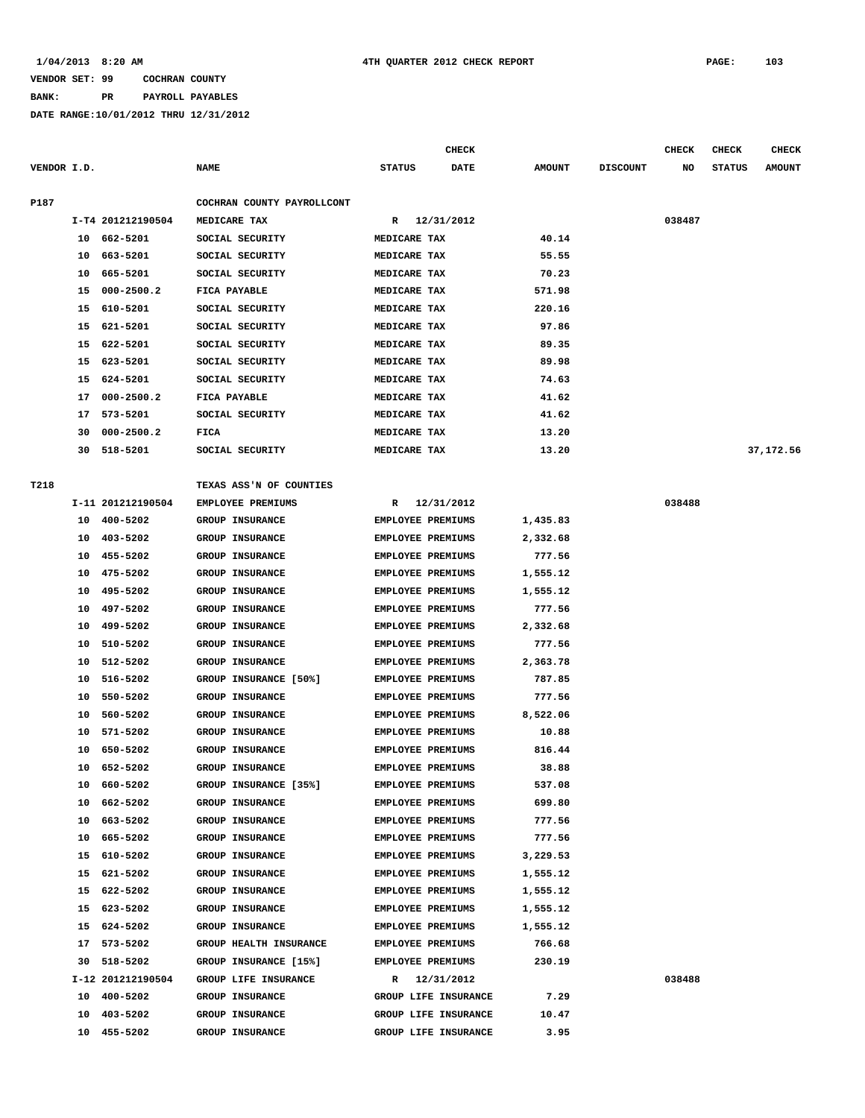# **BANK: PR PAYROLL PAYABLES**

|             |    |                   |                            |                          | <b>CHECK</b>         |               |                 | <b>CHECK</b> | <b>CHECK</b>  | <b>CHECK</b>  |
|-------------|----|-------------------|----------------------------|--------------------------|----------------------|---------------|-----------------|--------------|---------------|---------------|
| VENDOR I.D. |    |                   | <b>NAME</b>                | <b>STATUS</b>            | DATE                 | <b>AMOUNT</b> | <b>DISCOUNT</b> | NO           | <b>STATUS</b> | <b>AMOUNT</b> |
| P187        |    |                   | COCHRAN COUNTY PAYROLLCONT |                          |                      |               |                 |              |               |               |
|             |    | I-T4 201212190504 | MEDICARE TAX               | $\mathbf{R}$             | 12/31/2012           |               |                 | 038487       |               |               |
|             |    | 10 662-5201       | SOCIAL SECURITY            | MEDICARE TAX             |                      | 40.14         |                 |              |               |               |
|             | 10 | 663-5201          | SOCIAL SECURITY            | MEDICARE TAX             |                      | 55.55         |                 |              |               |               |
|             | 10 | 665-5201          | SOCIAL SECURITY            | MEDICARE TAX             |                      | 70.23         |                 |              |               |               |
|             | 15 | $000 - 2500.2$    | FICA PAYABLE               | MEDICARE TAX             |                      | 571.98        |                 |              |               |               |
|             | 15 | 610-5201          | SOCIAL SECURITY            | MEDICARE TAX             |                      | 220.16        |                 |              |               |               |
|             | 15 | 621-5201          | SOCIAL SECURITY            | MEDICARE TAX             |                      | 97.86         |                 |              |               |               |
|             | 15 | 622-5201          | SOCIAL SECURITY            | MEDICARE TAX             |                      | 89.35         |                 |              |               |               |
|             | 15 | 623-5201          | SOCIAL SECURITY            | MEDICARE TAX             |                      | 89.98         |                 |              |               |               |
|             | 15 | 624-5201          | SOCIAL SECURITY            | MEDICARE TAX             |                      | 74.63         |                 |              |               |               |
|             | 17 | $000 - 2500.2$    | <b>FICA PAYABLE</b>        | MEDICARE TAX             |                      | 41.62         |                 |              |               |               |
|             | 17 | 573-5201          | SOCIAL SECURITY            | MEDICARE TAX             |                      | 41.62         |                 |              |               |               |
|             | 30 | $000 - 2500.2$    | FICA                       | MEDICARE TAX             |                      | 13.20         |                 |              |               |               |
|             | 30 | 518-5201          | SOCIAL SECURITY            | MEDICARE TAX             |                      | 13.20         |                 |              |               | 37,172.56     |
|             |    |                   |                            |                          |                      |               |                 |              |               |               |
| T218        |    |                   | TEXAS ASS'N OF COUNTIES    |                          |                      |               |                 |              |               |               |
|             |    | I-11 201212190504 | EMPLOYEE PREMIUMS          | R                        | 12/31/2012           |               |                 | 038488       |               |               |
|             | 10 | 400-5202          | <b>GROUP INSURANCE</b>     | <b>EMPLOYEE PREMIUMS</b> |                      | 1,435.83      |                 |              |               |               |
|             | 10 | 403-5202          | <b>GROUP INSURANCE</b>     | <b>EMPLOYEE PREMIUMS</b> |                      | 2,332.68      |                 |              |               |               |
|             | 10 | 455-5202          | <b>GROUP INSURANCE</b>     | <b>EMPLOYEE PREMIUMS</b> |                      | 777.56        |                 |              |               |               |
|             | 10 | 475-5202          | <b>GROUP INSURANCE</b>     | <b>EMPLOYEE PREMIUMS</b> |                      | 1,555.12      |                 |              |               |               |
|             | 10 | 495-5202          | <b>GROUP INSURANCE</b>     | <b>EMPLOYEE PREMIUMS</b> |                      | 1,555.12      |                 |              |               |               |
|             | 10 | 497-5202          |                            | <b>EMPLOYEE PREMIUMS</b> |                      | 777.56        |                 |              |               |               |
|             |    | 499-5202          | GROUP INSURANCE            |                          |                      |               |                 |              |               |               |
|             | 10 |                   | GROUP INSURANCE            | EMPLOYEE PREMIUMS        |                      | 2,332.68      |                 |              |               |               |
|             | 10 | 510-5202          | <b>GROUP INSURANCE</b>     | <b>EMPLOYEE PREMIUMS</b> |                      | 777.56        |                 |              |               |               |
|             | 10 | 512-5202          | <b>GROUP INSURANCE</b>     | EMPLOYEE PREMIUMS        |                      | 2,363.78      |                 |              |               |               |
|             | 10 | 516-5202          | GROUP INSURANCE [50%]      | EMPLOYEE PREMIUMS        |                      | 787.85        |                 |              |               |               |
|             | 10 | 550-5202          | <b>GROUP INSURANCE</b>     | <b>EMPLOYEE PREMIUMS</b> |                      | 777.56        |                 |              |               |               |
|             | 10 | 560-5202          | GROUP INSURANCE            | <b>EMPLOYEE PREMIUMS</b> |                      | 8,522.06      |                 |              |               |               |
|             | 10 | 571-5202          | GROUP INSURANCE            | <b>EMPLOYEE PREMIUMS</b> |                      | 10.88         |                 |              |               |               |
|             | 10 | 650-5202          | <b>GROUP INSURANCE</b>     | <b>EMPLOYEE PREMIUMS</b> |                      | 816.44        |                 |              |               |               |
|             | 10 | 652-5202          | <b>GROUP INSURANCE</b>     | EMPLOYEE PREMIUMS        |                      | 38.88         |                 |              |               |               |
|             |    | 10 660-5202       | GROUP INSURANCE [35%]      | <b>EMPLOYEE PREMIUMS</b> |                      | 537.08        |                 |              |               |               |
|             | 10 | 662-5202          | <b>GROUP INSURANCE</b>     | <b>EMPLOYEE PREMIUMS</b> |                      | 699.80        |                 |              |               |               |
|             | 10 | 663-5202          | <b>GROUP INSURANCE</b>     | EMPLOYEE PREMIUMS        |                      | 777.56        |                 |              |               |               |
|             | 10 | 665-5202          | GROUP INSURANCE            | EMPLOYEE PREMIUMS        |                      | 777.56        |                 |              |               |               |
|             |    | 15 610-5202       | GROUP INSURANCE            | EMPLOYEE PREMIUMS        |                      | 3,229.53      |                 |              |               |               |
|             |    | 15 621-5202       | GROUP INSURANCE            | EMPLOYEE PREMIUMS        |                      | 1,555.12      |                 |              |               |               |
|             |    | 15 622-5202       | GROUP INSURANCE            | EMPLOYEE PREMIUMS        |                      | 1,555.12      |                 |              |               |               |
|             | 15 | 623-5202          | GROUP INSURANCE            | EMPLOYEE PREMIUMS        |                      | 1,555.12      |                 |              |               |               |
|             |    | 15 624-5202       | GROUP INSURANCE            | EMPLOYEE PREMIUMS        |                      | 1,555.12      |                 |              |               |               |
|             |    | 17 573-5202       | GROUP HEALTH INSURANCE     | EMPLOYEE PREMIUMS        |                      | 766.68        |                 |              |               |               |
|             | 30 | 518-5202          | GROUP INSURANCE [15%]      | EMPLOYEE PREMIUMS        |                      | 230.19        |                 |              |               |               |
|             |    | I-12 201212190504 | GROUP LIFE INSURANCE       |                          | R 12/31/2012         |               |                 | 038488       |               |               |
|             |    | 10 400-5202       | <b>GROUP INSURANCE</b>     |                          | GROUP LIFE INSURANCE | 7.29          |                 |              |               |               |
|             | 10 | 403-5202          | GROUP INSURANCE            |                          | GROUP LIFE INSURANCE | 10.47         |                 |              |               |               |
|             | 10 | 455-5202          | GROUP INSURANCE            |                          | GROUP LIFE INSURANCE | 3.95          |                 |              |               |               |
|             |    |                   |                            |                          |                      |               |                 |              |               |               |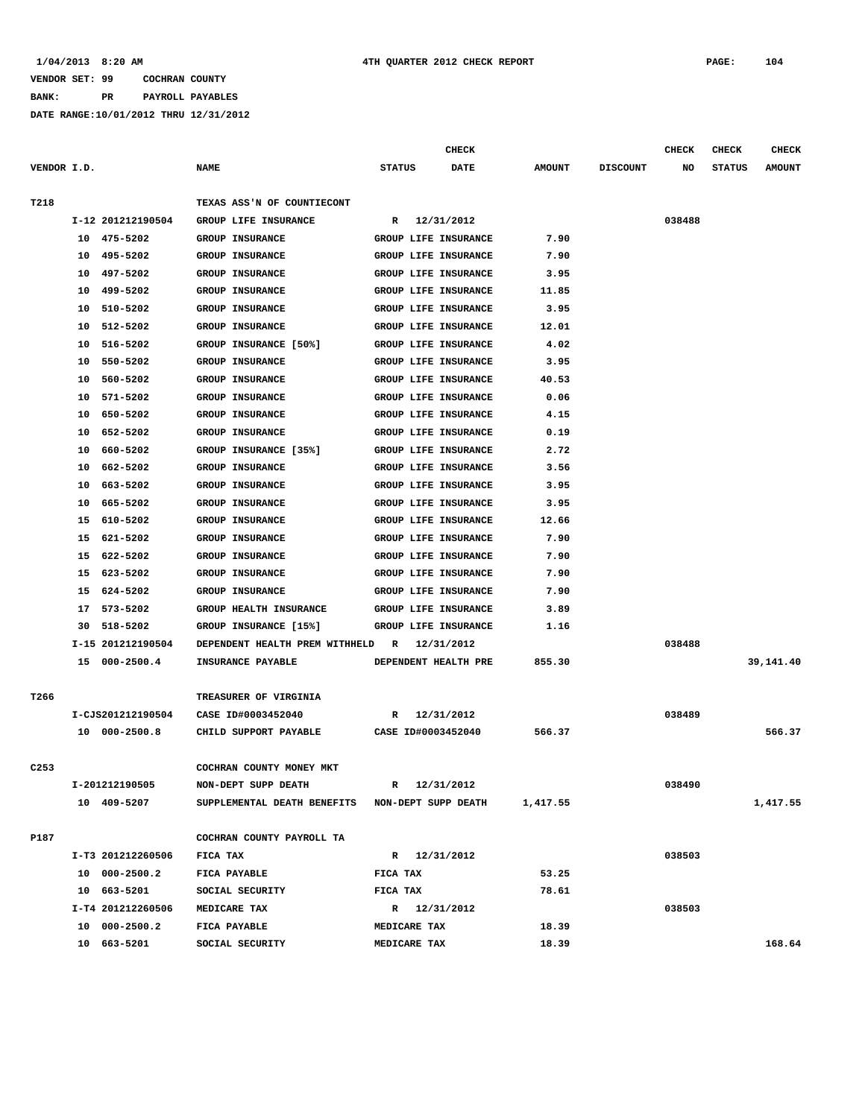# **BANK: PR PAYROLL PAYABLES**

|                  |                   |                                                 | <b>CHECK</b>                |               |                 | CHECK  | CHECK         | CHECK         |
|------------------|-------------------|-------------------------------------------------|-----------------------------|---------------|-----------------|--------|---------------|---------------|
| VENDOR I.D.      |                   | <b>NAME</b>                                     | <b>STATUS</b><br>DATE       | <b>AMOUNT</b> | <b>DISCOUNT</b> | NO     | <b>STATUS</b> | <b>AMOUNT</b> |
| T218             |                   | TEXAS ASS'N OF COUNTIECONT                      |                             |               |                 |        |               |               |
|                  | I-12 201212190504 | GROUP LIFE INSURANCE                            | 12/31/2012<br>$\mathbb{R}$  |               |                 | 038488 |               |               |
|                  | 475-5202<br>10    | <b>GROUP INSURANCE</b>                          | GROUP LIFE INSURANCE        | 7.90          |                 |        |               |               |
|                  | 495-5202<br>10    | <b>GROUP INSURANCE</b>                          | GROUP LIFE INSURANCE        | 7.90          |                 |        |               |               |
|                  | 10<br>497-5202    | <b>GROUP INSURANCE</b>                          | GROUP LIFE INSURANCE        | 3.95          |                 |        |               |               |
|                  | 499-5202<br>10    | <b>GROUP INSURANCE</b>                          | GROUP LIFE INSURANCE        | 11.85         |                 |        |               |               |
|                  | 510-5202<br>10    | <b>GROUP INSURANCE</b>                          | <b>GROUP LIFE INSURANCE</b> | 3.95          |                 |        |               |               |
|                  | 10<br>512-5202    | <b>GROUP INSURANCE</b>                          | GROUP LIFE INSURANCE        | 12.01         |                 |        |               |               |
|                  | 516-5202<br>10    | GROUP INSURANCE [50%]                           | GROUP LIFE INSURANCE        | 4.02          |                 |        |               |               |
|                  | 550-5202<br>10    | GROUP INSURANCE                                 | GROUP LIFE INSURANCE        | 3.95          |                 |        |               |               |
|                  | 560-5202<br>10    | <b>GROUP INSURANCE</b>                          | GROUP LIFE INSURANCE        | 40.53         |                 |        |               |               |
|                  | 571-5202<br>10    | <b>GROUP INSURANCE</b>                          | GROUP LIFE INSURANCE        | 0.06          |                 |        |               |               |
|                  | 650-5202<br>10    | <b>GROUP INSURANCE</b>                          | GROUP LIFE INSURANCE        | 4.15          |                 |        |               |               |
|                  | 10<br>652-5202    | <b>GROUP INSURANCE</b>                          | GROUP LIFE INSURANCE        | 0.19          |                 |        |               |               |
|                  | 660-5202<br>10    | GROUP INSURANCE [35%]                           | GROUP LIFE INSURANCE        | 2.72          |                 |        |               |               |
|                  | 662-5202<br>10    | <b>GROUP INSURANCE</b>                          | GROUP LIFE INSURANCE        | 3.56          |                 |        |               |               |
|                  | 10<br>663-5202    | <b>GROUP INSURANCE</b>                          | <b>GROUP LIFE INSURANCE</b> | 3.95          |                 |        |               |               |
|                  | 665-5202<br>10    | <b>GROUP INSURANCE</b>                          | GROUP LIFE INSURANCE        | 3.95          |                 |        |               |               |
|                  | 15<br>610-5202    | GROUP INSURANCE                                 | GROUP LIFE INSURANCE        | 12.66         |                 |        |               |               |
|                  | 15<br>621-5202    | <b>GROUP INSURANCE</b>                          | GROUP LIFE INSURANCE        | 7.90          |                 |        |               |               |
|                  | 622-5202<br>15    | <b>GROUP INSURANCE</b>                          | GROUP LIFE INSURANCE        | 7.90          |                 |        |               |               |
|                  | 623-5202<br>15    | <b>GROUP INSURANCE</b>                          | GROUP LIFE INSURANCE        | 7.90          |                 |        |               |               |
|                  | 624-5202<br>15    | <b>GROUP INSURANCE</b>                          | GROUP LIFE INSURANCE        | 7.90          |                 |        |               |               |
|                  | 573-5202<br>17    | GROUP HEALTH INSURANCE                          | GROUP LIFE INSURANCE        | 3.89          |                 |        |               |               |
|                  | 518-5202<br>30    | GROUP INSURANCE [15%]                           | GROUP LIFE INSURANCE        | 1.16          |                 |        |               |               |
|                  | I-15 201212190504 | DEPENDENT HEALTH PREM WITHHELD                  | 12/31/2012<br>R             |               |                 | 038488 |               |               |
|                  | 15 000-2500.4     | INSURANCE PAYABLE                               | DEPENDENT HEALTH PRE        | 855.30        |                 |        |               | 39,141.40     |
|                  |                   |                                                 |                             |               |                 |        |               |               |
| T266             |                   | TREASURER OF VIRGINIA                           |                             |               |                 |        |               |               |
|                  | I-CJS201212190504 | CASE ID#0003452040                              | 12/31/2012<br>R             |               |                 | 038489 |               |               |
|                  | 10 000-2500.8     | CHILD SUPPORT PAYABLE                           | CASE ID#0003452040          | 566.37        |                 |        |               | 566.37        |
|                  |                   |                                                 |                             |               |                 |        |               |               |
| C <sub>253</sub> |                   | COCHRAN COUNTY MONEY MKT                        |                             |               |                 |        |               |               |
|                  | I-201212190505    | NON-DEPT SUPP DEATH                             | 12/31/2012<br>R             |               |                 | 038490 |               |               |
|                  | 10 409-5207       | SUPPLEMENTAL DEATH BENEFITS NON-DEPT SUPP DEATH |                             | 1,417.55      |                 |        |               | 1,417.55      |
| P187             |                   | COCHRAN COUNTY PAYROLL TA                       |                             |               |                 |        |               |               |
|                  | I-T3 201212260506 | FICA TAX                                        | R 12/31/2012                |               |                 | 038503 |               |               |
|                  | 10 000-2500.2     | FICA PAYABLE                                    | FICA TAX                    | 53.25         |                 |        |               |               |
|                  | 10 663-5201       | SOCIAL SECURITY                                 | FICA TAX                    | 78.61         |                 |        |               |               |
|                  | I-T4 201212260506 | MEDICARE TAX                                    | R 12/31/2012                |               |                 | 038503 |               |               |
|                  | 10 000-2500.2     | FICA PAYABLE                                    | MEDICARE TAX                | 18.39         |                 |        |               |               |
|                  | 10 663-5201       | SOCIAL SECURITY                                 | MEDICARE TAX                | 18.39         |                 |        |               | 168.64        |
|                  |                   |                                                 |                             |               |                 |        |               |               |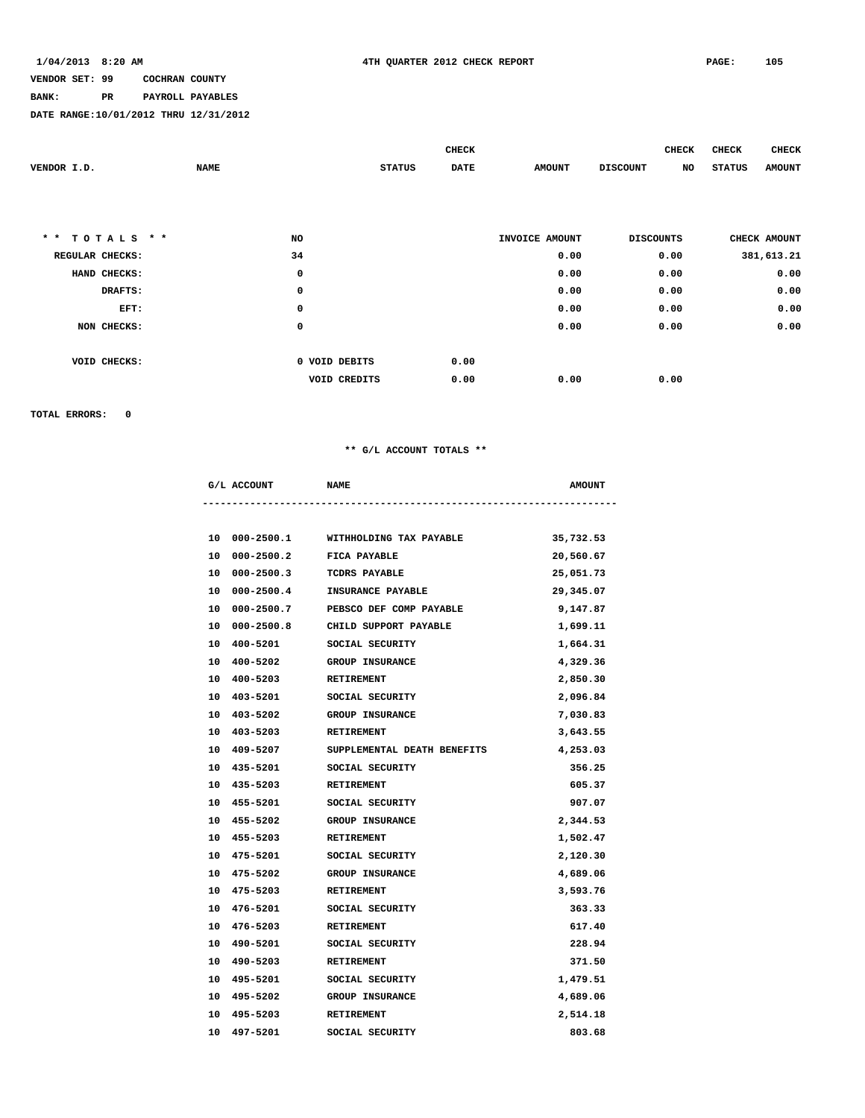### **BANK: PR PAYROLL PAYABLES**

**DATE RANGE:10/01/2012 THRU 12/31/2012**

|                               |             |                |               | <b>CHECK</b> |                | <b>CHECK</b>          | <b>CHECK</b>  | <b>CHECK</b>  |
|-------------------------------|-------------|----------------|---------------|--------------|----------------|-----------------------|---------------|---------------|
| VENDOR I.D.                   | <b>NAME</b> |                | <b>STATUS</b> | <b>DATE</b>  | <b>AMOUNT</b>  | <b>DISCOUNT</b><br>NO | <b>STATUS</b> | <b>AMOUNT</b> |
|                               |             |                |               |              |                |                       |               |               |
|                               |             |                |               |              |                |                       |               |               |
|                               |             |                |               |              |                |                       |               |               |
| TOTALS * *<br>$\star$ $\star$ |             | NO             |               |              | INVOICE AMOUNT | <b>DISCOUNTS</b>      |               | CHECK AMOUNT  |
| REGULAR CHECKS:               |             | 34             |               |              | 0.00           | 0.00                  |               | 381,613.21    |
| HAND CHECKS:                  |             | $\mathsf{o}\,$ |               |              | 0.00           | 0.00                  |               | 0.00          |
| DRAFTS:                       |             | 0              |               |              | 0.00           | 0.00                  |               | 0.00          |
| EFT:                          |             | 0              |               |              | 0.00           | 0.00                  |               | 0.00          |
| NON CHECKS:                   |             | 0              |               |              | 0.00           | 0.00                  |               | 0.00          |
|                               |             |                |               |              |                |                       |               |               |
| VOID CHECKS:                  |             | 0 VOID DEBITS  |               | 0.00         |                |                       |               |               |
|                               |             | VOID CREDITS   |               | 0.00         | 0.00           | 0.00                  |               |               |

**TOTAL ERRORS: 0**

### **\*\* G/L ACCOUNT TOTALS \*\***

|    | G/L ACCOUNT                 | <b>NAME</b>                           | <b>AMOUNT</b> |
|----|-----------------------------|---------------------------------------|---------------|
|    |                             |                                       |               |
|    |                             | 10 000-2500.1 WITHHOLDING TAX PAYABLE | 35,732.53     |
|    | 10 000-2500.2               | <b>FICA PAYABLE</b>                   | 20,560.67     |
|    | 10 000-2500.3 TCDRS PAYABLE |                                       | 25,051.73     |
| 10 |                             | 000-2500.4 INSURANCE PAYABLE          | 29,345.07     |
| 10 |                             | 000-2500.7 PEBSCO DEF COMP PAYABLE    | 9,147.87      |
| 10 |                             | 000-2500.8 CHILD SUPPORT PAYABLE      | 1,699.11      |
| 10 | 400-5201                    | SOCIAL SECURITY                       | 1,664.31      |
|    | 10 400-5202                 | <b>GROUP INSURANCE</b>                | 4,329.36      |
|    | 10 400-5203                 | <b>RETIREMENT</b>                     | 2,850.30      |
| 10 | 403-5201                    | SOCIAL SECURITY                       | 2,096.84      |
| 10 | 403-5202                    | <b>GROUP INSURANCE</b>                | 7,030.83      |
|    | 10 403-5203                 | RETIREMENT                            | 3,643.55      |
|    | 10 409-5207                 | SUPPLEMENTAL DEATH BENEFITS           | 4,253.03      |
|    | 10 435-5201                 | SOCIAL SECURITY                       | 356.25        |
|    | 10 435-5203                 | <b>RETIREMENT</b>                     | 605.37        |
|    | 10 455-5201                 | SOCIAL SECURITY                       | 907.07        |
|    | 10 455-5202                 | <b>GROUP INSURANCE</b>                | 2,344.53      |
|    | 10 455-5203 RETIREMENT      |                                       | 1,502.47      |
|    | 10 475-5201                 | SOCIAL SECURITY                       | 2,120.30      |
|    | 10 475-5202                 | <b>GROUP INSURANCE</b>                | 4,689.06      |
|    | 10 475-5203                 | <b>RETIREMENT</b>                     | 3,593.76      |
|    | 10 476-5201                 | SOCIAL SECURITY                       | 363.33        |
|    | 10 476-5203 RETIREMENT      |                                       | 617.40        |
|    | 10 490-5201                 | SOCIAL SECURITY                       | 228.94        |
| 10 | 490-5203 RETIREMENT         |                                       | 371.50        |
|    | 10 495-5201                 | SOCIAL SECURITY                       | 1,479.51      |
|    | 10 495-5202                 | <b>GROUP INSURANCE</b>                | 4,689.06      |
|    | 10 495-5203                 | <b>RETIREMENT</b>                     | 2,514.18      |

 **10 497-5201 SOCIAL SECURITY 803.68**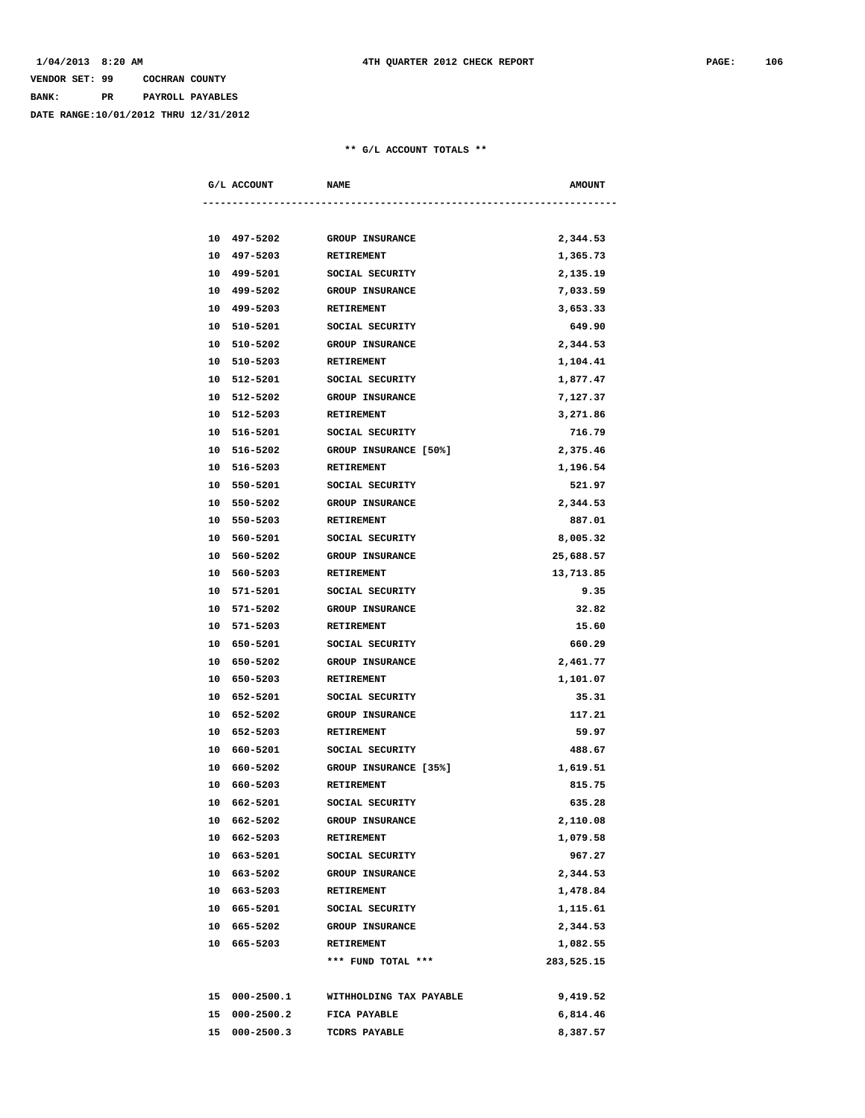### **VENDOR SET: 99 COCHRAN COUNTY BANK: PR PAYROLL PAYABLES**

**DATE RANGE:10/01/2012 THRU 12/31/2012**

| G/L ACCOUNT |               | <b>NAME</b>             | <b>AMOUNT</b> |
|-------------|---------------|-------------------------|---------------|
|             |               |                         |               |
|             | 10 497-5202   | <b>GROUP INSURANCE</b>  | 2,344.53      |
|             | 10 497-5203   | <b>RETIREMENT</b>       | 1,365.73      |
|             | 10 499-5201   | SOCIAL SECURITY         | 2,135.19      |
|             | 10 499-5202   | <b>GROUP INSURANCE</b>  | 7,033.59      |
|             | 10 499-5203   | RETIREMENT              | 3,653.33      |
|             | 10 510-5201   | SOCIAL SECURITY         | 649.90        |
|             | 10 510-5202   | GROUP INSURANCE         | 2,344.53      |
|             | 10 510-5203   | RETIREMENT              | 1,104.41      |
|             | 10 512-5201   | SOCIAL SECURITY         | 1,877.47      |
|             | 10 512-5202   | <b>GROUP INSURANCE</b>  | 7,127.37      |
|             | 10 512-5203   | RETIREMENT              | 3,271.86      |
|             | 10 516-5201   | SOCIAL SECURITY         | 716.79        |
|             | 10 516-5202   | GROUP INSURANCE [50%]   | 2,375.46      |
|             | 10 516-5203   | RETIREMENT              | 1,196.54      |
|             | 10 550-5201   | SOCIAL SECURITY         | 521.97        |
| 10          | 550-5202      | <b>GROUP INSURANCE</b>  | 2,344.53      |
| 10          | 550-5203      | <b>RETIREMENT</b>       | 887.01        |
|             | 10 560-5201   | SOCIAL SECURITY         | 8,005.32      |
|             | 10 560-5202   | <b>GROUP INSURANCE</b>  | 25,688.57     |
|             | 10 560-5203   | RETIREMENT              | 13,713.85     |
|             | 10 571-5201   | SOCIAL SECURITY         | 9.35          |
|             | 10 571-5202   | <b>GROUP INSURANCE</b>  | 32.82         |
|             | 10 571-5203   | RETIREMENT              | 15.60         |
|             | 10 650-5201   | SOCIAL SECURITY         | 660.29        |
|             | 10 650-5202   | <b>GROUP INSURANCE</b>  | 2,461.77      |
| 10          | 650-5203      | <b>RETIREMENT</b>       | 1,101.07      |
|             | 10 652-5201   | SOCIAL SECURITY         | 35.31         |
|             | 10 652-5202   | GROUP INSURANCE         | 117.21        |
| 10          | 652-5203      | RETIREMENT              | 59.97         |
| 10          | 660-5201      | SOCIAL SECURITY         | 488.67        |
|             | 10 660-5202   | GROUP INSURANCE [35%]   | 1,619.51      |
|             | 10 660-5203   | RETIREMENT              | 815.75        |
|             | 10 662-5201   | SOCIAL SECURITY         | 635.28        |
|             | 10 662-5202   | GROUP INSURANCE         | 2,110.08      |
|             | 10 662-5203   | RETIREMENT              | 1,079.58      |
|             | 10 663-5201   | SOCIAL SECURITY         | 967.27        |
|             | 10 663-5202   | GROUP INSURANCE         | 2,344.53      |
|             | 10 663-5203   | RETIREMENT              | 1,478.84      |
|             | 10 665-5201   | SOCIAL SECURITY         | 1,115.61      |
|             | 10 665-5202   | GROUP INSURANCE         | 2,344.53      |
|             | 10 665-5203   | RETIREMENT              | 1,082.55      |
|             |               | *** FUND TOTAL ***      | 283,525.15    |
|             | 15 000-2500.1 | WITHHOLDING TAX PAYABLE | 9,419.52      |
|             | 15 000-2500.2 | FICA PAYABLE            | 6,814.46      |
|             | 15 000-2500.3 | TCDRS PAYABLE           | 8,387.57      |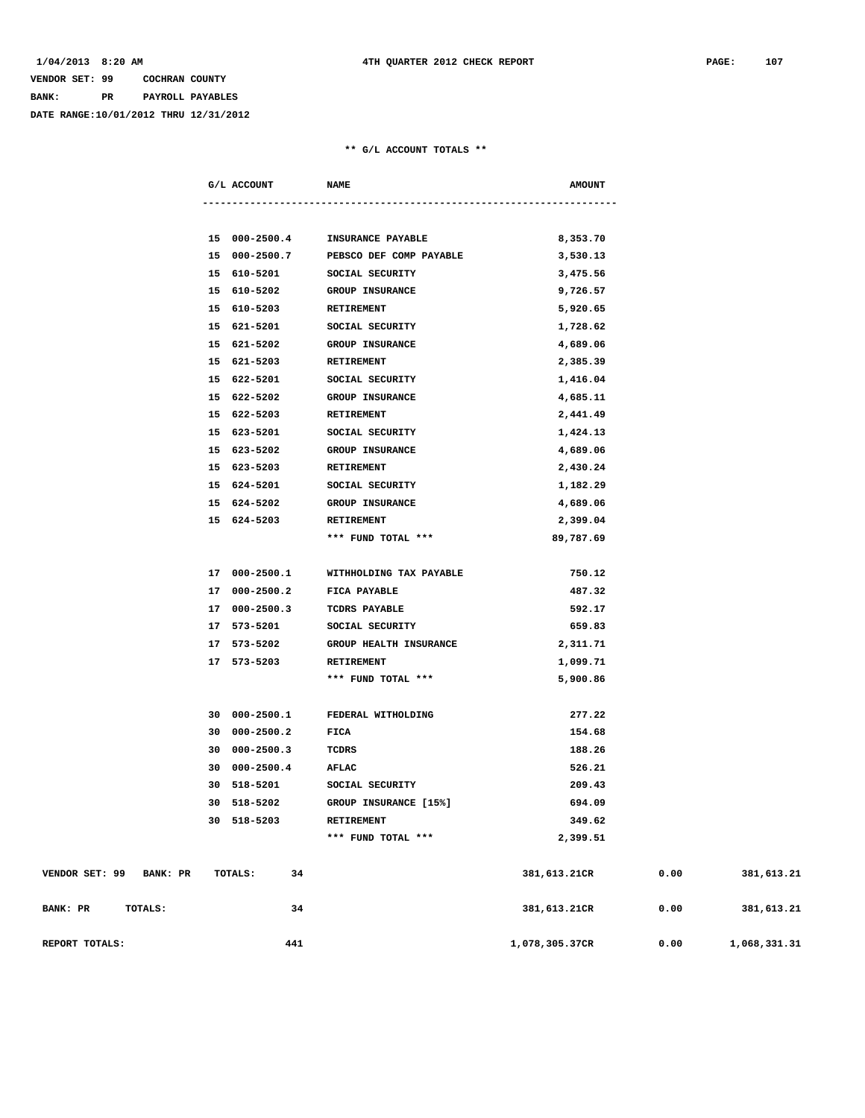# **VENDOR SET: 99 COCHRAN COUNTY BANK: PR PAYROLL PAYABLES DATE RANGE:10/01/2012 THRU 12/31/2012**

|                            | G/L ACCOUNT   | <b>NAME</b>             | <b>AMOUNT</b>  |      |              |
|----------------------------|---------------|-------------------------|----------------|------|--------------|
|                            |               |                         |                |      |              |
|                            | 15 000-2500.4 | INSURANCE PAYABLE       | 8,353.70       |      |              |
|                            | 15 000-2500.7 | PEBSCO DEF COMP PAYABLE | 3,530.13       |      |              |
|                            | 15 610-5201   | SOCIAL SECURITY         | 3,475.56       |      |              |
|                            | 15 610-5202   | <b>GROUP INSURANCE</b>  | 9,726.57       |      |              |
|                            | 15 610-5203   | RETIREMENT              | 5,920.65       |      |              |
|                            | 15 621-5201   | SOCIAL SECURITY         | 1,728.62       |      |              |
|                            | 15 621-5202   | <b>GROUP INSURANCE</b>  | 4,689.06       |      |              |
|                            | 15 621-5203   | RETIREMENT              | 2,385.39       |      |              |
|                            | 15 622-5201   | SOCIAL SECURITY         | 1,416.04       |      |              |
|                            | 15 622-5202   | <b>GROUP INSURANCE</b>  | 4,685.11       |      |              |
|                            | 15 622-5203   | RETIREMENT              | 2,441.49       |      |              |
|                            | 15 623-5201   | SOCIAL SECURITY         | 1,424.13       |      |              |
|                            | 15 623-5202   | <b>GROUP INSURANCE</b>  | 4,689.06       |      |              |
|                            | 15 623-5203   | RETIREMENT              | 2,430.24       |      |              |
|                            | 15 624-5201   | SOCIAL SECURITY         | 1,182.29       |      |              |
|                            | 15 624-5202   | <b>GROUP INSURANCE</b>  | 4,689.06       |      |              |
|                            | 15 624-5203   | <b>RETIREMENT</b>       | 2,399.04       |      |              |
|                            |               | *** FUND TOTAL ***      | 89,787.69      |      |              |
|                            |               |                         |                |      |              |
|                            | 17 000-2500.1 | WITHHOLDING TAX PAYABLE | 750.12         |      |              |
|                            | 17 000-2500.2 | FICA PAYABLE            | 487.32         |      |              |
|                            | 17 000-2500.3 | TCDRS PAYABLE           | 592.17         |      |              |
|                            | 17 573-5201   | SOCIAL SECURITY         | 659.83         |      |              |
|                            | 17 573-5202   | GROUP HEALTH INSURANCE  | 2,311.71       |      |              |
|                            | 17 573-5203   | RETIREMENT              | 1,099.71       |      |              |
|                            |               | *** FUND TOTAL ***      | 5,900.86       |      |              |
|                            |               |                         |                |      |              |
|                            | 30 000-2500.1 | FEDERAL WITHOLDING      | 277.22         |      |              |
|                            | 30 000-2500.2 | FICA                    | 154.68         |      |              |
|                            | 30 000-2500.3 | TCDRS                   | 188.26         |      |              |
|                            | 30 000-2500.4 | AFLAC                   | 526.21         |      |              |
|                            | 30 518-5201   | SOCIAL SECURITY         | 209.43         |      |              |
| 30                         | 518-5202      | GROUP INSURANCE [15%]   | 694.09         |      |              |
|                            | 30 518-5203   | RETIREMENT              | 349.62         |      |              |
|                            |               | *** FUND TOTAL ***      | 2,399.51       |      |              |
|                            |               |                         |                |      |              |
| VENDOR SET: 99<br>BANK: PR | TOTALS:<br>34 |                         | 381,613.21CR   | 0.00 | 381,613.21   |
| BANK: PR<br>TOTALS:        | 34            |                         | 381,613.21CR   | 0.00 | 381,613.21   |
|                            |               |                         |                |      |              |
| REPORT TOTALS:             | 441           |                         | 1,078,305.37CR | 0.00 | 1,068,331.31 |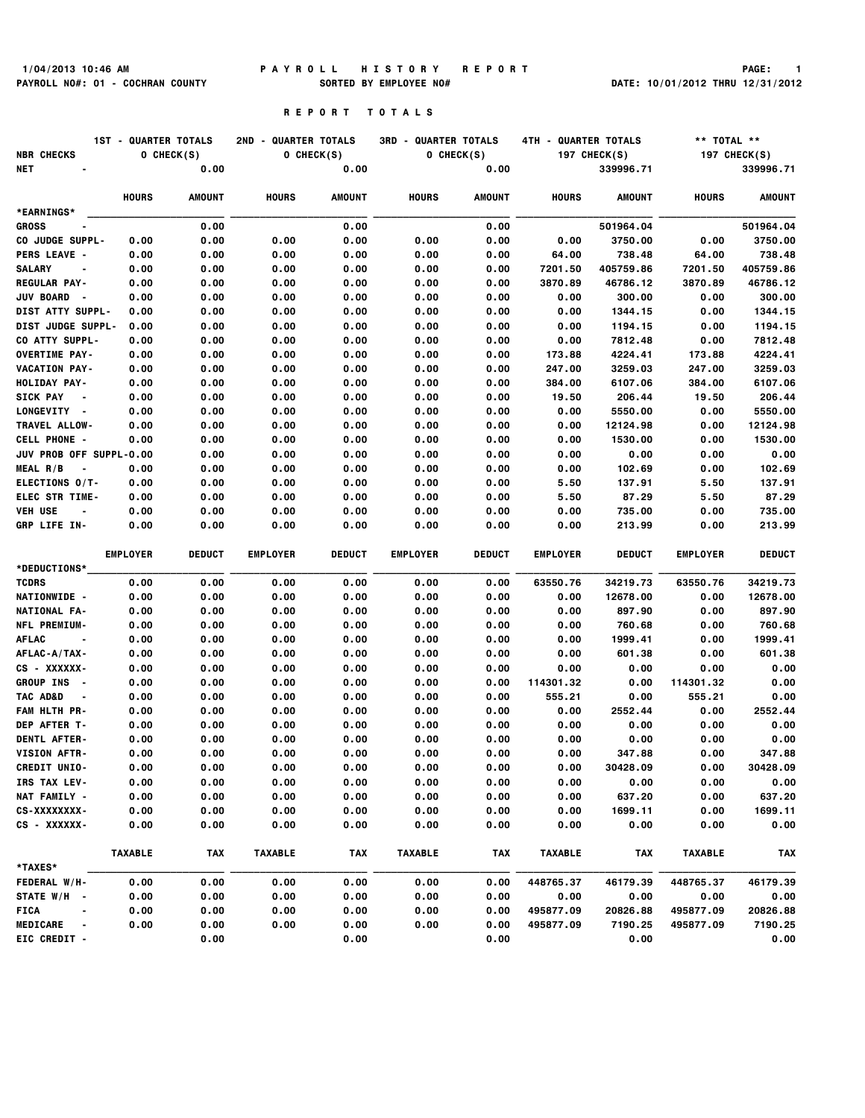# **1/04/2013 10:46 AM P A Y R O L L H I S T O R Y R E P O R T PAGE: 1 PAYROLL NO#: 01 - COCHRAN COUNTY SORTED BY EMPLOYEE NO# DATE: 10/01/2012 THRU 12/31/2012**

### **R E P O R T T O T A L S**

| <b>NBR CHECKS</b>                       | <b>1ST - QUARTER TOTALS</b> | O CHECK(S)    | 2ND - QUARTER TOTALS<br>O CHECK(S) |               | <b>3RD - QUARTER TOTALS</b><br>O CHECK(S) |               | 4TH - QUARTER TOTALS<br><b>197 CHECK(S)</b> |                      | ** TOTAL **<br><b>197 CHECK(S)</b> |                      |
|-----------------------------------------|-----------------------------|---------------|------------------------------------|---------------|-------------------------------------------|---------------|---------------------------------------------|----------------------|------------------------------------|----------------------|
| NET                                     |                             | 0.00          |                                    | 0.00          |                                           | 0.00          |                                             | 339996.71            |                                    | 339996.71            |
|                                         | <b>HOURS</b>                | <b>AMOUNT</b> | <b>HOURS</b>                       | <b>AMOUNT</b> | <b>HOURS</b>                              | <b>AMOUNT</b> | <b>HOURS</b>                                | <b>AMOUNT</b>        | <b>HOURS</b>                       | <b>AMOUNT</b>        |
| *EARNINGS*                              |                             |               |                                    |               |                                           |               |                                             |                      |                                    |                      |
| <b>GROSS</b><br>CO JUDGE SUPPL-         | 0.00                        | 0.00<br>0.00  | 0.00                               | 0.00<br>0.00  | 0.00                                      | 0.00<br>0.00  | 0.00                                        | 501964.04<br>3750.00 | 0.00                               | 501964.04<br>3750.00 |
| <b>PERS LEAVE -</b>                     | 0.00                        | 0.00          | 0.00                               | 0.00          | 0.00                                      | 0.00          | 64.00                                       | 738.48               | 64.00                              | 738.48               |
| <b>SALARY</b><br>$\blacksquare$         | 0.00                        | 0.00          | 0.00                               | 0.00          | 0.00                                      | 0.00          | 7201.50                                     | 405759.86            | 7201.50                            | 405759.86            |
| <b>REGULAR PAY-</b>                     | 0.00                        | 0.00          | 0.00                               | 0.00          | 0.00                                      | 0.00          | 3870.89                                     | 46786.12             | 3870.89                            | 46786.12             |
| <b>JUV BOARD</b><br>$\sim$              | 0.00                        | 0.00          | 0.00                               | 0.00          | 0.00                                      | 0.00          | 0.00                                        | 300.00               | 0.00                               | 300.00               |
| DIST ATTY SUPPL-                        | 0.00                        | 0.00          | 0.00                               | 0.00          | 0.00                                      | 0.00          | 0.00                                        | 1344.15              | 0.00                               | 1344.15              |
| <b>DIST JUDGE SUPPL-</b>                | 0.00                        | 0.00          | 0.00                               | 0.00          | 0.00                                      | 0.00          | 0.00                                        | 1194.15              | 0.00                               | 1194.15              |
| CO ATTY SUPPL-                          | 0.00                        | 0.00          | 0.00                               | 0.00          | 0.00                                      | 0.00          | 0.00                                        | 7812.48              | 0.00                               | 7812.48              |
| <b>OVERTIME PAY-</b>                    | 0.00                        | 0.00          | 0.00                               | 0.00          | 0.00                                      | 0.00          | 173.88                                      | 4224.41              | 173.88                             | 4224.41              |
| VACATION PAY-                           | 0.00                        | 0.00          | 0.00                               | 0.00          | 0.00                                      | 0.00          | 247.00                                      | 3259.03              | 247.00                             | 3259.03              |
| HOLIDAY PAY-                            | 0.00                        | 0.00          | 0.00                               | 0.00          | 0.00                                      | 0.00          | 384.00                                      | 6107.06              | 384.00                             | 6107.06              |
| <b>SICK PAY</b><br>$\sim$               | 0.00                        | 0.00          | 0.00                               | 0.00          | 0.00                                      | 0.00          | 19.50                                       | 206.44               | 19.50                              | 206.44               |
| LONGEVITY -                             | 0.00                        | 0.00          | 0.00                               | 0.00          | 0.00                                      | 0.00          | 0.00                                        | 5550.00              | 0.00                               | 5550.00              |
| TRAVEL ALLOW-                           | 0.00                        | 0.00          | 0.00                               | 0.00          | 0.00                                      | 0.00          | 0.00                                        | 12124.98             | 0.00                               | 12124.98             |
| <b>CELL PHONE -</b>                     | 0.00                        | 0.00          | 0.00                               | 0.00          | 0.00                                      | 0.00          | 0.00                                        | 1530.00              | 0.00                               | 1530.00              |
| JUV PROB OFF SUPPL-0.00                 |                             | 0.00          | 0.00                               | 0.00          | 0.00                                      | 0.00          | 0.00                                        | 0.00                 | 0.00                               | 0.00                 |
| MEAL R/B<br>$\blacksquare$              | 0.00                        | 0.00          | 0.00                               | 0.00          | 0.00                                      | 0.00          | 0.00                                        | 102.69               | 0.00                               | 102.69               |
| ELECTIONS 0/T-                          | 0.00                        | 0.00          | 0.00                               | 0.00          | 0.00                                      | 0.00          | 5.50                                        | 137.91               | 5.50                               | 137.91               |
| <b>ELEC STR TIME-</b>                   | 0.00                        | 0.00          | 0.00                               | 0.00          | 0.00                                      | 0.00          | 5.50                                        | 87.29                | 5.50                               | 87.29                |
| <b>VEH USE</b>                          | 0.00                        | 0.00          | 0.00                               | 0.00          | 0.00                                      | 0.00          | 0.00                                        | 735.00               | 0.00                               | 735.00               |
| GRP LIFE IN-                            | 0.00                        | 0.00          | 0.00                               | 0.00          | 0.00                                      | 0.00          | 0.00                                        | 213.99               | 0.00                               | 213.99               |
|                                         | <b>EMPLOYER</b>             | <b>DEDUCT</b> | <b>EMPLOYER</b>                    | <b>DEDUCT</b> | <b>EMPLOYER</b>                           | <b>DEDUCT</b> | <b>EMPLOYER</b>                             | <b>DEDUCT</b>        | <b>EMPLOYER</b>                    | <b>DEDUCT</b>        |
| *DEDUCTIONS*                            |                             |               |                                    |               |                                           |               |                                             |                      |                                    |                      |
| <b>TCDRS</b>                            | 0.00                        | 0.00          | 0.00                               | 0.00          | 0.00                                      | 0.00          | 63550.76                                    | 34219.73             | 63550.76                           | 34219.73             |
| NATIONWIDE -                            | 0.00                        | 0.00          | 0.00                               | 0.00          | 0.00                                      | 0.00          | 0.00                                        | 12678.00             | 0.00                               | 12678.00             |
| NATIONAL FA-                            | 0.00                        | 0.00          | 0.00                               | 0.00          | 0.00                                      | 0.00          | 0.00                                        | 897.90               | 0.00                               | 897.90               |
| NFL PREMIUM-                            | 0.00                        | 0.00          | 0.00                               | 0.00          | 0.00                                      | 0.00          | 0.00                                        | 760.68               | 0.00                               | 760.68               |
| <b>AFLAC</b>                            | 0.00                        | 0.00          | 0.00                               | 0.00          | 0.00                                      | 0.00          | 0.00                                        | 1999.41              | 0.00                               | 1999.41              |
| AFLAC-A/TAX-                            | 0.00                        | 0.00          | 0.00                               | 0.00          | 0.00                                      | 0.00          | 0.00                                        | 601.38               | 0.00                               | 601.38               |
| CS - XXXXXX-<br><b>GROUP INS</b><br>. — | 0.00                        | 0.00<br>0.00  | 0.00<br>0.00                       | 0.00          | 0.00<br>0.00                              | 0.00          | 0.00                                        | 0.00                 | 0.00<br>114301.32                  | 0.00<br>0.00         |
| TAC AD&D                                | 0.00<br>0.00                | 0.00          | 0.00                               | 0.00<br>0.00  | 0.00                                      | 0.00<br>0.00  | 114301.32<br>555.21                         | 0.00<br>0.00         | 555.21                             | 0.00                 |
| FAM HLTH PR-                            | 0.00                        | 0.00          | 0.00                               | 0.00          | 0.00                                      | 0.00          | 0.00                                        | 2552.44              | 0.00                               | 2552.44              |
| DEP AFTER T-                            | 0.00                        | 0.00          | 0.00                               | 0.00          | 0.00                                      | 0.00          | 0.00                                        | 0.00                 | 0.00                               | 0.00                 |
| <b>DENTL AFTER-</b>                     | 0.00                        | 0.00          | 0.00                               | 0.00          | 0.00                                      | 0.00          | 0.00                                        | 0.00                 | 0.00                               | 0.00                 |
| VISION AFTR-                            | 0.00                        | 0.00          | 0.00                               | 0.00          | 0.00                                      | 0.00          | 0.00                                        | 347.88               | 0.00                               | 347.88               |
| <b>CREDIT UNIO-</b>                     | 0.00                        | 0.00          | 0.00                               | 0.00          | 0.00                                      | 0.00          | 0.00                                        | 30428.09             | 0.00                               | 30428.09             |
| IRS TAX LEV-                            | 0.00                        | 0.00          | 0.00                               | 0.00          | 0.00                                      | 0.00          | 0.00                                        | 0.00                 | 0.00                               | 0.00                 |
| NAT FAMILY -                            | 0.00                        | 0.00          | 0.00                               | 0.00          | 0.00                                      | 0.00          | 0.00                                        | 637.20               | 0.00                               | 637.20               |
| CS-XXXXXXXX-                            | 0.00                        | 0.00          | 0.00                               | 0.00          | 0.00                                      | 0.00          | 0.00                                        | 1699.11              | 0.00                               | 1699.11              |
| CS - XXXXXX-                            | 0.00                        | 0.00          | 0.00                               | 0.00          | 0.00                                      | 0.00          | 0.00                                        | 0.00                 | 0.00                               | 0.00                 |
|                                         | <b>TAXABLE</b>              | TAX           | <b>TAXABLE</b>                     | <b>TAX</b>    | <b>TAXABLE</b>                            | <b>TAX</b>    | <b>TAXABLE</b>                              | TAX                  | <b>TAXABLE</b>                     | TAX                  |
| *TAXES*                                 |                             |               |                                    |               |                                           |               |                                             |                      |                                    |                      |
| <b>FEDERAL W/H-</b>                     | 0.00                        | 0.00          | 0.00                               | 0.00          | 0.00                                      | 0.00          | 448765.37                                   | 46179.39             | 448765.37                          | 46179.39             |
| STATE W/H -                             | 0.00                        | 0.00          | 0.00                               | 0.00          | 0.00                                      | 0.00          | 0.00                                        | 0.00                 | 0.00                               | 0.00                 |
| FICA<br>$\blacksquare$                  | 0.00                        | 0.00          | 0.00                               | 0.00          | 0.00                                      | 0.00          | 495877.09                                   | 20826.88             | 495877.09                          | 20826.88             |
| <b>MEDICARE</b>                         | 0.00                        | 0.00          | 0.00                               | 0.00          | 0.00                                      | 0.00          | 495877.09                                   | 7190.25              | 495877.09                          | 7190.25              |
| EIC CREDIT -                            |                             | 0.00          |                                    | 0.00          |                                           | 0.00          |                                             | 0.00                 |                                    | 0.00                 |